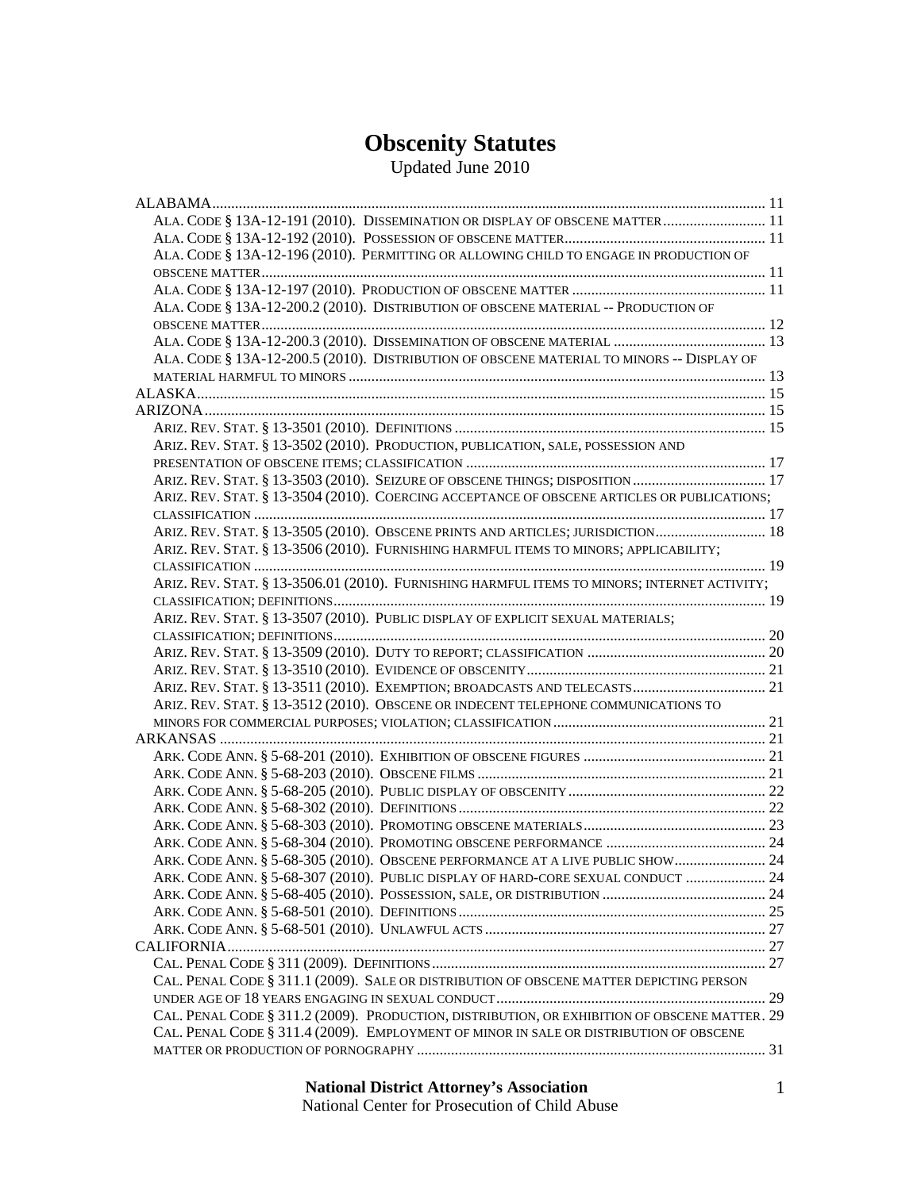# **Obscenity Statutes**

Updated June 2010

| ALA. CODE § 13A-12-191 (2010). DISSEMINATION OR DISPLAY OF OBSCENE MATTER  11                 |  |
|-----------------------------------------------------------------------------------------------|--|
|                                                                                               |  |
| ALA. CODE § 13A-12-196 (2010). PERMITTING OR ALLOWING CHILD TO ENGAGE IN PRODUCTION OF        |  |
|                                                                                               |  |
|                                                                                               |  |
| ALA. CODE § 13A-12-200.2 (2010). DISTRIBUTION OF OBSCENE MATERIAL -- PRODUCTION OF            |  |
|                                                                                               |  |
|                                                                                               |  |
| ALA. CODE § 13A-12-200.5 (2010). DISTRIBUTION OF OBSCENE MATERIAL TO MINORS -- DISPLAY OF     |  |
|                                                                                               |  |
|                                                                                               |  |
|                                                                                               |  |
|                                                                                               |  |
| ARIZ. REV. STAT. § 13-3502 (2010). PRODUCTION, PUBLICATION, SALE, POSSESSION AND              |  |
|                                                                                               |  |
| ARIZ. REV. STAT. § 13-3503 (2010). SEIZURE OF OBSCENE THINGS; DISPOSITION  17                 |  |
| ARIZ. REV. STAT. § 13-3504 (2010). COERCING ACCEPTANCE OF OBSCENE ARTICLES OR PUBLICATIONS;   |  |
|                                                                                               |  |
| ARIZ. REV. STAT. § 13-3505 (2010). OBSCENE PRINTS AND ARTICLES; JURISDICTION 18               |  |
| ARIZ. REV. STAT. § 13-3506 (2010). FURNISHING HARMFUL ITEMS TO MINORS; APPLICABILITY;         |  |
|                                                                                               |  |
| ARIZ. REV. STAT. § 13-3506.01 (2010). FURNISHING HARMFUL ITEMS TO MINORS; INTERNET ACTIVITY;  |  |
|                                                                                               |  |
| ARIZ. REV. STAT. § 13-3507 (2010). PUBLIC DISPLAY OF EXPLICIT SEXUAL MATERIALS;               |  |
|                                                                                               |  |
|                                                                                               |  |
|                                                                                               |  |
| ARIZ. REV. STAT. § 13-3511 (2010). EXEMPTION; BROADCASTS AND TELECASTS 21                     |  |
| ARIZ. REV. STAT. § 13-3512 (2010). OBSCENE OR INDECENT TELEPHONE COMMUNICATIONS TO            |  |
|                                                                                               |  |
|                                                                                               |  |
|                                                                                               |  |
|                                                                                               |  |
|                                                                                               |  |
|                                                                                               |  |
|                                                                                               |  |
|                                                                                               |  |
| ARK. CODE ANN. § 5-68-305 (2010). OBSCENE PERFORMANCE AT A LIVE PUBLIC SHOW 24                |  |
| ARK. CODE ANN. § 5-68-307 (2010). PUBLIC DISPLAY OF HARD-CORE SEXUAL CONDUCT  24              |  |
|                                                                                               |  |
|                                                                                               |  |
|                                                                                               |  |
|                                                                                               |  |
|                                                                                               |  |
| CAL. PENAL CODE § 311.1 (2009). SALE OR DISTRIBUTION OF OBSCENE MATTER DEPICTING PERSON       |  |
|                                                                                               |  |
| CAL. PENAL CODE § 311.2 (2009). PRODUCTION, DISTRIBUTION, OR EXHIBITION OF OBSCENE MATTER. 29 |  |
| CAL. PENAL CODE § 311.4 (2009). EMPLOYMENT OF MINOR IN SALE OR DISTRIBUTION OF OBSCENE        |  |
|                                                                                               |  |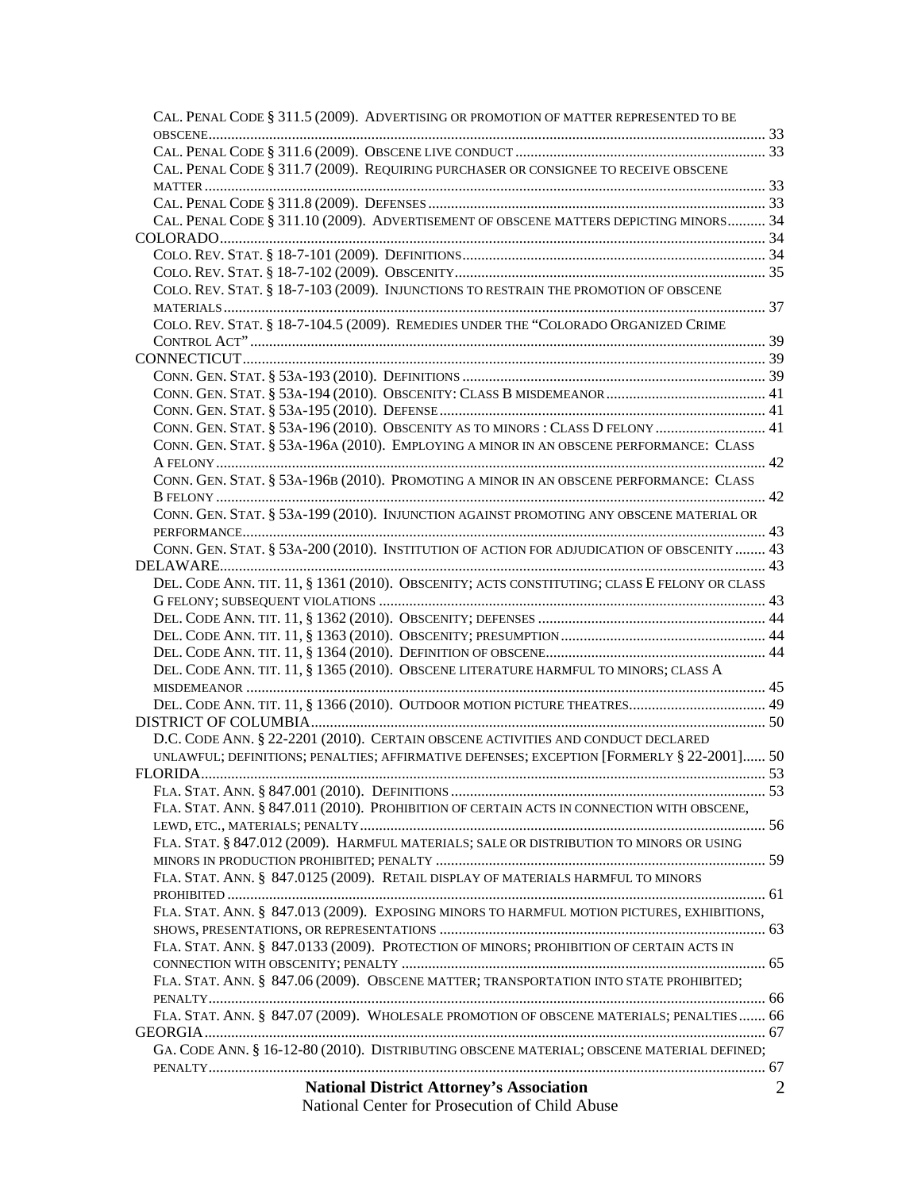| CAL. PENAL CODE § 311.5 (2009). ADVERTISING OR PROMOTION OF MATTER REPRESENTED TO BE         |                |
|----------------------------------------------------------------------------------------------|----------------|
|                                                                                              |                |
|                                                                                              |                |
| CAL. PENAL CODE § 311.7 (2009). REQUIRING PURCHASER OR CONSIGNEE TO RECEIVE OBSCENE          |                |
|                                                                                              |                |
|                                                                                              |                |
| CAL. PENAL CODE § 311.10 (2009). ADVERTISEMENT OF OBSCENE MATTERS DEPICTING MINORS 34        |                |
|                                                                                              |                |
|                                                                                              |                |
|                                                                                              |                |
| COLO. REV. STAT. § 18-7-103 (2009). INJUNCTIONS TO RESTRAIN THE PROMOTION OF OBSCENE         |                |
|                                                                                              |                |
| COLO. REV. STAT. § 18-7-104.5 (2009). REMEDIES UNDER THE "COLORADO ORGANIZED CRIME           |                |
|                                                                                              |                |
|                                                                                              |                |
|                                                                                              |                |
|                                                                                              |                |
| CONN. GEN. STAT. § 53A-196 (2010). OBSCENITY AS TO MINORS : CLASS D FELONY  41               |                |
| CONN. GEN. STAT. § 53A-196A (2010). EMPLOYING A MINOR IN AN OBSCENE PERFORMANCE: CLASS       |                |
|                                                                                              |                |
| CONN. GEN. STAT. § 53A-196B (2010). PROMOTING A MINOR IN AN OBSCENE PERFORMANCE: CLASS       |                |
|                                                                                              |                |
| CONN. GEN. STAT. § 53A-199 (2010). INJUNCTION AGAINST PROMOTING ANY OBSCENE MATERIAL OR      |                |
|                                                                                              |                |
| CONN. GEN. STAT. § 53A-200 (2010). INSTITUTION OF ACTION FOR ADJUDICATION OF OBSCENITY  43   |                |
|                                                                                              |                |
| DEL. CODE ANN. TIT. 11, § 1361 (2010). OBSCENITY; ACTS CONSTITUTING; CLASS E FELONY OR CLASS |                |
|                                                                                              |                |
|                                                                                              |                |
|                                                                                              |                |
|                                                                                              |                |
| DEL. CODE ANN. TIT. 11, § 1365 (2010). OBSCENE LITERATURE HARMFUL TO MINORS; CLASS A         |                |
|                                                                                              |                |
|                                                                                              |                |
|                                                                                              |                |
| D.C. CODE ANN. § 22-2201 (2010). CERTAIN OBSCENE ACTIVITIES AND CONDUCT DECLARED             |                |
| UNLAWFUL; DEFINITIONS; PENALTIES; AFFIRMATIVE DEFENSES; EXCEPTION [FORMERLY § 22-2001] 50    |                |
|                                                                                              |                |
|                                                                                              |                |
| FLA. STAT. ANN. § 847.011 (2010). PROHIBITION OF CERTAIN ACTS IN CONNECTION WITH OBSCENE,    |                |
|                                                                                              |                |
| FLA. STAT. § 847.012 (2009). HARMFUL MATERIALS; SALE OR DISTRIBUTION TO MINORS OR USING      |                |
| FLA. STAT. ANN. § 847.0125 (2009). RETAIL DISPLAY OF MATERIALS HARMFUL TO MINORS             |                |
|                                                                                              |                |
| FLA. STAT. ANN. § 847.013 (2009). EXPOSING MINORS TO HARMFUL MOTION PICTURES, EXHIBITIONS,   |                |
|                                                                                              |                |
| FLA. STAT. ANN. § 847.0133 (2009). PROTECTION OF MINORS; PROHIBITION OF CERTAIN ACTS IN      |                |
|                                                                                              |                |
| FLA. STAT. ANN. § 847.06 (2009). OBSCENE MATTER; TRANSPORTATION INTO STATE PROHIBITED;       |                |
|                                                                                              |                |
| FLA. STAT. ANN. § 847.07 (2009). WHOLESALE PROMOTION OF OBSCENE MATERIALS; PENALTIES 66      |                |
|                                                                                              |                |
| GA. CODE ANN. § 16-12-80 (2010). DISTRIBUTING OBSCENE MATERIAL; OBSCENE MATERIAL DEFINED;    |                |
|                                                                                              |                |
| <b>National District Attorney's Association</b>                                              | $\overline{2}$ |
| National Center for Prosecution of Child Abuse                                               |                |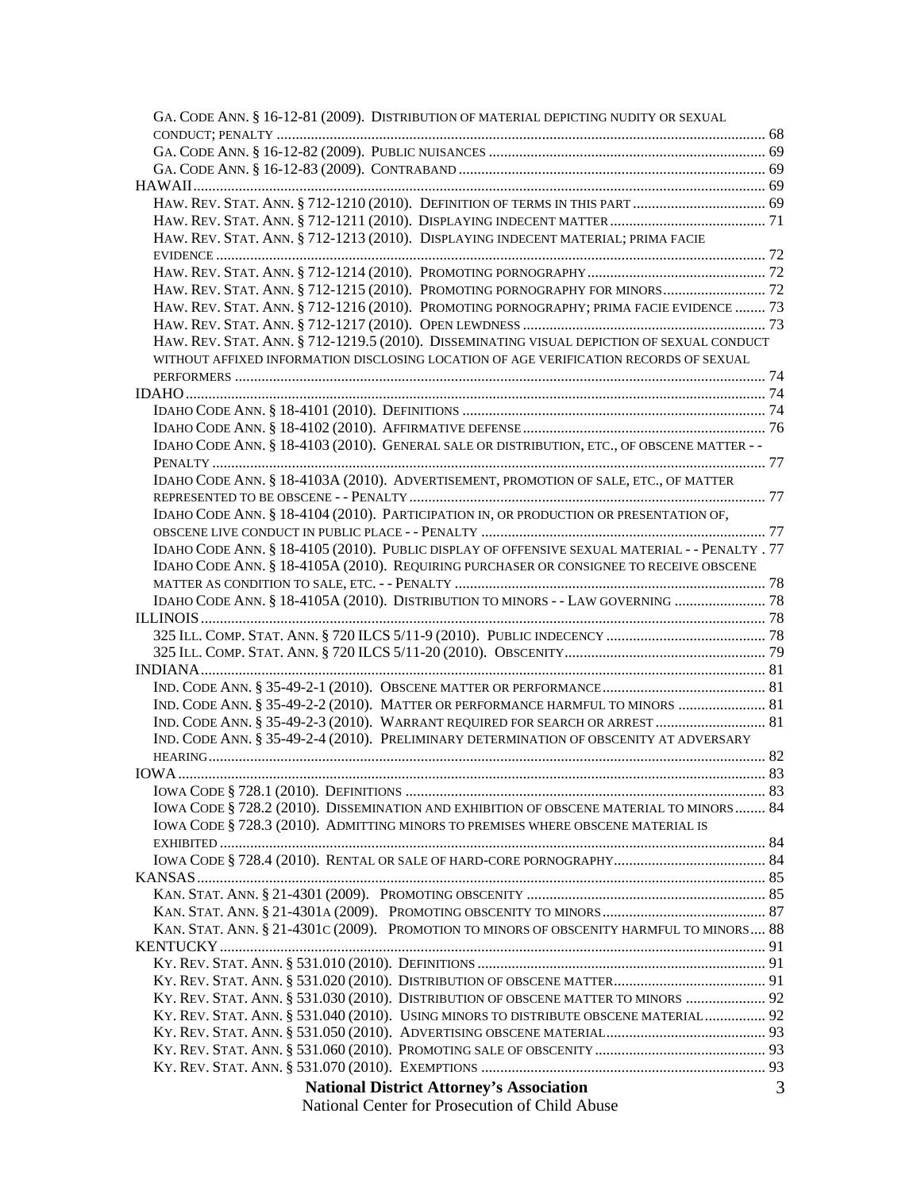| GA. CODE ANN. § 16-12-81 (2009). DISTRIBUTION OF MATERIAL DEPICTING NUDITY OR SEXUAL           |   |
|------------------------------------------------------------------------------------------------|---|
|                                                                                                |   |
|                                                                                                |   |
|                                                                                                |   |
|                                                                                                |   |
|                                                                                                |   |
|                                                                                                |   |
| HAW. REV. STAT. ANN. § 712-1213 (2010). DISPLAYING INDECENT MATERIAL; PRIMA FACIE              |   |
|                                                                                                |   |
|                                                                                                |   |
| HAW. REV. STAT. ANN. § 712-1215 (2010). PROMOTING PORNOGRAPHY FOR MINORS 72                    |   |
| HAW. REV. STAT. ANN. § 712-1216 (2010). PROMOTING PORNOGRAPHY; PRIMA FACIE EVIDENCE  73        |   |
|                                                                                                |   |
| HAW. REV. STAT. ANN. § 712-1219.5 (2010). DISSEMINATING VISUAL DEPICTION OF SEXUAL CONDUCT     |   |
| WITHOUT AFFIXED INFORMATION DISCLOSING LOCATION OF AGE VERIFICATION RECORDS OF SEXUAL          |   |
|                                                                                                |   |
|                                                                                                |   |
|                                                                                                |   |
|                                                                                                |   |
| IDAHO CODE ANN. § 18-4103 (2010). GENERAL SALE OR DISTRIBUTION, ETC., OF OBSCENE MATTER --     |   |
|                                                                                                |   |
| IDAHO CODE ANN. § 18-4103A (2010). ADVERTISEMENT, PROMOTION OF SALE, ETC., OF MATTER           |   |
|                                                                                                |   |
| IDAHO CODE ANN. § 18-4104 (2010). PARTICIPATION IN, OR PRODUCTION OR PRESENTATION OF,          |   |
|                                                                                                |   |
| IDAHO CODE ANN. § 18-4105 (2010). PUBLIC DISPLAY OF OFFENSIVE SEXUAL MATERIAL - - PENALTY . 77 |   |
| IDAHO CODE ANN. § 18-4105A (2010). REQUIRING PURCHASER OR CONSIGNEE TO RECEIVE OBSCENE         |   |
|                                                                                                |   |
| IDAHO CODE ANN. § 18-4105A (2010). DISTRIBUTION TO MINORS - - LAW GOVERNING  78                |   |
|                                                                                                |   |
|                                                                                                |   |
|                                                                                                |   |
|                                                                                                |   |
|                                                                                                |   |
| IND. CODE ANN. § 35-49-2-2 (2010). MATTER OR PERFORMANCE HARMFUL TO MINORS  81                 |   |
|                                                                                                |   |
| IND. CODE ANN. § 35-49-2-4 (2010). PRELIMINARY DETERMINATION OF OBSCENITY AT ADVERSARY         |   |
|                                                                                                |   |
|                                                                                                |   |
|                                                                                                |   |
| IOWA CODE § 728.2 (2010). DISSEMINATION AND EXHIBITION OF OBSCENE MATERIAL TO MINORS  84       |   |
| IOWA CODE § 728.3 (2010). ADMITTING MINORS TO PREMISES WHERE OBSCENE MATERIAL IS               |   |
|                                                                                                |   |
|                                                                                                |   |
|                                                                                                |   |
|                                                                                                |   |
|                                                                                                |   |
| KAN. STAT. ANN. § 21-4301C (2009). PROMOTION TO MINORS OF OBSCENITY HARMFUL TO MINORS 88       |   |
|                                                                                                |   |
|                                                                                                |   |
|                                                                                                |   |
| KY. REV. STAT. ANN. § 531.030 (2010). DISTRIBUTION OF OBSCENE MATTER TO MINORS  92             |   |
| KY. REV. STAT. ANN. § 531.040 (2010). USING MINORS TO DISTRIBUTE OBSCENE MATERIAL 92           |   |
|                                                                                                |   |
|                                                                                                |   |
|                                                                                                |   |
| <b>National District Attorney's Association</b>                                                | 3 |
| National Center for Prosecution of Child Abuse                                                 |   |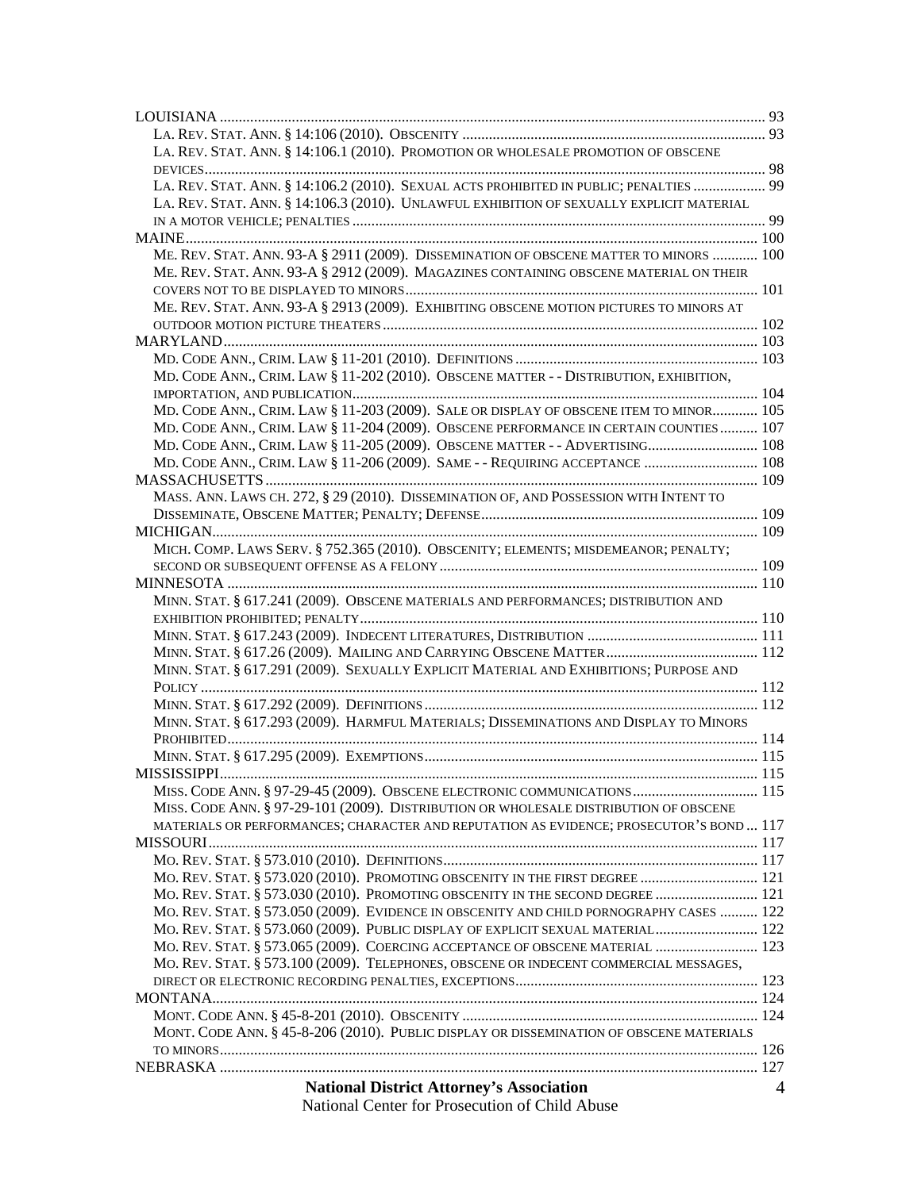| National Center for Prosecution of Child Abuse                                                                                                                                   |                |
|----------------------------------------------------------------------------------------------------------------------------------------------------------------------------------|----------------|
| <b>National District Attorney's Association</b>                                                                                                                                  | $\overline{A}$ |
|                                                                                                                                                                                  |                |
|                                                                                                                                                                                  |                |
| MONT. CODE ANN. § 45-8-206 (2010). PUBLIC DISPLAY OR DISSEMINATION OF OBSCENE MATERIALS                                                                                          |                |
|                                                                                                                                                                                  |                |
|                                                                                                                                                                                  |                |
|                                                                                                                                                                                  |                |
| MO. REV. STAT. § 573.100 (2009). TELEPHONES, OBSCENE OR INDECENT COMMERCIAL MESSAGES,                                                                                            |                |
| MO. REV. STAT. § 573.065 (2009). COERCING ACCEPTANCE OF OBSCENE MATERIAL  123                                                                                                    |                |
| MO. REV. STAT. § 573.060 (2009). PUBLIC DISPLAY OF EXPLICIT SEXUAL MATERIAL 122                                                                                                  |                |
| MO. REV. STAT. § 573.050 (2009). EVIDENCE IN OBSCENITY AND CHILD PORNOGRAPHY CASES  122                                                                                          |                |
| MO. REV. STAT. § 573.030 (2010). PROMOTING OBSCENITY IN THE SECOND DEGREE  121                                                                                                   |                |
| MO. REV. STAT. § 573.020 (2010). PROMOTING OBSCENITY IN THE FIRST DEGREE  121                                                                                                    |                |
|                                                                                                                                                                                  |                |
|                                                                                                                                                                                  |                |
| MATERIALS OR PERFORMANCES; CHARACTER AND REPUTATION AS EVIDENCE; PROSECUTOR'S BOND 117                                                                                           |                |
| MISS. CODE ANN. § 97-29-101 (2009). DISTRIBUTION OR WHOLESALE DISTRIBUTION OF OBSCENE                                                                                            |                |
| MISS. CODE ANN. § 97-29-45 (2009). OBSCENE ELECTRONIC COMMUNICATIONS 115                                                                                                         |                |
|                                                                                                                                                                                  |                |
|                                                                                                                                                                                  |                |
|                                                                                                                                                                                  |                |
| MINN. STAT. § 617.293 (2009). HARMFUL MATERIALS; DISSEMINATIONS AND DISPLAY TO MINORS                                                                                            |                |
|                                                                                                                                                                                  |                |
|                                                                                                                                                                                  |                |
| MINN. STAT. § 617.291 (2009). SEXUALLY EXPLICIT MATERIAL AND EXHIBITIONS; PURPOSE AND                                                                                            |                |
|                                                                                                                                                                                  |                |
|                                                                                                                                                                                  |                |
|                                                                                                                                                                                  |                |
| MINN. STAT. § 617.241 (2009). OBSCENE MATERIALS AND PERFORMANCES; DISTRIBUTION AND                                                                                               |                |
|                                                                                                                                                                                  |                |
|                                                                                                                                                                                  |                |
| MICH. COMP. LAWS SERV. § 752.365 (2010). OBSCENITY; ELEMENTS; MISDEMEANOR; PENALTY;                                                                                              |                |
|                                                                                                                                                                                  |                |
|                                                                                                                                                                                  |                |
| MASS. ANN. LAWS CH. 272, § 29 (2010). DISSEMINATION OF, AND POSSESSION WITH INTENT TO                                                                                            |                |
|                                                                                                                                                                                  |                |
| MD. CODE ANN., CRIM. LAW § 11-206 (2009). SAME -- REQUIRING ACCEPTANCE  108                                                                                                      |                |
| MD. CODE ANN., CRIM. LAW § 11-205 (2009). OBSCENE MATTER - - ADVERTISING 108                                                                                                     |                |
| MD. CODE ANN., CRIM. LAW § 11-204 (2009). OBSCENE PERFORMANCE IN CERTAIN COUNTIES  107                                                                                           |                |
| MD. CODE ANN., CRIM. LAW § 11-203 (2009). SALE OR DISPLAY OF OBSCENE ITEM TO MINOR 105                                                                                           |                |
|                                                                                                                                                                                  |                |
| MD. CODE ANN., CRIM. LAW § 11-202 (2010). OBSCENE MATTER - - DISTRIBUTION, EXHIBITION,                                                                                           |                |
|                                                                                                                                                                                  |                |
|                                                                                                                                                                                  |                |
| ME. REV. STAT. ANN. 93-A § 2913 (2009). EXHIBITING OBSCENE MOTION PICTURES TO MINORS AT                                                                                          |                |
|                                                                                                                                                                                  |                |
|                                                                                                                                                                                  |                |
| ME. REV. STAT. ANN. 93-A § 2911 (2009). DISSEMINATION OF OBSCENE MATTER TO MINORS  100<br>ME. REV. STAT. ANN. 93-A § 2912 (2009). MAGAZINES CONTAINING OBSCENE MATERIAL ON THEIR |                |
|                                                                                                                                                                                  |                |
|                                                                                                                                                                                  |                |
| LA. REV. STAT. ANN. § 14:106.3 (2010). UNLAWFUL EXHIBITION OF SEXUALLY EXPLICIT MATERIAL                                                                                         |                |
| LA. REV. STAT. ANN. § 14:106.2 (2010). SEXUAL ACTS PROHIBITED IN PUBLIC; PENALTIES  99                                                                                           |                |
|                                                                                                                                                                                  |                |
| LA. REV. STAT. ANN. § 14:106.1 (2010). PROMOTION OR WHOLESALE PROMOTION OF OBSCENE                                                                                               |                |
|                                                                                                                                                                                  |                |
|                                                                                                                                                                                  |                |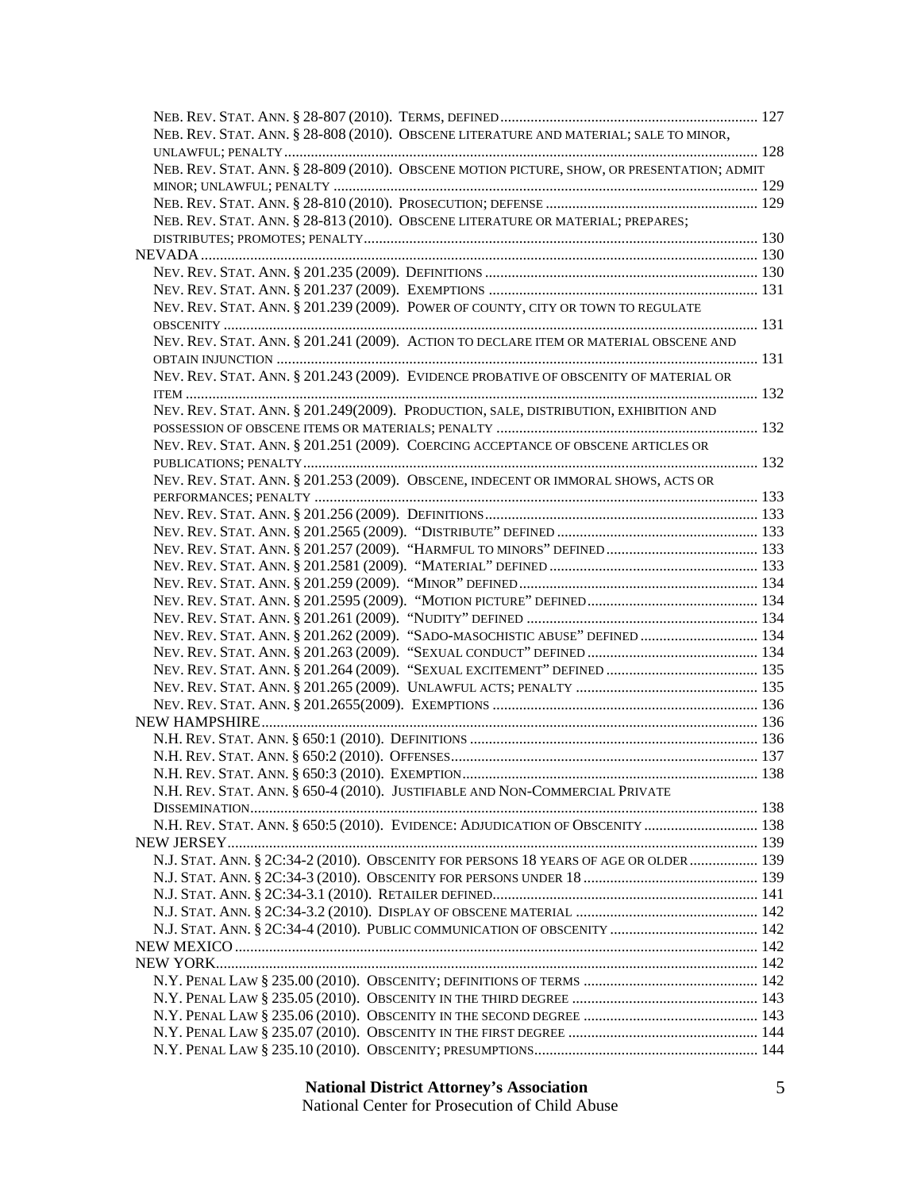| NEB. REV. STAT. ANN. § 28-808 (2010). OBSCENE LITERATURE AND MATERIAL; SALE TO MINOR,      |  |
|--------------------------------------------------------------------------------------------|--|
|                                                                                            |  |
| NEB. REV. STAT. ANN. § 28-809 (2010). OBSCENE MOTION PICTURE, SHOW, OR PRESENTATION; ADMIT |  |
|                                                                                            |  |
|                                                                                            |  |
| NEB. REV. STAT. ANN. § 28-813 (2010). OBSCENE LITERATURE OR MATERIAL; PREPARES;            |  |
|                                                                                            |  |
|                                                                                            |  |
|                                                                                            |  |
|                                                                                            |  |
| NEV. REV. STAT. ANN. § 201.239 (2009). POWER OF COUNTY, CITY OR TOWN TO REGULATE           |  |
|                                                                                            |  |
| NEV. REV. STAT. ANN. § 201.241 (2009). ACTION TO DECLARE ITEM OR MATERIAL OBSCENE AND      |  |
|                                                                                            |  |
| NEV. REV. STAT. ANN. § 201.243 (2009). EVIDENCE PROBATIVE OF OBSCENITY OF MATERIAL OR      |  |
|                                                                                            |  |
| NEV. REV. STAT. ANN. § 201.249(2009). PRODUCTION, SALE, DISTRIBUTION, EXHIBITION AND       |  |
|                                                                                            |  |
| NEV. REV. STAT. ANN. § 201.251 (2009). COERCING ACCEPTANCE OF OBSCENE ARTICLES OR          |  |
|                                                                                            |  |
| NEV. REV. STAT. ANN. § 201.253 (2009). OBSCENE, INDECENT OR IMMORAL SHOWS, ACTS OR         |  |
|                                                                                            |  |
|                                                                                            |  |
|                                                                                            |  |
|                                                                                            |  |
|                                                                                            |  |
|                                                                                            |  |
|                                                                                            |  |
|                                                                                            |  |
| NEV. REV. STAT. ANN. § 201.262 (2009). "SADO-MASOCHISTIC ABUSE" DEFINED  134               |  |
|                                                                                            |  |
|                                                                                            |  |
|                                                                                            |  |
|                                                                                            |  |
|                                                                                            |  |
|                                                                                            |  |
|                                                                                            |  |
|                                                                                            |  |
| N.H. REV. STAT. ANN. § 650-4 (2010). JUSTIFIABLE AND NON-COMMERCIAL PRIVATE                |  |
|                                                                                            |  |
| N.H. REV. STAT. ANN. § 650:5 (2010). EVIDENCE: ADJUDICATION OF OBSCENITY  138              |  |
|                                                                                            |  |
| N.J. STAT. ANN. § 2C:34-2 (2010). OBSCENITY FOR PERSONS 18 YEARS OF AGE OR OLDER  139      |  |
|                                                                                            |  |
|                                                                                            |  |
|                                                                                            |  |
|                                                                                            |  |
|                                                                                            |  |
|                                                                                            |  |
|                                                                                            |  |
|                                                                                            |  |
|                                                                                            |  |
|                                                                                            |  |
|                                                                                            |  |
|                                                                                            |  |

#### **National District Attorney's Association**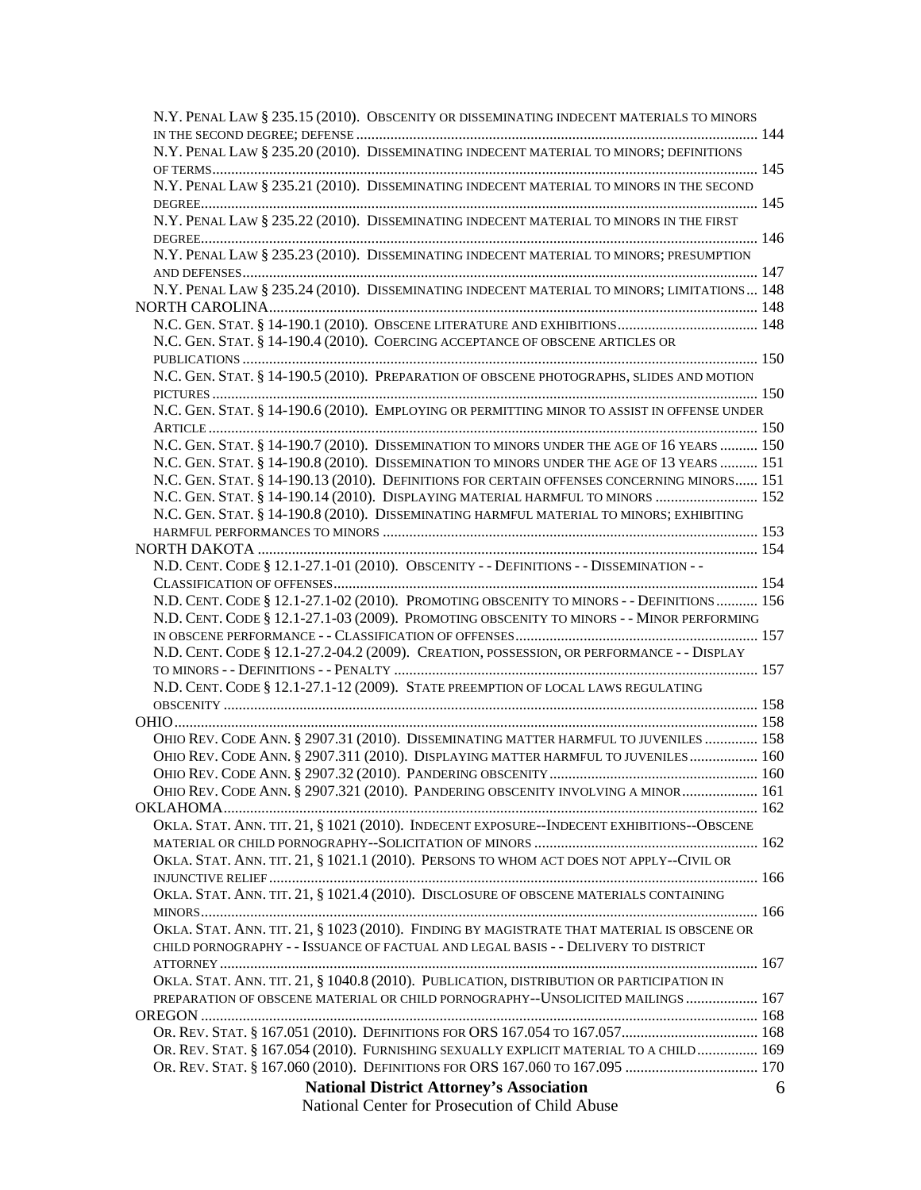| N.Y. PENAL LAW § 235.15 (2010). OBSCENITY OR DISSEMINATING INDECENT MATERIALS TO MINORS     |   |
|---------------------------------------------------------------------------------------------|---|
|                                                                                             |   |
| N.Y. PENAL LAW § 235.20 (2010). DISSEMINATING INDECENT MATERIAL TO MINORS; DEFINITIONS      |   |
|                                                                                             |   |
| N.Y. PENAL LAW § 235.21 (2010). DISSEMINATING INDECENT MATERIAL TO MINORS IN THE SECOND     |   |
|                                                                                             |   |
| N.Y. PENAL LAW § 235.22 (2010). DISSEMINATING INDECENT MATERIAL TO MINORS IN THE FIRST      |   |
|                                                                                             |   |
| N.Y. PENAL LAW § 235.23 (2010). DISSEMINATING INDECENT MATERIAL TO MINORS; PRESUMPTION      |   |
|                                                                                             |   |
| N.Y. PENAL LAW § 235.24 (2010). DISSEMINATING INDECENT MATERIAL TO MINORS; LIMITATIONS 148  |   |
|                                                                                             |   |
|                                                                                             |   |
| N.C. GEN. STAT. § 14-190.4 (2010). COERCING ACCEPTANCE OF OBSCENE ARTICLES OR               |   |
|                                                                                             |   |
| N.C. GEN. STAT. § 14-190.5 (2010). PREPARATION OF OBSCENE PHOTOGRAPHS, SLIDES AND MOTION    |   |
|                                                                                             |   |
| N.C. GEN. STAT. § 14-190.6 (2010). EMPLOYING OR PERMITTING MINOR TO ASSIST IN OFFENSE UNDER |   |
|                                                                                             |   |
| N.C. GEN. STAT. § 14-190.7 (2010). DISSEMINATION TO MINORS UNDER THE AGE OF 16 YEARS  150   |   |
| N.C. GEN. STAT. § 14-190.8 (2010). DISSEMINATION TO MINORS UNDER THE AGE OF 13 YEARS  151   |   |
| N.C. GEN. STAT. § 14-190.13 (2010). DEFINITIONS FOR CERTAIN OFFENSES CONCERNING MINORS 151  |   |
| N.C. GEN. STAT. § 14-190.14 (2010). DISPLAYING MATERIAL HARMFUL TO MINORS  152              |   |
| N.C. GEN. STAT. § 14-190.8 (2010). DISSEMINATING HARMFUL MATERIAL TO MINORS; EXHIBITING     |   |
|                                                                                             |   |
|                                                                                             |   |
| N.D. CENT. CODE § 12.1-27.1-01 (2010). OBSCENITY - - DEFINITIONS - - DISSEMINATION - -      |   |
|                                                                                             |   |
|                                                                                             |   |
| N.D. CENT. CODE § 12.1-27.1-02 (2010). PROMOTING OBSCENITY TO MINORS - - DEFINITIONS  156   |   |
| N.D. CENT. CODE § 12.1-27.1-03 (2009). PROMOTING OBSCENITY TO MINORS - - MINOR PERFORMING   |   |
|                                                                                             |   |
| N.D. CENT. CODE § 12.1-27.2-04.2 (2009). CREATION, POSSESSION, OR PERFORMANCE - - DISPLAY   |   |
|                                                                                             |   |
| N.D. CENT. CODE § 12.1-27.1-12 (2009). STATE PREEMPTION OF LOCAL LAWS REGULATING            |   |
|                                                                                             |   |
|                                                                                             |   |
| OHIO REV. CODE ANN. § 2907.31 (2010). DISSEMINATING MATTER HARMFUL TO JUVENILES  158        |   |
| OHIO REV. CODE ANN. § 2907.311 (2010). DISPLAYING MATTER HARMFUL TO JUVENILES  160          |   |
|                                                                                             |   |
| OHIO REV. CODE ANN. § 2907.321 (2010). PANDERING OBSCENITY INVOLVING A MINOR  161           |   |
|                                                                                             |   |
| OKLA. STAT. ANN. TIT. 21, § 1021 (2010). INDECENT EXPOSURE--INDECENT EXHIBITIONS--OBSCENE   |   |
|                                                                                             |   |
| OKLA. STAT. ANN. TIT. 21, § 1021.1 (2010). PERSONS TO WHOM ACT DOES NOT APPLY--CIVIL OR     |   |
|                                                                                             |   |
| OKLA. STAT. ANN. TIT. 21, § 1021.4 (2010). DISCLOSURE OF OBSCENE MATERIALS CONTAINING       |   |
|                                                                                             |   |
| OKLA. STAT. ANN. TIT. 21, § 1023 (2010). FINDING BY MAGISTRATE THAT MATERIAL IS OBSCENE OR  |   |
| CHILD PORNOGRAPHY - - ISSUANCE OF FACTUAL AND LEGAL BASIS - - DELIVERY TO DISTRICT          |   |
|                                                                                             |   |
| OKLA. STAT. ANN. TIT. 21, § 1040.8 (2010). PUBLICATION, DISTRIBUTION OR PARTICIPATION IN    |   |
| PREPARATION OF OBSCENE MATERIAL OR CHILD PORNOGRAPHY--UNSOLICITED MAILINGS  167             |   |
|                                                                                             |   |
|                                                                                             |   |
| OR. REV. STAT. § 167.054 (2010). FURNISHING SEXUALLY EXPLICIT MATERIAL TO A CHILD 169       |   |
|                                                                                             |   |
| <b>National District Attorney's Association</b>                                             | 6 |
| National Center for Prosecution of Child Abuse                                              |   |
|                                                                                             |   |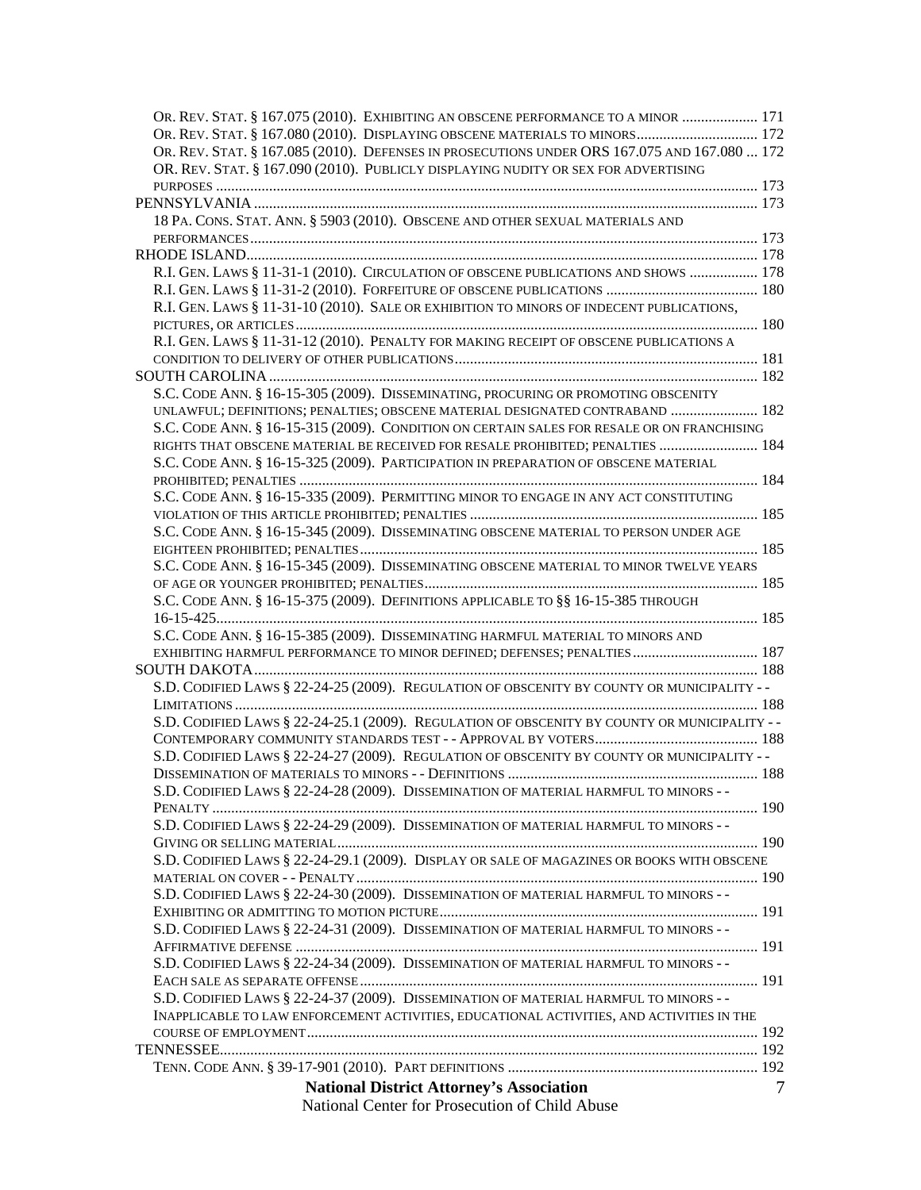| OR. REV. STAT. § 167.075 (2010). EXHIBITING AN OBSCENE PERFORMANCE TO A MINOR  171           |   |
|----------------------------------------------------------------------------------------------|---|
| OR. REV. STAT. § 167.080 (2010). DISPLAYING OBSCENE MATERIALS TO MINORS 172                  |   |
| OR. REV. STAT. § 167.085 (2010). DEFENSES IN PROSECUTIONS UNDER ORS 167.075 AND 167.080  172 |   |
| OR. REV. STAT. § 167.090 (2010). PUBLICLY DISPLAYING NUDITY OR SEX FOR ADVERTISING           |   |
|                                                                                              |   |
| 18 PA. CONS. STAT. ANN. § 5903 (2010). OBSCENE AND OTHER SEXUAL MATERIALS AND                |   |
|                                                                                              |   |
|                                                                                              |   |
| R.I. GEN. LAWS § 11-31-1 (2010). CIRCULATION OF OBSCENE PUBLICATIONS AND SHOWS  178          |   |
|                                                                                              |   |
| R.I. GEN. LAWS § 11-31-10 (2010). SALE OR EXHIBITION TO MINORS OF INDECENT PUBLICATIONS,     |   |
|                                                                                              |   |
| R.I. GEN. LAWS § 11-31-12 (2010). PENALTY FOR MAKING RECEIPT OF OBSCENE PUBLICATIONS A       |   |
|                                                                                              |   |
|                                                                                              |   |
| S.C. CODE ANN. § 16-15-305 (2009). DISSEMINATING, PROCURING OR PROMOTING OBSCENITY           |   |
| UNLAWFUL; DEFINITIONS; PENALTIES; OBSCENE MATERIAL DESIGNATED CONTRABAND  182                |   |
| S.C. CODE ANN. § 16-15-315 (2009). CONDITION ON CERTAIN SALES FOR RESALE OR ON FRANCHISING   |   |
| RIGHTS THAT OBSCENE MATERIAL BE RECEIVED FOR RESALE PROHIBITED; PENALTIES  184               |   |
| S.C. CODE ANN. § 16-15-325 (2009). PARTICIPATION IN PREPARATION OF OBSCENE MATERIAL          |   |
|                                                                                              |   |
| S.C. CODE ANN. § 16-15-335 (2009). PERMITTING MINOR TO ENGAGE IN ANY ACT CONSTITUTING        |   |
|                                                                                              |   |
| S.C. CODE ANN. § 16-15-345 (2009). DISSEMINATING OBSCENE MATERIAL TO PERSON UNDER AGE        |   |
|                                                                                              |   |
| S.C. CODE ANN. § 16-15-345 (2009). DISSEMINATING OBSCENE MATERIAL TO MINOR TWELVE YEARS      |   |
|                                                                                              |   |
| S.C. CODE ANN. § 16-15-375 (2009). DEFINITIONS APPLICABLE TO § § 16-15-385 THROUGH           |   |
|                                                                                              |   |
| S.C. CODE ANN. § 16-15-385 (2009). DISSEMINATING HARMFUL MATERIAL TO MINORS AND              |   |
| EXHIBITING HARMFUL PERFORMANCE TO MINOR DEFINED; DEFENSES; PENALTIES  187                    |   |
|                                                                                              |   |
| S.D. CODIFIED LAWS § 22-24-25 (2009). REGULATION OF OBSCENITY BY COUNTY OR MUNICIPALITY --   |   |
|                                                                                              |   |
| S.D. CODIFIED LAWS § 22-24-25.1 (2009). REGULATION OF OBSCENITY BY COUNTY OR MUNICIPALITY -- |   |
|                                                                                              |   |
| S.D. CODIFIED LAWS § 22-24-27 (2009). REGULATION OF OBSCENITY BY COUNTY OR MUNICIPALITY --   |   |
|                                                                                              |   |
| S.D. CODIFIED LAWS § 22-24-28 (2009). DISSEMINATION OF MATERIAL HARMFUL TO MINORS --         |   |
|                                                                                              |   |
| S.D. CODIFIED LAWS § 22-24-29 (2009). DISSEMINATION OF MATERIAL HARMFUL TO MINORS --         |   |
|                                                                                              |   |
| S.D. CODIFIED LAWS § 22-24-29.1 (2009). DISPLAY OR SALE OF MAGAZINES OR BOOKS WITH OBSCENE   |   |
|                                                                                              |   |
| S.D. CODIFIED LAWS § 22-24-30 (2009). DISSEMINATION OF MATERIAL HARMFUL TO MINORS --         |   |
|                                                                                              |   |
| S.D. CODIFIED LAWS § 22-24-31 (2009). DISSEMINATION OF MATERIAL HARMFUL TO MINORS --         |   |
|                                                                                              |   |
| S.D. CODIFIED LAWS § 22-24-34 (2009). DISSEMINATION OF MATERIAL HARMFUL TO MINORS --         |   |
|                                                                                              |   |
| S.D. CODIFIED LAWS § 22-24-37 (2009). DISSEMINATION OF MATERIAL HARMFUL TO MINORS --         |   |
| INAPPLICABLE TO LAW ENFORCEMENT ACTIVITIES, EDUCATIONAL ACTIVITIES, AND ACTIVITIES IN THE    |   |
|                                                                                              |   |
|                                                                                              |   |
|                                                                                              |   |
| <b>National District Attorney's Association</b>                                              | 7 |
| National Center for Prosecution of Child Abuse                                               |   |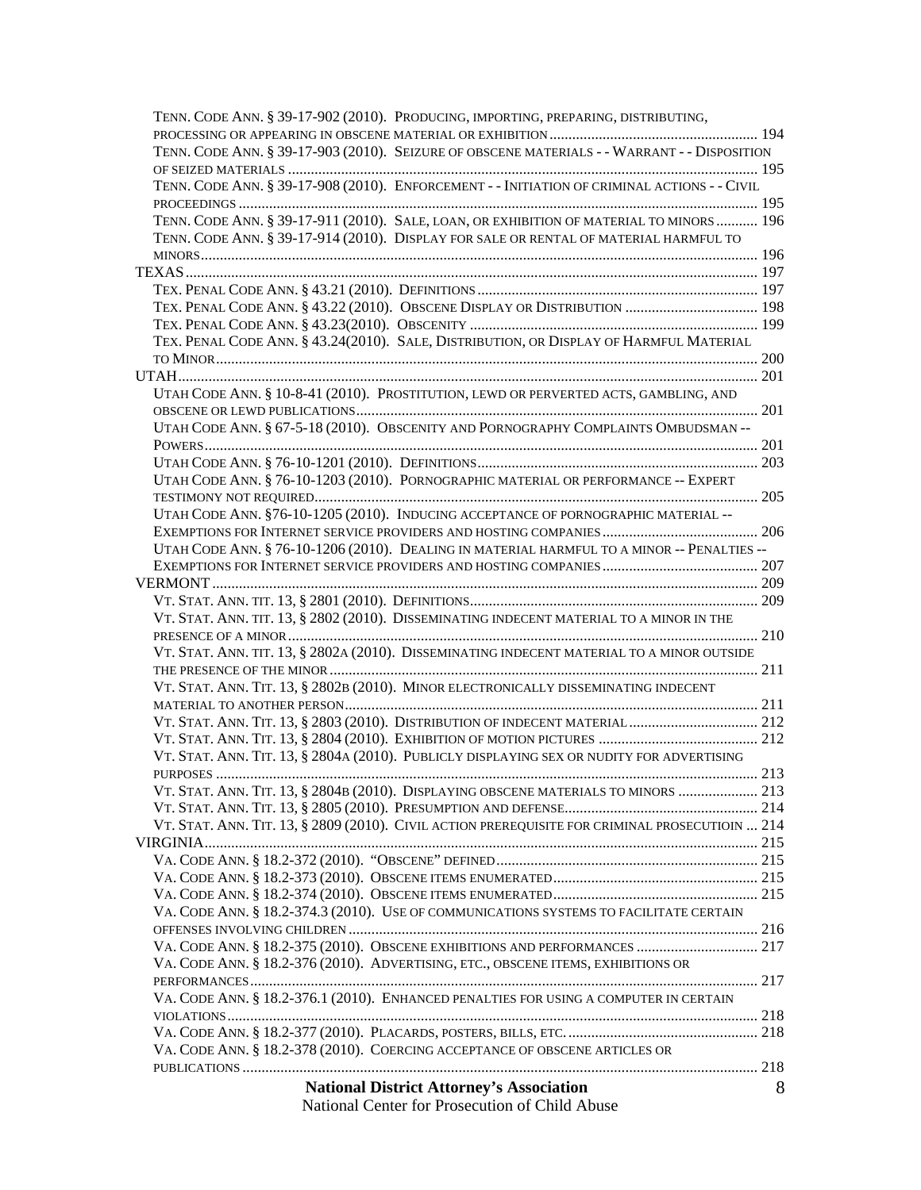| National Center for Prosecution of Child Abuse                                                  |   |
|-------------------------------------------------------------------------------------------------|---|
| <b>National District Attorney's Association</b>                                                 | 8 |
|                                                                                                 |   |
| VA. CODE ANN. § 18.2-378 (2010). COERCING ACCEPTANCE OF OBSCENE ARTICLES OR                     |   |
|                                                                                                 |   |
|                                                                                                 |   |
| VA. CODE ANN. § 18.2-376.1 (2010). ENHANCED PENALTIES FOR USING A COMPUTER IN CERTAIN           |   |
|                                                                                                 |   |
| VA. CODE ANN. § 18.2-376 (2010). ADVERTISING, ETC., OBSCENE ITEMS, EXHIBITIONS OR               |   |
| VA. CODE ANN. § 18.2-375 (2010). OBSCENE EXHIBITIONS AND PERFORMANCES  217                      |   |
|                                                                                                 |   |
| VA. CODE ANN. § 18.2-374.3 (2010). USE OF COMMUNICATIONS SYSTEMS TO FACILITATE CERTAIN          |   |
|                                                                                                 |   |
|                                                                                                 |   |
|                                                                                                 |   |
|                                                                                                 |   |
| VT. STAT. ANN. TIT. 13, § 2809 (2010). CIVIL ACTION PREREQUISITE FOR CRIMINAL PROSECUTIOIN  214 |   |
|                                                                                                 |   |
| VT. STAT. ANN. TIT. 13, § 2804B (2010). DISPLAYING OBSCENE MATERIALS TO MINORS  213             |   |
|                                                                                                 |   |
| VT. STAT. ANN. TIT. 13, § 2804A (2010). PUBLICLY DISPLAYING SEX OR NUDITY FOR ADVERTISING       |   |
|                                                                                                 |   |
| VT. STAT. ANN. TIT. 13, § 2803 (2010). DISTRIBUTION OF INDECENT MATERIAL 212                    |   |
|                                                                                                 |   |
| VT. STAT. ANN. TIT. 13, § 2802B (2010). MINOR ELECTRONICALLY DISSEMINATING INDECENT             |   |
|                                                                                                 |   |
| VT. STAT. ANN. TIT. 13, § 2802A (2010). DISSEMINATING INDECENT MATERIAL TO A MINOR OUTSIDE      |   |
|                                                                                                 |   |
| VT. STAT. ANN. TIT. 13, § 2802 (2010). DISSEMINATING INDECENT MATERIAL TO A MINOR IN THE        |   |
|                                                                                                 |   |
|                                                                                                 |   |
|                                                                                                 |   |
| UTAH CODE ANN. § 76-10-1206 (2010). DEALING IN MATERIAL HARMFUL TO A MINOR -- PENALTIES --      |   |
|                                                                                                 |   |
| UTAH CODE ANN. §76-10-1205 (2010). INDUCING ACCEPTANCE OF PORNOGRAPHIC MATERIAL --              |   |
|                                                                                                 |   |
| UTAH CODE ANN. § 76-10-1203 (2010). PORNOGRAPHIC MATERIAL OR PERFORMANCE -- EXPERT              |   |
|                                                                                                 |   |
|                                                                                                 |   |
| UTAH CODE ANN. § 67-5-18 (2010). OBSCENITY AND PORNOGRAPHY COMPLAINTS OMBUDSMAN --              |   |
|                                                                                                 |   |
| UTAH CODE ANN. § 10-8-41 (2010). PROSTITUTION, LEWD OR PERVERTED ACTS, GAMBLING, AND            |   |
|                                                                                                 |   |
|                                                                                                 |   |
| TEX. PENAL CODE ANN. § 43.24(2010). SALE, DISTRIBUTION, OR DISPLAY OF HARMFUL MATERIAL          |   |
|                                                                                                 |   |
| TEX. PENAL CODE ANN. § 43.22 (2010). OBSCENE DISPLAY OR DISTRIBUTION  198                       |   |
|                                                                                                 |   |
|                                                                                                 |   |
| TENN. CODE ANN. § 39-17-914 (2010). DISPLAY FOR SALE OR RENTAL OF MATERIAL HARMFUL TO           |   |
| TENN. CODE ANN. § 39-17-911 (2010). SALE, LOAN, OR EXHIBITION OF MATERIAL TO MINORS  196        |   |
|                                                                                                 |   |
| TENN. CODE ANN. § 39-17-908 (2010). ENFORCEMENT - - INITIATION OF CRIMINAL ACTIONS - - CIVIL    |   |
|                                                                                                 |   |
| TENN. CODE ANN. § 39-17-903 (2010). SEIZURE OF OBSCENE MATERIALS - - WARRANT - - DISPOSITION    |   |
|                                                                                                 |   |
| TENN. CODE ANN. § 39-17-902 (2010). PRODUCING, IMPORTING, PREPARING, DISTRIBUTING,              |   |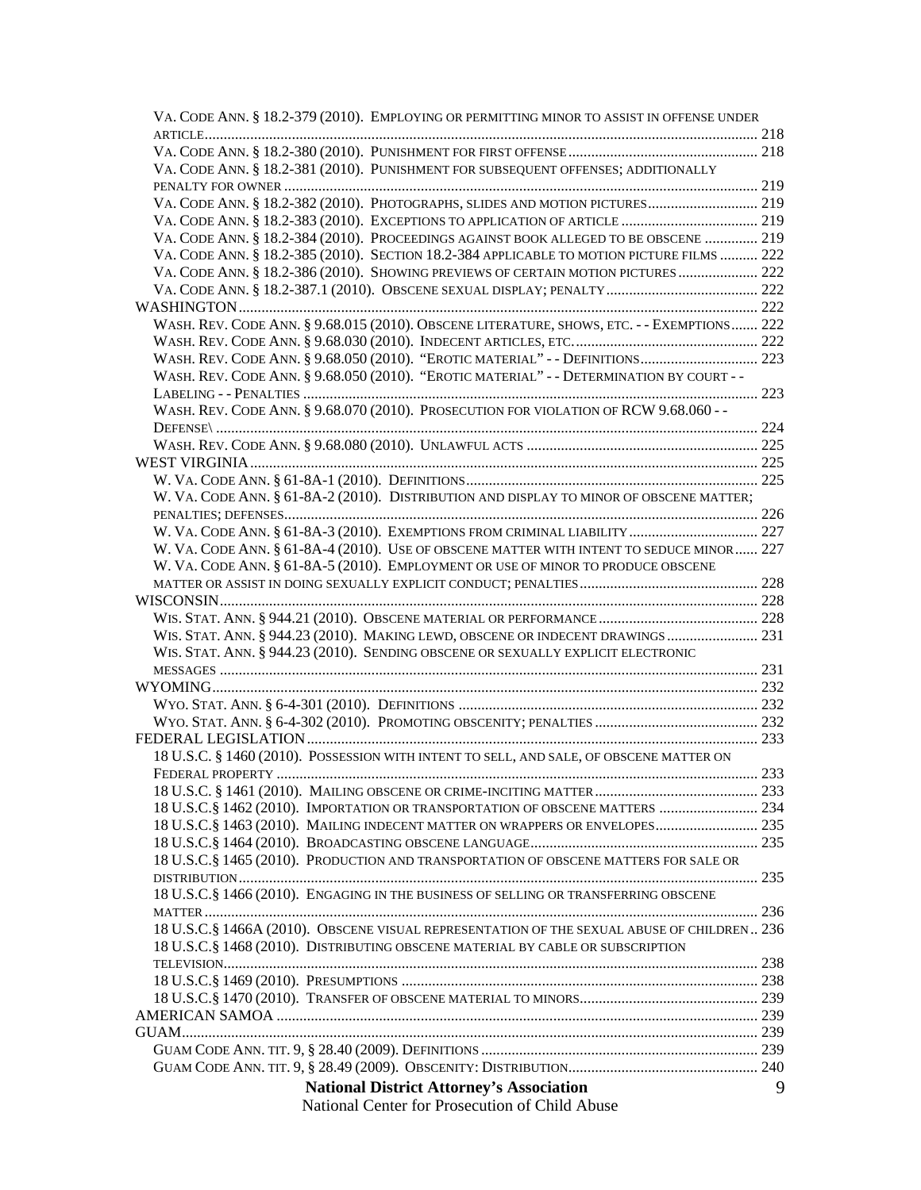| VA. CODE ANN. § 18.2-379 (2010). EMPLOYING OR PERMITTING MINOR TO ASSIST IN OFFENSE UNDER   |   |
|---------------------------------------------------------------------------------------------|---|
|                                                                                             |   |
|                                                                                             |   |
| VA. CODE ANN. § 18.2-381 (2010). PUNISHMENT FOR SUBSEQUENT OFFENSES; ADDITIONALLY           |   |
|                                                                                             |   |
| VA. CODE ANN. § 18.2-382 (2010). PHOTOGRAPHS, SLIDES AND MOTION PICTURES 219                |   |
|                                                                                             |   |
| VA. CODE ANN. § 18.2-384 (2010). PROCEEDINGS AGAINST BOOK ALLEGED TO BE OBSCENE  219        |   |
| VA. CODE ANN. § 18.2-385 (2010). SECTION 18.2-384 APPLICABLE TO MOTION PICTURE FILMS  222   |   |
| VA. CODE ANN. § 18.2-386 (2010). SHOWING PREVIEWS OF CERTAIN MOTION PICTURES  222           |   |
|                                                                                             |   |
|                                                                                             |   |
| WASH. REV. CODE ANN. § 9.68.015 (2010). OBSCENE LITERATURE, SHOWS, ETC. - - EXEMPTIONS 222  |   |
|                                                                                             |   |
| WASH. REV. CODE ANN. § 9.68.050 (2010). "EROTIC MATERIAL" - - DEFINITIONS 223               |   |
| WASH. REV. CODE ANN. § 9.68.050 (2010). "EROTIC MATERIAL" - - DETERMINATION BY COURT - -    |   |
|                                                                                             |   |
| WASH. REV. CODE ANN. § 9.68.070 (2010). PROSECUTION FOR VIOLATION OF RCW 9.68.060 --        |   |
|                                                                                             |   |
|                                                                                             |   |
|                                                                                             |   |
|                                                                                             |   |
| W. VA. CODE ANN. § 61-8A-2 (2010). DISTRIBUTION AND DISPLAY TO MINOR OF OBSCENE MATTER;     |   |
|                                                                                             |   |
|                                                                                             |   |
| W. VA. CODE ANN. § 61-8A-4 (2010). USE OF OBSCENE MATTER WITH INTENT TO SEDUCE MINOR  227   |   |
| W. VA. CODE ANN. § 61-8A-5 (2010). EMPLOYMENT OR USE OF MINOR TO PRODUCE OBSCENE            |   |
|                                                                                             |   |
|                                                                                             |   |
|                                                                                             |   |
| WIS. STAT. ANN. § 944.23 (2010). MAKING LEWD, OBSCENE OR INDECENT DRAWINGS  231             |   |
| WIS. STAT. ANN. § 944.23 (2010). SENDING OBSCENE OR SEXUALLY EXPLICIT ELECTRONIC            |   |
|                                                                                             |   |
|                                                                                             |   |
|                                                                                             |   |
|                                                                                             |   |
|                                                                                             |   |
| 18 U.S.C. § 1460 (2010). POSSESSION WITH INTENT TO SELL, AND SALE, OF OBSCENE MATTER ON     |   |
|                                                                                             |   |
|                                                                                             |   |
| 18 U.S.C.§ 1462 (2010). IMPORTATION OR TRANSPORTATION OF OBSCENE MATTERS  234               |   |
| 18 U.S.C.§ 1463 (2010). MAILING INDECENT MATTER ON WRAPPERS OR ENVELOPES 235                |   |
|                                                                                             |   |
| 18 U.S.C.§ 1465 (2010). PRODUCTION AND TRANSPORTATION OF OBSCENE MATTERS FOR SALE OR        |   |
|                                                                                             |   |
| 18 U.S.C.§ 1466 (2010). ENGAGING IN THE BUSINESS OF SELLING OR TRANSFERRING OBSCENE         |   |
|                                                                                             |   |
| 18 U.S.C. § 1466A (2010). OBSCENE VISUAL REPRESENTATION OF THE SEXUAL ABUSE OF CHILDREN 236 |   |
| 18 U.S.C. § 1468 (2010). DISTRIBUTING OBSCENE MATERIAL BY CABLE OR SUBSCRIPTION             |   |
|                                                                                             |   |
|                                                                                             |   |
|                                                                                             |   |
|                                                                                             |   |
|                                                                                             |   |
|                                                                                             |   |
|                                                                                             |   |
| <b>National District Attorney's Association</b>                                             | 9 |
| National Center for Prosecution of Child Abuse                                              |   |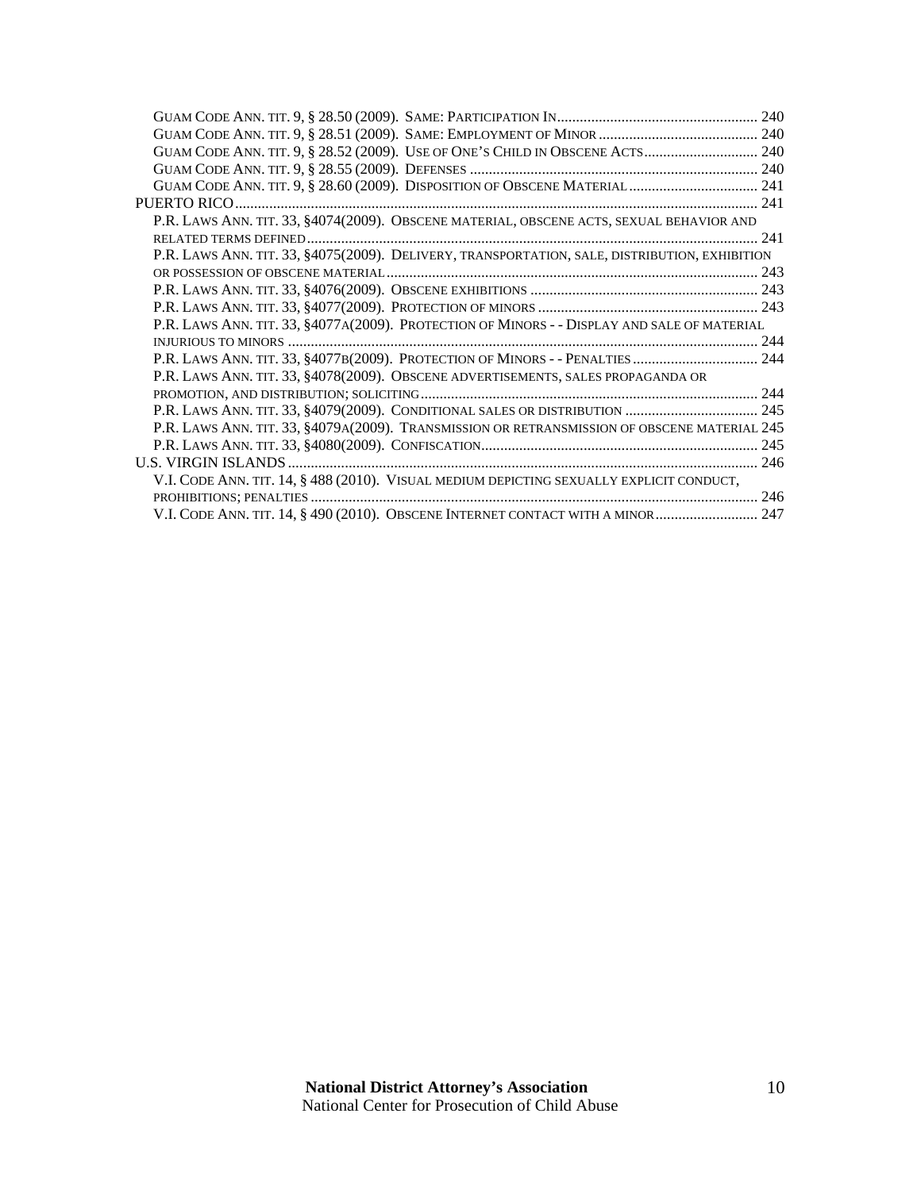| P.R. LAWS ANN. TIT. 33, §4074(2009). OBSCENE MATERIAL, OBSCENE ACTS, SEXUAL BEHAVIOR AND      |  |
|-----------------------------------------------------------------------------------------------|--|
|                                                                                               |  |
| P.R. LAWS ANN. TIT. 33, §4075(2009). DELIVERY, TRANSPORTATION, SALE, DISTRIBUTION, EXHIBITION |  |
|                                                                                               |  |
|                                                                                               |  |
|                                                                                               |  |
| P.R. LAWS ANN. TIT. 33, §4077A(2009). PROTECTION OF MINORS - - DISPLAY AND SALE OF MATERIAL   |  |
|                                                                                               |  |
|                                                                                               |  |
| P.R. LAWS ANN. TIT. 33, §4078(2009). OBSCENE ADVERTISEMENTS, SALES PROPAGANDA OR              |  |
|                                                                                               |  |
|                                                                                               |  |
| P.R. LAWS ANN. TIT. 33, §4079A(2009). TRANSMISSION OR RETRANSMISSION OF OBSCENE MATERIAL 245  |  |
|                                                                                               |  |
|                                                                                               |  |
| V.I. CODE ANN. TIT. 14, § 488 (2010). VISUAL MEDIUM DEPICTING SEXUALLY EXPLICIT CONDUCT,      |  |
|                                                                                               |  |
| V.I. CODE ANN. TIT. 14, § 490 (2010). OBSCENE INTERNET CONTACT WITH A MINOR  247              |  |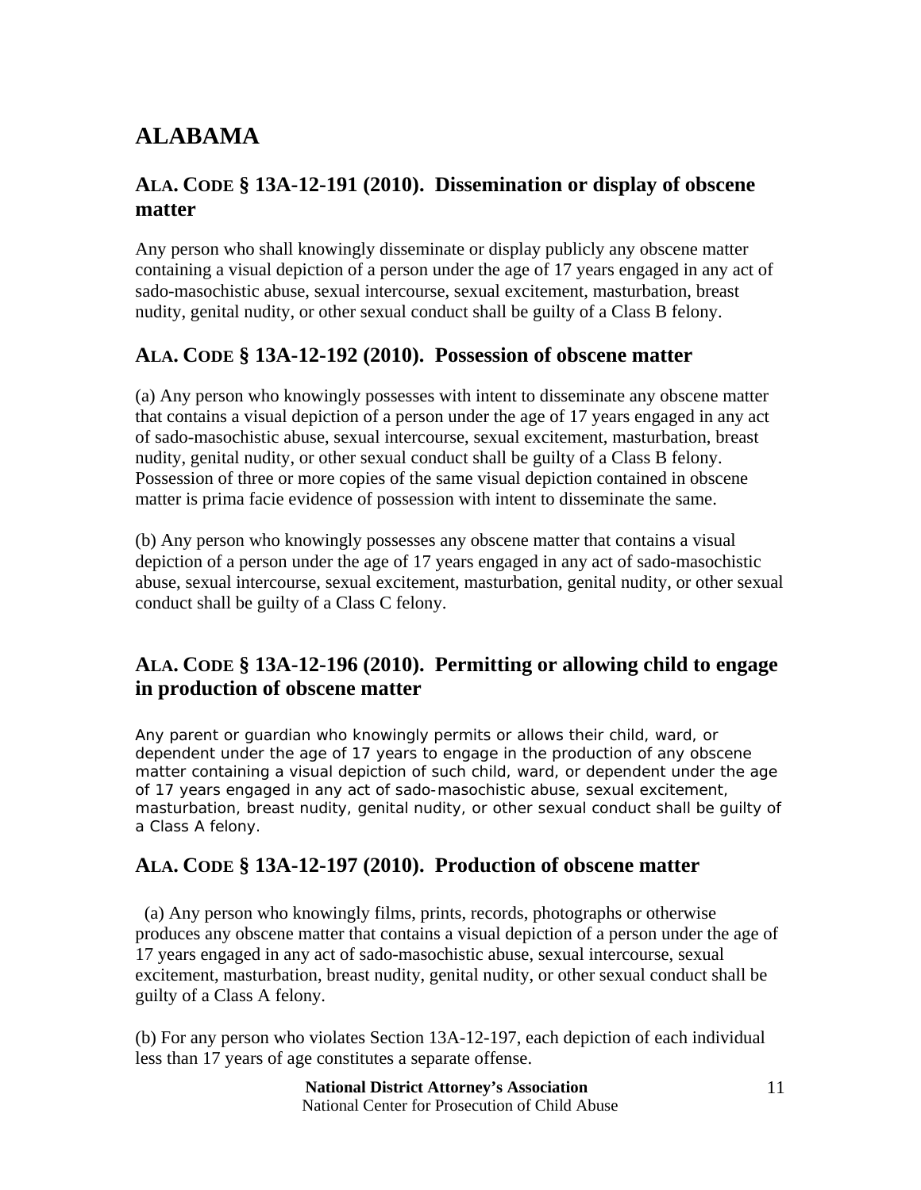# **ALABAMA**

### **ALA. CODE § 13A-12-191 (2010). Dissemination or display of obscene matter**

Any person who shall knowingly disseminate or display publicly any obscene matter containing a visual depiction of a person under the age of 17 years engaged in any act of sado-masochistic abuse, sexual intercourse, sexual excitement, masturbation, breast nudity, genital nudity, or other sexual conduct shall be guilty of a Class B felony.

### **ALA. CODE § 13A-12-192 (2010). Possession of obscene matter**

(a) Any person who knowingly possesses with intent to disseminate any obscene matter that contains a visual depiction of a person under the age of 17 years engaged in any act of sado-masochistic abuse, sexual intercourse, sexual excitement, masturbation, breast nudity, genital nudity, or other sexual conduct shall be guilty of a Class B felony. Possession of three or more copies of the same visual depiction contained in obscene matter is prima facie evidence of possession with intent to disseminate the same.

(b) Any person who knowingly possesses any obscene matter that contains a visual depiction of a person under the age of 17 years engaged in any act of sado-masochistic abuse, sexual intercourse, sexual excitement, masturbation, genital nudity, or other sexual conduct shall be guilty of a Class C felony.

### **ALA. CODE § 13A-12-196 (2010). Permitting or allowing child to engage in production of obscene matter**

Any parent or guardian who knowingly permits or allows their child, ward, or dependent under the age of 17 years to engage in the production of any obscene matter containing a visual depiction of such child, ward, or dependent under the age of 17 years engaged in any act of sado-masochistic abuse, sexual excitement, masturbation, breast nudity, genital nudity, or other sexual conduct shall be guilty of a Class A felony.

### **ALA. CODE § 13A-12-197 (2010). Production of obscene matter**

 (a) Any person who knowingly films, prints, records, photographs or otherwise produces any obscene matter that contains a visual depiction of a person under the age of 17 years engaged in any act of sado-masochistic abuse, sexual intercourse, sexual excitement, masturbation, breast nudity, genital nudity, or other sexual conduct shall be guilty of a Class A felony.

(b) For any person who violates Section 13A-12-197, each depiction of each individual less than 17 years of age constitutes a separate offense.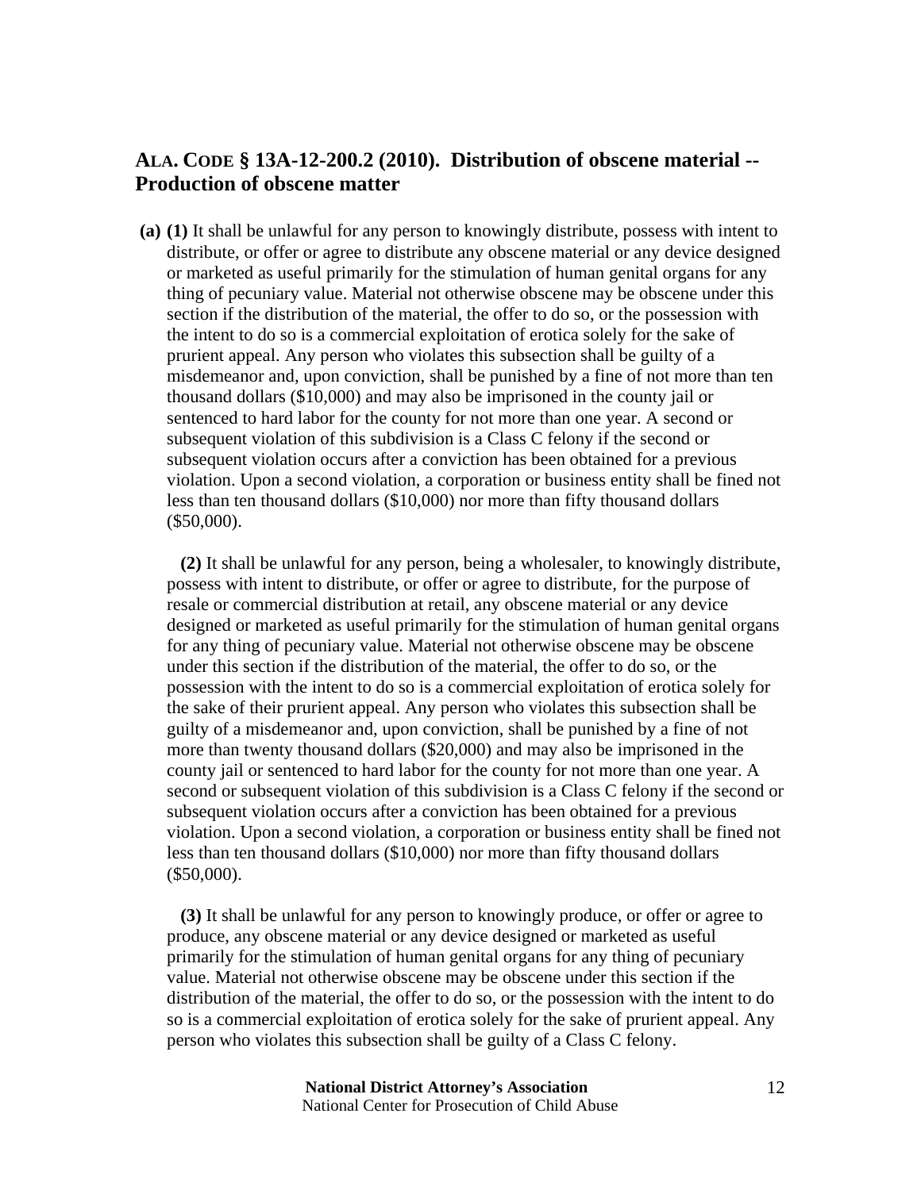### **ALA. CODE § 13A-12-200.2 (2010). Distribution of obscene material -- Production of obscene matter**

**(a) (1)** It shall be unlawful for any person to knowingly distribute, possess with intent to distribute, or offer or agree to distribute any obscene material or any device designed or marketed as useful primarily for the stimulation of human genital organs for any thing of pecuniary value. Material not otherwise obscene may be obscene under this section if the distribution of the material, the offer to do so, or the possession with the intent to do so is a commercial exploitation of erotica solely for the sake of prurient appeal. Any person who violates this subsection shall be guilty of a misdemeanor and, upon conviction, shall be punished by a fine of not more than ten thousand dollars (\$10,000) and may also be imprisoned in the county jail or sentenced to hard labor for the county for not more than one year. A second or subsequent violation of this subdivision is a Class C felony if the second or subsequent violation occurs after a conviction has been obtained for a previous violation. Upon a second violation, a corporation or business entity shall be fined not less than ten thousand dollars (\$10,000) nor more than fifty thousand dollars (\$50,000).

 **(2)** It shall be unlawful for any person, being a wholesaler, to knowingly distribute, possess with intent to distribute, or offer or agree to distribute, for the purpose of resale or commercial distribution at retail, any obscene material or any device designed or marketed as useful primarily for the stimulation of human genital organs for any thing of pecuniary value. Material not otherwise obscene may be obscene under this section if the distribution of the material, the offer to do so, or the possession with the intent to do so is a commercial exploitation of erotica solely for the sake of their prurient appeal. Any person who violates this subsection shall be guilty of a misdemeanor and, upon conviction, shall be punished by a fine of not more than twenty thousand dollars (\$20,000) and may also be imprisoned in the county jail or sentenced to hard labor for the county for not more than one year. A second or subsequent violation of this subdivision is a Class C felony if the second or subsequent violation occurs after a conviction has been obtained for a previous violation. Upon a second violation, a corporation or business entity shall be fined not less than ten thousand dollars (\$10,000) nor more than fifty thousand dollars (\$50,000).

 **(3)** It shall be unlawful for any person to knowingly produce, or offer or agree to produce, any obscene material or any device designed or marketed as useful primarily for the stimulation of human genital organs for any thing of pecuniary value. Material not otherwise obscene may be obscene under this section if the distribution of the material, the offer to do so, or the possession with the intent to do so is a commercial exploitation of erotica solely for the sake of prurient appeal. Any person who violates this subsection shall be guilty of a Class C felony.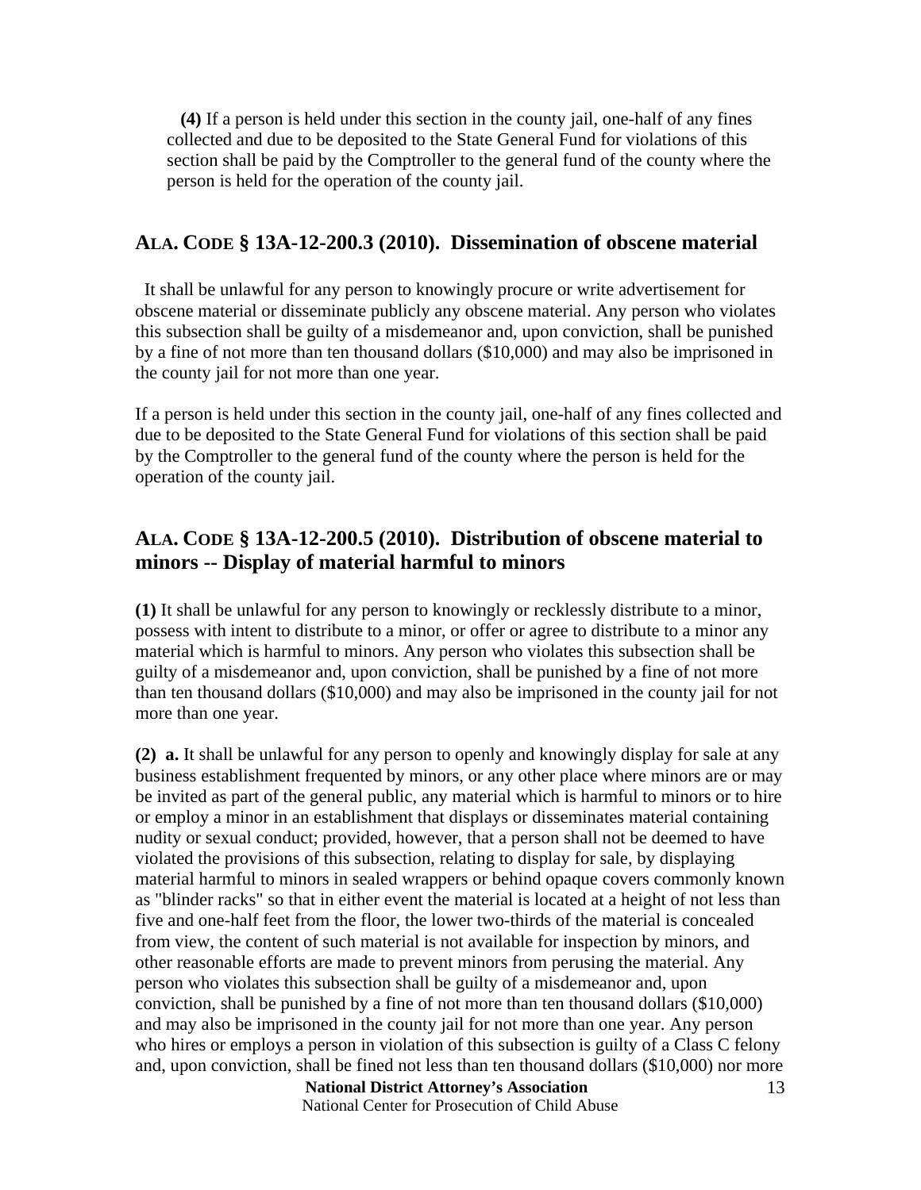**(4)** If a person is held under this section in the county jail, one-half of any fines collected and due to be deposited to the State General Fund for violations of this section shall be paid by the Comptroller to the general fund of the county where the person is held for the operation of the county jail.

### **ALA. CODE § 13A-12-200.3 (2010). Dissemination of obscene material**

 It shall be unlawful for any person to knowingly procure or write advertisement for obscene material or disseminate publicly any obscene material. Any person who violates this subsection shall be guilty of a misdemeanor and, upon conviction, shall be punished by a fine of not more than ten thousand dollars (\$10,000) and may also be imprisoned in the county jail for not more than one year.

If a person is held under this section in the county jail, one-half of any fines collected and due to be deposited to the State General Fund for violations of this section shall be paid by the Comptroller to the general fund of the county where the person is held for the operation of the county jail.

### **ALA. CODE § 13A-12-200.5 (2010). Distribution of obscene material to minors -- Display of material harmful to minors**

**(1)** It shall be unlawful for any person to knowingly or recklessly distribute to a minor, possess with intent to distribute to a minor, or offer or agree to distribute to a minor any material which is harmful to minors. Any person who violates this subsection shall be guilty of a misdemeanor and, upon conviction, shall be punished by a fine of not more than ten thousand dollars (\$10,000) and may also be imprisoned in the county jail for not more than one year.

**(2) a.** It shall be unlawful for any person to openly and knowingly display for sale at any business establishment frequented by minors, or any other place where minors are or may be invited as part of the general public, any material which is harmful to minors or to hire or employ a minor in an establishment that displays or disseminates material containing nudity or sexual conduct; provided, however, that a person shall not be deemed to have violated the provisions of this subsection, relating to display for sale, by displaying material harmful to minors in sealed wrappers or behind opaque covers commonly known as "blinder racks" so that in either event the material is located at a height of not less than five and one-half feet from the floor, the lower two-thirds of the material is concealed from view, the content of such material is not available for inspection by minors, and other reasonable efforts are made to prevent minors from perusing the material. Any person who violates this subsection shall be guilty of a misdemeanor and, upon conviction, shall be punished by a fine of not more than ten thousand dollars (\$10,000) and may also be imprisoned in the county jail for not more than one year. Any person who hires or employs a person in violation of this subsection is guilty of a Class C felony and, upon conviction, shall be fined not less than ten thousand dollars (\$10,000) nor more

**National District Attorney's Association**  National Center for Prosecution of Child Abuse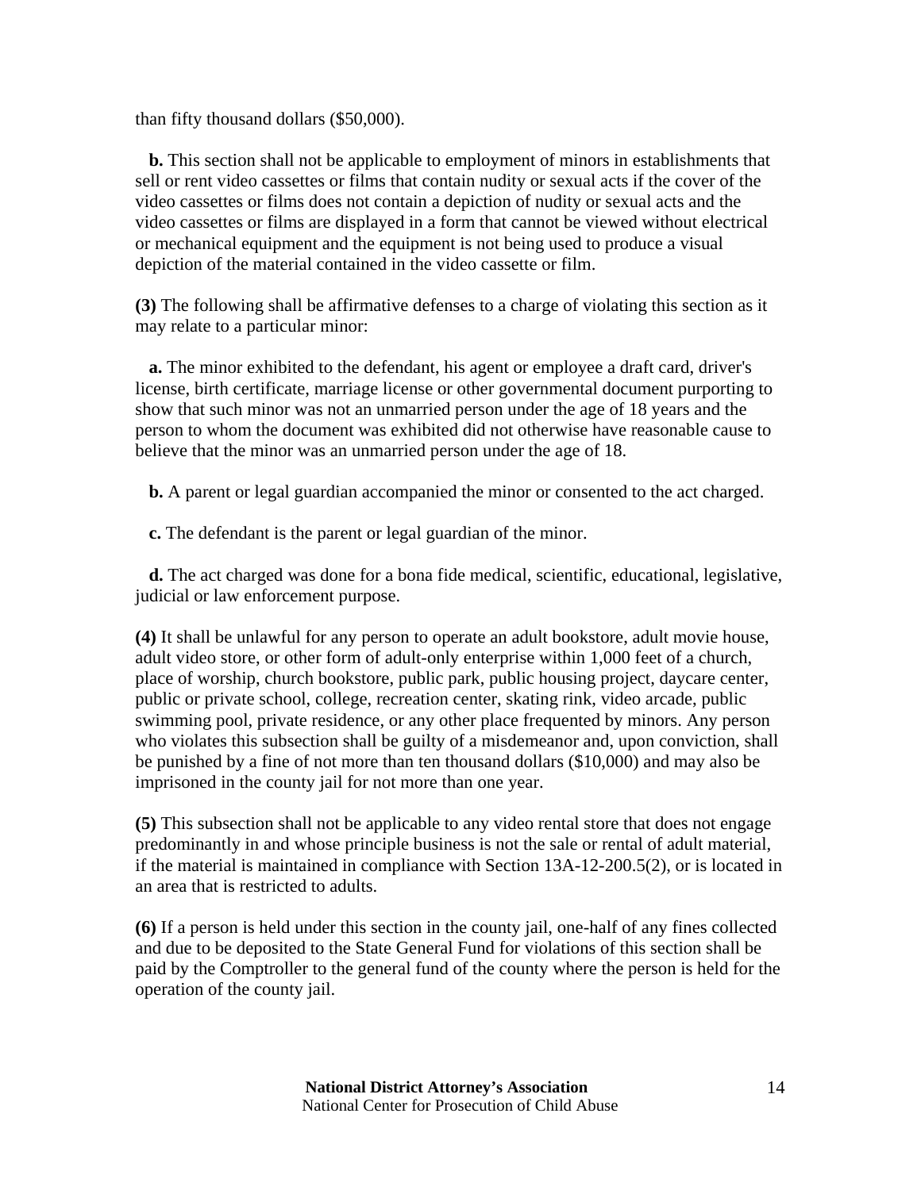than fifty thousand dollars (\$50,000).

**b.** This section shall not be applicable to employment of minors in establishments that sell or rent video cassettes or films that contain nudity or sexual acts if the cover of the video cassettes or films does not contain a depiction of nudity or sexual acts and the video cassettes or films are displayed in a form that cannot be viewed without electrical or mechanical equipment and the equipment is not being used to produce a visual depiction of the material contained in the video cassette or film.

**(3)** The following shall be affirmative defenses to a charge of violating this section as it may relate to a particular minor:

 **a.** The minor exhibited to the defendant, his agent or employee a draft card, driver's license, birth certificate, marriage license or other governmental document purporting to show that such minor was not an unmarried person under the age of 18 years and the person to whom the document was exhibited did not otherwise have reasonable cause to believe that the minor was an unmarried person under the age of 18.

**b.** A parent or legal guardian accompanied the minor or consented to the act charged.

**c.** The defendant is the parent or legal guardian of the minor.

 **d.** The act charged was done for a bona fide medical, scientific, educational, legislative, judicial or law enforcement purpose.

**(4)** It shall be unlawful for any person to operate an adult bookstore, adult movie house, adult video store, or other form of adult-only enterprise within 1,000 feet of a church, place of worship, church bookstore, public park, public housing project, daycare center, public or private school, college, recreation center, skating rink, video arcade, public swimming pool, private residence, or any other place frequented by minors. Any person who violates this subsection shall be guilty of a misdemeanor and, upon conviction, shall be punished by a fine of not more than ten thousand dollars (\$10,000) and may also be imprisoned in the county jail for not more than one year.

**(5)** This subsection shall not be applicable to any video rental store that does not engage predominantly in and whose principle business is not the sale or rental of adult material, if the material is maintained in compliance with Section 13A-12-200.5(2), or is located in an area that is restricted to adults.

**(6)** If a person is held under this section in the county jail, one-half of any fines collected and due to be deposited to the State General Fund for violations of this section shall be paid by the Comptroller to the general fund of the county where the person is held for the operation of the county jail.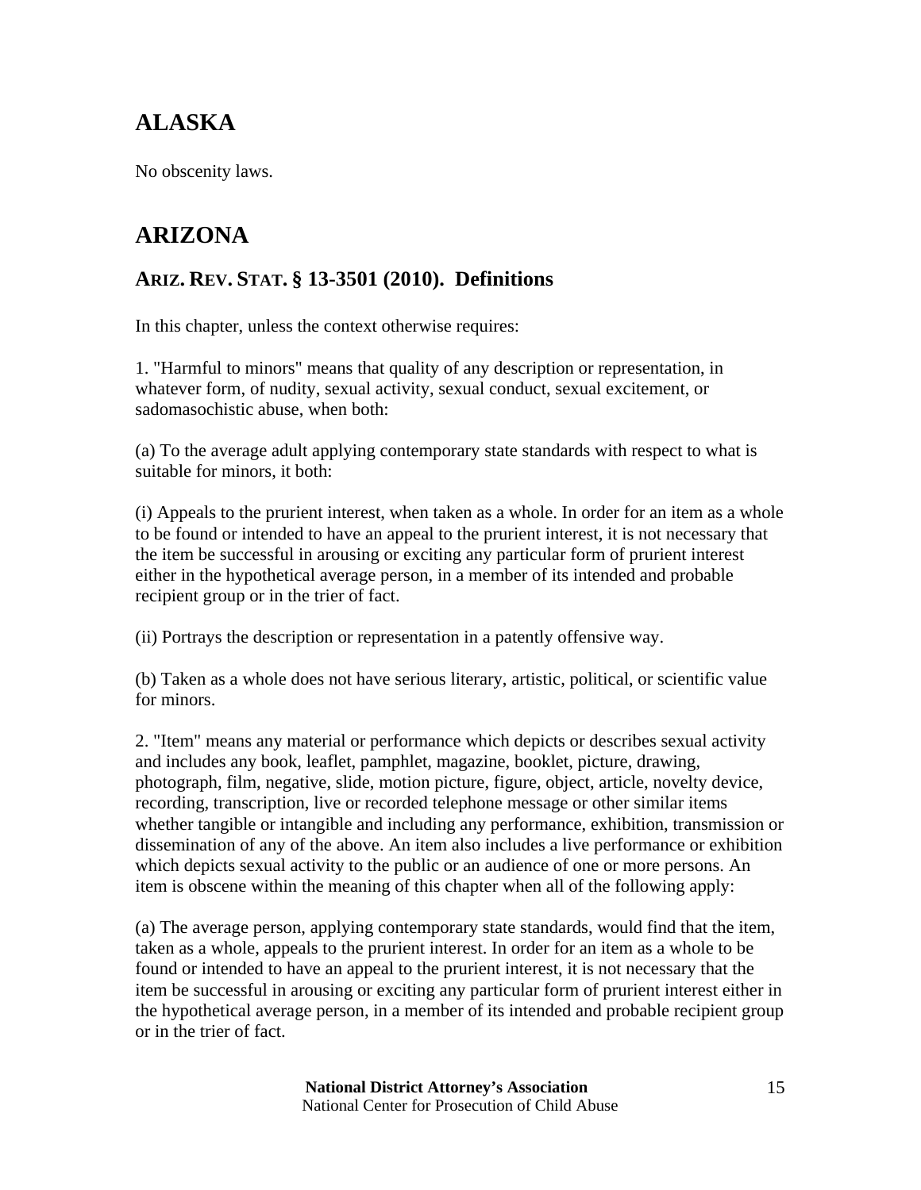# **ALASKA**

No obscenity laws.

# **ARIZONA**

# **ARIZ. REV. STAT. § 13-3501 (2010). Definitions**

In this chapter, unless the context otherwise requires:

1. "Harmful to minors" means that quality of any description or representation, in whatever form, of nudity, sexual activity, sexual conduct, sexual excitement, or sadomasochistic abuse, when both:

(a) To the average adult applying contemporary state standards with respect to what is suitable for minors, it both:

(i) Appeals to the prurient interest, when taken as a whole. In order for an item as a whole to be found or intended to have an appeal to the prurient interest, it is not necessary that the item be successful in arousing or exciting any particular form of prurient interest either in the hypothetical average person, in a member of its intended and probable recipient group or in the trier of fact.

(ii) Portrays the description or representation in a patently offensive way.

(b) Taken as a whole does not have serious literary, artistic, political, or scientific value for minors.

2. "Item" means any material or performance which depicts or describes sexual activity and includes any book, leaflet, pamphlet, magazine, booklet, picture, drawing, photograph, film, negative, slide, motion picture, figure, object, article, novelty device, recording, transcription, live or recorded telephone message or other similar items whether tangible or intangible and including any performance, exhibition, transmission or dissemination of any of the above. An item also includes a live performance or exhibition which depicts sexual activity to the public or an audience of one or more persons. An item is obscene within the meaning of this chapter when all of the following apply:

(a) The average person, applying contemporary state standards, would find that the item, taken as a whole, appeals to the prurient interest. In order for an item as a whole to be found or intended to have an appeal to the prurient interest, it is not necessary that the item be successful in arousing or exciting any particular form of prurient interest either in the hypothetical average person, in a member of its intended and probable recipient group or in the trier of fact.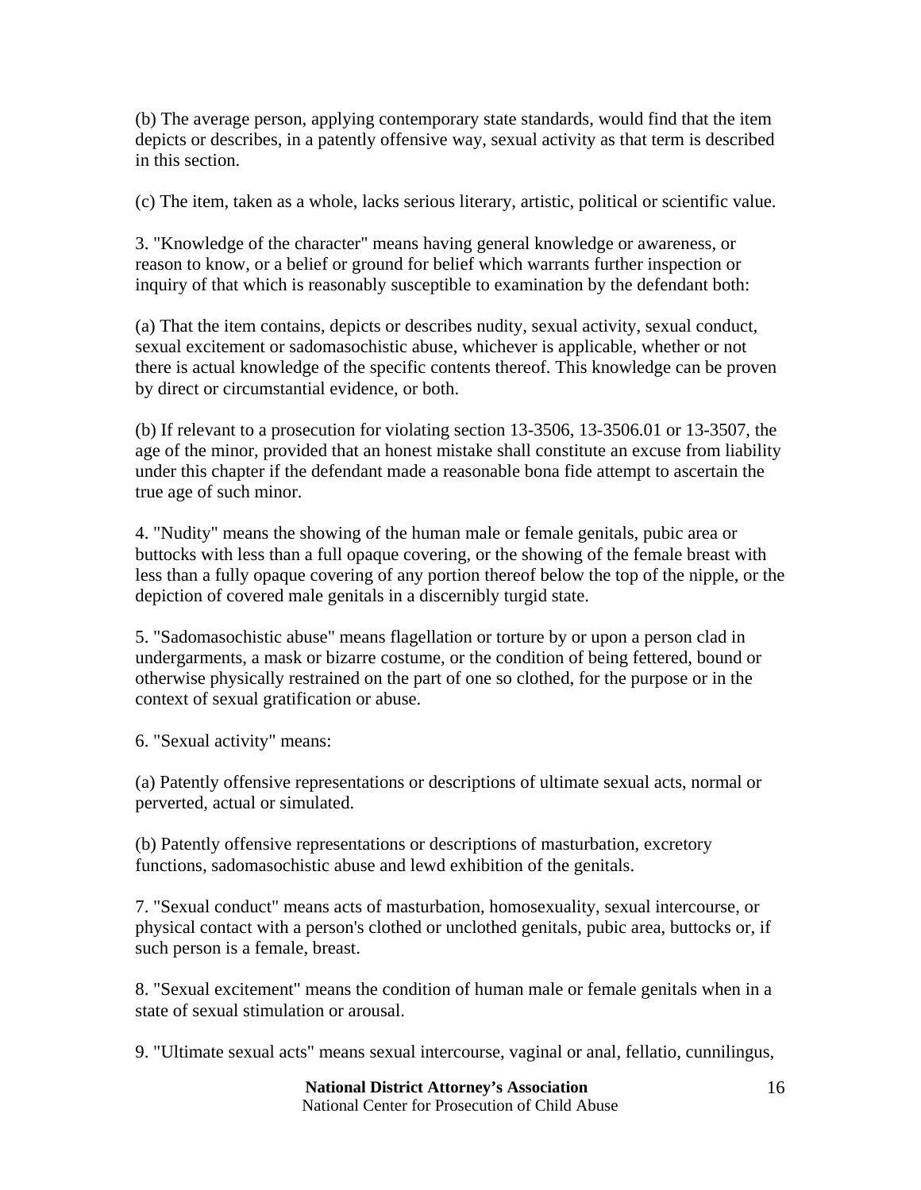(b) The average person, applying contemporary state standards, would find that the item depicts or describes, in a patently offensive way, sexual activity as that term is described in this section.

(c) The item, taken as a whole, lacks serious literary, artistic, political or scientific value.

3. "Knowledge of the character" means having general knowledge or awareness, or reason to know, or a belief or ground for belief which warrants further inspection or inquiry of that which is reasonably susceptible to examination by the defendant both:

(a) That the item contains, depicts or describes nudity, sexual activity, sexual conduct, sexual excitement or sadomasochistic abuse, whichever is applicable, whether or not there is actual knowledge of the specific contents thereof. This knowledge can be proven by direct or circumstantial evidence, or both.

(b) If relevant to a prosecution for violating section 13-3506, 13-3506.01 or 13-3507, the age of the minor, provided that an honest mistake shall constitute an excuse from liability under this chapter if the defendant made a reasonable bona fide attempt to ascertain the true age of such minor.

4. "Nudity" means the showing of the human male or female genitals, pubic area or buttocks with less than a full opaque covering, or the showing of the female breast with less than a fully opaque covering of any portion thereof below the top of the nipple, or the depiction of covered male genitals in a discernibly turgid state.

5. "Sadomasochistic abuse" means flagellation or torture by or upon a person clad in undergarments, a mask or bizarre costume, or the condition of being fettered, bound or otherwise physically restrained on the part of one so clothed, for the purpose or in the context of sexual gratification or abuse.

6. "Sexual activity" means:

(a) Patently offensive representations or descriptions of ultimate sexual acts, normal or perverted, actual or simulated.

(b) Patently offensive representations or descriptions of masturbation, excretory functions, sadomasochistic abuse and lewd exhibition of the genitals.

7. "Sexual conduct" means acts of masturbation, homosexuality, sexual intercourse, or physical contact with a person's clothed or unclothed genitals, pubic area, buttocks or, if such person is a female, breast.

8. "Sexual excitement" means the condition of human male or female genitals when in a state of sexual stimulation or arousal.

9. "Ultimate sexual acts" means sexual intercourse, vaginal or anal, fellatio, cunnilingus,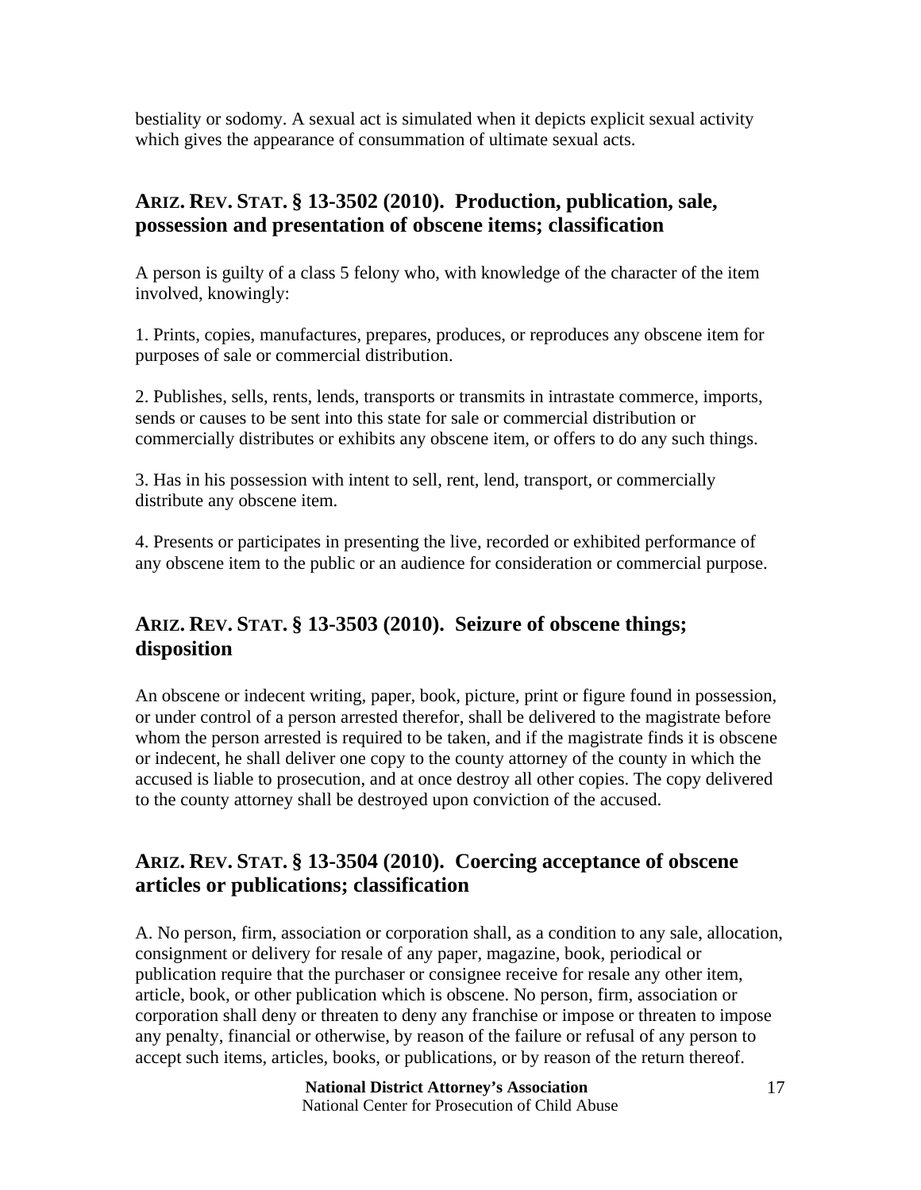bestiality or sodomy. A sexual act is simulated when it depicts explicit sexual activity which gives the appearance of consummation of ultimate sexual acts.

### **ARIZ. REV. STAT. § 13-3502 (2010). Production, publication, sale, possession and presentation of obscene items; classification**

A person is guilty of a class 5 felony who, with knowledge of the character of the item involved, knowingly:

1. Prints, copies, manufactures, prepares, produces, or reproduces any obscene item for purposes of sale or commercial distribution.

2. Publishes, sells, rents, lends, transports or transmits in intrastate commerce, imports, sends or causes to be sent into this state for sale or commercial distribution or commercially distributes or exhibits any obscene item, or offers to do any such things.

3. Has in his possession with intent to sell, rent, lend, transport, or commercially distribute any obscene item.

4. Presents or participates in presenting the live, recorded or exhibited performance of any obscene item to the public or an audience for consideration or commercial purpose.

### **ARIZ. REV. STAT. § 13-3503 (2010). Seizure of obscene things; disposition**

An obscene or indecent writing, paper, book, picture, print or figure found in possession, or under control of a person arrested therefor, shall be delivered to the magistrate before whom the person arrested is required to be taken, and if the magistrate finds it is obscene or indecent, he shall deliver one copy to the county attorney of the county in which the accused is liable to prosecution, and at once destroy all other copies. The copy delivered to the county attorney shall be destroyed upon conviction of the accused.

### **ARIZ. REV. STAT. § 13-3504 (2010). Coercing acceptance of obscene articles or publications; classification**

A. No person, firm, association or corporation shall, as a condition to any sale, allocation, consignment or delivery for resale of any paper, magazine, book, periodical or publication require that the purchaser or consignee receive for resale any other item, article, book, or other publication which is obscene. No person, firm, association or corporation shall deny or threaten to deny any franchise or impose or threaten to impose any penalty, financial or otherwise, by reason of the failure or refusal of any person to accept such items, articles, books, or publications, or by reason of the return thereof.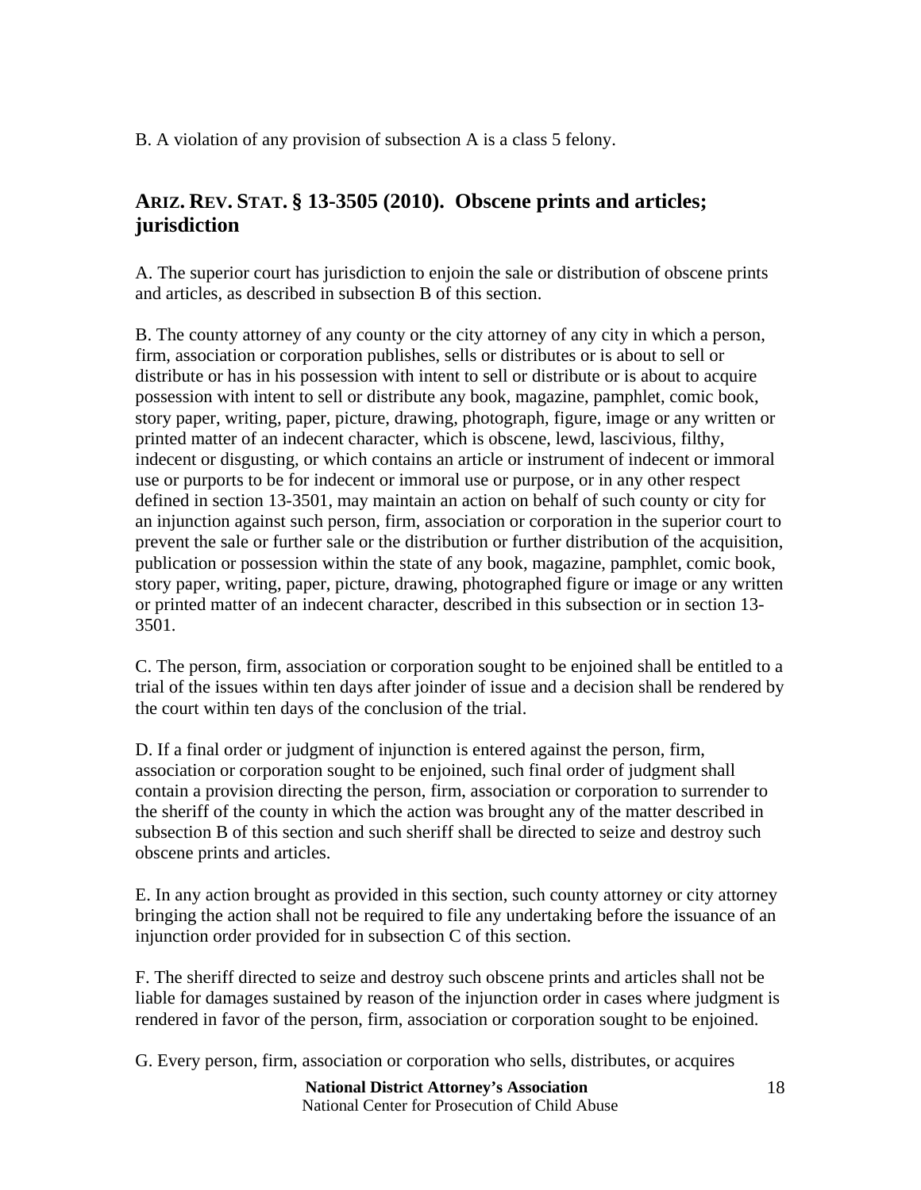B. A violation of any provision of subsection A is a class 5 felony.

### **ARIZ. REV. STAT. § 13-3505 (2010). Obscene prints and articles; jurisdiction**

A. The superior court has jurisdiction to enjoin the sale or distribution of obscene prints and articles, as described in subsection B of this section.

B. The county attorney of any county or the city attorney of any city in which a person, firm, association or corporation publishes, sells or distributes or is about to sell or distribute or has in his possession with intent to sell or distribute or is about to acquire possession with intent to sell or distribute any book, magazine, pamphlet, comic book, story paper, writing, paper, picture, drawing, photograph, figure, image or any written or printed matter of an indecent character, which is obscene, lewd, lascivious, filthy, indecent or disgusting, or which contains an article or instrument of indecent or immoral use or purports to be for indecent or immoral use or purpose, or in any other respect defined in section 13-3501, may maintain an action on behalf of such county or city for an injunction against such person, firm, association or corporation in the superior court to prevent the sale or further sale or the distribution or further distribution of the acquisition, publication or possession within the state of any book, magazine, pamphlet, comic book, story paper, writing, paper, picture, drawing, photographed figure or image or any written or printed matter of an indecent character, described in this subsection or in section 13- 3501.

C. The person, firm, association or corporation sought to be enjoined shall be entitled to a trial of the issues within ten days after joinder of issue and a decision shall be rendered by the court within ten days of the conclusion of the trial.

D. If a final order or judgment of injunction is entered against the person, firm, association or corporation sought to be enjoined, such final order of judgment shall contain a provision directing the person, firm, association or corporation to surrender to the sheriff of the county in which the action was brought any of the matter described in subsection B of this section and such sheriff shall be directed to seize and destroy such obscene prints and articles.

E. In any action brought as provided in this section, such county attorney or city attorney bringing the action shall not be required to file any undertaking before the issuance of an injunction order provided for in subsection C of this section.

F. The sheriff directed to seize and destroy such obscene prints and articles shall not be liable for damages sustained by reason of the injunction order in cases where judgment is rendered in favor of the person, firm, association or corporation sought to be enjoined.

G. Every person, firm, association or corporation who sells, distributes, or acquires

**National District Attorney's Association**  National Center for Prosecution of Child Abuse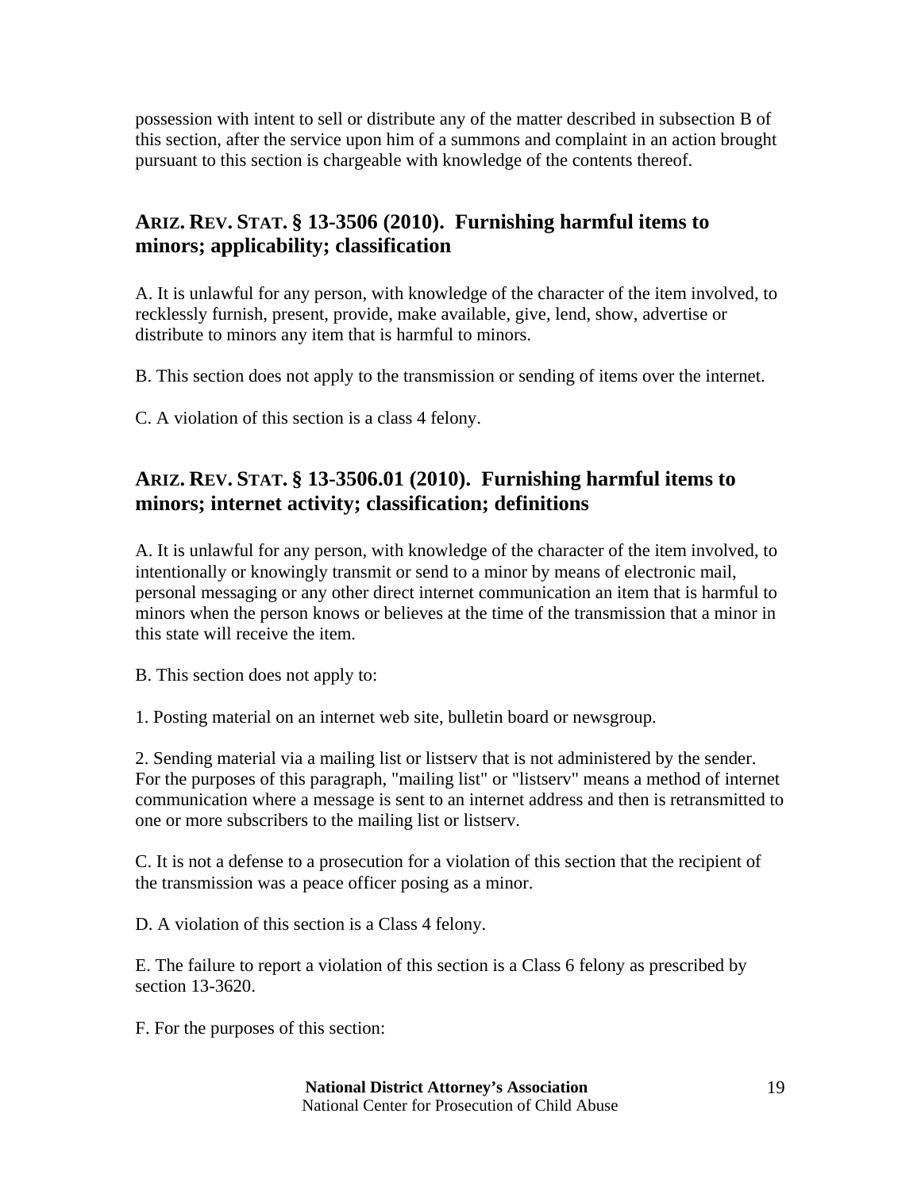possession with intent to sell or distribute any of the matter described in subsection B of this section, after the service upon him of a summons and complaint in an action brought pursuant to this section is chargeable with knowledge of the contents thereof.

### **ARIZ. REV. STAT. § 13-3506 (2010). Furnishing harmful items to minors; applicability; classification**

A. It is unlawful for any person, with knowledge of the character of the item involved, to recklessly furnish, present, provide, make available, give, lend, show, advertise or distribute to minors any item that is harmful to minors.

B. This section does not apply to the transmission or sending of items over the internet.

C. A violation of this section is a class 4 felony.

### **ARIZ. REV. STAT. § 13-3506.01 (2010). Furnishing harmful items to minors; internet activity; classification; definitions**

A. It is unlawful for any person, with knowledge of the character of the item involved, to intentionally or knowingly transmit or send to a minor by means of electronic mail, personal messaging or any other direct internet communication an item that is harmful to minors when the person knows or believes at the time of the transmission that a minor in this state will receive the item.

B. This section does not apply to:

1. Posting material on an internet web site, bulletin board or newsgroup.

2. Sending material via a mailing list or listserv that is not administered by the sender. For the purposes of this paragraph, "mailing list" or "listserv" means a method of internet communication where a message is sent to an internet address and then is retransmitted to one or more subscribers to the mailing list or listserv.

C. It is not a defense to a prosecution for a violation of this section that the recipient of the transmission was a peace officer posing as a minor.

D. A violation of this section is a Class 4 felony.

E. The failure to report a violation of this section is a Class 6 felony as prescribed by section 13-3620.

F. For the purposes of this section: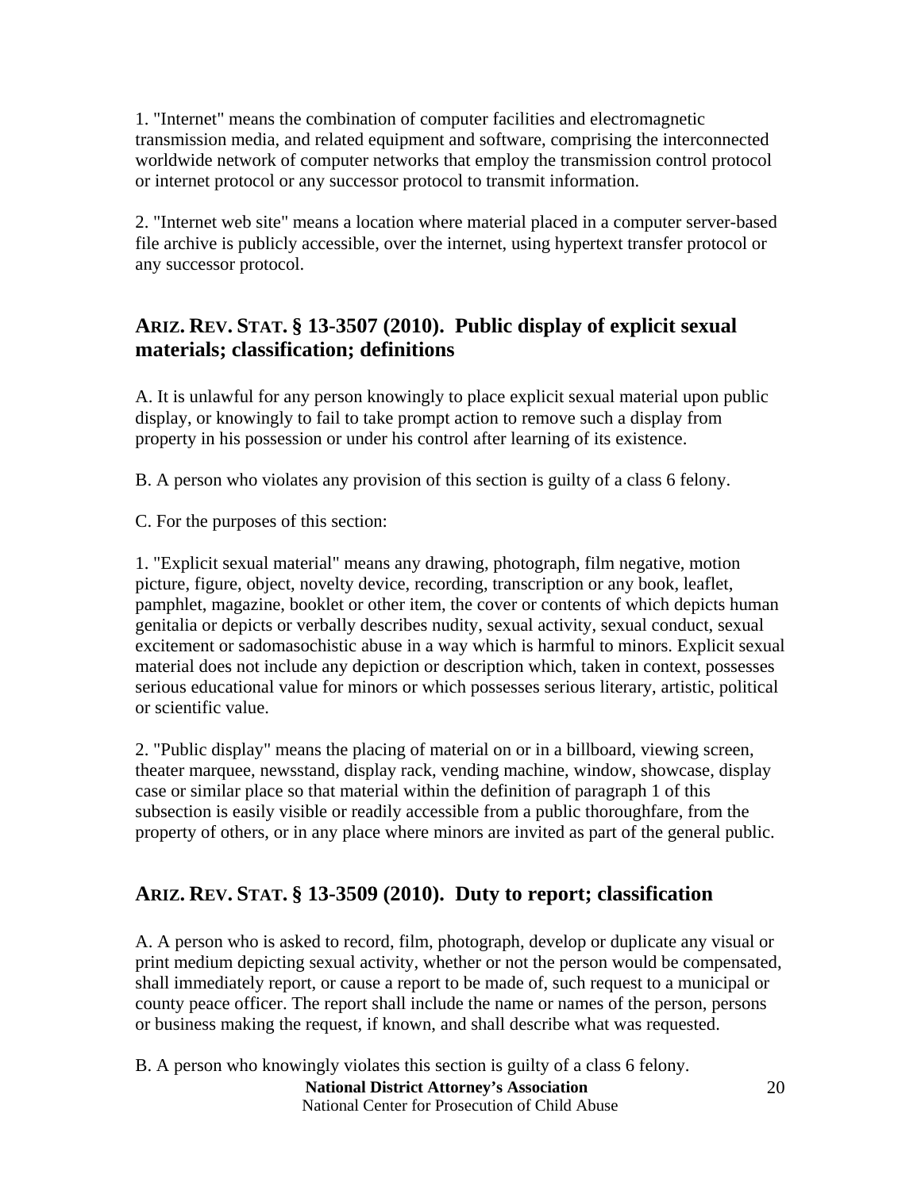1. "Internet" means the combination of computer facilities and electromagnetic transmission media, and related equipment and software, comprising the interconnected worldwide network of computer networks that employ the transmission control protocol or internet protocol or any successor protocol to transmit information.

2. "Internet web site" means a location where material placed in a computer server-based file archive is publicly accessible, over the internet, using hypertext transfer protocol or any successor protocol.

### **ARIZ. REV. STAT. § 13-3507 (2010). Public display of explicit sexual materials; classification; definitions**

A. It is unlawful for any person knowingly to place explicit sexual material upon public display, or knowingly to fail to take prompt action to remove such a display from property in his possession or under his control after learning of its existence.

B. A person who violates any provision of this section is guilty of a class 6 felony.

C. For the purposes of this section:

1. "Explicit sexual material" means any drawing, photograph, film negative, motion picture, figure, object, novelty device, recording, transcription or any book, leaflet, pamphlet, magazine, booklet or other item, the cover or contents of which depicts human genitalia or depicts or verbally describes nudity, sexual activity, sexual conduct, sexual excitement or sadomasochistic abuse in a way which is harmful to minors. Explicit sexual material does not include any depiction or description which, taken in context, possesses serious educational value for minors or which possesses serious literary, artistic, political or scientific value.

2. "Public display" means the placing of material on or in a billboard, viewing screen, theater marquee, newsstand, display rack, vending machine, window, showcase, display case or similar place so that material within the definition of paragraph 1 of this subsection is easily visible or readily accessible from a public thoroughfare, from the property of others, or in any place where minors are invited as part of the general public.

# **ARIZ. REV. STAT. § 13-3509 (2010). Duty to report; classification**

A. A person who is asked to record, film, photograph, develop or duplicate any visual or print medium depicting sexual activity, whether or not the person would be compensated, shall immediately report, or cause a report to be made of, such request to a municipal or county peace officer. The report shall include the name or names of the person, persons or business making the request, if known, and shall describe what was requested.

**National District Attorney's Association**  National Center for Prosecution of Child Abuse B. A person who knowingly violates this section is guilty of a class 6 felony.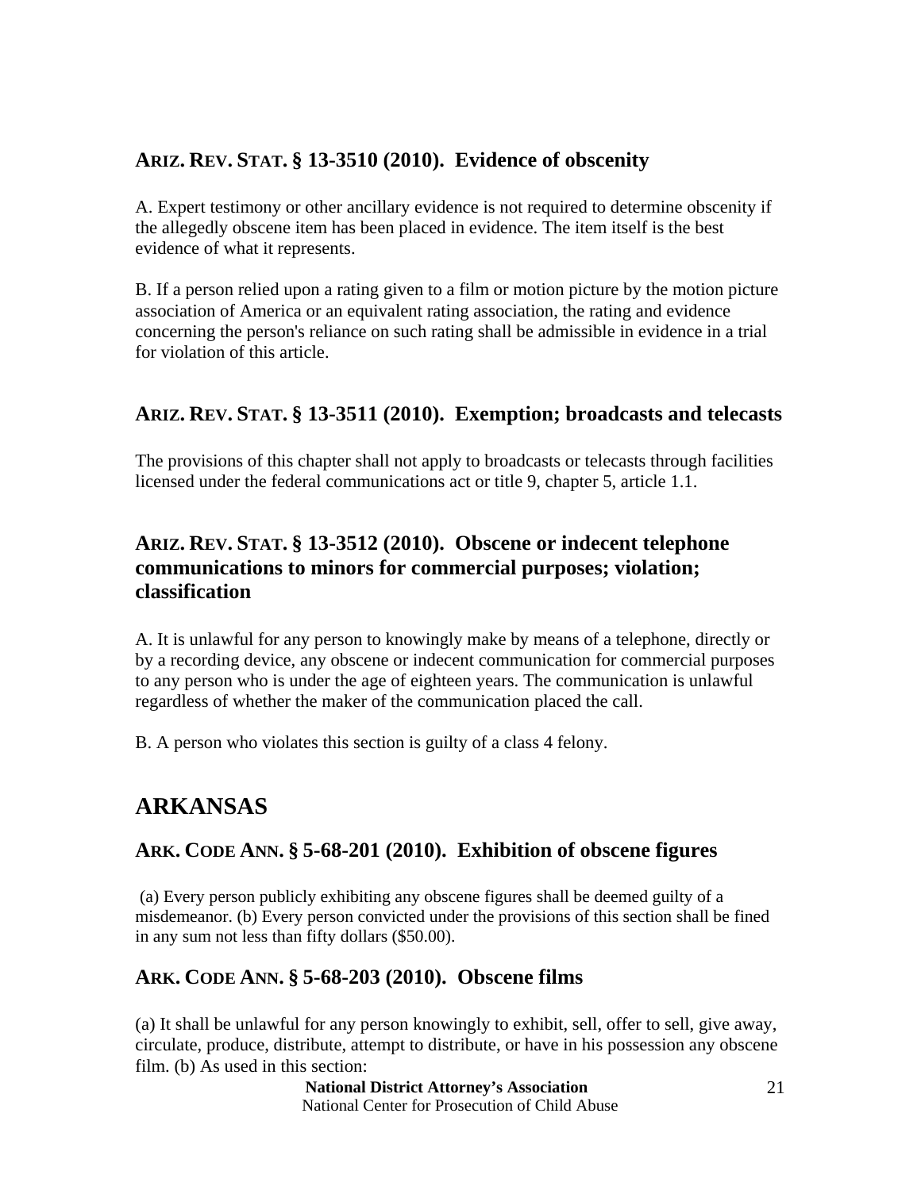# **ARIZ. REV. STAT. § 13-3510 (2010). Evidence of obscenity**

A. Expert testimony or other ancillary evidence is not required to determine obscenity if the allegedly obscene item has been placed in evidence. The item itself is the best evidence of what it represents.

B. If a person relied upon a rating given to a film or motion picture by the motion picture association of America or an equivalent rating association, the rating and evidence concerning the person's reliance on such rating shall be admissible in evidence in a trial for violation of this article.

# **ARIZ. REV. STAT. § 13-3511 (2010). Exemption; broadcasts and telecasts**

The provisions of this chapter shall not apply to broadcasts or telecasts through facilities licensed under the federal communications act or title 9, chapter 5, article 1.1.

# **ARIZ. REV. STAT. § 13-3512 (2010). Obscene or indecent telephone communications to minors for commercial purposes; violation; classification**

A. It is unlawful for any person to knowingly make by means of a telephone, directly or by a recording device, any obscene or indecent communication for commercial purposes to any person who is under the age of eighteen years. The communication is unlawful regardless of whether the maker of the communication placed the call.

B. A person who violates this section is guilty of a class 4 felony.

# **ARKANSAS**

# **ARK. CODE ANN. § 5-68-201 (2010). Exhibition of obscene figures**

(a) Every person publicly exhibiting any obscene figures shall be deemed guilty of a misdemeanor. (b) Every person convicted under the provisions of this section shall be fined in any sum not less than fifty dollars (\$50.00).

# **ARK. CODE ANN. § 5-68-203 (2010). Obscene films**

(a) It shall be unlawful for any person knowingly to exhibit, sell, offer to sell, give away, circulate, produce, distribute, attempt to distribute, or have in his possession any obscene film. (b) As used in this section: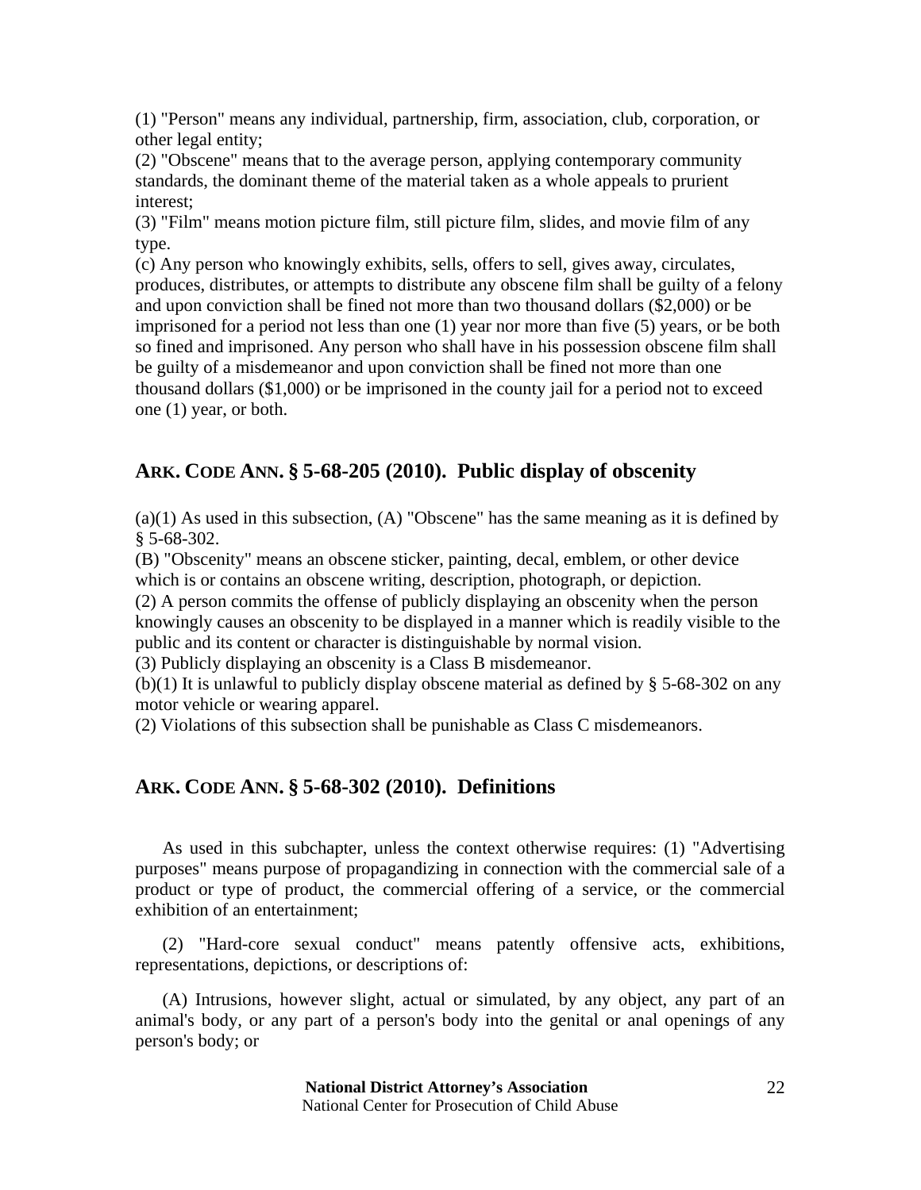(1) "Person" means any individual, partnership, firm, association, club, corporation, or other legal entity;

(2) "Obscene" means that to the average person, applying contemporary community standards, the dominant theme of the material taken as a whole appeals to prurient interest;

(3) "Film" means motion picture film, still picture film, slides, and movie film of any type.

(c) Any person who knowingly exhibits, sells, offers to sell, gives away, circulates, produces, distributes, or attempts to distribute any obscene film shall be guilty of a felony and upon conviction shall be fined not more than two thousand dollars (\$2,000) or be imprisoned for a period not less than one (1) year nor more than five (5) years, or be both so fined and imprisoned. Any person who shall have in his possession obscene film shall be guilty of a misdemeanor and upon conviction shall be fined not more than one thousand dollars (\$1,000) or be imprisoned in the county jail for a period not to exceed one (1) year, or both.

### **ARK. CODE ANN. § 5-68-205 (2010). Public display of obscenity**

 $(a)(1)$  As used in this subsection,  $(A)$  "Obscene" has the same meaning as it is defined by § 5-68-302.

(B) "Obscenity" means an obscene sticker, painting, decal, emblem, or other device which is or contains an obscene writing, description, photograph, or depiction.

(2) A person commits the offense of publicly displaying an obscenity when the person knowingly causes an obscenity to be displayed in a manner which is readily visible to the public and its content or character is distinguishable by normal vision.

(3) Publicly displaying an obscenity is a Class B misdemeanor.

(b)(1) It is unlawful to publicly display obscene material as defined by  $\S$  5-68-302 on any motor vehicle or wearing apparel.

(2) Violations of this subsection shall be punishable as Class C misdemeanors.

#### **ARK. CODE ANN. § 5-68-302 (2010). Definitions**

As used in this subchapter, unless the context otherwise requires: (1) "Advertising purposes" means purpose of propagandizing in connection with the commercial sale of a product or type of product, the commercial offering of a service, or the commercial exhibition of an entertainment;

(2) "Hard-core sexual conduct" means patently offensive acts, exhibitions, representations, depictions, or descriptions of:

(A) Intrusions, however slight, actual or simulated, by any object, any part of an animal's body, or any part of a person's body into the genital or anal openings of any person's body; or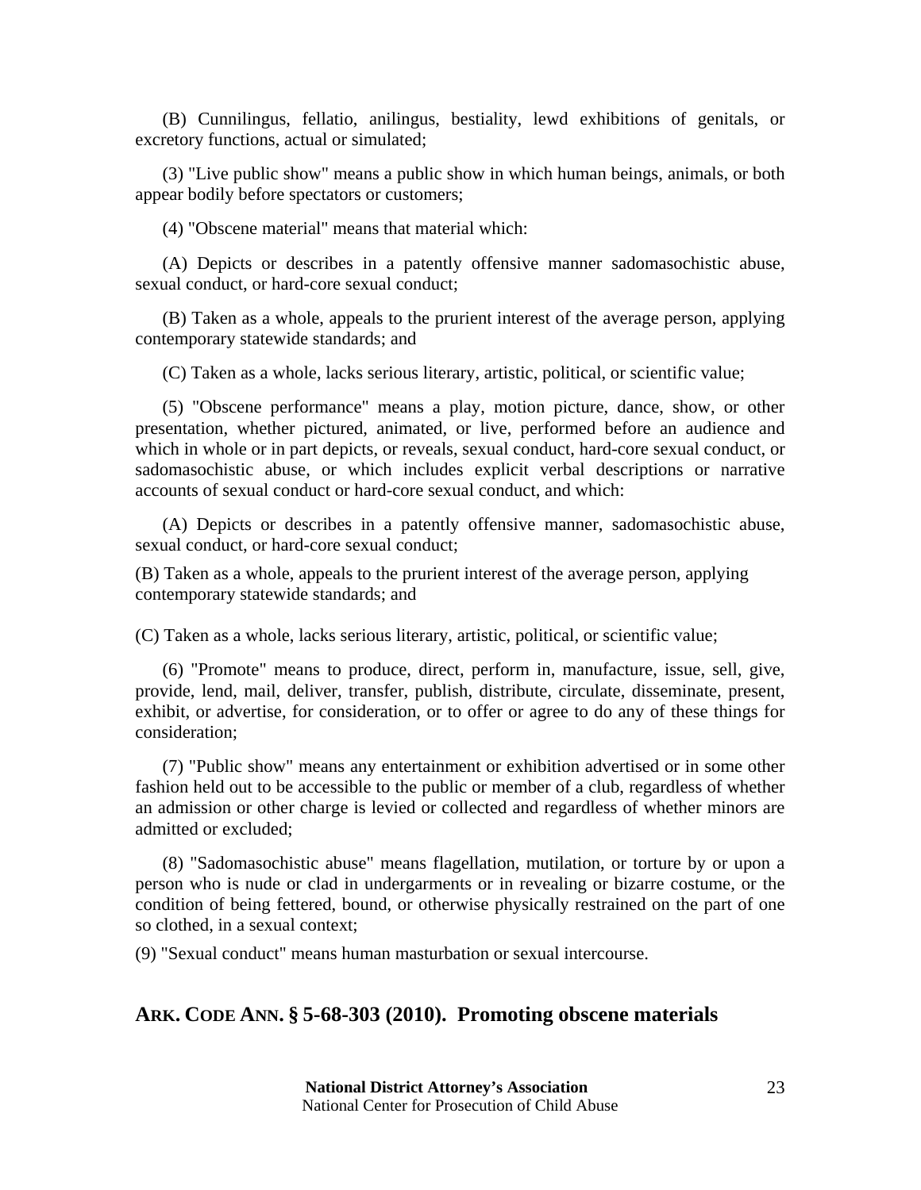(B) Cunnilingus, fellatio, anilingus, bestiality, lewd exhibitions of genitals, or excretory functions, actual or simulated;

(3) "Live public show" means a public show in which human beings, animals, or both appear bodily before spectators or customers;

(4) "Obscene material" means that material which:

(A) Depicts or describes in a patently offensive manner sadomasochistic abuse, sexual conduct, or hard-core sexual conduct;

(B) Taken as a whole, appeals to the prurient interest of the average person, applying contemporary statewide standards; and

(C) Taken as a whole, lacks serious literary, artistic, political, or scientific value;

(5) "Obscene performance" means a play, motion picture, dance, show, or other presentation, whether pictured, animated, or live, performed before an audience and which in whole or in part depicts, or reveals, sexual conduct, hard-core sexual conduct, or sadomasochistic abuse, or which includes explicit verbal descriptions or narrative accounts of sexual conduct or hard-core sexual conduct, and which:

(A) Depicts or describes in a patently offensive manner, sadomasochistic abuse, sexual conduct, or hard-core sexual conduct;

(B) Taken as a whole, appeals to the prurient interest of the average person, applying contemporary statewide standards; and

(C) Taken as a whole, lacks serious literary, artistic, political, or scientific value;

(6) "Promote" means to produce, direct, perform in, manufacture, issue, sell, give, provide, lend, mail, deliver, transfer, publish, distribute, circulate, disseminate, present, exhibit, or advertise, for consideration, or to offer or agree to do any of these things for consideration;

(7) "Public show" means any entertainment or exhibition advertised or in some other fashion held out to be accessible to the public or member of a club, regardless of whether an admission or other charge is levied or collected and regardless of whether minors are admitted or excluded;

(8) "Sadomasochistic abuse" means flagellation, mutilation, or torture by or upon a person who is nude or clad in undergarments or in revealing or bizarre costume, or the condition of being fettered, bound, or otherwise physically restrained on the part of one so clothed, in a sexual context;

(9) "Sexual conduct" means human masturbation or sexual intercourse.

#### **ARK. CODE ANN. § 5-68-303 (2010). Promoting obscene materials**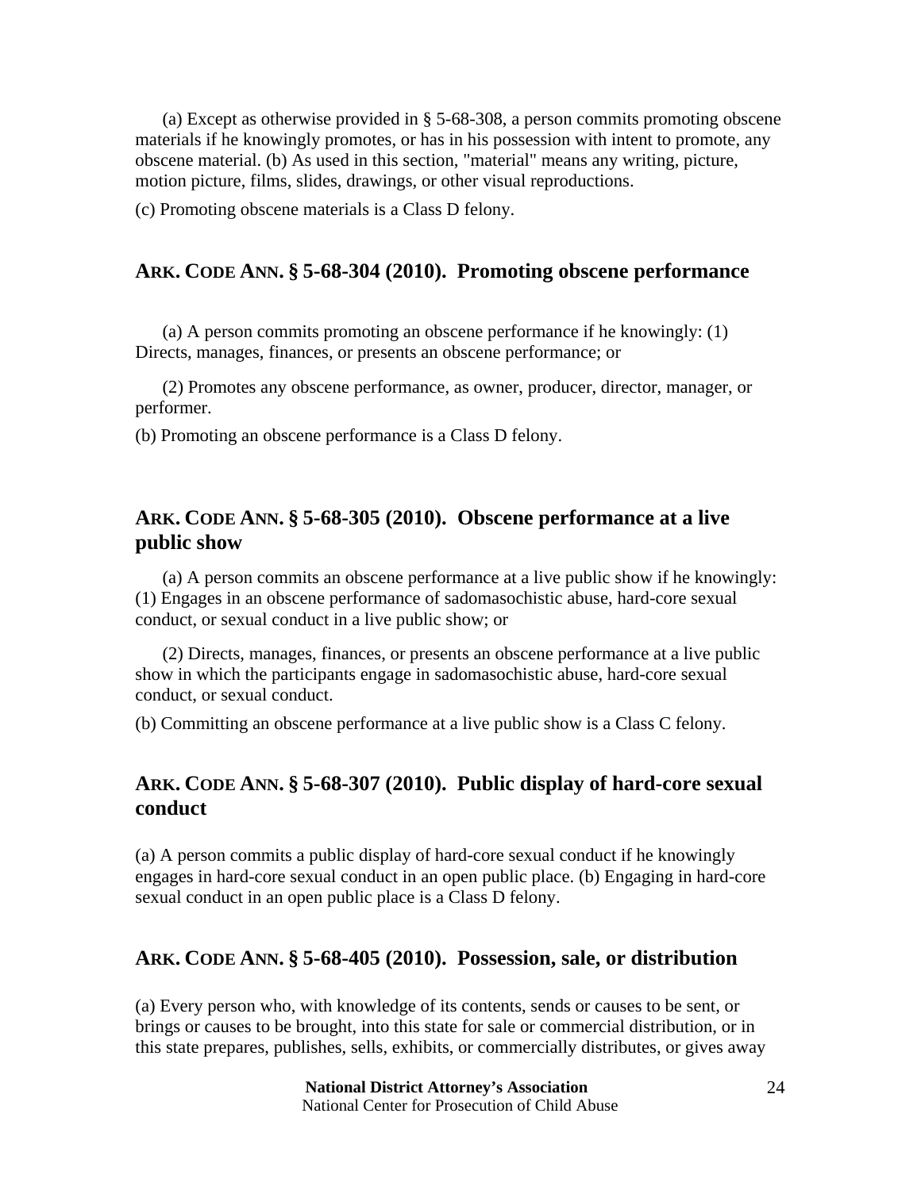(a) Except as otherwise provided in § 5-68-308, a person commits promoting obscene materials if he knowingly promotes, or has in his possession with intent to promote, any obscene material. (b) As used in this section, "material" means any writing, picture, motion picture, films, slides, drawings, or other visual reproductions.

(c) Promoting obscene materials is a Class D felony.

#### **ARK. CODE ANN. § 5-68-304 (2010). Promoting obscene performance**

(a) A person commits promoting an obscene performance if he knowingly: (1) Directs, manages, finances, or presents an obscene performance; or

(2) Promotes any obscene performance, as owner, producer, director, manager, or performer.

(b) Promoting an obscene performance is a Class D felony.

### **ARK. CODE ANN. § 5-68-305 (2010). Obscene performance at a live public show**

(a) A person commits an obscene performance at a live public show if he knowingly: (1) Engages in an obscene performance of sadomasochistic abuse, hard-core sexual conduct, or sexual conduct in a live public show; or

(2) Directs, manages, finances, or presents an obscene performance at a live public show in which the participants engage in sadomasochistic abuse, hard-core sexual conduct, or sexual conduct.

(b) Committing an obscene performance at a live public show is a Class C felony.

### **ARK. CODE ANN. § 5-68-307 (2010). Public display of hard-core sexual conduct**

(a) A person commits a public display of hard-core sexual conduct if he knowingly engages in hard-core sexual conduct in an open public place. (b) Engaging in hard-core sexual conduct in an open public place is a Class D felony.

#### **ARK. CODE ANN. § 5-68-405 (2010). Possession, sale, or distribution**

(a) Every person who, with knowledge of its contents, sends or causes to be sent, or brings or causes to be brought, into this state for sale or commercial distribution, or in this state prepares, publishes, sells, exhibits, or commercially distributes, or gives away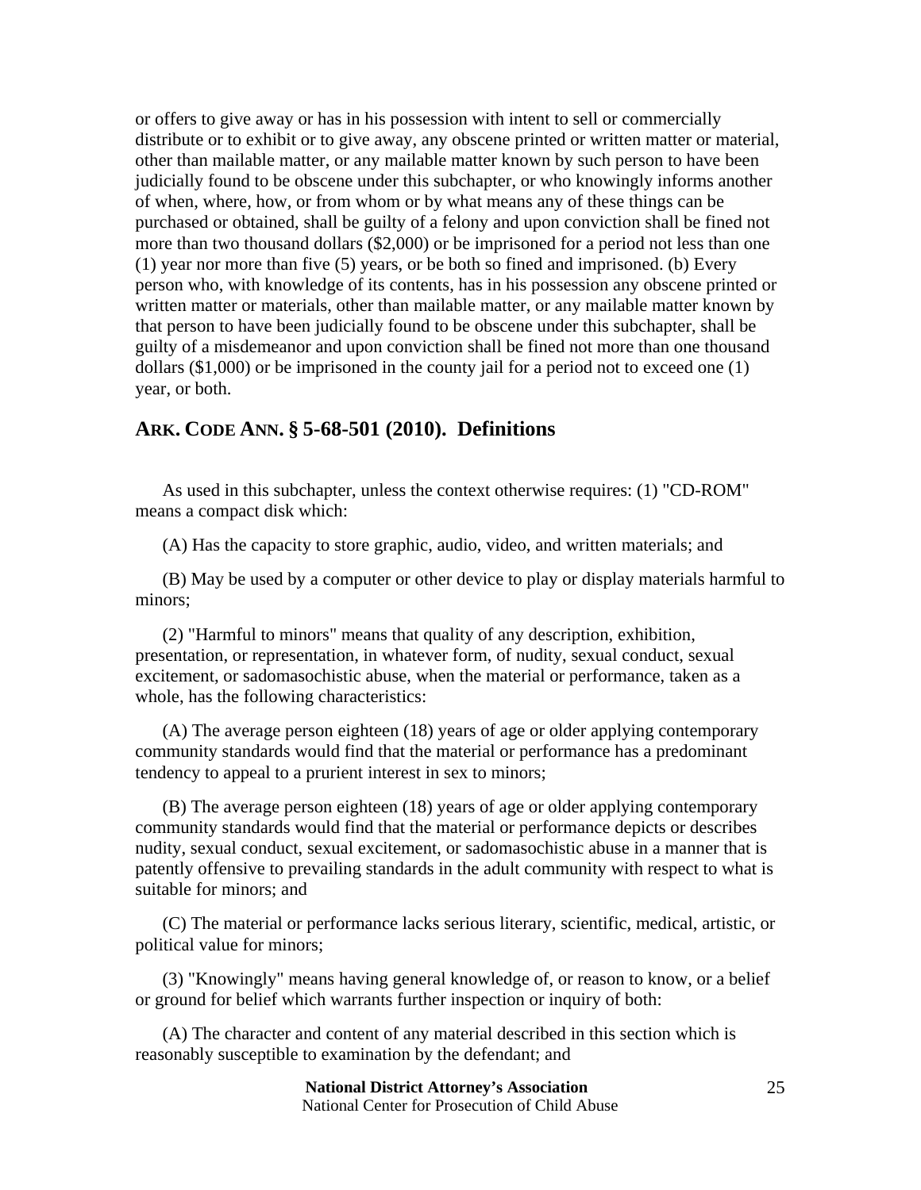or offers to give away or has in his possession with intent to sell or commercially distribute or to exhibit or to give away, any obscene printed or written matter or material, other than mailable matter, or any mailable matter known by such person to have been judicially found to be obscene under this subchapter, or who knowingly informs another of when, where, how, or from whom or by what means any of these things can be purchased or obtained, shall be guilty of a felony and upon conviction shall be fined not more than two thousand dollars (\$2,000) or be imprisoned for a period not less than one (1) year nor more than five (5) years, or be both so fined and imprisoned. (b) Every person who, with knowledge of its contents, has in his possession any obscene printed or written matter or materials, other than mailable matter, or any mailable matter known by that person to have been judicially found to be obscene under this subchapter, shall be guilty of a misdemeanor and upon conviction shall be fined not more than one thousand dollars (\$1,000) or be imprisoned in the county jail for a period not to exceed one (1) year, or both.

#### **ARK. CODE ANN. § 5-68-501 (2010). Definitions**

As used in this subchapter, unless the context otherwise requires: (1) "CD-ROM" means a compact disk which:

(A) Has the capacity to store graphic, audio, video, and written materials; and

(B) May be used by a computer or other device to play or display materials harmful to minors;

(2) "Harmful to minors" means that quality of any description, exhibition, presentation, or representation, in whatever form, of nudity, sexual conduct, sexual excitement, or sadomasochistic abuse, when the material or performance, taken as a whole, has the following characteristics:

(A) The average person eighteen (18) years of age or older applying contemporary community standards would find that the material or performance has a predominant tendency to appeal to a prurient interest in sex to minors;

(B) The average person eighteen (18) years of age or older applying contemporary community standards would find that the material or performance depicts or describes nudity, sexual conduct, sexual excitement, or sadomasochistic abuse in a manner that is patently offensive to prevailing standards in the adult community with respect to what is suitable for minors; and

(C) The material or performance lacks serious literary, scientific, medical, artistic, or political value for minors;

(3) "Knowingly" means having general knowledge of, or reason to know, or a belief or ground for belief which warrants further inspection or inquiry of both:

(A) The character and content of any material described in this section which is reasonably susceptible to examination by the defendant; and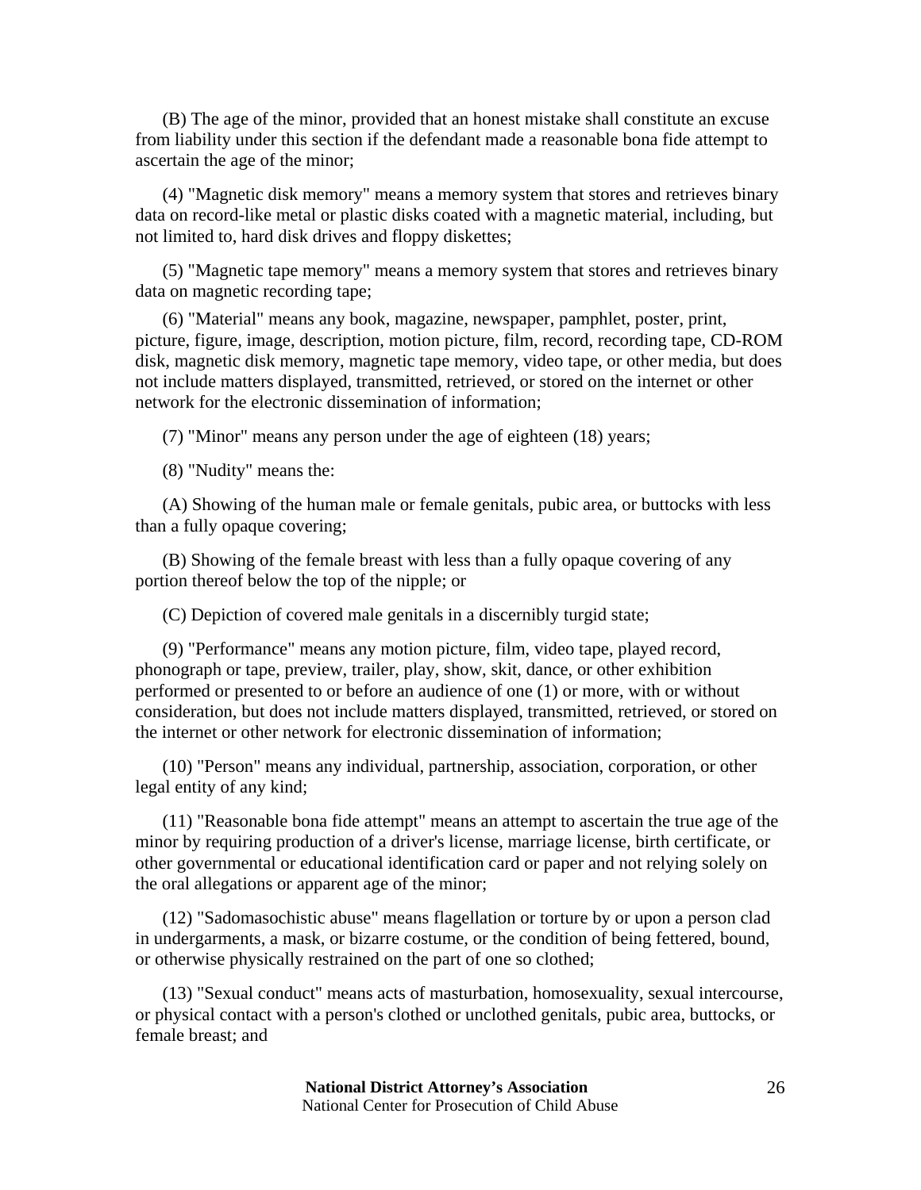(B) The age of the minor, provided that an honest mistake shall constitute an excuse from liability under this section if the defendant made a reasonable bona fide attempt to ascertain the age of the minor;

(4) "Magnetic disk memory" means a memory system that stores and retrieves binary data on record-like metal or plastic disks coated with a magnetic material, including, but not limited to, hard disk drives and floppy diskettes;

(5) "Magnetic tape memory" means a memory system that stores and retrieves binary data on magnetic recording tape;

(6) "Material" means any book, magazine, newspaper, pamphlet, poster, print, picture, figure, image, description, motion picture, film, record, recording tape, CD-ROM disk, magnetic disk memory, magnetic tape memory, video tape, or other media, but does not include matters displayed, transmitted, retrieved, or stored on the internet or other network for the electronic dissemination of information;

(7) "Minor" means any person under the age of eighteen (18) years;

(8) "Nudity" means the:

(A) Showing of the human male or female genitals, pubic area, or buttocks with less than a fully opaque covering;

(B) Showing of the female breast with less than a fully opaque covering of any portion thereof below the top of the nipple; or

(C) Depiction of covered male genitals in a discernibly turgid state;

(9) "Performance" means any motion picture, film, video tape, played record, phonograph or tape, preview, trailer, play, show, skit, dance, or other exhibition performed or presented to or before an audience of one (1) or more, with or without consideration, but does not include matters displayed, transmitted, retrieved, or stored on the internet or other network for electronic dissemination of information;

(10) "Person" means any individual, partnership, association, corporation, or other legal entity of any kind;

(11) "Reasonable bona fide attempt" means an attempt to ascertain the true age of the minor by requiring production of a driver's license, marriage license, birth certificate, or other governmental or educational identification card or paper and not relying solely on the oral allegations or apparent age of the minor;

(12) "Sadomasochistic abuse" means flagellation or torture by or upon a person clad in undergarments, a mask, or bizarre costume, or the condition of being fettered, bound, or otherwise physically restrained on the part of one so clothed;

(13) "Sexual conduct" means acts of masturbation, homosexuality, sexual intercourse, or physical contact with a person's clothed or unclothed genitals, pubic area, buttocks, or female breast; and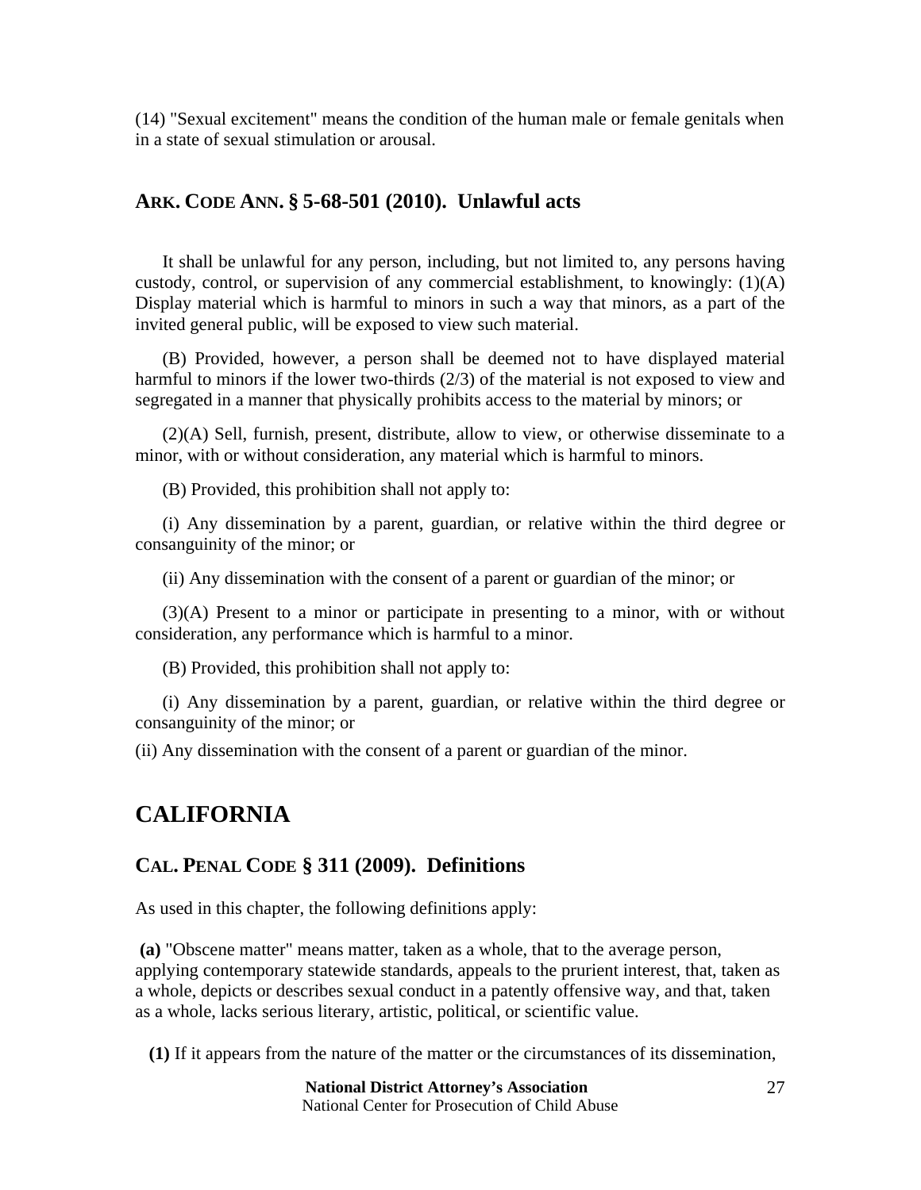(14) "Sexual excitement" means the condition of the human male or female genitals when in a state of sexual stimulation or arousal.

### **ARK. CODE ANN. § 5-68-501 (2010). Unlawful acts**

It shall be unlawful for any person, including, but not limited to, any persons having custody, control, or supervision of any commercial establishment, to knowingly: (1)(A) Display material which is harmful to minors in such a way that minors, as a part of the invited general public, will be exposed to view such material.

(B) Provided, however, a person shall be deemed not to have displayed material harmful to minors if the lower two-thirds (2/3) of the material is not exposed to view and segregated in a manner that physically prohibits access to the material by minors; or

(2)(A) Sell, furnish, present, distribute, allow to view, or otherwise disseminate to a minor, with or without consideration, any material which is harmful to minors.

(B) Provided, this prohibition shall not apply to:

(i) Any dissemination by a parent, guardian, or relative within the third degree or consanguinity of the minor; or

(ii) Any dissemination with the consent of a parent or guardian of the minor; or

(3)(A) Present to a minor or participate in presenting to a minor, with or without consideration, any performance which is harmful to a minor.

(B) Provided, this prohibition shall not apply to:

(i) Any dissemination by a parent, guardian, or relative within the third degree or consanguinity of the minor; or

(ii) Any dissemination with the consent of a parent or guardian of the minor.

### **CALIFORNIA**

#### **CAL. PENAL CODE § 311 (2009). Definitions**

As used in this chapter, the following definitions apply:

**(a)** "Obscene matter" means matter, taken as a whole, that to the average person, applying contemporary statewide standards, appeals to the prurient interest, that, taken as a whole, depicts or describes sexual conduct in a patently offensive way, and that, taken as a whole, lacks serious literary, artistic, political, or scientific value.

**(1)** If it appears from the nature of the matter or the circumstances of its dissemination,

**National District Attorney's Association**  National Center for Prosecution of Child Abuse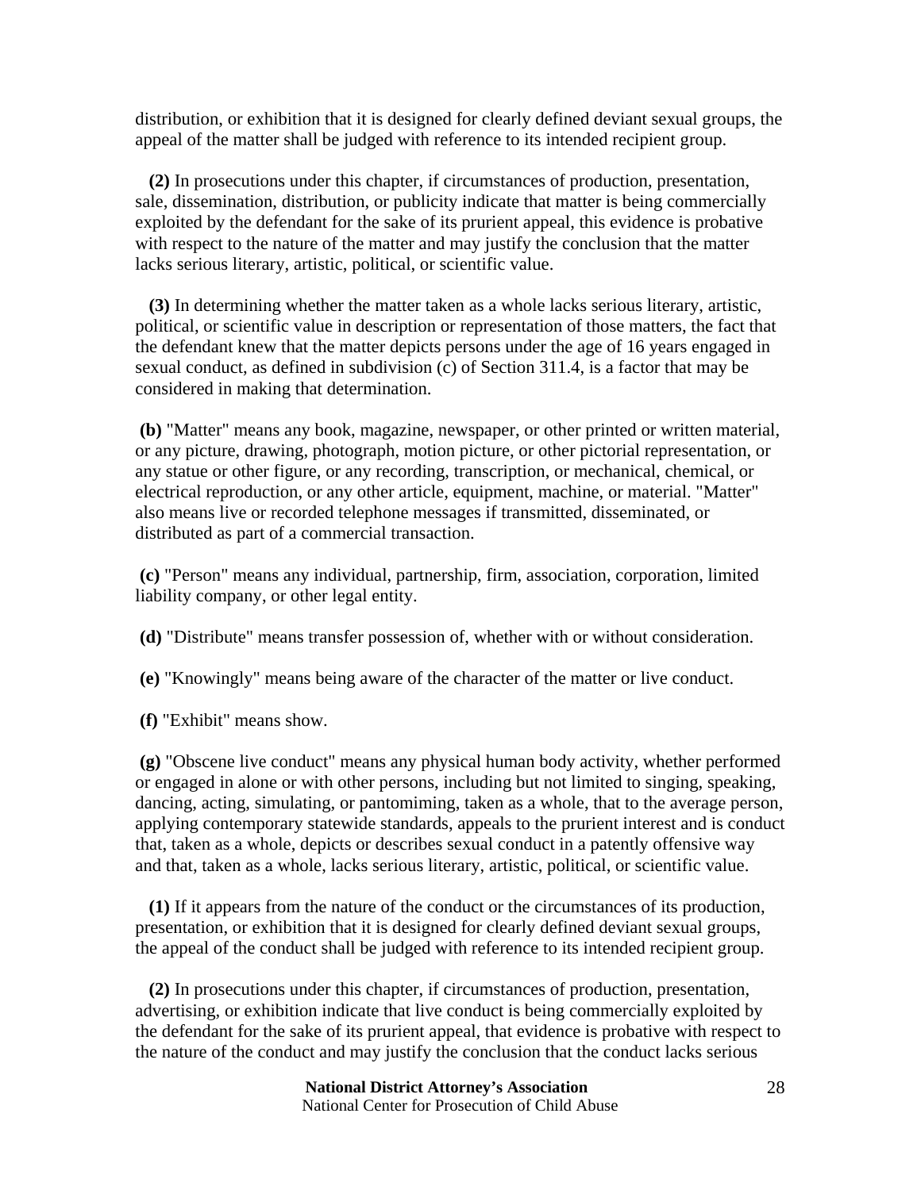distribution, or exhibition that it is designed for clearly defined deviant sexual groups, the appeal of the matter shall be judged with reference to its intended recipient group.

 **(2)** In prosecutions under this chapter, if circumstances of production, presentation, sale, dissemination, distribution, or publicity indicate that matter is being commercially exploited by the defendant for the sake of its prurient appeal, this evidence is probative with respect to the nature of the matter and may justify the conclusion that the matter lacks serious literary, artistic, political, or scientific value.

 **(3)** In determining whether the matter taken as a whole lacks serious literary, artistic, political, or scientific value in description or representation of those matters, the fact that the defendant knew that the matter depicts persons under the age of 16 years engaged in sexual conduct, as defined in subdivision (c) of Section 311.4, is a factor that may be considered in making that determination.

**(b)** "Matter" means any book, magazine, newspaper, or other printed or written material, or any picture, drawing, photograph, motion picture, or other pictorial representation, or any statue or other figure, or any recording, transcription, or mechanical, chemical, or electrical reproduction, or any other article, equipment, machine, or material. "Matter" also means live or recorded telephone messages if transmitted, disseminated, or distributed as part of a commercial transaction.

**(c)** "Person" means any individual, partnership, firm, association, corporation, limited liability company, or other legal entity.

**(d)** "Distribute" means transfer possession of, whether with or without consideration.

**(e)** "Knowingly" means being aware of the character of the matter or live conduct.

**(f)** "Exhibit" means show.

**(g)** "Obscene live conduct" means any physical human body activity, whether performed or engaged in alone or with other persons, including but not limited to singing, speaking, dancing, acting, simulating, or pantomiming, taken as a whole, that to the average person, applying contemporary statewide standards, appeals to the prurient interest and is conduct that, taken as a whole, depicts or describes sexual conduct in a patently offensive way and that, taken as a whole, lacks serious literary, artistic, political, or scientific value.

 **(1)** If it appears from the nature of the conduct or the circumstances of its production, presentation, or exhibition that it is designed for clearly defined deviant sexual groups, the appeal of the conduct shall be judged with reference to its intended recipient group.

 **(2)** In prosecutions under this chapter, if circumstances of production, presentation, advertising, or exhibition indicate that live conduct is being commercially exploited by the defendant for the sake of its prurient appeal, that evidence is probative with respect to the nature of the conduct and may justify the conclusion that the conduct lacks serious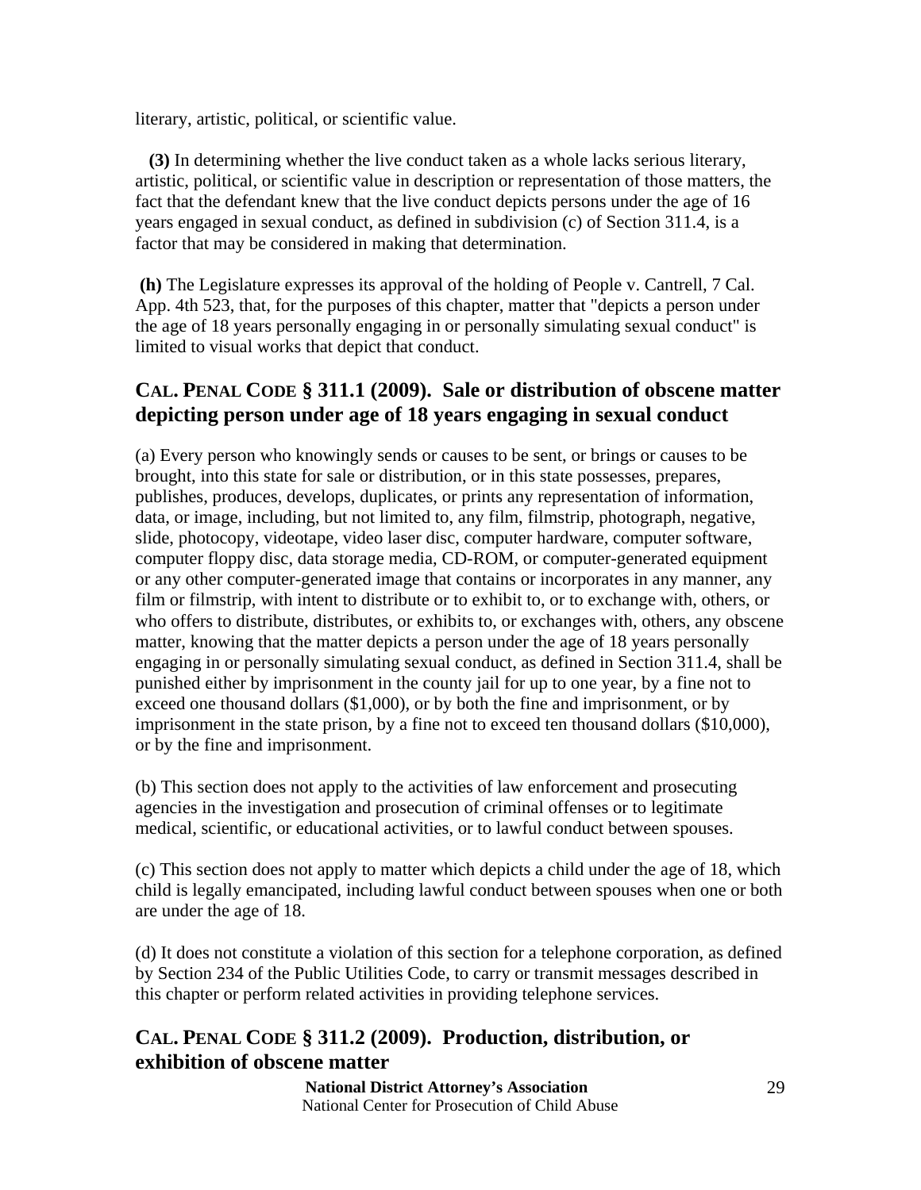literary, artistic, political, or scientific value.

 **(3)** In determining whether the live conduct taken as a whole lacks serious literary, artistic, political, or scientific value in description or representation of those matters, the fact that the defendant knew that the live conduct depicts persons under the age of 16 years engaged in sexual conduct, as defined in subdivision (c) of Section 311.4, is a factor that may be considered in making that determination.

**(h)** The Legislature expresses its approval of the holding of People v. Cantrell, 7 Cal. App. 4th 523, that, for the purposes of this chapter, matter that "depicts a person under the age of 18 years personally engaging in or personally simulating sexual conduct" is limited to visual works that depict that conduct.

### **CAL. PENAL CODE § 311.1 (2009). Sale or distribution of obscene matter depicting person under age of 18 years engaging in sexual conduct**

(a) Every person who knowingly sends or causes to be sent, or brings or causes to be brought, into this state for sale or distribution, or in this state possesses, prepares, publishes, produces, develops, duplicates, or prints any representation of information, data, or image, including, but not limited to, any film, filmstrip, photograph, negative, slide, photocopy, videotape, video laser disc, computer hardware, computer software, computer floppy disc, data storage media, CD-ROM, or computer-generated equipment or any other computer-generated image that contains or incorporates in any manner, any film or filmstrip, with intent to distribute or to exhibit to, or to exchange with, others, or who offers to distribute, distributes, or exhibits to, or exchanges with, others, any obscene matter, knowing that the matter depicts a person under the age of 18 years personally engaging in or personally simulating sexual conduct, as defined in Section 311.4, shall be punished either by imprisonment in the county jail for up to one year, by a fine not to exceed one thousand dollars (\$1,000), or by both the fine and imprisonment, or by imprisonment in the state prison, by a fine not to exceed ten thousand dollars (\$10,000), or by the fine and imprisonment.

(b) This section does not apply to the activities of law enforcement and prosecuting agencies in the investigation and prosecution of criminal offenses or to legitimate medical, scientific, or educational activities, or to lawful conduct between spouses.

(c) This section does not apply to matter which depicts a child under the age of 18, which child is legally emancipated, including lawful conduct between spouses when one or both are under the age of 18.

(d) It does not constitute a violation of this section for a telephone corporation, as defined by Section 234 of the Public Utilities Code, to carry or transmit messages described in this chapter or perform related activities in providing telephone services.

### **CAL. PENAL CODE § 311.2 (2009). Production, distribution, or exhibition of obscene matter**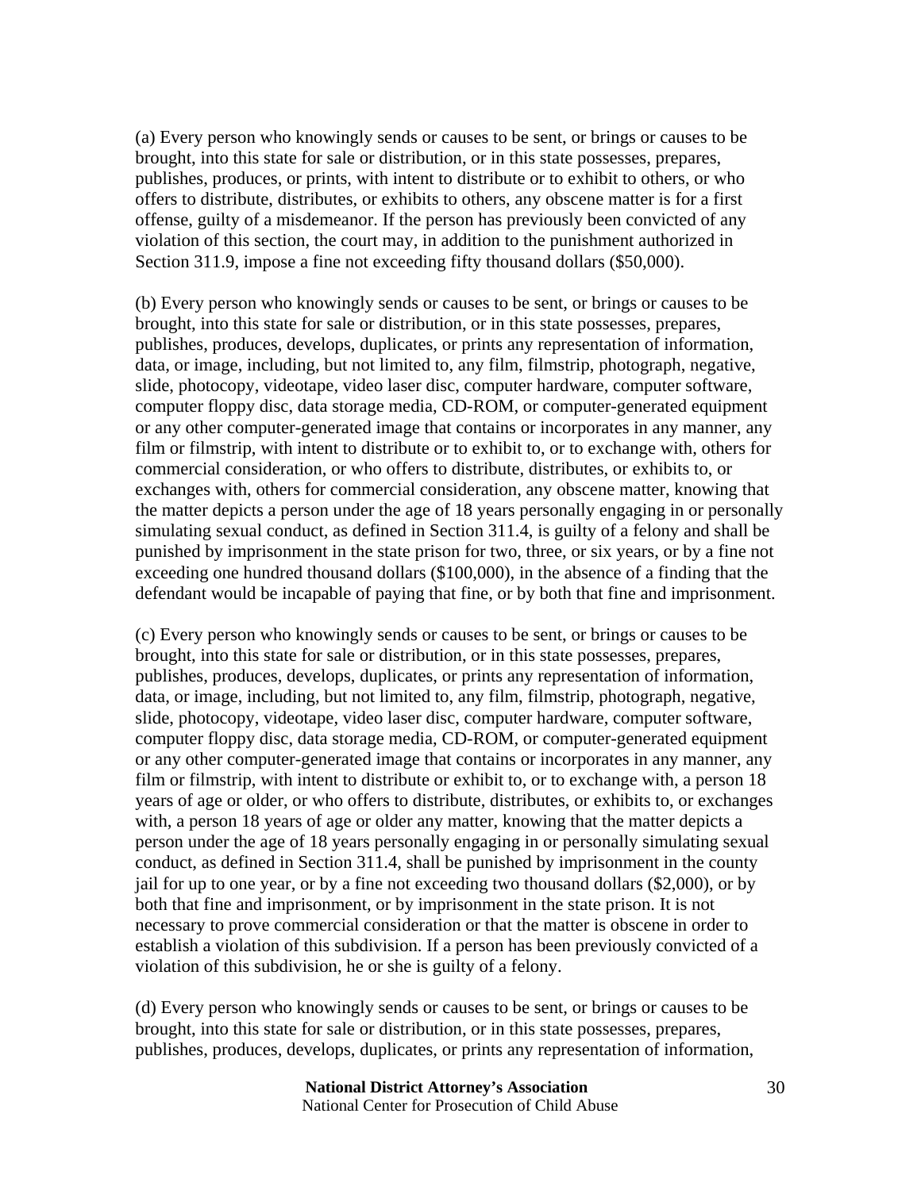(a) Every person who knowingly sends or causes to be sent, or brings or causes to be brought, into this state for sale or distribution, or in this state possesses, prepares, publishes, produces, or prints, with intent to distribute or to exhibit to others, or who offers to distribute, distributes, or exhibits to others, any obscene matter is for a first offense, guilty of a misdemeanor. If the person has previously been convicted of any violation of this section, the court may, in addition to the punishment authorized in Section 311.9, impose a fine not exceeding fifty thousand dollars (\$50,000).

(b) Every person who knowingly sends or causes to be sent, or brings or causes to be brought, into this state for sale or distribution, or in this state possesses, prepares, publishes, produces, develops, duplicates, or prints any representation of information, data, or image, including, but not limited to, any film, filmstrip, photograph, negative, slide, photocopy, videotape, video laser disc, computer hardware, computer software, computer floppy disc, data storage media, CD-ROM, or computer-generated equipment or any other computer-generated image that contains or incorporates in any manner, any film or filmstrip, with intent to distribute or to exhibit to, or to exchange with, others for commercial consideration, or who offers to distribute, distributes, or exhibits to, or exchanges with, others for commercial consideration, any obscene matter, knowing that the matter depicts a person under the age of 18 years personally engaging in or personally simulating sexual conduct, as defined in Section 311.4, is guilty of a felony and shall be punished by imprisonment in the state prison for two, three, or six years, or by a fine not exceeding one hundred thousand dollars (\$100,000), in the absence of a finding that the defendant would be incapable of paying that fine, or by both that fine and imprisonment.

(c) Every person who knowingly sends or causes to be sent, or brings or causes to be brought, into this state for sale or distribution, or in this state possesses, prepares, publishes, produces, develops, duplicates, or prints any representation of information, data, or image, including, but not limited to, any film, filmstrip, photograph, negative, slide, photocopy, videotape, video laser disc, computer hardware, computer software, computer floppy disc, data storage media, CD-ROM, or computer-generated equipment or any other computer-generated image that contains or incorporates in any manner, any film or filmstrip, with intent to distribute or exhibit to, or to exchange with, a person 18 years of age or older, or who offers to distribute, distributes, or exhibits to, or exchanges with, a person 18 years of age or older any matter, knowing that the matter depicts a person under the age of 18 years personally engaging in or personally simulating sexual conduct, as defined in Section 311.4, shall be punished by imprisonment in the county jail for up to one year, or by a fine not exceeding two thousand dollars (\$2,000), or by both that fine and imprisonment, or by imprisonment in the state prison. It is not necessary to prove commercial consideration or that the matter is obscene in order to establish a violation of this subdivision. If a person has been previously convicted of a violation of this subdivision, he or she is guilty of a felony.

(d) Every person who knowingly sends or causes to be sent, or brings or causes to be brought, into this state for sale or distribution, or in this state possesses, prepares, publishes, produces, develops, duplicates, or prints any representation of information,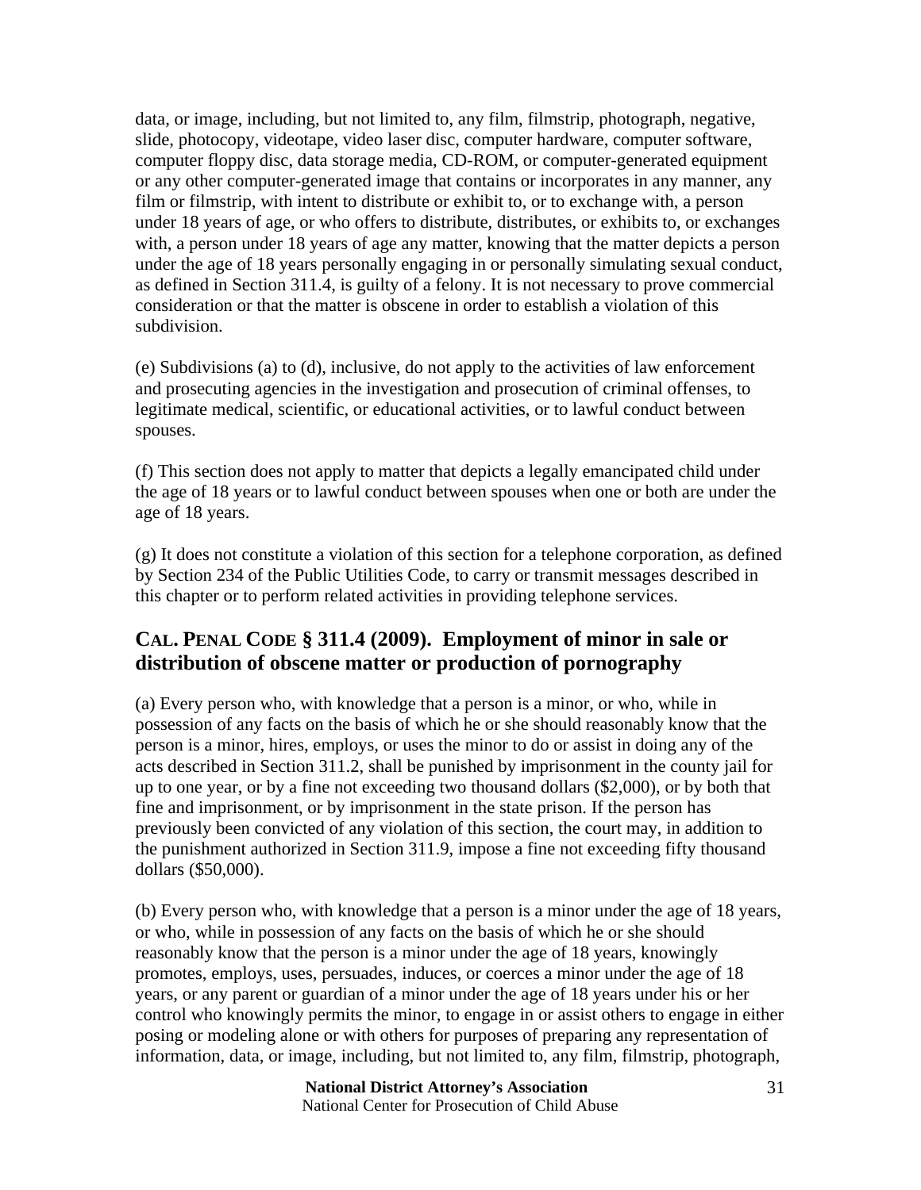data, or image, including, but not limited to, any film, filmstrip, photograph, negative, slide, photocopy, videotape, video laser disc, computer hardware, computer software, computer floppy disc, data storage media, CD-ROM, or computer-generated equipment or any other computer-generated image that contains or incorporates in any manner, any film or filmstrip, with intent to distribute or exhibit to, or to exchange with, a person under 18 years of age, or who offers to distribute, distributes, or exhibits to, or exchanges with, a person under 18 years of age any matter, knowing that the matter depicts a person under the age of 18 years personally engaging in or personally simulating sexual conduct, as defined in Section 311.4, is guilty of a felony. It is not necessary to prove commercial consideration or that the matter is obscene in order to establish a violation of this subdivision.

(e) Subdivisions (a) to (d), inclusive, do not apply to the activities of law enforcement and prosecuting agencies in the investigation and prosecution of criminal offenses, to legitimate medical, scientific, or educational activities, or to lawful conduct between spouses.

(f) This section does not apply to matter that depicts a legally emancipated child under the age of 18 years or to lawful conduct between spouses when one or both are under the age of 18 years.

(g) It does not constitute a violation of this section for a telephone corporation, as defined by Section 234 of the Public Utilities Code, to carry or transmit messages described in this chapter or to perform related activities in providing telephone services.

# **CAL. PENAL CODE § 311.4 (2009). Employment of minor in sale or distribution of obscene matter or production of pornography**

(a) Every person who, with knowledge that a person is a minor, or who, while in possession of any facts on the basis of which he or she should reasonably know that the person is a minor, hires, employs, or uses the minor to do or assist in doing any of the acts described in Section 311.2, shall be punished by imprisonment in the county jail for up to one year, or by a fine not exceeding two thousand dollars (\$2,000), or by both that fine and imprisonment, or by imprisonment in the state prison. If the person has previously been convicted of any violation of this section, the court may, in addition to the punishment authorized in Section 311.9, impose a fine not exceeding fifty thousand dollars (\$50,000).

(b) Every person who, with knowledge that a person is a minor under the age of 18 years, or who, while in possession of any facts on the basis of which he or she should reasonably know that the person is a minor under the age of 18 years, knowingly promotes, employs, uses, persuades, induces, or coerces a minor under the age of 18 years, or any parent or guardian of a minor under the age of 18 years under his or her control who knowingly permits the minor, to engage in or assist others to engage in either posing or modeling alone or with others for purposes of preparing any representation of information, data, or image, including, but not limited to, any film, filmstrip, photograph,

> **National District Attorney's Association**  National Center for Prosecution of Child Abuse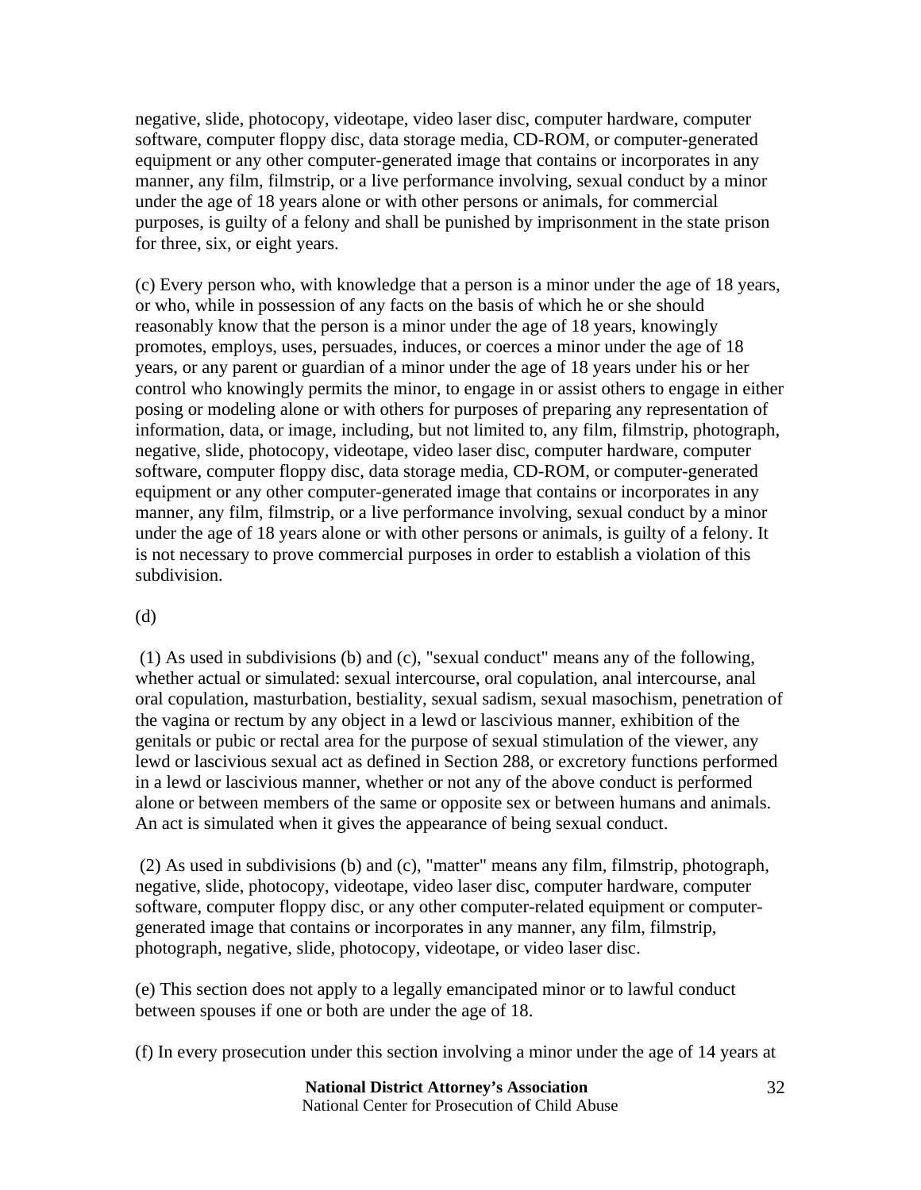negative, slide, photocopy, videotape, video laser disc, computer hardware, computer software, computer floppy disc, data storage media, CD-ROM, or computer-generated equipment or any other computer-generated image that contains or incorporates in any manner, any film, filmstrip, or a live performance involving, sexual conduct by a minor under the age of 18 years alone or with other persons or animals, for commercial purposes, is guilty of a felony and shall be punished by imprisonment in the state prison for three, six, or eight years.

(c) Every person who, with knowledge that a person is a minor under the age of 18 years, or who, while in possession of any facts on the basis of which he or she should reasonably know that the person is a minor under the age of 18 years, knowingly promotes, employs, uses, persuades, induces, or coerces a minor under the age of 18 years, or any parent or guardian of a minor under the age of 18 years under his or her control who knowingly permits the minor, to engage in or assist others to engage in either posing or modeling alone or with others for purposes of preparing any representation of information, data, or image, including, but not limited to, any film, filmstrip, photograph, negative, slide, photocopy, videotape, video laser disc, computer hardware, computer software, computer floppy disc, data storage media, CD-ROM, or computer-generated equipment or any other computer-generated image that contains or incorporates in any manner, any film, filmstrip, or a live performance involving, sexual conduct by a minor under the age of 18 years alone or with other persons or animals, is guilty of a felony. It is not necessary to prove commercial purposes in order to establish a violation of this subdivision.

#### (d)

 (1) As used in subdivisions (b) and (c), "sexual conduct" means any of the following, whether actual or simulated: sexual intercourse, oral copulation, anal intercourse, anal oral copulation, masturbation, bestiality, sexual sadism, sexual masochism, penetration of the vagina or rectum by any object in a lewd or lascivious manner, exhibition of the genitals or pubic or rectal area for the purpose of sexual stimulation of the viewer, any lewd or lascivious sexual act as defined in Section 288, or excretory functions performed in a lewd or lascivious manner, whether or not any of the above conduct is performed alone or between members of the same or opposite sex or between humans and animals. An act is simulated when it gives the appearance of being sexual conduct.

 (2) As used in subdivisions (b) and (c), "matter" means any film, filmstrip, photograph, negative, slide, photocopy, videotape, video laser disc, computer hardware, computer software, computer floppy disc, or any other computer-related equipment or computergenerated image that contains or incorporates in any manner, any film, filmstrip, photograph, negative, slide, photocopy, videotape, or video laser disc.

(e) This section does not apply to a legally emancipated minor or to lawful conduct between spouses if one or both are under the age of 18.

(f) In every prosecution under this section involving a minor under the age of 14 years at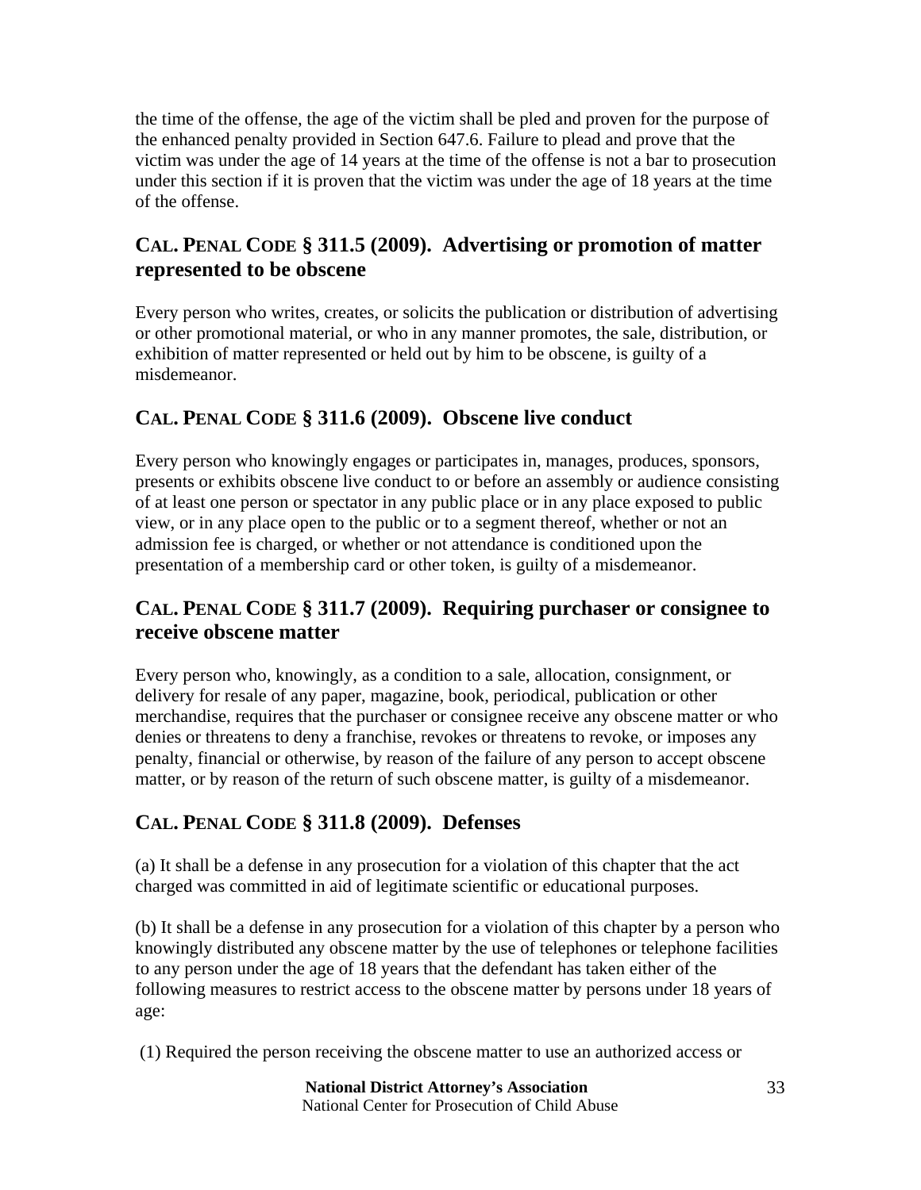the time of the offense, the age of the victim shall be pled and proven for the purpose of the enhanced penalty provided in Section 647.6. Failure to plead and prove that the victim was under the age of 14 years at the time of the offense is not a bar to prosecution under this section if it is proven that the victim was under the age of 18 years at the time of the offense.

# **CAL. PENAL CODE § 311.5 (2009). Advertising or promotion of matter represented to be obscene**

Every person who writes, creates, or solicits the publication or distribution of advertising or other promotional material, or who in any manner promotes, the sale, distribution, or exhibition of matter represented or held out by him to be obscene, is guilty of a misdemeanor.

# **CAL. PENAL CODE § 311.6 (2009). Obscene live conduct**

Every person who knowingly engages or participates in, manages, produces, sponsors, presents or exhibits obscene live conduct to or before an assembly or audience consisting of at least one person or spectator in any public place or in any place exposed to public view, or in any place open to the public or to a segment thereof, whether or not an admission fee is charged, or whether or not attendance is conditioned upon the presentation of a membership card or other token, is guilty of a misdemeanor.

# **CAL. PENAL CODE § 311.7 (2009). Requiring purchaser or consignee to receive obscene matter**

Every person who, knowingly, as a condition to a sale, allocation, consignment, or delivery for resale of any paper, magazine, book, periodical, publication or other merchandise, requires that the purchaser or consignee receive any obscene matter or who denies or threatens to deny a franchise, revokes or threatens to revoke, or imposes any penalty, financial or otherwise, by reason of the failure of any person to accept obscene matter, or by reason of the return of such obscene matter, is guilty of a misdemeanor.

# **CAL. PENAL CODE § 311.8 (2009). Defenses**

(a) It shall be a defense in any prosecution for a violation of this chapter that the act charged was committed in aid of legitimate scientific or educational purposes.

(b) It shall be a defense in any prosecution for a violation of this chapter by a person who knowingly distributed any obscene matter by the use of telephones or telephone facilities to any person under the age of 18 years that the defendant has taken either of the following measures to restrict access to the obscene matter by persons under 18 years of age:

(1) Required the person receiving the obscene matter to use an authorized access or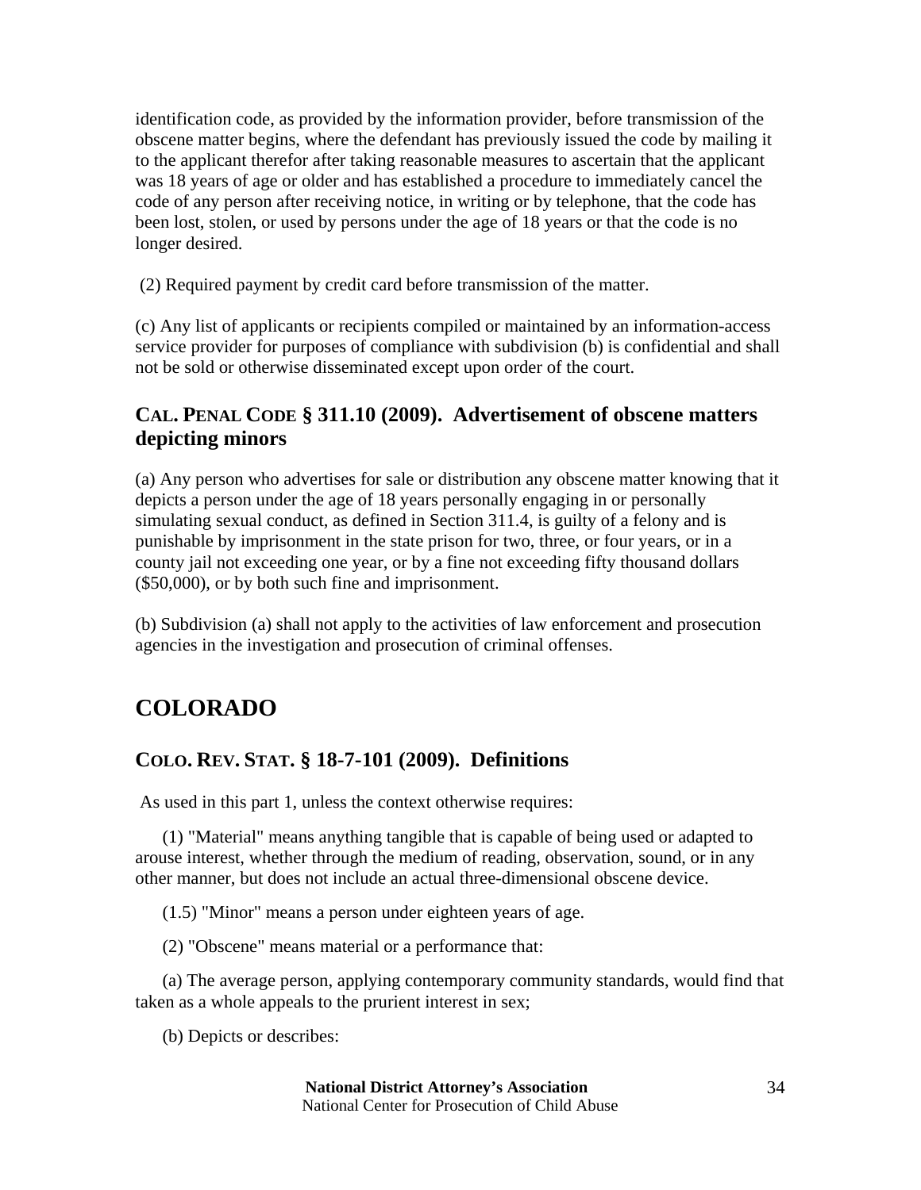identification code, as provided by the information provider, before transmission of the obscene matter begins, where the defendant has previously issued the code by mailing it to the applicant therefor after taking reasonable measures to ascertain that the applicant was 18 years of age or older and has established a procedure to immediately cancel the code of any person after receiving notice, in writing or by telephone, that the code has been lost, stolen, or used by persons under the age of 18 years or that the code is no longer desired.

(2) Required payment by credit card before transmission of the matter.

(c) Any list of applicants or recipients compiled or maintained by an information-access service provider for purposes of compliance with subdivision (b) is confidential and shall not be sold or otherwise disseminated except upon order of the court.

### **CAL. PENAL CODE § 311.10 (2009). Advertisement of obscene matters depicting minors**

(a) Any person who advertises for sale or distribution any obscene matter knowing that it depicts a person under the age of 18 years personally engaging in or personally simulating sexual conduct, as defined in Section 311.4, is guilty of a felony and is punishable by imprisonment in the state prison for two, three, or four years, or in a county jail not exceeding one year, or by a fine not exceeding fifty thousand dollars (\$50,000), or by both such fine and imprisonment.

(b) Subdivision (a) shall not apply to the activities of law enforcement and prosecution agencies in the investigation and prosecution of criminal offenses.

# **COLORADO**

### **COLO. REV. STAT. § 18-7-101 (2009). Definitions**

As used in this part 1, unless the context otherwise requires:

(1) "Material" means anything tangible that is capable of being used or adapted to arouse interest, whether through the medium of reading, observation, sound, or in any other manner, but does not include an actual three-dimensional obscene device.

(1.5) "Minor" means a person under eighteen years of age.

(2) "Obscene" means material or a performance that:

(a) The average person, applying contemporary community standards, would find that taken as a whole appeals to the prurient interest in sex;

(b) Depicts or describes: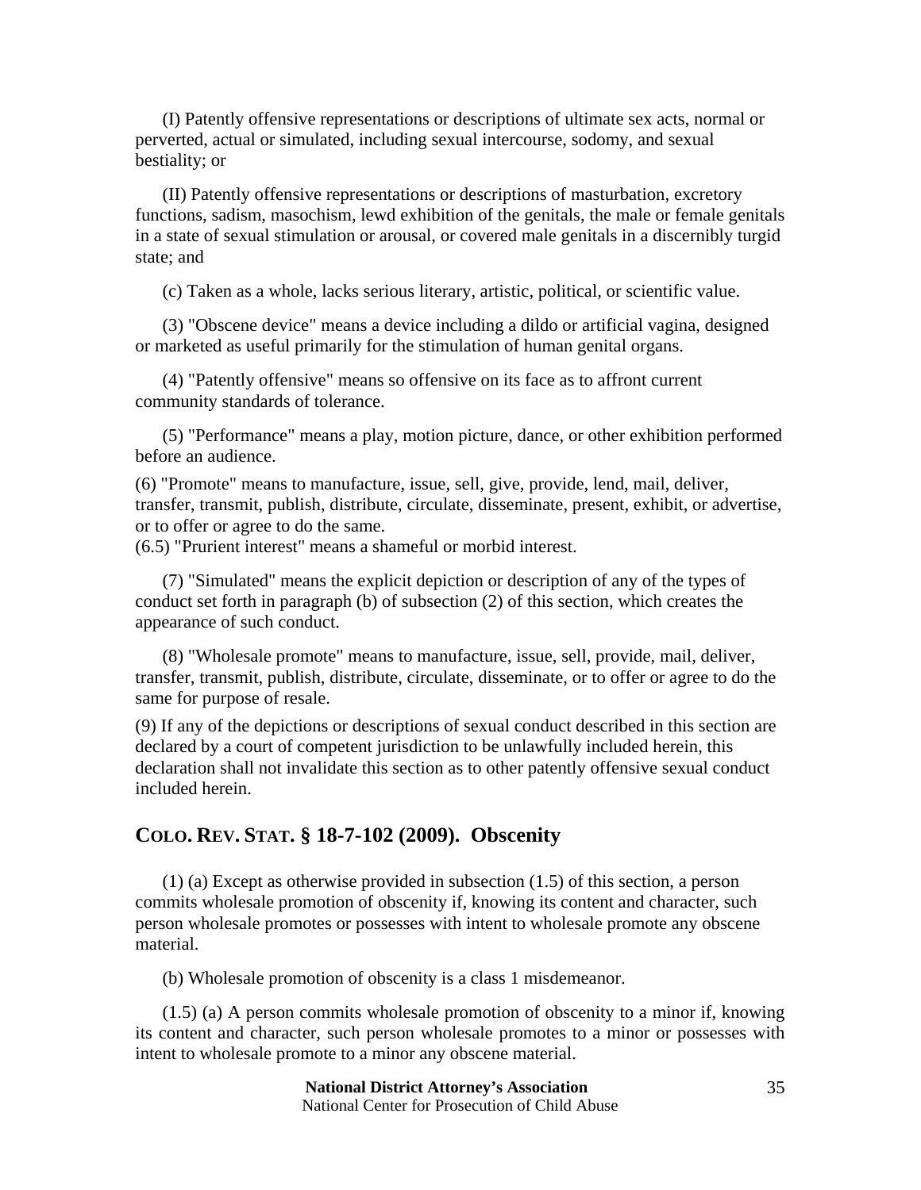(I) Patently offensive representations or descriptions of ultimate sex acts, normal or perverted, actual or simulated, including sexual intercourse, sodomy, and sexual bestiality; or

(II) Patently offensive representations or descriptions of masturbation, excretory functions, sadism, masochism, lewd exhibition of the genitals, the male or female genitals in a state of sexual stimulation or arousal, or covered male genitals in a discernibly turgid state; and

(c) Taken as a whole, lacks serious literary, artistic, political, or scientific value.

(3) "Obscene device" means a device including a dildo or artificial vagina, designed or marketed as useful primarily for the stimulation of human genital organs.

(4) "Patently offensive" means so offensive on its face as to affront current community standards of tolerance.

(5) "Performance" means a play, motion picture, dance, or other exhibition performed before an audience.

(6) "Promote" means to manufacture, issue, sell, give, provide, lend, mail, deliver, transfer, transmit, publish, distribute, circulate, disseminate, present, exhibit, or advertise, or to offer or agree to do the same.

(6.5) "Prurient interest" means a shameful or morbid interest.

(7) "Simulated" means the explicit depiction or description of any of the types of conduct set forth in paragraph (b) of subsection (2) of this section, which creates the appearance of such conduct.

(8) "Wholesale promote" means to manufacture, issue, sell, provide, mail, deliver, transfer, transmit, publish, distribute, circulate, disseminate, or to offer or agree to do the same for purpose of resale.

(9) If any of the depictions or descriptions of sexual conduct described in this section are declared by a court of competent jurisdiction to be unlawfully included herein, this declaration shall not invalidate this section as to other patently offensive sexual conduct included herein.

#### **COLO. REV. STAT. § 18-7-102 (2009). Obscenity**

(1) (a) Except as otherwise provided in subsection (1.5) of this section, a person commits wholesale promotion of obscenity if, knowing its content and character, such person wholesale promotes or possesses with intent to wholesale promote any obscene material.

(b) Wholesale promotion of obscenity is a class 1 misdemeanor.

(1.5) (a) A person commits wholesale promotion of obscenity to a minor if, knowing its content and character, such person wholesale promotes to a minor or possesses with intent to wholesale promote to a minor any obscene material.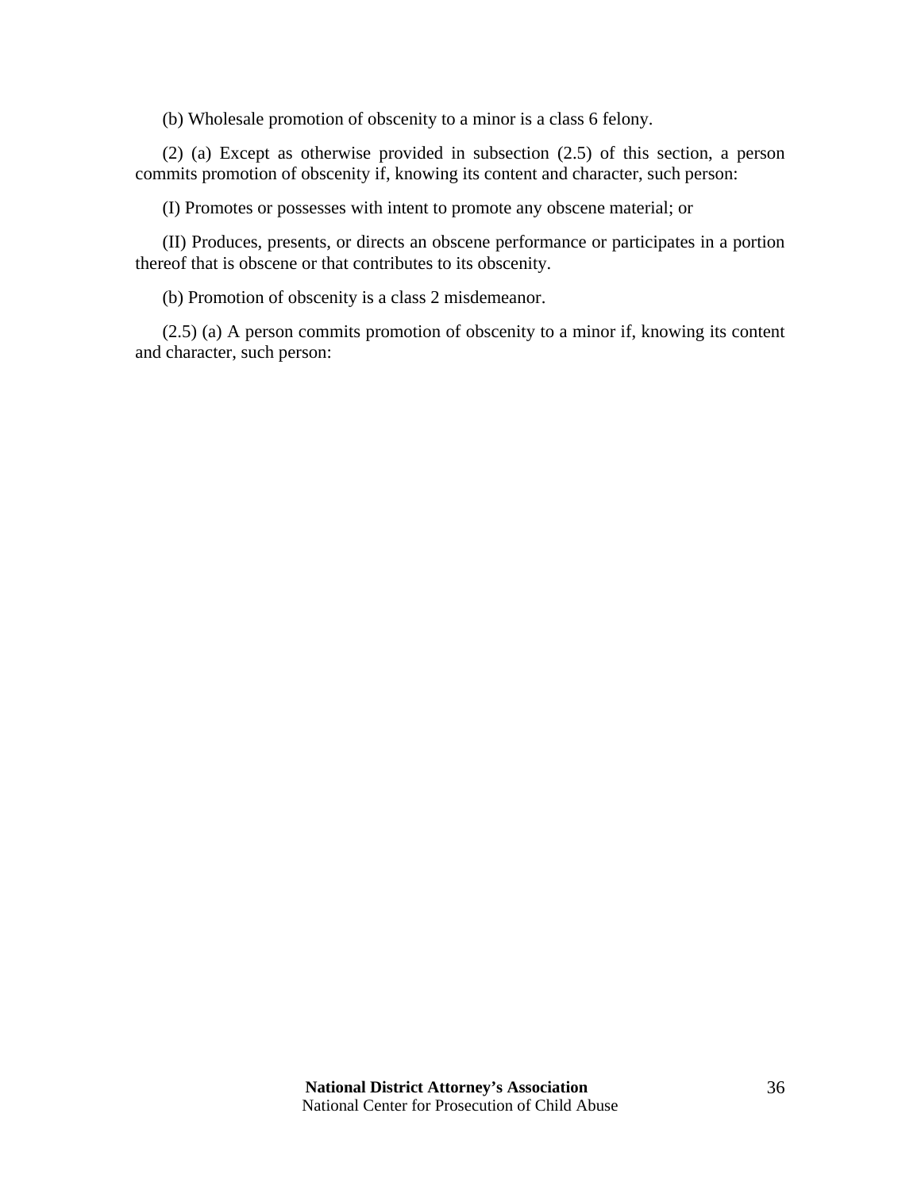(b) Wholesale promotion of obscenity to a minor is a class 6 felony.

(2) (a) Except as otherwise provided in subsection (2.5) of this section, a person commits promotion of obscenity if, knowing its content and character, such person:

(I) Promotes or possesses with intent to promote any obscene material; or

(II) Produces, presents, or directs an obscene performance or participates in a portion thereof that is obscene or that contributes to its obscenity.

(b) Promotion of obscenity is a class 2 misdemeanor.

(2.5) (a) A person commits promotion of obscenity to a minor if, knowing its content and character, such person: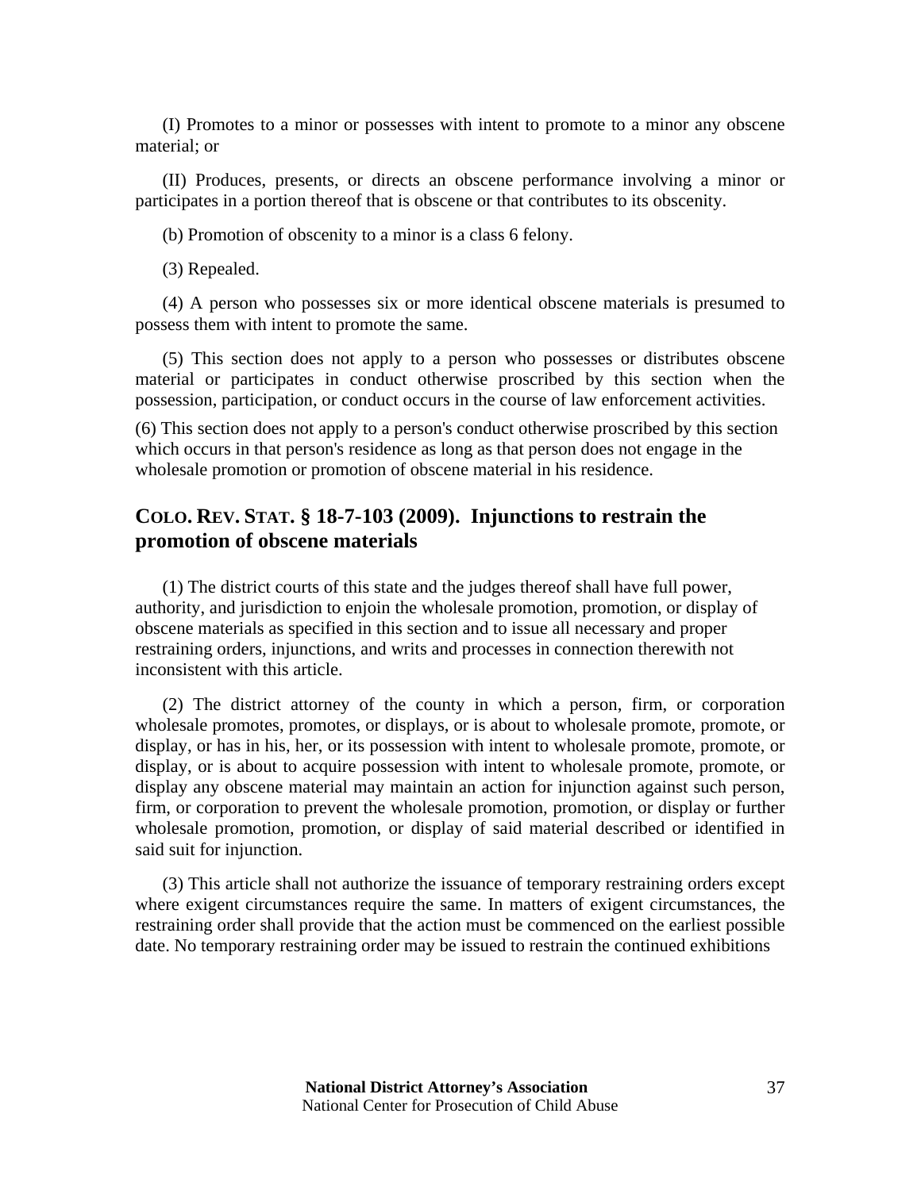(I) Promotes to a minor or possesses with intent to promote to a minor any obscene material; or

(II) Produces, presents, or directs an obscene performance involving a minor or participates in a portion thereof that is obscene or that contributes to its obscenity.

(b) Promotion of obscenity to a minor is a class 6 felony.

(3) Repealed.

(4) A person who possesses six or more identical obscene materials is presumed to possess them with intent to promote the same.

(5) This section does not apply to a person who possesses or distributes obscene material or participates in conduct otherwise proscribed by this section when the possession, participation, or conduct occurs in the course of law enforcement activities.

(6) This section does not apply to a person's conduct otherwise proscribed by this section which occurs in that person's residence as long as that person does not engage in the wholesale promotion or promotion of obscene material in his residence.

#### **COLO. REV. STAT. § 18-7-103 (2009). Injunctions to restrain the promotion of obscene materials**

(1) The district courts of this state and the judges thereof shall have full power, authority, and jurisdiction to enjoin the wholesale promotion, promotion, or display of obscene materials as specified in this section and to issue all necessary and proper restraining orders, injunctions, and writs and processes in connection therewith not inconsistent with this article.

(2) The district attorney of the county in which a person, firm, or corporation wholesale promotes, promotes, or displays, or is about to wholesale promote, promote, or display, or has in his, her, or its possession with intent to wholesale promote, promote, or display, or is about to acquire possession with intent to wholesale promote, promote, or display any obscene material may maintain an action for injunction against such person, firm, or corporation to prevent the wholesale promotion, promotion, or display or further wholesale promotion, promotion, or display of said material described or identified in said suit for injunction.

(3) This article shall not authorize the issuance of temporary restraining orders except where exigent circumstances require the same. In matters of exigent circumstances, the restraining order shall provide that the action must be commenced on the earliest possible date. No temporary restraining order may be issued to restrain the continued exhibitions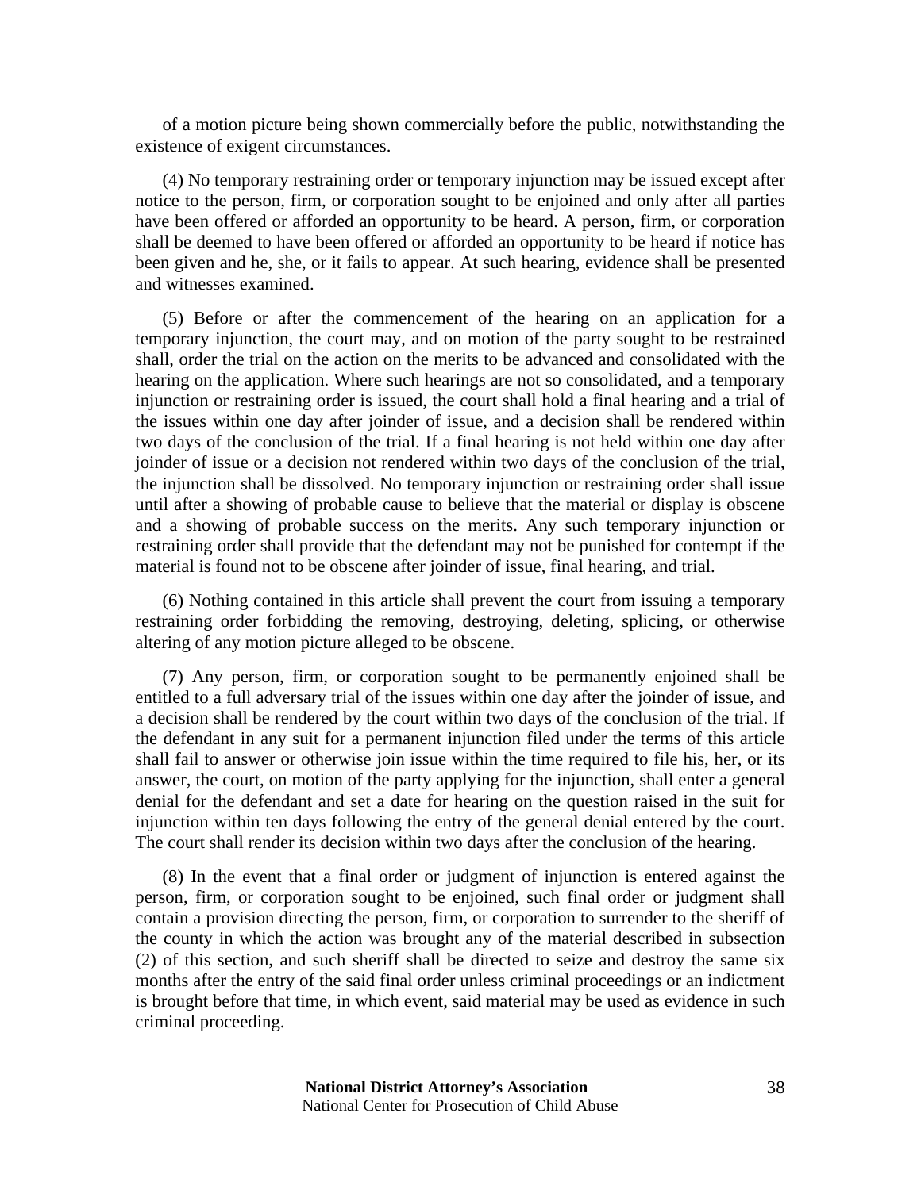of a motion picture being shown commercially before the public, notwithstanding the existence of exigent circumstances.

(4) No temporary restraining order or temporary injunction may be issued except after notice to the person, firm, or corporation sought to be enjoined and only after all parties have been offered or afforded an opportunity to be heard. A person, firm, or corporation shall be deemed to have been offered or afforded an opportunity to be heard if notice has been given and he, she, or it fails to appear. At such hearing, evidence shall be presented and witnesses examined.

(5) Before or after the commencement of the hearing on an application for a temporary injunction, the court may, and on motion of the party sought to be restrained shall, order the trial on the action on the merits to be advanced and consolidated with the hearing on the application. Where such hearings are not so consolidated, and a temporary injunction or restraining order is issued, the court shall hold a final hearing and a trial of the issues within one day after joinder of issue, and a decision shall be rendered within two days of the conclusion of the trial. If a final hearing is not held within one day after joinder of issue or a decision not rendered within two days of the conclusion of the trial, the injunction shall be dissolved. No temporary injunction or restraining order shall issue until after a showing of probable cause to believe that the material or display is obscene and a showing of probable success on the merits. Any such temporary injunction or restraining order shall provide that the defendant may not be punished for contempt if the material is found not to be obscene after joinder of issue, final hearing, and trial.

(6) Nothing contained in this article shall prevent the court from issuing a temporary restraining order forbidding the removing, destroying, deleting, splicing, or otherwise altering of any motion picture alleged to be obscene.

(7) Any person, firm, or corporation sought to be permanently enjoined shall be entitled to a full adversary trial of the issues within one day after the joinder of issue, and a decision shall be rendered by the court within two days of the conclusion of the trial. If the defendant in any suit for a permanent injunction filed under the terms of this article shall fail to answer or otherwise join issue within the time required to file his, her, or its answer, the court, on motion of the party applying for the injunction, shall enter a general denial for the defendant and set a date for hearing on the question raised in the suit for injunction within ten days following the entry of the general denial entered by the court. The court shall render its decision within two days after the conclusion of the hearing.

(8) In the event that a final order or judgment of injunction is entered against the person, firm, or corporation sought to be enjoined, such final order or judgment shall contain a provision directing the person, firm, or corporation to surrender to the sheriff of the county in which the action was brought any of the material described in subsection (2) of this section, and such sheriff shall be directed to seize and destroy the same six months after the entry of the said final order unless criminal proceedings or an indictment is brought before that time, in which event, said material may be used as evidence in such criminal proceeding.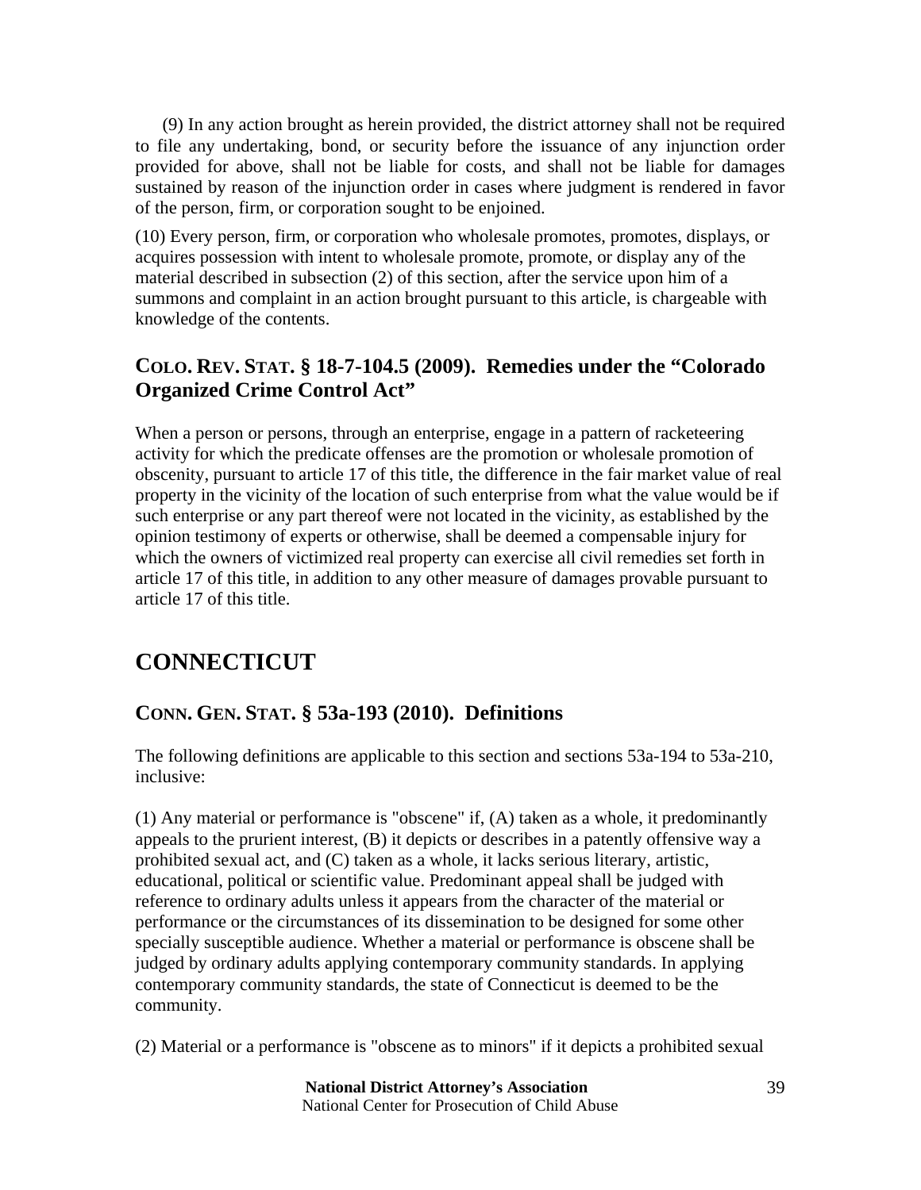(9) In any action brought as herein provided, the district attorney shall not be required to file any undertaking, bond, or security before the issuance of any injunction order provided for above, shall not be liable for costs, and shall not be liable for damages sustained by reason of the injunction order in cases where judgment is rendered in favor of the person, firm, or corporation sought to be enjoined.

(10) Every person, firm, or corporation who wholesale promotes, promotes, displays, or acquires possession with intent to wholesale promote, promote, or display any of the material described in subsection (2) of this section, after the service upon him of a summons and complaint in an action brought pursuant to this article, is chargeable with knowledge of the contents.

## **COLO. REV. STAT. § 18-7-104.5 (2009). Remedies under the "Colorado Organized Crime Control Act"**

When a person or persons, through an enterprise, engage in a pattern of racketeering activity for which the predicate offenses are the promotion or wholesale promotion of obscenity, pursuant to article 17 of this title, the difference in the fair market value of real property in the vicinity of the location of such enterprise from what the value would be if such enterprise or any part thereof were not located in the vicinity, as established by the opinion testimony of experts or otherwise, shall be deemed a compensable injury for which the owners of victimized real property can exercise all civil remedies set forth in article 17 of this title, in addition to any other measure of damages provable pursuant to article 17 of this title.

# **CONNECTICUT**

## **CONN. GEN. STAT. § 53a-193 (2010). Definitions**

The following definitions are applicable to this section and sections 53a-194 to 53a-210, inclusive:

(1) Any material or performance is "obscene" if, (A) taken as a whole, it predominantly appeals to the prurient interest, (B) it depicts or describes in a patently offensive way a prohibited sexual act, and (C) taken as a whole, it lacks serious literary, artistic, educational, political or scientific value. Predominant appeal shall be judged with reference to ordinary adults unless it appears from the character of the material or performance or the circumstances of its dissemination to be designed for some other specially susceptible audience. Whether a material or performance is obscene shall be judged by ordinary adults applying contemporary community standards. In applying contemporary community standards, the state of Connecticut is deemed to be the community.

(2) Material or a performance is "obscene as to minors" if it depicts a prohibited sexual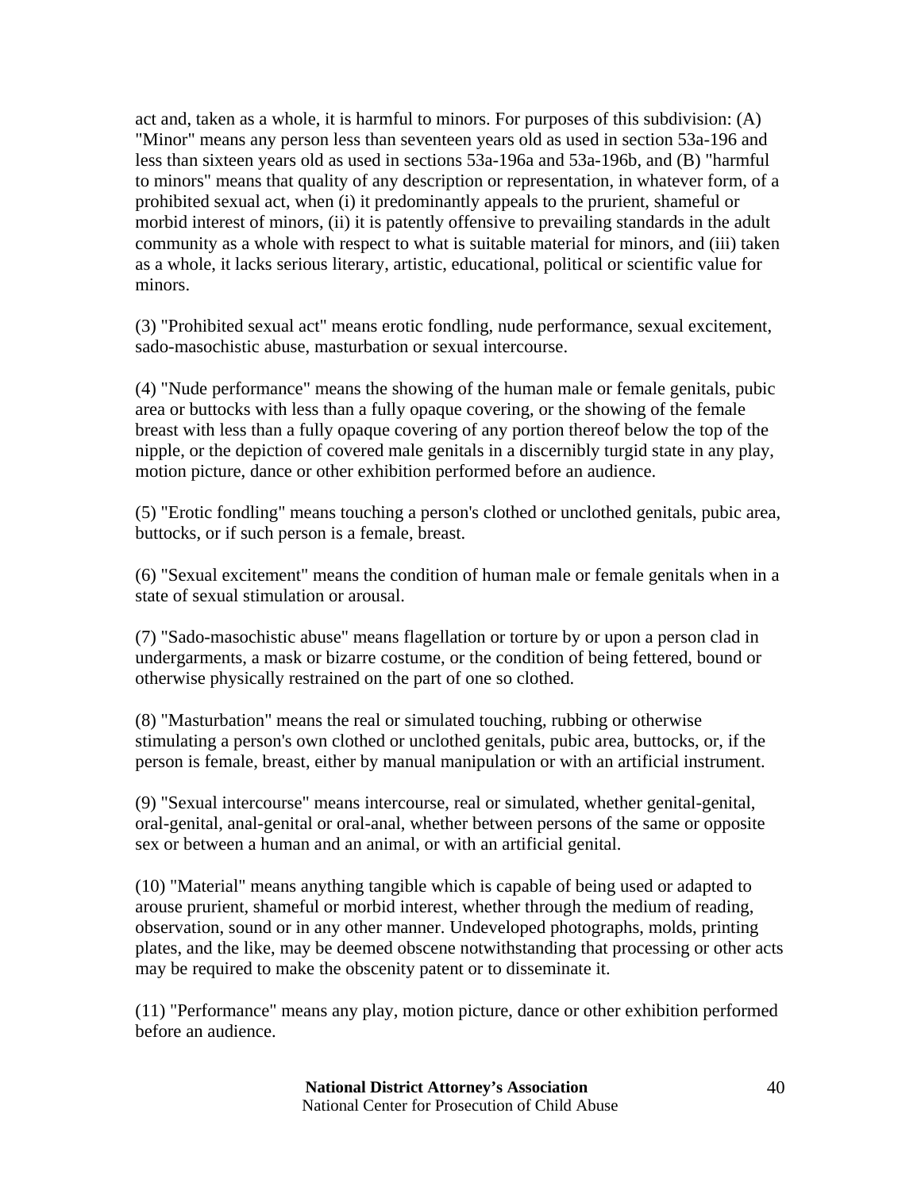act and, taken as a whole, it is harmful to minors. For purposes of this subdivision: (A) "Minor" means any person less than seventeen years old as used in section 53a-196 and less than sixteen years old as used in sections 53a-196a and 53a-196b, and (B) "harmful to minors" means that quality of any description or representation, in whatever form, of a prohibited sexual act, when (i) it predominantly appeals to the prurient, shameful or morbid interest of minors, (ii) it is patently offensive to prevailing standards in the adult community as a whole with respect to what is suitable material for minors, and (iii) taken as a whole, it lacks serious literary, artistic, educational, political or scientific value for minors.

(3) "Prohibited sexual act" means erotic fondling, nude performance, sexual excitement, sado-masochistic abuse, masturbation or sexual intercourse.

(4) "Nude performance" means the showing of the human male or female genitals, pubic area or buttocks with less than a fully opaque covering, or the showing of the female breast with less than a fully opaque covering of any portion thereof below the top of the nipple, or the depiction of covered male genitals in a discernibly turgid state in any play, motion picture, dance or other exhibition performed before an audience.

(5) "Erotic fondling" means touching a person's clothed or unclothed genitals, pubic area, buttocks, or if such person is a female, breast.

(6) "Sexual excitement" means the condition of human male or female genitals when in a state of sexual stimulation or arousal.

(7) "Sado-masochistic abuse" means flagellation or torture by or upon a person clad in undergarments, a mask or bizarre costume, or the condition of being fettered, bound or otherwise physically restrained on the part of one so clothed.

(8) "Masturbation" means the real or simulated touching, rubbing or otherwise stimulating a person's own clothed or unclothed genitals, pubic area, buttocks, or, if the person is female, breast, either by manual manipulation or with an artificial instrument.

(9) "Sexual intercourse" means intercourse, real or simulated, whether genital-genital, oral-genital, anal-genital or oral-anal, whether between persons of the same or opposite sex or between a human and an animal, or with an artificial genital.

(10) "Material" means anything tangible which is capable of being used or adapted to arouse prurient, shameful or morbid interest, whether through the medium of reading, observation, sound or in any other manner. Undeveloped photographs, molds, printing plates, and the like, may be deemed obscene notwithstanding that processing or other acts may be required to make the obscenity patent or to disseminate it.

(11) "Performance" means any play, motion picture, dance or other exhibition performed before an audience.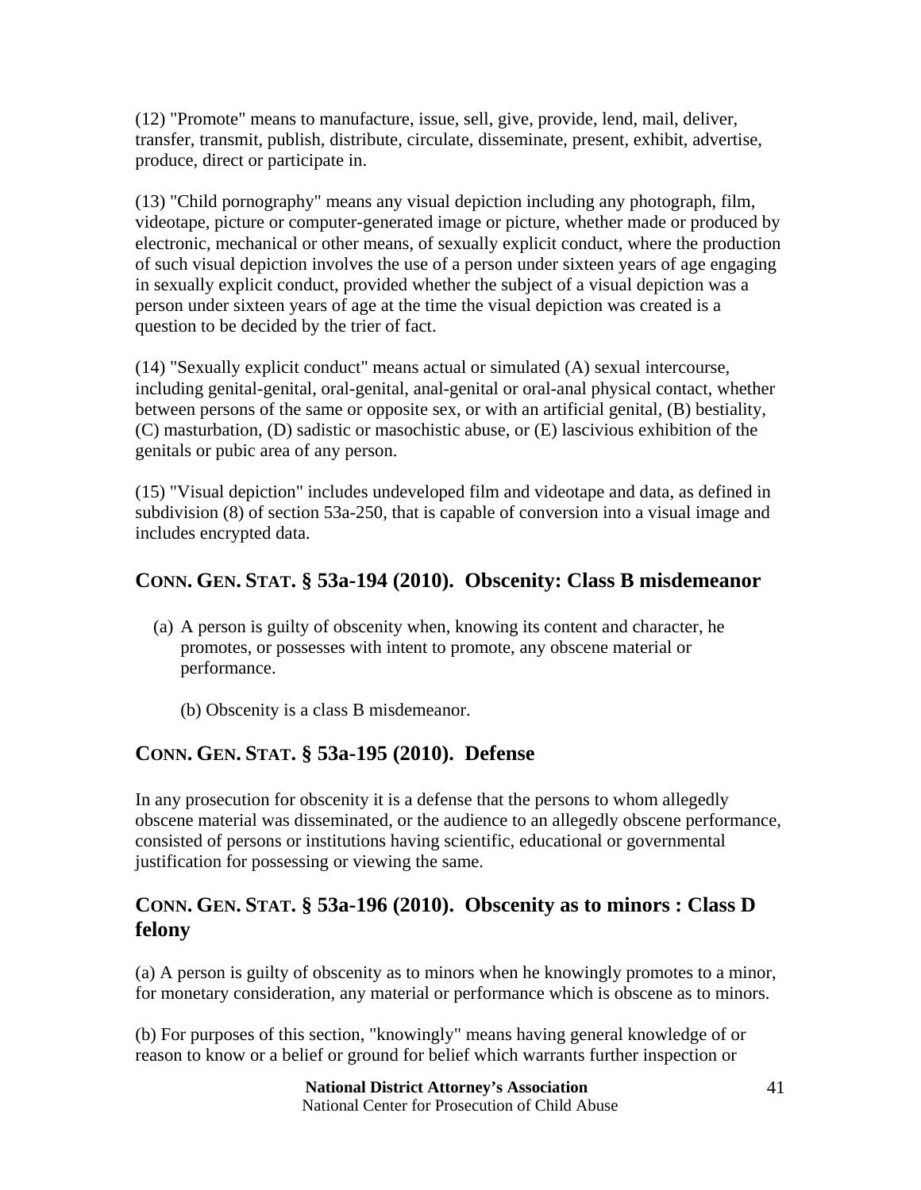(12) "Promote" means to manufacture, issue, sell, give, provide, lend, mail, deliver, transfer, transmit, publish, distribute, circulate, disseminate, present, exhibit, advertise, produce, direct or participate in.

(13) "Child pornography" means any visual depiction including any photograph, film, videotape, picture or computer-generated image or picture, whether made or produced by electronic, mechanical or other means, of sexually explicit conduct, where the production of such visual depiction involves the use of a person under sixteen years of age engaging in sexually explicit conduct, provided whether the subject of a visual depiction was a person under sixteen years of age at the time the visual depiction was created is a question to be decided by the trier of fact.

(14) "Sexually explicit conduct" means actual or simulated (A) sexual intercourse, including genital-genital, oral-genital, anal-genital or oral-anal physical contact, whether between persons of the same or opposite sex, or with an artificial genital, (B) bestiality, (C) masturbation, (D) sadistic or masochistic abuse, or (E) lascivious exhibition of the genitals or pubic area of any person.

(15) "Visual depiction" includes undeveloped film and videotape and data, as defined in subdivision (8) of section 53a-250, that is capable of conversion into a visual image and includes encrypted data.

### **CONN. GEN. STAT. § 53a-194 (2010). Obscenity: Class B misdemeanor**

- (a) A person is guilty of obscenity when, knowing its content and character, he promotes, or possesses with intent to promote, any obscene material or performance.
	- (b) Obscenity is a class B misdemeanor.

### **CONN. GEN. STAT. § 53a-195 (2010). Defense**

In any prosecution for obscenity it is a defense that the persons to whom allegedly obscene material was disseminated, or the audience to an allegedly obscene performance, consisted of persons or institutions having scientific, educational or governmental justification for possessing or viewing the same.

### **CONN. GEN. STAT. § 53a-196 (2010). Obscenity as to minors : Class D felony**

(a) A person is guilty of obscenity as to minors when he knowingly promotes to a minor, for monetary consideration, any material or performance which is obscene as to minors.

(b) For purposes of this section, "knowingly" means having general knowledge of or reason to know or a belief or ground for belief which warrants further inspection or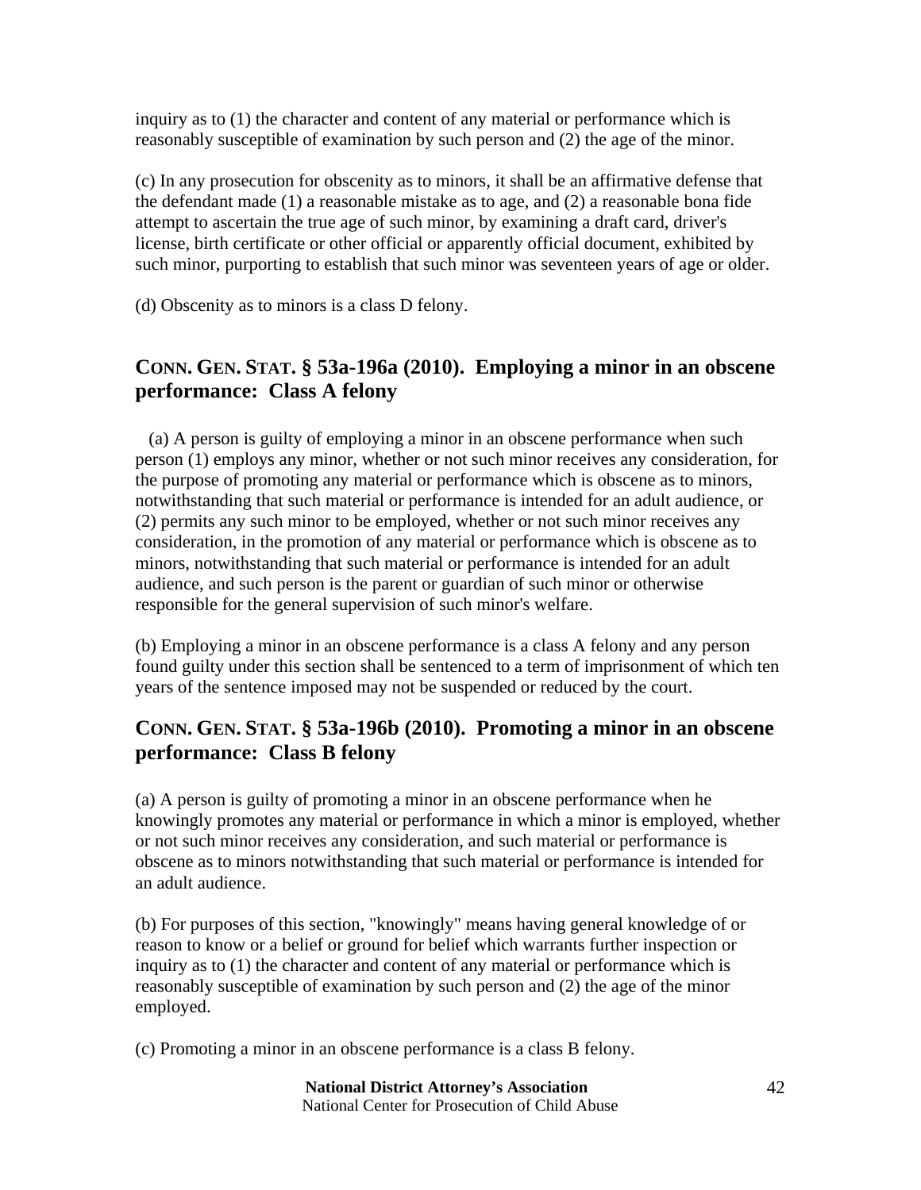inquiry as to (1) the character and content of any material or performance which is reasonably susceptible of examination by such person and (2) the age of the minor.

(c) In any prosecution for obscenity as to minors, it shall be an affirmative defense that the defendant made (1) a reasonable mistake as to age, and (2) a reasonable bona fide attempt to ascertain the true age of such minor, by examining a draft card, driver's license, birth certificate or other official or apparently official document, exhibited by such minor, purporting to establish that such minor was seventeen years of age or older.

(d) Obscenity as to minors is a class D felony.

### **CONN. GEN. STAT. § 53a-196a (2010). Employing a minor in an obscene performance: Class A felony**

 (a) A person is guilty of employing a minor in an obscene performance when such person (1) employs any minor, whether or not such minor receives any consideration, for the purpose of promoting any material or performance which is obscene as to minors, notwithstanding that such material or performance is intended for an adult audience, or (2) permits any such minor to be employed, whether or not such minor receives any consideration, in the promotion of any material or performance which is obscene as to minors, notwithstanding that such material or performance is intended for an adult audience, and such person is the parent or guardian of such minor or otherwise responsible for the general supervision of such minor's welfare.

(b) Employing a minor in an obscene performance is a class A felony and any person found guilty under this section shall be sentenced to a term of imprisonment of which ten years of the sentence imposed may not be suspended or reduced by the court.

### **CONN. GEN. STAT. § 53a-196b (2010). Promoting a minor in an obscene performance: Class B felony**

(a) A person is guilty of promoting a minor in an obscene performance when he knowingly promotes any material or performance in which a minor is employed, whether or not such minor receives any consideration, and such material or performance is obscene as to minors notwithstanding that such material or performance is intended for an adult audience.

(b) For purposes of this section, "knowingly" means having general knowledge of or reason to know or a belief or ground for belief which warrants further inspection or inquiry as to (1) the character and content of any material or performance which is reasonably susceptible of examination by such person and (2) the age of the minor employed.

(c) Promoting a minor in an obscene performance is a class B felony.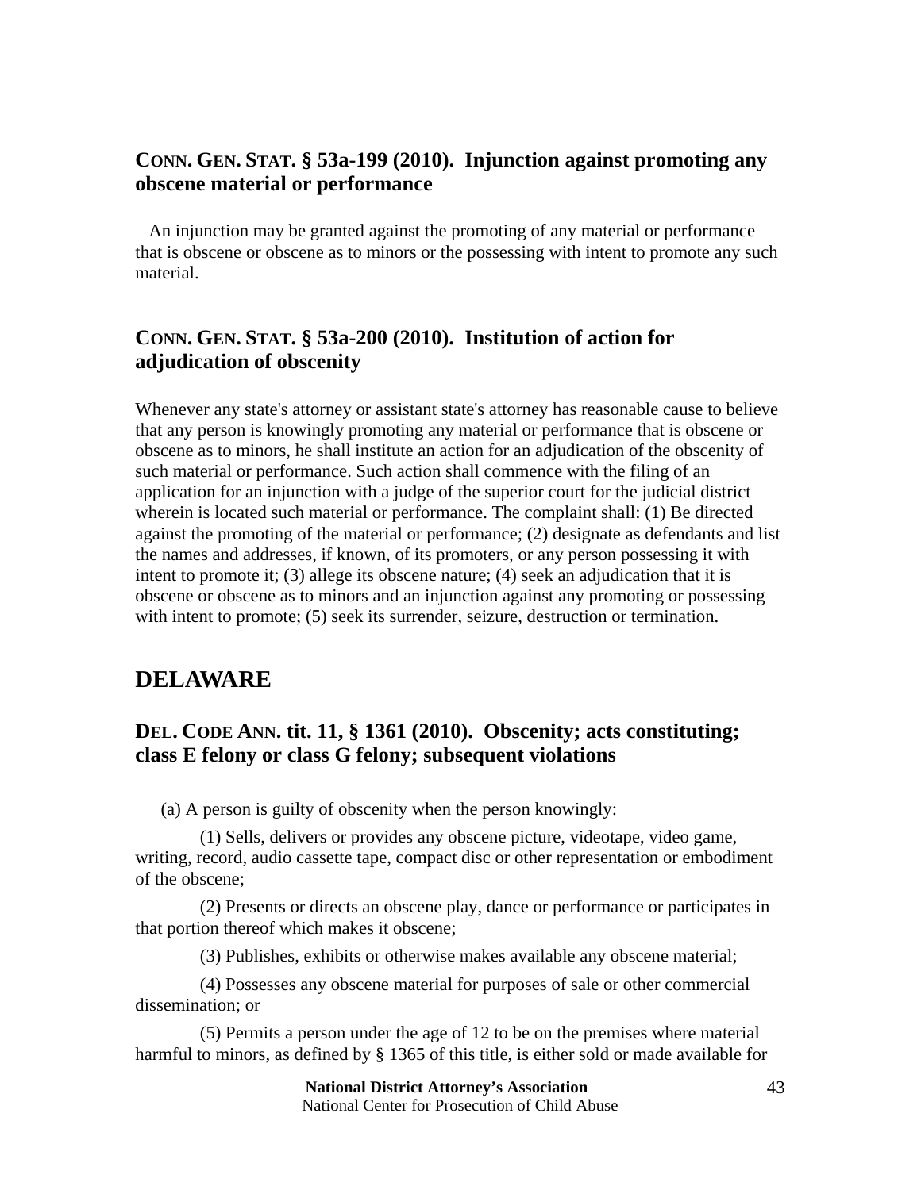### **CONN. GEN. STAT. § 53a-199 (2010). Injunction against promoting any obscene material or performance**

 An injunction may be granted against the promoting of any material or performance that is obscene or obscene as to minors or the possessing with intent to promote any such material.

### **CONN. GEN. STAT. § 53a-200 (2010). Institution of action for adjudication of obscenity**

Whenever any state's attorney or assistant state's attorney has reasonable cause to believe that any person is knowingly promoting any material or performance that is obscene or obscene as to minors, he shall institute an action for an adjudication of the obscenity of such material or performance. Such action shall commence with the filing of an application for an injunction with a judge of the superior court for the judicial district wherein is located such material or performance. The complaint shall: (1) Be directed against the promoting of the material or performance; (2) designate as defendants and list the names and addresses, if known, of its promoters, or any person possessing it with intent to promote it; (3) allege its obscene nature; (4) seek an adjudication that it is obscene or obscene as to minors and an injunction against any promoting or possessing with intent to promote; (5) seek its surrender, seizure, destruction or termination.

# **DELAWARE**

#### **DEL. CODE ANN. tit. 11, § 1361 (2010). Obscenity; acts constituting; class E felony or class G felony; subsequent violations**

(a) A person is guilty of obscenity when the person knowingly:

(1) Sells, delivers or provides any obscene picture, videotape, video game, writing, record, audio cassette tape, compact disc or other representation or embodiment of the obscene;

(2) Presents or directs an obscene play, dance or performance or participates in that portion thereof which makes it obscene;

(3) Publishes, exhibits or otherwise makes available any obscene material;

(4) Possesses any obscene material for purposes of sale or other commercial dissemination; or

(5) Permits a person under the age of 12 to be on the premises where material harmful to minors, as defined by § 1365 of this title, is either sold or made available for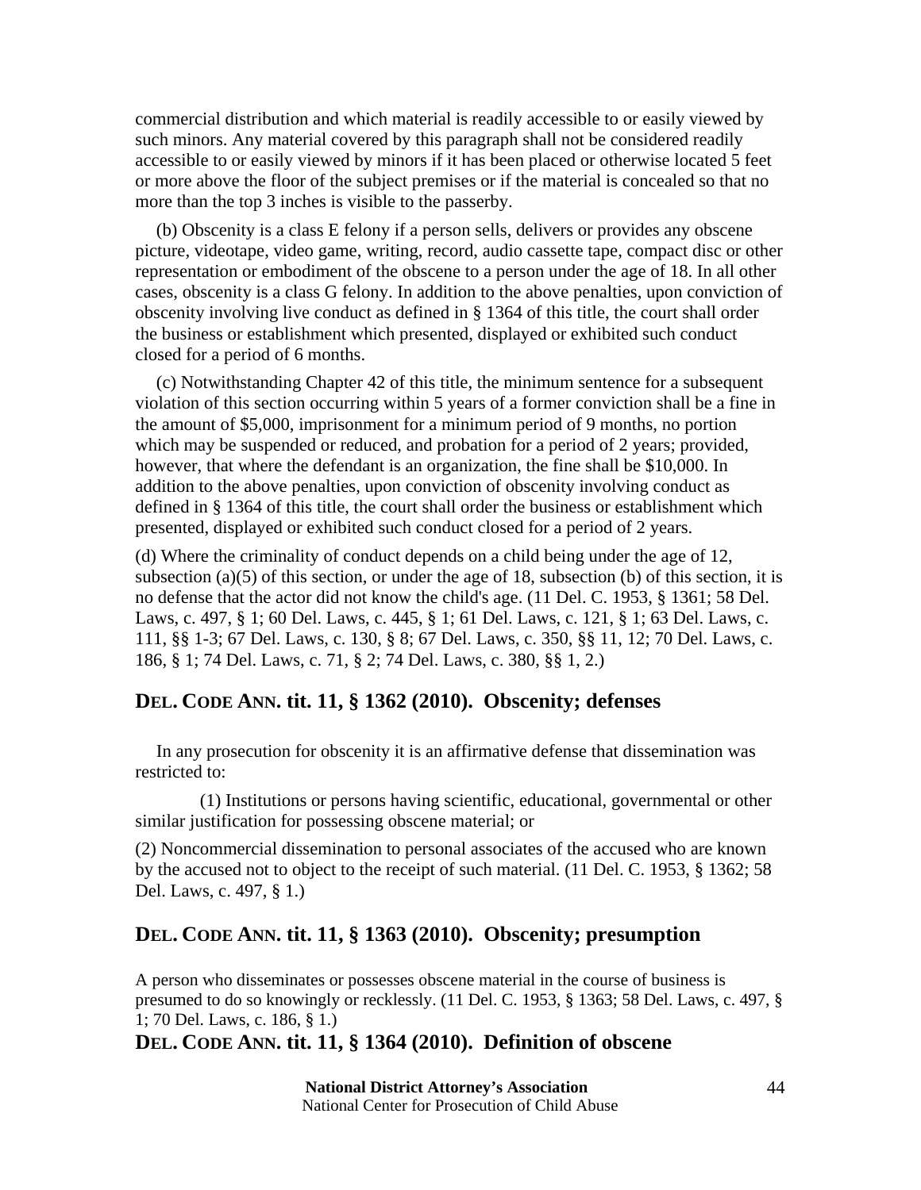commercial distribution and which material is readily accessible to or easily viewed by such minors. Any material covered by this paragraph shall not be considered readily accessible to or easily viewed by minors if it has been placed or otherwise located 5 feet or more above the floor of the subject premises or if the material is concealed so that no more than the top 3 inches is visible to the passerby.

(b) Obscenity is a class E felony if a person sells, delivers or provides any obscene picture, videotape, video game, writing, record, audio cassette tape, compact disc or other representation or embodiment of the obscene to a person under the age of 18. In all other cases, obscenity is a class G felony. In addition to the above penalties, upon conviction of obscenity involving live conduct as defined in § 1364 of this title, the court shall order the business or establishment which presented, displayed or exhibited such conduct closed for a period of 6 months.

(c) Notwithstanding Chapter 42 of this title, the minimum sentence for a subsequent violation of this section occurring within 5 years of a former conviction shall be a fine in the amount of \$5,000, imprisonment for a minimum period of 9 months, no portion which may be suspended or reduced, and probation for a period of 2 years; provided, however, that where the defendant is an organization, the fine shall be \$10,000. In addition to the above penalties, upon conviction of obscenity involving conduct as defined in § 1364 of this title, the court shall order the business or establishment which presented, displayed or exhibited such conduct closed for a period of 2 years.

(d) Where the criminality of conduct depends on a child being under the age of 12, subsection (a)(5) of this section, or under the age of 18, subsection (b) of this section, it is no defense that the actor did not know the child's age. (11 Del. C. 1953, § 1361; 58 Del. Laws, c. 497, § 1; 60 Del. Laws, c. 445, § 1; 61 Del. Laws, c. 121, § 1; 63 Del. Laws, c. 111, §§ 1-3; 67 Del. Laws, c. 130, § 8; 67 Del. Laws, c. 350, §§ 11, 12; 70 Del. Laws, c. 186, § 1; 74 Del. Laws, c. 71, § 2; 74 Del. Laws, c. 380, §§ 1, 2.)

#### **DEL. CODE ANN. tit. 11, § 1362 (2010). Obscenity; defenses**

In any prosecution for obscenity it is an affirmative defense that dissemination was restricted to:

(1) Institutions or persons having scientific, educational, governmental or other similar justification for possessing obscene material; or

(2) Noncommercial dissemination to personal associates of the accused who are known by the accused not to object to the receipt of such material. (11 Del. C. 1953, § 1362; 58 Del. Laws, c. 497, § 1.)

#### **DEL. CODE ANN. tit. 11, § 1363 (2010). Obscenity; presumption**

A person who disseminates or possesses obscene material in the course of business is presumed to do so knowingly or recklessly. (11 Del. C. 1953, § 1363; 58 Del. Laws, c. 497, § 1; 70 Del. Laws, c. 186, § 1.)

#### **DEL. CODE ANN. tit. 11, § 1364 (2010). Definition of obscene**

**National District Attorney's Association**  National Center for Prosecution of Child Abuse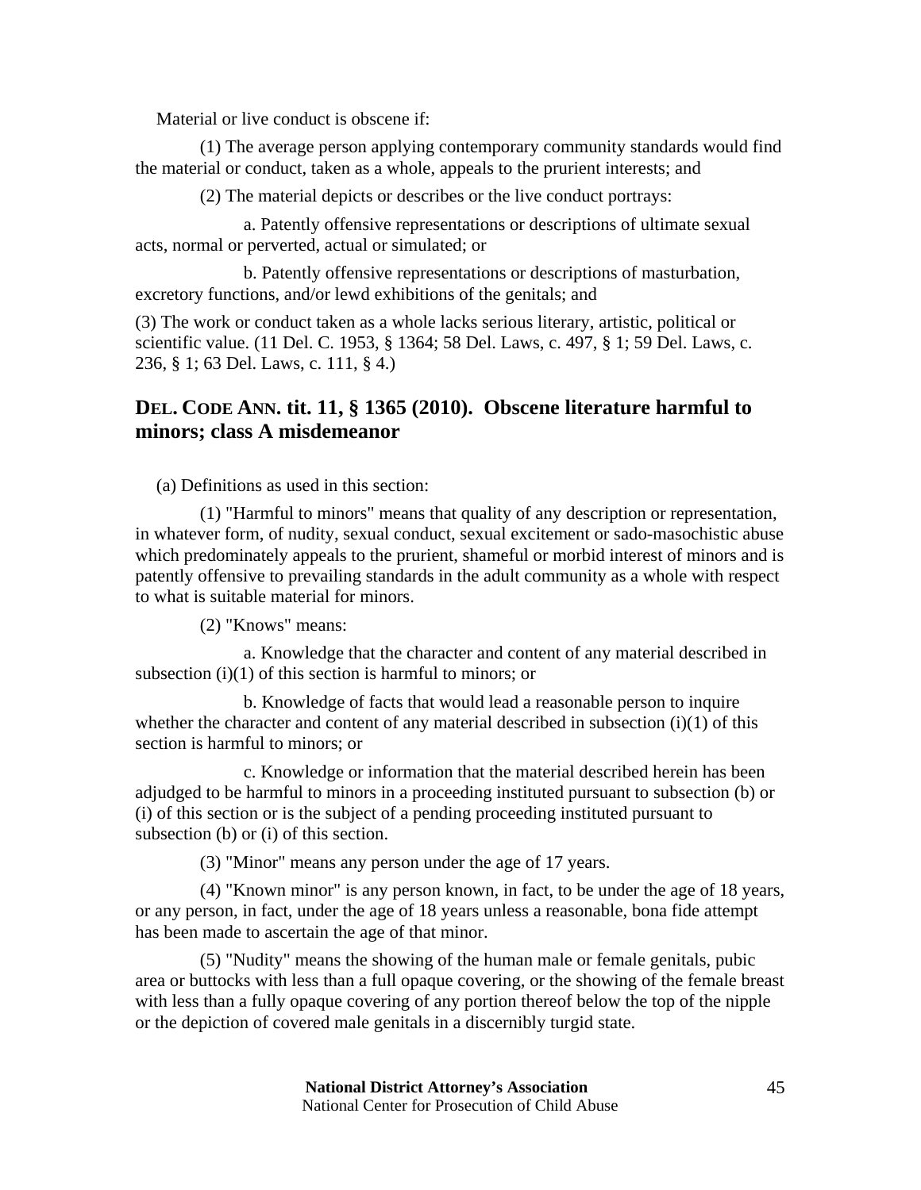Material or live conduct is obscene if:

(1) The average person applying contemporary community standards would find the material or conduct, taken as a whole, appeals to the prurient interests; and

(2) The material depicts or describes or the live conduct portrays:

a. Patently offensive representations or descriptions of ultimate sexual acts, normal or perverted, actual or simulated; or

b. Patently offensive representations or descriptions of masturbation, excretory functions, and/or lewd exhibitions of the genitals; and

(3) The work or conduct taken as a whole lacks serious literary, artistic, political or scientific value. (11 Del. C. 1953, § 1364; 58 Del. Laws, c. 497, § 1; 59 Del. Laws, c. 236, § 1; 63 Del. Laws, c. 111, § 4.)

#### **DEL. CODE ANN. tit. 11, § 1365 (2010). Obscene literature harmful to minors; class A misdemeanor**

(a) Definitions as used in this section:

(1) "Harmful to minors" means that quality of any description or representation, in whatever form, of nudity, sexual conduct, sexual excitement or sado-masochistic abuse which predominately appeals to the prurient, shameful or morbid interest of minors and is patently offensive to prevailing standards in the adult community as a whole with respect to what is suitable material for minors.

(2) "Knows" means:

a. Knowledge that the character and content of any material described in subsection  $(i)(1)$  of this section is harmful to minors; or

b. Knowledge of facts that would lead a reasonable person to inquire whether the character and content of any material described in subsection  $(i)(1)$  of this section is harmful to minors; or

c. Knowledge or information that the material described herein has been adjudged to be harmful to minors in a proceeding instituted pursuant to subsection (b) or (i) of this section or is the subject of a pending proceeding instituted pursuant to subsection (b) or (i) of this section.

(3) "Minor" means any person under the age of 17 years.

(4) "Known minor" is any person known, in fact, to be under the age of 18 years, or any person, in fact, under the age of 18 years unless a reasonable, bona fide attempt has been made to ascertain the age of that minor.

(5) "Nudity" means the showing of the human male or female genitals, pubic area or buttocks with less than a full opaque covering, or the showing of the female breast with less than a fully opaque covering of any portion thereof below the top of the nipple or the depiction of covered male genitals in a discernibly turgid state.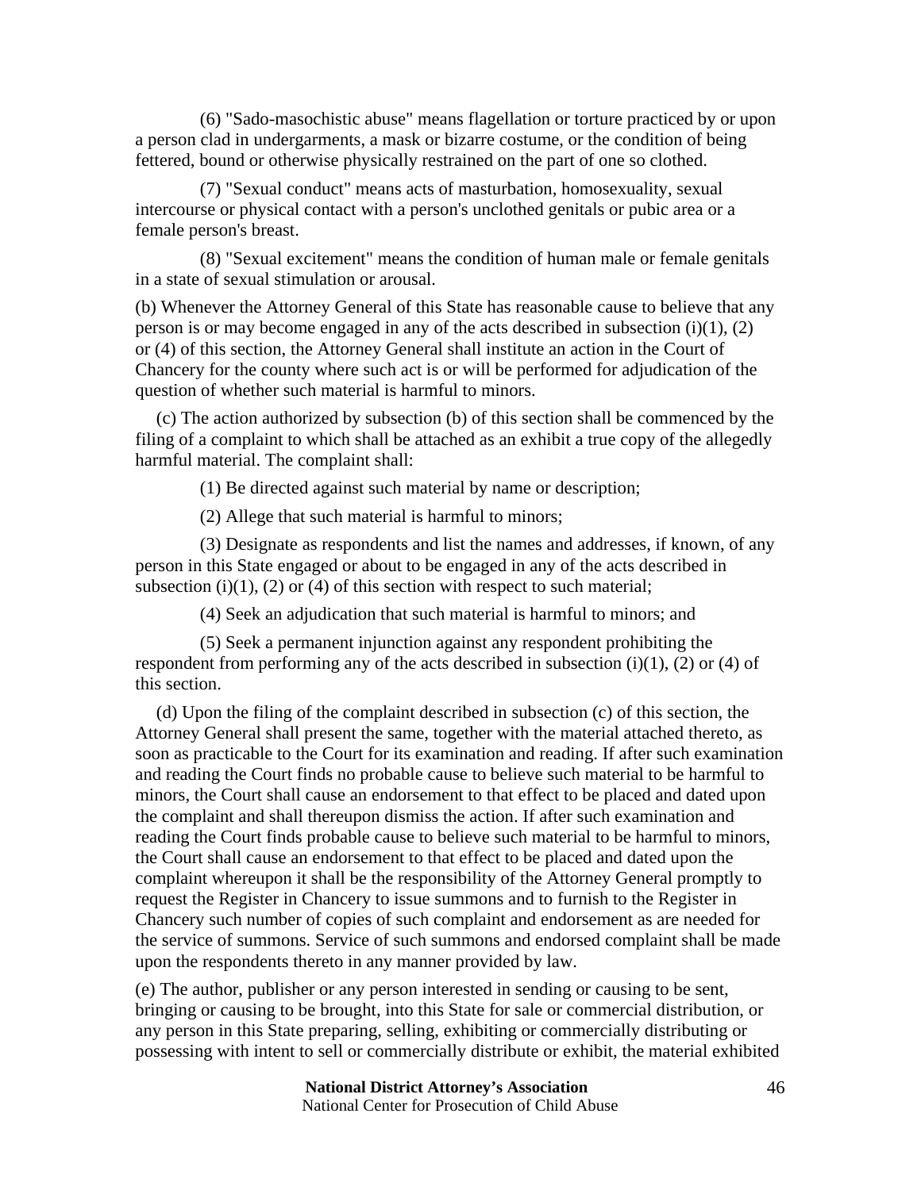(6) "Sado-masochistic abuse" means flagellation or torture practiced by or upon a person clad in undergarments, a mask or bizarre costume, or the condition of being fettered, bound or otherwise physically restrained on the part of one so clothed.

(7) "Sexual conduct" means acts of masturbation, homosexuality, sexual intercourse or physical contact with a person's unclothed genitals or pubic area or a female person's breast.

(8) "Sexual excitement" means the condition of human male or female genitals in a state of sexual stimulation or arousal.

(b) Whenever the Attorney General of this State has reasonable cause to believe that any person is or may become engaged in any of the acts described in subsection  $(i)(1)$ ,  $(2)$ or (4) of this section, the Attorney General shall institute an action in the Court of Chancery for the county where such act is or will be performed for adjudication of the question of whether such material is harmful to minors.

(c) The action authorized by subsection (b) of this section shall be commenced by the filing of a complaint to which shall be attached as an exhibit a true copy of the allegedly harmful material. The complaint shall:

(1) Be directed against such material by name or description;

(2) Allege that such material is harmful to minors;

(3) Designate as respondents and list the names and addresses, if known, of any person in this State engaged or about to be engaged in any of the acts described in subsection (i)(1), (2) or (4) of this section with respect to such material;

(4) Seek an adjudication that such material is harmful to minors; and

(5) Seek a permanent injunction against any respondent prohibiting the respondent from performing any of the acts described in subsection  $(i)(1)$ ,  $(2)$  or  $(4)$  of this section.

(d) Upon the filing of the complaint described in subsection (c) of this section, the Attorney General shall present the same, together with the material attached thereto, as soon as practicable to the Court for its examination and reading. If after such examination and reading the Court finds no probable cause to believe such material to be harmful to minors, the Court shall cause an endorsement to that effect to be placed and dated upon the complaint and shall thereupon dismiss the action. If after such examination and reading the Court finds probable cause to believe such material to be harmful to minors, the Court shall cause an endorsement to that effect to be placed and dated upon the complaint whereupon it shall be the responsibility of the Attorney General promptly to request the Register in Chancery to issue summons and to furnish to the Register in Chancery such number of copies of such complaint and endorsement as are needed for the service of summons. Service of such summons and endorsed complaint shall be made upon the respondents thereto in any manner provided by law.

(e) The author, publisher or any person interested in sending or causing to be sent, bringing or causing to be brought, into this State for sale or commercial distribution, or any person in this State preparing, selling, exhibiting or commercially distributing or possessing with intent to sell or commercially distribute or exhibit, the material exhibited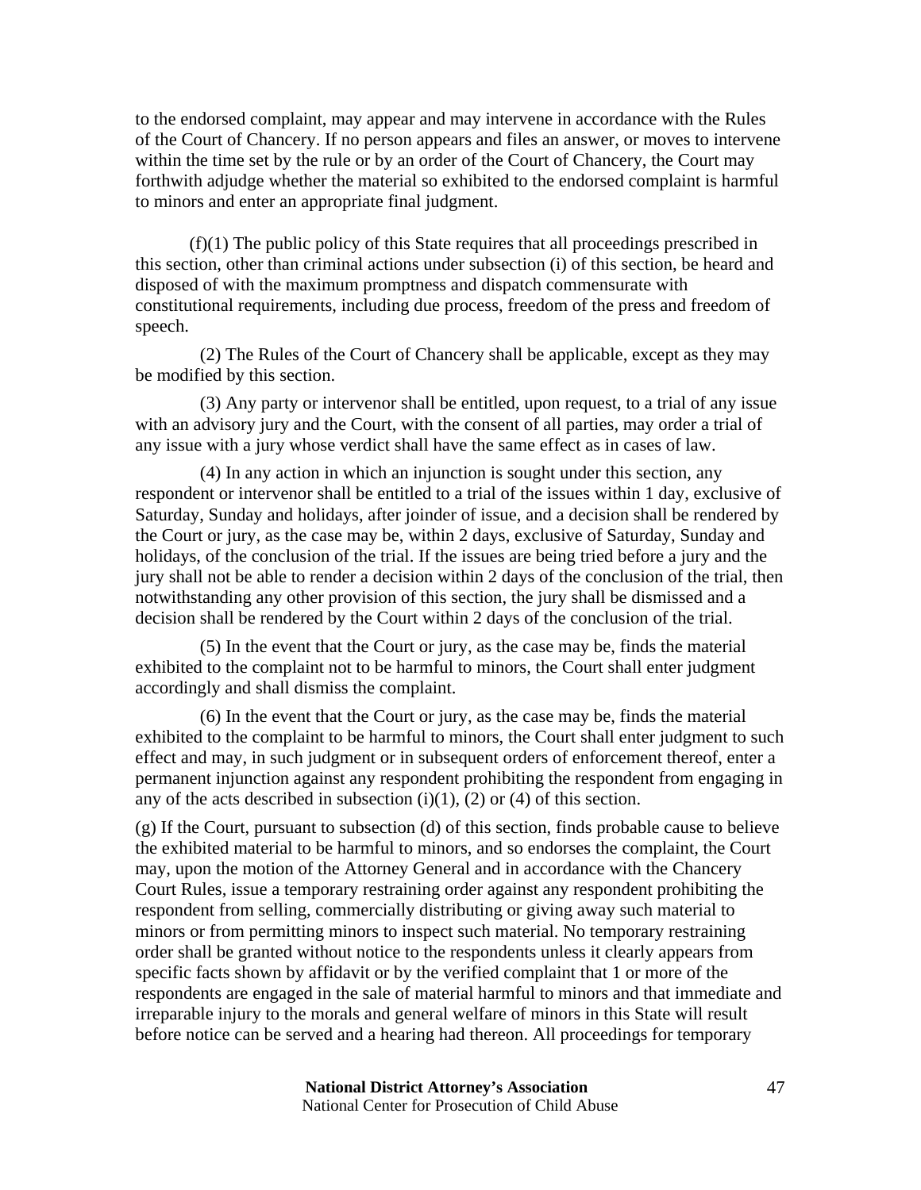to the endorsed complaint, may appear and may intervene in accordance with the Rules of the Court of Chancery. If no person appears and files an answer, or moves to intervene within the time set by the rule or by an order of the Court of Chancery, the Court may forthwith adjudge whether the material so exhibited to the endorsed complaint is harmful to minors and enter an appropriate final judgment.

(f)(1) The public policy of this State requires that all proceedings prescribed in this section, other than criminal actions under subsection (i) of this section, be heard and disposed of with the maximum promptness and dispatch commensurate with constitutional requirements, including due process, freedom of the press and freedom of speech.

(2) The Rules of the Court of Chancery shall be applicable, except as they may be modified by this section.

(3) Any party or intervenor shall be entitled, upon request, to a trial of any issue with an advisory jury and the Court, with the consent of all parties, may order a trial of any issue with a jury whose verdict shall have the same effect as in cases of law.

(4) In any action in which an injunction is sought under this section, any respondent or intervenor shall be entitled to a trial of the issues within 1 day, exclusive of Saturday, Sunday and holidays, after joinder of issue, and a decision shall be rendered by the Court or jury, as the case may be, within 2 days, exclusive of Saturday, Sunday and holidays, of the conclusion of the trial. If the issues are being tried before a jury and the jury shall not be able to render a decision within 2 days of the conclusion of the trial, then notwithstanding any other provision of this section, the jury shall be dismissed and a decision shall be rendered by the Court within 2 days of the conclusion of the trial.

(5) In the event that the Court or jury, as the case may be, finds the material exhibited to the complaint not to be harmful to minors, the Court shall enter judgment accordingly and shall dismiss the complaint.

(6) In the event that the Court or jury, as the case may be, finds the material exhibited to the complaint to be harmful to minors, the Court shall enter judgment to such effect and may, in such judgment or in subsequent orders of enforcement thereof, enter a permanent injunction against any respondent prohibiting the respondent from engaging in any of the acts described in subsection  $(i)(1)$ ,  $(2)$  or  $(4)$  of this section.

(g) If the Court, pursuant to subsection (d) of this section, finds probable cause to believe the exhibited material to be harmful to minors, and so endorses the complaint, the Court may, upon the motion of the Attorney General and in accordance with the Chancery Court Rules, issue a temporary restraining order against any respondent prohibiting the respondent from selling, commercially distributing or giving away such material to minors or from permitting minors to inspect such material. No temporary restraining order shall be granted without notice to the respondents unless it clearly appears from specific facts shown by affidavit or by the verified complaint that 1 or more of the respondents are engaged in the sale of material harmful to minors and that immediate and irreparable injury to the morals and general welfare of minors in this State will result before notice can be served and a hearing had thereon. All proceedings for temporary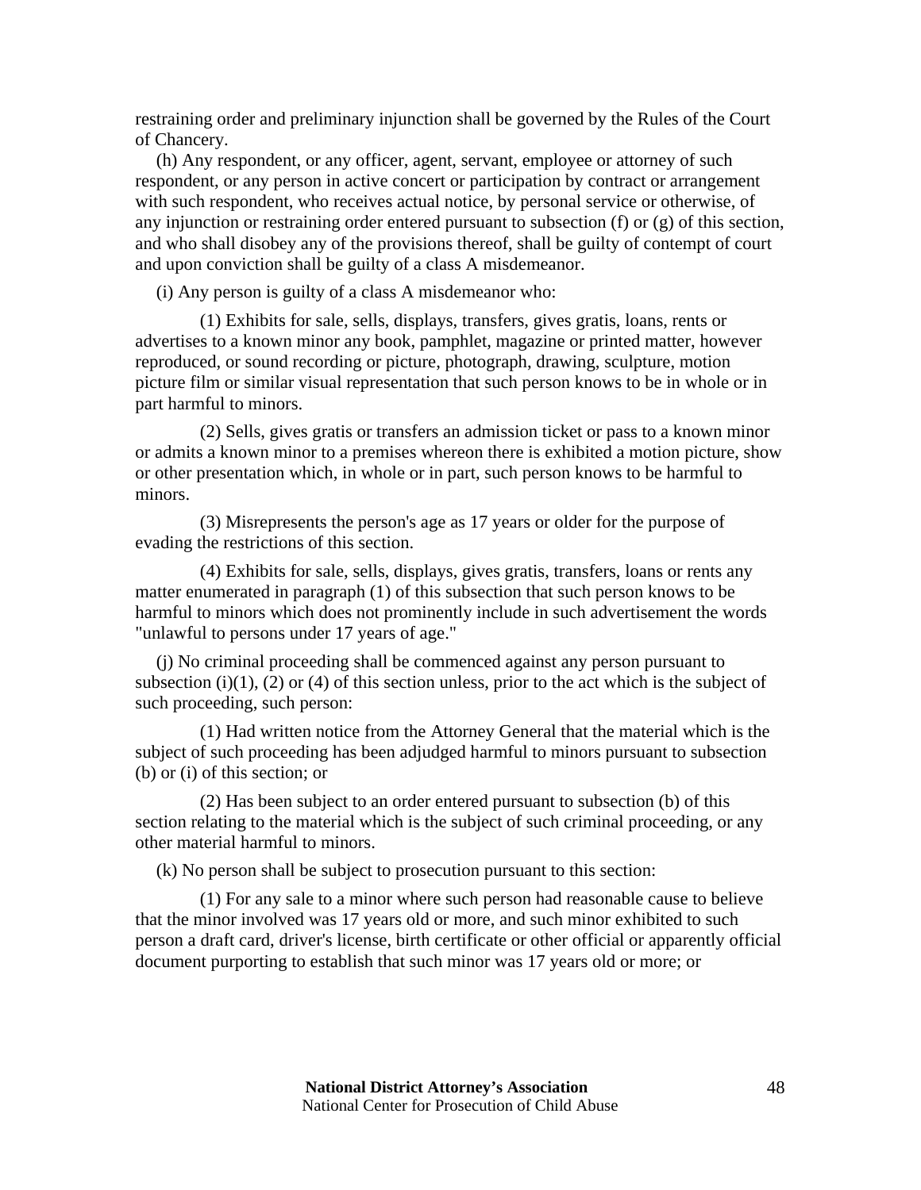restraining order and preliminary injunction shall be governed by the Rules of the Court of Chancery.

(h) Any respondent, or any officer, agent, servant, employee or attorney of such respondent, or any person in active concert or participation by contract or arrangement with such respondent, who receives actual notice, by personal service or otherwise, of any injunction or restraining order entered pursuant to subsection (f) or (g) of this section, and who shall disobey any of the provisions thereof, shall be guilty of contempt of court and upon conviction shall be guilty of a class A misdemeanor.

(i) Any person is guilty of a class A misdemeanor who:

(1) Exhibits for sale, sells, displays, transfers, gives gratis, loans, rents or advertises to a known minor any book, pamphlet, magazine or printed matter, however reproduced, or sound recording or picture, photograph, drawing, sculpture, motion picture film or similar visual representation that such person knows to be in whole or in part harmful to minors.

(2) Sells, gives gratis or transfers an admission ticket or pass to a known minor or admits a known minor to a premises whereon there is exhibited a motion picture, show or other presentation which, in whole or in part, such person knows to be harmful to minors.

(3) Misrepresents the person's age as 17 years or older for the purpose of evading the restrictions of this section.

(4) Exhibits for sale, sells, displays, gives gratis, transfers, loans or rents any matter enumerated in paragraph (1) of this subsection that such person knows to be harmful to minors which does not prominently include in such advertisement the words "unlawful to persons under 17 years of age."

(j) No criminal proceeding shall be commenced against any person pursuant to subsection (i)(1), (2) or (4) of this section unless, prior to the act which is the subject of such proceeding, such person:

(1) Had written notice from the Attorney General that the material which is the subject of such proceeding has been adjudged harmful to minors pursuant to subsection (b) or (i) of this section; or

(2) Has been subject to an order entered pursuant to subsection (b) of this section relating to the material which is the subject of such criminal proceeding, or any other material harmful to minors.

(k) No person shall be subject to prosecution pursuant to this section:

(1) For any sale to a minor where such person had reasonable cause to believe that the minor involved was 17 years old or more, and such minor exhibited to such person a draft card, driver's license, birth certificate or other official or apparently official document purporting to establish that such minor was 17 years old or more; or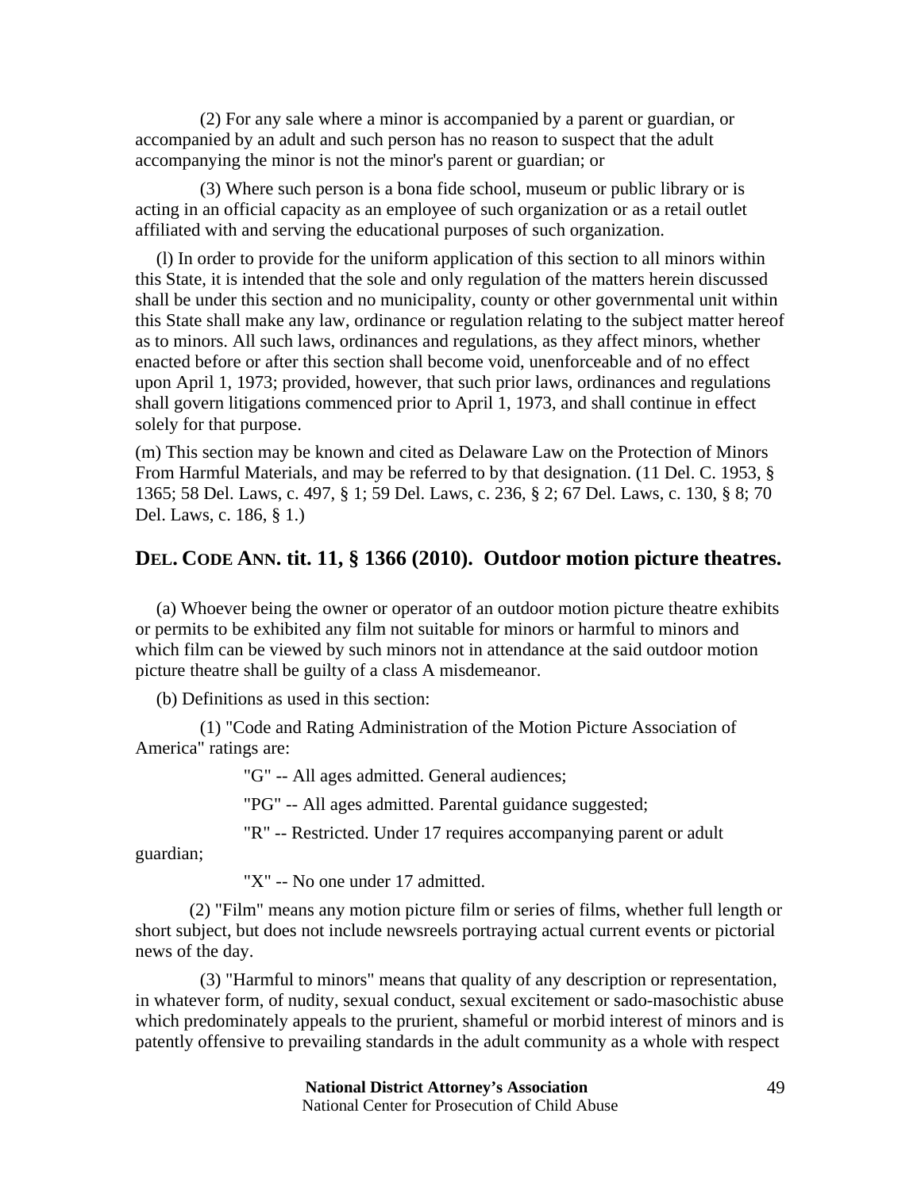(2) For any sale where a minor is accompanied by a parent or guardian, or accompanied by an adult and such person has no reason to suspect that the adult accompanying the minor is not the minor's parent or guardian; or

(3) Where such person is a bona fide school, museum or public library or is acting in an official capacity as an employee of such organization or as a retail outlet affiliated with and serving the educational purposes of such organization.

(l) In order to provide for the uniform application of this section to all minors within this State, it is intended that the sole and only regulation of the matters herein discussed shall be under this section and no municipality, county or other governmental unit within this State shall make any law, ordinance or regulation relating to the subject matter hereof as to minors. All such laws, ordinances and regulations, as they affect minors, whether enacted before or after this section shall become void, unenforceable and of no effect upon April 1, 1973; provided, however, that such prior laws, ordinances and regulations shall govern litigations commenced prior to April 1, 1973, and shall continue in effect solely for that purpose.

(m) This section may be known and cited as Delaware Law on the Protection of Minors From Harmful Materials, and may be referred to by that designation. (11 Del. C. 1953, § 1365; 58 Del. Laws, c. 497, § 1; 59 Del. Laws, c. 236, § 2; 67 Del. Laws, c. 130, § 8; 70 Del. Laws, c. 186, § 1.)

#### **DEL. CODE ANN. tit. 11, § 1366 (2010). Outdoor motion picture theatres.**

(a) Whoever being the owner or operator of an outdoor motion picture theatre exhibits or permits to be exhibited any film not suitable for minors or harmful to minors and which film can be viewed by such minors not in attendance at the said outdoor motion picture theatre shall be guilty of a class A misdemeanor.

(b) Definitions as used in this section:

(1) "Code and Rating Administration of the Motion Picture Association of America" ratings are:

"G" -- All ages admitted. General audiences;

"PG" -- All ages admitted. Parental guidance suggested;

"R" -- Restricted. Under 17 requires accompanying parent or adult

guardian;

"X" -- No one under 17 admitted.

(2) "Film" means any motion picture film or series of films, whether full length or short subject, but does not include newsreels portraying actual current events or pictorial news of the day.

(3) "Harmful to minors" means that quality of any description or representation, in whatever form, of nudity, sexual conduct, sexual excitement or sado-masochistic abuse which predominately appeals to the prurient, shameful or morbid interest of minors and is patently offensive to prevailing standards in the adult community as a whole with respect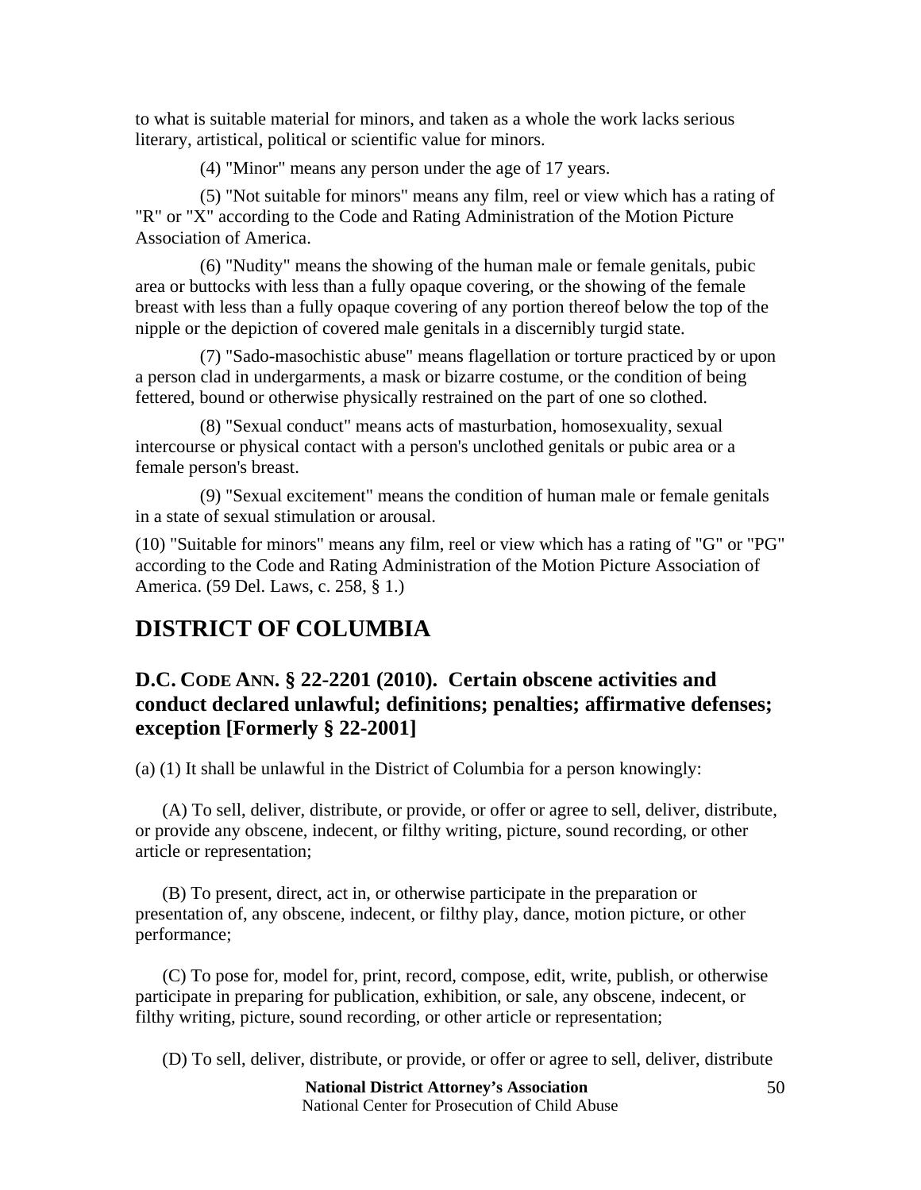to what is suitable material for minors, and taken as a whole the work lacks serious literary, artistical, political or scientific value for minors.

(4) "Minor" means any person under the age of 17 years.

(5) "Not suitable for minors" means any film, reel or view which has a rating of "R" or "X" according to the Code and Rating Administration of the Motion Picture Association of America.

(6) "Nudity" means the showing of the human male or female genitals, pubic area or buttocks with less than a fully opaque covering, or the showing of the female breast with less than a fully opaque covering of any portion thereof below the top of the nipple or the depiction of covered male genitals in a discernibly turgid state.

(7) "Sado-masochistic abuse" means flagellation or torture practiced by or upon a person clad in undergarments, a mask or bizarre costume, or the condition of being fettered, bound or otherwise physically restrained on the part of one so clothed.

(8) "Sexual conduct" means acts of masturbation, homosexuality, sexual intercourse or physical contact with a person's unclothed genitals or pubic area or a female person's breast.

(9) "Sexual excitement" means the condition of human male or female genitals in a state of sexual stimulation or arousal.

(10) "Suitable for minors" means any film, reel or view which has a rating of "G" or "PG" according to the Code and Rating Administration of the Motion Picture Association of America. (59 Del. Laws, c. 258, § 1.)

# **DISTRICT OF COLUMBIA**

### **D.C. CODE ANN. § 22-2201 (2010). Certain obscene activities and conduct declared unlawful; definitions; penalties; affirmative defenses; exception [Formerly § 22-2001]**

(a) (1) It shall be unlawful in the District of Columbia for a person knowingly:

 (A) To sell, deliver, distribute, or provide, or offer or agree to sell, deliver, distribute, or provide any obscene, indecent, or filthy writing, picture, sound recording, or other article or representation;

 (B) To present, direct, act in, or otherwise participate in the preparation or presentation of, any obscene, indecent, or filthy play, dance, motion picture, or other performance;

 (C) To pose for, model for, print, record, compose, edit, write, publish, or otherwise participate in preparing for publication, exhibition, or sale, any obscene, indecent, or filthy writing, picture, sound recording, or other article or representation;

(D) To sell, deliver, distribute, or provide, or offer or agree to sell, deliver, distribute

**National District Attorney's Association**  National Center for Prosecution of Child Abuse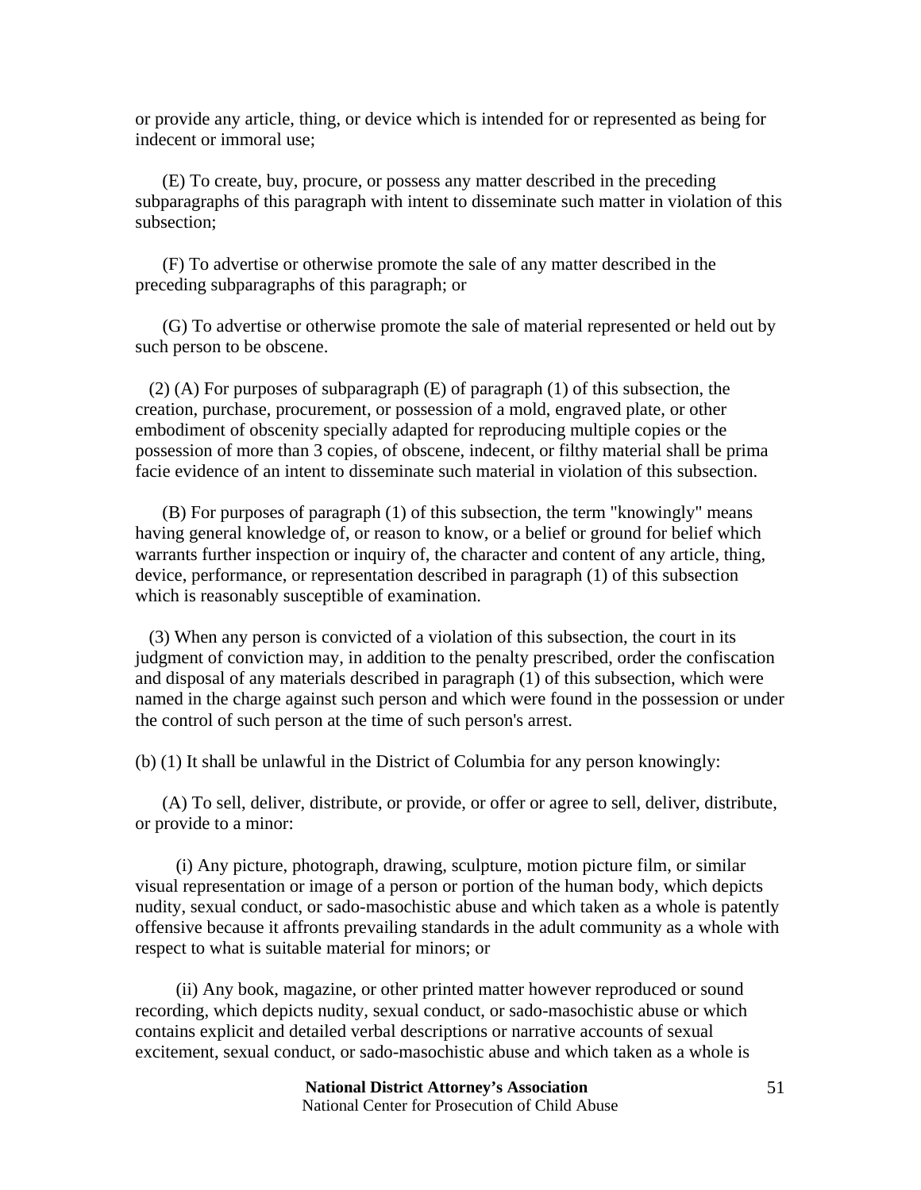or provide any article, thing, or device which is intended for or represented as being for indecent or immoral use;

 (E) To create, buy, procure, or possess any matter described in the preceding subparagraphs of this paragraph with intent to disseminate such matter in violation of this subsection;

 (F) To advertise or otherwise promote the sale of any matter described in the preceding subparagraphs of this paragraph; or

 (G) To advertise or otherwise promote the sale of material represented or held out by such person to be obscene.

 (2) (A) For purposes of subparagraph (E) of paragraph (1) of this subsection, the creation, purchase, procurement, or possession of a mold, engraved plate, or other embodiment of obscenity specially adapted for reproducing multiple copies or the possession of more than 3 copies, of obscene, indecent, or filthy material shall be prima facie evidence of an intent to disseminate such material in violation of this subsection.

 (B) For purposes of paragraph (1) of this subsection, the term "knowingly" means having general knowledge of, or reason to know, or a belief or ground for belief which warrants further inspection or inquiry of, the character and content of any article, thing, device, performance, or representation described in paragraph (1) of this subsection which is reasonably susceptible of examination.

 (3) When any person is convicted of a violation of this subsection, the court in its judgment of conviction may, in addition to the penalty prescribed, order the confiscation and disposal of any materials described in paragraph (1) of this subsection, which were named in the charge against such person and which were found in the possession or under the control of such person at the time of such person's arrest.

(b) (1) It shall be unlawful in the District of Columbia for any person knowingly:

 (A) To sell, deliver, distribute, or provide, or offer or agree to sell, deliver, distribute, or provide to a minor:

 (i) Any picture, photograph, drawing, sculpture, motion picture film, or similar visual representation or image of a person or portion of the human body, which depicts nudity, sexual conduct, or sado-masochistic abuse and which taken as a whole is patently offensive because it affronts prevailing standards in the adult community as a whole with respect to what is suitable material for minors; or

 (ii) Any book, magazine, or other printed matter however reproduced or sound recording, which depicts nudity, sexual conduct, or sado-masochistic abuse or which contains explicit and detailed verbal descriptions or narrative accounts of sexual excitement, sexual conduct, or sado-masochistic abuse and which taken as a whole is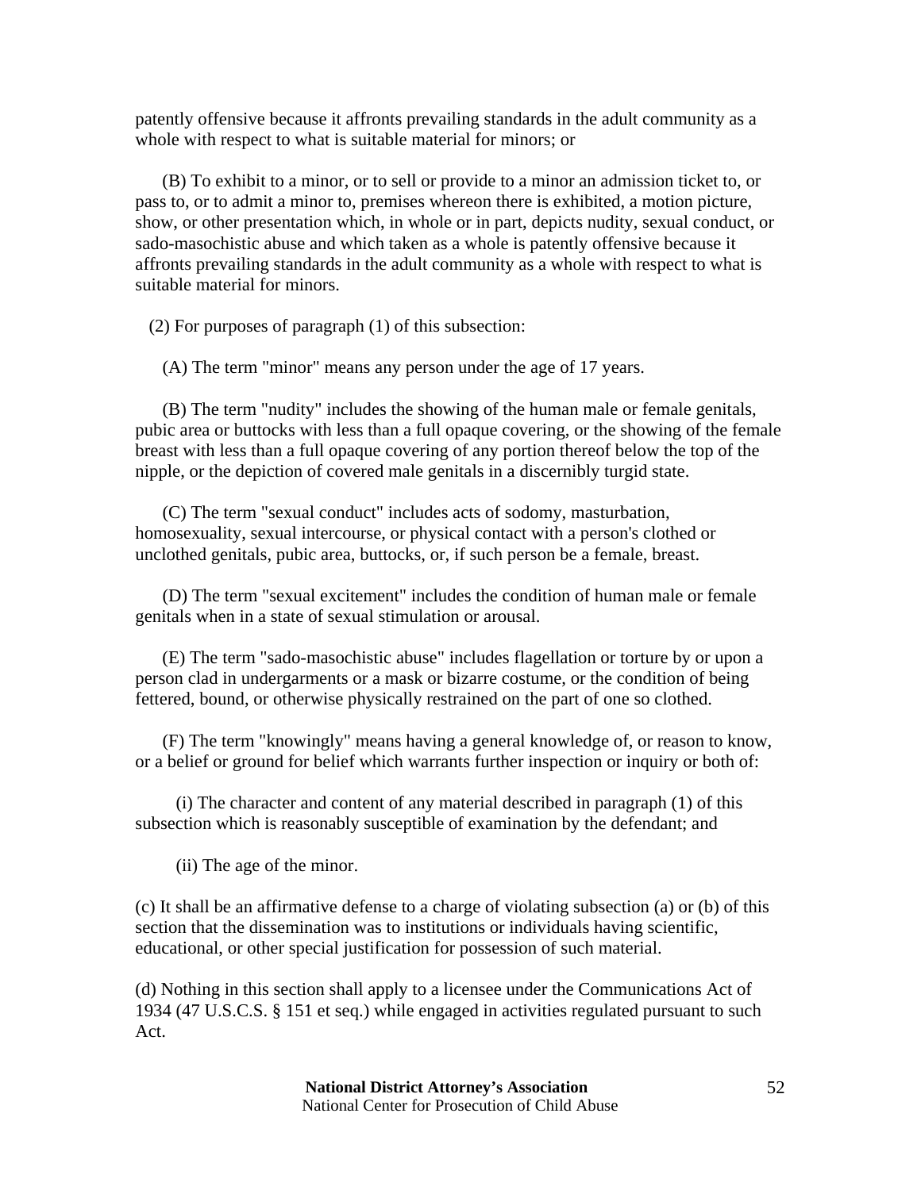patently offensive because it affronts prevailing standards in the adult community as a whole with respect to what is suitable material for minors; or

 (B) To exhibit to a minor, or to sell or provide to a minor an admission ticket to, or pass to, or to admit a minor to, premises whereon there is exhibited, a motion picture, show, or other presentation which, in whole or in part, depicts nudity, sexual conduct, or sado-masochistic abuse and which taken as a whole is patently offensive because it affronts prevailing standards in the adult community as a whole with respect to what is suitable material for minors.

(2) For purposes of paragraph (1) of this subsection:

(A) The term "minor" means any person under the age of 17 years.

 (B) The term "nudity" includes the showing of the human male or female genitals, pubic area or buttocks with less than a full opaque covering, or the showing of the female breast with less than a full opaque covering of any portion thereof below the top of the nipple, or the depiction of covered male genitals in a discernibly turgid state.

 (C) The term "sexual conduct" includes acts of sodomy, masturbation, homosexuality, sexual intercourse, or physical contact with a person's clothed or unclothed genitals, pubic area, buttocks, or, if such person be a female, breast.

 (D) The term "sexual excitement" includes the condition of human male or female genitals when in a state of sexual stimulation or arousal.

 (E) The term "sado-masochistic abuse" includes flagellation or torture by or upon a person clad in undergarments or a mask or bizarre costume, or the condition of being fettered, bound, or otherwise physically restrained on the part of one so clothed.

 (F) The term "knowingly" means having a general knowledge of, or reason to know, or a belief or ground for belief which warrants further inspection or inquiry or both of:

 (i) The character and content of any material described in paragraph (1) of this subsection which is reasonably susceptible of examination by the defendant; and

(ii) The age of the minor.

(c) It shall be an affirmative defense to a charge of violating subsection (a) or (b) of this section that the dissemination was to institutions or individuals having scientific, educational, or other special justification for possession of such material.

(d) Nothing in this section shall apply to a licensee under the Communications Act of 1934 (47 U.S.C.S. § 151 et seq.) while engaged in activities regulated pursuant to such Act.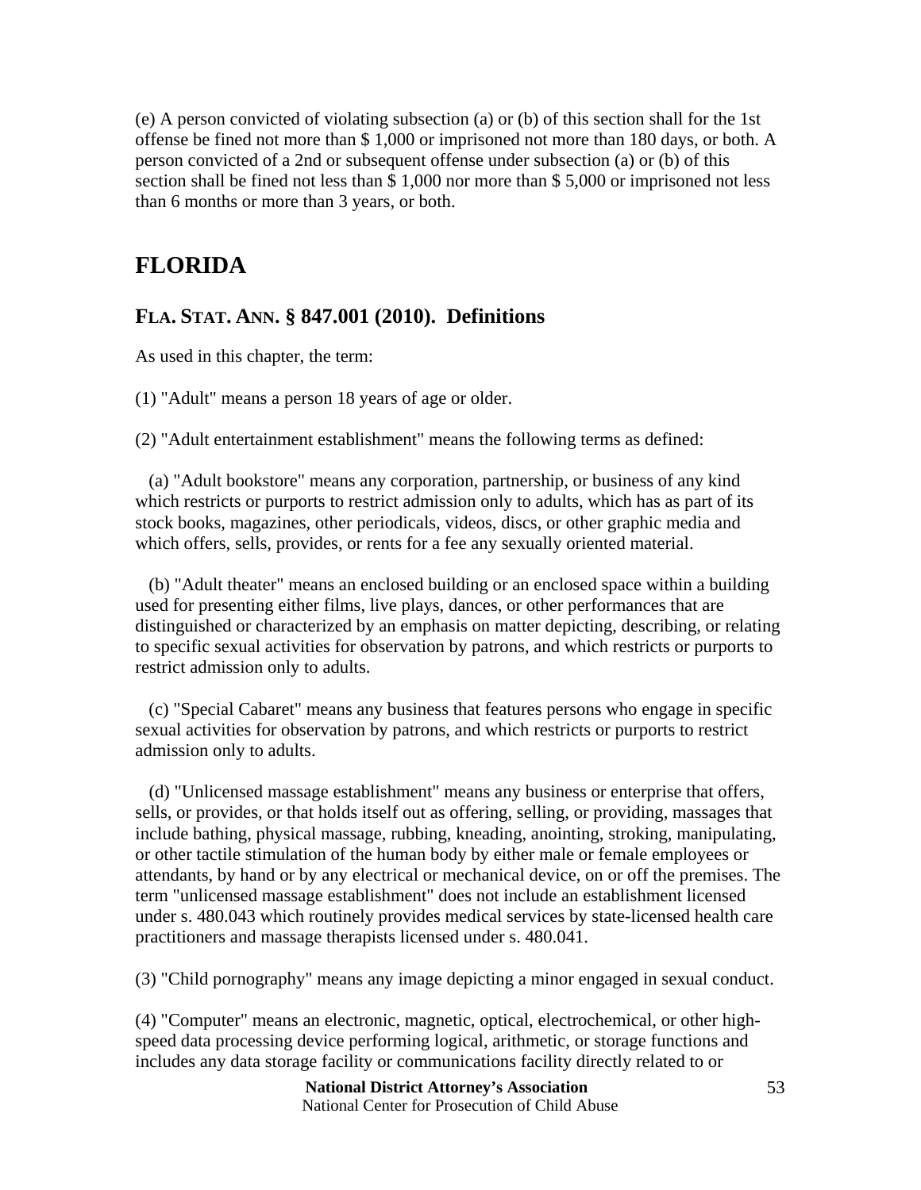(e) A person convicted of violating subsection (a) or (b) of this section shall for the 1st offense be fined not more than \$ 1,000 or imprisoned not more than 180 days, or both. A person convicted of a 2nd or subsequent offense under subsection (a) or (b) of this section shall be fined not less than \$ 1,000 nor more than \$ 5,000 or imprisoned not less than 6 months or more than 3 years, or both.

## **FLORIDA**

#### **FLA. STAT. ANN. § 847.001 (2010). Definitions**

As used in this chapter, the term:

(1) "Adult" means a person 18 years of age or older.

(2) "Adult entertainment establishment" means the following terms as defined:

 (a) "Adult bookstore" means any corporation, partnership, or business of any kind which restricts or purports to restrict admission only to adults, which has as part of its stock books, magazines, other periodicals, videos, discs, or other graphic media and which offers, sells, provides, or rents for a fee any sexually oriented material.

 (b) "Adult theater" means an enclosed building or an enclosed space within a building used for presenting either films, live plays, dances, or other performances that are distinguished or characterized by an emphasis on matter depicting, describing, or relating to specific sexual activities for observation by patrons, and which restricts or purports to restrict admission only to adults.

 (c) "Special Cabaret" means any business that features persons who engage in specific sexual activities for observation by patrons, and which restricts or purports to restrict admission only to adults.

 (d) "Unlicensed massage establishment" means any business or enterprise that offers, sells, or provides, or that holds itself out as offering, selling, or providing, massages that include bathing, physical massage, rubbing, kneading, anointing, stroking, manipulating, or other tactile stimulation of the human body by either male or female employees or attendants, by hand or by any electrical or mechanical device, on or off the premises. The term "unlicensed massage establishment" does not include an establishment licensed under s. 480.043 which routinely provides medical services by state-licensed health care practitioners and massage therapists licensed under s. 480.041.

(3) "Child pornography" means any image depicting a minor engaged in sexual conduct.

(4) "Computer" means an electronic, magnetic, optical, electrochemical, or other highspeed data processing device performing logical, arithmetic, or storage functions and includes any data storage facility or communications facility directly related to or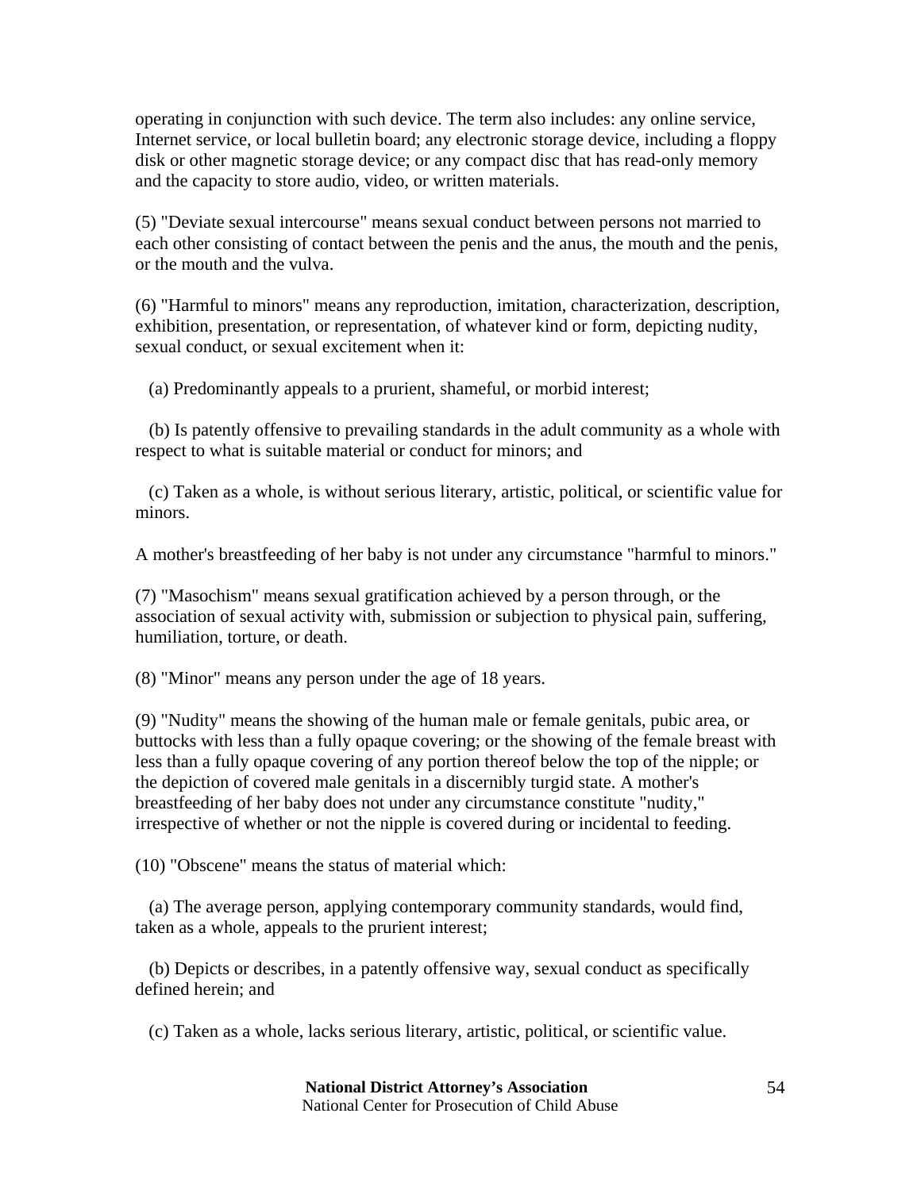operating in conjunction with such device. The term also includes: any online service, Internet service, or local bulletin board; any electronic storage device, including a floppy disk or other magnetic storage device; or any compact disc that has read-only memory and the capacity to store audio, video, or written materials.

(5) "Deviate sexual intercourse" means sexual conduct between persons not married to each other consisting of contact between the penis and the anus, the mouth and the penis, or the mouth and the vulva.

(6) "Harmful to minors" means any reproduction, imitation, characterization, description, exhibition, presentation, or representation, of whatever kind or form, depicting nudity, sexual conduct, or sexual excitement when it:

(a) Predominantly appeals to a prurient, shameful, or morbid interest;

 (b) Is patently offensive to prevailing standards in the adult community as a whole with respect to what is suitable material or conduct for minors; and

 (c) Taken as a whole, is without serious literary, artistic, political, or scientific value for minors.

A mother's breastfeeding of her baby is not under any circumstance "harmful to minors."

(7) "Masochism" means sexual gratification achieved by a person through, or the association of sexual activity with, submission or subjection to physical pain, suffering, humiliation, torture, or death.

(8) "Minor" means any person under the age of 18 years.

(9) "Nudity" means the showing of the human male or female genitals, pubic area, or buttocks with less than a fully opaque covering; or the showing of the female breast with less than a fully opaque covering of any portion thereof below the top of the nipple; or the depiction of covered male genitals in a discernibly turgid state. A mother's breastfeeding of her baby does not under any circumstance constitute "nudity," irrespective of whether or not the nipple is covered during or incidental to feeding.

(10) "Obscene" means the status of material which:

 (a) The average person, applying contemporary community standards, would find, taken as a whole, appeals to the prurient interest;

 (b) Depicts or describes, in a patently offensive way, sexual conduct as specifically defined herein; and

(c) Taken as a whole, lacks serious literary, artistic, political, or scientific value.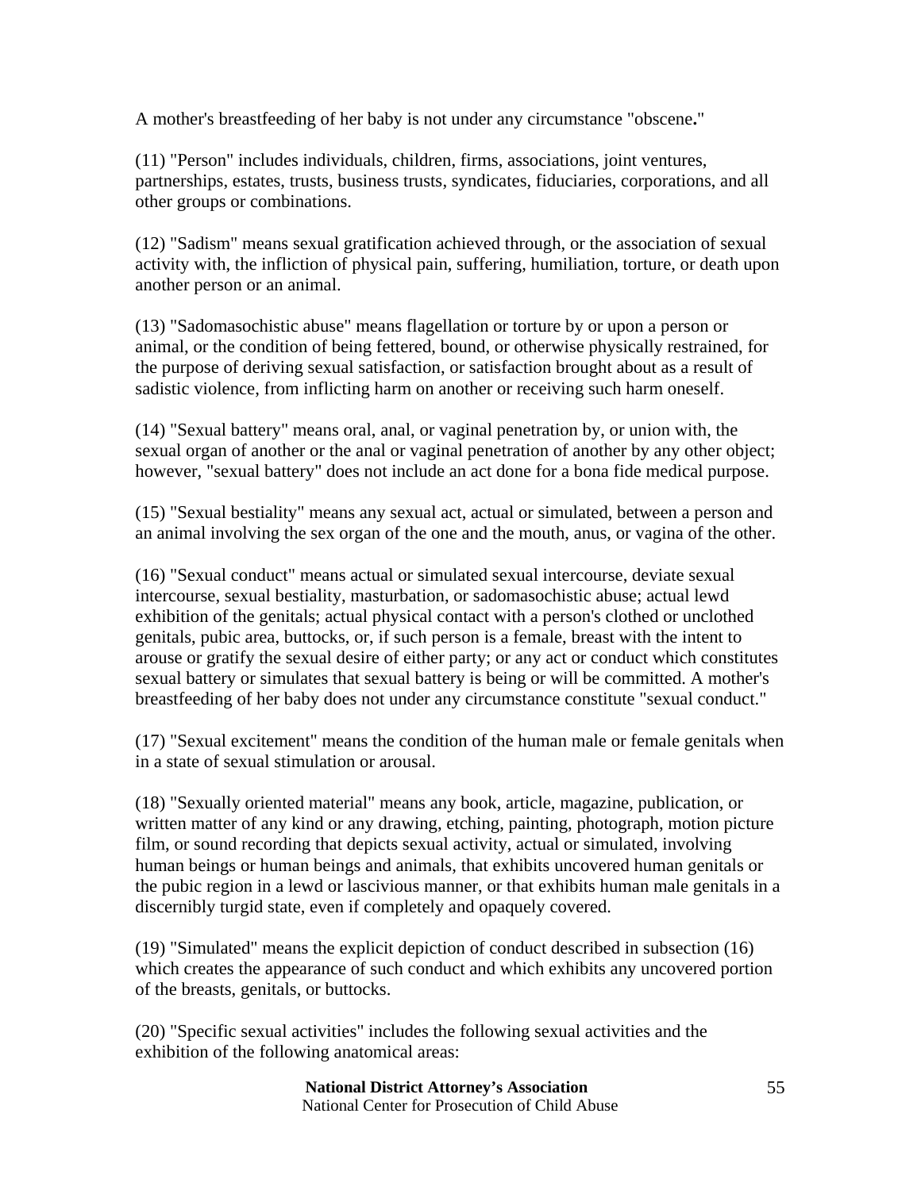A mother's breastfeeding of her baby is not under any circumstance "obscene**.**"

(11) "Person" includes individuals, children, firms, associations, joint ventures, partnerships, estates, trusts, business trusts, syndicates, fiduciaries, corporations, and all other groups or combinations.

(12) "Sadism" means sexual gratification achieved through, or the association of sexual activity with, the infliction of physical pain, suffering, humiliation, torture, or death upon another person or an animal.

(13) "Sadomasochistic abuse" means flagellation or torture by or upon a person or animal, or the condition of being fettered, bound, or otherwise physically restrained, for the purpose of deriving sexual satisfaction, or satisfaction brought about as a result of sadistic violence, from inflicting harm on another or receiving such harm oneself.

(14) "Sexual battery" means oral, anal, or vaginal penetration by, or union with, the sexual organ of another or the anal or vaginal penetration of another by any other object; however, "sexual battery" does not include an act done for a bona fide medical purpose.

(15) "Sexual bestiality" means any sexual act, actual or simulated, between a person and an animal involving the sex organ of the one and the mouth, anus, or vagina of the other.

(16) "Sexual conduct" means actual or simulated sexual intercourse, deviate sexual intercourse, sexual bestiality, masturbation, or sadomasochistic abuse; actual lewd exhibition of the genitals; actual physical contact with a person's clothed or unclothed genitals, pubic area, buttocks, or, if such person is a female, breast with the intent to arouse or gratify the sexual desire of either party; or any act or conduct which constitutes sexual battery or simulates that sexual battery is being or will be committed. A mother's breastfeeding of her baby does not under any circumstance constitute "sexual conduct."

(17) "Sexual excitement" means the condition of the human male or female genitals when in a state of sexual stimulation or arousal.

(18) "Sexually oriented material" means any book, article, magazine, publication, or written matter of any kind or any drawing, etching, painting, photograph, motion picture film, or sound recording that depicts sexual activity, actual or simulated, involving human beings or human beings and animals, that exhibits uncovered human genitals or the pubic region in a lewd or lascivious manner, or that exhibits human male genitals in a discernibly turgid state, even if completely and opaquely covered.

(19) "Simulated" means the explicit depiction of conduct described in subsection (16) which creates the appearance of such conduct and which exhibits any uncovered portion of the breasts, genitals, or buttocks.

(20) "Specific sexual activities" includes the following sexual activities and the exhibition of the following anatomical areas: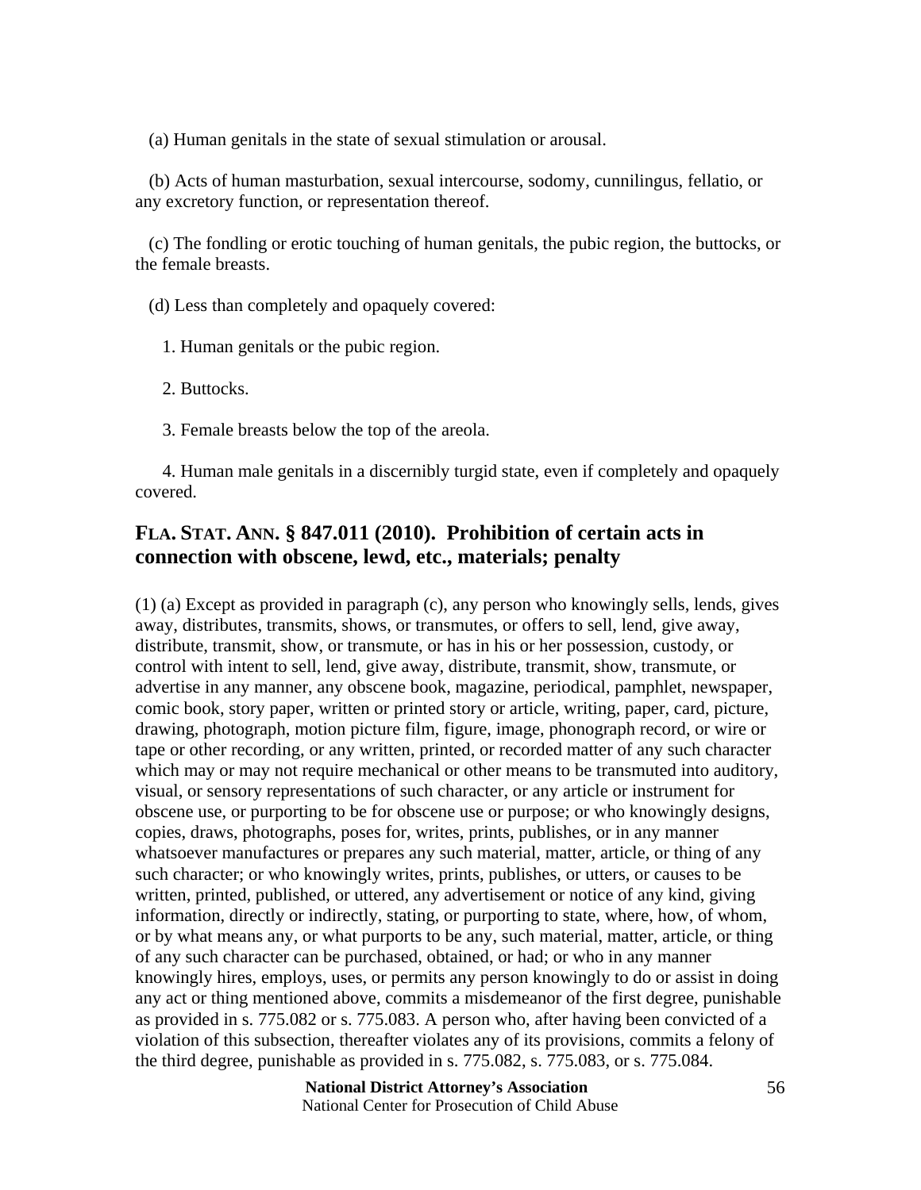(a) Human genitals in the state of sexual stimulation or arousal.

 (b) Acts of human masturbation, sexual intercourse, sodomy, cunnilingus, fellatio, or any excretory function, or representation thereof.

 (c) The fondling or erotic touching of human genitals, the pubic region, the buttocks, or the female breasts.

(d) Less than completely and opaquely covered:

1. Human genitals or the pubic region.

2. Buttocks.

3. Female breasts below the top of the areola.

 4. Human male genitals in a discernibly turgid state, even if completely and opaquely covered.

#### **FLA. STAT. ANN. § 847.011 (2010). Prohibition of certain acts in connection with obscene, lewd, etc., materials; penalty**

(1) (a) Except as provided in paragraph (c), any person who knowingly sells, lends, gives away, distributes, transmits, shows, or transmutes, or offers to sell, lend, give away, distribute, transmit, show, or transmute, or has in his or her possession, custody, or control with intent to sell, lend, give away, distribute, transmit, show, transmute, or advertise in any manner, any obscene book, magazine, periodical, pamphlet, newspaper, comic book, story paper, written or printed story or article, writing, paper, card, picture, drawing, photograph, motion picture film, figure, image, phonograph record, or wire or tape or other recording, or any written, printed, or recorded matter of any such character which may or may not require mechanical or other means to be transmuted into auditory, visual, or sensory representations of such character, or any article or instrument for obscene use, or purporting to be for obscene use or purpose; or who knowingly designs, copies, draws, photographs, poses for, writes, prints, publishes, or in any manner whatsoever manufactures or prepares any such material, matter, article, or thing of any such character; or who knowingly writes, prints, publishes, or utters, or causes to be written, printed, published, or uttered, any advertisement or notice of any kind, giving information, directly or indirectly, stating, or purporting to state, where, how, of whom, or by what means any, or what purports to be any, such material, matter, article, or thing of any such character can be purchased, obtained, or had; or who in any manner knowingly hires, employs, uses, or permits any person knowingly to do or assist in doing any act or thing mentioned above, commits a misdemeanor of the first degree, punishable as provided in s. 775.082 or s. 775.083. A person who, after having been convicted of a violation of this subsection, thereafter violates any of its provisions, commits a felony of the third degree, punishable as provided in s. 775.082, s. 775.083, or s. 775.084.

> **National District Attorney's Association**  National Center for Prosecution of Child Abuse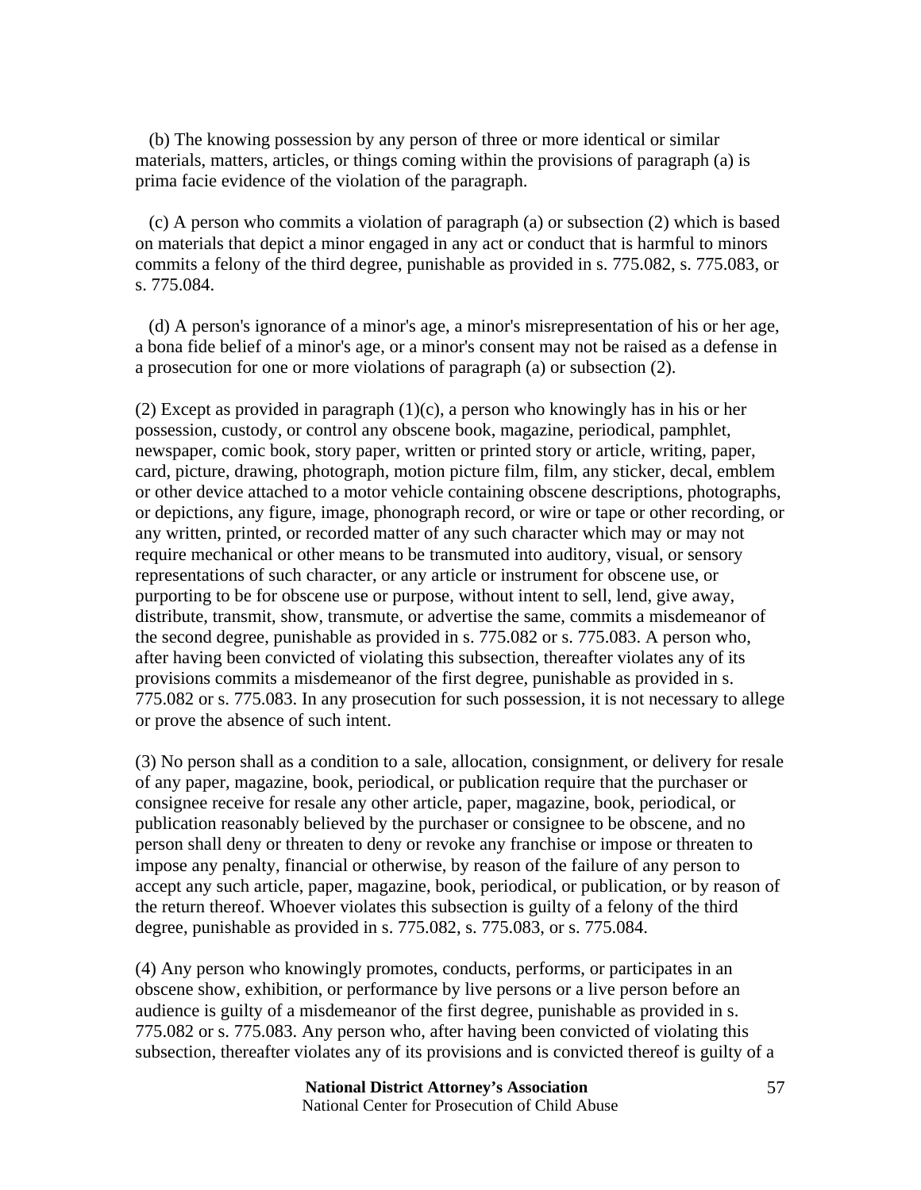(b) The knowing possession by any person of three or more identical or similar materials, matters, articles, or things coming within the provisions of paragraph (a) is prima facie evidence of the violation of the paragraph.

 (c) A person who commits a violation of paragraph (a) or subsection (2) which is based on materials that depict a minor engaged in any act or conduct that is harmful to minors commits a felony of the third degree, punishable as provided in s. 775.082, s. 775.083, or s. 775.084.

 (d) A person's ignorance of a minor's age, a minor's misrepresentation of his or her age, a bona fide belief of a minor's age, or a minor's consent may not be raised as a defense in a prosecution for one or more violations of paragraph (a) or subsection (2).

 $(2)$  Except as provided in paragraph  $(1)(c)$ , a person who knowingly has in his or her possession, custody, or control any obscene book, magazine, periodical, pamphlet, newspaper, comic book, story paper, written or printed story or article, writing, paper, card, picture, drawing, photograph, motion picture film, film, any sticker, decal, emblem or other device attached to a motor vehicle containing obscene descriptions, photographs, or depictions, any figure, image, phonograph record, or wire or tape or other recording, or any written, printed, or recorded matter of any such character which may or may not require mechanical or other means to be transmuted into auditory, visual, or sensory representations of such character, or any article or instrument for obscene use, or purporting to be for obscene use or purpose, without intent to sell, lend, give away, distribute, transmit, show, transmute, or advertise the same, commits a misdemeanor of the second degree, punishable as provided in s. 775.082 or s. 775.083. A person who, after having been convicted of violating this subsection, thereafter violates any of its provisions commits a misdemeanor of the first degree, punishable as provided in s. 775.082 or s. 775.083. In any prosecution for such possession, it is not necessary to allege or prove the absence of such intent.

(3) No person shall as a condition to a sale, allocation, consignment, or delivery for resale of any paper, magazine, book, periodical, or publication require that the purchaser or consignee receive for resale any other article, paper, magazine, book, periodical, or publication reasonably believed by the purchaser or consignee to be obscene, and no person shall deny or threaten to deny or revoke any franchise or impose or threaten to impose any penalty, financial or otherwise, by reason of the failure of any person to accept any such article, paper, magazine, book, periodical, or publication, or by reason of the return thereof. Whoever violates this subsection is guilty of a felony of the third degree, punishable as provided in s. 775.082, s. 775.083, or s. 775.084.

(4) Any person who knowingly promotes, conducts, performs, or participates in an obscene show, exhibition, or performance by live persons or a live person before an audience is guilty of a misdemeanor of the first degree, punishable as provided in s. 775.082 or s. 775.083. Any person who, after having been convicted of violating this subsection, thereafter violates any of its provisions and is convicted thereof is guilty of a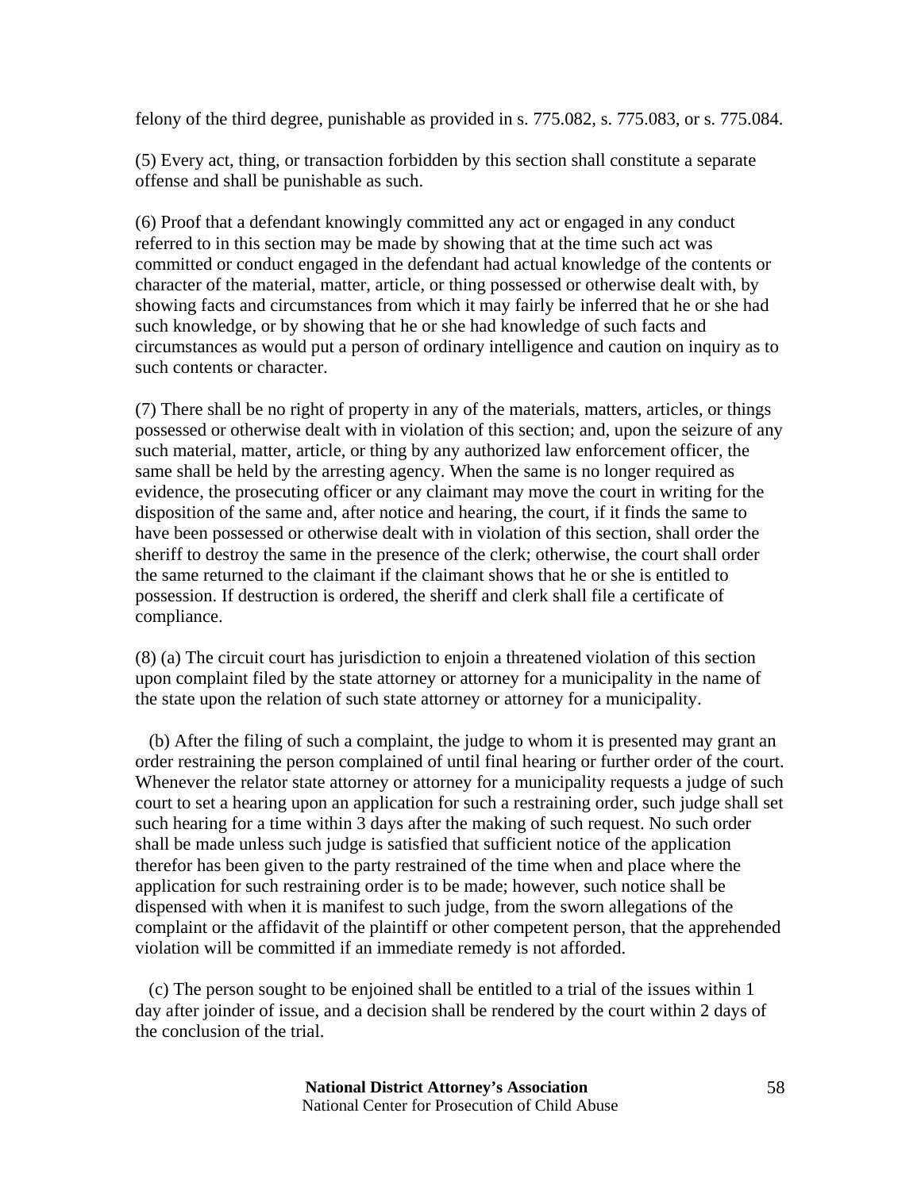felony of the third degree, punishable as provided in s. 775.082, s. 775.083, or s. 775.084.

(5) Every act, thing, or transaction forbidden by this section shall constitute a separate offense and shall be punishable as such.

(6) Proof that a defendant knowingly committed any act or engaged in any conduct referred to in this section may be made by showing that at the time such act was committed or conduct engaged in the defendant had actual knowledge of the contents or character of the material, matter, article, or thing possessed or otherwise dealt with, by showing facts and circumstances from which it may fairly be inferred that he or she had such knowledge, or by showing that he or she had knowledge of such facts and circumstances as would put a person of ordinary intelligence and caution on inquiry as to such contents or character.

(7) There shall be no right of property in any of the materials, matters, articles, or things possessed or otherwise dealt with in violation of this section; and, upon the seizure of any such material, matter, article, or thing by any authorized law enforcement officer, the same shall be held by the arresting agency. When the same is no longer required as evidence, the prosecuting officer or any claimant may move the court in writing for the disposition of the same and, after notice and hearing, the court, if it finds the same to have been possessed or otherwise dealt with in violation of this section, shall order the sheriff to destroy the same in the presence of the clerk; otherwise, the court shall order the same returned to the claimant if the claimant shows that he or she is entitled to possession. If destruction is ordered, the sheriff and clerk shall file a certificate of compliance.

(8) (a) The circuit court has jurisdiction to enjoin a threatened violation of this section upon complaint filed by the state attorney or attorney for a municipality in the name of the state upon the relation of such state attorney or attorney for a municipality.

 (b) After the filing of such a complaint, the judge to whom it is presented may grant an order restraining the person complained of until final hearing or further order of the court. Whenever the relator state attorney or attorney for a municipality requests a judge of such court to set a hearing upon an application for such a restraining order, such judge shall set such hearing for a time within 3 days after the making of such request. No such order shall be made unless such judge is satisfied that sufficient notice of the application therefor has been given to the party restrained of the time when and place where the application for such restraining order is to be made; however, such notice shall be dispensed with when it is manifest to such judge, from the sworn allegations of the complaint or the affidavit of the plaintiff or other competent person, that the apprehended violation will be committed if an immediate remedy is not afforded.

 (c) The person sought to be enjoined shall be entitled to a trial of the issues within 1 day after joinder of issue, and a decision shall be rendered by the court within 2 days of the conclusion of the trial.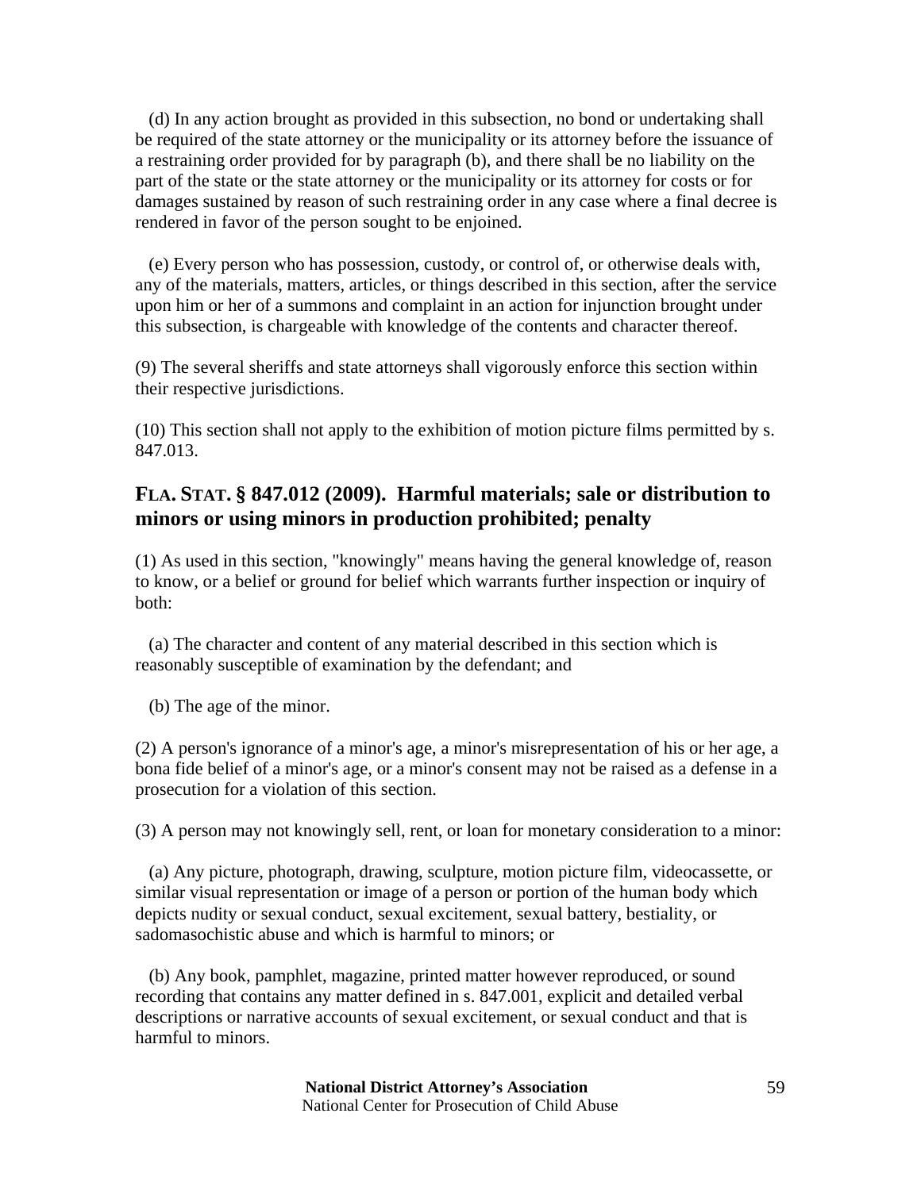(d) In any action brought as provided in this subsection, no bond or undertaking shall be required of the state attorney or the municipality or its attorney before the issuance of a restraining order provided for by paragraph (b), and there shall be no liability on the part of the state or the state attorney or the municipality or its attorney for costs or for damages sustained by reason of such restraining order in any case where a final decree is rendered in favor of the person sought to be enjoined.

 (e) Every person who has possession, custody, or control of, or otherwise deals with, any of the materials, matters, articles, or things described in this section, after the service upon him or her of a summons and complaint in an action for injunction brought under this subsection, is chargeable with knowledge of the contents and character thereof.

(9) The several sheriffs and state attorneys shall vigorously enforce this section within their respective jurisdictions.

(10) This section shall not apply to the exhibition of motion picture films permitted by s. 847.013.

#### **FLA. STAT. § 847.012 (2009). Harmful materials; sale or distribution to minors or using minors in production prohibited; penalty**

(1) As used in this section, "knowingly" means having the general knowledge of, reason to know, or a belief or ground for belief which warrants further inspection or inquiry of both:

 (a) The character and content of any material described in this section which is reasonably susceptible of examination by the defendant; and

(b) The age of the minor.

(2) A person's ignorance of a minor's age, a minor's misrepresentation of his or her age, a bona fide belief of a minor's age, or a minor's consent may not be raised as a defense in a prosecution for a violation of this section.

(3) A person may not knowingly sell, rent, or loan for monetary consideration to a minor:

 (a) Any picture, photograph, drawing, sculpture, motion picture film, videocassette, or similar visual representation or image of a person or portion of the human body which depicts nudity or sexual conduct, sexual excitement, sexual battery, bestiality, or sadomasochistic abuse and which is harmful to minors; or

 (b) Any book, pamphlet, magazine, printed matter however reproduced, or sound recording that contains any matter defined in s. 847.001, explicit and detailed verbal descriptions or narrative accounts of sexual excitement, or sexual conduct and that is harmful to minors.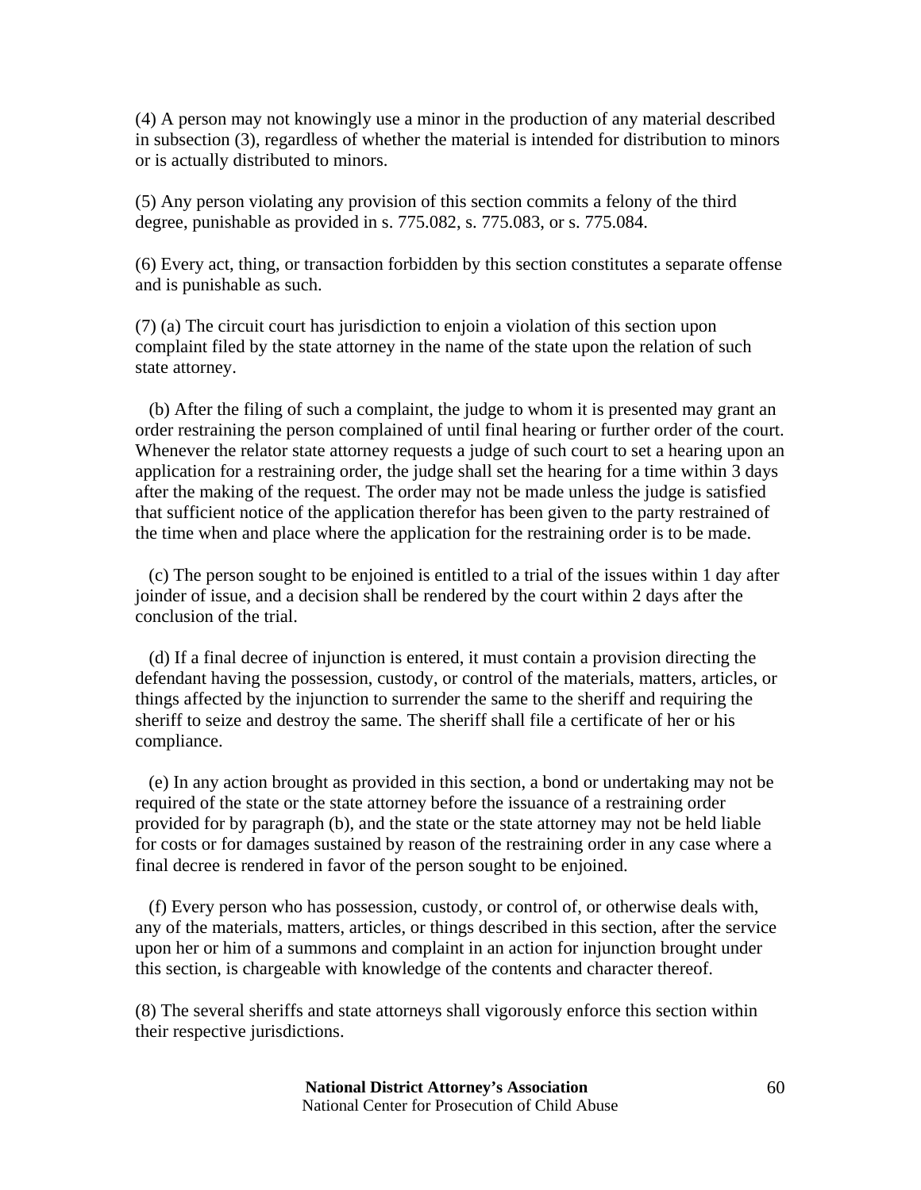(4) A person may not knowingly use a minor in the production of any material described in subsection (3), regardless of whether the material is intended for distribution to minors or is actually distributed to minors.

(5) Any person violating any provision of this section commits a felony of the third degree, punishable as provided in s. 775.082, s. 775.083, or s. 775.084.

(6) Every act, thing, or transaction forbidden by this section constitutes a separate offense and is punishable as such.

(7) (a) The circuit court has jurisdiction to enjoin a violation of this section upon complaint filed by the state attorney in the name of the state upon the relation of such state attorney.

 (b) After the filing of such a complaint, the judge to whom it is presented may grant an order restraining the person complained of until final hearing or further order of the court. Whenever the relator state attorney requests a judge of such court to set a hearing upon an application for a restraining order, the judge shall set the hearing for a time within 3 days after the making of the request. The order may not be made unless the judge is satisfied that sufficient notice of the application therefor has been given to the party restrained of the time when and place where the application for the restraining order is to be made.

 (c) The person sought to be enjoined is entitled to a trial of the issues within 1 day after joinder of issue, and a decision shall be rendered by the court within 2 days after the conclusion of the trial.

 (d) If a final decree of injunction is entered, it must contain a provision directing the defendant having the possession, custody, or control of the materials, matters, articles, or things affected by the injunction to surrender the same to the sheriff and requiring the sheriff to seize and destroy the same. The sheriff shall file a certificate of her or his compliance.

 (e) In any action brought as provided in this section, a bond or undertaking may not be required of the state or the state attorney before the issuance of a restraining order provided for by paragraph (b), and the state or the state attorney may not be held liable for costs or for damages sustained by reason of the restraining order in any case where a final decree is rendered in favor of the person sought to be enjoined.

 (f) Every person who has possession, custody, or control of, or otherwise deals with, any of the materials, matters, articles, or things described in this section, after the service upon her or him of a summons and complaint in an action for injunction brought under this section, is chargeable with knowledge of the contents and character thereof.

(8) The several sheriffs and state attorneys shall vigorously enforce this section within their respective jurisdictions.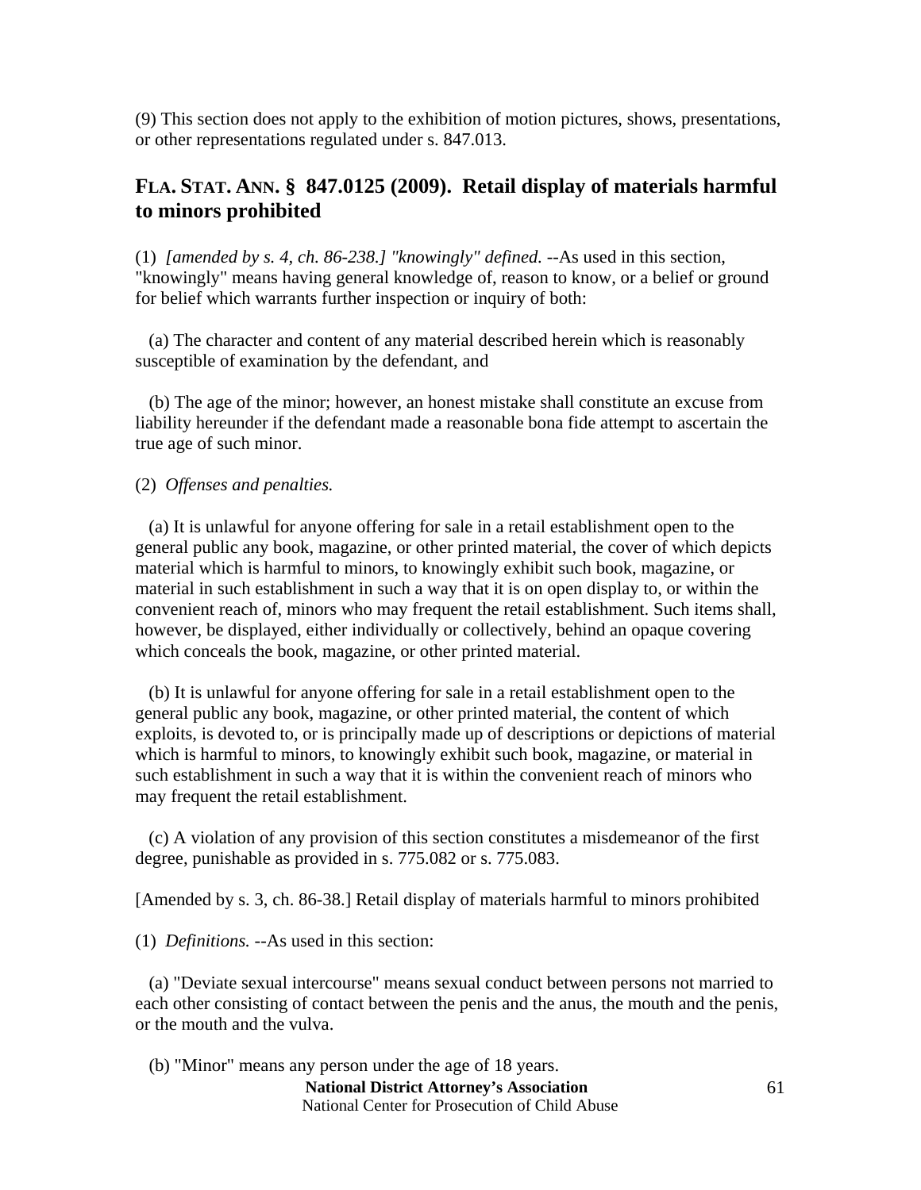(9) This section does not apply to the exhibition of motion pictures, shows, presentations, or other representations regulated under s. 847.013.

#### **FLA. STAT. ANN. § 847.0125 (2009). Retail display of materials harmful to minors prohibited**

(1) *[amended by s. 4, ch. 86-238.] "knowingly" defined.* --As used in this section, "knowingly" means having general knowledge of, reason to know, or a belief or ground for belief which warrants further inspection or inquiry of both:

 (a) The character and content of any material described herein which is reasonably susceptible of examination by the defendant, and

 (b) The age of the minor; however, an honest mistake shall constitute an excuse from liability hereunder if the defendant made a reasonable bona fide attempt to ascertain the true age of such minor.

(2) *Offenses and penalties.* 

 (a) It is unlawful for anyone offering for sale in a retail establishment open to the general public any book, magazine, or other printed material, the cover of which depicts material which is harmful to minors, to knowingly exhibit such book, magazine, or material in such establishment in such a way that it is on open display to, or within the convenient reach of, minors who may frequent the retail establishment. Such items shall, however, be displayed, either individually or collectively, behind an opaque covering which conceals the book, magazine, or other printed material.

 (b) It is unlawful for anyone offering for sale in a retail establishment open to the general public any book, magazine, or other printed material, the content of which exploits, is devoted to, or is principally made up of descriptions or depictions of material which is harmful to minors, to knowingly exhibit such book, magazine, or material in such establishment in such a way that it is within the convenient reach of minors who may frequent the retail establishment.

 (c) A violation of any provision of this section constitutes a misdemeanor of the first degree, punishable as provided in s. 775.082 or s. 775.083.

[Amended by s. 3, ch. 86-38.] Retail display of materials harmful to minors prohibited

(1) *Definitions.* --As used in this section:

 (a) "Deviate sexual intercourse" means sexual conduct between persons not married to each other consisting of contact between the penis and the anus, the mouth and the penis, or the mouth and the vulva.

**National District Attorney's Association**  National Center for Prosecution of Child Abuse (b) "Minor" means any person under the age of 18 years.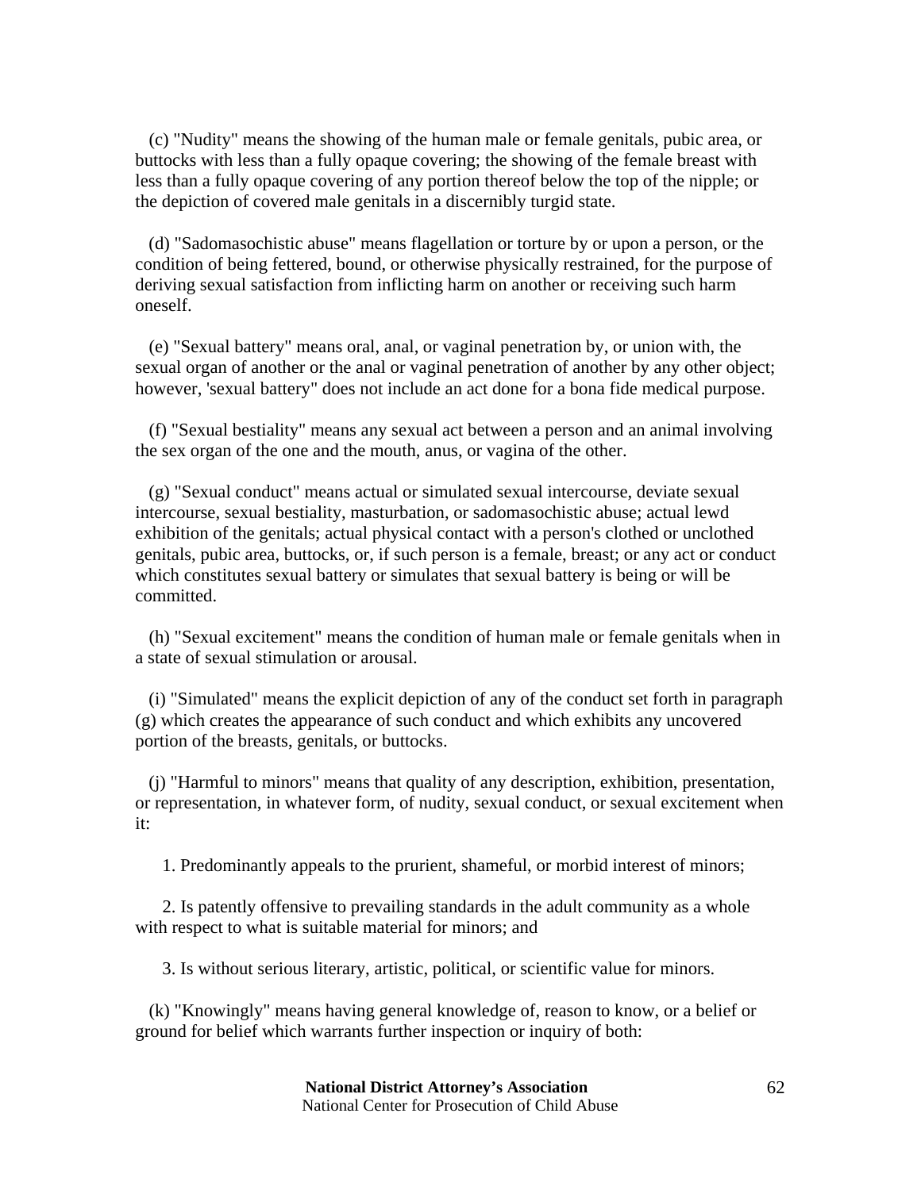(c) "Nudity" means the showing of the human male or female genitals, pubic area, or buttocks with less than a fully opaque covering; the showing of the female breast with less than a fully opaque covering of any portion thereof below the top of the nipple; or the depiction of covered male genitals in a discernibly turgid state.

 (d) "Sadomasochistic abuse" means flagellation or torture by or upon a person, or the condition of being fettered, bound, or otherwise physically restrained, for the purpose of deriving sexual satisfaction from inflicting harm on another or receiving such harm oneself.

 (e) "Sexual battery" means oral, anal, or vaginal penetration by, or union with, the sexual organ of another or the anal or vaginal penetration of another by any other object; however, 'sexual battery" does not include an act done for a bona fide medical purpose.

 (f) "Sexual bestiality" means any sexual act between a person and an animal involving the sex organ of the one and the mouth, anus, or vagina of the other.

 (g) "Sexual conduct" means actual or simulated sexual intercourse, deviate sexual intercourse, sexual bestiality, masturbation, or sadomasochistic abuse; actual lewd exhibition of the genitals; actual physical contact with a person's clothed or unclothed genitals, pubic area, buttocks, or, if such person is a female, breast; or any act or conduct which constitutes sexual battery or simulates that sexual battery is being or will be committed.

 (h) "Sexual excitement" means the condition of human male or female genitals when in a state of sexual stimulation or arousal.

 (i) "Simulated" means the explicit depiction of any of the conduct set forth in paragraph (g) which creates the appearance of such conduct and which exhibits any uncovered portion of the breasts, genitals, or buttocks.

 (j) "Harmful to minors" means that quality of any description, exhibition, presentation, or representation, in whatever form, of nudity, sexual conduct, or sexual excitement when it:

1. Predominantly appeals to the prurient, shameful, or morbid interest of minors;

 2. Is patently offensive to prevailing standards in the adult community as a whole with respect to what is suitable material for minors; and

3. Is without serious literary, artistic, political, or scientific value for minors.

 (k) "Knowingly" means having general knowledge of, reason to know, or a belief or ground for belief which warrants further inspection or inquiry of both: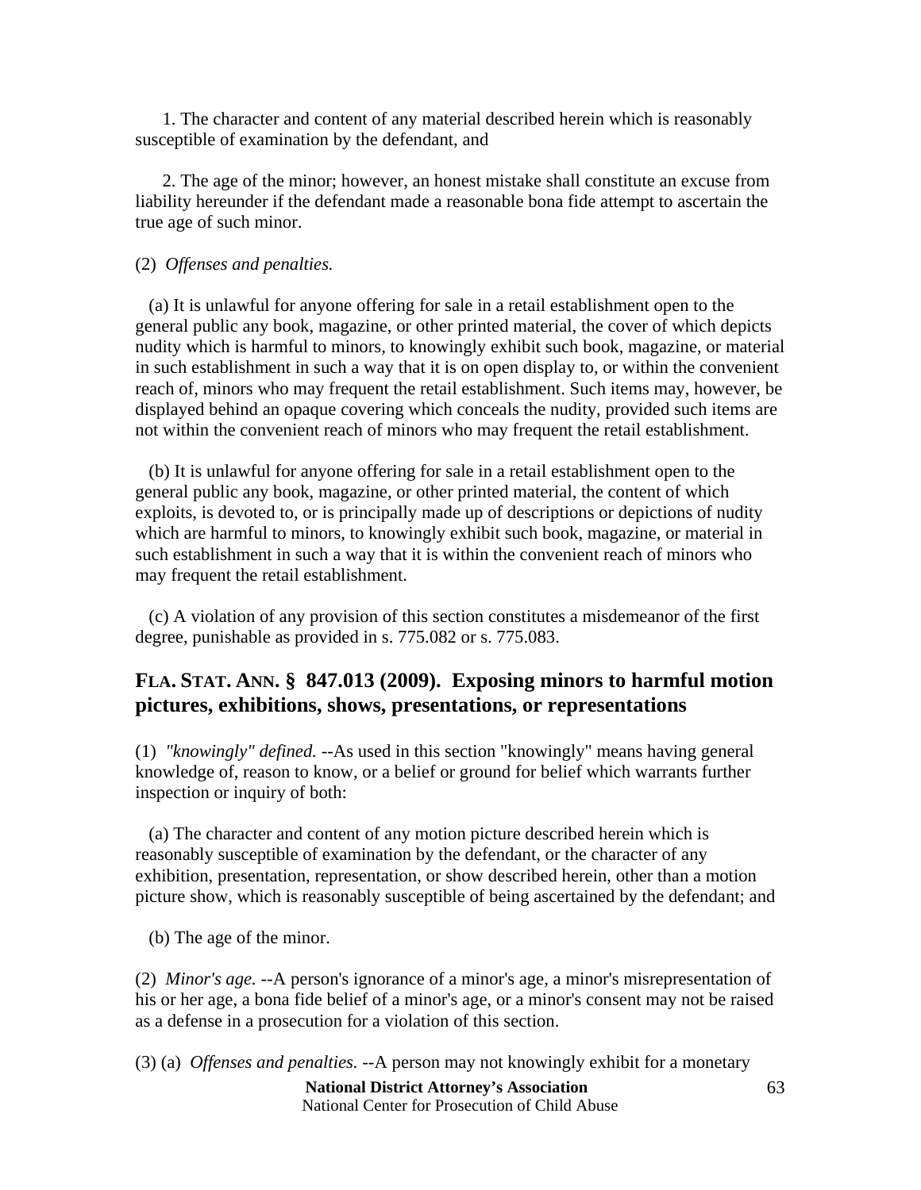1. The character and content of any material described herein which is reasonably susceptible of examination by the defendant, and

 2. The age of the minor; however, an honest mistake shall constitute an excuse from liability hereunder if the defendant made a reasonable bona fide attempt to ascertain the true age of such minor.

#### (2) *Offenses and penalties.*

 (a) It is unlawful for anyone offering for sale in a retail establishment open to the general public any book, magazine, or other printed material, the cover of which depicts nudity which is harmful to minors, to knowingly exhibit such book, magazine, or material in such establishment in such a way that it is on open display to, or within the convenient reach of, minors who may frequent the retail establishment. Such items may, however, be displayed behind an opaque covering which conceals the nudity, provided such items are not within the convenient reach of minors who may frequent the retail establishment.

 (b) It is unlawful for anyone offering for sale in a retail establishment open to the general public any book, magazine, or other printed material, the content of which exploits, is devoted to, or is principally made up of descriptions or depictions of nudity which are harmful to minors, to knowingly exhibit such book, magazine, or material in such establishment in such a way that it is within the convenient reach of minors who may frequent the retail establishment.

 (c) A violation of any provision of this section constitutes a misdemeanor of the first degree, punishable as provided in s. 775.082 or s. 775.083.

## **FLA. STAT. ANN. § 847.013 (2009). Exposing minors to harmful motion pictures, exhibitions, shows, presentations, or representations**

(1) *"knowingly" defined.* --As used in this section "knowingly" means having general knowledge of, reason to know, or a belief or ground for belief which warrants further inspection or inquiry of both:

 (a) The character and content of any motion picture described herein which is reasonably susceptible of examination by the defendant, or the character of any exhibition, presentation, representation, or show described herein, other than a motion picture show, which is reasonably susceptible of being ascertained by the defendant; and

(b) The age of the minor.

(2) *Minor's age.* --A person's ignorance of a minor's age, a minor's misrepresentation of his or her age, a bona fide belief of a minor's age, or a minor's consent may not be raised as a defense in a prosecution for a violation of this section.

(3) (a) *Offenses and penalties.* --A person may not knowingly exhibit for a monetary

**National District Attorney's Association**  National Center for Prosecution of Child Abuse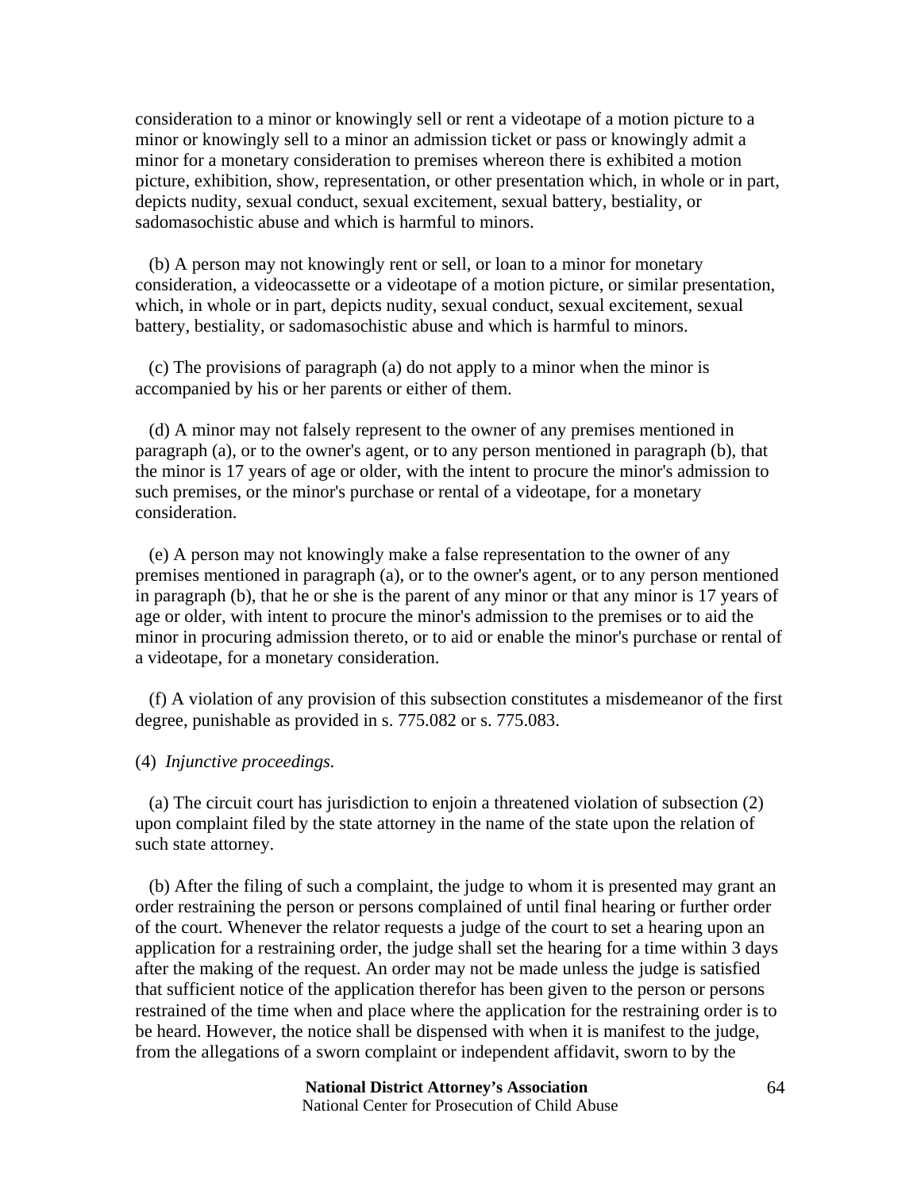consideration to a minor or knowingly sell or rent a videotape of a motion picture to a minor or knowingly sell to a minor an admission ticket or pass or knowingly admit a minor for a monetary consideration to premises whereon there is exhibited a motion picture, exhibition, show, representation, or other presentation which, in whole or in part, depicts nudity, sexual conduct, sexual excitement, sexual battery, bestiality, or sadomasochistic abuse and which is harmful to minors.

 (b) A person may not knowingly rent or sell, or loan to a minor for monetary consideration, a videocassette or a videotape of a motion picture, or similar presentation, which, in whole or in part, depicts nudity, sexual conduct, sexual excitement, sexual battery, bestiality, or sadomasochistic abuse and which is harmful to minors.

 (c) The provisions of paragraph (a) do not apply to a minor when the minor is accompanied by his or her parents or either of them.

 (d) A minor may not falsely represent to the owner of any premises mentioned in paragraph (a), or to the owner's agent, or to any person mentioned in paragraph (b), that the minor is 17 years of age or older, with the intent to procure the minor's admission to such premises, or the minor's purchase or rental of a videotape, for a monetary consideration.

 (e) A person may not knowingly make a false representation to the owner of any premises mentioned in paragraph (a), or to the owner's agent, or to any person mentioned in paragraph (b), that he or she is the parent of any minor or that any minor is 17 years of age or older, with intent to procure the minor's admission to the premises or to aid the minor in procuring admission thereto, or to aid or enable the minor's purchase or rental of a videotape, for a monetary consideration.

 (f) A violation of any provision of this subsection constitutes a misdemeanor of the first degree, punishable as provided in s. 775.082 or s. 775.083.

#### (4) *Injunctive proceedings.*

 (a) The circuit court has jurisdiction to enjoin a threatened violation of subsection (2) upon complaint filed by the state attorney in the name of the state upon the relation of such state attorney.

 (b) After the filing of such a complaint, the judge to whom it is presented may grant an order restraining the person or persons complained of until final hearing or further order of the court. Whenever the relator requests a judge of the court to set a hearing upon an application for a restraining order, the judge shall set the hearing for a time within 3 days after the making of the request. An order may not be made unless the judge is satisfied that sufficient notice of the application therefor has been given to the person or persons restrained of the time when and place where the application for the restraining order is to be heard. However, the notice shall be dispensed with when it is manifest to the judge, from the allegations of a sworn complaint or independent affidavit, sworn to by the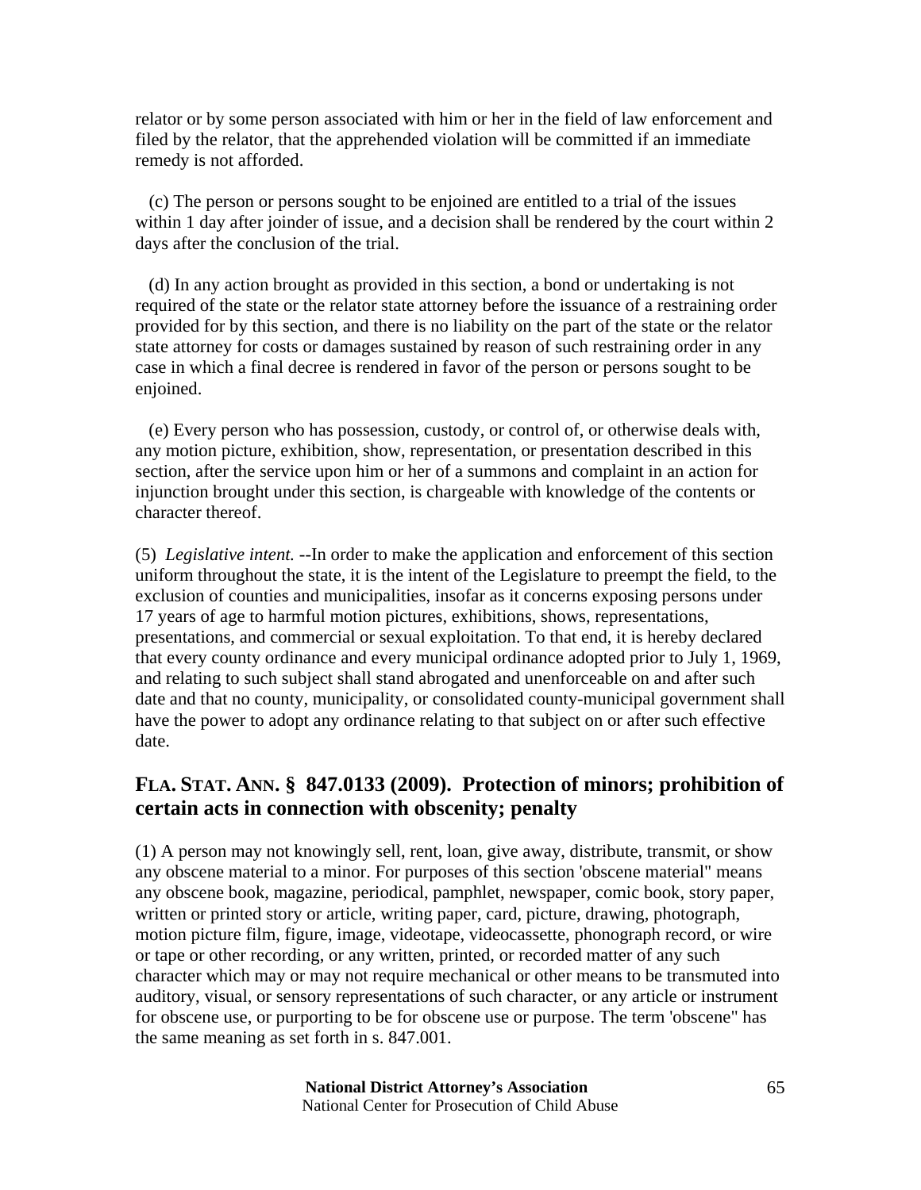relator or by some person associated with him or her in the field of law enforcement and filed by the relator, that the apprehended violation will be committed if an immediate remedy is not afforded.

 (c) The person or persons sought to be enjoined are entitled to a trial of the issues within 1 day after joinder of issue, and a decision shall be rendered by the court within 2 days after the conclusion of the trial.

 (d) In any action brought as provided in this section, a bond or undertaking is not required of the state or the relator state attorney before the issuance of a restraining order provided for by this section, and there is no liability on the part of the state or the relator state attorney for costs or damages sustained by reason of such restraining order in any case in which a final decree is rendered in favor of the person or persons sought to be enjoined.

 (e) Every person who has possession, custody, or control of, or otherwise deals with, any motion picture, exhibition, show, representation, or presentation described in this section, after the service upon him or her of a summons and complaint in an action for injunction brought under this section, is chargeable with knowledge of the contents or character thereof.

(5) *Legislative intent.* --In order to make the application and enforcement of this section uniform throughout the state, it is the intent of the Legislature to preempt the field, to the exclusion of counties and municipalities, insofar as it concerns exposing persons under 17 years of age to harmful motion pictures, exhibitions, shows, representations, presentations, and commercial or sexual exploitation. To that end, it is hereby declared that every county ordinance and every municipal ordinance adopted prior to July 1, 1969, and relating to such subject shall stand abrogated and unenforceable on and after such date and that no county, municipality, or consolidated county-municipal government shall have the power to adopt any ordinance relating to that subject on or after such effective date.

### **FLA. STAT. ANN. § 847.0133 (2009). Protection of minors; prohibition of certain acts in connection with obscenity; penalty**

(1) A person may not knowingly sell, rent, loan, give away, distribute, transmit, or show any obscene material to a minor. For purposes of this section 'obscene material" means any obscene book, magazine, periodical, pamphlet, newspaper, comic book, story paper, written or printed story or article, writing paper, card, picture, drawing, photograph, motion picture film, figure, image, videotape, videocassette, phonograph record, or wire or tape or other recording, or any written, printed, or recorded matter of any such character which may or may not require mechanical or other means to be transmuted into auditory, visual, or sensory representations of such character, or any article or instrument for obscene use, or purporting to be for obscene use or purpose. The term 'obscene" has the same meaning as set forth in s. 847.001.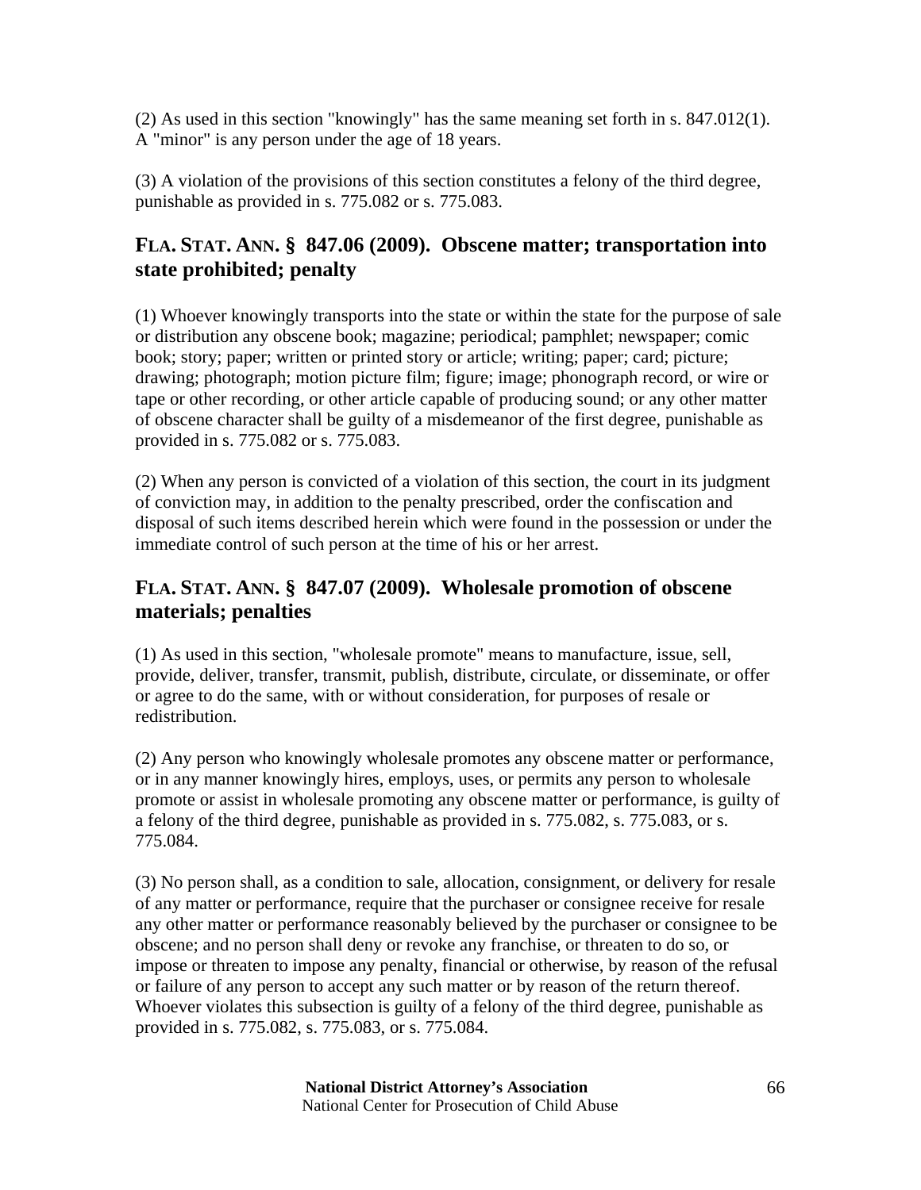(2) As used in this section "knowingly" has the same meaning set forth in s. 847.012(1). A "minor" is any person under the age of 18 years.

(3) A violation of the provisions of this section constitutes a felony of the third degree, punishable as provided in s. 775.082 or s. 775.083.

## **FLA. STAT. ANN. § 847.06 (2009). Obscene matter; transportation into state prohibited; penalty**

(1) Whoever knowingly transports into the state or within the state for the purpose of sale or distribution any obscene book; magazine; periodical; pamphlet; newspaper; comic book; story; paper; written or printed story or article; writing; paper; card; picture; drawing; photograph; motion picture film; figure; image; phonograph record, or wire or tape or other recording, or other article capable of producing sound; or any other matter of obscene character shall be guilty of a misdemeanor of the first degree, punishable as provided in s. 775.082 or s. 775.083.

(2) When any person is convicted of a violation of this section, the court in its judgment of conviction may, in addition to the penalty prescribed, order the confiscation and disposal of such items described herein which were found in the possession or under the immediate control of such person at the time of his or her arrest.

### **FLA. STAT. ANN. § 847.07 (2009). Wholesale promotion of obscene materials; penalties**

(1) As used in this section, "wholesale promote" means to manufacture, issue, sell, provide, deliver, transfer, transmit, publish, distribute, circulate, or disseminate, or offer or agree to do the same, with or without consideration, for purposes of resale or redistribution.

(2) Any person who knowingly wholesale promotes any obscene matter or performance, or in any manner knowingly hires, employs, uses, or permits any person to wholesale promote or assist in wholesale promoting any obscene matter or performance, is guilty of a felony of the third degree, punishable as provided in s. 775.082, s. 775.083, or s. 775.084.

(3) No person shall, as a condition to sale, allocation, consignment, or delivery for resale of any matter or performance, require that the purchaser or consignee receive for resale any other matter or performance reasonably believed by the purchaser or consignee to be obscene; and no person shall deny or revoke any franchise, or threaten to do so, or impose or threaten to impose any penalty, financial or otherwise, by reason of the refusal or failure of any person to accept any such matter or by reason of the return thereof. Whoever violates this subsection is guilty of a felony of the third degree, punishable as provided in s. 775.082, s. 775.083, or s. 775.084.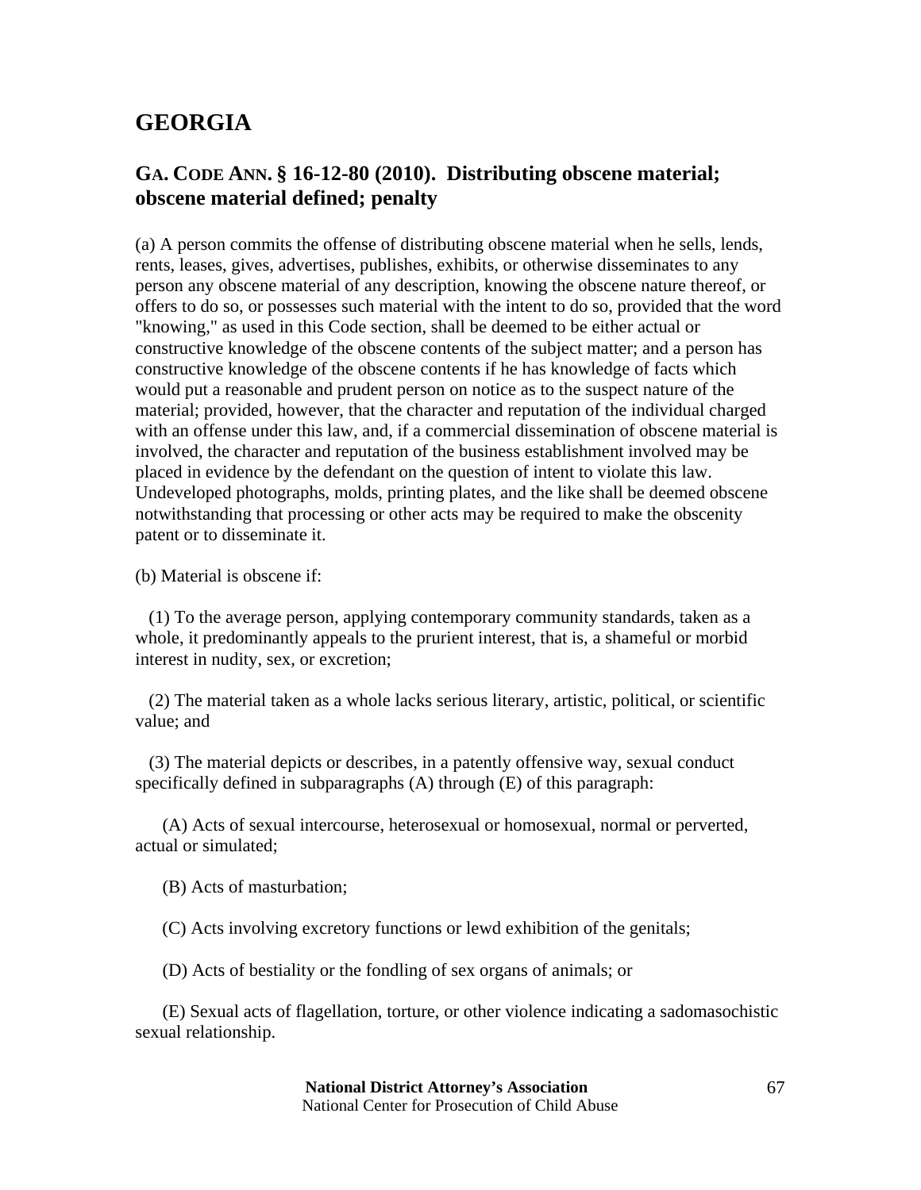# **GEORGIA**

### **GA. CODE ANN. § 16-12-80 (2010). Distributing obscene material; obscene material defined; penalty**

(a) A person commits the offense of distributing obscene material when he sells, lends, rents, leases, gives, advertises, publishes, exhibits, or otherwise disseminates to any person any obscene material of any description, knowing the obscene nature thereof, or offers to do so, or possesses such material with the intent to do so, provided that the word "knowing," as used in this Code section, shall be deemed to be either actual or constructive knowledge of the obscene contents of the subject matter; and a person has constructive knowledge of the obscene contents if he has knowledge of facts which would put a reasonable and prudent person on notice as to the suspect nature of the material; provided, however, that the character and reputation of the individual charged with an offense under this law, and, if a commercial dissemination of obscene material is involved, the character and reputation of the business establishment involved may be placed in evidence by the defendant on the question of intent to violate this law. Undeveloped photographs, molds, printing plates, and the like shall be deemed obscene notwithstanding that processing or other acts may be required to make the obscenity patent or to disseminate it.

(b) Material is obscene if:

 (1) To the average person, applying contemporary community standards, taken as a whole, it predominantly appeals to the prurient interest, that is, a shameful or morbid interest in nudity, sex, or excretion;

 (2) The material taken as a whole lacks serious literary, artistic, political, or scientific value; and

 (3) The material depicts or describes, in a patently offensive way, sexual conduct specifically defined in subparagraphs (A) through (E) of this paragraph:

 (A) Acts of sexual intercourse, heterosexual or homosexual, normal or perverted, actual or simulated;

(B) Acts of masturbation;

(C) Acts involving excretory functions or lewd exhibition of the genitals;

(D) Acts of bestiality or the fondling of sex organs of animals; or

 (E) Sexual acts of flagellation, torture, or other violence indicating a sadomasochistic sexual relationship.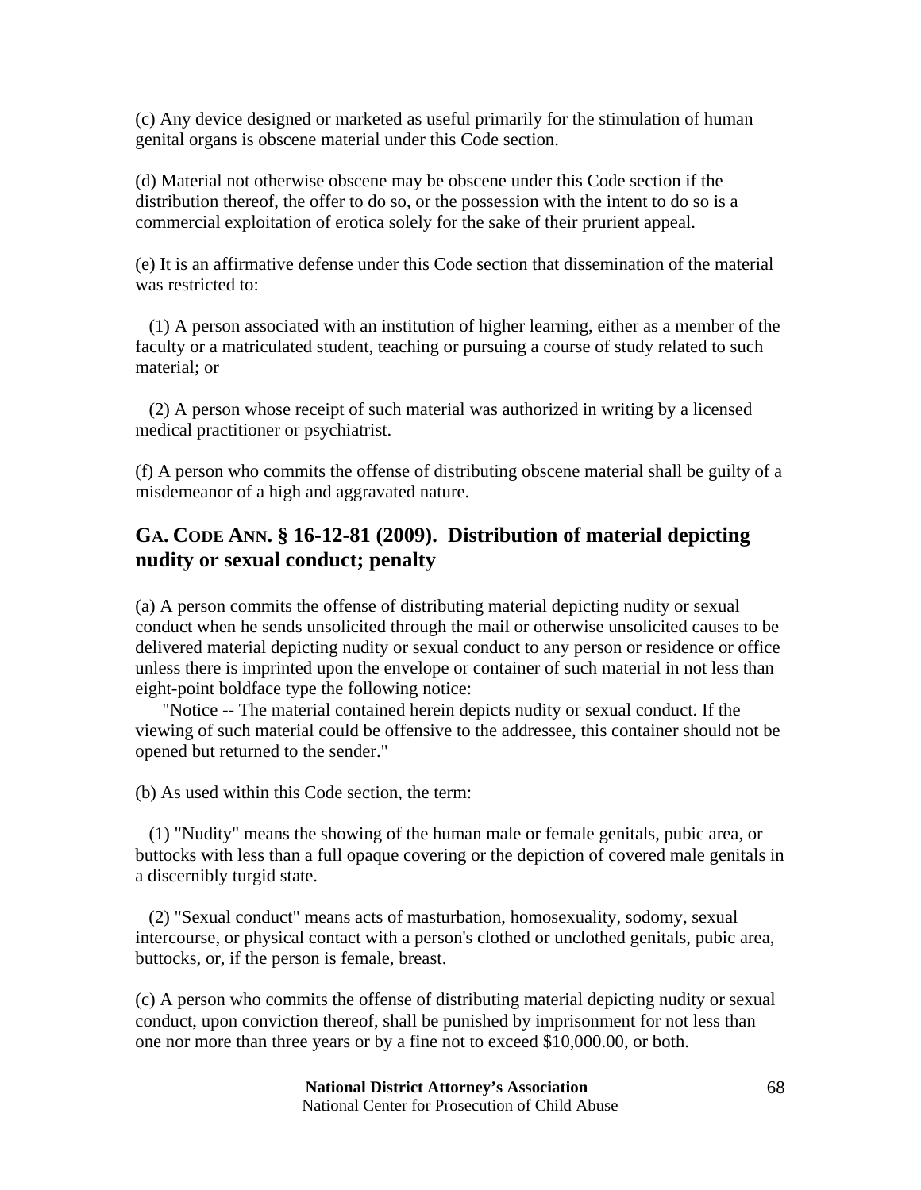(c) Any device designed or marketed as useful primarily for the stimulation of human genital organs is obscene material under this Code section.

(d) Material not otherwise obscene may be obscene under this Code section if the distribution thereof, the offer to do so, or the possession with the intent to do so is a commercial exploitation of erotica solely for the sake of their prurient appeal.

(e) It is an affirmative defense under this Code section that dissemination of the material was restricted to:

 (1) A person associated with an institution of higher learning, either as a member of the faculty or a matriculated student, teaching or pursuing a course of study related to such material; or

 (2) A person whose receipt of such material was authorized in writing by a licensed medical practitioner or psychiatrist.

(f) A person who commits the offense of distributing obscene material shall be guilty of a misdemeanor of a high and aggravated nature.

## **GA. CODE ANN. § 16-12-81 (2009). Distribution of material depicting nudity or sexual conduct; penalty**

(a) A person commits the offense of distributing material depicting nudity or sexual conduct when he sends unsolicited through the mail or otherwise unsolicited causes to be delivered material depicting nudity or sexual conduct to any person or residence or office unless there is imprinted upon the envelope or container of such material in not less than eight-point boldface type the following notice:

 "Notice -- The material contained herein depicts nudity or sexual conduct. If the viewing of such material could be offensive to the addressee, this container should not be opened but returned to the sender."

(b) As used within this Code section, the term:

 (1) "Nudity" means the showing of the human male or female genitals, pubic area, or buttocks with less than a full opaque covering or the depiction of covered male genitals in a discernibly turgid state.

 (2) "Sexual conduct" means acts of masturbation, homosexuality, sodomy, sexual intercourse, or physical contact with a person's clothed or unclothed genitals, pubic area, buttocks, or, if the person is female, breast.

(c) A person who commits the offense of distributing material depicting nudity or sexual conduct, upon conviction thereof, shall be punished by imprisonment for not less than one nor more than three years or by a fine not to exceed \$10,000.00, or both.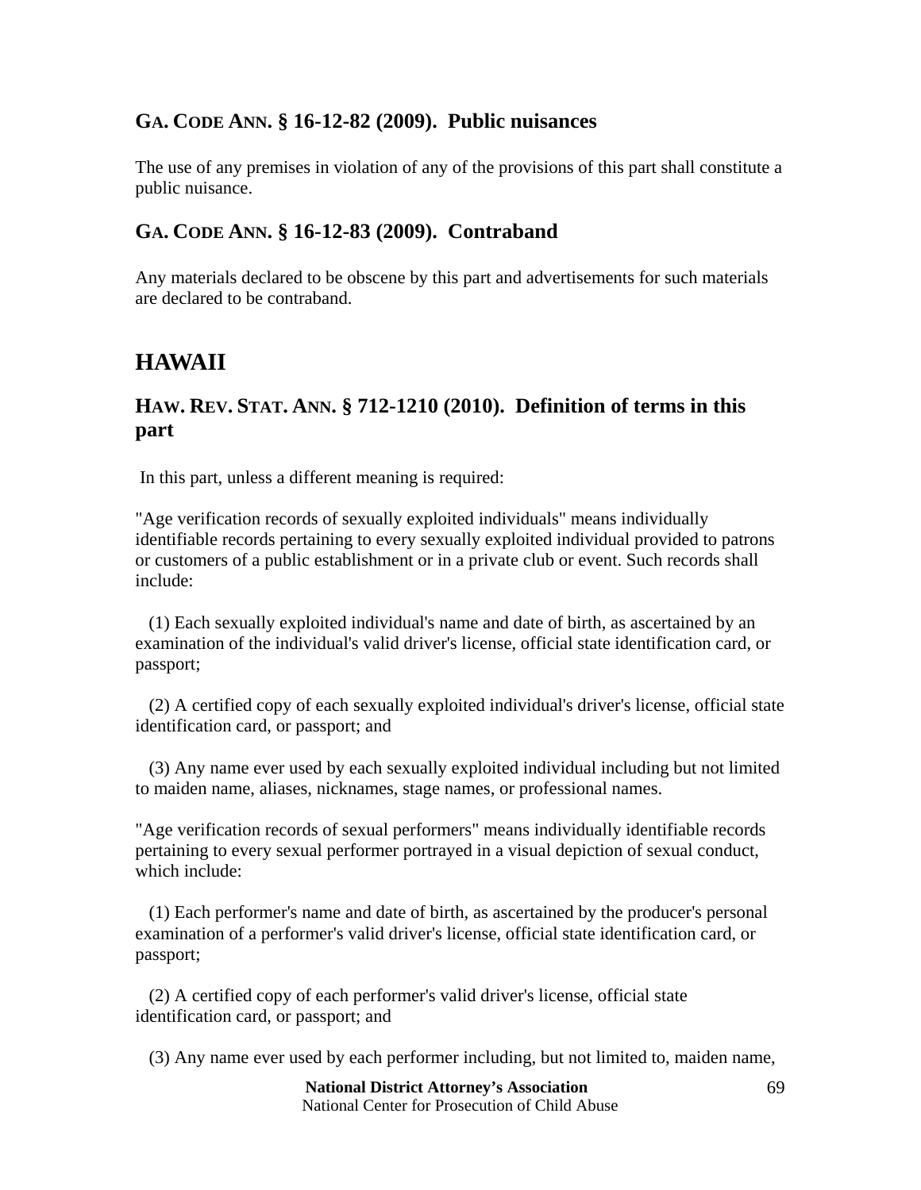### **GA. CODE ANN. § 16-12-82 (2009). Public nuisances**

The use of any premises in violation of any of the provisions of this part shall constitute a public nuisance.

### **GA. CODE ANN. § 16-12-83 (2009). Contraband**

Any materials declared to be obscene by this part and advertisements for such materials are declared to be contraband.

# **HAWAII**

### **HAW. REV. STAT. ANN. § 712-1210 (2010). Definition of terms in this part**

In this part, unless a different meaning is required:

"Age verification records of sexually exploited individuals" means individually identifiable records pertaining to every sexually exploited individual provided to patrons or customers of a public establishment or in a private club or event. Such records shall include:

 (1) Each sexually exploited individual's name and date of birth, as ascertained by an examination of the individual's valid driver's license, official state identification card, or passport;

 (2) A certified copy of each sexually exploited individual's driver's license, official state identification card, or passport; and

 (3) Any name ever used by each sexually exploited individual including but not limited to maiden name, aliases, nicknames, stage names, or professional names.

"Age verification records of sexual performers" means individually identifiable records pertaining to every sexual performer portrayed in a visual depiction of sexual conduct, which include:

 (1) Each performer's name and date of birth, as ascertained by the producer's personal examination of a performer's valid driver's license, official state identification card, or passport;

 (2) A certified copy of each performer's valid driver's license, official state identification card, or passport; and

(3) Any name ever used by each performer including, but not limited to, maiden name,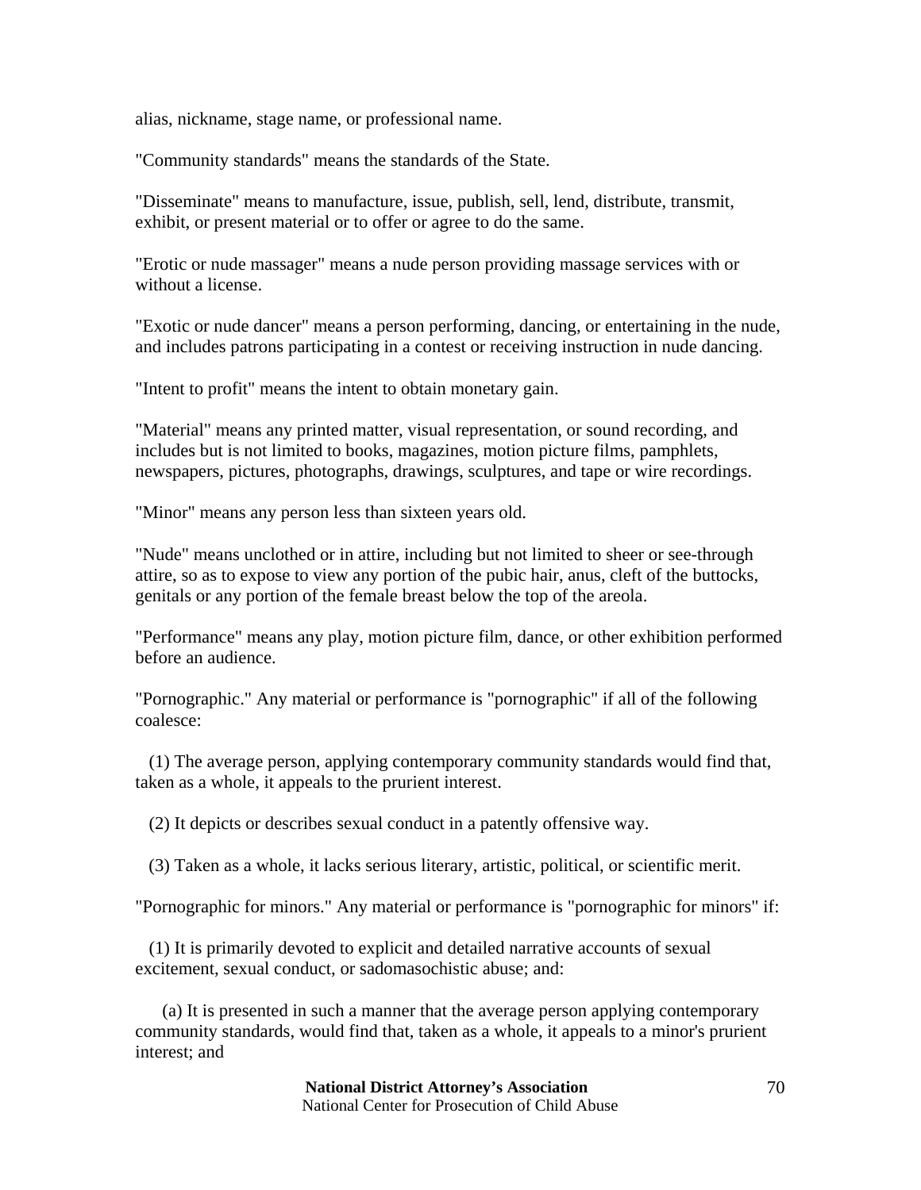alias, nickname, stage name, or professional name.

"Community standards" means the standards of the State.

"Disseminate" means to manufacture, issue, publish, sell, lend, distribute, transmit, exhibit, or present material or to offer or agree to do the same.

"Erotic or nude massager" means a nude person providing massage services with or without a license.

"Exotic or nude dancer" means a person performing, dancing, or entertaining in the nude, and includes patrons participating in a contest or receiving instruction in nude dancing.

"Intent to profit" means the intent to obtain monetary gain.

"Material" means any printed matter, visual representation, or sound recording, and includes but is not limited to books, magazines, motion picture films, pamphlets, newspapers, pictures, photographs, drawings, sculptures, and tape or wire recordings.

"Minor" means any person less than sixteen years old.

"Nude" means unclothed or in attire, including but not limited to sheer or see-through attire, so as to expose to view any portion of the pubic hair, anus, cleft of the buttocks, genitals or any portion of the female breast below the top of the areola.

"Performance" means any play, motion picture film, dance, or other exhibition performed before an audience.

"Pornographic." Any material or performance is "pornographic" if all of the following coalesce:

 (1) The average person, applying contemporary community standards would find that, taken as a whole, it appeals to the prurient interest.

(2) It depicts or describes sexual conduct in a patently offensive way.

(3) Taken as a whole, it lacks serious literary, artistic, political, or scientific merit.

"Pornographic for minors." Any material or performance is "pornographic for minors" if:

 (1) It is primarily devoted to explicit and detailed narrative accounts of sexual excitement, sexual conduct, or sadomasochistic abuse; and:

 (a) It is presented in such a manner that the average person applying contemporary community standards, would find that, taken as a whole, it appeals to a minor's prurient interest; and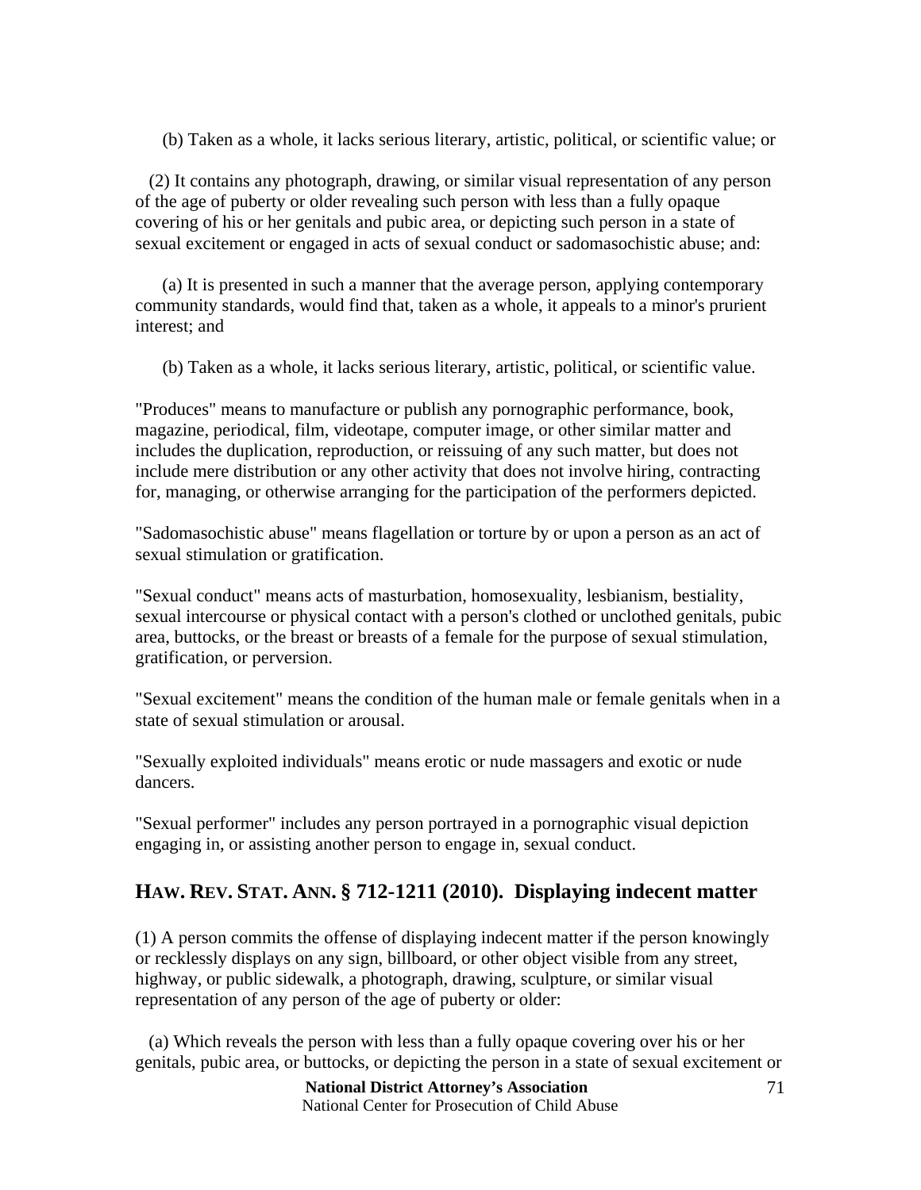(b) Taken as a whole, it lacks serious literary, artistic, political, or scientific value; or

 (2) It contains any photograph, drawing, or similar visual representation of any person of the age of puberty or older revealing such person with less than a fully opaque covering of his or her genitals and pubic area, or depicting such person in a state of sexual excitement or engaged in acts of sexual conduct or sadomasochistic abuse; and:

 (a) It is presented in such a manner that the average person, applying contemporary community standards, would find that, taken as a whole, it appeals to a minor's prurient interest; and

(b) Taken as a whole, it lacks serious literary, artistic, political, or scientific value.

"Produces" means to manufacture or publish any pornographic performance, book, magazine, periodical, film, videotape, computer image, or other similar matter and includes the duplication, reproduction, or reissuing of any such matter, but does not include mere distribution or any other activity that does not involve hiring, contracting for, managing, or otherwise arranging for the participation of the performers depicted.

"Sadomasochistic abuse" means flagellation or torture by or upon a person as an act of sexual stimulation or gratification.

"Sexual conduct" means acts of masturbation, homosexuality, lesbianism, bestiality, sexual intercourse or physical contact with a person's clothed or unclothed genitals, pubic area, buttocks, or the breast or breasts of a female for the purpose of sexual stimulation, gratification, or perversion.

"Sexual excitement" means the condition of the human male or female genitals when in a state of sexual stimulation or arousal.

"Sexually exploited individuals" means erotic or nude massagers and exotic or nude dancers.

"Sexual performer" includes any person portrayed in a pornographic visual depiction engaging in, or assisting another person to engage in, sexual conduct.

#### **HAW. REV. STAT. ANN. § 712-1211 (2010). Displaying indecent matter**

(1) A person commits the offense of displaying indecent matter if the person knowingly or recklessly displays on any sign, billboard, or other object visible from any street, highway, or public sidewalk, a photograph, drawing, sculpture, or similar visual representation of any person of the age of puberty or older:

 (a) Which reveals the person with less than a fully opaque covering over his or her genitals, pubic area, or buttocks, or depicting the person in a state of sexual excitement or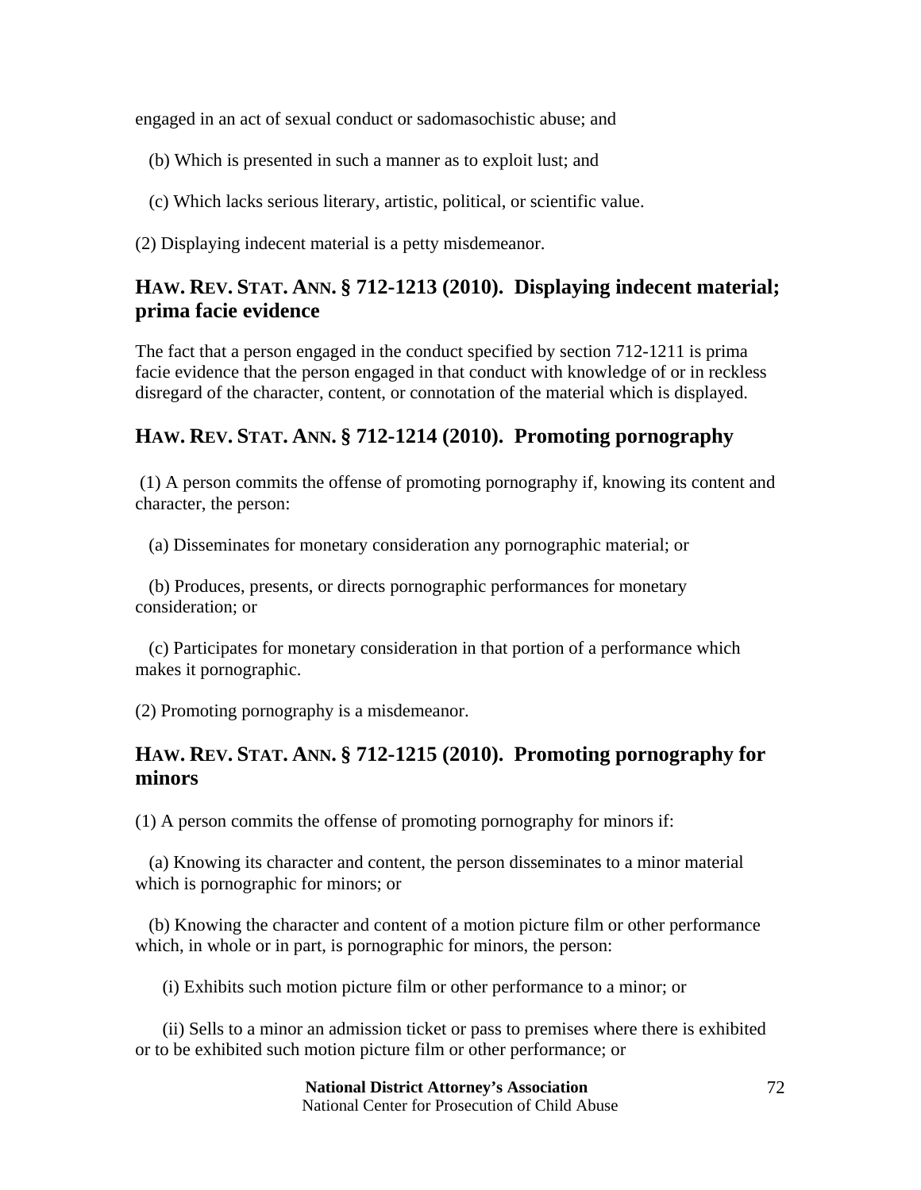engaged in an act of sexual conduct or sadomasochistic abuse; and

- (b) Which is presented in such a manner as to exploit lust; and
- (c) Which lacks serious literary, artistic, political, or scientific value.

(2) Displaying indecent material is a petty misdemeanor.

### **HAW. REV. STAT. ANN. § 712-1213 (2010). Displaying indecent material; prima facie evidence**

The fact that a person engaged in the conduct specified by section 712-1211 is prima facie evidence that the person engaged in that conduct with knowledge of or in reckless disregard of the character, content, or connotation of the material which is displayed.

## **HAW. REV. STAT. ANN. § 712-1214 (2010). Promoting pornography**

 (1) A person commits the offense of promoting pornography if, knowing its content and character, the person:

(a) Disseminates for monetary consideration any pornographic material; or

 (b) Produces, presents, or directs pornographic performances for monetary consideration; or

 (c) Participates for monetary consideration in that portion of a performance which makes it pornographic.

(2) Promoting pornography is a misdemeanor.

### **HAW. REV. STAT. ANN. § 712-1215 (2010). Promoting pornography for minors**

(1) A person commits the offense of promoting pornography for minors if:

 (a) Knowing its character and content, the person disseminates to a minor material which is pornographic for minors; or

 (b) Knowing the character and content of a motion picture film or other performance which, in whole or in part, is pornographic for minors, the person:

(i) Exhibits such motion picture film or other performance to a minor; or

 (ii) Sells to a minor an admission ticket or pass to premises where there is exhibited or to be exhibited such motion picture film or other performance; or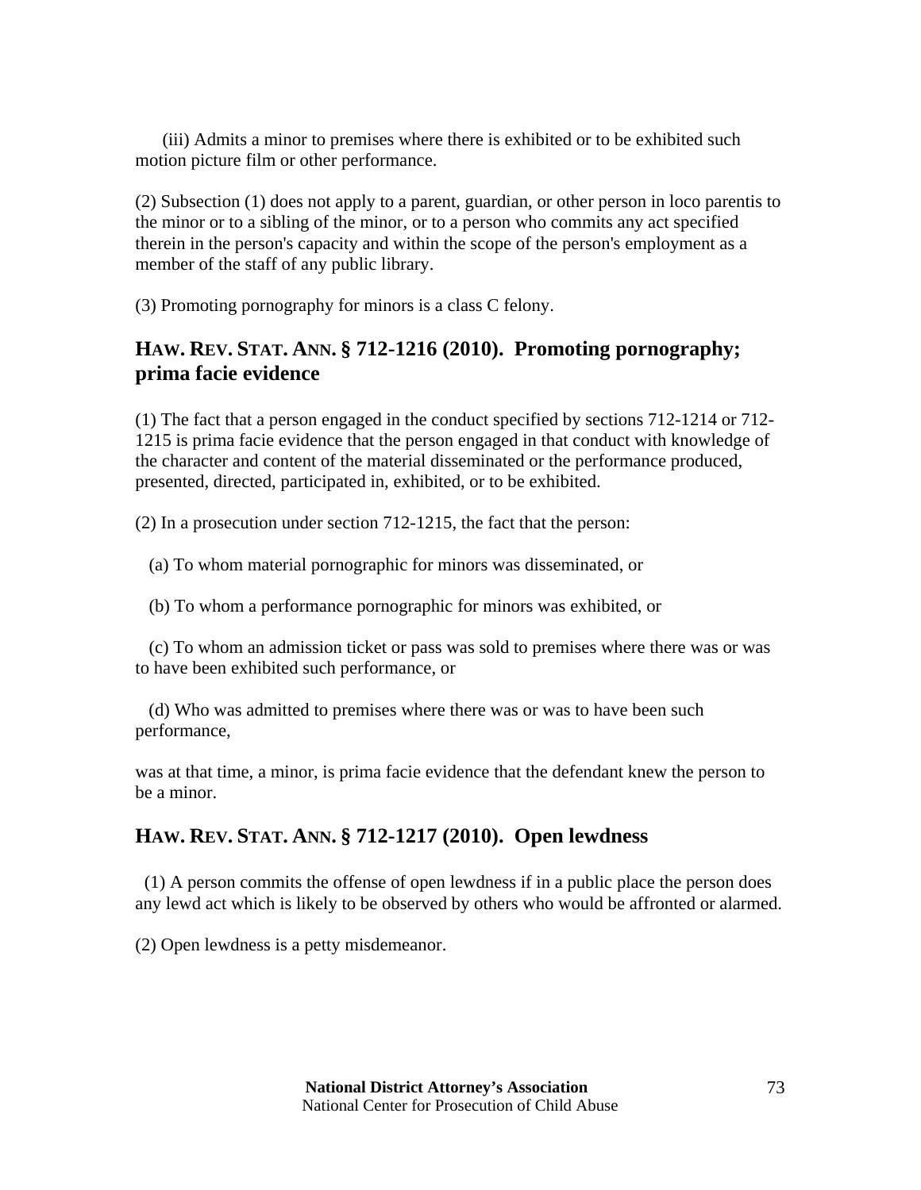(iii) Admits a minor to premises where there is exhibited or to be exhibited such motion picture film or other performance.

(2) Subsection (1) does not apply to a parent, guardian, or other person in loco parentis to the minor or to a sibling of the minor, or to a person who commits any act specified therein in the person's capacity and within the scope of the person's employment as a member of the staff of any public library.

(3) Promoting pornography for minors is a class C felony.

# **HAW. REV. STAT. ANN. § 712-1216 (2010). Promoting pornography; prima facie evidence**

(1) The fact that a person engaged in the conduct specified by sections 712-1214 or 712- 1215 is prima facie evidence that the person engaged in that conduct with knowledge of the character and content of the material disseminated or the performance produced, presented, directed, participated in, exhibited, or to be exhibited.

(2) In a prosecution under section 712-1215, the fact that the person:

(a) To whom material pornographic for minors was disseminated, or

(b) To whom a performance pornographic for minors was exhibited, or

 (c) To whom an admission ticket or pass was sold to premises where there was or was to have been exhibited such performance, or

 (d) Who was admitted to premises where there was or was to have been such performance,

was at that time, a minor, is prima facie evidence that the defendant knew the person to be a minor.

# **HAW. REV. STAT. ANN. § 712-1217 (2010). Open lewdness**

 (1) A person commits the offense of open lewdness if in a public place the person does any lewd act which is likely to be observed by others who would be affronted or alarmed.

(2) Open lewdness is a petty misdemeanor.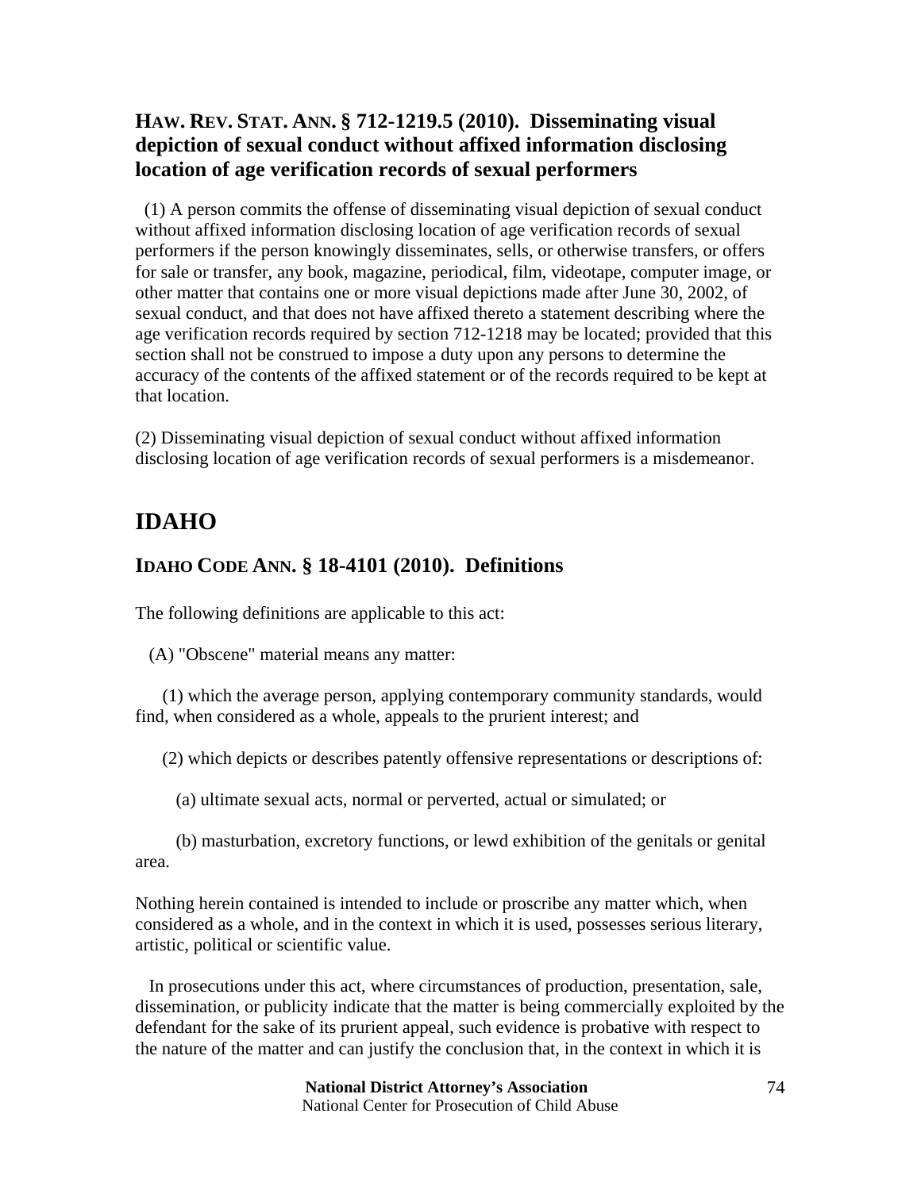# **HAW. REV. STAT. ANN. § 712-1219.5 (2010). Disseminating visual depiction of sexual conduct without affixed information disclosing location of age verification records of sexual performers**

 (1) A person commits the offense of disseminating visual depiction of sexual conduct without affixed information disclosing location of age verification records of sexual performers if the person knowingly disseminates, sells, or otherwise transfers, or offers for sale or transfer, any book, magazine, periodical, film, videotape, computer image, or other matter that contains one or more visual depictions made after June 30, 2002, of sexual conduct, and that does not have affixed thereto a statement describing where the age verification records required by section 712-1218 may be located; provided that this section shall not be construed to impose a duty upon any persons to determine the accuracy of the contents of the affixed statement or of the records required to be kept at that location.

(2) Disseminating visual depiction of sexual conduct without affixed information disclosing location of age verification records of sexual performers is a misdemeanor.

# **IDAHO**

### **IDAHO CODE ANN. § 18-4101 (2010). Definitions**

The following definitions are applicable to this act:

(A) "Obscene" material means any matter:

 (1) which the average person, applying contemporary community standards, would find, when considered as a whole, appeals to the prurient interest; and

(2) which depicts or describes patently offensive representations or descriptions of:

(a) ultimate sexual acts, normal or perverted, actual or simulated; or

 (b) masturbation, excretory functions, or lewd exhibition of the genitals or genital area.

Nothing herein contained is intended to include or proscribe any matter which, when considered as a whole, and in the context in which it is used, possesses serious literary, artistic, political or scientific value.

 In prosecutions under this act, where circumstances of production, presentation, sale, dissemination, or publicity indicate that the matter is being commercially exploited by the defendant for the sake of its prurient appeal, such evidence is probative with respect to the nature of the matter and can justify the conclusion that, in the context in which it is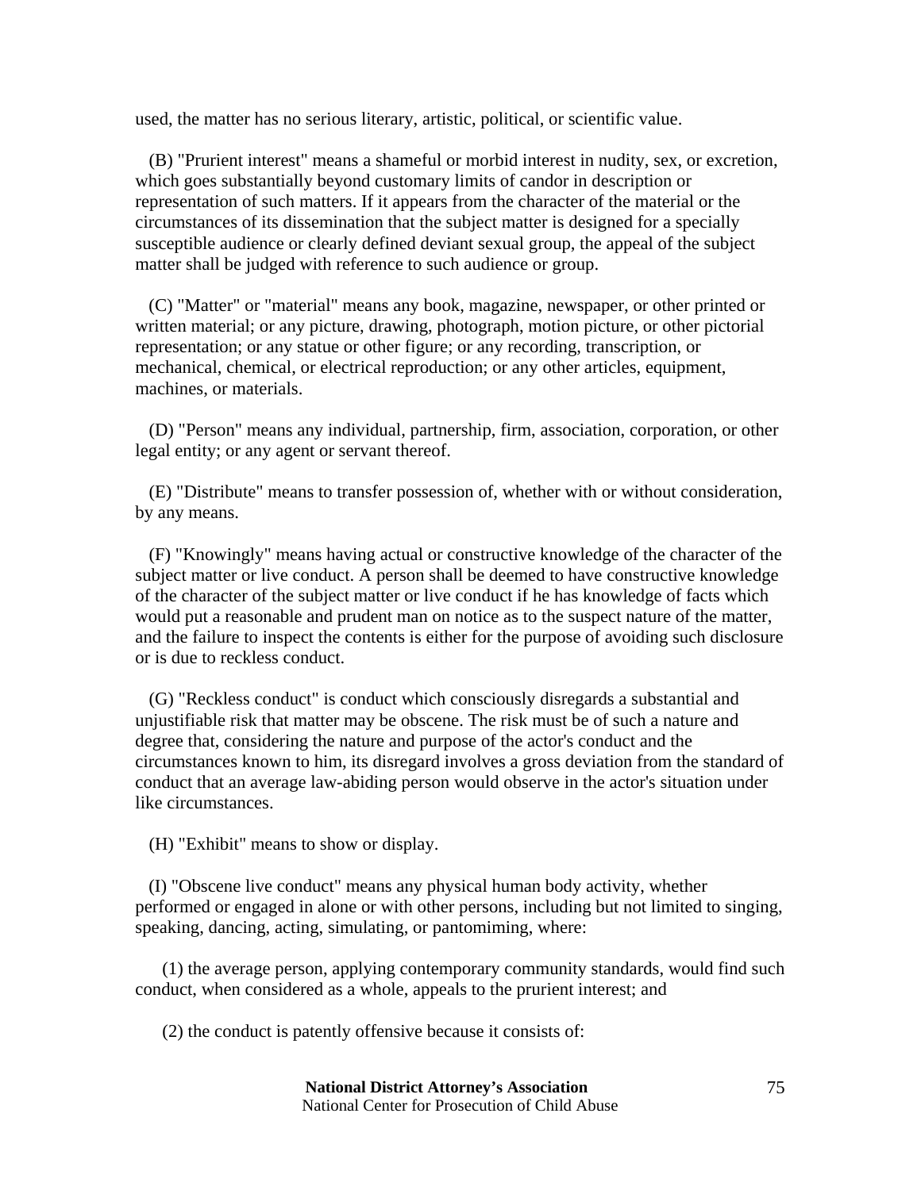used, the matter has no serious literary, artistic, political, or scientific value.

 (B) "Prurient interest" means a shameful or morbid interest in nudity, sex, or excretion, which goes substantially beyond customary limits of candor in description or representation of such matters. If it appears from the character of the material or the circumstances of its dissemination that the subject matter is designed for a specially susceptible audience or clearly defined deviant sexual group, the appeal of the subject matter shall be judged with reference to such audience or group.

 (C) "Matter" or "material" means any book, magazine, newspaper, or other printed or written material; or any picture, drawing, photograph, motion picture, or other pictorial representation; or any statue or other figure; or any recording, transcription, or mechanical, chemical, or electrical reproduction; or any other articles, equipment, machines, or materials.

 (D) "Person" means any individual, partnership, firm, association, corporation, or other legal entity; or any agent or servant thereof.

 (E) "Distribute" means to transfer possession of, whether with or without consideration, by any means.

 (F) "Knowingly" means having actual or constructive knowledge of the character of the subject matter or live conduct. A person shall be deemed to have constructive knowledge of the character of the subject matter or live conduct if he has knowledge of facts which would put a reasonable and prudent man on notice as to the suspect nature of the matter, and the failure to inspect the contents is either for the purpose of avoiding such disclosure or is due to reckless conduct.

 (G) "Reckless conduct" is conduct which consciously disregards a substantial and unjustifiable risk that matter may be obscene. The risk must be of such a nature and degree that, considering the nature and purpose of the actor's conduct and the circumstances known to him, its disregard involves a gross deviation from the standard of conduct that an average law-abiding person would observe in the actor's situation under like circumstances.

(H) "Exhibit" means to show or display.

 (I) "Obscene live conduct" means any physical human body activity, whether performed or engaged in alone or with other persons, including but not limited to singing, speaking, dancing, acting, simulating, or pantomiming, where:

 (1) the average person, applying contemporary community standards, would find such conduct, when considered as a whole, appeals to the prurient interest; and

(2) the conduct is patently offensive because it consists of: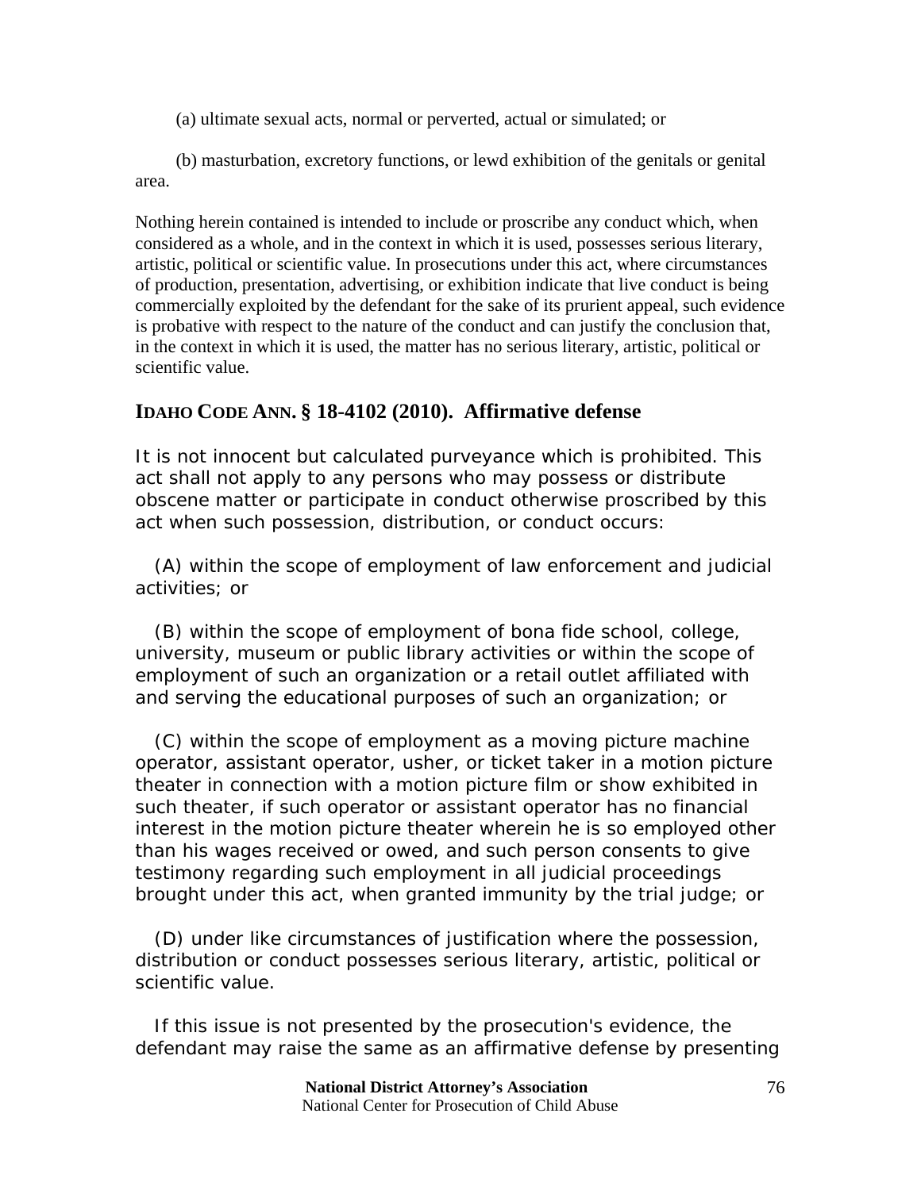(a) ultimate sexual acts, normal or perverted, actual or simulated; or

 (b) masturbation, excretory functions, or lewd exhibition of the genitals or genital area.

Nothing herein contained is intended to include or proscribe any conduct which, when considered as a whole, and in the context in which it is used, possesses serious literary, artistic, political or scientific value. In prosecutions under this act, where circumstances of production, presentation, advertising, or exhibition indicate that live conduct is being commercially exploited by the defendant for the sake of its prurient appeal, such evidence is probative with respect to the nature of the conduct and can justify the conclusion that, in the context in which it is used, the matter has no serious literary, artistic, political or scientific value.

# **IDAHO CODE ANN. § 18-4102 (2010). Affirmative defense**

It is not innocent but calculated purveyance which is prohibited. This act shall not apply to any persons who may possess or distribute obscene matter or participate in conduct otherwise proscribed by this act when such possession, distribution, or conduct occurs:

 (A) within the scope of employment of law enforcement and judicial activities; or

 (B) within the scope of employment of bona fide school, college, university, museum or public library activities or within the scope of employment of such an organization or a retail outlet affiliated with and serving the educational purposes of such an organization; or

 (C) within the scope of employment as a moving picture machine operator, assistant operator, usher, or ticket taker in a motion picture theater in connection with a motion picture film or show exhibited in such theater, if such operator or assistant operator has no financial interest in the motion picture theater wherein he is so employed other than his wages received or owed, and such person consents to give testimony regarding such employment in all judicial proceedings brought under this act, when granted immunity by the trial judge; or

 (D) under like circumstances of justification where the possession, distribution or conduct possesses serious literary, artistic, political or scientific value.

 If this issue is not presented by the prosecution's evidence, the defendant may raise the same as an affirmative defense by presenting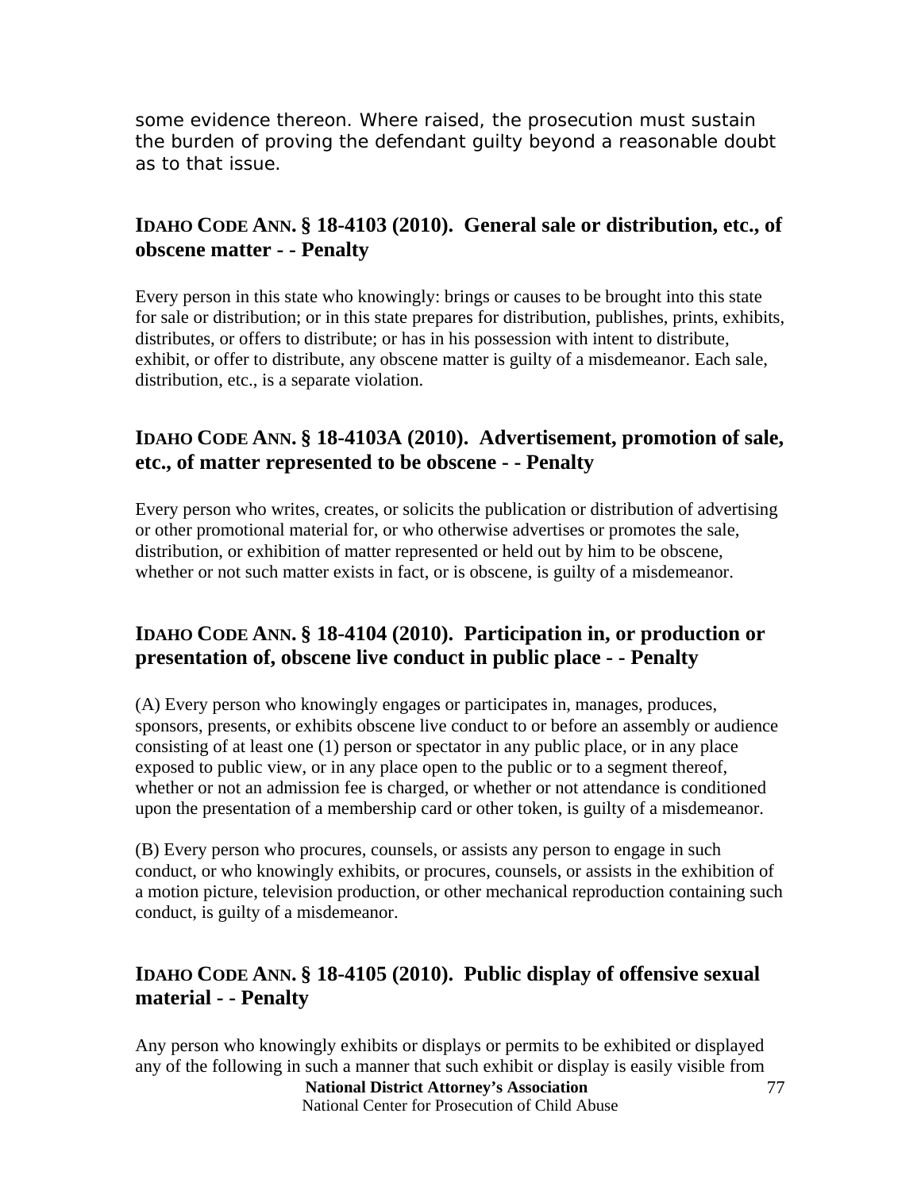some evidence thereon. Where raised, the prosecution must sustain the burden of proving the defendant guilty beyond a reasonable doubt as to that issue.

# **IDAHO CODE ANN. § 18-4103 (2010). General sale or distribution, etc., of obscene matter - - Penalty**

Every person in this state who knowingly: brings or causes to be brought into this state for sale or distribution; or in this state prepares for distribution, publishes, prints, exhibits, distributes, or offers to distribute; or has in his possession with intent to distribute, exhibit, or offer to distribute, any obscene matter is guilty of a misdemeanor. Each sale, distribution, etc., is a separate violation.

# **IDAHO CODE ANN. § 18-4103A (2010). Advertisement, promotion of sale, etc., of matter represented to be obscene - - Penalty**

Every person who writes, creates, or solicits the publication or distribution of advertising or other promotional material for, or who otherwise advertises or promotes the sale, distribution, or exhibition of matter represented or held out by him to be obscene, whether or not such matter exists in fact, or is obscene, is guilty of a misdemeanor.

# **IDAHO CODE ANN. § 18-4104 (2010). Participation in, or production or presentation of, obscene live conduct in public place - - Penalty**

(A) Every person who knowingly engages or participates in, manages, produces, sponsors, presents, or exhibits obscene live conduct to or before an assembly or audience consisting of at least one (1) person or spectator in any public place, or in any place exposed to public view, or in any place open to the public or to a segment thereof, whether or not an admission fee is charged, or whether or not attendance is conditioned upon the presentation of a membership card or other token, is guilty of a misdemeanor.

(B) Every person who procures, counsels, or assists any person to engage in such conduct, or who knowingly exhibits, or procures, counsels, or assists in the exhibition of a motion picture, television production, or other mechanical reproduction containing such conduct, is guilty of a misdemeanor.

# **IDAHO CODE ANN. § 18-4105 (2010). Public display of offensive sexual material - - Penalty**

Any person who knowingly exhibits or displays or permits to be exhibited or displayed any of the following in such a manner that such exhibit or display is easily visible from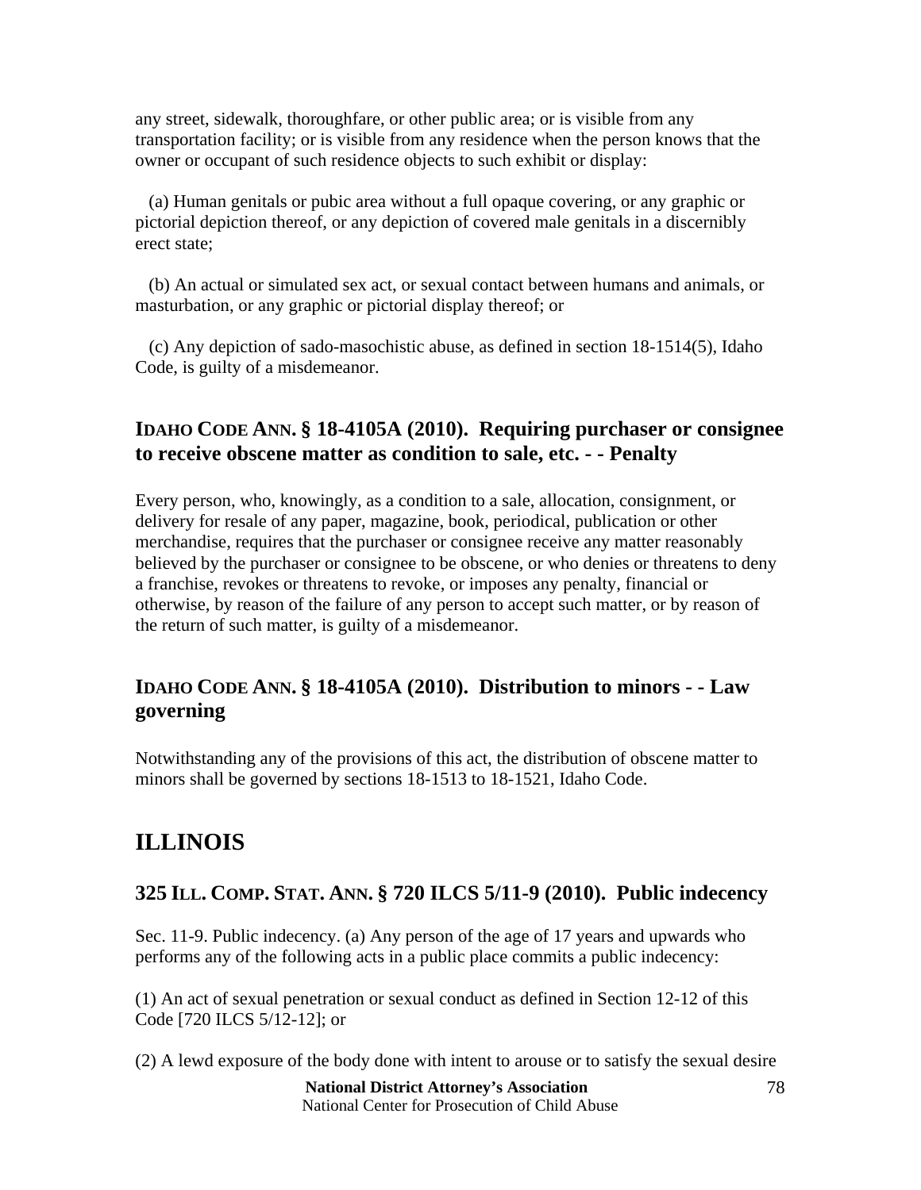any street, sidewalk, thoroughfare, or other public area; or is visible from any transportation facility; or is visible from any residence when the person knows that the owner or occupant of such residence objects to such exhibit or display:

 (a) Human genitals or pubic area without a full opaque covering, or any graphic or pictorial depiction thereof, or any depiction of covered male genitals in a discernibly erect state;

 (b) An actual or simulated sex act, or sexual contact between humans and animals, or masturbation, or any graphic or pictorial display thereof; or

 (c) Any depiction of sado-masochistic abuse, as defined in section 18-1514(5), Idaho Code, is guilty of a misdemeanor.

# **IDAHO CODE ANN. § 18-4105A (2010). Requiring purchaser or consignee to receive obscene matter as condition to sale, etc. - - Penalty**

Every person, who, knowingly, as a condition to a sale, allocation, consignment, or delivery for resale of any paper, magazine, book, periodical, publication or other merchandise, requires that the purchaser or consignee receive any matter reasonably believed by the purchaser or consignee to be obscene, or who denies or threatens to deny a franchise, revokes or threatens to revoke, or imposes any penalty, financial or otherwise, by reason of the failure of any person to accept such matter, or by reason of the return of such matter, is guilty of a misdemeanor.

# **IDAHO CODE ANN. § 18-4105A (2010). Distribution to minors - - Law governing**

Notwithstanding any of the provisions of this act, the distribution of obscene matter to minors shall be governed by sections 18-1513 to 18-1521, Idaho Code.

# **ILLINOIS**

# **325 ILL. COMP. STAT. ANN. § 720 ILCS 5/11-9 (2010). Public indecency**

Sec. 11-9. Public indecency. (a) Any person of the age of 17 years and upwards who performs any of the following acts in a public place commits a public indecency:

(1) An act of sexual penetration or sexual conduct as defined in Section 12-12 of this Code [720 ILCS 5/12-12]; or

(2) A lewd exposure of the body done with intent to arouse or to satisfy the sexual desire

**National District Attorney's Association**  National Center for Prosecution of Child Abuse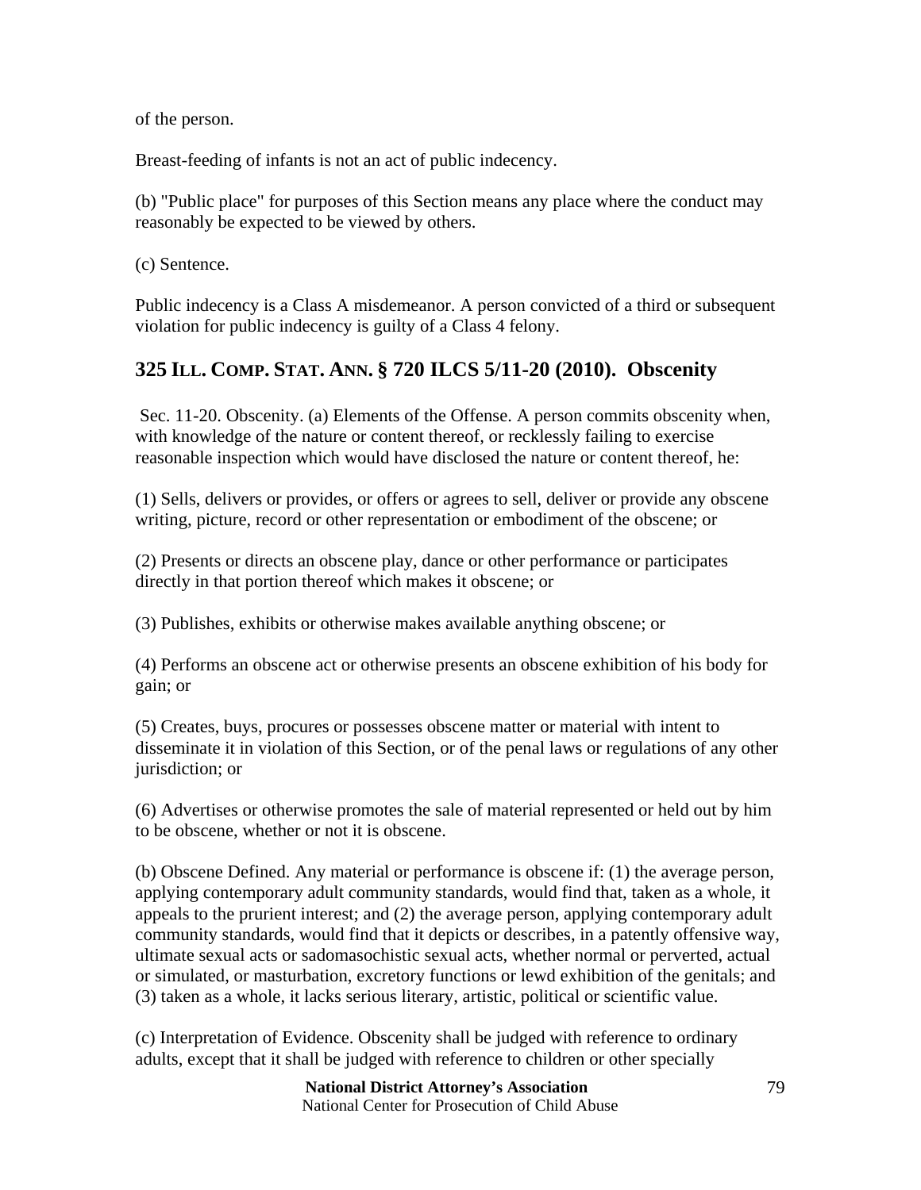of the person.

Breast-feeding of infants is not an act of public indecency.

(b) "Public place" for purposes of this Section means any place where the conduct may reasonably be expected to be viewed by others.

(c) Sentence.

Public indecency is a Class A misdemeanor. A person convicted of a third or subsequent violation for public indecency is guilty of a Class 4 felony.

# **325 ILL. COMP. STAT. ANN. § 720 ILCS 5/11-20 (2010). Obscenity**

 Sec. 11-20. Obscenity. (a) Elements of the Offense. A person commits obscenity when, with knowledge of the nature or content thereof, or recklessly failing to exercise reasonable inspection which would have disclosed the nature or content thereof, he:

(1) Sells, delivers or provides, or offers or agrees to sell, deliver or provide any obscene writing, picture, record or other representation or embodiment of the obscene; or

(2) Presents or directs an obscene play, dance or other performance or participates directly in that portion thereof which makes it obscene; or

(3) Publishes, exhibits or otherwise makes available anything obscene; or

(4) Performs an obscene act or otherwise presents an obscene exhibition of his body for gain; or

(5) Creates, buys, procures or possesses obscene matter or material with intent to disseminate it in violation of this Section, or of the penal laws or regulations of any other jurisdiction; or

(6) Advertises or otherwise promotes the sale of material represented or held out by him to be obscene, whether or not it is obscene.

(b) Obscene Defined. Any material or performance is obscene if: (1) the average person, applying contemporary adult community standards, would find that, taken as a whole, it appeals to the prurient interest; and (2) the average person, applying contemporary adult community standards, would find that it depicts or describes, in a patently offensive way, ultimate sexual acts or sadomasochistic sexual acts, whether normal or perverted, actual or simulated, or masturbation, excretory functions or lewd exhibition of the genitals; and (3) taken as a whole, it lacks serious literary, artistic, political or scientific value.

(c) Interpretation of Evidence. Obscenity shall be judged with reference to ordinary adults, except that it shall be judged with reference to children or other specially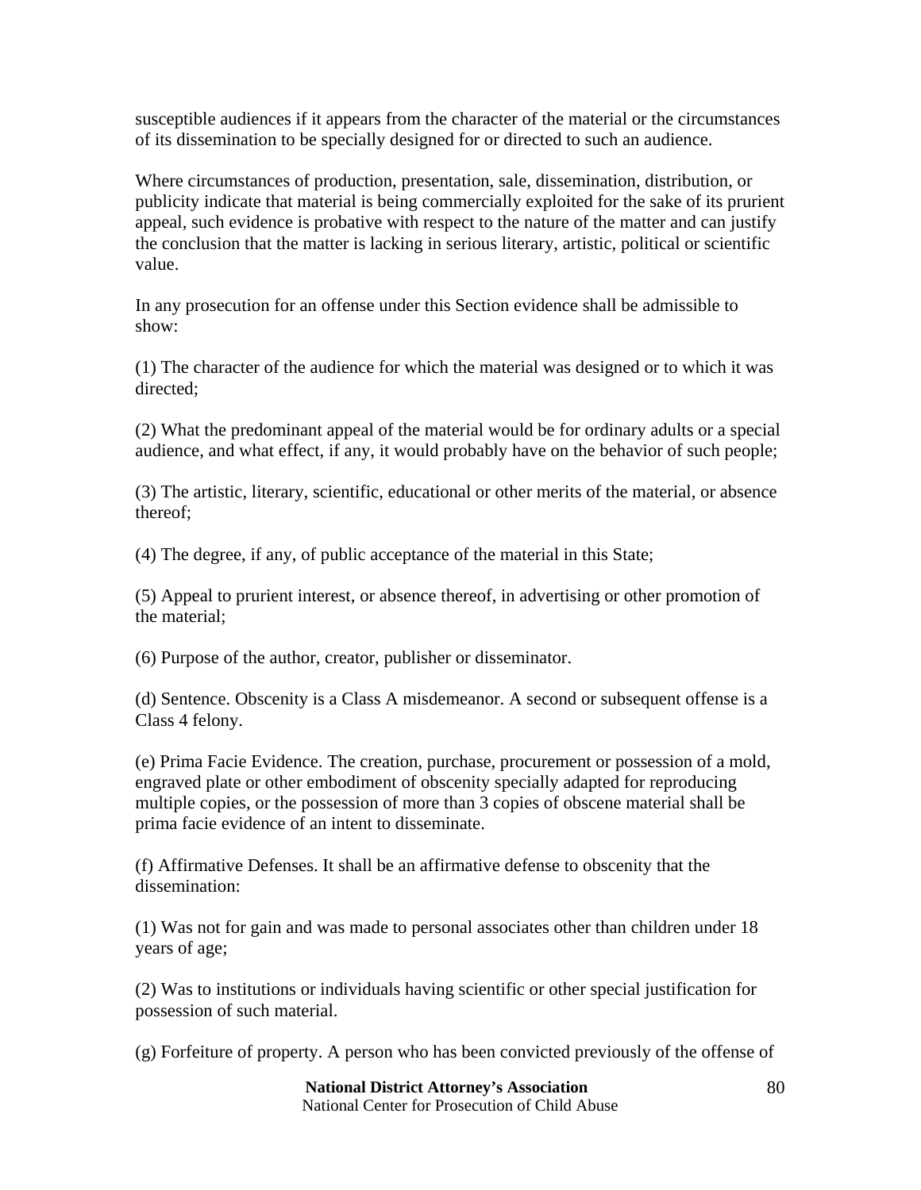susceptible audiences if it appears from the character of the material or the circumstances of its dissemination to be specially designed for or directed to such an audience.

Where circumstances of production, presentation, sale, dissemination, distribution, or publicity indicate that material is being commercially exploited for the sake of its prurient appeal, such evidence is probative with respect to the nature of the matter and can justify the conclusion that the matter is lacking in serious literary, artistic, political or scientific value.

In any prosecution for an offense under this Section evidence shall be admissible to show:

(1) The character of the audience for which the material was designed or to which it was directed;

(2) What the predominant appeal of the material would be for ordinary adults or a special audience, and what effect, if any, it would probably have on the behavior of such people;

(3) The artistic, literary, scientific, educational or other merits of the material, or absence thereof;

(4) The degree, if any, of public acceptance of the material in this State;

(5) Appeal to prurient interest, or absence thereof, in advertising or other promotion of the material;

(6) Purpose of the author, creator, publisher or disseminator.

(d) Sentence. Obscenity is a Class A misdemeanor. A second or subsequent offense is a Class 4 felony.

(e) Prima Facie Evidence. The creation, purchase, procurement or possession of a mold, engraved plate or other embodiment of obscenity specially adapted for reproducing multiple copies, or the possession of more than 3 copies of obscene material shall be prima facie evidence of an intent to disseminate.

(f) Affirmative Defenses. It shall be an affirmative defense to obscenity that the dissemination:

(1) Was not for gain and was made to personal associates other than children under 18 years of age;

(2) Was to institutions or individuals having scientific or other special justification for possession of such material.

(g) Forfeiture of property. A person who has been convicted previously of the offense of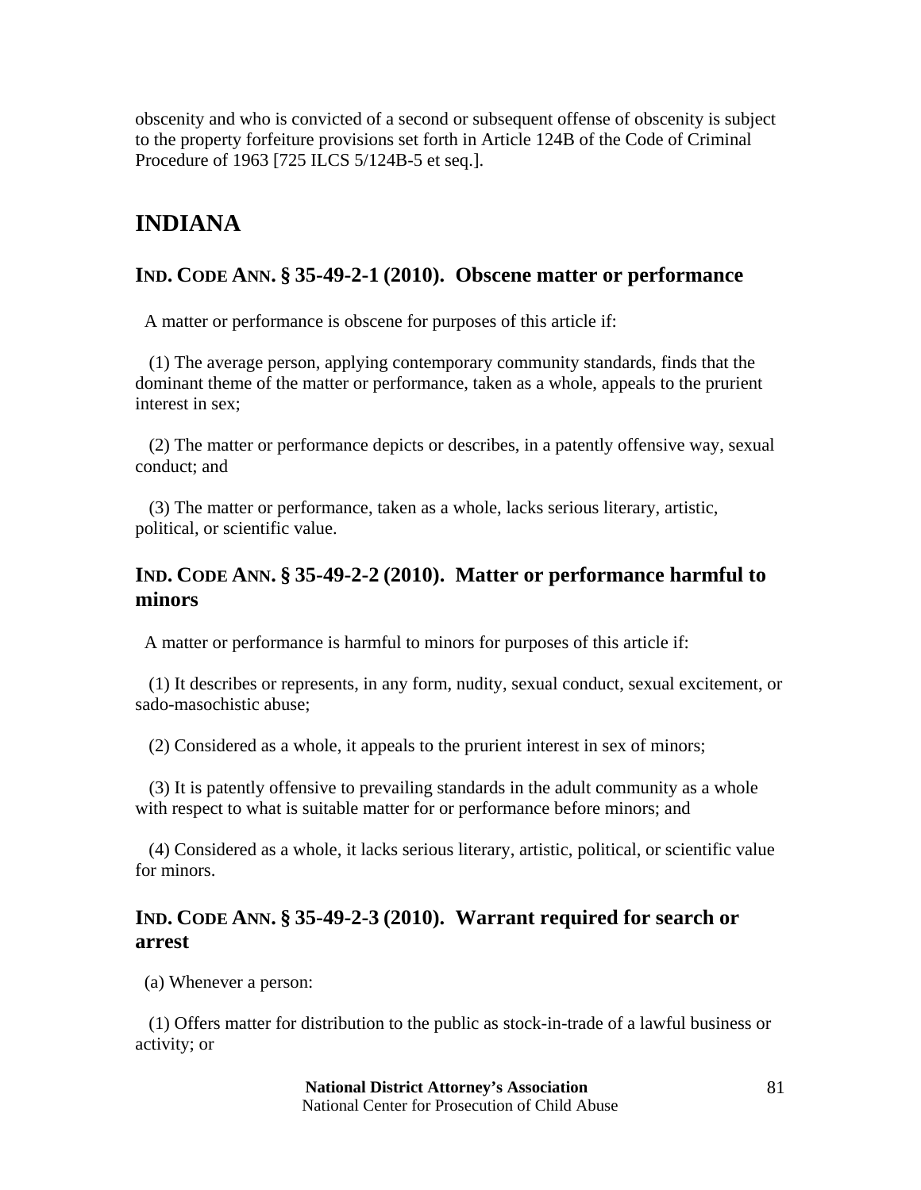obscenity and who is convicted of a second or subsequent offense of obscenity is subject to the property forfeiture provisions set forth in Article 124B of the Code of Criminal Procedure of 1963 [725 ILCS 5/124B-5 et seq.].

# **INDIANA**

# **IND. CODE ANN. § 35-49-2-1 (2010). Obscene matter or performance**

A matter or performance is obscene for purposes of this article if:

 (1) The average person, applying contemporary community standards, finds that the dominant theme of the matter or performance, taken as a whole, appeals to the prurient interest in sex;

 (2) The matter or performance depicts or describes, in a patently offensive way, sexual conduct; and

 (3) The matter or performance, taken as a whole, lacks serious literary, artistic, political, or scientific value.

# **IND. CODE ANN. § 35-49-2-2 (2010). Matter or performance harmful to minors**

A matter or performance is harmful to minors for purposes of this article if:

 (1) It describes or represents, in any form, nudity, sexual conduct, sexual excitement, or sado-masochistic abuse;

(2) Considered as a whole, it appeals to the prurient interest in sex of minors;

 (3) It is patently offensive to prevailing standards in the adult community as a whole with respect to what is suitable matter for or performance before minors; and

 (4) Considered as a whole, it lacks serious literary, artistic, political, or scientific value for minors.

# **IND. CODE ANN. § 35-49-2-3 (2010). Warrant required for search or arrest**

(a) Whenever a person:

 (1) Offers matter for distribution to the public as stock-in-trade of a lawful business or activity; or

> **National District Attorney's Association**  National Center for Prosecution of Child Abuse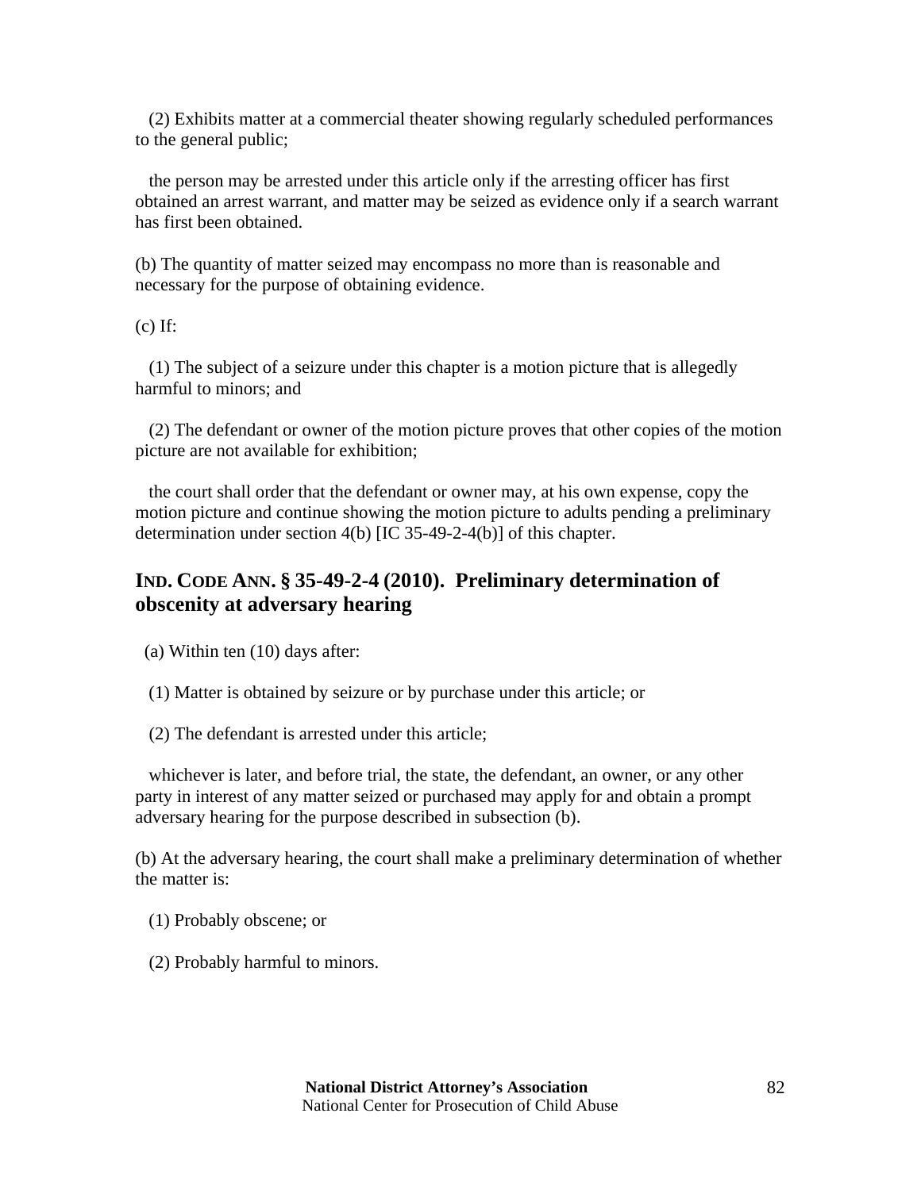(2) Exhibits matter at a commercial theater showing regularly scheduled performances to the general public;

 the person may be arrested under this article only if the arresting officer has first obtained an arrest warrant, and matter may be seized as evidence only if a search warrant has first been obtained.

(b) The quantity of matter seized may encompass no more than is reasonable and necessary for the purpose of obtaining evidence.

(c) If:

 (1) The subject of a seizure under this chapter is a motion picture that is allegedly harmful to minors; and

 (2) The defendant or owner of the motion picture proves that other copies of the motion picture are not available for exhibition;

 the court shall order that the defendant or owner may, at his own expense, copy the motion picture and continue showing the motion picture to adults pending a preliminary determination under section 4(b) [IC 35-49-2-4(b)] of this chapter.

# **IND. CODE ANN. § 35-49-2-4 (2010). Preliminary determination of obscenity at adversary hearing**

(a) Within ten (10) days after:

(1) Matter is obtained by seizure or by purchase under this article; or

(2) The defendant is arrested under this article;

 whichever is later, and before trial, the state, the defendant, an owner, or any other party in interest of any matter seized or purchased may apply for and obtain a prompt adversary hearing for the purpose described in subsection (b).

(b) At the adversary hearing, the court shall make a preliminary determination of whether the matter is:

(1) Probably obscene; or

(2) Probably harmful to minors.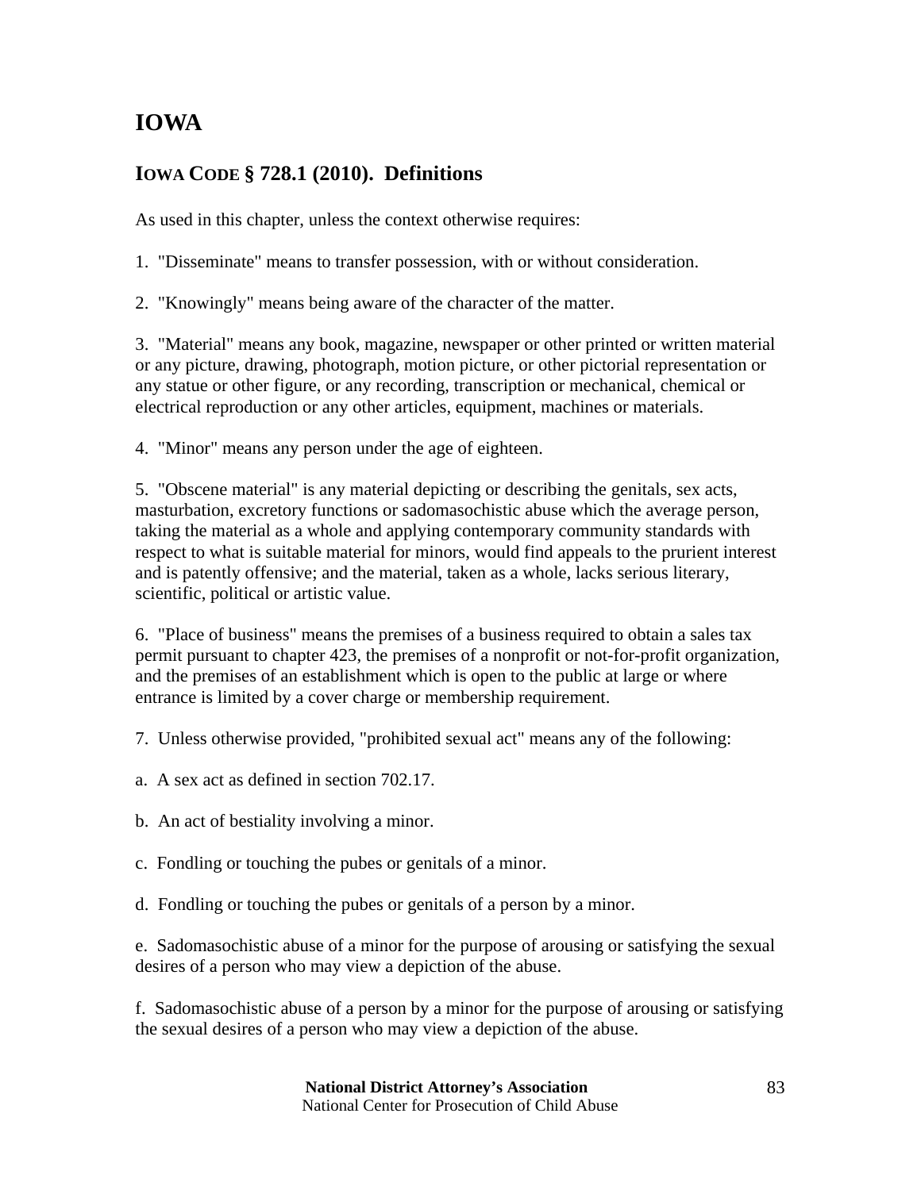# **IOWA**

# **IOWA CODE § 728.1 (2010). Definitions**

As used in this chapter, unless the context otherwise requires:

1. "Disseminate" means to transfer possession, with or without consideration.

2. "Knowingly" means being aware of the character of the matter.

3. "Material" means any book, magazine, newspaper or other printed or written material or any picture, drawing, photograph, motion picture, or other pictorial representation or any statue or other figure, or any recording, transcription or mechanical, chemical or electrical reproduction or any other articles, equipment, machines or materials.

4. "Minor" means any person under the age of eighteen.

5. "Obscene material" is any material depicting or describing the genitals, sex acts, masturbation, excretory functions or sadomasochistic abuse which the average person, taking the material as a whole and applying contemporary community standards with respect to what is suitable material for minors, would find appeals to the prurient interest and is patently offensive; and the material, taken as a whole, lacks serious literary, scientific, political or artistic value.

6. "Place of business" means the premises of a business required to obtain a sales tax permit pursuant to chapter 423, the premises of a nonprofit or not-for-profit organization, and the premises of an establishment which is open to the public at large or where entrance is limited by a cover charge or membership requirement.

7. Unless otherwise provided, "prohibited sexual act" means any of the following:

a. A sex act as defined in section 702.17.

- b. An act of bestiality involving a minor.
- c. Fondling or touching the pubes or genitals of a minor.
- d. Fondling or touching the pubes or genitals of a person by a minor.

e. Sadomasochistic abuse of a minor for the purpose of arousing or satisfying the sexual desires of a person who may view a depiction of the abuse.

f. Sadomasochistic abuse of a person by a minor for the purpose of arousing or satisfying the sexual desires of a person who may view a depiction of the abuse.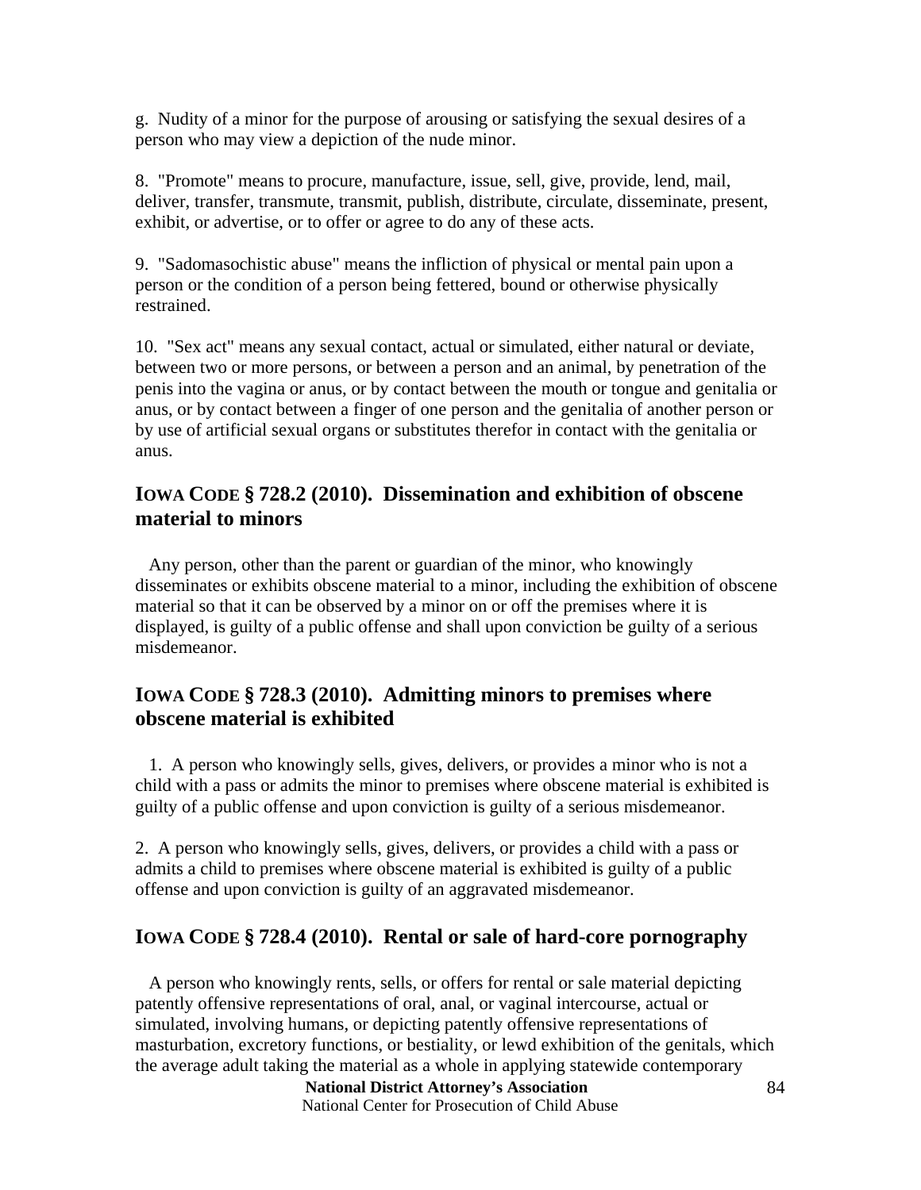g. Nudity of a minor for the purpose of arousing or satisfying the sexual desires of a person who may view a depiction of the nude minor.

8. "Promote" means to procure, manufacture, issue, sell, give, provide, lend, mail, deliver, transfer, transmute, transmit, publish, distribute, circulate, disseminate, present, exhibit, or advertise, or to offer or agree to do any of these acts.

9. "Sadomasochistic abuse" means the infliction of physical or mental pain upon a person or the condition of a person being fettered, bound or otherwise physically restrained.

10. "Sex act" means any sexual contact, actual or simulated, either natural or deviate, between two or more persons, or between a person and an animal, by penetration of the penis into the vagina or anus, or by contact between the mouth or tongue and genitalia or anus, or by contact between a finger of one person and the genitalia of another person or by use of artificial sexual organs or substitutes therefor in contact with the genitalia or anus.

# **IOWA CODE § 728.2 (2010). Dissemination and exhibition of obscene material to minors**

 Any person, other than the parent or guardian of the minor, who knowingly disseminates or exhibits obscene material to a minor, including the exhibition of obscene material so that it can be observed by a minor on or off the premises where it is displayed, is guilty of a public offense and shall upon conviction be guilty of a serious misdemeanor.

# **IOWA CODE § 728.3 (2010). Admitting minors to premises where obscene material is exhibited**

 1. A person who knowingly sells, gives, delivers, or provides a minor who is not a child with a pass or admits the minor to premises where obscene material is exhibited is guilty of a public offense and upon conviction is guilty of a serious misdemeanor.

2. A person who knowingly sells, gives, delivers, or provides a child with a pass or admits a child to premises where obscene material is exhibited is guilty of a public offense and upon conviction is guilty of an aggravated misdemeanor.

# **IOWA CODE § 728.4 (2010). Rental or sale of hard-core pornography**

 A person who knowingly rents, sells, or offers for rental or sale material depicting patently offensive representations of oral, anal, or vaginal intercourse, actual or simulated, involving humans, or depicting patently offensive representations of masturbation, excretory functions, or bestiality, or lewd exhibition of the genitals, which the average adult taking the material as a whole in applying statewide contemporary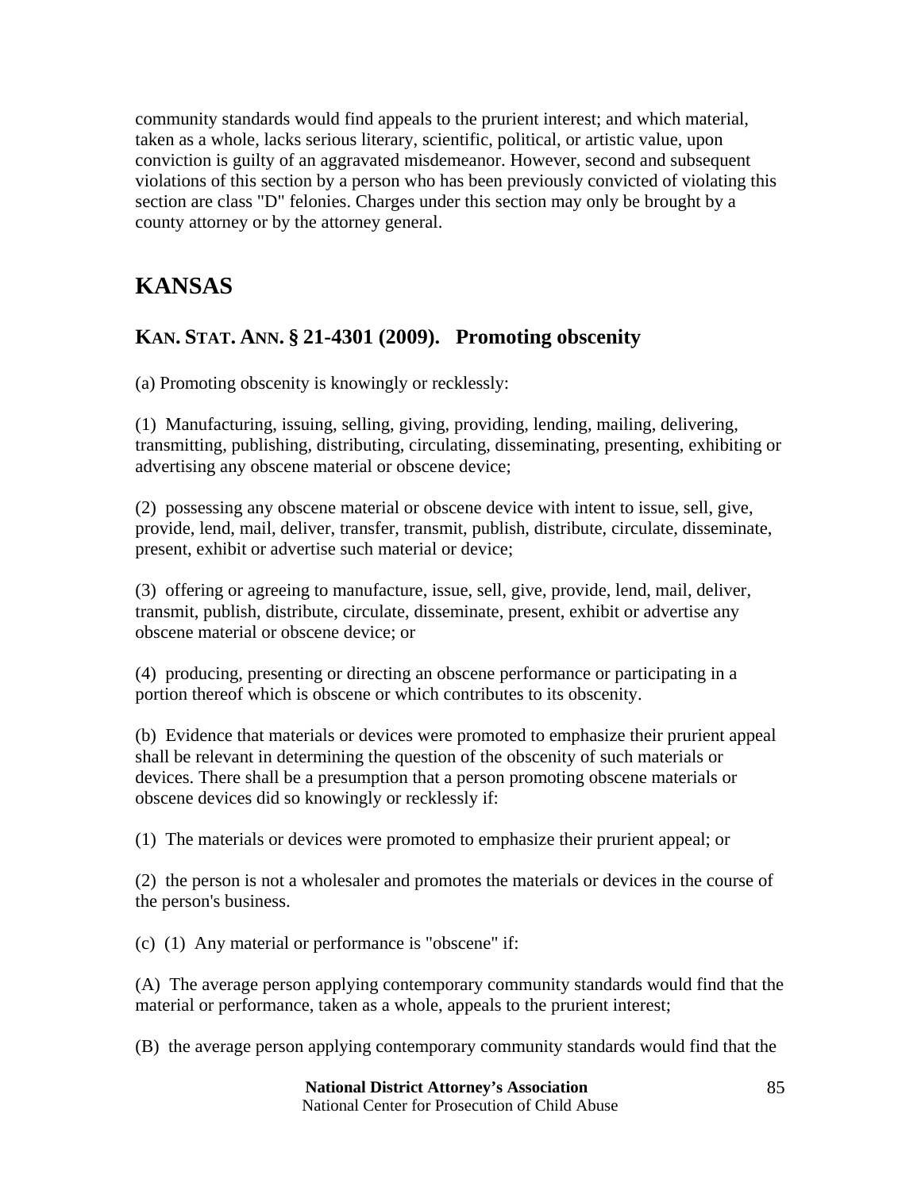community standards would find appeals to the prurient interest; and which material, taken as a whole, lacks serious literary, scientific, political, or artistic value, upon conviction is guilty of an aggravated misdemeanor. However, second and subsequent violations of this section by a person who has been previously convicted of violating this section are class "D" felonies. Charges under this section may only be brought by a county attorney or by the attorney general.

# **KANSAS**

# **KAN. STAT. ANN. § 21-4301 (2009). Promoting obscenity**

(a) Promoting obscenity is knowingly or recklessly:

(1) Manufacturing, issuing, selling, giving, providing, lending, mailing, delivering, transmitting, publishing, distributing, circulating, disseminating, presenting, exhibiting or advertising any obscene material or obscene device;

(2) possessing any obscene material or obscene device with intent to issue, sell, give, provide, lend, mail, deliver, transfer, transmit, publish, distribute, circulate, disseminate, present, exhibit or advertise such material or device;

(3) offering or agreeing to manufacture, issue, sell, give, provide, lend, mail, deliver, transmit, publish, distribute, circulate, disseminate, present, exhibit or advertise any obscene material or obscene device; or

(4) producing, presenting or directing an obscene performance or participating in a portion thereof which is obscene or which contributes to its obscenity.

(b) Evidence that materials or devices were promoted to emphasize their prurient appeal shall be relevant in determining the question of the obscenity of such materials or devices. There shall be a presumption that a person promoting obscene materials or obscene devices did so knowingly or recklessly if:

(1) The materials or devices were promoted to emphasize their prurient appeal; or

(2) the person is not a wholesaler and promotes the materials or devices in the course of the person's business.

(c) (1) Any material or performance is "obscene" if:

(A) The average person applying contemporary community standards would find that the material or performance, taken as a whole, appeals to the prurient interest;

(B) the average person applying contemporary community standards would find that the

# **National District Attorney's Association**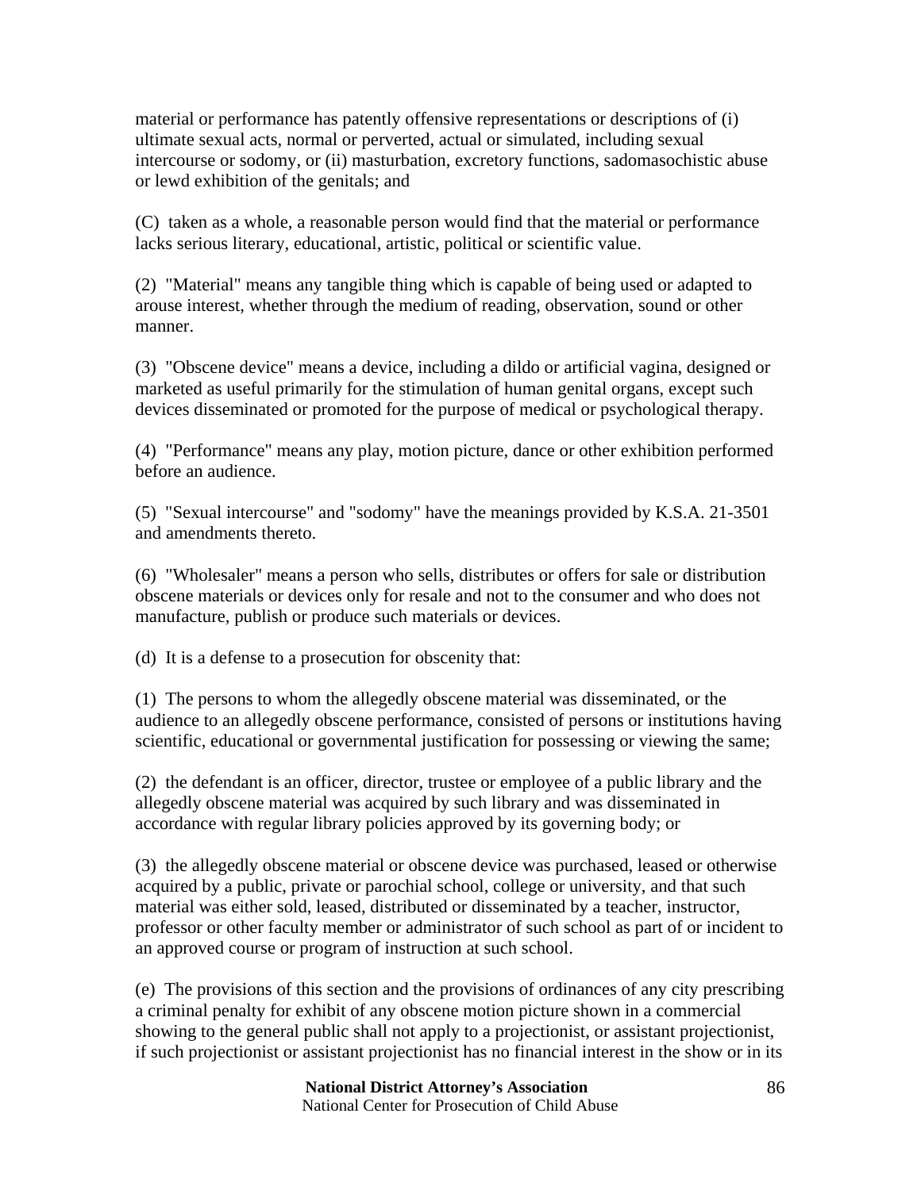material or performance has patently offensive representations or descriptions of (i) ultimate sexual acts, normal or perverted, actual or simulated, including sexual intercourse or sodomy, or (ii) masturbation, excretory functions, sadomasochistic abuse or lewd exhibition of the genitals; and

(C) taken as a whole, a reasonable person would find that the material or performance lacks serious literary, educational, artistic, political or scientific value.

(2) "Material" means any tangible thing which is capable of being used or adapted to arouse interest, whether through the medium of reading, observation, sound or other manner.

(3) "Obscene device" means a device, including a dildo or artificial vagina, designed or marketed as useful primarily for the stimulation of human genital organs, except such devices disseminated or promoted for the purpose of medical or psychological therapy.

(4) "Performance" means any play, motion picture, dance or other exhibition performed before an audience.

(5) "Sexual intercourse" and "sodomy" have the meanings provided by K.S.A. 21-3501 and amendments thereto.

(6) "Wholesaler" means a person who sells, distributes or offers for sale or distribution obscene materials or devices only for resale and not to the consumer and who does not manufacture, publish or produce such materials or devices.

(d) It is a defense to a prosecution for obscenity that:

(1) The persons to whom the allegedly obscene material was disseminated, or the audience to an allegedly obscene performance, consisted of persons or institutions having scientific, educational or governmental justification for possessing or viewing the same;

(2) the defendant is an officer, director, trustee or employee of a public library and the allegedly obscene material was acquired by such library and was disseminated in accordance with regular library policies approved by its governing body; or

(3) the allegedly obscene material or obscene device was purchased, leased or otherwise acquired by a public, private or parochial school, college or university, and that such material was either sold, leased, distributed or disseminated by a teacher, instructor, professor or other faculty member or administrator of such school as part of or incident to an approved course or program of instruction at such school.

(e) The provisions of this section and the provisions of ordinances of any city prescribing a criminal penalty for exhibit of any obscene motion picture shown in a commercial showing to the general public shall not apply to a projectionist, or assistant projectionist, if such projectionist or assistant projectionist has no financial interest in the show or in its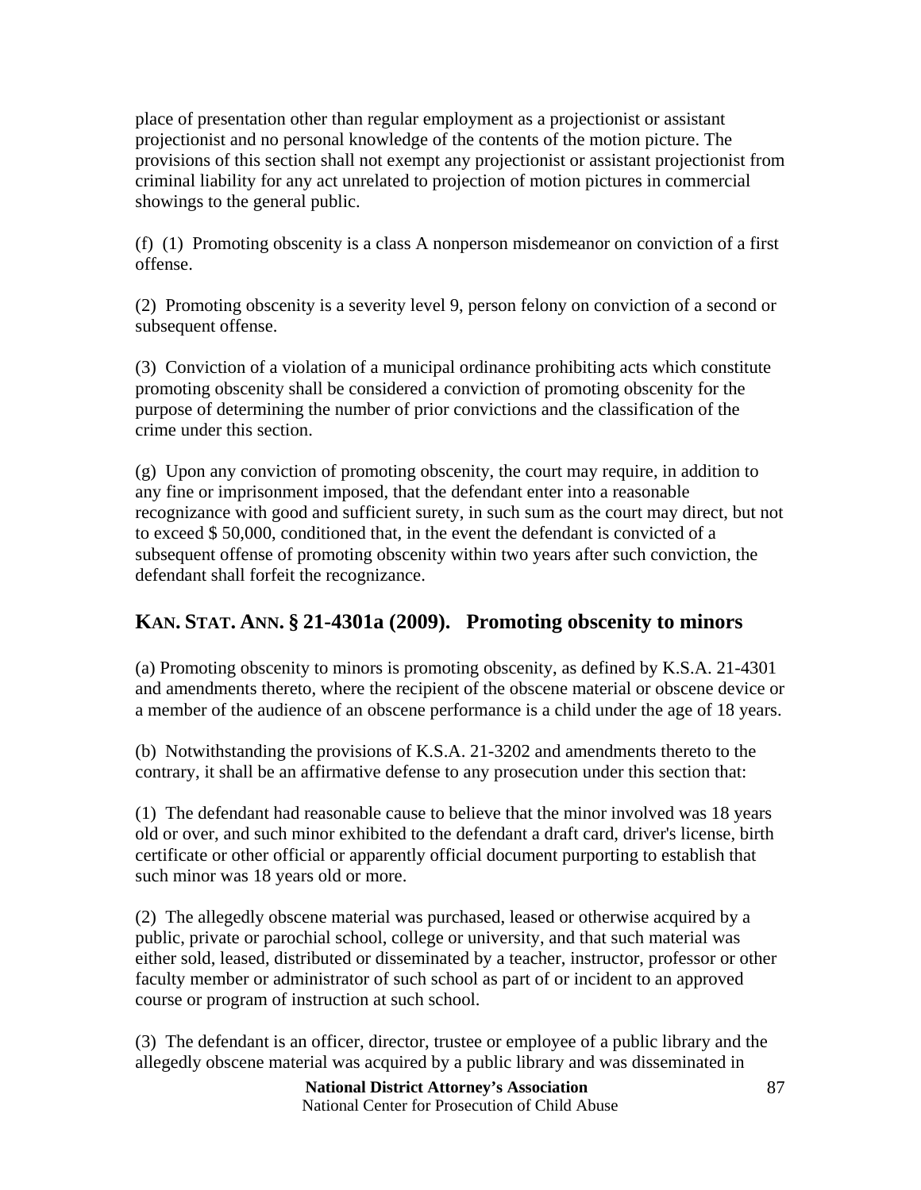place of presentation other than regular employment as a projectionist or assistant projectionist and no personal knowledge of the contents of the motion picture. The provisions of this section shall not exempt any projectionist or assistant projectionist from criminal liability for any act unrelated to projection of motion pictures in commercial showings to the general public.

(f) (1) Promoting obscenity is a class A nonperson misdemeanor on conviction of a first offense.

(2) Promoting obscenity is a severity level 9, person felony on conviction of a second or subsequent offense.

(3) Conviction of a violation of a municipal ordinance prohibiting acts which constitute promoting obscenity shall be considered a conviction of promoting obscenity for the purpose of determining the number of prior convictions and the classification of the crime under this section.

(g) Upon any conviction of promoting obscenity, the court may require, in addition to any fine or imprisonment imposed, that the defendant enter into a reasonable recognizance with good and sufficient surety, in such sum as the court may direct, but not to exceed \$ 50,000, conditioned that, in the event the defendant is convicted of a subsequent offense of promoting obscenity within two years after such conviction, the defendant shall forfeit the recognizance.

# **KAN. STAT. ANN. § 21-4301a (2009). Promoting obscenity to minors**

(a) Promoting obscenity to minors is promoting obscenity, as defined by K.S.A. 21-4301 and amendments thereto, where the recipient of the obscene material or obscene device or a member of the audience of an obscene performance is a child under the age of 18 years.

(b) Notwithstanding the provisions of K.S.A. 21-3202 and amendments thereto to the contrary, it shall be an affirmative defense to any prosecution under this section that:

(1) The defendant had reasonable cause to believe that the minor involved was 18 years old or over, and such minor exhibited to the defendant a draft card, driver's license, birth certificate or other official or apparently official document purporting to establish that such minor was 18 years old or more.

(2) The allegedly obscene material was purchased, leased or otherwise acquired by a public, private or parochial school, college or university, and that such material was either sold, leased, distributed or disseminated by a teacher, instructor, professor or other faculty member or administrator of such school as part of or incident to an approved course or program of instruction at such school.

(3) The defendant is an officer, director, trustee or employee of a public library and the allegedly obscene material was acquired by a public library and was disseminated in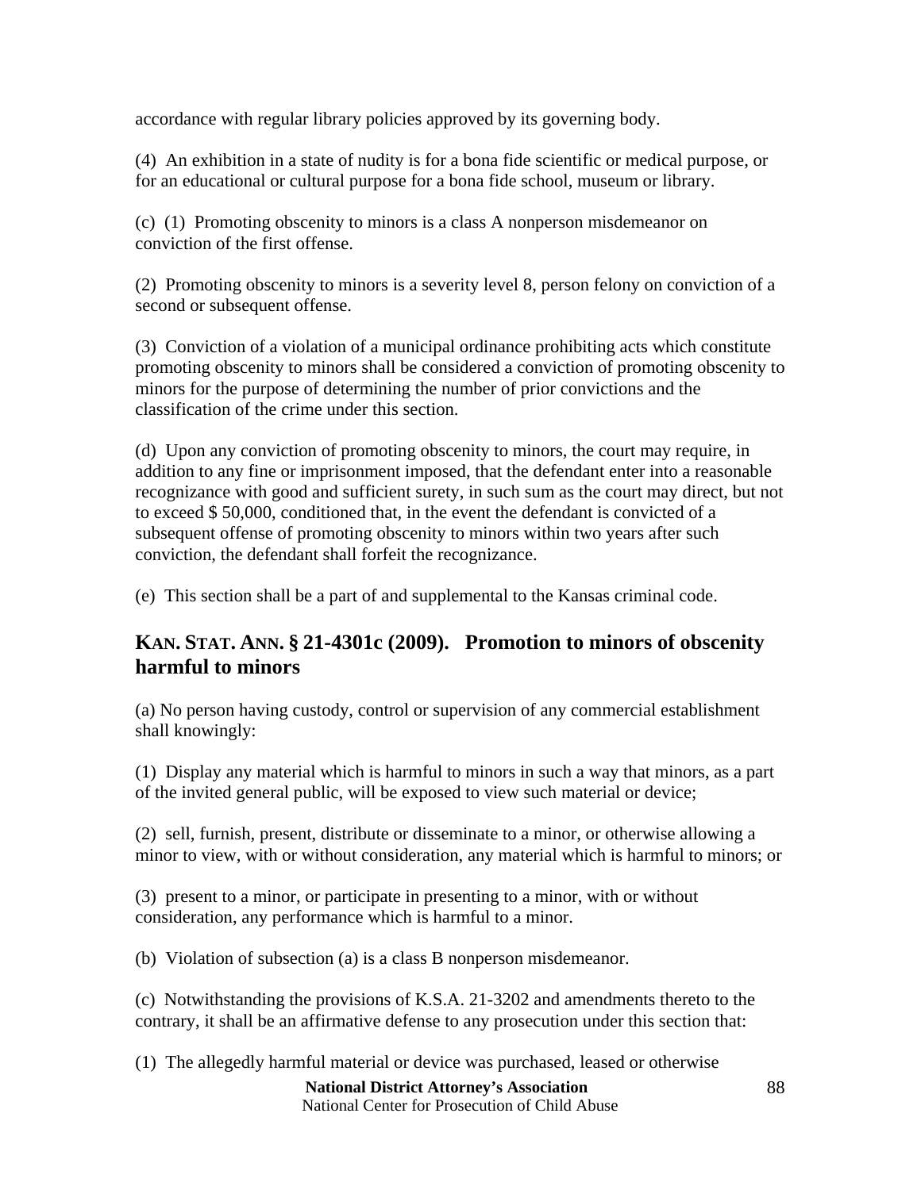accordance with regular library policies approved by its governing body.

(4) An exhibition in a state of nudity is for a bona fide scientific or medical purpose, or for an educational or cultural purpose for a bona fide school, museum or library.

(c) (1) Promoting obscenity to minors is a class A nonperson misdemeanor on conviction of the first offense.

(2) Promoting obscenity to minors is a severity level 8, person felony on conviction of a second or subsequent offense.

(3) Conviction of a violation of a municipal ordinance prohibiting acts which constitute promoting obscenity to minors shall be considered a conviction of promoting obscenity to minors for the purpose of determining the number of prior convictions and the classification of the crime under this section.

(d) Upon any conviction of promoting obscenity to minors, the court may require, in addition to any fine or imprisonment imposed, that the defendant enter into a reasonable recognizance with good and sufficient surety, in such sum as the court may direct, but not to exceed \$ 50,000, conditioned that, in the event the defendant is convicted of a subsequent offense of promoting obscenity to minors within two years after such conviction, the defendant shall forfeit the recognizance.

(e) This section shall be a part of and supplemental to the Kansas criminal code.

# **KAN. STAT. ANN. § 21-4301c (2009). Promotion to minors of obscenity harmful to minors**

(a) No person having custody, control or supervision of any commercial establishment shall knowingly:

(1) Display any material which is harmful to minors in such a way that minors, as a part of the invited general public, will be exposed to view such material or device;

(2) sell, furnish, present, distribute or disseminate to a minor, or otherwise allowing a minor to view, with or without consideration, any material which is harmful to minors; or

(3) present to a minor, or participate in presenting to a minor, with or without consideration, any performance which is harmful to a minor.

(b) Violation of subsection (a) is a class B nonperson misdemeanor.

(c) Notwithstanding the provisions of K.S.A. 21-3202 and amendments thereto to the contrary, it shall be an affirmative defense to any prosecution under this section that:

(1) The allegedly harmful material or device was purchased, leased or otherwise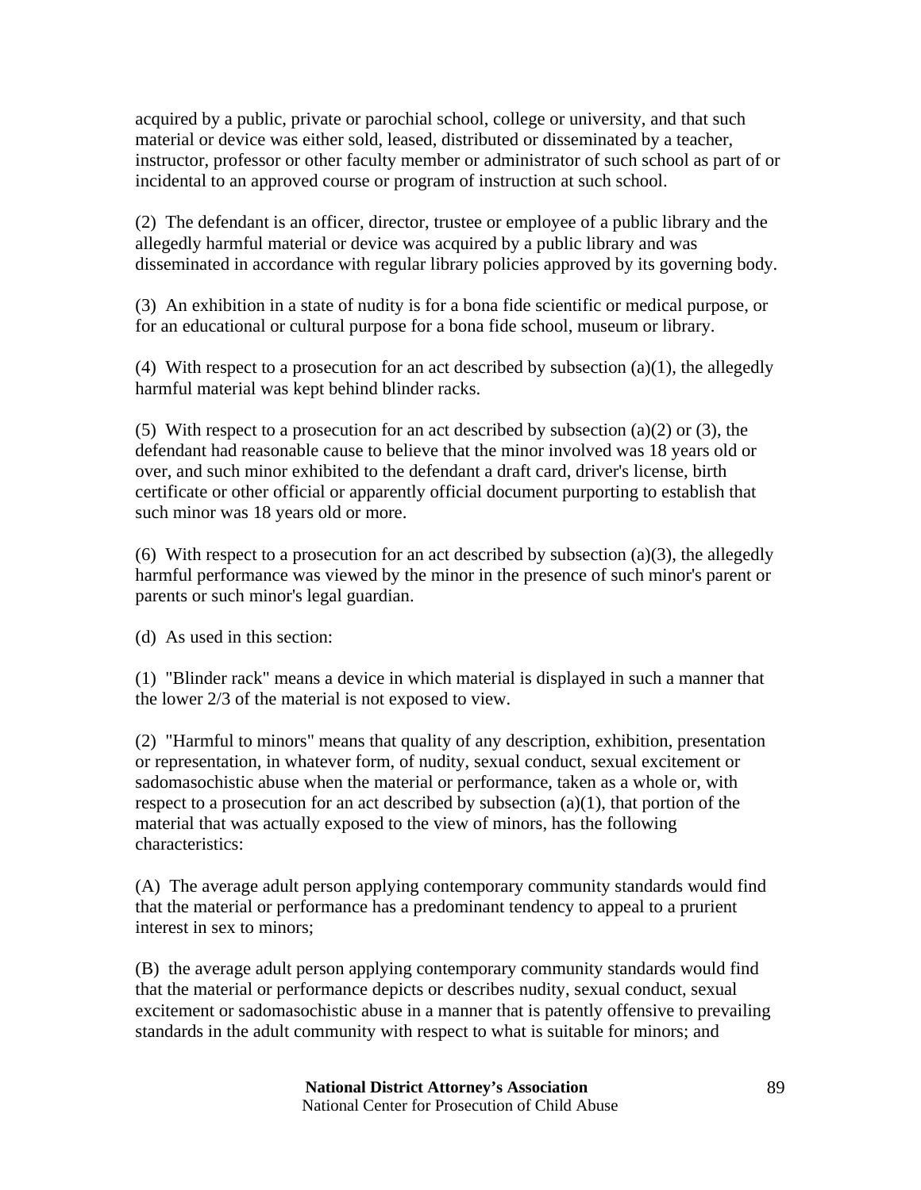acquired by a public, private or parochial school, college or university, and that such material or device was either sold, leased, distributed or disseminated by a teacher, instructor, professor or other faculty member or administrator of such school as part of or incidental to an approved course or program of instruction at such school.

(2) The defendant is an officer, director, trustee or employee of a public library and the allegedly harmful material or device was acquired by a public library and was disseminated in accordance with regular library policies approved by its governing body.

(3) An exhibition in a state of nudity is for a bona fide scientific or medical purpose, or for an educational or cultural purpose for a bona fide school, museum or library.

(4) With respect to a prosecution for an act described by subsection  $(a)(1)$ , the allegedly harmful material was kept behind blinder racks.

(5) With respect to a prosecution for an act described by subsection (a)(2) or (3), the defendant had reasonable cause to believe that the minor involved was 18 years old or over, and such minor exhibited to the defendant a draft card, driver's license, birth certificate or other official or apparently official document purporting to establish that such minor was 18 years old or more.

(6) With respect to a prosecution for an act described by subsection (a)(3), the allegedly harmful performance was viewed by the minor in the presence of such minor's parent or parents or such minor's legal guardian.

(d) As used in this section:

(1) "Blinder rack" means a device in which material is displayed in such a manner that the lower 2/3 of the material is not exposed to view.

(2) "Harmful to minors" means that quality of any description, exhibition, presentation or representation, in whatever form, of nudity, sexual conduct, sexual excitement or sadomasochistic abuse when the material or performance, taken as a whole or, with respect to a prosecution for an act described by subsection  $(a)(1)$ , that portion of the material that was actually exposed to the view of minors, has the following characteristics:

(A) The average adult person applying contemporary community standards would find that the material or performance has a predominant tendency to appeal to a prurient interest in sex to minors;

(B) the average adult person applying contemporary community standards would find that the material or performance depicts or describes nudity, sexual conduct, sexual excitement or sadomasochistic abuse in a manner that is patently offensive to prevailing standards in the adult community with respect to what is suitable for minors; and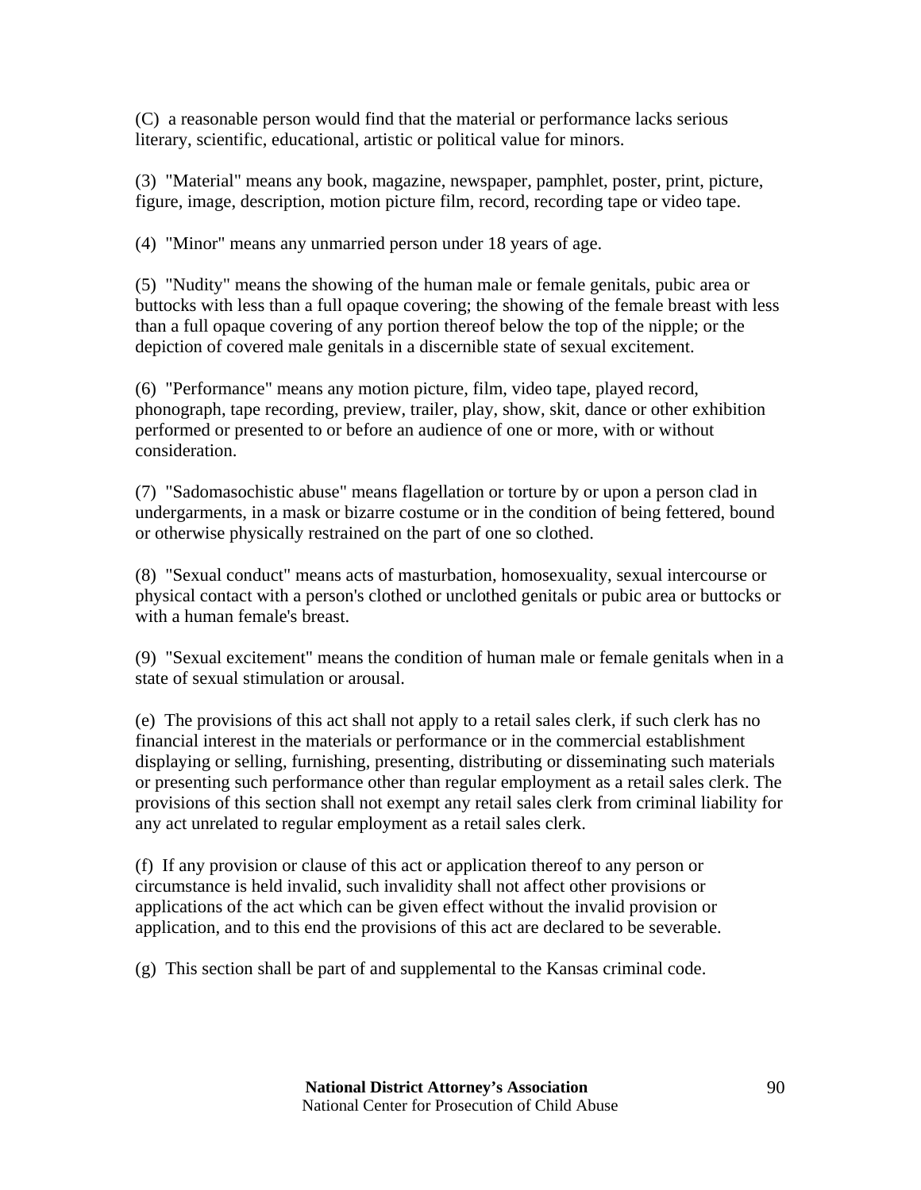(C) a reasonable person would find that the material or performance lacks serious literary, scientific, educational, artistic or political value for minors.

(3) "Material" means any book, magazine, newspaper, pamphlet, poster, print, picture, figure, image, description, motion picture film, record, recording tape or video tape.

(4) "Minor" means any unmarried person under 18 years of age.

(5) "Nudity" means the showing of the human male or female genitals, pubic area or buttocks with less than a full opaque covering; the showing of the female breast with less than a full opaque covering of any portion thereof below the top of the nipple; or the depiction of covered male genitals in a discernible state of sexual excitement.

(6) "Performance" means any motion picture, film, video tape, played record, phonograph, tape recording, preview, trailer, play, show, skit, dance or other exhibition performed or presented to or before an audience of one or more, with or without consideration.

(7) "Sadomasochistic abuse" means flagellation or torture by or upon a person clad in undergarments, in a mask or bizarre costume or in the condition of being fettered, bound or otherwise physically restrained on the part of one so clothed.

(8) "Sexual conduct" means acts of masturbation, homosexuality, sexual intercourse or physical contact with a person's clothed or unclothed genitals or pubic area or buttocks or with a human female's breast.

(9) "Sexual excitement" means the condition of human male or female genitals when in a state of sexual stimulation or arousal.

(e) The provisions of this act shall not apply to a retail sales clerk, if such clerk has no financial interest in the materials or performance or in the commercial establishment displaying or selling, furnishing, presenting, distributing or disseminating such materials or presenting such performance other than regular employment as a retail sales clerk. The provisions of this section shall not exempt any retail sales clerk from criminal liability for any act unrelated to regular employment as a retail sales clerk.

(f) If any provision or clause of this act or application thereof to any person or circumstance is held invalid, such invalidity shall not affect other provisions or applications of the act which can be given effect without the invalid provision or application, and to this end the provisions of this act are declared to be severable.

(g) This section shall be part of and supplemental to the Kansas criminal code.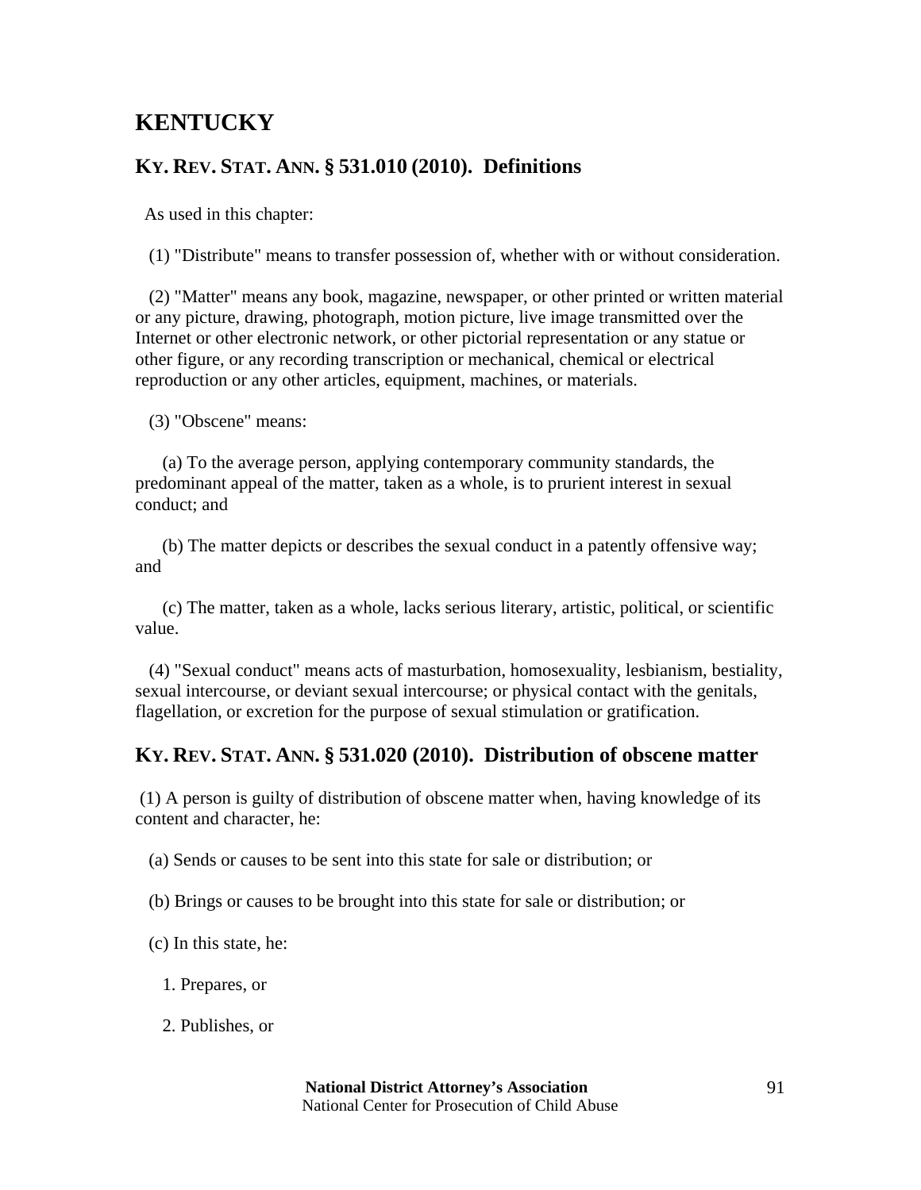# **KENTUCKY**

### **KY. REV. STAT. ANN. § 531.010 (2010). Definitions**

As used in this chapter:

(1) "Distribute" means to transfer possession of, whether with or without consideration.

 (2) "Matter" means any book, magazine, newspaper, or other printed or written material or any picture, drawing, photograph, motion picture, live image transmitted over the Internet or other electronic network, or other pictorial representation or any statue or other figure, or any recording transcription or mechanical, chemical or electrical reproduction or any other articles, equipment, machines, or materials.

(3) "Obscene" means:

 (a) To the average person, applying contemporary community standards, the predominant appeal of the matter, taken as a whole, is to prurient interest in sexual conduct; and

 (b) The matter depicts or describes the sexual conduct in a patently offensive way; and

 (c) The matter, taken as a whole, lacks serious literary, artistic, political, or scientific value.

 (4) "Sexual conduct" means acts of masturbation, homosexuality, lesbianism, bestiality, sexual intercourse, or deviant sexual intercourse; or physical contact with the genitals, flagellation, or excretion for the purpose of sexual stimulation or gratification.

#### **KY. REV. STAT. ANN. § 531.020 (2010). Distribution of obscene matter**

 (1) A person is guilty of distribution of obscene matter when, having knowledge of its content and character, he:

(a) Sends or causes to be sent into this state for sale or distribution; or

(b) Brings or causes to be brought into this state for sale or distribution; or

(c) In this state, he:

1. Prepares, or

2. Publishes, or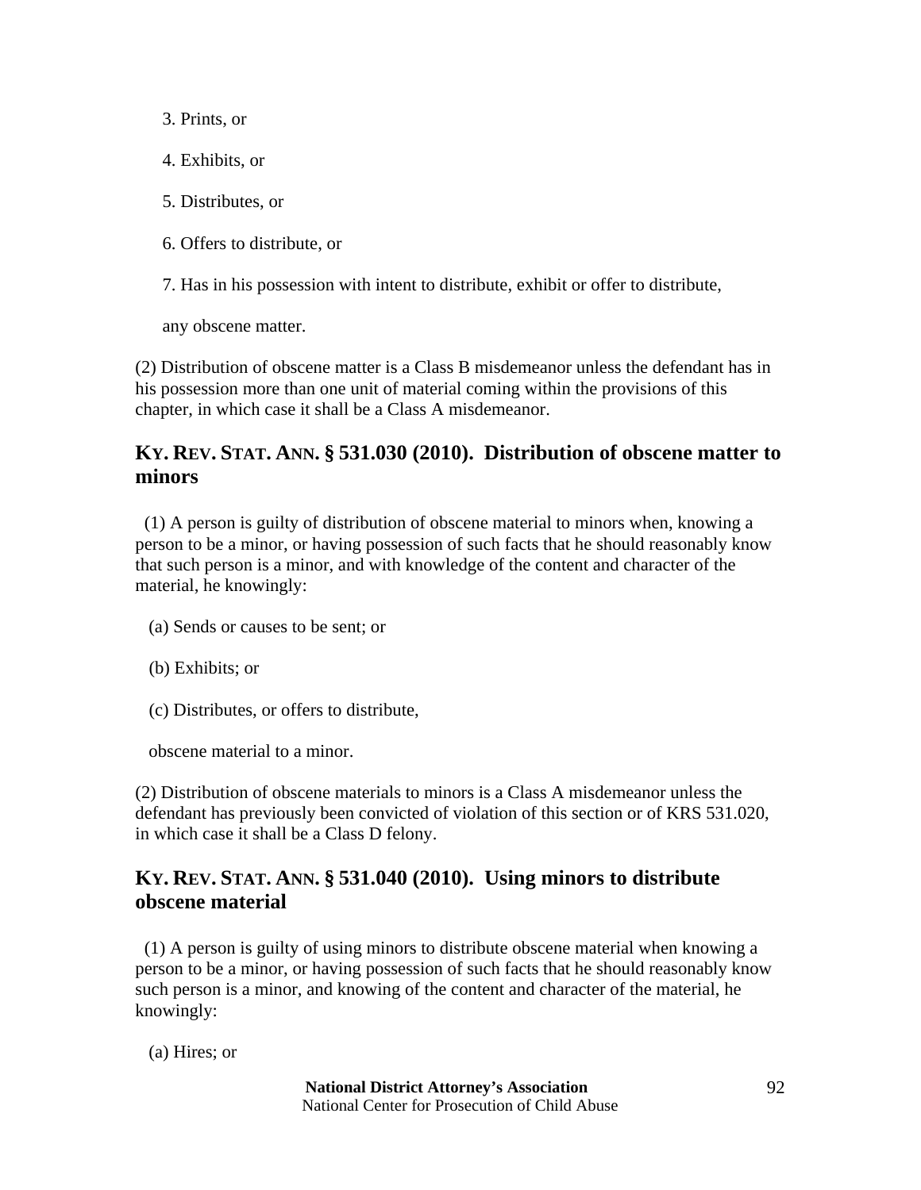3. Prints, or

- 4. Exhibits, or
- 5. Distributes, or
- 6. Offers to distribute, or

7. Has in his possession with intent to distribute, exhibit or offer to distribute,

any obscene matter.

(2) Distribution of obscene matter is a Class B misdemeanor unless the defendant has in his possession more than one unit of material coming within the provisions of this chapter, in which case it shall be a Class A misdemeanor.

# **KY. REV. STAT. ANN. § 531.030 (2010). Distribution of obscene matter to minors**

 (1) A person is guilty of distribution of obscene material to minors when, knowing a person to be a minor, or having possession of such facts that he should reasonably know that such person is a minor, and with knowledge of the content and character of the material, he knowingly:

- (b) Exhibits; or
- (c) Distributes, or offers to distribute,

obscene material to a minor.

(2) Distribution of obscene materials to minors is a Class A misdemeanor unless the defendant has previously been convicted of violation of this section or of KRS 531.020, in which case it shall be a Class D felony.

# **KY. REV. STAT. ANN. § 531.040 (2010). Using minors to distribute obscene material**

 (1) A person is guilty of using minors to distribute obscene material when knowing a person to be a minor, or having possession of such facts that he should reasonably know such person is a minor, and knowing of the content and character of the material, he knowingly:

(a) Hires; or

 <sup>(</sup>a) Sends or causes to be sent; or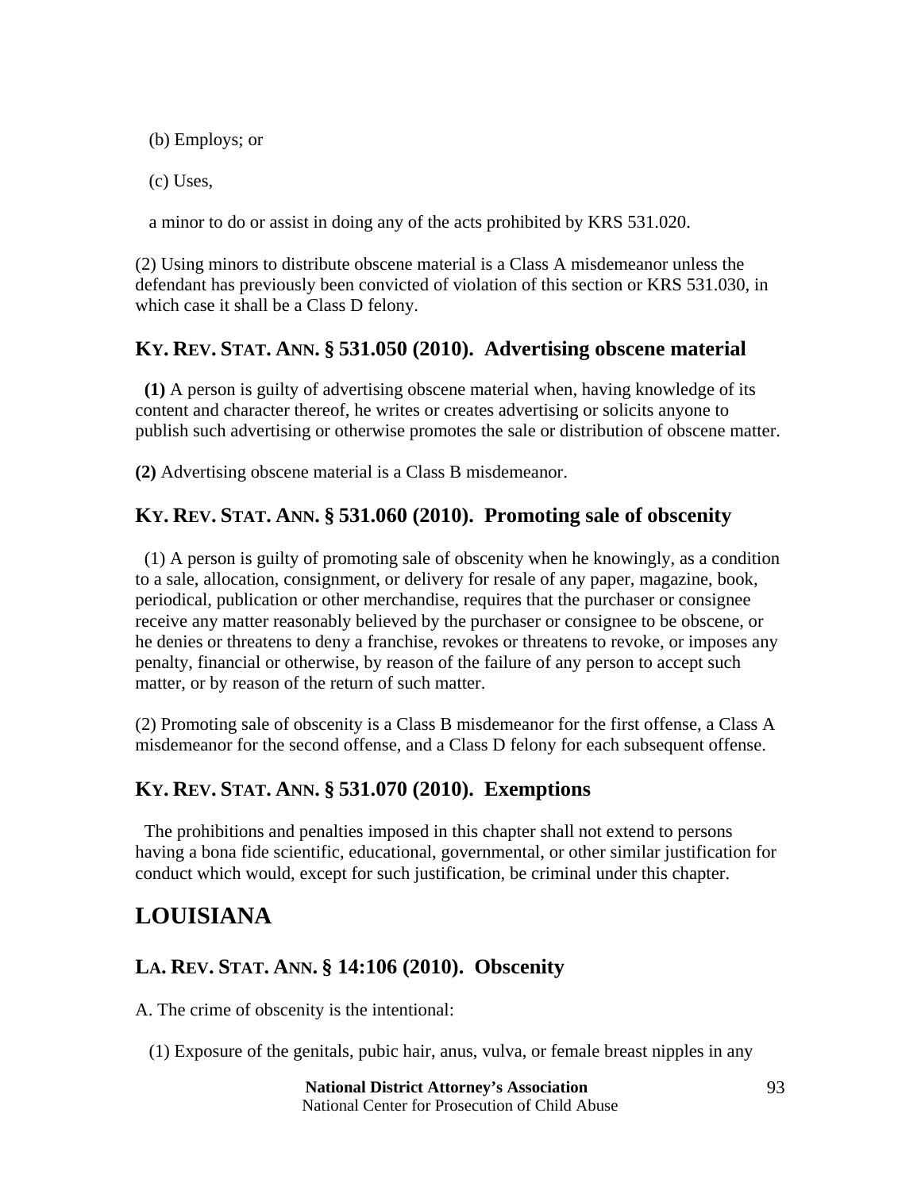(b) Employs; or

(c) Uses,

a minor to do or assist in doing any of the acts prohibited by KRS 531.020.

(2) Using minors to distribute obscene material is a Class A misdemeanor unless the defendant has previously been convicted of violation of this section or KRS 531.030, in which case it shall be a Class D felony.

### **KY. REV. STAT. ANN. § 531.050 (2010). Advertising obscene material**

 **(1)** A person is guilty of advertising obscene material when, having knowledge of its content and character thereof, he writes or creates advertising or solicits anyone to publish such advertising or otherwise promotes the sale or distribution of obscene matter.

**(2)** Advertising obscene material is a Class B misdemeanor.

# **KY. REV. STAT. ANN. § 531.060 (2010). Promoting sale of obscenity**

 (1) A person is guilty of promoting sale of obscenity when he knowingly, as a condition to a sale, allocation, consignment, or delivery for resale of any paper, magazine, book, periodical, publication or other merchandise, requires that the purchaser or consignee receive any matter reasonably believed by the purchaser or consignee to be obscene, or he denies or threatens to deny a franchise, revokes or threatens to revoke, or imposes any penalty, financial or otherwise, by reason of the failure of any person to accept such matter, or by reason of the return of such matter.

(2) Promoting sale of obscenity is a Class B misdemeanor for the first offense, a Class A misdemeanor for the second offense, and a Class D felony for each subsequent offense.

# **KY. REV. STAT. ANN. § 531.070 (2010). Exemptions**

 The prohibitions and penalties imposed in this chapter shall not extend to persons having a bona fide scientific, educational, governmental, or other similar justification for conduct which would, except for such justification, be criminal under this chapter.

# **LOUISIANA**

# **LA. REV. STAT. ANN. § 14:106 (2010). Obscenity**

A. The crime of obscenity is the intentional:

(1) Exposure of the genitals, pubic hair, anus, vulva, or female breast nipples in any

**National District Attorney's Association**  National Center for Prosecution of Child Abuse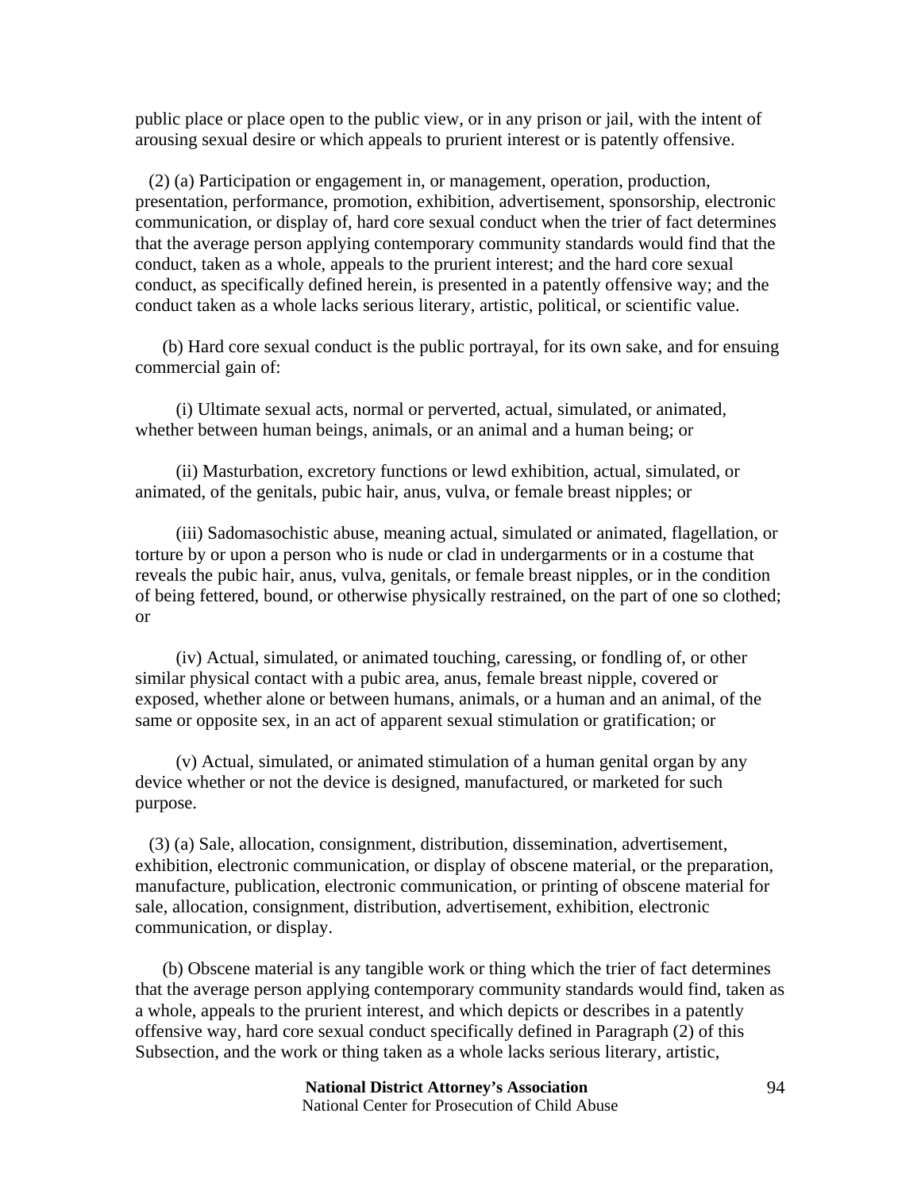public place or place open to the public view, or in any prison or jail, with the intent of arousing sexual desire or which appeals to prurient interest or is patently offensive.

 (2) (a) Participation or engagement in, or management, operation, production, presentation, performance, promotion, exhibition, advertisement, sponsorship, electronic communication, or display of, hard core sexual conduct when the trier of fact determines that the average person applying contemporary community standards would find that the conduct, taken as a whole, appeals to the prurient interest; and the hard core sexual conduct, as specifically defined herein, is presented in a patently offensive way; and the conduct taken as a whole lacks serious literary, artistic, political, or scientific value.

 (b) Hard core sexual conduct is the public portrayal, for its own sake, and for ensuing commercial gain of:

 (i) Ultimate sexual acts, normal or perverted, actual, simulated, or animated, whether between human beings, animals, or an animal and a human being; or

 (ii) Masturbation, excretory functions or lewd exhibition, actual, simulated, or animated, of the genitals, pubic hair, anus, vulva, or female breast nipples; or

 (iii) Sadomasochistic abuse, meaning actual, simulated or animated, flagellation, or torture by or upon a person who is nude or clad in undergarments or in a costume that reveals the pubic hair, anus, vulva, genitals, or female breast nipples, or in the condition of being fettered, bound, or otherwise physically restrained, on the part of one so clothed; or

 (iv) Actual, simulated, or animated touching, caressing, or fondling of, or other similar physical contact with a pubic area, anus, female breast nipple, covered or exposed, whether alone or between humans, animals, or a human and an animal, of the same or opposite sex, in an act of apparent sexual stimulation or gratification; or

 (v) Actual, simulated, or animated stimulation of a human genital organ by any device whether or not the device is designed, manufactured, or marketed for such purpose.

 (3) (a) Sale, allocation, consignment, distribution, dissemination, advertisement, exhibition, electronic communication, or display of obscene material, or the preparation, manufacture, publication, electronic communication, or printing of obscene material for sale, allocation, consignment, distribution, advertisement, exhibition, electronic communication, or display.

 (b) Obscene material is any tangible work or thing which the trier of fact determines that the average person applying contemporary community standards would find, taken as a whole, appeals to the prurient interest, and which depicts or describes in a patently offensive way, hard core sexual conduct specifically defined in Paragraph (2) of this Subsection, and the work or thing taken as a whole lacks serious literary, artistic,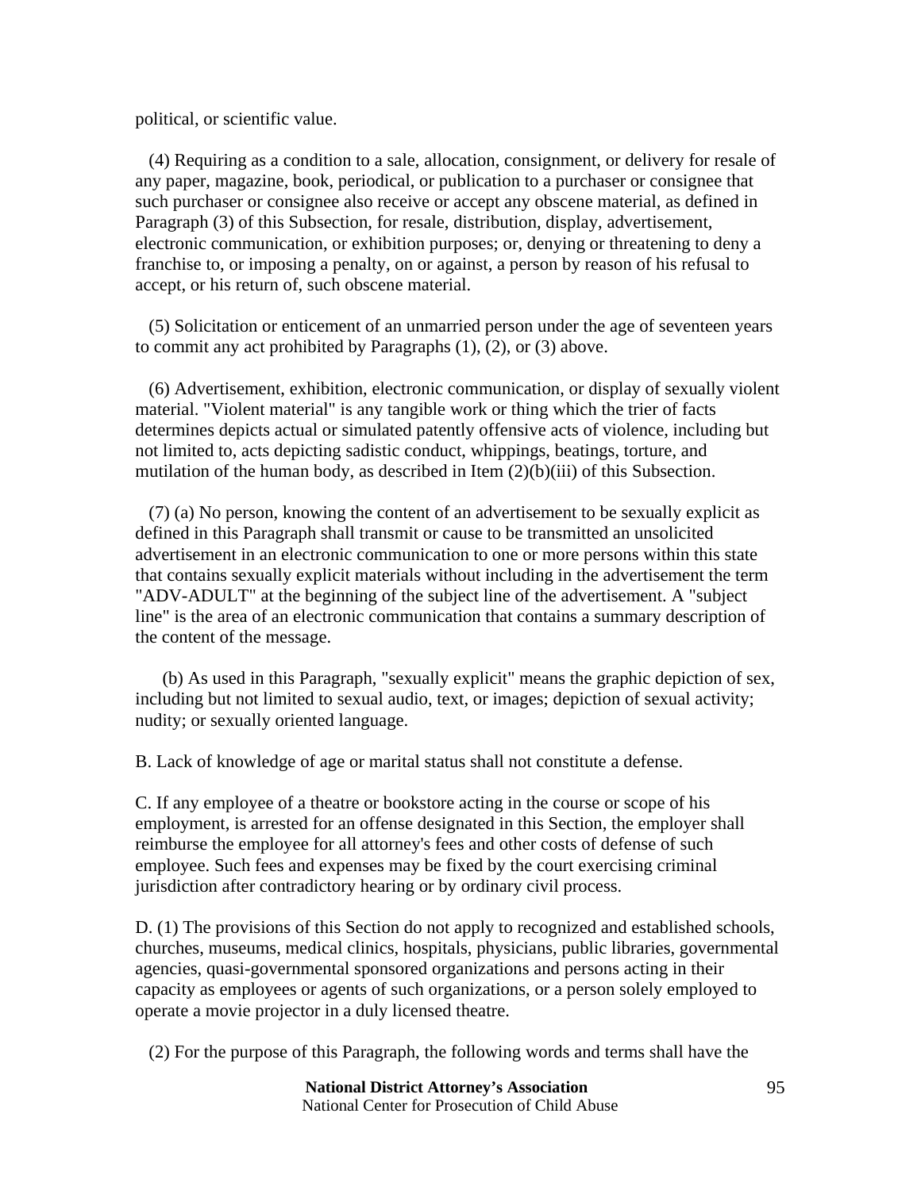political, or scientific value.

 (4) Requiring as a condition to a sale, allocation, consignment, or delivery for resale of any paper, magazine, book, periodical, or publication to a purchaser or consignee that such purchaser or consignee also receive or accept any obscene material, as defined in Paragraph (3) of this Subsection, for resale, distribution, display, advertisement, electronic communication, or exhibition purposes; or, denying or threatening to deny a franchise to, or imposing a penalty, on or against, a person by reason of his refusal to accept, or his return of, such obscene material.

 (5) Solicitation or enticement of an unmarried person under the age of seventeen years to commit any act prohibited by Paragraphs (1), (2), or (3) above.

 (6) Advertisement, exhibition, electronic communication, or display of sexually violent material. "Violent material" is any tangible work or thing which the trier of facts determines depicts actual or simulated patently offensive acts of violence, including but not limited to, acts depicting sadistic conduct, whippings, beatings, torture, and mutilation of the human body, as described in Item (2)(b)(iii) of this Subsection.

 (7) (a) No person, knowing the content of an advertisement to be sexually explicit as defined in this Paragraph shall transmit or cause to be transmitted an unsolicited advertisement in an electronic communication to one or more persons within this state that contains sexually explicit materials without including in the advertisement the term "ADV-ADULT" at the beginning of the subject line of the advertisement. A "subject line" is the area of an electronic communication that contains a summary description of the content of the message.

 (b) As used in this Paragraph, "sexually explicit" means the graphic depiction of sex, including but not limited to sexual audio, text, or images; depiction of sexual activity; nudity; or sexually oriented language.

B. Lack of knowledge of age or marital status shall not constitute a defense.

C. If any employee of a theatre or bookstore acting in the course or scope of his employment, is arrested for an offense designated in this Section, the employer shall reimburse the employee for all attorney's fees and other costs of defense of such employee. Such fees and expenses may be fixed by the court exercising criminal jurisdiction after contradictory hearing or by ordinary civil process.

D. (1) The provisions of this Section do not apply to recognized and established schools, churches, museums, medical clinics, hospitals, physicians, public libraries, governmental agencies, quasi-governmental sponsored organizations and persons acting in their capacity as employees or agents of such organizations, or a person solely employed to operate a movie projector in a duly licensed theatre.

(2) For the purpose of this Paragraph, the following words and terms shall have the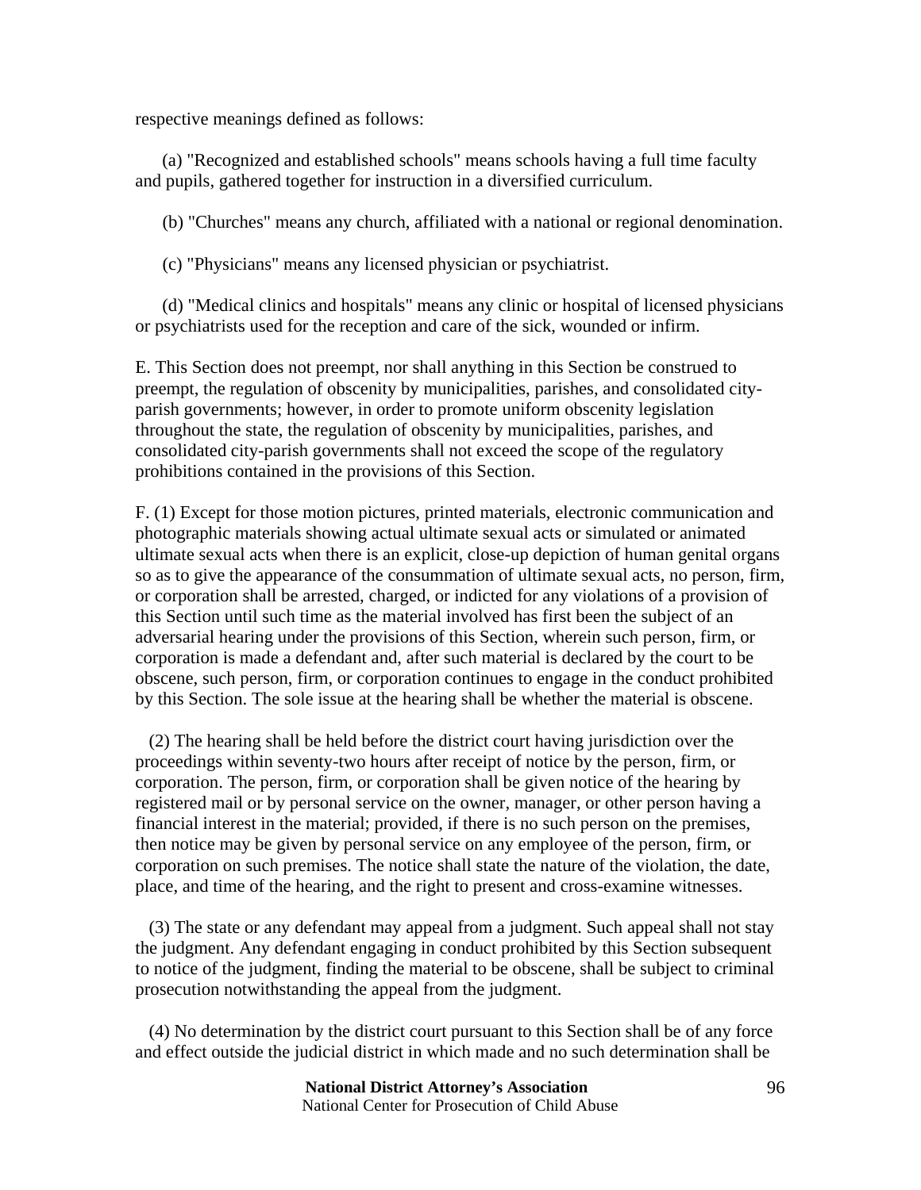respective meanings defined as follows:

 (a) "Recognized and established schools" means schools having a full time faculty and pupils, gathered together for instruction in a diversified curriculum.

(b) "Churches" means any church, affiliated with a national or regional denomination.

(c) "Physicians" means any licensed physician or psychiatrist.

 (d) "Medical clinics and hospitals" means any clinic or hospital of licensed physicians or psychiatrists used for the reception and care of the sick, wounded or infirm.

E. This Section does not preempt, nor shall anything in this Section be construed to preempt, the regulation of obscenity by municipalities, parishes, and consolidated cityparish governments; however, in order to promote uniform obscenity legislation throughout the state, the regulation of obscenity by municipalities, parishes, and consolidated city-parish governments shall not exceed the scope of the regulatory prohibitions contained in the provisions of this Section.

F. (1) Except for those motion pictures, printed materials, electronic communication and photographic materials showing actual ultimate sexual acts or simulated or animated ultimate sexual acts when there is an explicit, close-up depiction of human genital organs so as to give the appearance of the consummation of ultimate sexual acts, no person, firm, or corporation shall be arrested, charged, or indicted for any violations of a provision of this Section until such time as the material involved has first been the subject of an adversarial hearing under the provisions of this Section, wherein such person, firm, or corporation is made a defendant and, after such material is declared by the court to be obscene, such person, firm, or corporation continues to engage in the conduct prohibited by this Section. The sole issue at the hearing shall be whether the material is obscene.

 (2) The hearing shall be held before the district court having jurisdiction over the proceedings within seventy-two hours after receipt of notice by the person, firm, or corporation. The person, firm, or corporation shall be given notice of the hearing by registered mail or by personal service on the owner, manager, or other person having a financial interest in the material; provided, if there is no such person on the premises, then notice may be given by personal service on any employee of the person, firm, or corporation on such premises. The notice shall state the nature of the violation, the date, place, and time of the hearing, and the right to present and cross-examine witnesses.

 (3) The state or any defendant may appeal from a judgment. Such appeal shall not stay the judgment. Any defendant engaging in conduct prohibited by this Section subsequent to notice of the judgment, finding the material to be obscene, shall be subject to criminal prosecution notwithstanding the appeal from the judgment.

 (4) No determination by the district court pursuant to this Section shall be of any force and effect outside the judicial district in which made and no such determination shall be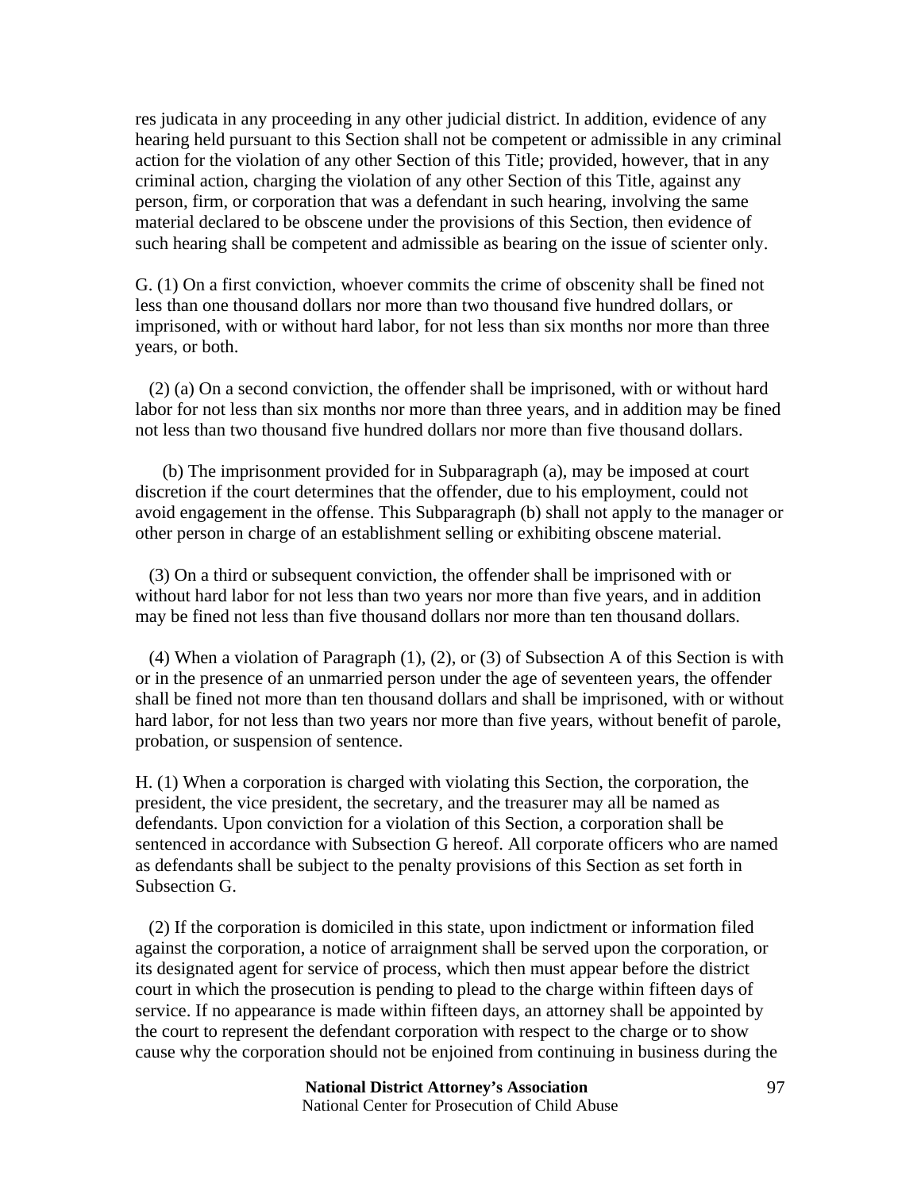res judicata in any proceeding in any other judicial district. In addition, evidence of any hearing held pursuant to this Section shall not be competent or admissible in any criminal action for the violation of any other Section of this Title; provided, however, that in any criminal action, charging the violation of any other Section of this Title, against any person, firm, or corporation that was a defendant in such hearing, involving the same material declared to be obscene under the provisions of this Section, then evidence of such hearing shall be competent and admissible as bearing on the issue of scienter only.

G. (1) On a first conviction, whoever commits the crime of obscenity shall be fined not less than one thousand dollars nor more than two thousand five hundred dollars, or imprisoned, with or without hard labor, for not less than six months nor more than three years, or both.

 (2) (a) On a second conviction, the offender shall be imprisoned, with or without hard labor for not less than six months nor more than three years, and in addition may be fined not less than two thousand five hundred dollars nor more than five thousand dollars.

 (b) The imprisonment provided for in Subparagraph (a), may be imposed at court discretion if the court determines that the offender, due to his employment, could not avoid engagement in the offense. This Subparagraph (b) shall not apply to the manager or other person in charge of an establishment selling or exhibiting obscene material.

 (3) On a third or subsequent conviction, the offender shall be imprisoned with or without hard labor for not less than two years nor more than five years, and in addition may be fined not less than five thousand dollars nor more than ten thousand dollars.

 (4) When a violation of Paragraph (1), (2), or (3) of Subsection A of this Section is with or in the presence of an unmarried person under the age of seventeen years, the offender shall be fined not more than ten thousand dollars and shall be imprisoned, with or without hard labor, for not less than two years nor more than five years, without benefit of parole, probation, or suspension of sentence.

H. (1) When a corporation is charged with violating this Section, the corporation, the president, the vice president, the secretary, and the treasurer may all be named as defendants. Upon conviction for a violation of this Section, a corporation shall be sentenced in accordance with Subsection G hereof. All corporate officers who are named as defendants shall be subject to the penalty provisions of this Section as set forth in Subsection G.

 (2) If the corporation is domiciled in this state, upon indictment or information filed against the corporation, a notice of arraignment shall be served upon the corporation, or its designated agent for service of process, which then must appear before the district court in which the prosecution is pending to plead to the charge within fifteen days of service. If no appearance is made within fifteen days, an attorney shall be appointed by the court to represent the defendant corporation with respect to the charge or to show cause why the corporation should not be enjoined from continuing in business during the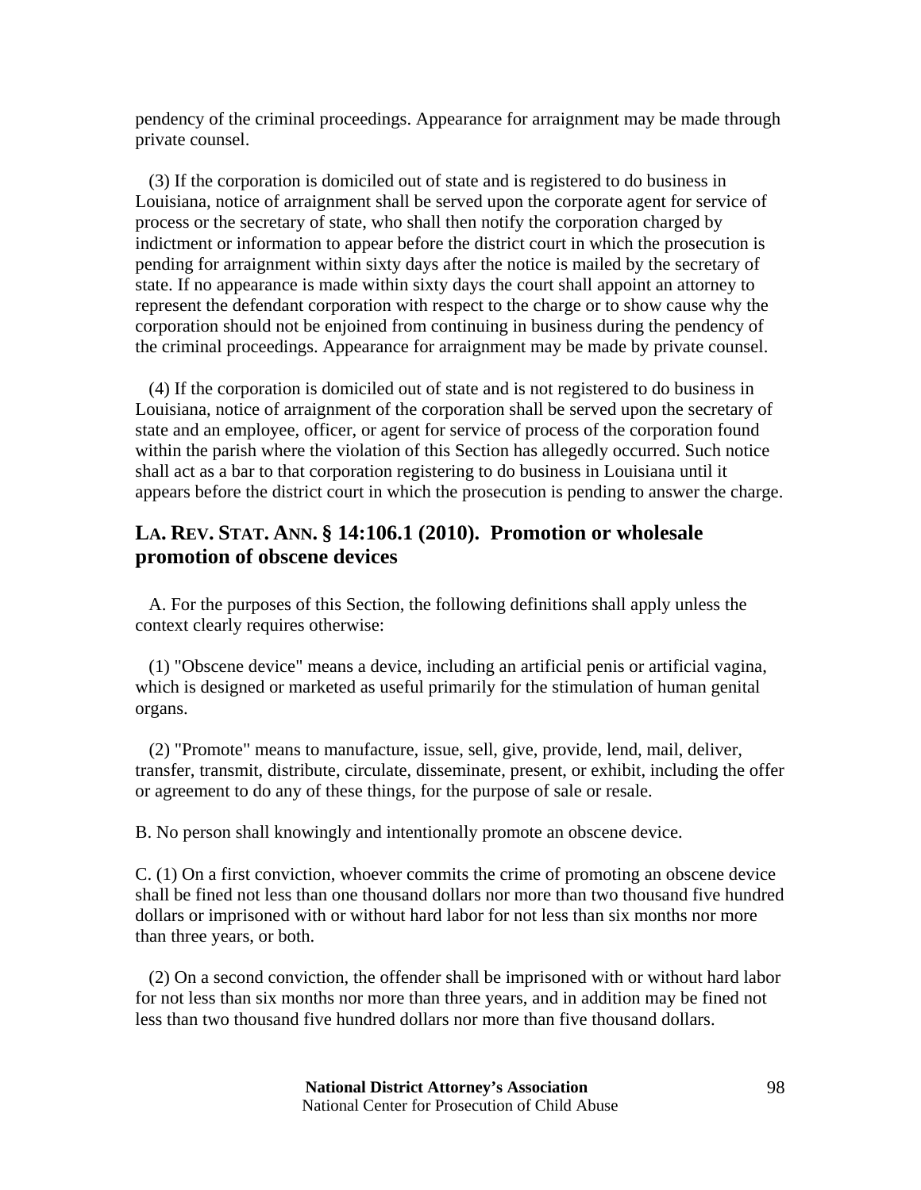pendency of the criminal proceedings. Appearance for arraignment may be made through private counsel.

 (3) If the corporation is domiciled out of state and is registered to do business in Louisiana, notice of arraignment shall be served upon the corporate agent for service of process or the secretary of state, who shall then notify the corporation charged by indictment or information to appear before the district court in which the prosecution is pending for arraignment within sixty days after the notice is mailed by the secretary of state. If no appearance is made within sixty days the court shall appoint an attorney to represent the defendant corporation with respect to the charge or to show cause why the corporation should not be enjoined from continuing in business during the pendency of the criminal proceedings. Appearance for arraignment may be made by private counsel.

 (4) If the corporation is domiciled out of state and is not registered to do business in Louisiana, notice of arraignment of the corporation shall be served upon the secretary of state and an employee, officer, or agent for service of process of the corporation found within the parish where the violation of this Section has allegedly occurred. Such notice shall act as a bar to that corporation registering to do business in Louisiana until it appears before the district court in which the prosecution is pending to answer the charge.

### **LA. REV. STAT. ANN. § 14:106.1 (2010). Promotion or wholesale promotion of obscene devices**

 A. For the purposes of this Section, the following definitions shall apply unless the context clearly requires otherwise:

 (1) "Obscene device" means a device, including an artificial penis or artificial vagina, which is designed or marketed as useful primarily for the stimulation of human genital organs.

 (2) "Promote" means to manufacture, issue, sell, give, provide, lend, mail, deliver, transfer, transmit, distribute, circulate, disseminate, present, or exhibit, including the offer or agreement to do any of these things, for the purpose of sale or resale.

B. No person shall knowingly and intentionally promote an obscene device.

C. (1) On a first conviction, whoever commits the crime of promoting an obscene device shall be fined not less than one thousand dollars nor more than two thousand five hundred dollars or imprisoned with or without hard labor for not less than six months nor more than three years, or both.

 (2) On a second conviction, the offender shall be imprisoned with or without hard labor for not less than six months nor more than three years, and in addition may be fined not less than two thousand five hundred dollars nor more than five thousand dollars.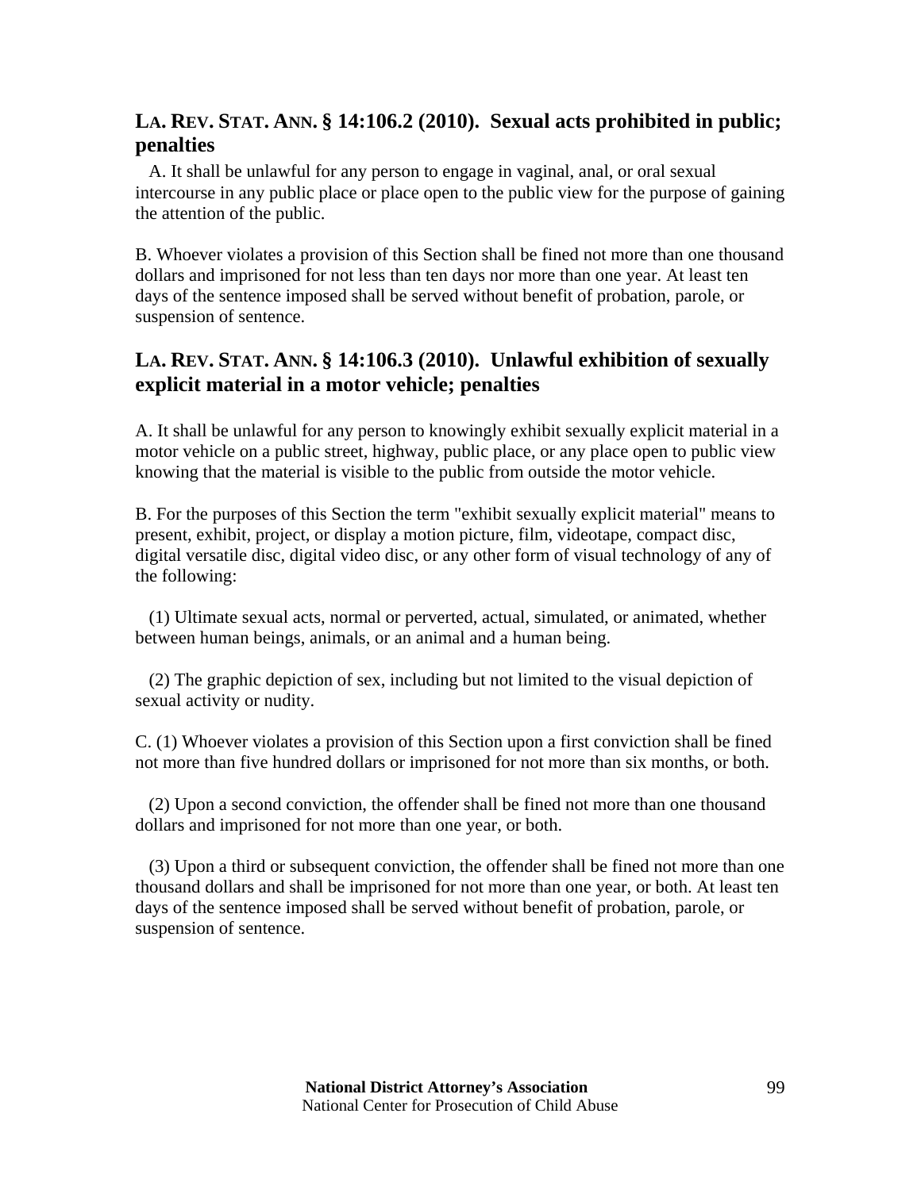# **LA. REV. STAT. ANN. § 14:106.2 (2010). Sexual acts prohibited in public; penalties**

 A. It shall be unlawful for any person to engage in vaginal, anal, or oral sexual intercourse in any public place or place open to the public view for the purpose of gaining the attention of the public.

B. Whoever violates a provision of this Section shall be fined not more than one thousand dollars and imprisoned for not less than ten days nor more than one year. At least ten days of the sentence imposed shall be served without benefit of probation, parole, or suspension of sentence.

# **LA. REV. STAT. ANN. § 14:106.3 (2010). Unlawful exhibition of sexually explicit material in a motor vehicle; penalties**

A. It shall be unlawful for any person to knowingly exhibit sexually explicit material in a motor vehicle on a public street, highway, public place, or any place open to public view knowing that the material is visible to the public from outside the motor vehicle.

B. For the purposes of this Section the term "exhibit sexually explicit material" means to present, exhibit, project, or display a motion picture, film, videotape, compact disc, digital versatile disc, digital video disc, or any other form of visual technology of any of the following:

 (1) Ultimate sexual acts, normal or perverted, actual, simulated, or animated, whether between human beings, animals, or an animal and a human being.

 (2) The graphic depiction of sex, including but not limited to the visual depiction of sexual activity or nudity.

C. (1) Whoever violates a provision of this Section upon a first conviction shall be fined not more than five hundred dollars or imprisoned for not more than six months, or both.

 (2) Upon a second conviction, the offender shall be fined not more than one thousand dollars and imprisoned for not more than one year, or both.

 (3) Upon a third or subsequent conviction, the offender shall be fined not more than one thousand dollars and shall be imprisoned for not more than one year, or both. At least ten days of the sentence imposed shall be served without benefit of probation, parole, or suspension of sentence.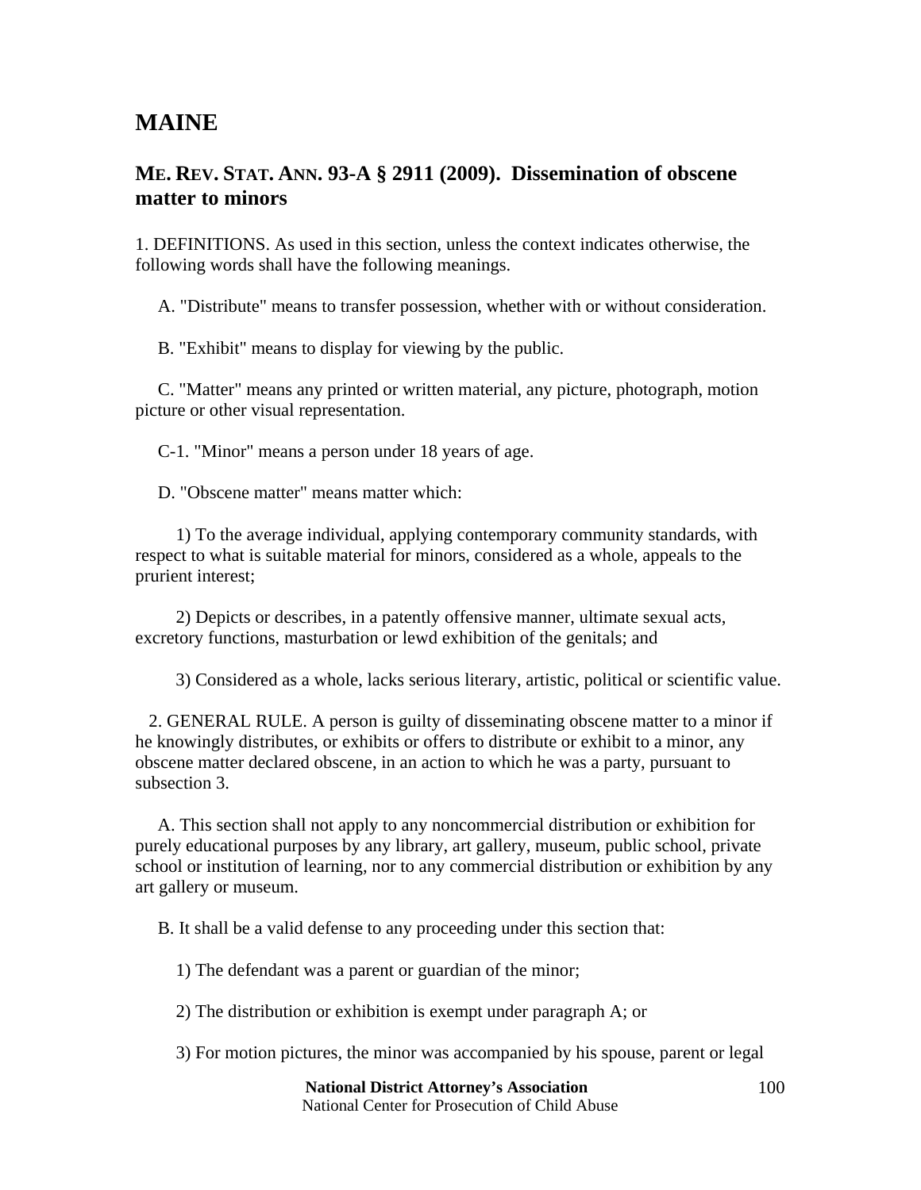# **MAINE**

### **ME. REV. STAT. ANN. 93-A § 2911 (2009). Dissemination of obscene matter to minors**

1. DEFINITIONS. As used in this section, unless the context indicates otherwise, the following words shall have the following meanings.

A. "Distribute" means to transfer possession, whether with or without consideration.

B. "Exhibit" means to display for viewing by the public.

 C. "Matter" means any printed or written material, any picture, photograph, motion picture or other visual representation.

C-1. "Minor" means a person under 18 years of age.

D. "Obscene matter" means matter which:

 1) To the average individual, applying contemporary community standards, with respect to what is suitable material for minors, considered as a whole, appeals to the prurient interest;

 2) Depicts or describes, in a patently offensive manner, ultimate sexual acts, excretory functions, masturbation or lewd exhibition of the genitals; and

3) Considered as a whole, lacks serious literary, artistic, political or scientific value.

 2. GENERAL RULE. A person is guilty of disseminating obscene matter to a minor if he knowingly distributes, or exhibits or offers to distribute or exhibit to a minor, any obscene matter declared obscene, in an action to which he was a party, pursuant to subsection 3.

 A. This section shall not apply to any noncommercial distribution or exhibition for purely educational purposes by any library, art gallery, museum, public school, private school or institution of learning, nor to any commercial distribution or exhibition by any art gallery or museum.

B. It shall be a valid defense to any proceeding under this section that:

1) The defendant was a parent or guardian of the minor;

2) The distribution or exhibition is exempt under paragraph A; or

3) For motion pictures, the minor was accompanied by his spouse, parent or legal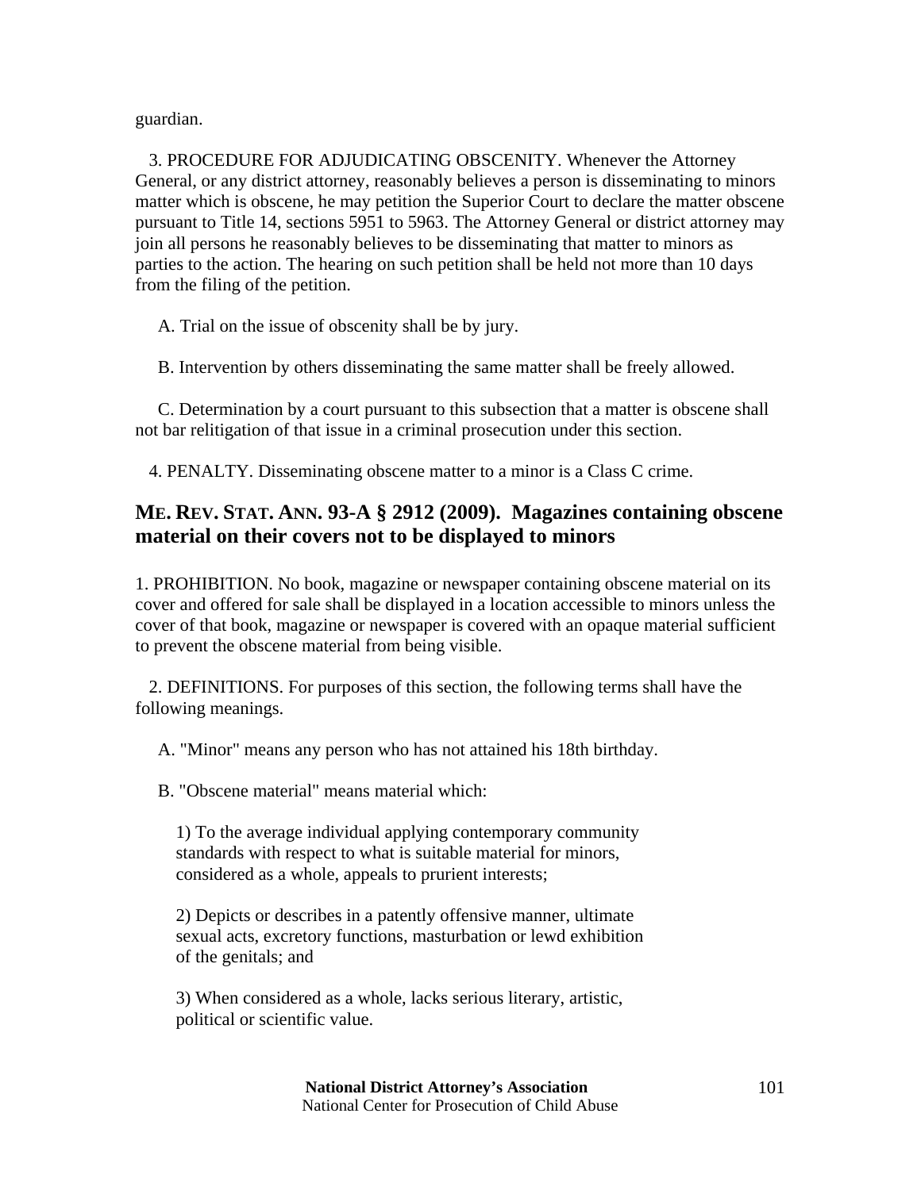guardian.

 3. PROCEDURE FOR ADJUDICATING OBSCENITY. Whenever the Attorney General, or any district attorney, reasonably believes a person is disseminating to minors matter which is obscene, he may petition the Superior Court to declare the matter obscene pursuant to Title 14, sections 5951 to 5963. The Attorney General or district attorney may join all persons he reasonably believes to be disseminating that matter to minors as parties to the action. The hearing on such petition shall be held not more than 10 days from the filing of the petition.

A. Trial on the issue of obscenity shall be by jury.

B. Intervention by others disseminating the same matter shall be freely allowed.

 C. Determination by a court pursuant to this subsection that a matter is obscene shall not bar relitigation of that issue in a criminal prosecution under this section.

4. PENALTY. Disseminating obscene matter to a minor is a Class C crime.

# **ME. REV. STAT. ANN. 93-A § 2912 (2009). Magazines containing obscene material on their covers not to be displayed to minors**

1. PROHIBITION. No book, magazine or newspaper containing obscene material on its cover and offered for sale shall be displayed in a location accessible to minors unless the cover of that book, magazine or newspaper is covered with an opaque material sufficient to prevent the obscene material from being visible.

 2. DEFINITIONS. For purposes of this section, the following terms shall have the following meanings.

A. "Minor" means any person who has not attained his 18th birthday.

B. "Obscene material" means material which:

 1) To the average individual applying contemporary community standards with respect to what is suitable material for minors, considered as a whole, appeals to prurient interests;

 2) Depicts or describes in a patently offensive manner, ultimate sexual acts, excretory functions, masturbation or lewd exhibition of the genitals; and

 3) When considered as a whole, lacks serious literary, artistic, political or scientific value.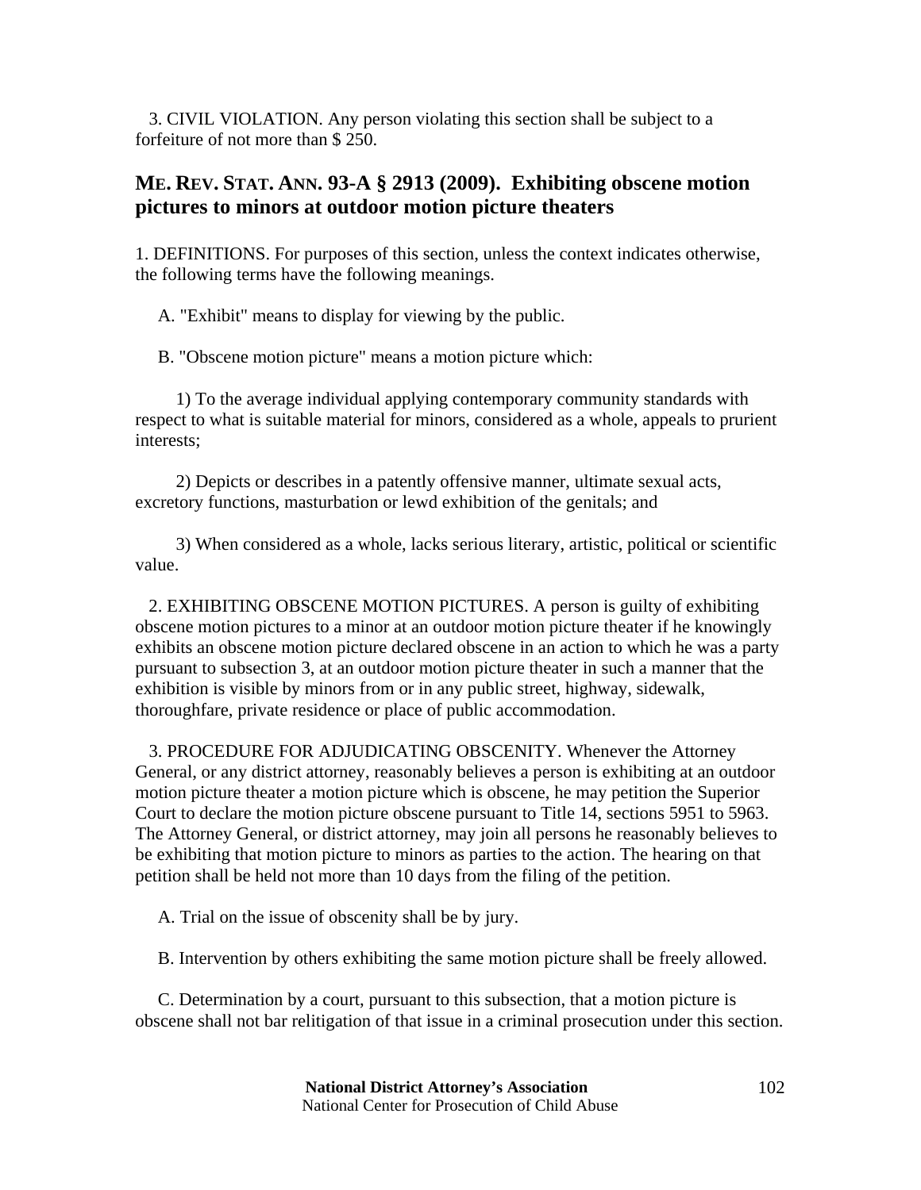3. CIVIL VIOLATION. Any person violating this section shall be subject to a forfeiture of not more than \$ 250.

### **ME. REV. STAT. ANN. 93-A § 2913 (2009). Exhibiting obscene motion pictures to minors at outdoor motion picture theaters**

1. DEFINITIONS. For purposes of this section, unless the context indicates otherwise, the following terms have the following meanings.

A. "Exhibit" means to display for viewing by the public.

B. "Obscene motion picture" means a motion picture which:

 1) To the average individual applying contemporary community standards with respect to what is suitable material for minors, considered as a whole, appeals to prurient interests;

 2) Depicts or describes in a patently offensive manner, ultimate sexual acts, excretory functions, masturbation or lewd exhibition of the genitals; and

 3) When considered as a whole, lacks serious literary, artistic, political or scientific value.

 2. EXHIBITING OBSCENE MOTION PICTURES. A person is guilty of exhibiting obscene motion pictures to a minor at an outdoor motion picture theater if he knowingly exhibits an obscene motion picture declared obscene in an action to which he was a party pursuant to subsection 3, at an outdoor motion picture theater in such a manner that the exhibition is visible by minors from or in any public street, highway, sidewalk, thoroughfare, private residence or place of public accommodation.

 3. PROCEDURE FOR ADJUDICATING OBSCENITY. Whenever the Attorney General, or any district attorney, reasonably believes a person is exhibiting at an outdoor motion picture theater a motion picture which is obscene, he may petition the Superior Court to declare the motion picture obscene pursuant to Title 14, sections 5951 to 5963. The Attorney General, or district attorney, may join all persons he reasonably believes to be exhibiting that motion picture to minors as parties to the action. The hearing on that petition shall be held not more than 10 days from the filing of the petition.

A. Trial on the issue of obscenity shall be by jury.

B. Intervention by others exhibiting the same motion picture shall be freely allowed.

 C. Determination by a court, pursuant to this subsection, that a motion picture is obscene shall not bar relitigation of that issue in a criminal prosecution under this section.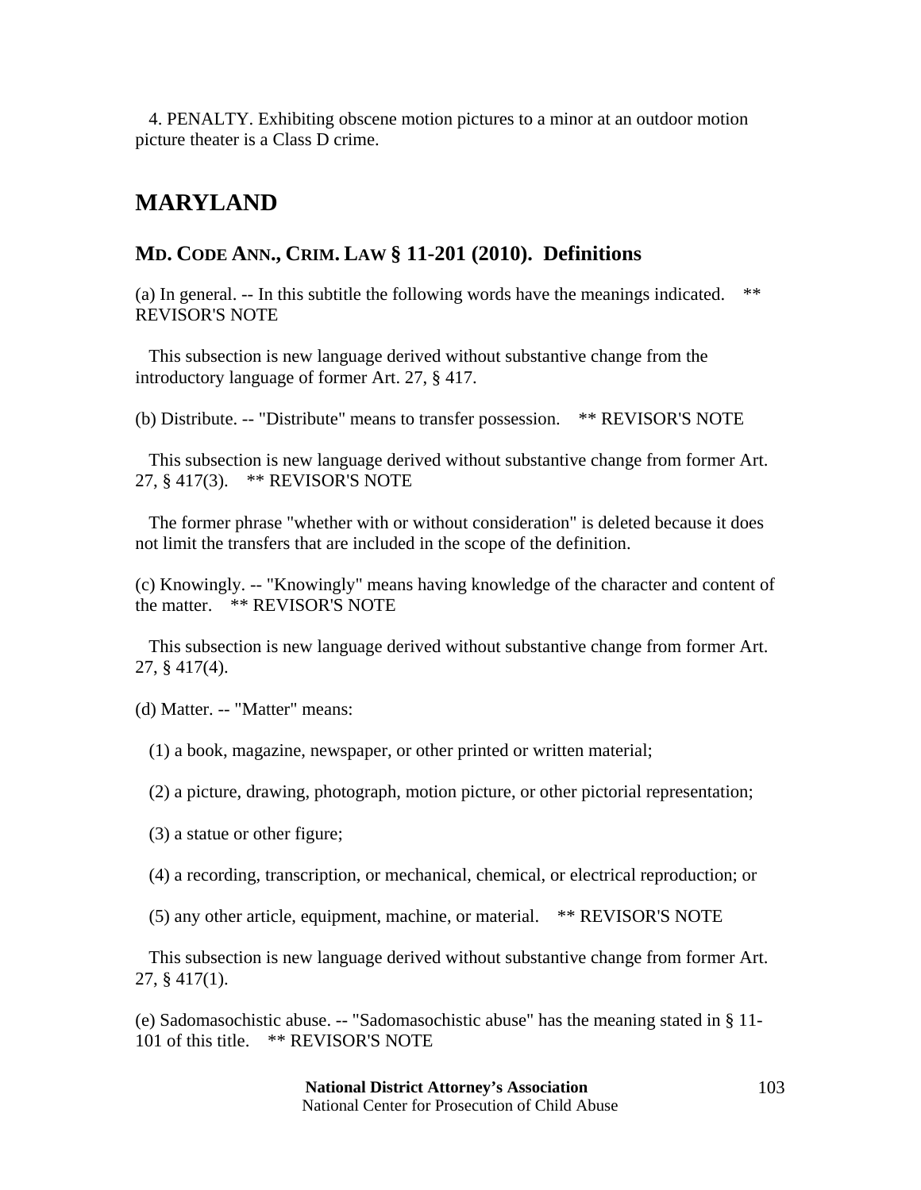4. PENALTY. Exhibiting obscene motion pictures to a minor at an outdoor motion picture theater is a Class D crime.

# **MARYLAND**

#### **MD. CODE ANN., CRIM. LAW § 11-201 (2010). Definitions**

(a) In general. -- In this subtitle the following words have the meanings indicated.  $*$ REVISOR'S NOTE

 This subsection is new language derived without substantive change from the introductory language of former Art. 27, § 417.

(b) Distribute. -- "Distribute" means to transfer possession. \*\* REVISOR'S NOTE

 This subsection is new language derived without substantive change from former Art. 27, § 417(3). \*\* REVISOR'S NOTE

 The former phrase "whether with or without consideration" is deleted because it does not limit the transfers that are included in the scope of the definition.

(c) Knowingly. -- "Knowingly" means having knowledge of the character and content of the matter. \*\* REVISOR'S NOTE

 This subsection is new language derived without substantive change from former Art. 27, § 417(4).

(d) Matter. -- "Matter" means:

(1) a book, magazine, newspaper, or other printed or written material;

(2) a picture, drawing, photograph, motion picture, or other pictorial representation;

(3) a statue or other figure;

(4) a recording, transcription, or mechanical, chemical, or electrical reproduction; or

(5) any other article, equipment, machine, or material. \*\* REVISOR'S NOTE

 This subsection is new language derived without substantive change from former Art. 27, § 417(1).

(e) Sadomasochistic abuse. -- "Sadomasochistic abuse" has the meaning stated in § 11- 101 of this title. \*\* REVISOR'S NOTE

> **National District Attorney's Association**  National Center for Prosecution of Child Abuse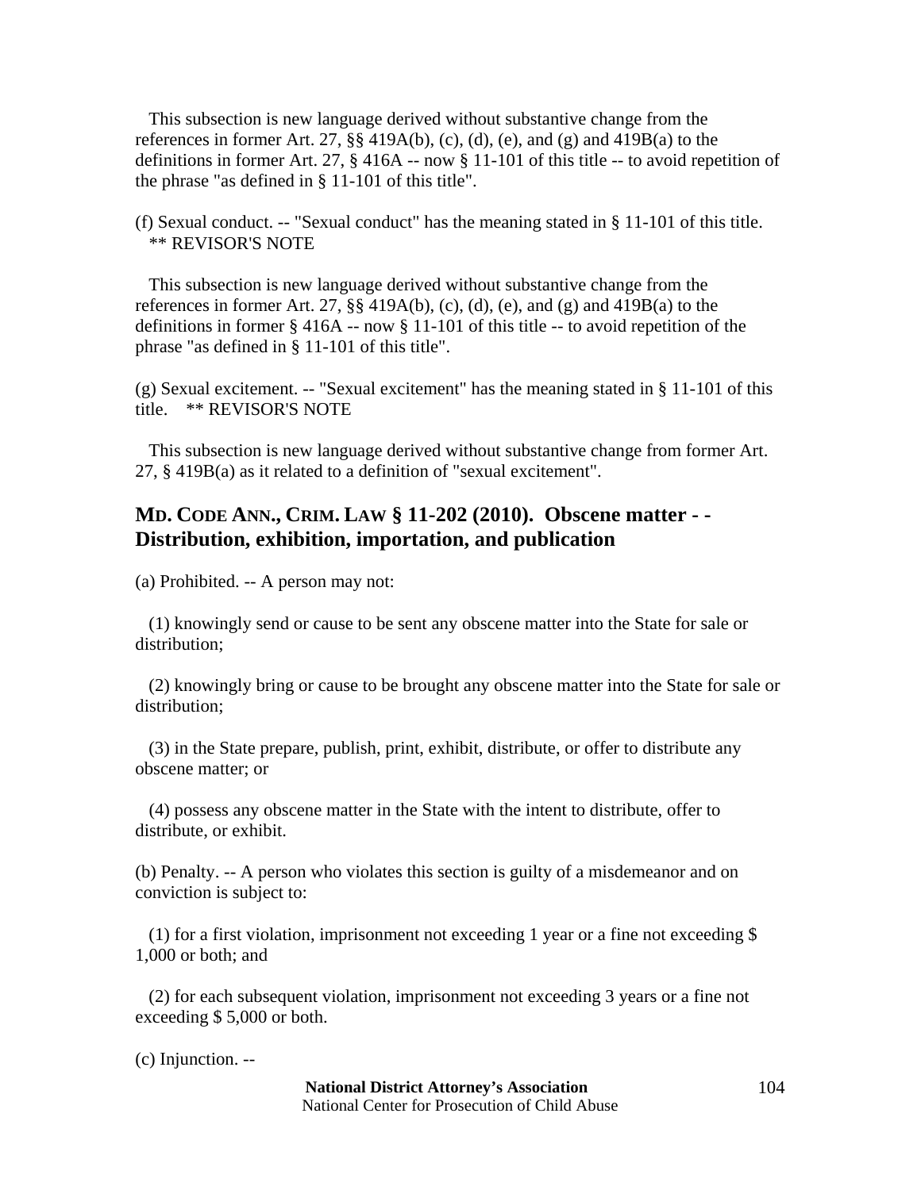This subsection is new language derived without substantive change from the references in former Art. 27,  $\S$  $\S$  419A(b), (c), (d), (e), and (g) and 419B(a) to the definitions in former Art. 27, § 416A -- now § 11-101 of this title -- to avoid repetition of the phrase "as defined in § 11-101 of this title".

(f) Sexual conduct. -- "Sexual conduct" has the meaning stated in § 11-101 of this title. \*\* REVISOR'S NOTE

 This subsection is new language derived without substantive change from the references in former Art. 27,  $\S$  $\S$  419A(b), (c), (d), (e), and (g) and 419B(a) to the definitions in former  $\S$  416A -- now  $\S$  11-101 of this title -- to avoid repetition of the phrase "as defined in § 11-101 of this title".

(g) Sexual excitement. -- "Sexual excitement" has the meaning stated in § 11-101 of this title. \*\* REVISOR'S NOTE

 This subsection is new language derived without substantive change from former Art. 27, § 419B(a) as it related to a definition of "sexual excitement".

#### **MD. CODE ANN., CRIM. LAW § 11-202 (2010). Obscene matter - - Distribution, exhibition, importation, and publication**

(a) Prohibited. -- A person may not:

 (1) knowingly send or cause to be sent any obscene matter into the State for sale or distribution;

 (2) knowingly bring or cause to be brought any obscene matter into the State for sale or distribution;

 (3) in the State prepare, publish, print, exhibit, distribute, or offer to distribute any obscene matter; or

 (4) possess any obscene matter in the State with the intent to distribute, offer to distribute, or exhibit.

(b) Penalty. -- A person who violates this section is guilty of a misdemeanor and on conviction is subject to:

 (1) for a first violation, imprisonment not exceeding 1 year or a fine not exceeding \$ 1,000 or both; and

 (2) for each subsequent violation, imprisonment not exceeding 3 years or a fine not exceeding \$ 5,000 or both.

(c) Injunction. --

**National District Attorney's Association**  National Center for Prosecution of Child Abuse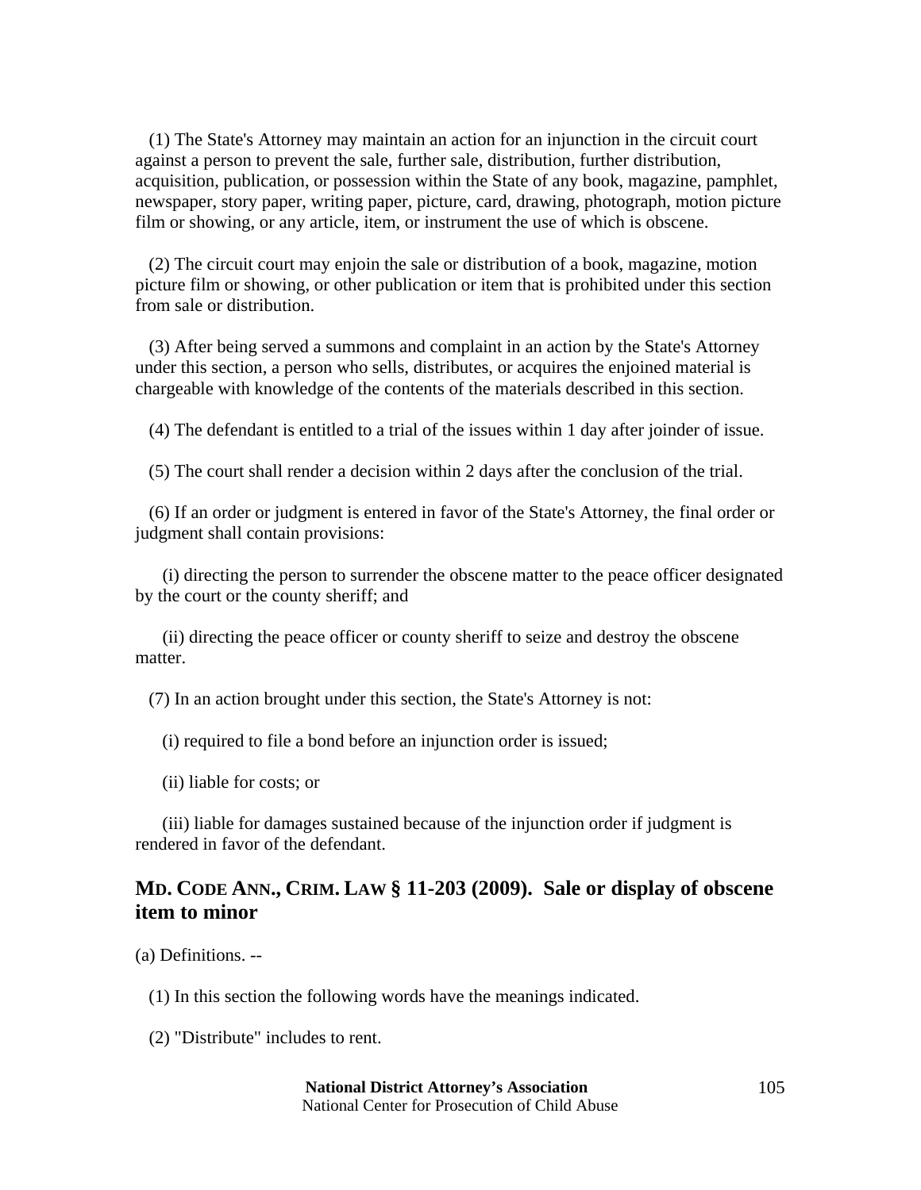(1) The State's Attorney may maintain an action for an injunction in the circuit court against a person to prevent the sale, further sale, distribution, further distribution, acquisition, publication, or possession within the State of any book, magazine, pamphlet, newspaper, story paper, writing paper, picture, card, drawing, photograph, motion picture film or showing, or any article, item, or instrument the use of which is obscene.

 (2) The circuit court may enjoin the sale or distribution of a book, magazine, motion picture film or showing, or other publication or item that is prohibited under this section from sale or distribution.

 (3) After being served a summons and complaint in an action by the State's Attorney under this section, a person who sells, distributes, or acquires the enjoined material is chargeable with knowledge of the contents of the materials described in this section.

(4) The defendant is entitled to a trial of the issues within 1 day after joinder of issue.

(5) The court shall render a decision within 2 days after the conclusion of the trial.

 (6) If an order or judgment is entered in favor of the State's Attorney, the final order or judgment shall contain provisions:

 (i) directing the person to surrender the obscene matter to the peace officer designated by the court or the county sheriff; and

 (ii) directing the peace officer or county sheriff to seize and destroy the obscene matter.

(7) In an action brought under this section, the State's Attorney is not:

(i) required to file a bond before an injunction order is issued;

(ii) liable for costs; or

 (iii) liable for damages sustained because of the injunction order if judgment is rendered in favor of the defendant.

### **MD. CODE ANN., CRIM. LAW § 11-203 (2009). Sale or display of obscene item to minor**

(a) Definitions. --

(1) In this section the following words have the meanings indicated.

(2) "Distribute" includes to rent.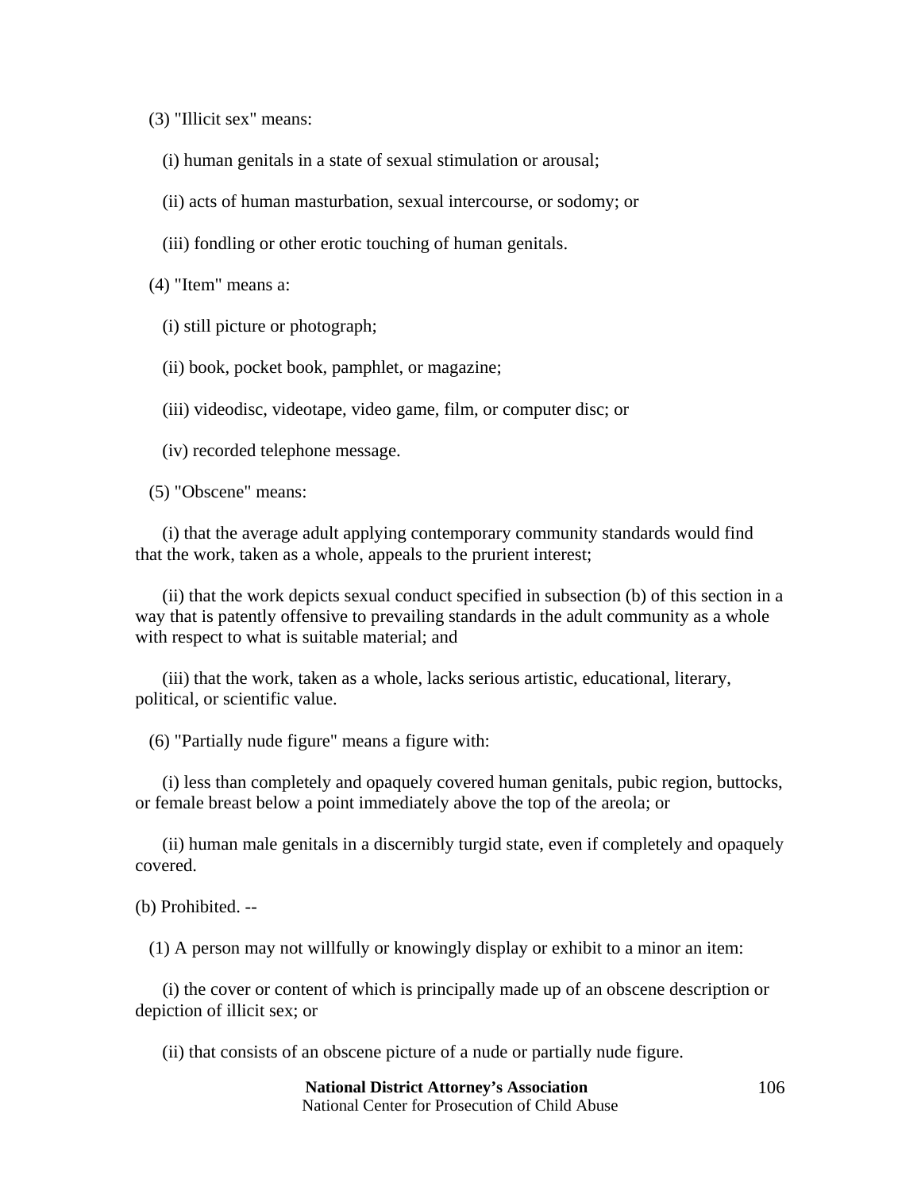(3) "Illicit sex" means:

(i) human genitals in a state of sexual stimulation or arousal;

(ii) acts of human masturbation, sexual intercourse, or sodomy; or

(iii) fondling or other erotic touching of human genitals.

(4) "Item" means a:

(i) still picture or photograph;

(ii) book, pocket book, pamphlet, or magazine;

(iii) videodisc, videotape, video game, film, or computer disc; or

(iv) recorded telephone message.

(5) "Obscene" means:

 (i) that the average adult applying contemporary community standards would find that the work, taken as a whole, appeals to the prurient interest;

 (ii) that the work depicts sexual conduct specified in subsection (b) of this section in a way that is patently offensive to prevailing standards in the adult community as a whole with respect to what is suitable material; and

 (iii) that the work, taken as a whole, lacks serious artistic, educational, literary, political, or scientific value.

(6) "Partially nude figure" means a figure with:

 (i) less than completely and opaquely covered human genitals, pubic region, buttocks, or female breast below a point immediately above the top of the areola; or

 (ii) human male genitals in a discernibly turgid state, even if completely and opaquely covered.

(b) Prohibited. --

(1) A person may not willfully or knowingly display or exhibit to a minor an item:

 (i) the cover or content of which is principally made up of an obscene description or depiction of illicit sex; or

(ii) that consists of an obscene picture of a nude or partially nude figure.

#### **National District Attorney's Association**  National Center for Prosecution of Child Abuse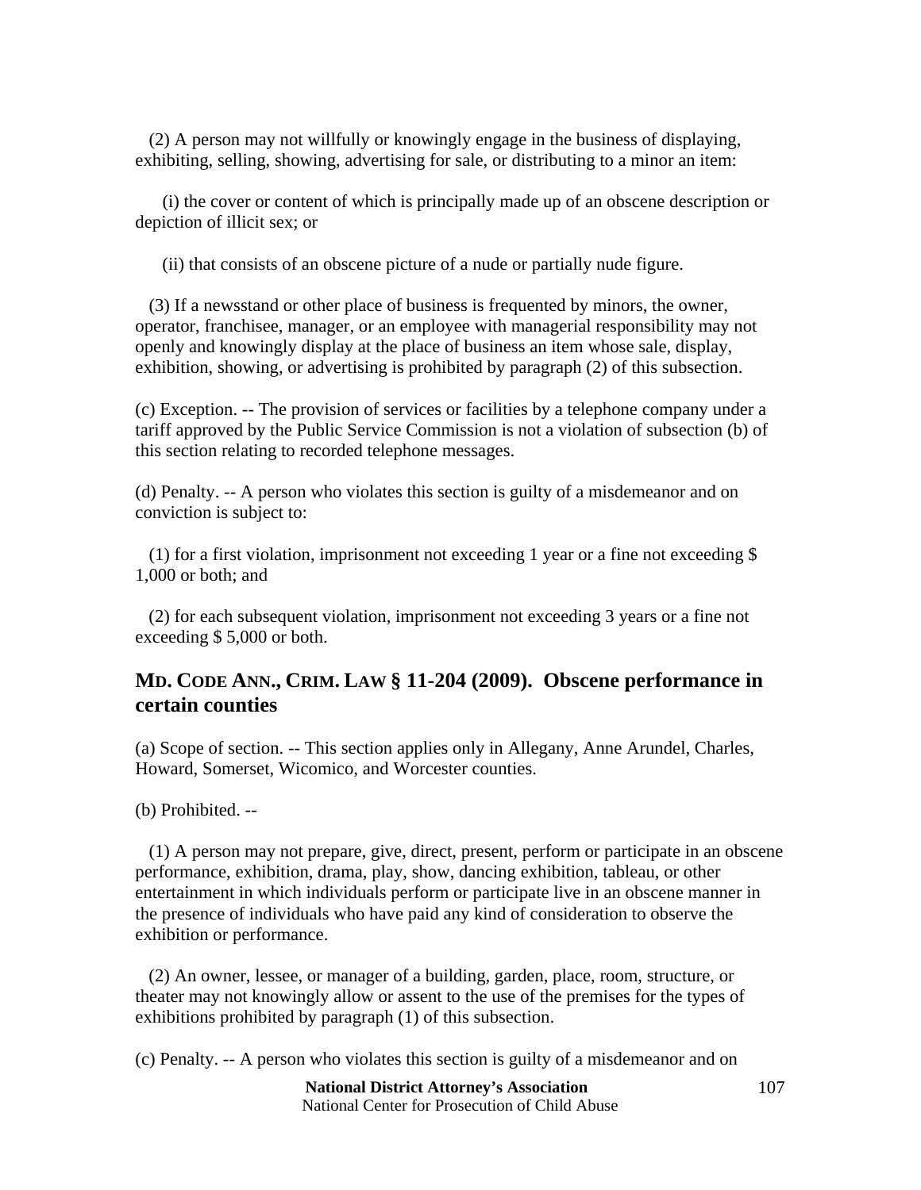(2) A person may not willfully or knowingly engage in the business of displaying, exhibiting, selling, showing, advertising for sale, or distributing to a minor an item:

 (i) the cover or content of which is principally made up of an obscene description or depiction of illicit sex; or

(ii) that consists of an obscene picture of a nude or partially nude figure.

 (3) If a newsstand or other place of business is frequented by minors, the owner, operator, franchisee, manager, or an employee with managerial responsibility may not openly and knowingly display at the place of business an item whose sale, display, exhibition, showing, or advertising is prohibited by paragraph (2) of this subsection.

(c) Exception. -- The provision of services or facilities by a telephone company under a tariff approved by the Public Service Commission is not a violation of subsection (b) of this section relating to recorded telephone messages.

(d) Penalty. -- A person who violates this section is guilty of a misdemeanor and on conviction is subject to:

 (1) for a first violation, imprisonment not exceeding 1 year or a fine not exceeding \$ 1,000 or both; and

 (2) for each subsequent violation, imprisonment not exceeding 3 years or a fine not exceeding \$ 5,000 or both.

# **MD. CODE ANN., CRIM. LAW § 11-204 (2009). Obscene performance in certain counties**

(a) Scope of section. -- This section applies only in Allegany, Anne Arundel, Charles, Howard, Somerset, Wicomico, and Worcester counties.

(b) Prohibited. --

 (1) A person may not prepare, give, direct, present, perform or participate in an obscene performance, exhibition, drama, play, show, dancing exhibition, tableau, or other entertainment in which individuals perform or participate live in an obscene manner in the presence of individuals who have paid any kind of consideration to observe the exhibition or performance.

 (2) An owner, lessee, or manager of a building, garden, place, room, structure, or theater may not knowingly allow or assent to the use of the premises for the types of exhibitions prohibited by paragraph (1) of this subsection.

(c) Penalty. -- A person who violates this section is guilty of a misdemeanor and on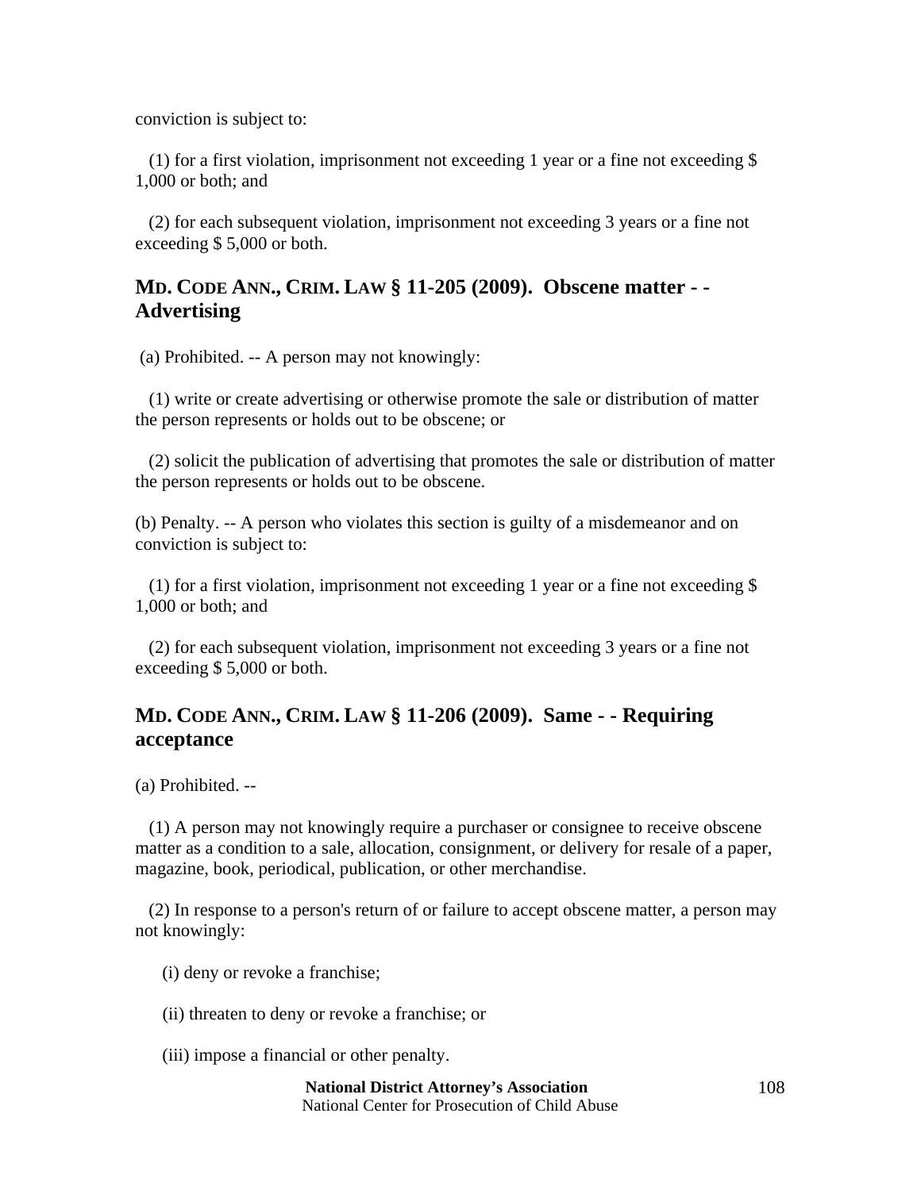conviction is subject to:

 (1) for a first violation, imprisonment not exceeding 1 year or a fine not exceeding \$ 1,000 or both; and

 (2) for each subsequent violation, imprisonment not exceeding 3 years or a fine not exceeding \$ 5,000 or both.

### **MD. CODE ANN., CRIM. LAW § 11-205 (2009). Obscene matter - - Advertising**

(a) Prohibited. -- A person may not knowingly:

 (1) write or create advertising or otherwise promote the sale or distribution of matter the person represents or holds out to be obscene; or

 (2) solicit the publication of advertising that promotes the sale or distribution of matter the person represents or holds out to be obscene.

(b) Penalty. -- A person who violates this section is guilty of a misdemeanor and on conviction is subject to:

 (1) for a first violation, imprisonment not exceeding 1 year or a fine not exceeding \$ 1,000 or both; and

 (2) for each subsequent violation, imprisonment not exceeding 3 years or a fine not exceeding \$ 5,000 or both.

### **MD. CODE ANN., CRIM. LAW § 11-206 (2009). Same - - Requiring acceptance**

(a) Prohibited. --

 (1) A person may not knowingly require a purchaser or consignee to receive obscene matter as a condition to a sale, allocation, consignment, or delivery for resale of a paper, magazine, book, periodical, publication, or other merchandise.

 (2) In response to a person's return of or failure to accept obscene matter, a person may not knowingly:

(i) deny or revoke a franchise;

(ii) threaten to deny or revoke a franchise; or

(iii) impose a financial or other penalty.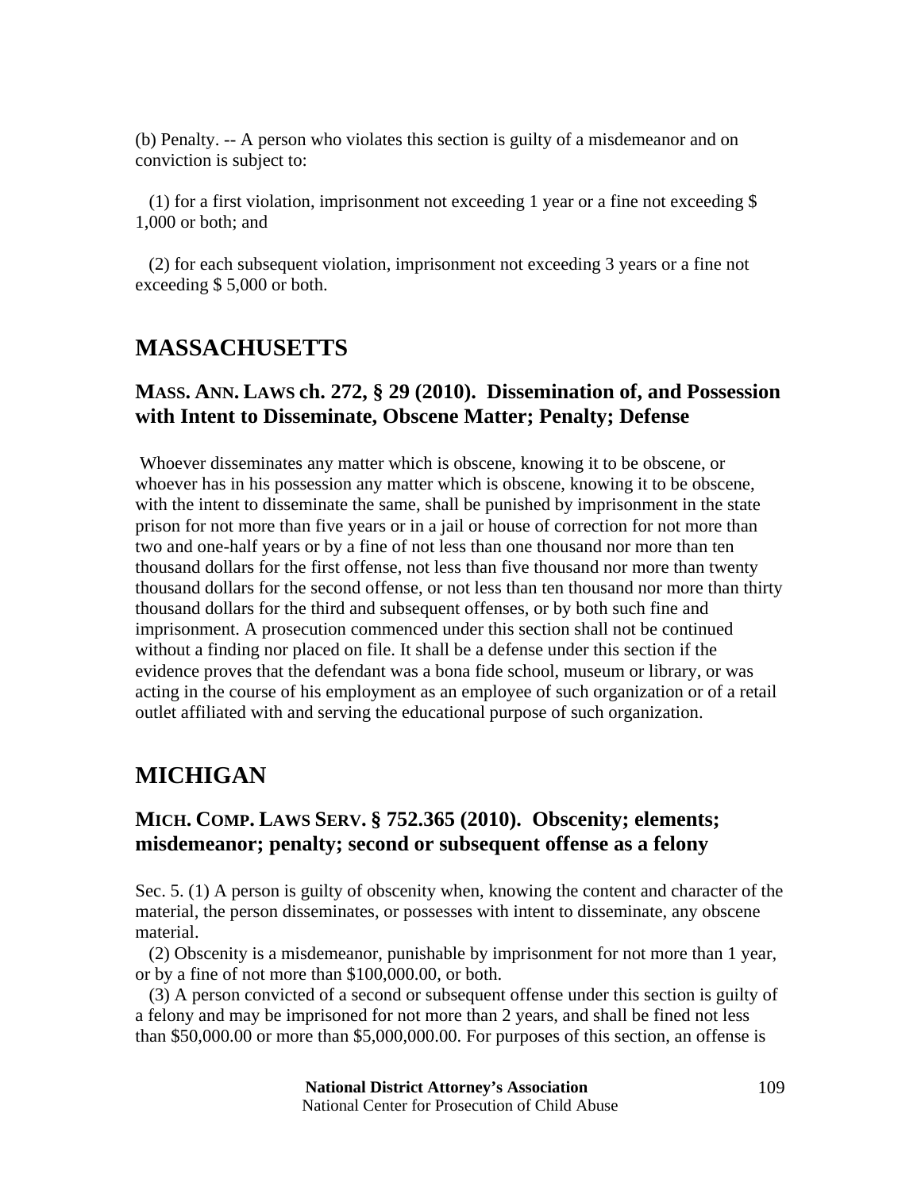(b) Penalty. -- A person who violates this section is guilty of a misdemeanor and on conviction is subject to:

 (1) for a first violation, imprisonment not exceeding 1 year or a fine not exceeding \$ 1,000 or both; and

 (2) for each subsequent violation, imprisonment not exceeding 3 years or a fine not exceeding \$ 5,000 or both.

## **MASSACHUSETTS**

#### **MASS. ANN. LAWS ch. 272, § 29 (2010). Dissemination of, and Possession with Intent to Disseminate, Obscene Matter; Penalty; Defense**

 Whoever disseminates any matter which is obscene, knowing it to be obscene, or whoever has in his possession any matter which is obscene, knowing it to be obscene, with the intent to disseminate the same, shall be punished by imprisonment in the state prison for not more than five years or in a jail or house of correction for not more than two and one-half years or by a fine of not less than one thousand nor more than ten thousand dollars for the first offense, not less than five thousand nor more than twenty thousand dollars for the second offense, or not less than ten thousand nor more than thirty thousand dollars for the third and subsequent offenses, or by both such fine and imprisonment. A prosecution commenced under this section shall not be continued without a finding nor placed on file. It shall be a defense under this section if the evidence proves that the defendant was a bona fide school, museum or library, or was acting in the course of his employment as an employee of such organization or of a retail outlet affiliated with and serving the educational purpose of such organization.

## **MICHIGAN**

#### **MICH. COMP. LAWS SERV. § 752.365 (2010). Obscenity; elements; misdemeanor; penalty; second or subsequent offense as a felony**

Sec. 5. (1) A person is guilty of obscenity when, knowing the content and character of the material, the person disseminates, or possesses with intent to disseminate, any obscene material.

 (2) Obscenity is a misdemeanor, punishable by imprisonment for not more than 1 year, or by a fine of not more than \$100,000.00, or both.

 (3) A person convicted of a second or subsequent offense under this section is guilty of a felony and may be imprisoned for not more than 2 years, and shall be fined not less than \$50,000.00 or more than \$5,000,000.00. For purposes of this section, an offense is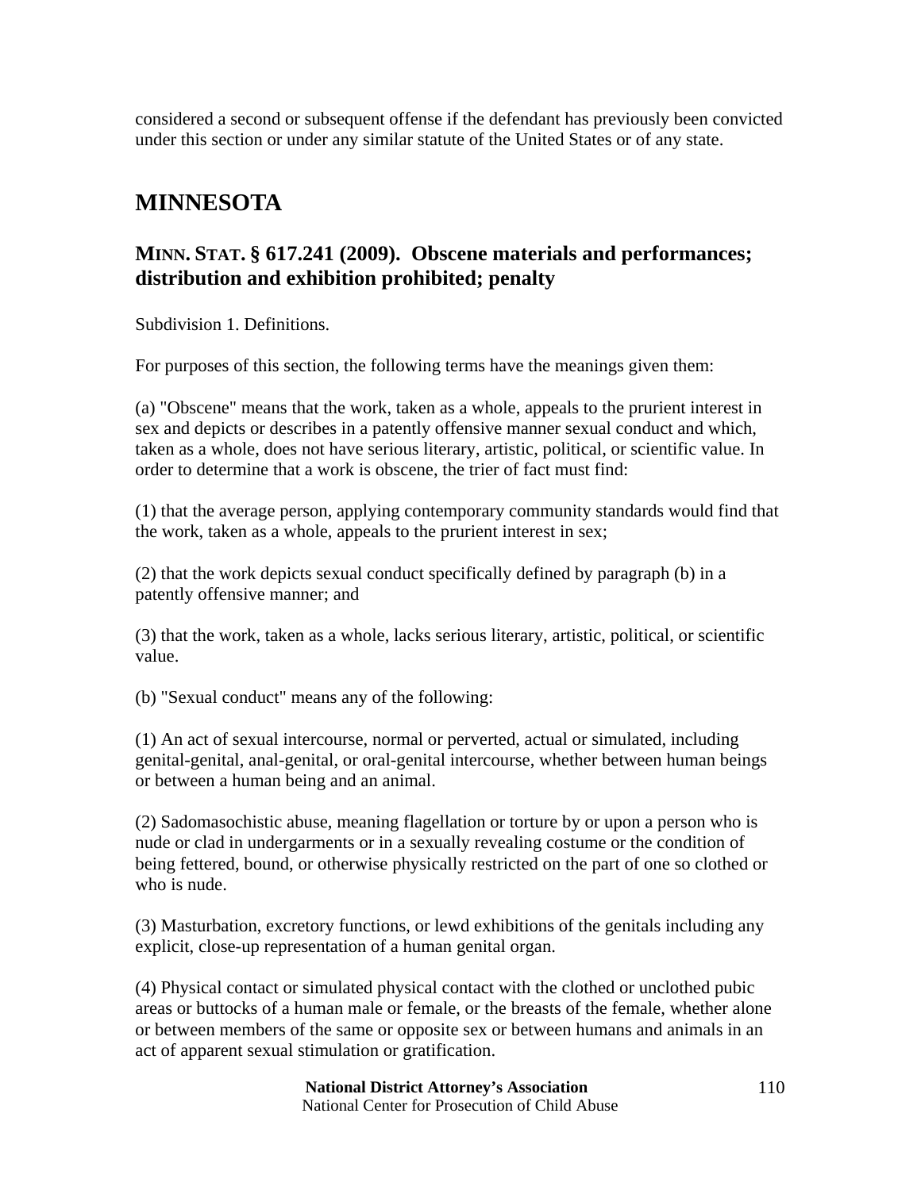considered a second or subsequent offense if the defendant has previously been convicted under this section or under any similar statute of the United States or of any state.

## **MINNESOTA**

## **MINN. STAT. § 617.241 (2009). Obscene materials and performances; distribution and exhibition prohibited; penalty**

Subdivision 1. Definitions.

For purposes of this section, the following terms have the meanings given them:

(a) "Obscene" means that the work, taken as a whole, appeals to the prurient interest in sex and depicts or describes in a patently offensive manner sexual conduct and which, taken as a whole, does not have serious literary, artistic, political, or scientific value. In order to determine that a work is obscene, the trier of fact must find:

(1) that the average person, applying contemporary community standards would find that the work, taken as a whole, appeals to the prurient interest in sex;

(2) that the work depicts sexual conduct specifically defined by paragraph (b) in a patently offensive manner; and

(3) that the work, taken as a whole, lacks serious literary, artistic, political, or scientific value.

(b) "Sexual conduct" means any of the following:

(1) An act of sexual intercourse, normal or perverted, actual or simulated, including genital-genital, anal-genital, or oral-genital intercourse, whether between human beings or between a human being and an animal.

(2) Sadomasochistic abuse, meaning flagellation or torture by or upon a person who is nude or clad in undergarments or in a sexually revealing costume or the condition of being fettered, bound, or otherwise physically restricted on the part of one so clothed or who is nude.

(3) Masturbation, excretory functions, or lewd exhibitions of the genitals including any explicit, close-up representation of a human genital organ.

(4) Physical contact or simulated physical contact with the clothed or unclothed pubic areas or buttocks of a human male or female, or the breasts of the female, whether alone or between members of the same or opposite sex or between humans and animals in an act of apparent sexual stimulation or gratification.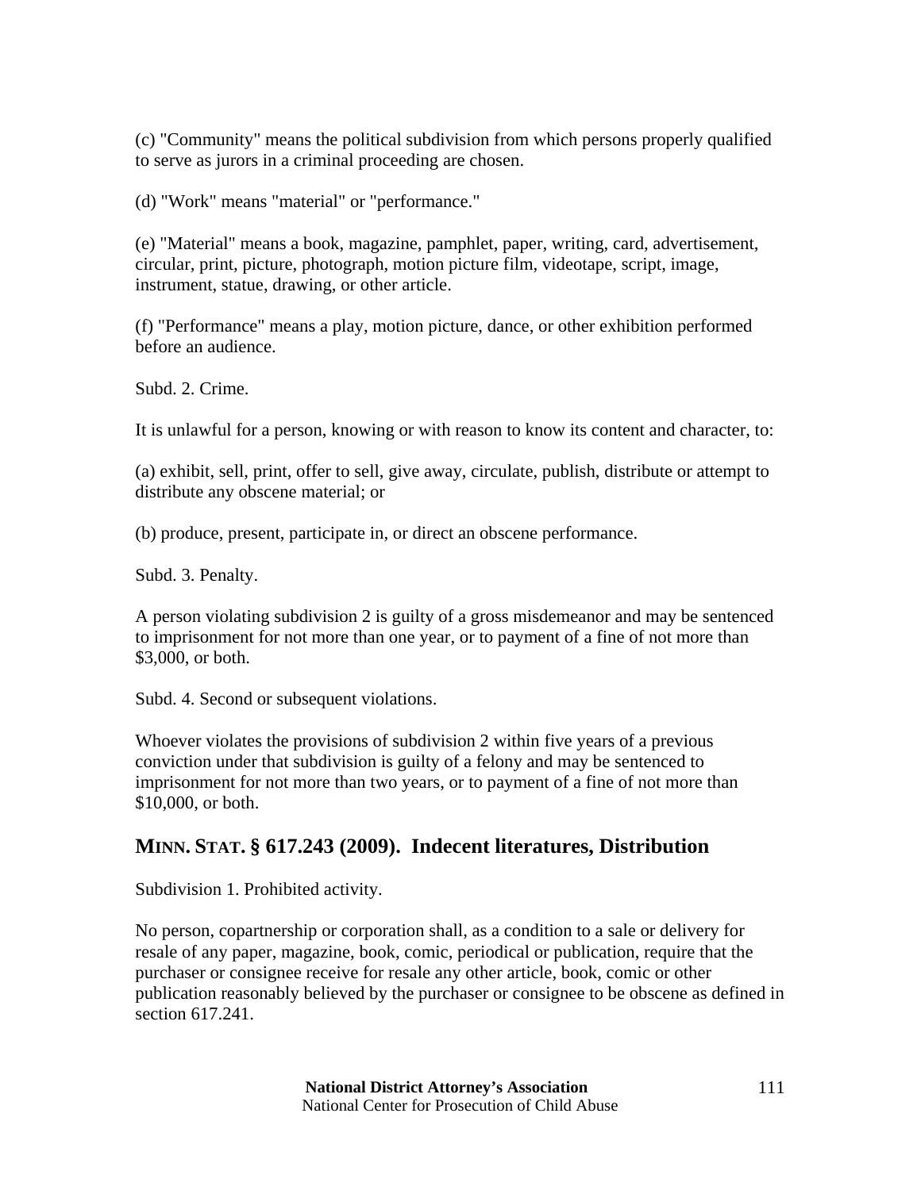(c) "Community" means the political subdivision from which persons properly qualified to serve as jurors in a criminal proceeding are chosen.

(d) "Work" means "material" or "performance."

(e) "Material" means a book, magazine, pamphlet, paper, writing, card, advertisement, circular, print, picture, photograph, motion picture film, videotape, script, image, instrument, statue, drawing, or other article.

(f) "Performance" means a play, motion picture, dance, or other exhibition performed before an audience.

Subd. 2. Crime.

It is unlawful for a person, knowing or with reason to know its content and character, to:

(a) exhibit, sell, print, offer to sell, give away, circulate, publish, distribute or attempt to distribute any obscene material; or

(b) produce, present, participate in, or direct an obscene performance.

Subd. 3. Penalty.

A person violating subdivision 2 is guilty of a gross misdemeanor and may be sentenced to imprisonment for not more than one year, or to payment of a fine of not more than \$3,000, or both.

Subd. 4. Second or subsequent violations.

Whoever violates the provisions of subdivision 2 within five years of a previous conviction under that subdivision is guilty of a felony and may be sentenced to imprisonment for not more than two years, or to payment of a fine of not more than \$10,000, or both.

## **MINN. STAT. § 617.243 (2009). Indecent literatures, Distribution**

Subdivision 1. Prohibited activity.

No person, copartnership or corporation shall, as a condition to a sale or delivery for resale of any paper, magazine, book, comic, periodical or publication, require that the purchaser or consignee receive for resale any other article, book, comic or other publication reasonably believed by the purchaser or consignee to be obscene as defined in section 617.241.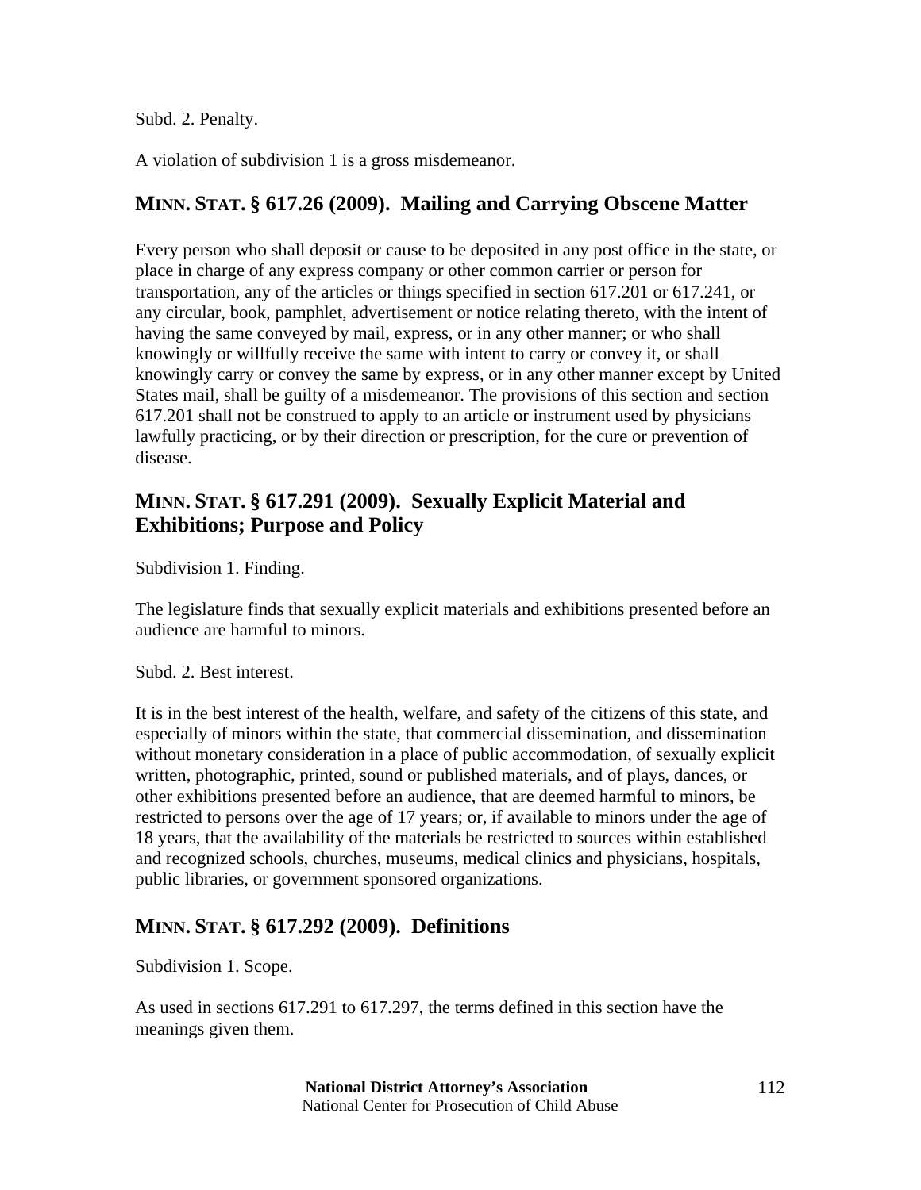Subd. 2. Penalty.

A violation of subdivision 1 is a gross misdemeanor.

#### **MINN. STAT. § 617.26 (2009). Mailing and Carrying Obscene Matter**

Every person who shall deposit or cause to be deposited in any post office in the state, or place in charge of any express company or other common carrier or person for transportation, any of the articles or things specified in section 617.201 or 617.241, or any circular, book, pamphlet, advertisement or notice relating thereto, with the intent of having the same conveyed by mail, express, or in any other manner; or who shall knowingly or willfully receive the same with intent to carry or convey it, or shall knowingly carry or convey the same by express, or in any other manner except by United States mail, shall be guilty of a misdemeanor. The provisions of this section and section 617.201 shall not be construed to apply to an article or instrument used by physicians lawfully practicing, or by their direction or prescription, for the cure or prevention of disease.

## **MINN. STAT. § 617.291 (2009). Sexually Explicit Material and Exhibitions; Purpose and Policy**

Subdivision 1. Finding.

The legislature finds that sexually explicit materials and exhibitions presented before an audience are harmful to minors.

Subd. 2. Best interest.

It is in the best interest of the health, welfare, and safety of the citizens of this state, and especially of minors within the state, that commercial dissemination, and dissemination without monetary consideration in a place of public accommodation, of sexually explicit written, photographic, printed, sound or published materials, and of plays, dances, or other exhibitions presented before an audience, that are deemed harmful to minors, be restricted to persons over the age of 17 years; or, if available to minors under the age of 18 years, that the availability of the materials be restricted to sources within established and recognized schools, churches, museums, medical clinics and physicians, hospitals, public libraries, or government sponsored organizations.

## **MINN. STAT. § 617.292 (2009). Definitions**

Subdivision 1. Scope.

As used in sections 617.291 to 617.297, the terms defined in this section have the meanings given them.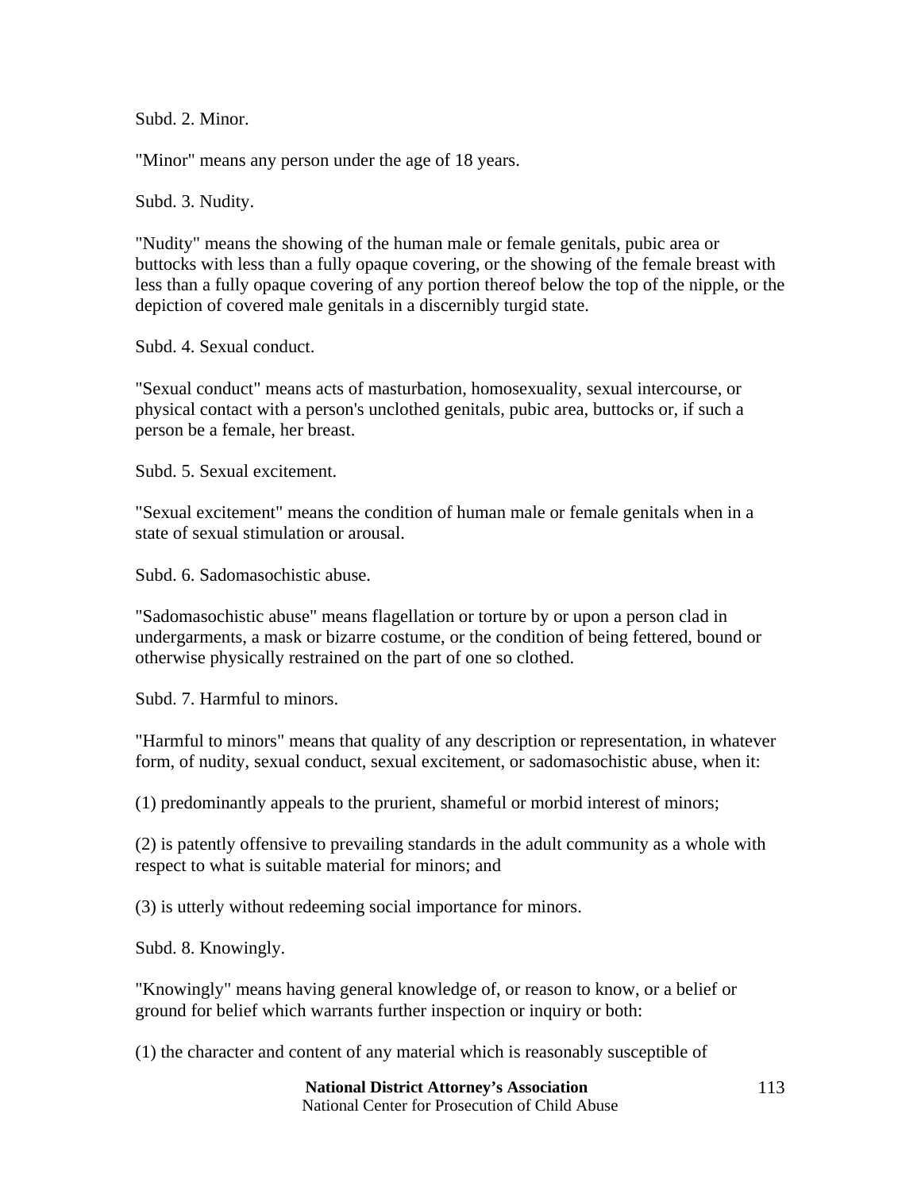Subd. 2. Minor.

"Minor" means any person under the age of 18 years.

Subd. 3. Nudity.

"Nudity" means the showing of the human male or female genitals, pubic area or buttocks with less than a fully opaque covering, or the showing of the female breast with less than a fully opaque covering of any portion thereof below the top of the nipple, or the depiction of covered male genitals in a discernibly turgid state.

Subd. 4. Sexual conduct.

"Sexual conduct" means acts of masturbation, homosexuality, sexual intercourse, or physical contact with a person's unclothed genitals, pubic area, buttocks or, if such a person be a female, her breast.

Subd. 5. Sexual excitement.

"Sexual excitement" means the condition of human male or female genitals when in a state of sexual stimulation or arousal.

Subd. 6. Sadomasochistic abuse.

"Sadomasochistic abuse" means flagellation or torture by or upon a person clad in undergarments, a mask or bizarre costume, or the condition of being fettered, bound or otherwise physically restrained on the part of one so clothed.

Subd. 7. Harmful to minors.

"Harmful to minors" means that quality of any description or representation, in whatever form, of nudity, sexual conduct, sexual excitement, or sadomasochistic abuse, when it:

(1) predominantly appeals to the prurient, shameful or morbid interest of minors;

(2) is patently offensive to prevailing standards in the adult community as a whole with respect to what is suitable material for minors; and

(3) is utterly without redeeming social importance for minors.

Subd. 8. Knowingly.

"Knowingly" means having general knowledge of, or reason to know, or a belief or ground for belief which warrants further inspection or inquiry or both:

(1) the character and content of any material which is reasonably susceptible of

**National District Attorney's Association**  National Center for Prosecution of Child Abuse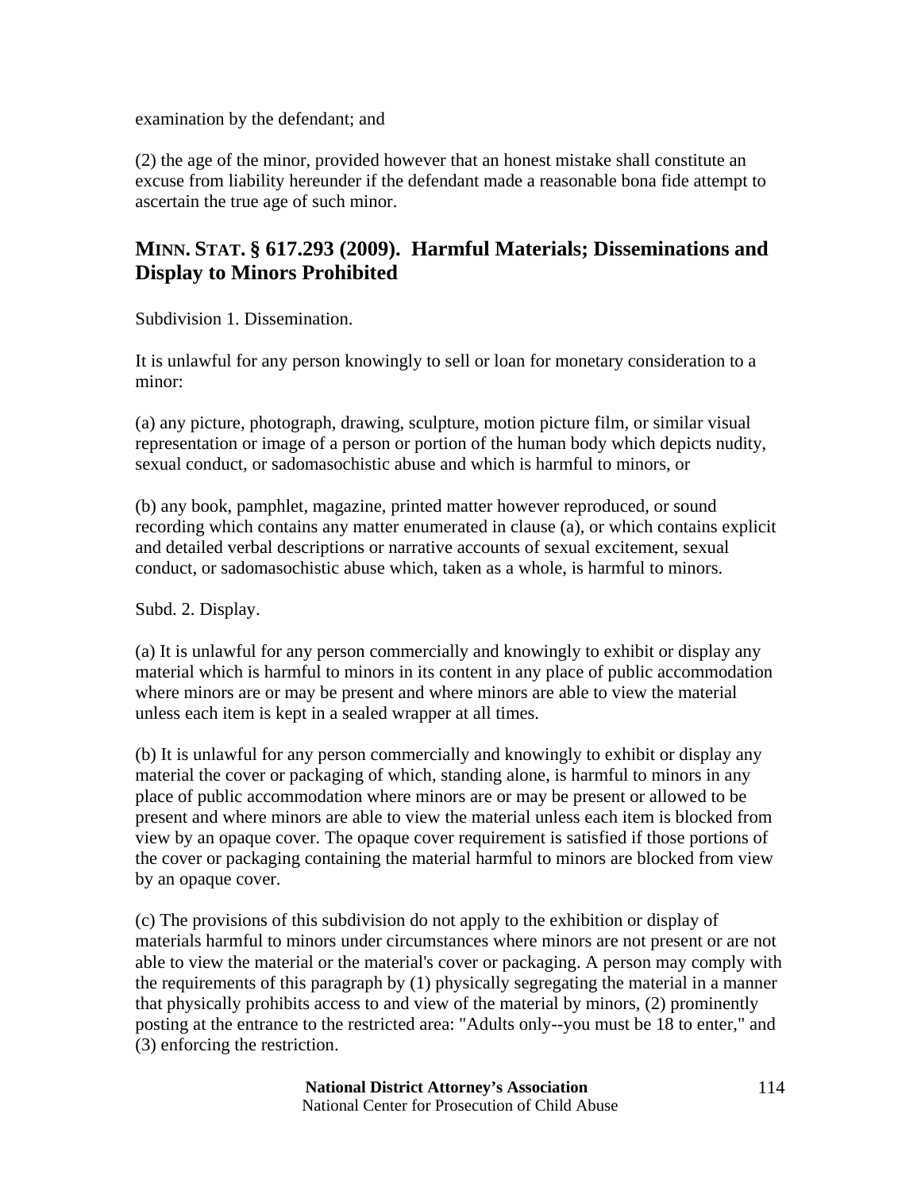examination by the defendant; and

(2) the age of the minor, provided however that an honest mistake shall constitute an excuse from liability hereunder if the defendant made a reasonable bona fide attempt to ascertain the true age of such minor.

## **MINN. STAT. § 617.293 (2009). Harmful Materials; Disseminations and Display to Minors Prohibited**

Subdivision 1. Dissemination.

It is unlawful for any person knowingly to sell or loan for monetary consideration to a minor:

(a) any picture, photograph, drawing, sculpture, motion picture film, or similar visual representation or image of a person or portion of the human body which depicts nudity, sexual conduct, or sadomasochistic abuse and which is harmful to minors, or

(b) any book, pamphlet, magazine, printed matter however reproduced, or sound recording which contains any matter enumerated in clause (a), or which contains explicit and detailed verbal descriptions or narrative accounts of sexual excitement, sexual conduct, or sadomasochistic abuse which, taken as a whole, is harmful to minors.

Subd. 2. Display.

(a) It is unlawful for any person commercially and knowingly to exhibit or display any material which is harmful to minors in its content in any place of public accommodation where minors are or may be present and where minors are able to view the material unless each item is kept in a sealed wrapper at all times.

(b) It is unlawful for any person commercially and knowingly to exhibit or display any material the cover or packaging of which, standing alone, is harmful to minors in any place of public accommodation where minors are or may be present or allowed to be present and where minors are able to view the material unless each item is blocked from view by an opaque cover. The opaque cover requirement is satisfied if those portions of the cover or packaging containing the material harmful to minors are blocked from view by an opaque cover.

(c) The provisions of this subdivision do not apply to the exhibition or display of materials harmful to minors under circumstances where minors are not present or are not able to view the material or the material's cover or packaging. A person may comply with the requirements of this paragraph by (1) physically segregating the material in a manner that physically prohibits access to and view of the material by minors, (2) prominently posting at the entrance to the restricted area: "Adults only--you must be 18 to enter," and (3) enforcing the restriction.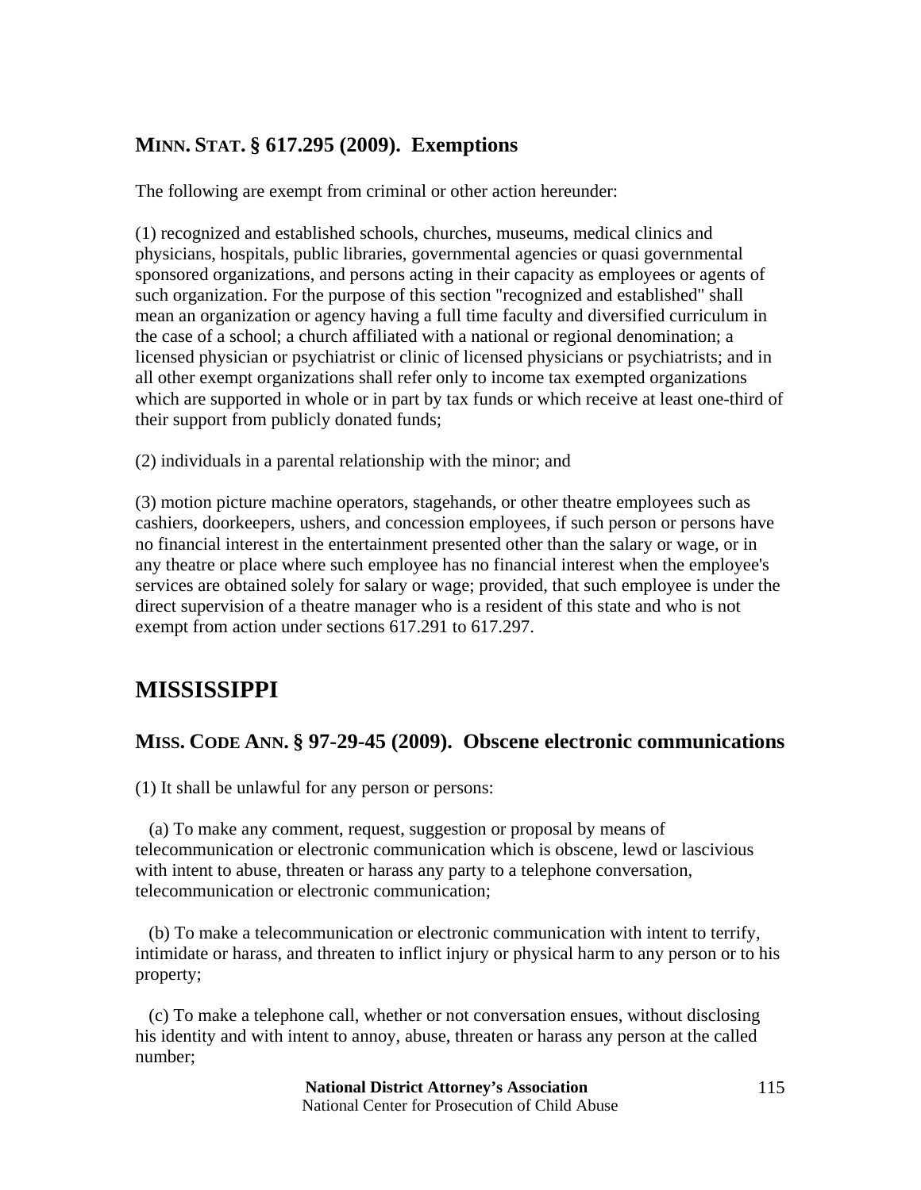## **MINN. STAT. § 617.295 (2009). Exemptions**

The following are exempt from criminal or other action hereunder:

(1) recognized and established schools, churches, museums, medical clinics and physicians, hospitals, public libraries, governmental agencies or quasi governmental sponsored organizations, and persons acting in their capacity as employees or agents of such organization. For the purpose of this section "recognized and established" shall mean an organization or agency having a full time faculty and diversified curriculum in the case of a school; a church affiliated with a national or regional denomination; a licensed physician or psychiatrist or clinic of licensed physicians or psychiatrists; and in all other exempt organizations shall refer only to income tax exempted organizations which are supported in whole or in part by tax funds or which receive at least one-third of their support from publicly donated funds;

(2) individuals in a parental relationship with the minor; and

(3) motion picture machine operators, stagehands, or other theatre employees such as cashiers, doorkeepers, ushers, and concession employees, if such person or persons have no financial interest in the entertainment presented other than the salary or wage, or in any theatre or place where such employee has no financial interest when the employee's services are obtained solely for salary or wage; provided, that such employee is under the direct supervision of a theatre manager who is a resident of this state and who is not exempt from action under sections 617.291 to 617.297.

# **MISSISSIPPI**

## **MISS. CODE ANN. § 97-29-45 (2009). Obscene electronic communications**

(1) It shall be unlawful for any person or persons:

 (a) To make any comment, request, suggestion or proposal by means of telecommunication or electronic communication which is obscene, lewd or lascivious with intent to abuse, threaten or harass any party to a telephone conversation, telecommunication or electronic communication;

 (b) To make a telecommunication or electronic communication with intent to terrify, intimidate or harass, and threaten to inflict injury or physical harm to any person or to his property;

 (c) To make a telephone call, whether or not conversation ensues, without disclosing his identity and with intent to annoy, abuse, threaten or harass any person at the called number;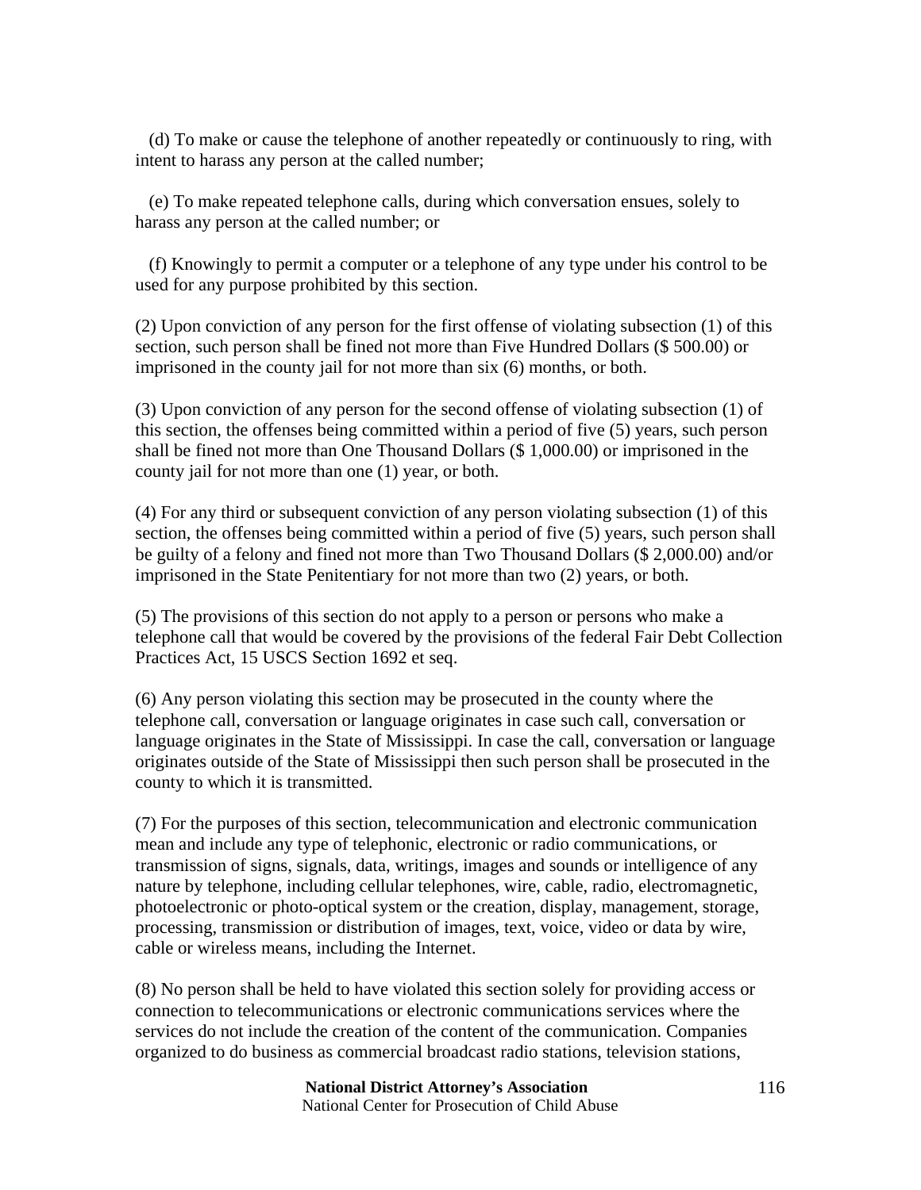(d) To make or cause the telephone of another repeatedly or continuously to ring, with intent to harass any person at the called number;

 (e) To make repeated telephone calls, during which conversation ensues, solely to harass any person at the called number; or

 (f) Knowingly to permit a computer or a telephone of any type under his control to be used for any purpose prohibited by this section.

(2) Upon conviction of any person for the first offense of violating subsection (1) of this section, such person shall be fined not more than Five Hundred Dollars (\$ 500.00) or imprisoned in the county jail for not more than six (6) months, or both.

(3) Upon conviction of any person for the second offense of violating subsection (1) of this section, the offenses being committed within a period of five (5) years, such person shall be fined not more than One Thousand Dollars (\$ 1,000.00) or imprisoned in the county jail for not more than one (1) year, or both.

(4) For any third or subsequent conviction of any person violating subsection (1) of this section, the offenses being committed within a period of five (5) years, such person shall be guilty of a felony and fined not more than Two Thousand Dollars (\$ 2,000.00) and/or imprisoned in the State Penitentiary for not more than two (2) years, or both.

(5) The provisions of this section do not apply to a person or persons who make a telephone call that would be covered by the provisions of the federal Fair Debt Collection Practices Act, 15 USCS Section 1692 et seq.

(6) Any person violating this section may be prosecuted in the county where the telephone call, conversation or language originates in case such call, conversation or language originates in the State of Mississippi. In case the call, conversation or language originates outside of the State of Mississippi then such person shall be prosecuted in the county to which it is transmitted.

(7) For the purposes of this section, telecommunication and electronic communication mean and include any type of telephonic, electronic or radio communications, or transmission of signs, signals, data, writings, images and sounds or intelligence of any nature by telephone, including cellular telephones, wire, cable, radio, electromagnetic, photoelectronic or photo-optical system or the creation, display, management, storage, processing, transmission or distribution of images, text, voice, video or data by wire, cable or wireless means, including the Internet.

(8) No person shall be held to have violated this section solely for providing access or connection to telecommunications or electronic communications services where the services do not include the creation of the content of the communication. Companies organized to do business as commercial broadcast radio stations, television stations,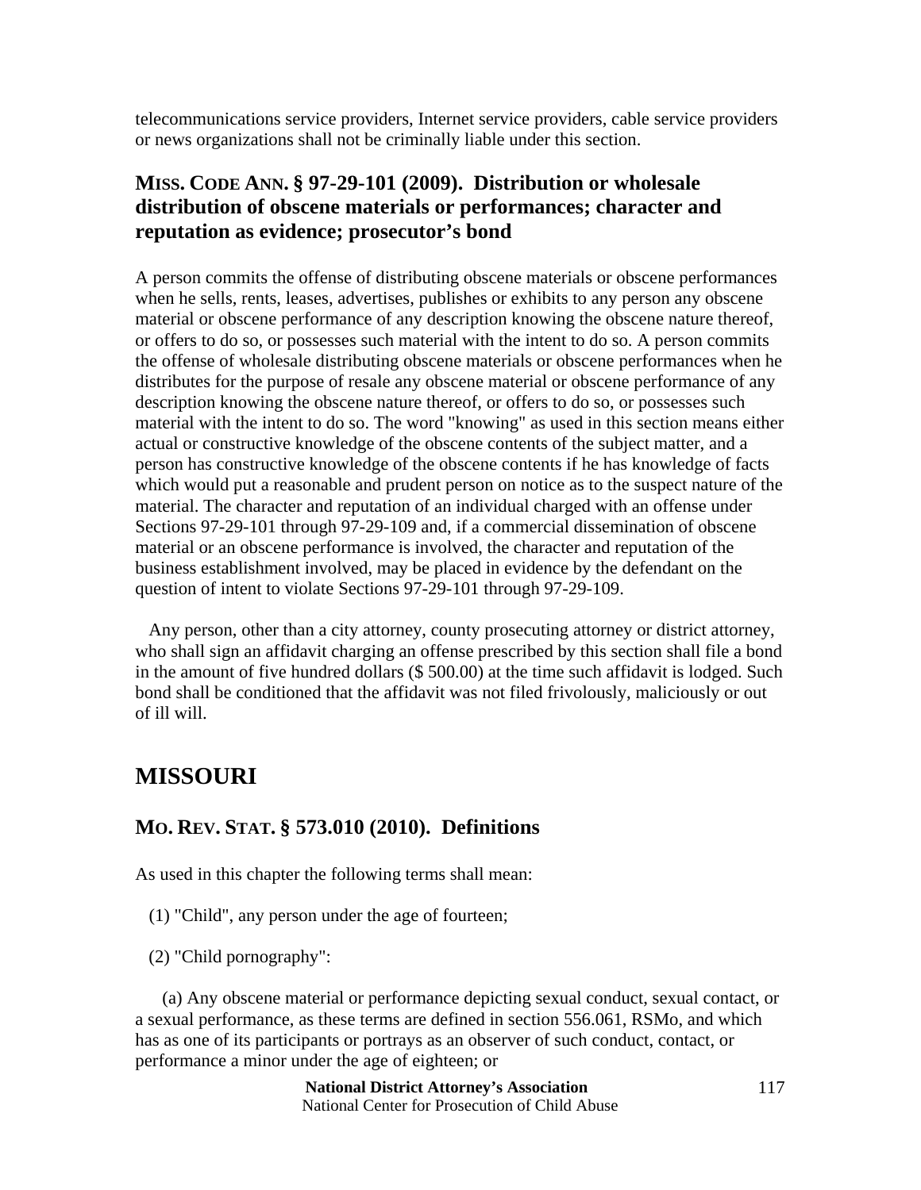telecommunications service providers, Internet service providers, cable service providers or news organizations shall not be criminally liable under this section.

## **MISS. CODE ANN. § 97-29-101 (2009). Distribution or wholesale distribution of obscene materials or performances; character and reputation as evidence; prosecutor's bond**

A person commits the offense of distributing obscene materials or obscene performances when he sells, rents, leases, advertises, publishes or exhibits to any person any obscene material or obscene performance of any description knowing the obscene nature thereof, or offers to do so, or possesses such material with the intent to do so. A person commits the offense of wholesale distributing obscene materials or obscene performances when he distributes for the purpose of resale any obscene material or obscene performance of any description knowing the obscene nature thereof, or offers to do so, or possesses such material with the intent to do so. The word "knowing" as used in this section means either actual or constructive knowledge of the obscene contents of the subject matter, and a person has constructive knowledge of the obscene contents if he has knowledge of facts which would put a reasonable and prudent person on notice as to the suspect nature of the material. The character and reputation of an individual charged with an offense under Sections 97-29-101 through 97-29-109 and, if a commercial dissemination of obscene material or an obscene performance is involved, the character and reputation of the business establishment involved, may be placed in evidence by the defendant on the question of intent to violate Sections 97-29-101 through 97-29-109.

 Any person, other than a city attorney, county prosecuting attorney or district attorney, who shall sign an affidavit charging an offense prescribed by this section shall file a bond in the amount of five hundred dollars (\$ 500.00) at the time such affidavit is lodged. Such bond shall be conditioned that the affidavit was not filed frivolously, maliciously or out of ill will.

## **MISSOURI**

## **MO. REV. STAT. § 573.010 (2010). Definitions**

As used in this chapter the following terms shall mean:

- (1) "Child", any person under the age of fourteen;
- (2) "Child pornography":

 (a) Any obscene material or performance depicting sexual conduct, sexual contact, or a sexual performance, as these terms are defined in section 556.061, RSMo, and which has as one of its participants or portrays as an observer of such conduct, contact, or performance a minor under the age of eighteen; or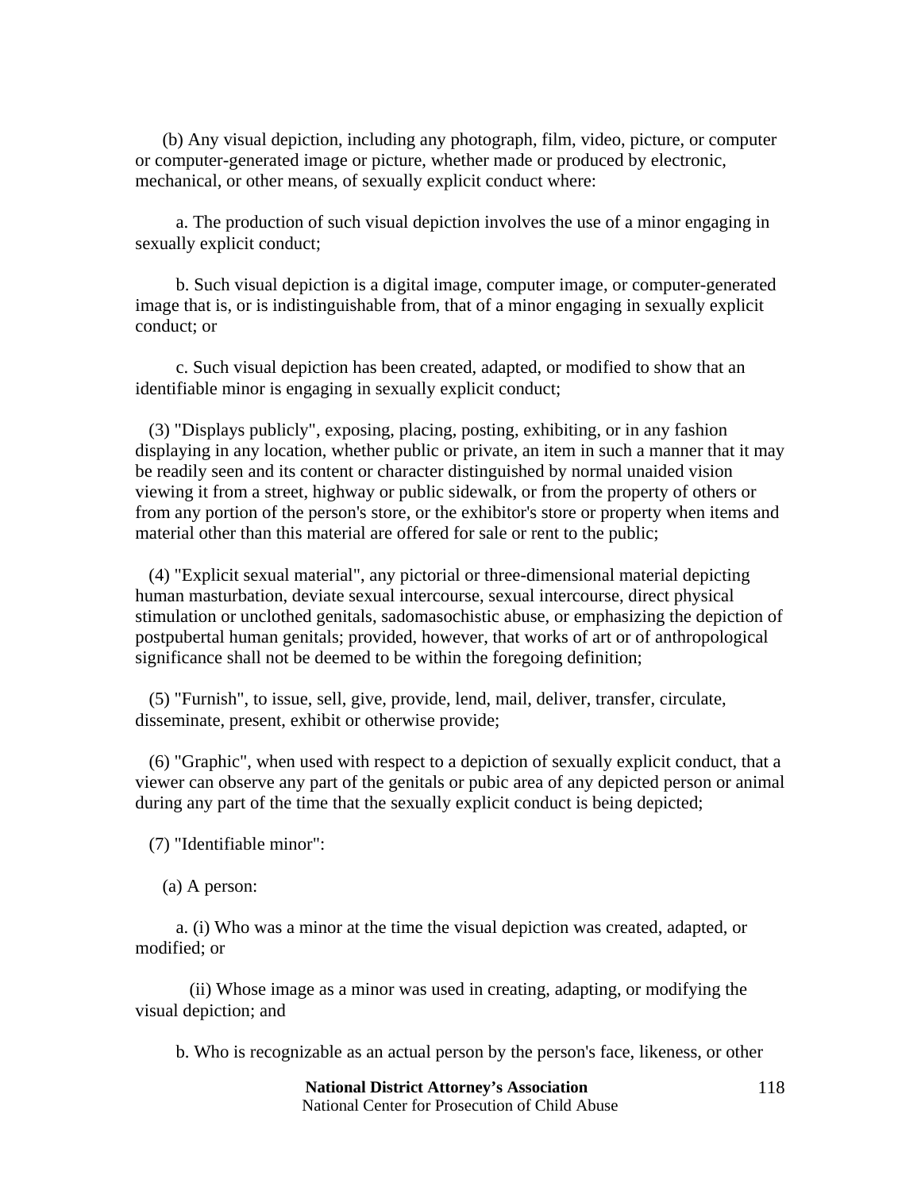(b) Any visual depiction, including any photograph, film, video, picture, or computer or computer-generated image or picture, whether made or produced by electronic, mechanical, or other means, of sexually explicit conduct where:

 a. The production of such visual depiction involves the use of a minor engaging in sexually explicit conduct;

 b. Such visual depiction is a digital image, computer image, or computer-generated image that is, or is indistinguishable from, that of a minor engaging in sexually explicit conduct; or

 c. Such visual depiction has been created, adapted, or modified to show that an identifiable minor is engaging in sexually explicit conduct;

 (3) "Displays publicly", exposing, placing, posting, exhibiting, or in any fashion displaying in any location, whether public or private, an item in such a manner that it may be readily seen and its content or character distinguished by normal unaided vision viewing it from a street, highway or public sidewalk, or from the property of others or from any portion of the person's store, or the exhibitor's store or property when items and material other than this material are offered for sale or rent to the public;

 (4) "Explicit sexual material", any pictorial or three-dimensional material depicting human masturbation, deviate sexual intercourse, sexual intercourse, direct physical stimulation or unclothed genitals, sadomasochistic abuse, or emphasizing the depiction of postpubertal human genitals; provided, however, that works of art or of anthropological significance shall not be deemed to be within the foregoing definition;

 (5) "Furnish", to issue, sell, give, provide, lend, mail, deliver, transfer, circulate, disseminate, present, exhibit or otherwise provide;

 (6) "Graphic", when used with respect to a depiction of sexually explicit conduct, that a viewer can observe any part of the genitals or pubic area of any depicted person or animal during any part of the time that the sexually explicit conduct is being depicted;

(7) "Identifiable minor":

(a) A person:

 a. (i) Who was a minor at the time the visual depiction was created, adapted, or modified; or

 (ii) Whose image as a minor was used in creating, adapting, or modifying the visual depiction; and

b. Who is recognizable as an actual person by the person's face, likeness, or other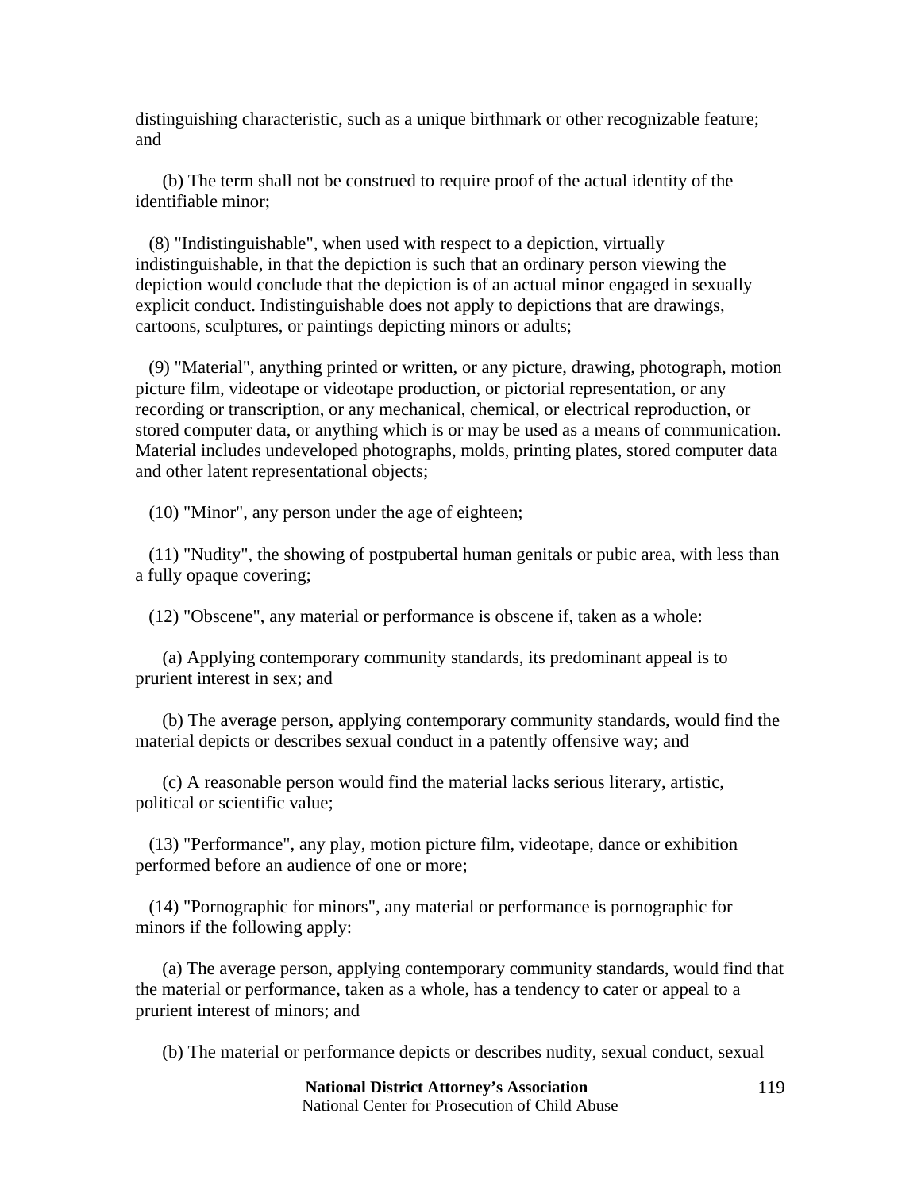distinguishing characteristic, such as a unique birthmark or other recognizable feature; and

 (b) The term shall not be construed to require proof of the actual identity of the identifiable minor;

 (8) "Indistinguishable", when used with respect to a depiction, virtually indistinguishable, in that the depiction is such that an ordinary person viewing the depiction would conclude that the depiction is of an actual minor engaged in sexually explicit conduct. Indistinguishable does not apply to depictions that are drawings, cartoons, sculptures, or paintings depicting minors or adults;

 (9) "Material", anything printed or written, or any picture, drawing, photograph, motion picture film, videotape or videotape production, or pictorial representation, or any recording or transcription, or any mechanical, chemical, or electrical reproduction, or stored computer data, or anything which is or may be used as a means of communication. Material includes undeveloped photographs, molds, printing plates, stored computer data and other latent representational objects;

(10) "Minor", any person under the age of eighteen;

 (11) "Nudity", the showing of postpubertal human genitals or pubic area, with less than a fully opaque covering;

(12) "Obscene", any material or performance is obscene if, taken as a whole:

 (a) Applying contemporary community standards, its predominant appeal is to prurient interest in sex; and

 (b) The average person, applying contemporary community standards, would find the material depicts or describes sexual conduct in a patently offensive way; and

 (c) A reasonable person would find the material lacks serious literary, artistic, political or scientific value;

 (13) "Performance", any play, motion picture film, videotape, dance or exhibition performed before an audience of one or more;

 (14) "Pornographic for minors", any material or performance is pornographic for minors if the following apply:

 (a) The average person, applying contemporary community standards, would find that the material or performance, taken as a whole, has a tendency to cater or appeal to a prurient interest of minors; and

(b) The material or performance depicts or describes nudity, sexual conduct, sexual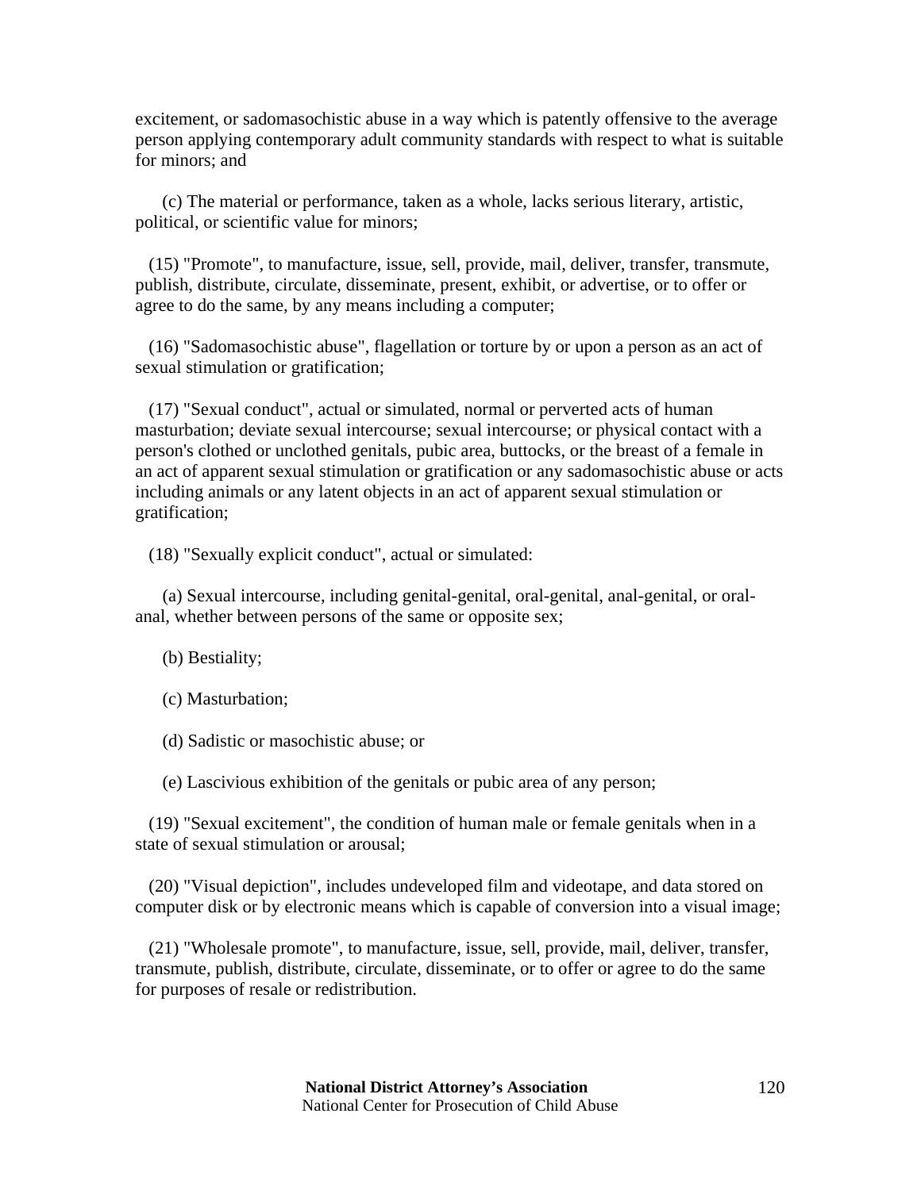excitement, or sadomasochistic abuse in a way which is patently offensive to the average person applying contemporary adult community standards with respect to what is suitable for minors; and

 (c) The material or performance, taken as a whole, lacks serious literary, artistic, political, or scientific value for minors;

 (15) "Promote", to manufacture, issue, sell, provide, mail, deliver, transfer, transmute, publish, distribute, circulate, disseminate, present, exhibit, or advertise, or to offer or agree to do the same, by any means including a computer;

 (16) "Sadomasochistic abuse", flagellation or torture by or upon a person as an act of sexual stimulation or gratification;

 (17) "Sexual conduct", actual or simulated, normal or perverted acts of human masturbation; deviate sexual intercourse; sexual intercourse; or physical contact with a person's clothed or unclothed genitals, pubic area, buttocks, or the breast of a female in an act of apparent sexual stimulation or gratification or any sadomasochistic abuse or acts including animals or any latent objects in an act of apparent sexual stimulation or gratification;

(18) "Sexually explicit conduct", actual or simulated:

 (a) Sexual intercourse, including genital-genital, oral-genital, anal-genital, or oralanal, whether between persons of the same or opposite sex;

(b) Bestiality;

(c) Masturbation;

(d) Sadistic or masochistic abuse; or

(e) Lascivious exhibition of the genitals or pubic area of any person;

 (19) "Sexual excitement", the condition of human male or female genitals when in a state of sexual stimulation or arousal;

 (20) "Visual depiction", includes undeveloped film and videotape, and data stored on computer disk or by electronic means which is capable of conversion into a visual image;

 (21) "Wholesale promote", to manufacture, issue, sell, provide, mail, deliver, transfer, transmute, publish, distribute, circulate, disseminate, or to offer or agree to do the same for purposes of resale or redistribution.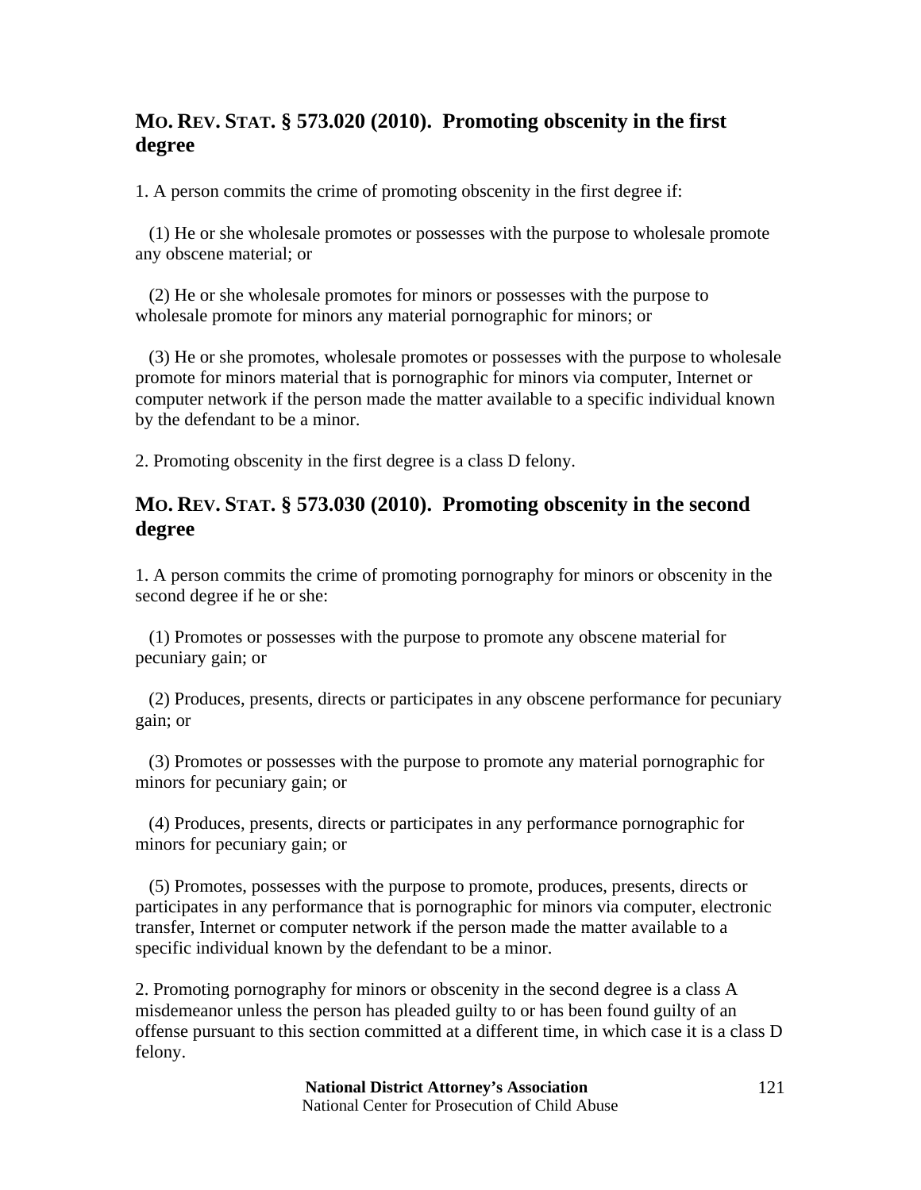## **MO. REV. STAT. § 573.020 (2010). Promoting obscenity in the first degree**

1. A person commits the crime of promoting obscenity in the first degree if:

 (1) He or she wholesale promotes or possesses with the purpose to wholesale promote any obscene material; or

 (2) He or she wholesale promotes for minors or possesses with the purpose to wholesale promote for minors any material pornographic for minors; or

 (3) He or she promotes, wholesale promotes or possesses with the purpose to wholesale promote for minors material that is pornographic for minors via computer, Internet or computer network if the person made the matter available to a specific individual known by the defendant to be a minor.

2. Promoting obscenity in the first degree is a class D felony.

#### **MO. REV. STAT. § 573.030 (2010). Promoting obscenity in the second degree**

1. A person commits the crime of promoting pornography for minors or obscenity in the second degree if he or she:

 (1) Promotes or possesses with the purpose to promote any obscene material for pecuniary gain; or

 (2) Produces, presents, directs or participates in any obscene performance for pecuniary gain; or

 (3) Promotes or possesses with the purpose to promote any material pornographic for minors for pecuniary gain; or

 (4) Produces, presents, directs or participates in any performance pornographic for minors for pecuniary gain; or

 (5) Promotes, possesses with the purpose to promote, produces, presents, directs or participates in any performance that is pornographic for minors via computer, electronic transfer, Internet or computer network if the person made the matter available to a specific individual known by the defendant to be a minor.

2. Promoting pornography for minors or obscenity in the second degree is a class A misdemeanor unless the person has pleaded guilty to or has been found guilty of an offense pursuant to this section committed at a different time, in which case it is a class D felony.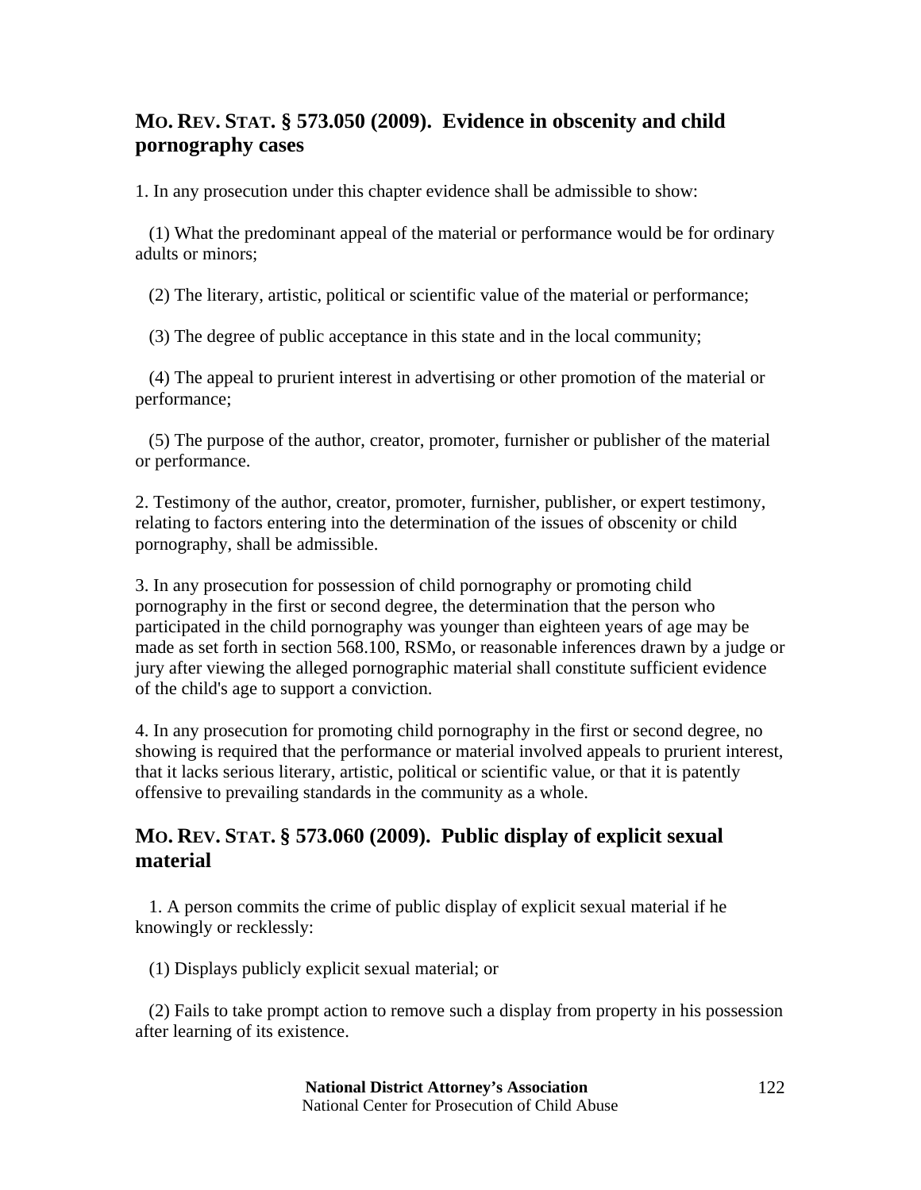## **MO. REV. STAT. § 573.050 (2009). Evidence in obscenity and child pornography cases**

1. In any prosecution under this chapter evidence shall be admissible to show:

 (1) What the predominant appeal of the material or performance would be for ordinary adults or minors;

(2) The literary, artistic, political or scientific value of the material or performance;

(3) The degree of public acceptance in this state and in the local community;

 (4) The appeal to prurient interest in advertising or other promotion of the material or performance;

 (5) The purpose of the author, creator, promoter, furnisher or publisher of the material or performance.

2. Testimony of the author, creator, promoter, furnisher, publisher, or expert testimony, relating to factors entering into the determination of the issues of obscenity or child pornography, shall be admissible.

3. In any prosecution for possession of child pornography or promoting child pornography in the first or second degree, the determination that the person who participated in the child pornography was younger than eighteen years of age may be made as set forth in section 568.100, RSMo, or reasonable inferences drawn by a judge or jury after viewing the alleged pornographic material shall constitute sufficient evidence of the child's age to support a conviction.

4. In any prosecution for promoting child pornography in the first or second degree, no showing is required that the performance or material involved appeals to prurient interest, that it lacks serious literary, artistic, political or scientific value, or that it is patently offensive to prevailing standards in the community as a whole.

## **MO. REV. STAT. § 573.060 (2009). Public display of explicit sexual material**

 1. A person commits the crime of public display of explicit sexual material if he knowingly or recklessly:

(1) Displays publicly explicit sexual material; or

 (2) Fails to take prompt action to remove such a display from property in his possession after learning of its existence.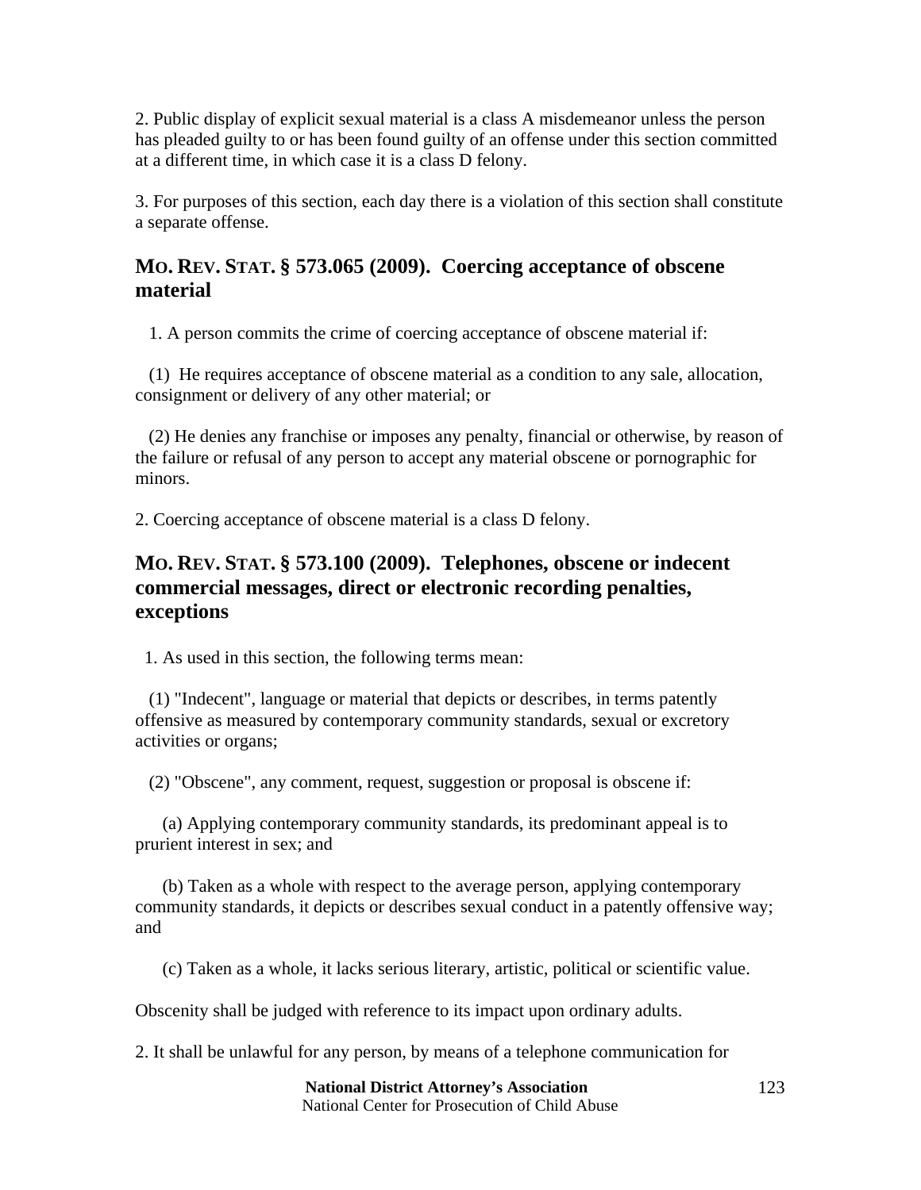2. Public display of explicit sexual material is a class A misdemeanor unless the person has pleaded guilty to or has been found guilty of an offense under this section committed at a different time, in which case it is a class D felony.

3. For purposes of this section, each day there is a violation of this section shall constitute a separate offense.

## **MO. REV. STAT. § 573.065 (2009). Coercing acceptance of obscene material**

1. A person commits the crime of coercing acceptance of obscene material if:

 (1) He requires acceptance of obscene material as a condition to any sale, allocation, consignment or delivery of any other material; or

 (2) He denies any franchise or imposes any penalty, financial or otherwise, by reason of the failure or refusal of any person to accept any material obscene or pornographic for minors.

2. Coercing acceptance of obscene material is a class D felony.

## **MO. REV. STAT. § 573.100 (2009). Telephones, obscene or indecent commercial messages, direct or electronic recording penalties, exceptions**

1. As used in this section, the following terms mean:

 (1) "Indecent", language or material that depicts or describes, in terms patently offensive as measured by contemporary community standards, sexual or excretory activities or organs;

(2) "Obscene", any comment, request, suggestion or proposal is obscene if:

 (a) Applying contemporary community standards, its predominant appeal is to prurient interest in sex; and

 (b) Taken as a whole with respect to the average person, applying contemporary community standards, it depicts or describes sexual conduct in a patently offensive way; and

(c) Taken as a whole, it lacks serious literary, artistic, political or scientific value.

Obscenity shall be judged with reference to its impact upon ordinary adults.

2. It shall be unlawful for any person, by means of a telephone communication for

#### **National District Attorney's Association**

National Center for Prosecution of Child Abuse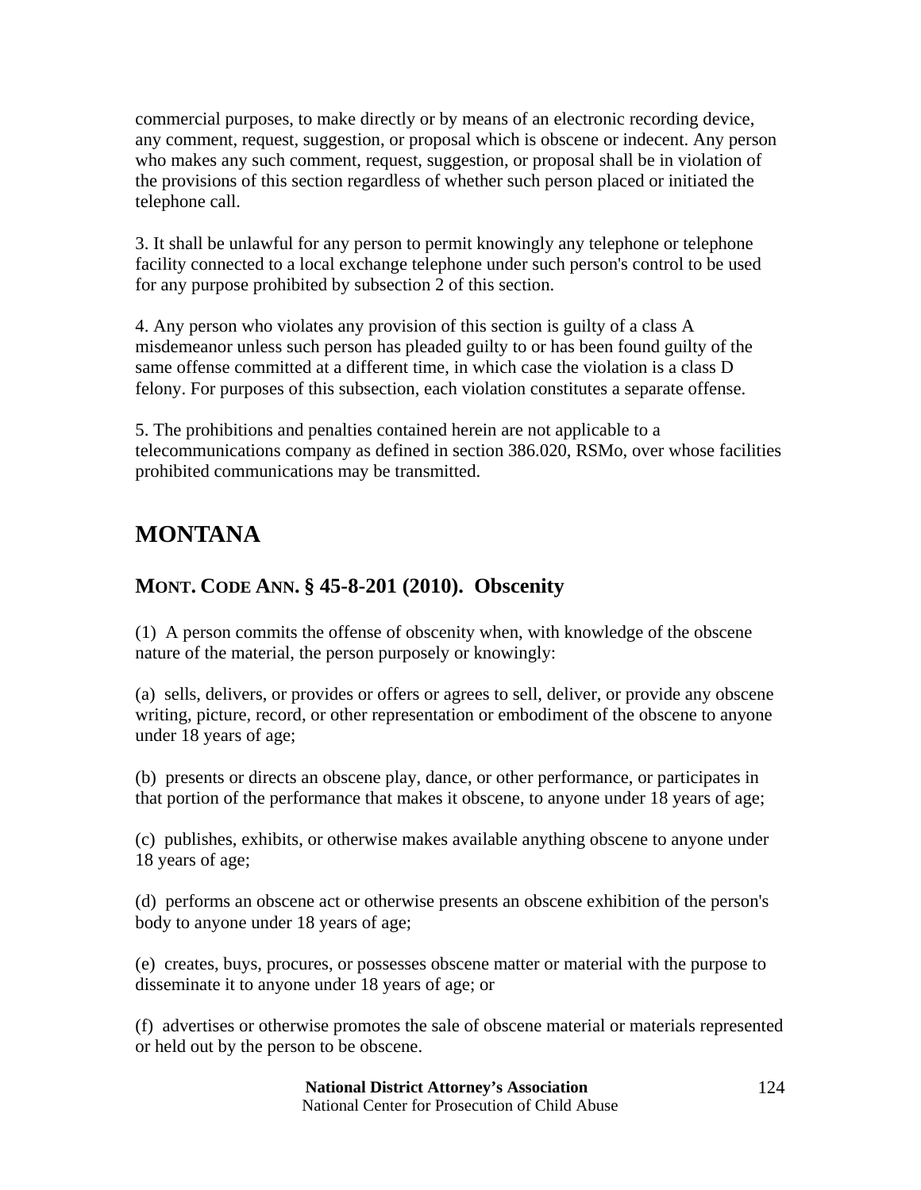commercial purposes, to make directly or by means of an electronic recording device, any comment, request, suggestion, or proposal which is obscene or indecent. Any person who makes any such comment, request, suggestion, or proposal shall be in violation of the provisions of this section regardless of whether such person placed or initiated the telephone call.

3. It shall be unlawful for any person to permit knowingly any telephone or telephone facility connected to a local exchange telephone under such person's control to be used for any purpose prohibited by subsection 2 of this section.

4. Any person who violates any provision of this section is guilty of a class A misdemeanor unless such person has pleaded guilty to or has been found guilty of the same offense committed at a different time, in which case the violation is a class D felony. For purposes of this subsection, each violation constitutes a separate offense.

5. The prohibitions and penalties contained herein are not applicable to a telecommunications company as defined in section 386.020, RSMo, over whose facilities prohibited communications may be transmitted.

# **MONTANA**

## **MONT. CODE ANN. § 45-8-201 (2010). Obscenity**

(1) A person commits the offense of obscenity when, with knowledge of the obscene nature of the material, the person purposely or knowingly:

(a) sells, delivers, or provides or offers or agrees to sell, deliver, or provide any obscene writing, picture, record, or other representation or embodiment of the obscene to anyone under 18 years of age;

(b) presents or directs an obscene play, dance, or other performance, or participates in that portion of the performance that makes it obscene, to anyone under 18 years of age;

(c) publishes, exhibits, or otherwise makes available anything obscene to anyone under 18 years of age;

(d) performs an obscene act or otherwise presents an obscene exhibition of the person's body to anyone under 18 years of age;

(e) creates, buys, procures, or possesses obscene matter or material with the purpose to disseminate it to anyone under 18 years of age; or

(f) advertises or otherwise promotes the sale of obscene material or materials represented or held out by the person to be obscene.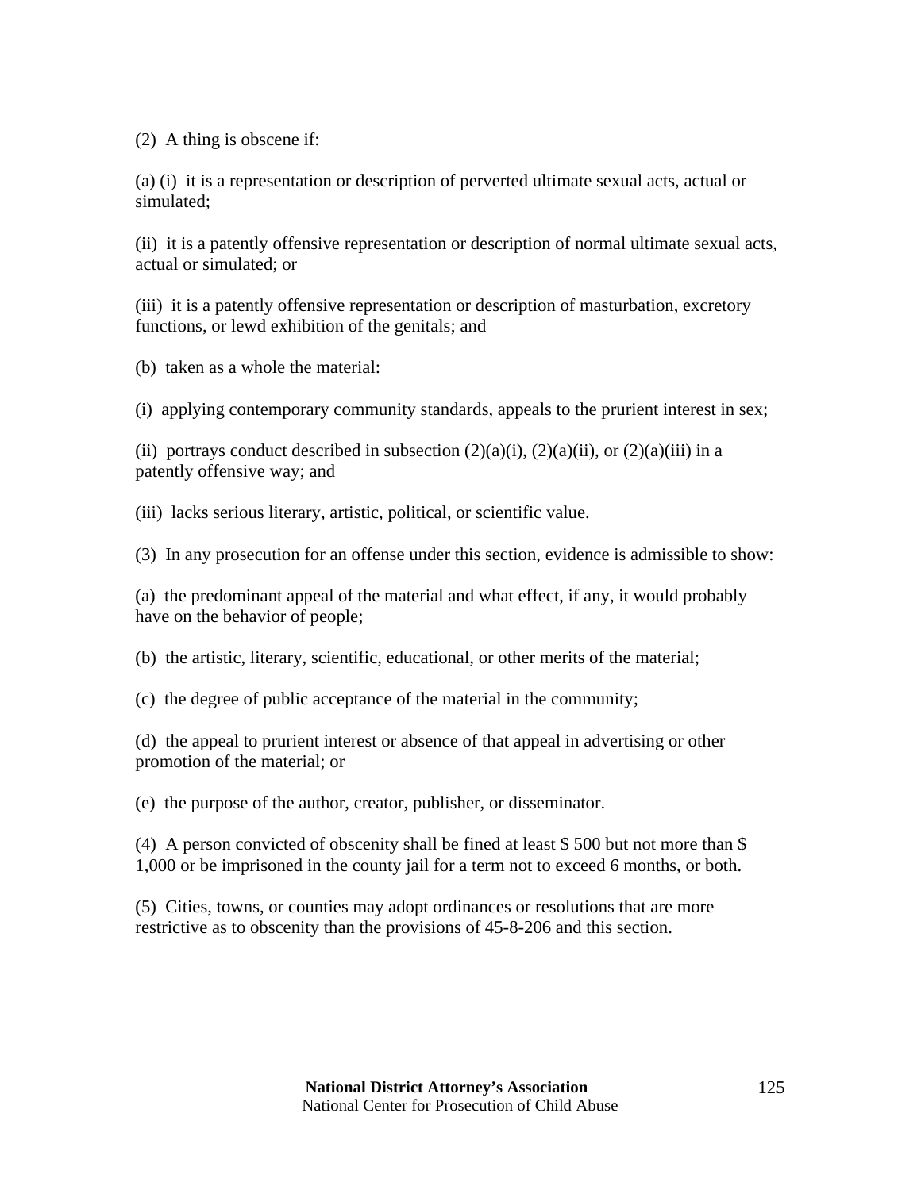(2) A thing is obscene if:

(a) (i) it is a representation or description of perverted ultimate sexual acts, actual or simulated;

(ii) it is a patently offensive representation or description of normal ultimate sexual acts, actual or simulated; or

(iii) it is a patently offensive representation or description of masturbation, excretory functions, or lewd exhibition of the genitals; and

(b) taken as a whole the material:

(i) applying contemporary community standards, appeals to the prurient interest in sex;

(ii) portrays conduct described in subsection  $(2)(a)(i)$ ,  $(2)(a)(ii)$ , or  $(2)(a)(iii)$  in a patently offensive way; and

(iii) lacks serious literary, artistic, political, or scientific value.

(3) In any prosecution for an offense under this section, evidence is admissible to show:

(a) the predominant appeal of the material and what effect, if any, it would probably have on the behavior of people;

(b) the artistic, literary, scientific, educational, or other merits of the material;

(c) the degree of public acceptance of the material in the community;

(d) the appeal to prurient interest or absence of that appeal in advertising or other promotion of the material; or

(e) the purpose of the author, creator, publisher, or disseminator.

(4) A person convicted of obscenity shall be fined at least \$ 500 but not more than \$ 1,000 or be imprisoned in the county jail for a term not to exceed 6 months, or both.

(5) Cities, towns, or counties may adopt ordinances or resolutions that are more restrictive as to obscenity than the provisions of 45-8-206 and this section.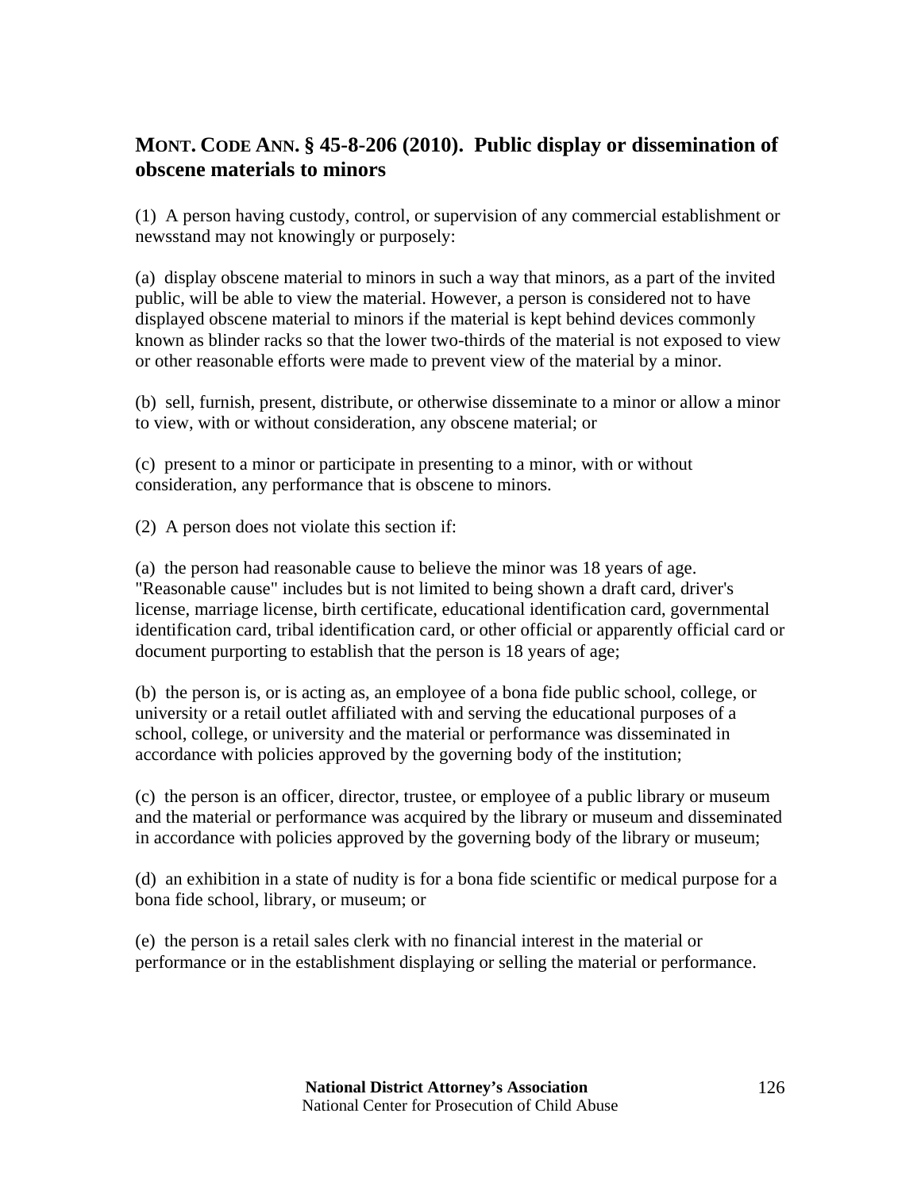## **MONT. CODE ANN. § 45-8-206 (2010). Public display or dissemination of obscene materials to minors**

(1) A person having custody, control, or supervision of any commercial establishment or newsstand may not knowingly or purposely:

(a) display obscene material to minors in such a way that minors, as a part of the invited public, will be able to view the material. However, a person is considered not to have displayed obscene material to minors if the material is kept behind devices commonly known as blinder racks so that the lower two-thirds of the material is not exposed to view or other reasonable efforts were made to prevent view of the material by a minor.

(b) sell, furnish, present, distribute, or otherwise disseminate to a minor or allow a minor to view, with or without consideration, any obscene material; or

(c) present to a minor or participate in presenting to a minor, with or without consideration, any performance that is obscene to minors.

(2) A person does not violate this section if:

(a) the person had reasonable cause to believe the minor was 18 years of age. "Reasonable cause" includes but is not limited to being shown a draft card, driver's license, marriage license, birth certificate, educational identification card, governmental identification card, tribal identification card, or other official or apparently official card or document purporting to establish that the person is 18 years of age;

(b) the person is, or is acting as, an employee of a bona fide public school, college, or university or a retail outlet affiliated with and serving the educational purposes of a school, college, or university and the material or performance was disseminated in accordance with policies approved by the governing body of the institution;

(c) the person is an officer, director, trustee, or employee of a public library or museum and the material or performance was acquired by the library or museum and disseminated in accordance with policies approved by the governing body of the library or museum;

(d) an exhibition in a state of nudity is for a bona fide scientific or medical purpose for a bona fide school, library, or museum; or

(e) the person is a retail sales clerk with no financial interest in the material or performance or in the establishment displaying or selling the material or performance.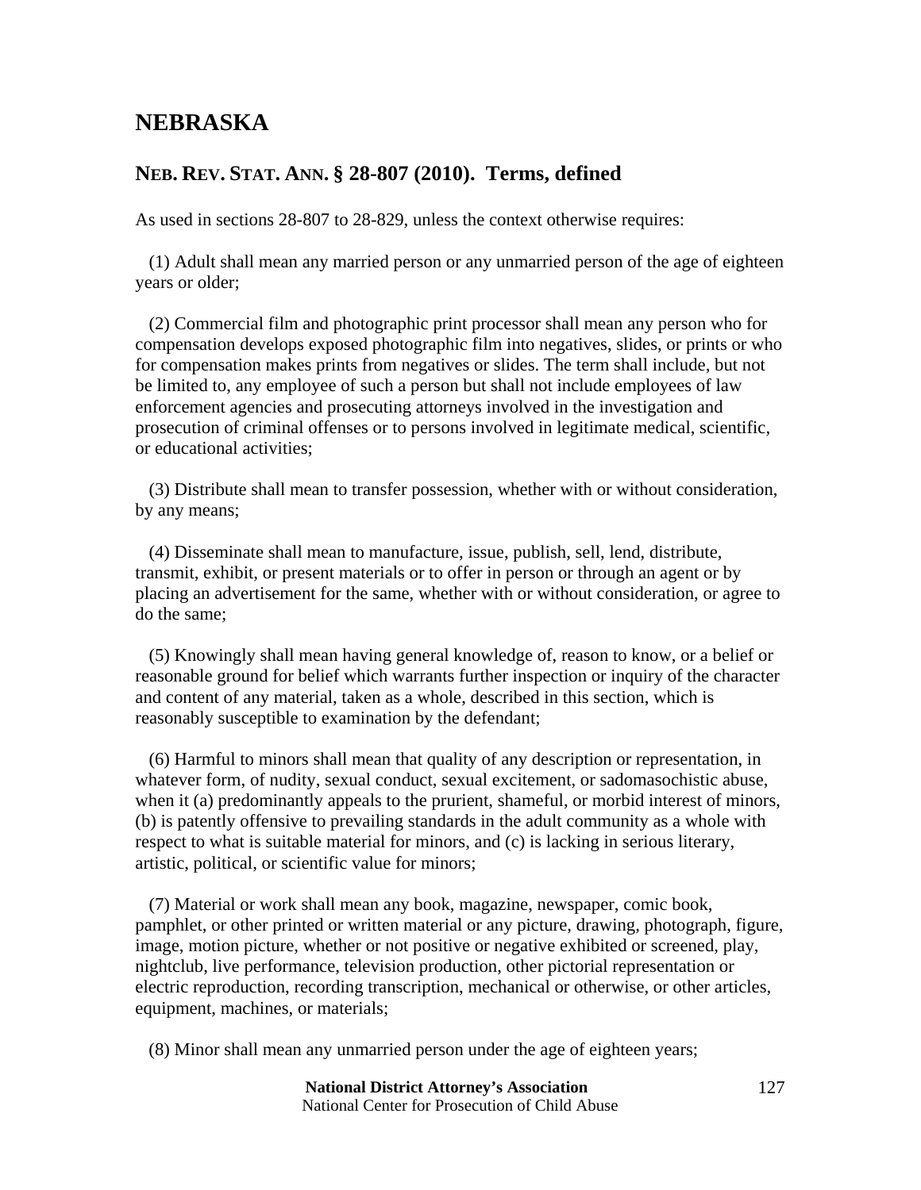## **NEBRASKA**

#### **NEB. REV. STAT. ANN. § 28-807 (2010). Terms, defined**

As used in sections 28-807 to 28-829, unless the context otherwise requires:

 (1) Adult shall mean any married person or any unmarried person of the age of eighteen years or older;

 (2) Commercial film and photographic print processor shall mean any person who for compensation develops exposed photographic film into negatives, slides, or prints or who for compensation makes prints from negatives or slides. The term shall include, but not be limited to, any employee of such a person but shall not include employees of law enforcement agencies and prosecuting attorneys involved in the investigation and prosecution of criminal offenses or to persons involved in legitimate medical, scientific, or educational activities;

 (3) Distribute shall mean to transfer possession, whether with or without consideration, by any means;

 (4) Disseminate shall mean to manufacture, issue, publish, sell, lend, distribute, transmit, exhibit, or present materials or to offer in person or through an agent or by placing an advertisement for the same, whether with or without consideration, or agree to do the same;

 (5) Knowingly shall mean having general knowledge of, reason to know, or a belief or reasonable ground for belief which warrants further inspection or inquiry of the character and content of any material, taken as a whole, described in this section, which is reasonably susceptible to examination by the defendant;

 (6) Harmful to minors shall mean that quality of any description or representation, in whatever form, of nudity, sexual conduct, sexual excitement, or sadomasochistic abuse, when it (a) predominantly appeals to the prurient, shameful, or morbid interest of minors, (b) is patently offensive to prevailing standards in the adult community as a whole with respect to what is suitable material for minors, and (c) is lacking in serious literary, artistic, political, or scientific value for minors;

 (7) Material or work shall mean any book, magazine, newspaper, comic book, pamphlet, or other printed or written material or any picture, drawing, photograph, figure, image, motion picture, whether or not positive or negative exhibited or screened, play, nightclub, live performance, television production, other pictorial representation or electric reproduction, recording transcription, mechanical or otherwise, or other articles, equipment, machines, or materials;

(8) Minor shall mean any unmarried person under the age of eighteen years;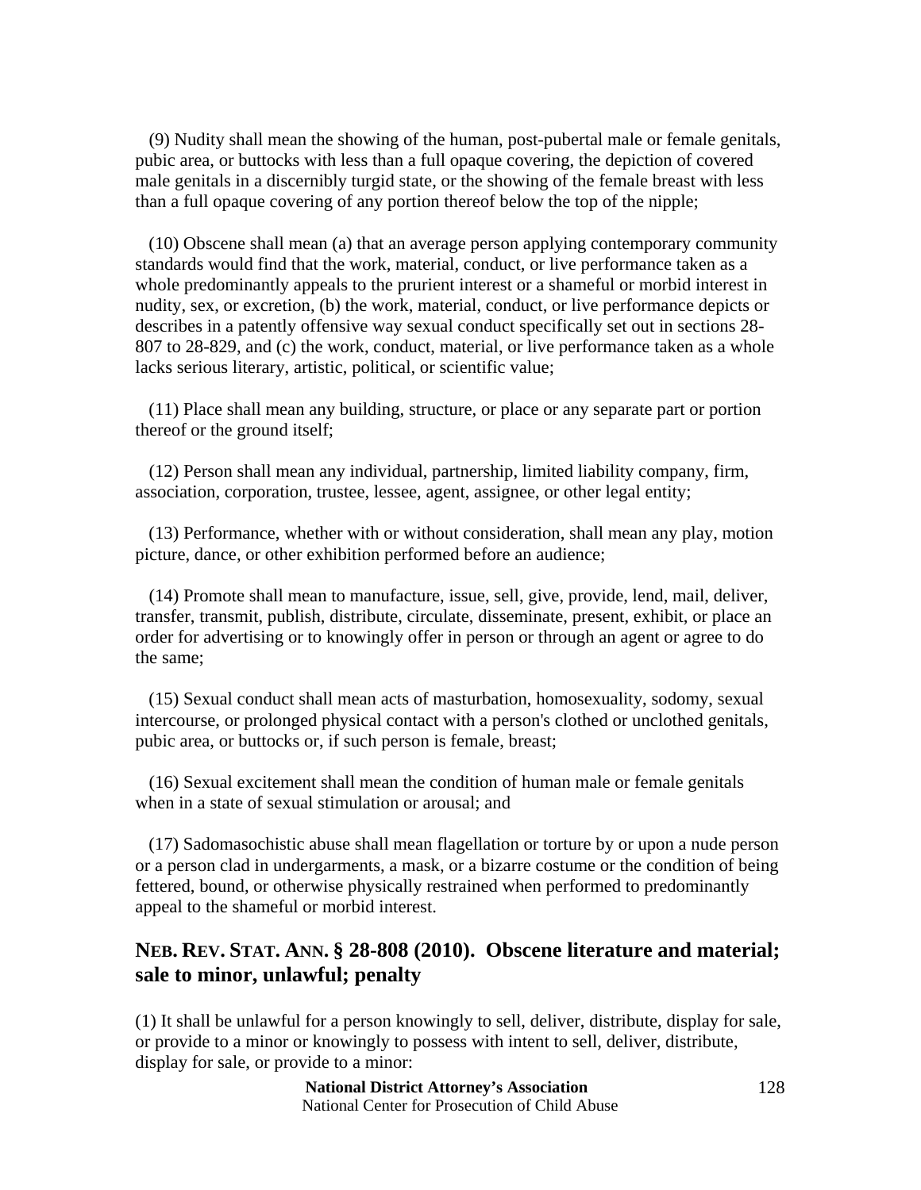(9) Nudity shall mean the showing of the human, post-pubertal male or female genitals, pubic area, or buttocks with less than a full opaque covering, the depiction of covered male genitals in a discernibly turgid state, or the showing of the female breast with less than a full opaque covering of any portion thereof below the top of the nipple;

 (10) Obscene shall mean (a) that an average person applying contemporary community standards would find that the work, material, conduct, or live performance taken as a whole predominantly appeals to the prurient interest or a shameful or morbid interest in nudity, sex, or excretion, (b) the work, material, conduct, or live performance depicts or describes in a patently offensive way sexual conduct specifically set out in sections 28- 807 to 28-829, and (c) the work, conduct, material, or live performance taken as a whole lacks serious literary, artistic, political, or scientific value;

 (11) Place shall mean any building, structure, or place or any separate part or portion thereof or the ground itself;

 (12) Person shall mean any individual, partnership, limited liability company, firm, association, corporation, trustee, lessee, agent, assignee, or other legal entity;

 (13) Performance, whether with or without consideration, shall mean any play, motion picture, dance, or other exhibition performed before an audience;

 (14) Promote shall mean to manufacture, issue, sell, give, provide, lend, mail, deliver, transfer, transmit, publish, distribute, circulate, disseminate, present, exhibit, or place an order for advertising or to knowingly offer in person or through an agent or agree to do the same;

 (15) Sexual conduct shall mean acts of masturbation, homosexuality, sodomy, sexual intercourse, or prolonged physical contact with a person's clothed or unclothed genitals, pubic area, or buttocks or, if such person is female, breast;

 (16) Sexual excitement shall mean the condition of human male or female genitals when in a state of sexual stimulation or arousal; and

 (17) Sadomasochistic abuse shall mean flagellation or torture by or upon a nude person or a person clad in undergarments, a mask, or a bizarre costume or the condition of being fettered, bound, or otherwise physically restrained when performed to predominantly appeal to the shameful or morbid interest.

#### **NEB. REV. STAT. ANN. § 28-808 (2010). Obscene literature and material; sale to minor, unlawful; penalty**

(1) It shall be unlawful for a person knowingly to sell, deliver, distribute, display for sale, or provide to a minor or knowingly to possess with intent to sell, deliver, distribute, display for sale, or provide to a minor: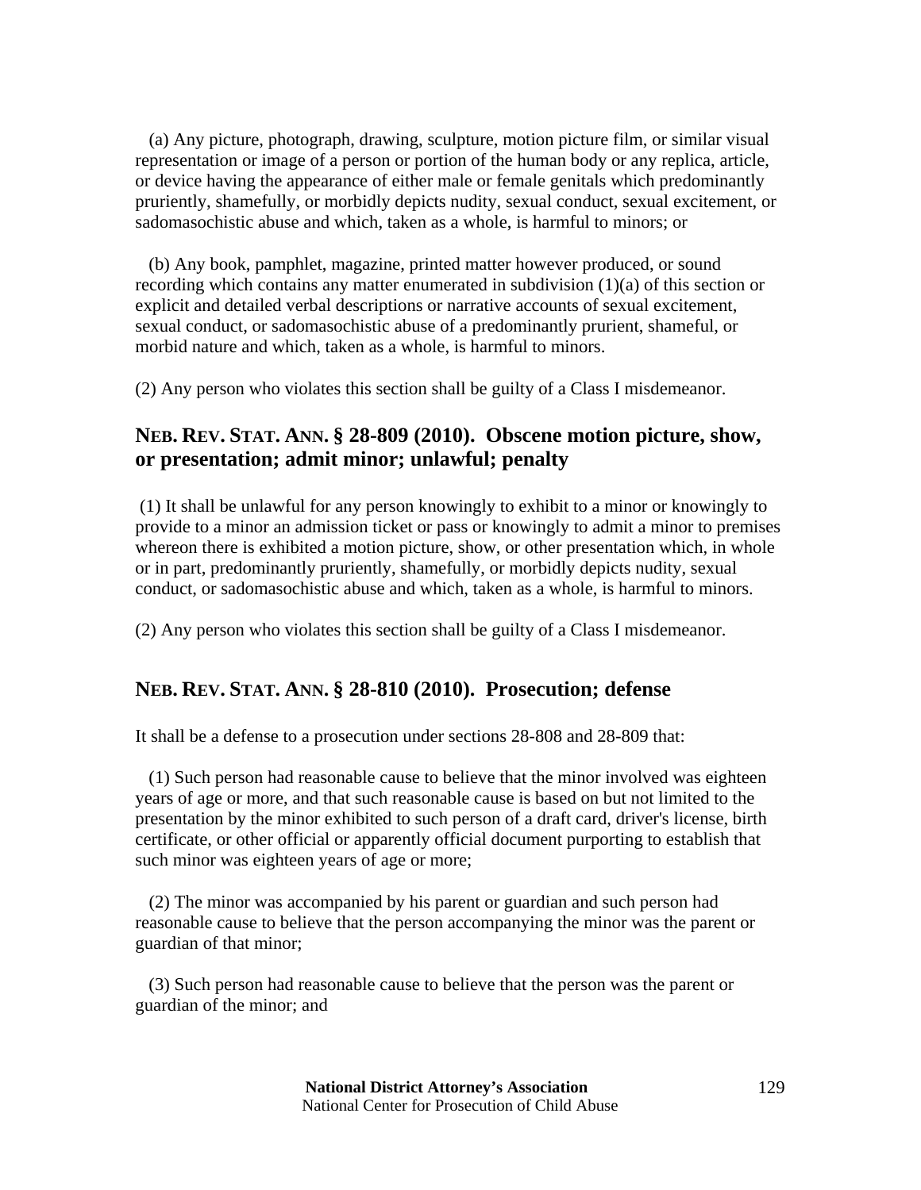(a) Any picture, photograph, drawing, sculpture, motion picture film, or similar visual representation or image of a person or portion of the human body or any replica, article, or device having the appearance of either male or female genitals which predominantly pruriently, shamefully, or morbidly depicts nudity, sexual conduct, sexual excitement, or sadomasochistic abuse and which, taken as a whole, is harmful to minors; or

 (b) Any book, pamphlet, magazine, printed matter however produced, or sound recording which contains any matter enumerated in subdivision (1)(a) of this section or explicit and detailed verbal descriptions or narrative accounts of sexual excitement, sexual conduct, or sadomasochistic abuse of a predominantly prurient, shameful, or morbid nature and which, taken as a whole, is harmful to minors.

(2) Any person who violates this section shall be guilty of a Class I misdemeanor.

## **NEB. REV. STAT. ANN. § 28-809 (2010). Obscene motion picture, show, or presentation; admit minor; unlawful; penalty**

 (1) It shall be unlawful for any person knowingly to exhibit to a minor or knowingly to provide to a minor an admission ticket or pass or knowingly to admit a minor to premises whereon there is exhibited a motion picture, show, or other presentation which, in whole or in part, predominantly pruriently, shamefully, or morbidly depicts nudity, sexual conduct, or sadomasochistic abuse and which, taken as a whole, is harmful to minors.

(2) Any person who violates this section shall be guilty of a Class I misdemeanor.

#### **NEB. REV. STAT. ANN. § 28-810 (2010). Prosecution; defense**

It shall be a defense to a prosecution under sections 28-808 and 28-809 that:

 (1) Such person had reasonable cause to believe that the minor involved was eighteen years of age or more, and that such reasonable cause is based on but not limited to the presentation by the minor exhibited to such person of a draft card, driver's license, birth certificate, or other official or apparently official document purporting to establish that such minor was eighteen years of age or more;

 (2) The minor was accompanied by his parent or guardian and such person had reasonable cause to believe that the person accompanying the minor was the parent or guardian of that minor;

 (3) Such person had reasonable cause to believe that the person was the parent or guardian of the minor; and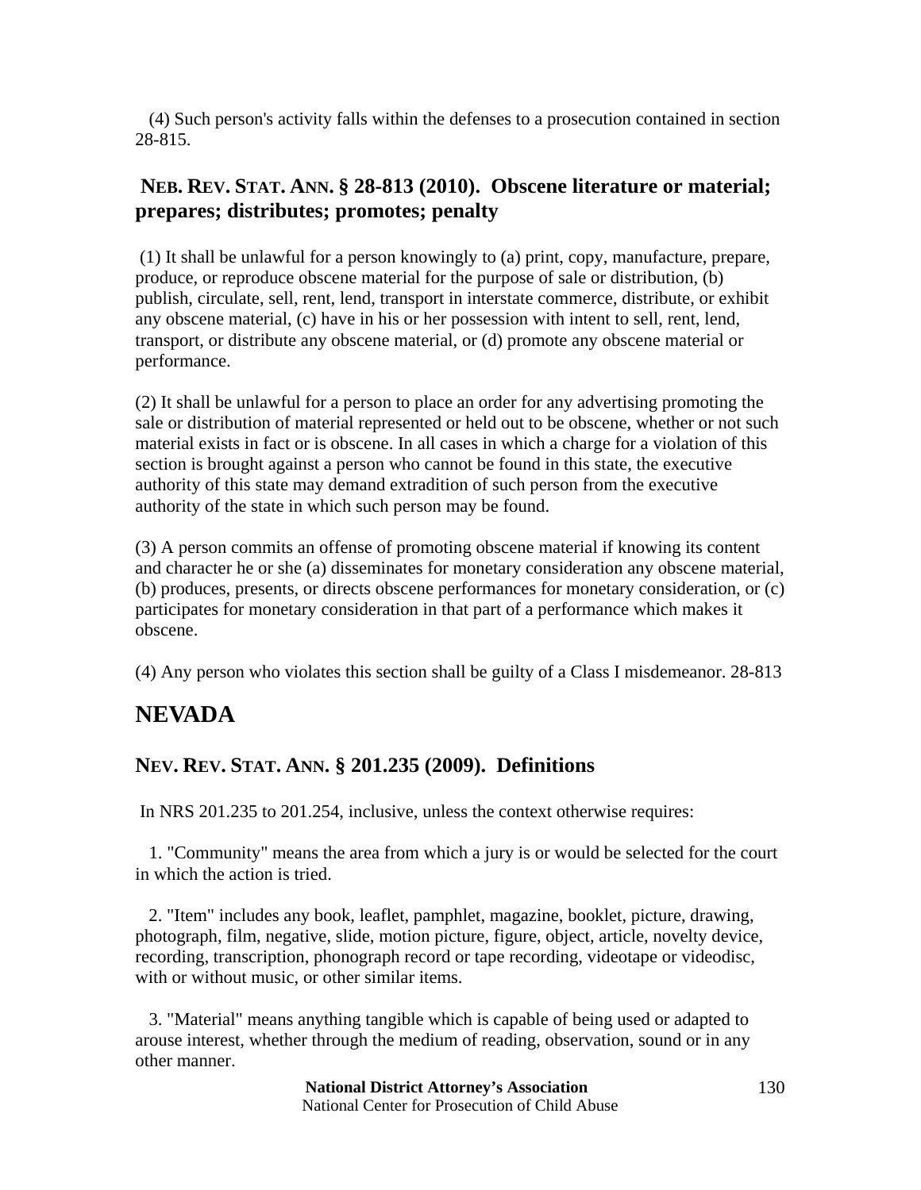(4) Such person's activity falls within the defenses to a prosecution contained in section 28-815.

## **NEB. REV. STAT. ANN. § 28-813 (2010). Obscene literature or material; prepares; distributes; promotes; penalty**

 (1) It shall be unlawful for a person knowingly to (a) print, copy, manufacture, prepare, produce, or reproduce obscene material for the purpose of sale or distribution, (b) publish, circulate, sell, rent, lend, transport in interstate commerce, distribute, or exhibit any obscene material, (c) have in his or her possession with intent to sell, rent, lend, transport, or distribute any obscene material, or (d) promote any obscene material or performance.

(2) It shall be unlawful for a person to place an order for any advertising promoting the sale or distribution of material represented or held out to be obscene, whether or not such material exists in fact or is obscene. In all cases in which a charge for a violation of this section is brought against a person who cannot be found in this state, the executive authority of this state may demand extradition of such person from the executive authority of the state in which such person may be found.

(3) A person commits an offense of promoting obscene material if knowing its content and character he or she (a) disseminates for monetary consideration any obscene material, (b) produces, presents, or directs obscene performances for monetary consideration, or (c) participates for monetary consideration in that part of a performance which makes it obscene.

(4) Any person who violates this section shall be guilty of a Class I misdemeanor. 28-813

## **NEVADA**

## **NEV. REV. STAT. ANN. § 201.235 (2009). Definitions**

In NRS 201.235 to 201.254, inclusive, unless the context otherwise requires:

 1. "Community" means the area from which a jury is or would be selected for the court in which the action is tried.

 2. "Item" includes any book, leaflet, pamphlet, magazine, booklet, picture, drawing, photograph, film, negative, slide, motion picture, figure, object, article, novelty device, recording, transcription, phonograph record or tape recording, videotape or videodisc, with or without music, or other similar items.

 3. "Material" means anything tangible which is capable of being used or adapted to arouse interest, whether through the medium of reading, observation, sound or in any other manner.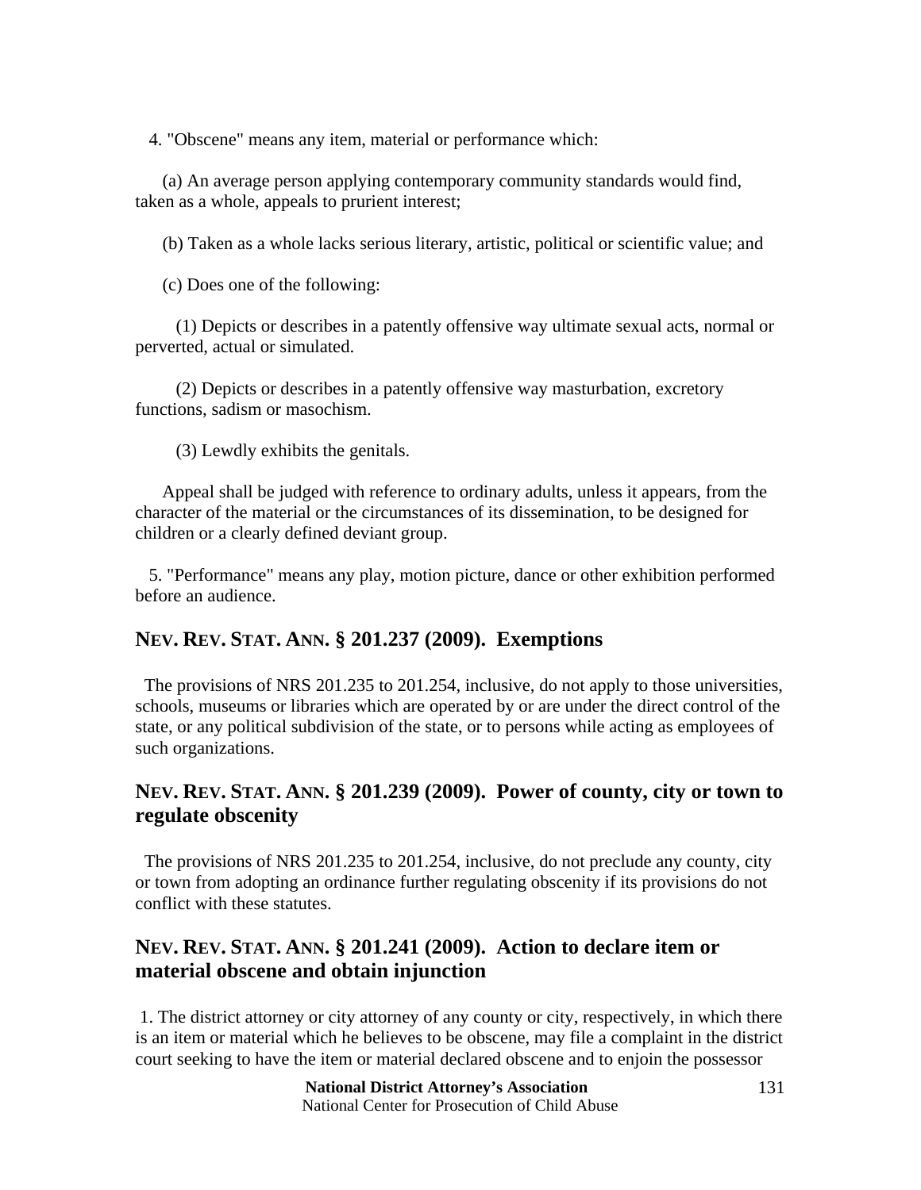4. "Obscene" means any item, material or performance which:

 (a) An average person applying contemporary community standards would find, taken as a whole, appeals to prurient interest;

(b) Taken as a whole lacks serious literary, artistic, political or scientific value; and

(c) Does one of the following:

 (1) Depicts or describes in a patently offensive way ultimate sexual acts, normal or perverted, actual or simulated.

 (2) Depicts or describes in a patently offensive way masturbation, excretory functions, sadism or masochism.

(3) Lewdly exhibits the genitals.

 Appeal shall be judged with reference to ordinary adults, unless it appears, from the character of the material or the circumstances of its dissemination, to be designed for children or a clearly defined deviant group.

 5. "Performance" means any play, motion picture, dance or other exhibition performed before an audience.

#### **NEV. REV. STAT. ANN. § 201.237 (2009). Exemptions**

 The provisions of NRS 201.235 to 201.254, inclusive, do not apply to those universities, schools, museums or libraries which are operated by or are under the direct control of the state, or any political subdivision of the state, or to persons while acting as employees of such organizations.

#### **NEV. REV. STAT. ANN. § 201.239 (2009). Power of county, city or town to regulate obscenity**

 The provisions of NRS 201.235 to 201.254, inclusive, do not preclude any county, city or town from adopting an ordinance further regulating obscenity if its provisions do not conflict with these statutes.

## **NEV. REV. STAT. ANN. § 201.241 (2009). Action to declare item or material obscene and obtain injunction**

 1. The district attorney or city attorney of any county or city, respectively, in which there is an item or material which he believes to be obscene, may file a complaint in the district court seeking to have the item or material declared obscene and to enjoin the possessor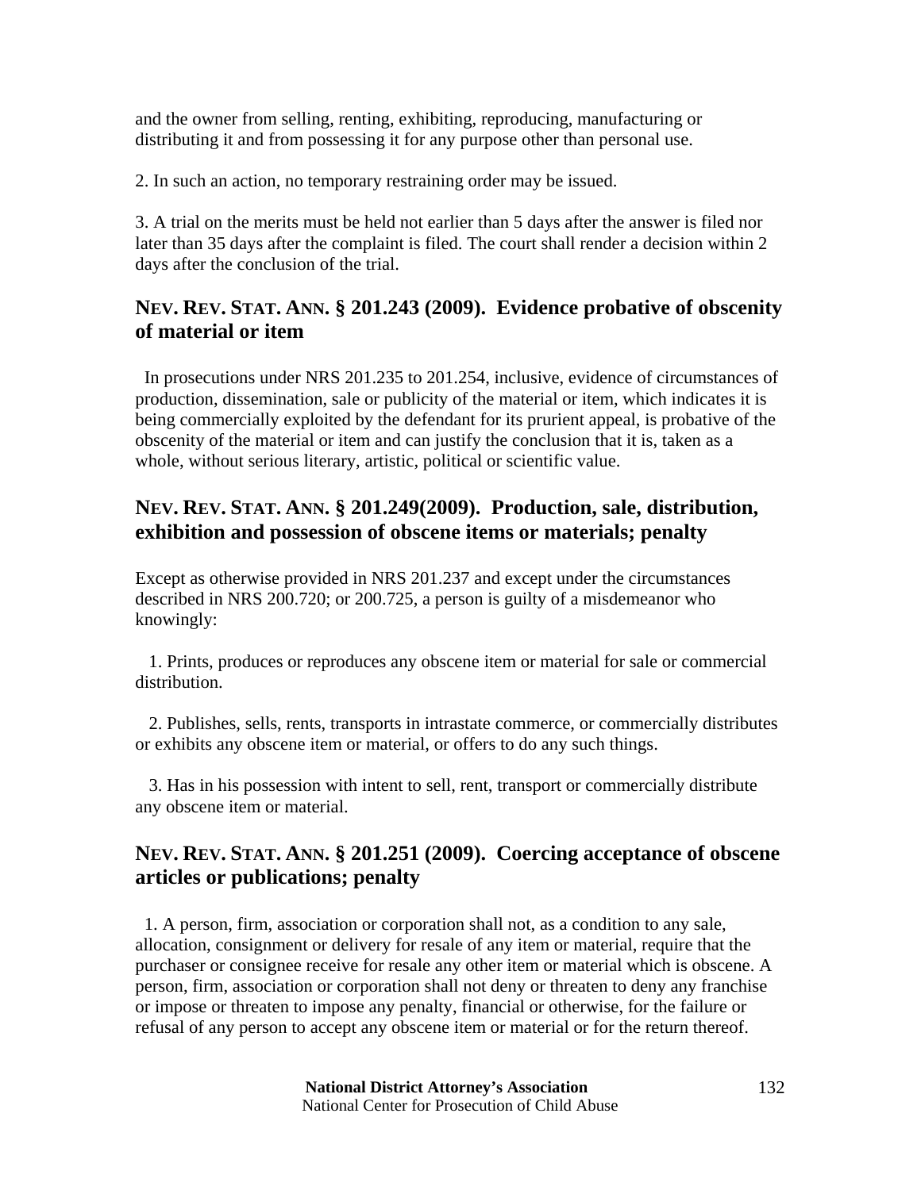and the owner from selling, renting, exhibiting, reproducing, manufacturing or distributing it and from possessing it for any purpose other than personal use.

2. In such an action, no temporary restraining order may be issued.

3. A trial on the merits must be held not earlier than 5 days after the answer is filed nor later than 35 days after the complaint is filed. The court shall render a decision within 2 days after the conclusion of the trial.

## **NEV. REV. STAT. ANN. § 201.243 (2009). Evidence probative of obscenity of material or item**

 In prosecutions under NRS 201.235 to 201.254, inclusive, evidence of circumstances of production, dissemination, sale or publicity of the material or item, which indicates it is being commercially exploited by the defendant for its prurient appeal, is probative of the obscenity of the material or item and can justify the conclusion that it is, taken as a whole, without serious literary, artistic, political or scientific value.

## **NEV. REV. STAT. ANN. § 201.249(2009). Production, sale, distribution, exhibition and possession of obscene items or materials; penalty**

Except as otherwise provided in NRS 201.237 and except under the circumstances described in NRS 200.720; or 200.725, a person is guilty of a misdemeanor who knowingly:

 1. Prints, produces or reproduces any obscene item or material for sale or commercial distribution.

 2. Publishes, sells, rents, transports in intrastate commerce, or commercially distributes or exhibits any obscene item or material, or offers to do any such things.

 3. Has in his possession with intent to sell, rent, transport or commercially distribute any obscene item or material.

## **NEV. REV. STAT. ANN. § 201.251 (2009). Coercing acceptance of obscene articles or publications; penalty**

 1. A person, firm, association or corporation shall not, as a condition to any sale, allocation, consignment or delivery for resale of any item or material, require that the purchaser or consignee receive for resale any other item or material which is obscene. A person, firm, association or corporation shall not deny or threaten to deny any franchise or impose or threaten to impose any penalty, financial or otherwise, for the failure or refusal of any person to accept any obscene item or material or for the return thereof.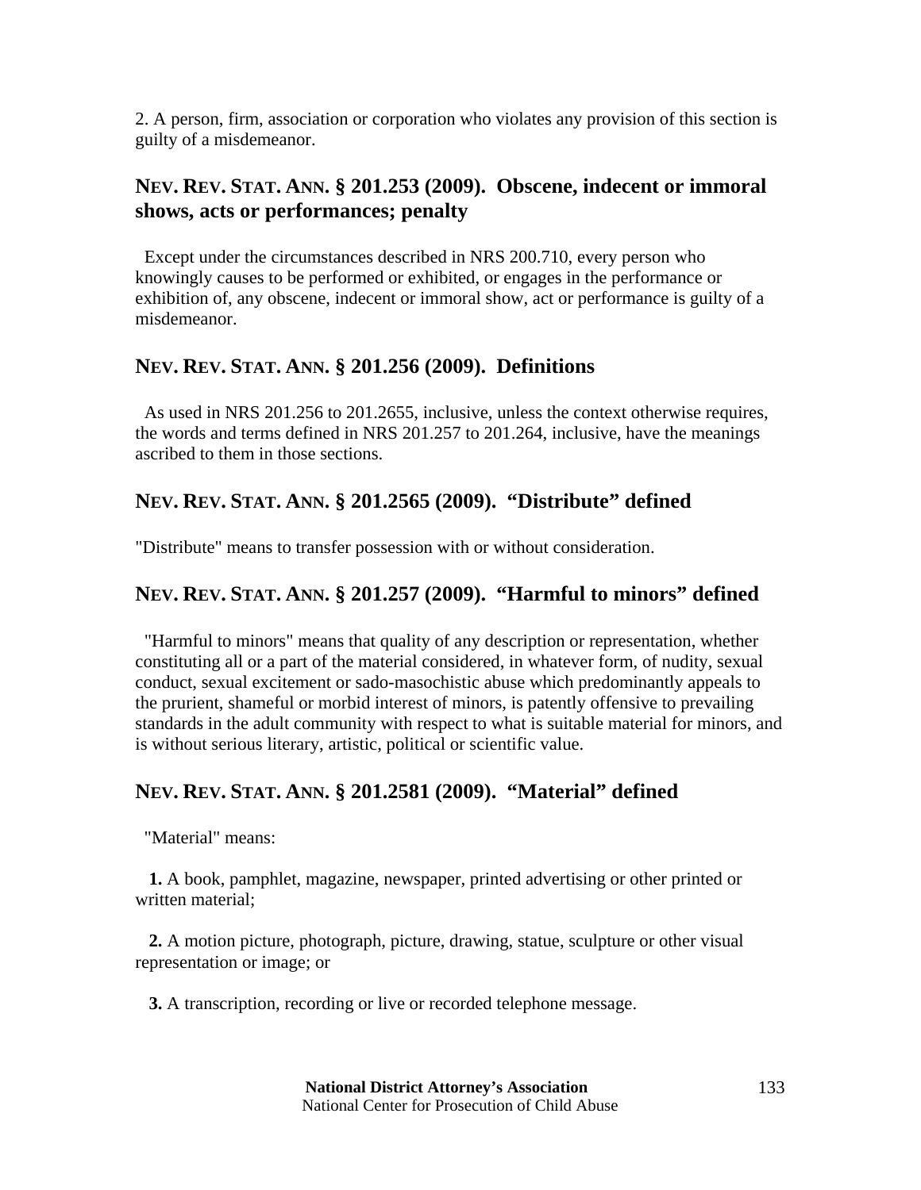2. A person, firm, association or corporation who violates any provision of this section is guilty of a misdemeanor.

#### **NEV. REV. STAT. ANN. § 201.253 (2009). Obscene, indecent or immoral shows, acts or performances; penalty**

 Except under the circumstances described in NRS 200.710, every person who knowingly causes to be performed or exhibited, or engages in the performance or exhibition of, any obscene, indecent or immoral show, act or performance is guilty of a misdemeanor.

#### **NEV. REV. STAT. ANN. § 201.256 (2009). Definitions**

 As used in NRS 201.256 to 201.2655, inclusive, unless the context otherwise requires, the words and terms defined in NRS 201.257 to 201.264, inclusive, have the meanings ascribed to them in those sections.

#### **NEV. REV. STAT. ANN. § 201.2565 (2009). "Distribute" defined**

"Distribute" means to transfer possession with or without consideration.

#### **NEV. REV. STAT. ANN. § 201.257 (2009). "Harmful to minors" defined**

 "Harmful to minors" means that quality of any description or representation, whether constituting all or a part of the material considered, in whatever form, of nudity, sexual conduct, sexual excitement or sado-masochistic abuse which predominantly appeals to the prurient, shameful or morbid interest of minors, is patently offensive to prevailing standards in the adult community with respect to what is suitable material for minors, and is without serious literary, artistic, political or scientific value.

## **NEV. REV. STAT. ANN. § 201.2581 (2009). "Material" defined**

"Material" means:

 **1.** A book, pamphlet, magazine, newspaper, printed advertising or other printed or written material;

 **2.** A motion picture, photograph, picture, drawing, statue, sculpture or other visual representation or image; or

**3.** A transcription, recording or live or recorded telephone message.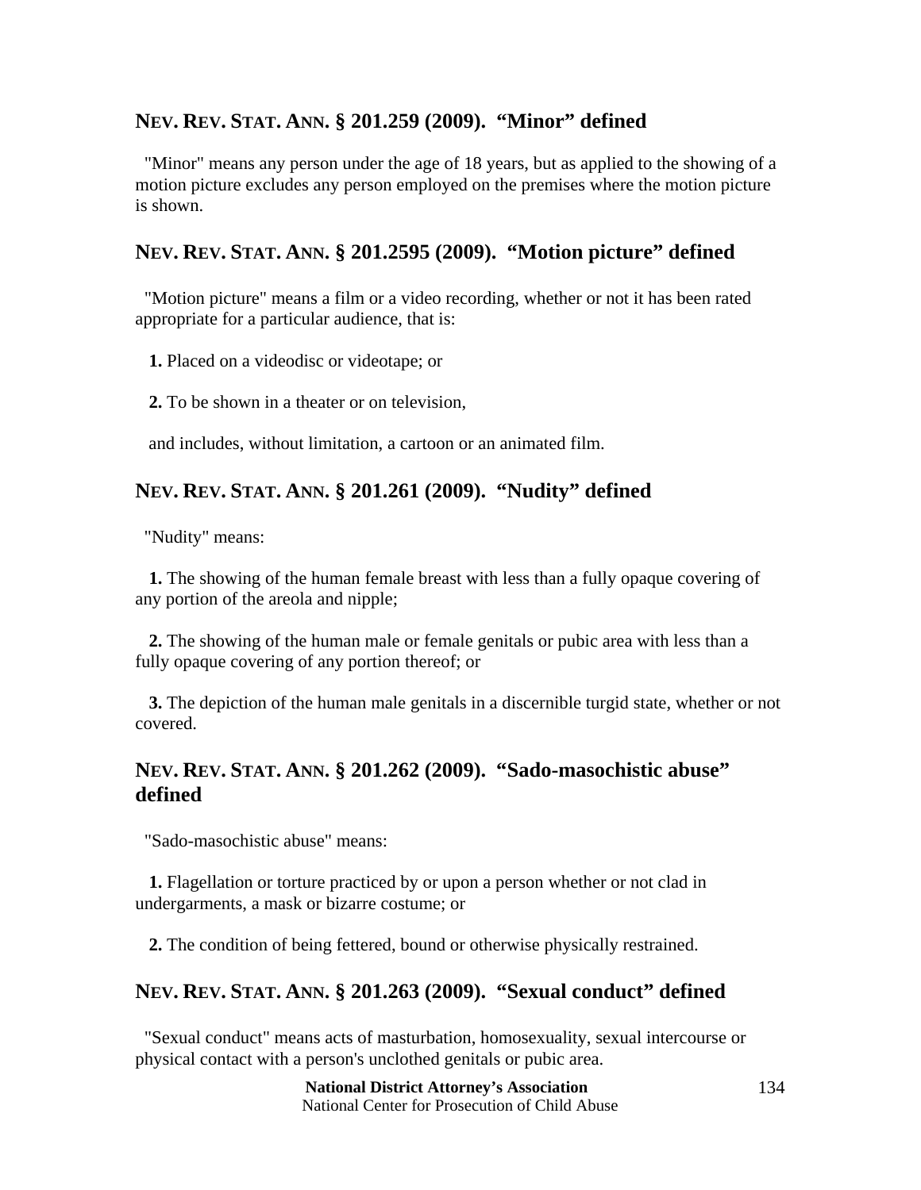#### **NEV. REV. STAT. ANN. § 201.259 (2009). "Minor" defined**

 "Minor" means any person under the age of 18 years, but as applied to the showing of a motion picture excludes any person employed on the premises where the motion picture is shown.

#### **NEV. REV. STAT. ANN. § 201.2595 (2009). "Motion picture" defined**

 "Motion picture" means a film or a video recording, whether or not it has been rated appropriate for a particular audience, that is:

**1.** Placed on a videodisc or videotape; or

**2.** To be shown in a theater or on television,

and includes, without limitation, a cartoon or an animated film.

## **NEV. REV. STAT. ANN. § 201.261 (2009). "Nudity" defined**

"Nudity" means:

 **1.** The showing of the human female breast with less than a fully opaque covering of any portion of the areola and nipple;

 **2.** The showing of the human male or female genitals or pubic area with less than a fully opaque covering of any portion thereof; or

 **3.** The depiction of the human male genitals in a discernible turgid state, whether or not covered.

#### **NEV. REV. STAT. ANN. § 201.262 (2009). "Sado-masochistic abuse" defined**

"Sado-masochistic abuse" means:

 **1.** Flagellation or torture practiced by or upon a person whether or not clad in undergarments, a mask or bizarre costume; or

**2.** The condition of being fettered, bound or otherwise physically restrained.

## **NEV. REV. STAT. ANN. § 201.263 (2009). "Sexual conduct" defined**

 "Sexual conduct" means acts of masturbation, homosexuality, sexual intercourse or physical contact with a person's unclothed genitals or pubic area.

> **National District Attorney's Association**  National Center for Prosecution of Child Abuse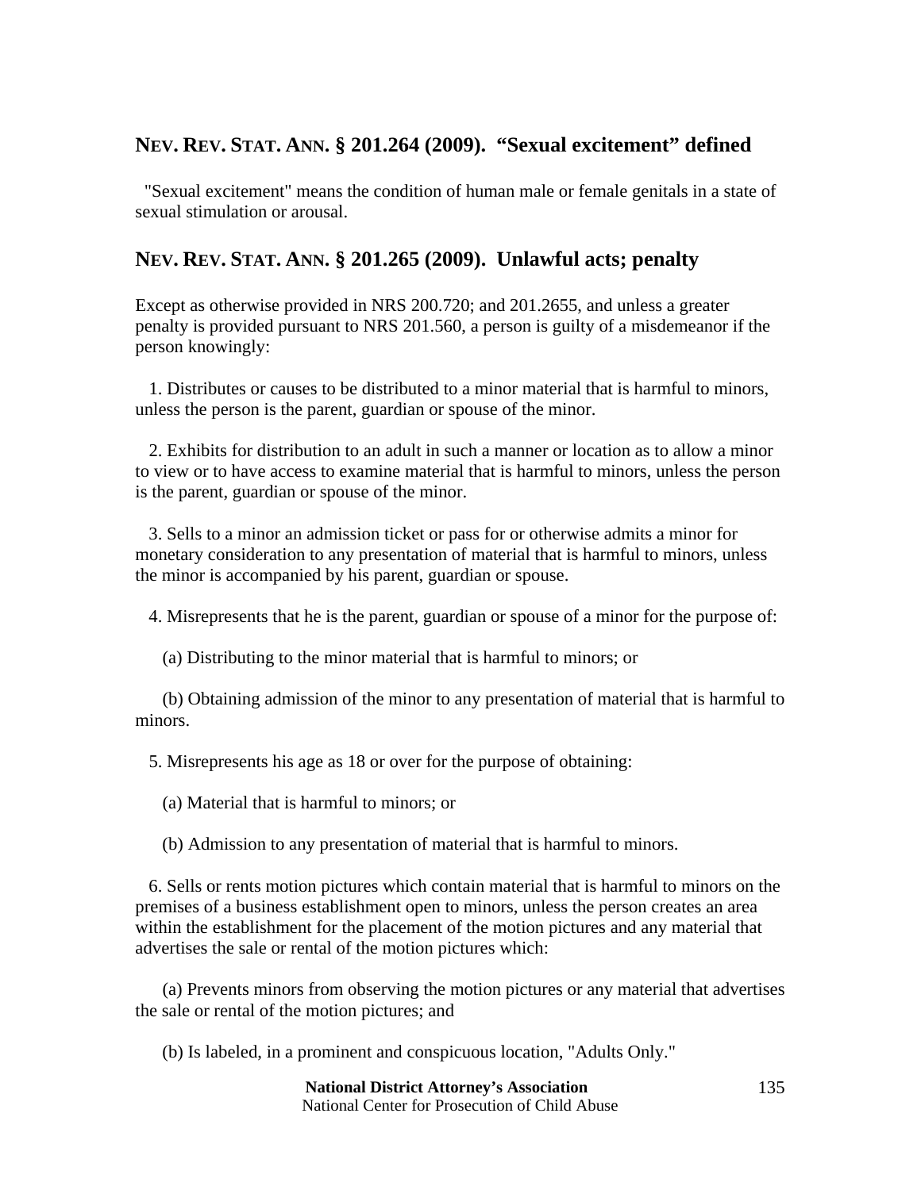#### **NEV. REV. STAT. ANN. § 201.264 (2009). "Sexual excitement" defined**

 "Sexual excitement" means the condition of human male or female genitals in a state of sexual stimulation or arousal.

## **NEV. REV. STAT. ANN. § 201.265 (2009). Unlawful acts; penalty**

Except as otherwise provided in NRS 200.720; and 201.2655, and unless a greater penalty is provided pursuant to NRS 201.560, a person is guilty of a misdemeanor if the person knowingly:

 1. Distributes or causes to be distributed to a minor material that is harmful to minors, unless the person is the parent, guardian or spouse of the minor.

 2. Exhibits for distribution to an adult in such a manner or location as to allow a minor to view or to have access to examine material that is harmful to minors, unless the person is the parent, guardian or spouse of the minor.

 3. Sells to a minor an admission ticket or pass for or otherwise admits a minor for monetary consideration to any presentation of material that is harmful to minors, unless the minor is accompanied by his parent, guardian or spouse.

4. Misrepresents that he is the parent, guardian or spouse of a minor for the purpose of:

(a) Distributing to the minor material that is harmful to minors; or

 (b) Obtaining admission of the minor to any presentation of material that is harmful to minors.

5. Misrepresents his age as 18 or over for the purpose of obtaining:

(a) Material that is harmful to minors; or

(b) Admission to any presentation of material that is harmful to minors.

 6. Sells or rents motion pictures which contain material that is harmful to minors on the premises of a business establishment open to minors, unless the person creates an area within the establishment for the placement of the motion pictures and any material that advertises the sale or rental of the motion pictures which:

 (a) Prevents minors from observing the motion pictures or any material that advertises the sale or rental of the motion pictures; and

(b) Is labeled, in a prominent and conspicuous location, "Adults Only."

**National District Attorney's Association**  National Center for Prosecution of Child Abuse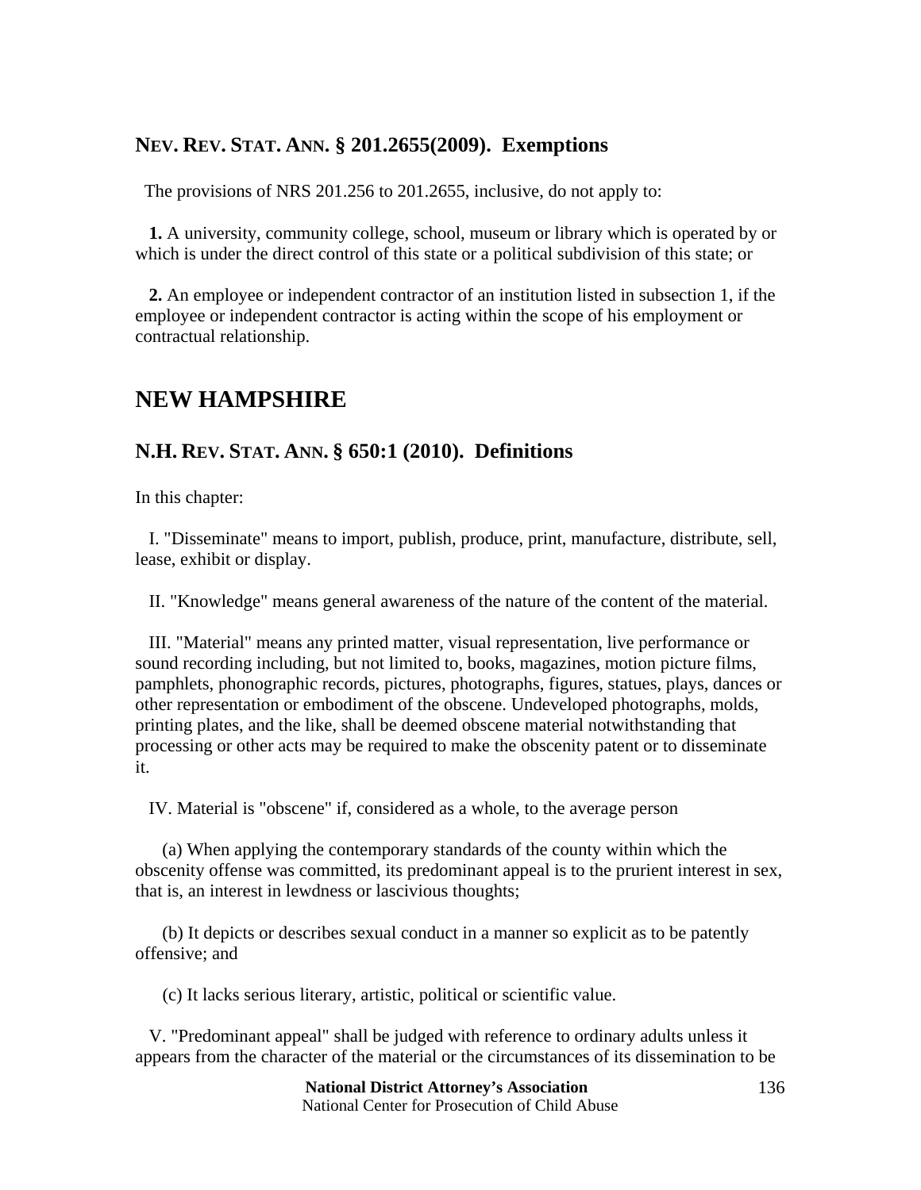#### **NEV. REV. STAT. ANN. § 201.2655(2009). Exemptions**

The provisions of NRS 201.256 to 201.2655, inclusive, do not apply to:

 **1.** A university, community college, school, museum or library which is operated by or which is under the direct control of this state or a political subdivision of this state; or

 **2.** An employee or independent contractor of an institution listed in subsection 1, if the employee or independent contractor is acting within the scope of his employment or contractual relationship.

## **NEW HAMPSHIRE**

#### **N.H. REV. STAT. ANN. § 650:1 (2010). Definitions**

In this chapter:

 I. "Disseminate" means to import, publish, produce, print, manufacture, distribute, sell, lease, exhibit or display.

II. "Knowledge" means general awareness of the nature of the content of the material.

 III. "Material" means any printed matter, visual representation, live performance or sound recording including, but not limited to, books, magazines, motion picture films, pamphlets, phonographic records, pictures, photographs, figures, statues, plays, dances or other representation or embodiment of the obscene. Undeveloped photographs, molds, printing plates, and the like, shall be deemed obscene material notwithstanding that processing or other acts may be required to make the obscenity patent or to disseminate it.

IV. Material is "obscene" if, considered as a whole, to the average person

 (a) When applying the contemporary standards of the county within which the obscenity offense was committed, its predominant appeal is to the prurient interest in sex, that is, an interest in lewdness or lascivious thoughts;

 (b) It depicts or describes sexual conduct in a manner so explicit as to be patently offensive; and

(c) It lacks serious literary, artistic, political or scientific value.

 V. "Predominant appeal" shall be judged with reference to ordinary adults unless it appears from the character of the material or the circumstances of its dissemination to be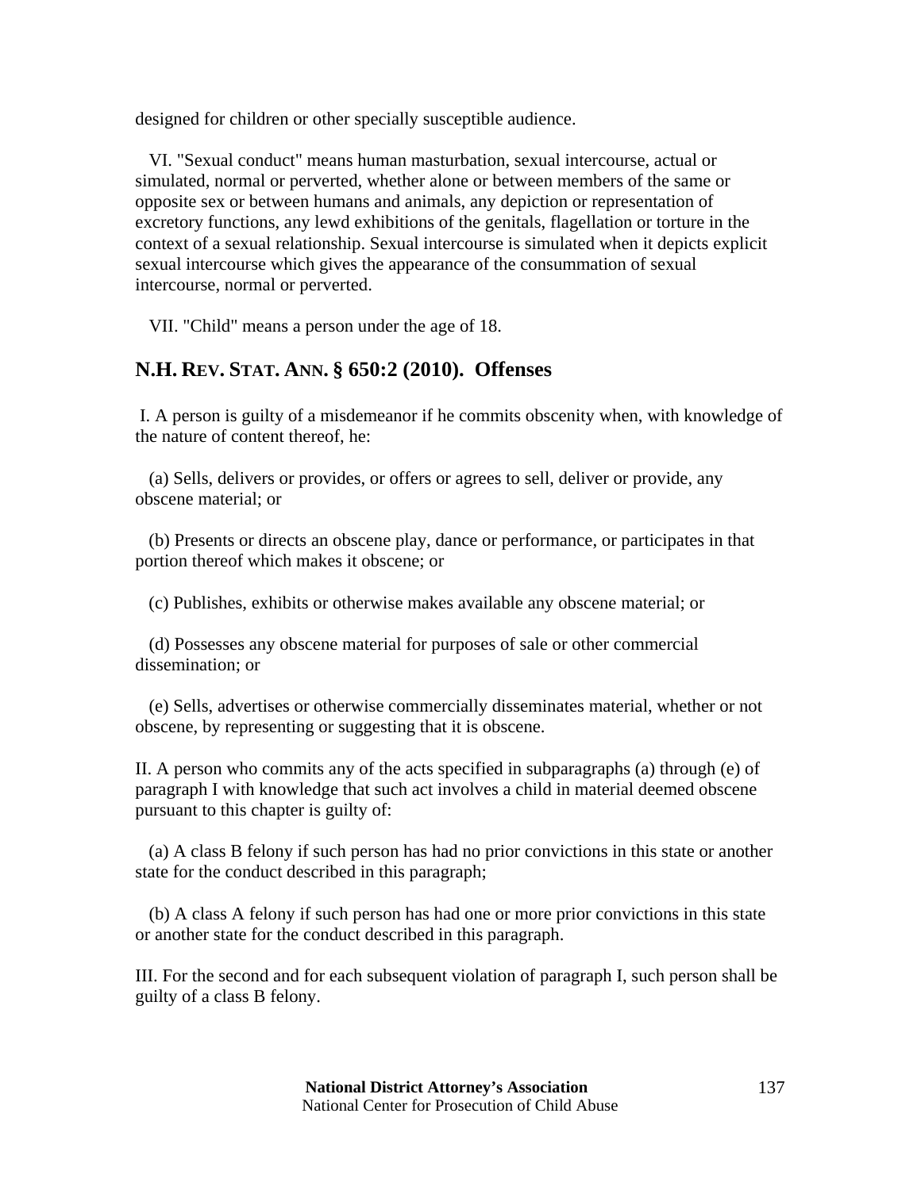designed for children or other specially susceptible audience.

 VI. "Sexual conduct" means human masturbation, sexual intercourse, actual or simulated, normal or perverted, whether alone or between members of the same or opposite sex or between humans and animals, any depiction or representation of excretory functions, any lewd exhibitions of the genitals, flagellation or torture in the context of a sexual relationship. Sexual intercourse is simulated when it depicts explicit sexual intercourse which gives the appearance of the consummation of sexual intercourse, normal or perverted.

VII. "Child" means a person under the age of 18.

## **N.H. REV. STAT. ANN. § 650:2 (2010). Offenses**

 I. A person is guilty of a misdemeanor if he commits obscenity when, with knowledge of the nature of content thereof, he:

 (a) Sells, delivers or provides, or offers or agrees to sell, deliver or provide, any obscene material; or

 (b) Presents or directs an obscene play, dance or performance, or participates in that portion thereof which makes it obscene; or

(c) Publishes, exhibits or otherwise makes available any obscene material; or

 (d) Possesses any obscene material for purposes of sale or other commercial dissemination; or

 (e) Sells, advertises or otherwise commercially disseminates material, whether or not obscene, by representing or suggesting that it is obscene.

II. A person who commits any of the acts specified in subparagraphs (a) through (e) of paragraph I with knowledge that such act involves a child in material deemed obscene pursuant to this chapter is guilty of:

 (a) A class B felony if such person has had no prior convictions in this state or another state for the conduct described in this paragraph;

 (b) A class A felony if such person has had one or more prior convictions in this state or another state for the conduct described in this paragraph.

III. For the second and for each subsequent violation of paragraph I, such person shall be guilty of a class B felony.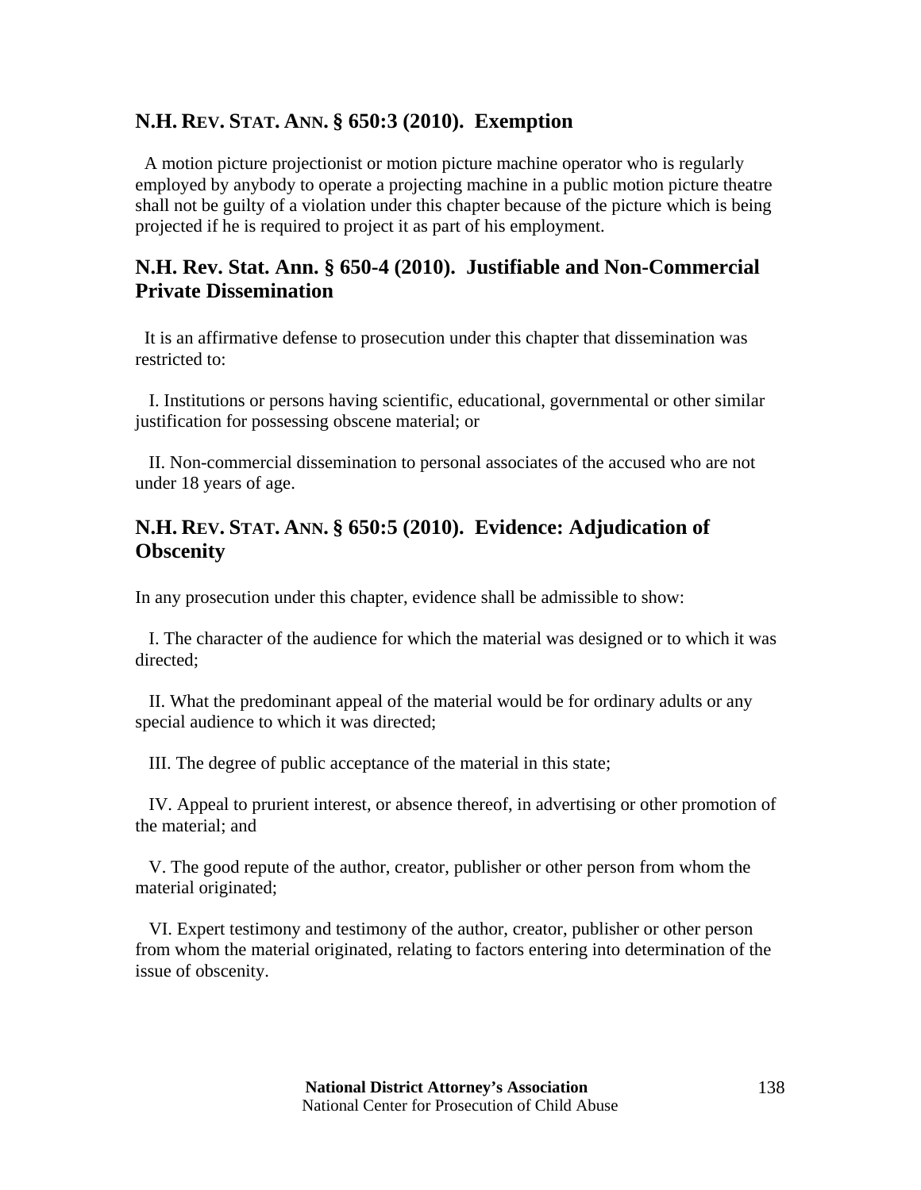#### **N.H. REV. STAT. ANN. § 650:3 (2010). Exemption**

 A motion picture projectionist or motion picture machine operator who is regularly employed by anybody to operate a projecting machine in a public motion picture theatre shall not be guilty of a violation under this chapter because of the picture which is being projected if he is required to project it as part of his employment.

#### **N.H. Rev. Stat. Ann. § 650-4 (2010). Justifiable and Non-Commercial Private Dissemination**

 It is an affirmative defense to prosecution under this chapter that dissemination was restricted to:

 I. Institutions or persons having scientific, educational, governmental or other similar justification for possessing obscene material; or

 II. Non-commercial dissemination to personal associates of the accused who are not under 18 years of age.

#### **N.H. REV. STAT. ANN. § 650:5 (2010). Evidence: Adjudication of Obscenity**

In any prosecution under this chapter, evidence shall be admissible to show:

 I. The character of the audience for which the material was designed or to which it was directed;

 II. What the predominant appeal of the material would be for ordinary adults or any special audience to which it was directed;

III. The degree of public acceptance of the material in this state;

 IV. Appeal to prurient interest, or absence thereof, in advertising or other promotion of the material; and

 V. The good repute of the author, creator, publisher or other person from whom the material originated;

 VI. Expert testimony and testimony of the author, creator, publisher or other person from whom the material originated, relating to factors entering into determination of the issue of obscenity.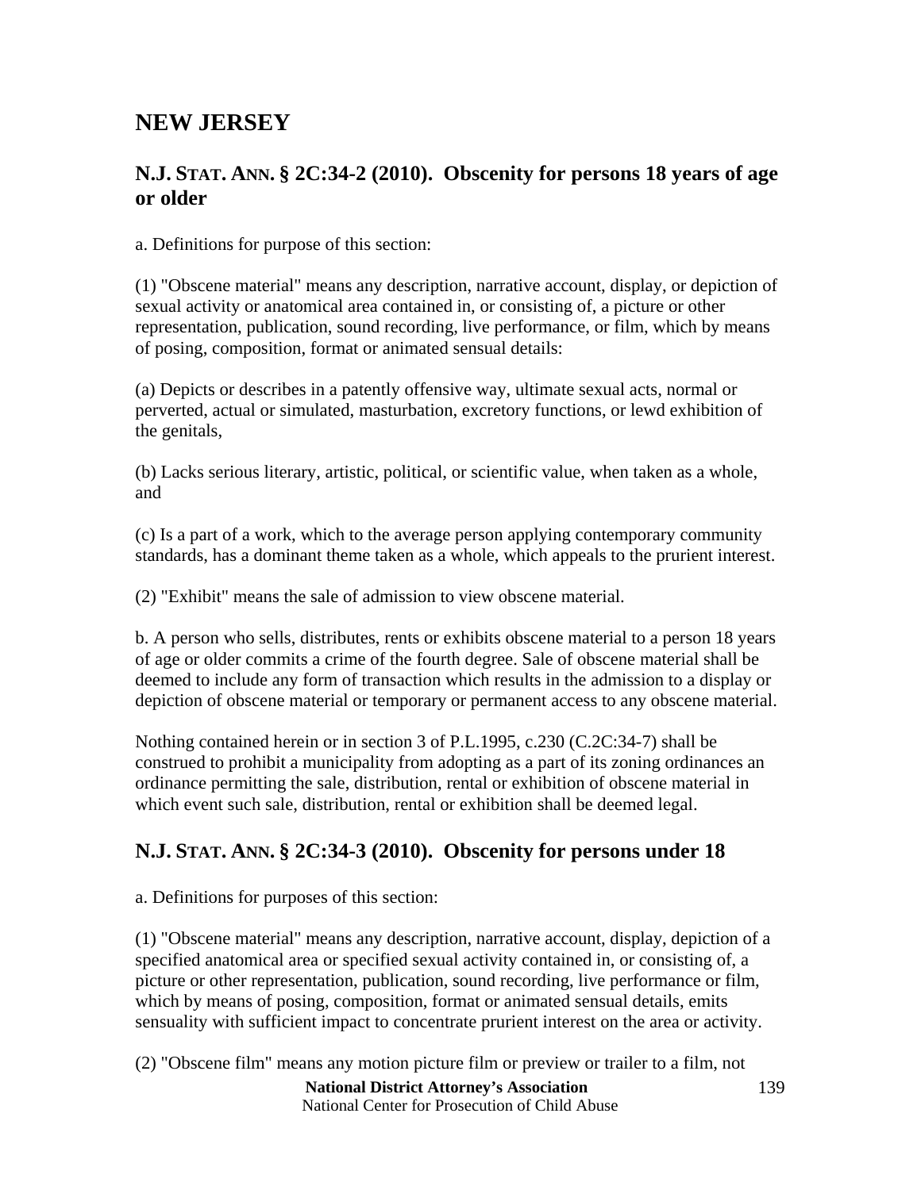# **NEW JERSEY**

## **N.J. STAT. ANN. § 2C:34-2 (2010). Obscenity for persons 18 years of age or older**

a. Definitions for purpose of this section:

(1) "Obscene material" means any description, narrative account, display, or depiction of sexual activity or anatomical area contained in, or consisting of, a picture or other representation, publication, sound recording, live performance, or film, which by means of posing, composition, format or animated sensual details:

(a) Depicts or describes in a patently offensive way, ultimate sexual acts, normal or perverted, actual or simulated, masturbation, excretory functions, or lewd exhibition of the genitals,

(b) Lacks serious literary, artistic, political, or scientific value, when taken as a whole, and

(c) Is a part of a work, which to the average person applying contemporary community standards, has a dominant theme taken as a whole, which appeals to the prurient interest.

(2) "Exhibit" means the sale of admission to view obscene material.

b. A person who sells, distributes, rents or exhibits obscene material to a person 18 years of age or older commits a crime of the fourth degree. Sale of obscene material shall be deemed to include any form of transaction which results in the admission to a display or depiction of obscene material or temporary or permanent access to any obscene material.

Nothing contained herein or in section 3 of P.L.1995, c.230 (C.2C:34-7) shall be construed to prohibit a municipality from adopting as a part of its zoning ordinances an ordinance permitting the sale, distribution, rental or exhibition of obscene material in which event such sale, distribution, rental or exhibition shall be deemed legal.

## **N.J. STAT. ANN. § 2C:34-3 (2010). Obscenity for persons under 18**

a. Definitions for purposes of this section:

(1) "Obscene material" means any description, narrative account, display, depiction of a specified anatomical area or specified sexual activity contained in, or consisting of, a picture or other representation, publication, sound recording, live performance or film, which by means of posing, composition, format or animated sensual details, emits sensuality with sufficient impact to concentrate prurient interest on the area or activity.

(2) "Obscene film" means any motion picture film or preview or trailer to a film, not

**National District Attorney's Association**  National Center for Prosecution of Child Abuse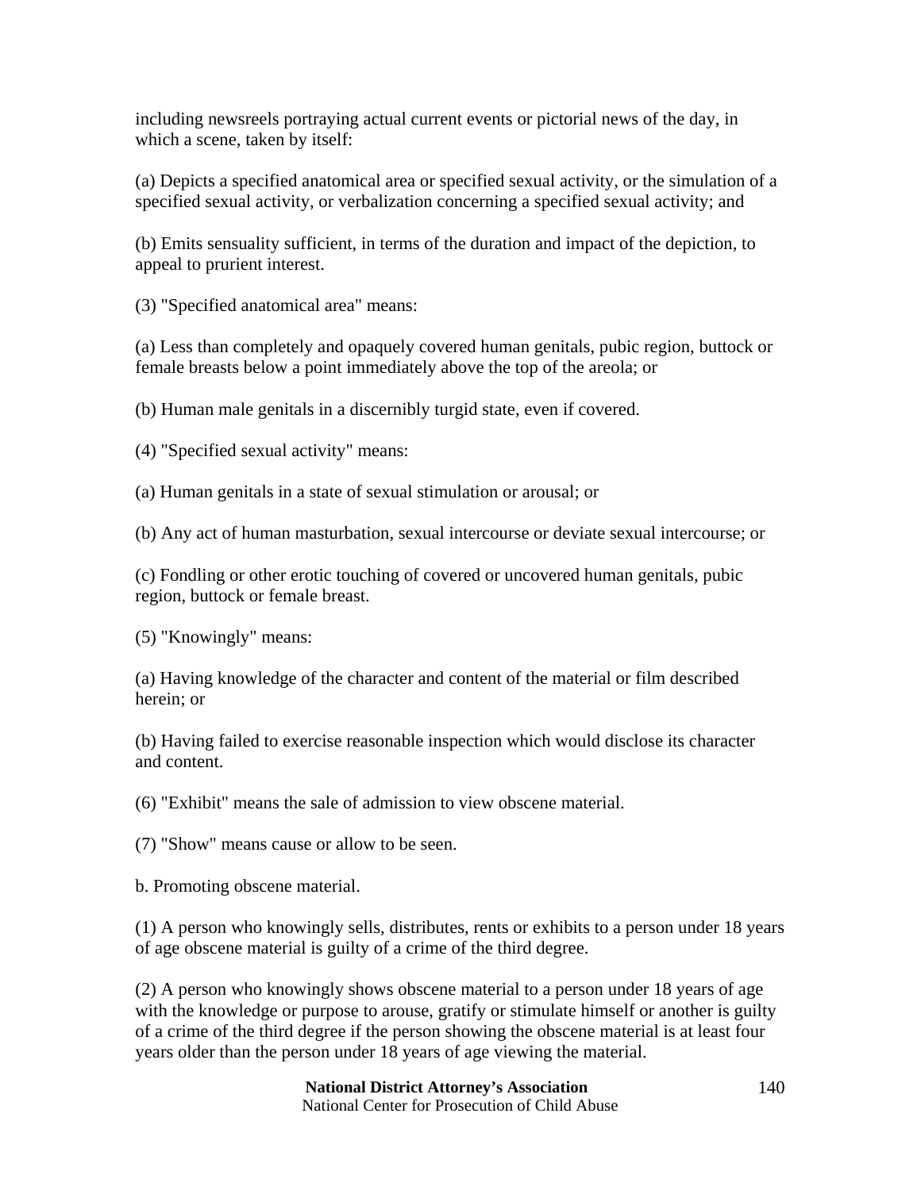including newsreels portraying actual current events or pictorial news of the day, in which a scene, taken by itself:

(a) Depicts a specified anatomical area or specified sexual activity, or the simulation of a specified sexual activity, or verbalization concerning a specified sexual activity; and

(b) Emits sensuality sufficient, in terms of the duration and impact of the depiction, to appeal to prurient interest.

(3) "Specified anatomical area" means:

(a) Less than completely and opaquely covered human genitals, pubic region, buttock or female breasts below a point immediately above the top of the areola; or

(b) Human male genitals in a discernibly turgid state, even if covered.

(4) "Specified sexual activity" means:

(a) Human genitals in a state of sexual stimulation or arousal; or

(b) Any act of human masturbation, sexual intercourse or deviate sexual intercourse; or

(c) Fondling or other erotic touching of covered or uncovered human genitals, pubic region, buttock or female breast.

(5) "Knowingly" means:

(a) Having knowledge of the character and content of the material or film described herein; or

(b) Having failed to exercise reasonable inspection which would disclose its character and content.

(6) "Exhibit" means the sale of admission to view obscene material.

(7) "Show" means cause or allow to be seen.

b. Promoting obscene material.

(1) A person who knowingly sells, distributes, rents or exhibits to a person under 18 years of age obscene material is guilty of a crime of the third degree.

(2) A person who knowingly shows obscene material to a person under 18 years of age with the knowledge or purpose to arouse, gratify or stimulate himself or another is guilty of a crime of the third degree if the person showing the obscene material is at least four years older than the person under 18 years of age viewing the material.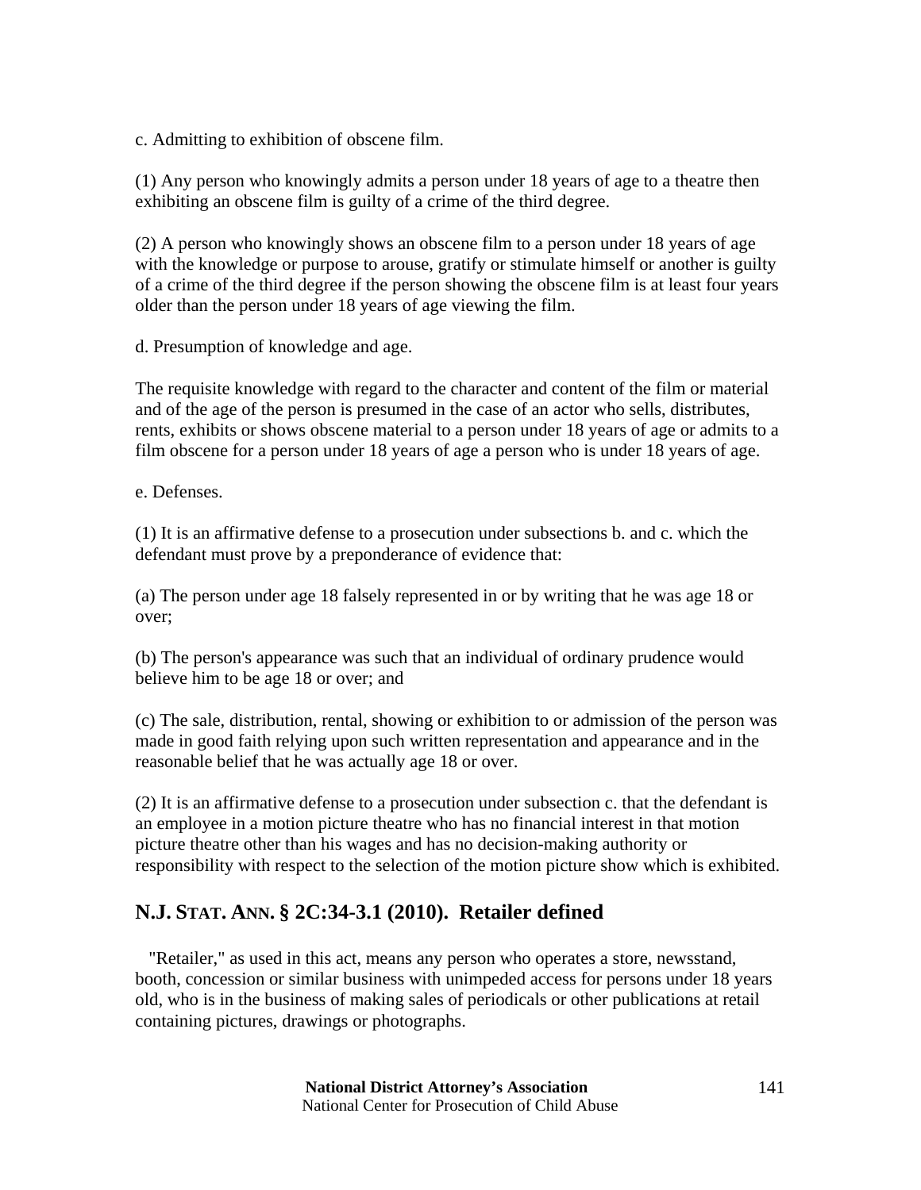c. Admitting to exhibition of obscene film.

(1) Any person who knowingly admits a person under 18 years of age to a theatre then exhibiting an obscene film is guilty of a crime of the third degree.

(2) A person who knowingly shows an obscene film to a person under 18 years of age with the knowledge or purpose to arouse, gratify or stimulate himself or another is guilty of a crime of the third degree if the person showing the obscene film is at least four years older than the person under 18 years of age viewing the film.

d. Presumption of knowledge and age.

The requisite knowledge with regard to the character and content of the film or material and of the age of the person is presumed in the case of an actor who sells, distributes, rents, exhibits or shows obscene material to a person under 18 years of age or admits to a film obscene for a person under 18 years of age a person who is under 18 years of age.

e. Defenses.

(1) It is an affirmative defense to a prosecution under subsections b. and c. which the defendant must prove by a preponderance of evidence that:

(a) The person under age 18 falsely represented in or by writing that he was age 18 or over;

(b) The person's appearance was such that an individual of ordinary prudence would believe him to be age 18 or over; and

(c) The sale, distribution, rental, showing or exhibition to or admission of the person was made in good faith relying upon such written representation and appearance and in the reasonable belief that he was actually age 18 or over.

(2) It is an affirmative defense to a prosecution under subsection c. that the defendant is an employee in a motion picture theatre who has no financial interest in that motion picture theatre other than his wages and has no decision-making authority or responsibility with respect to the selection of the motion picture show which is exhibited.

## **N.J. STAT. ANN. § 2C:34-3.1 (2010). Retailer defined**

 "Retailer," as used in this act, means any person who operates a store, newsstand, booth, concession or similar business with unimpeded access for persons under 18 years old, who is in the business of making sales of periodicals or other publications at retail containing pictures, drawings or photographs.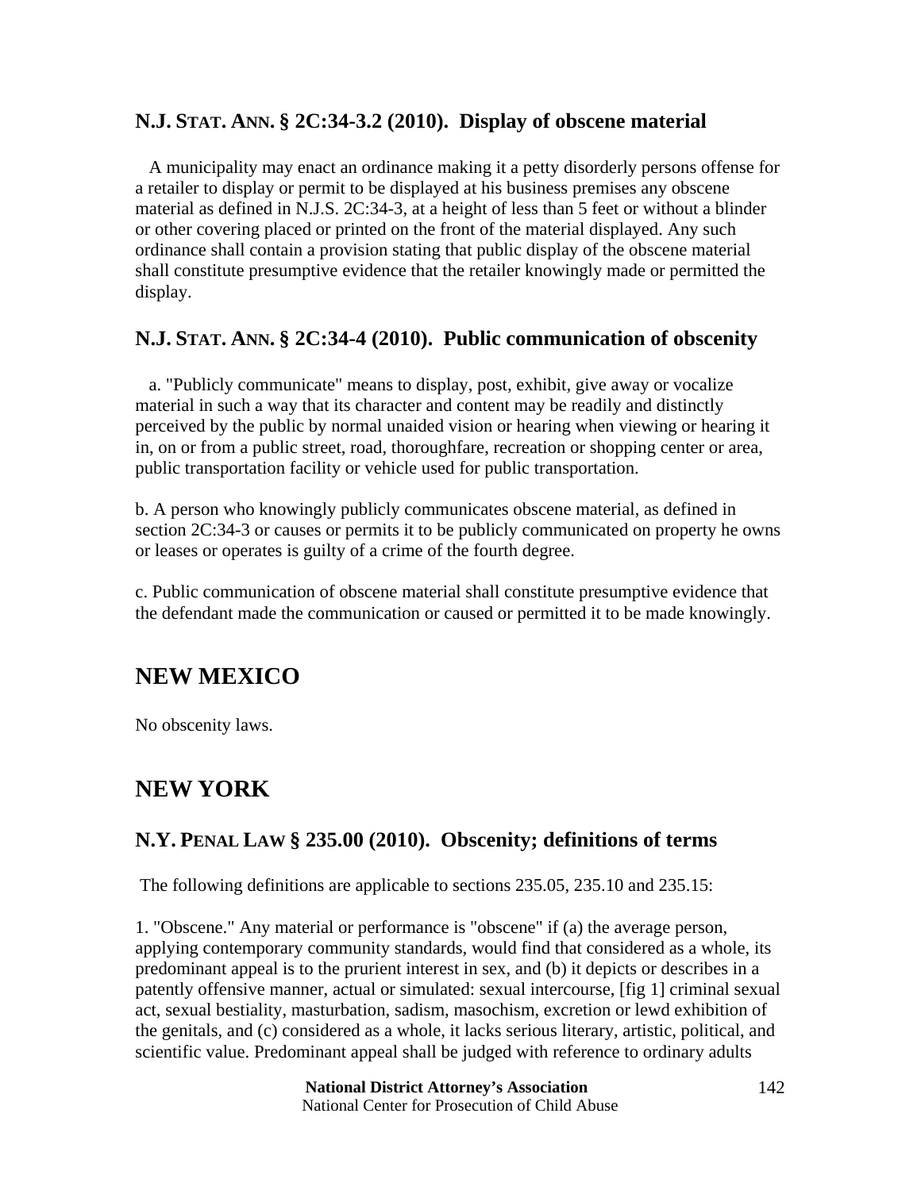#### **N.J. STAT. ANN. § 2C:34-3.2 (2010). Display of obscene material**

 A municipality may enact an ordinance making it a petty disorderly persons offense for a retailer to display or permit to be displayed at his business premises any obscene material as defined in N.J.S. 2C:34-3, at a height of less than 5 feet or without a blinder or other covering placed or printed on the front of the material displayed. Any such ordinance shall contain a provision stating that public display of the obscene material shall constitute presumptive evidence that the retailer knowingly made or permitted the display.

#### **N.J. STAT. ANN. § 2C:34-4 (2010). Public communication of obscenity**

 a. "Publicly communicate" means to display, post, exhibit, give away or vocalize material in such a way that its character and content may be readily and distinctly perceived by the public by normal unaided vision or hearing when viewing or hearing it in, on or from a public street, road, thoroughfare, recreation or shopping center or area, public transportation facility or vehicle used for public transportation.

b. A person who knowingly publicly communicates obscene material, as defined in section 2C:34-3 or causes or permits it to be publicly communicated on property he owns or leases or operates is guilty of a crime of the fourth degree.

c. Public communication of obscene material shall constitute presumptive evidence that the defendant made the communication or caused or permitted it to be made knowingly.

## **NEW MEXICO**

No obscenity laws.

## **NEW YORK**

## **N.Y. PENAL LAW § 235.00 (2010). Obscenity; definitions of terms**

The following definitions are applicable to sections 235.05, 235.10 and 235.15:

1. "Obscene." Any material or performance is "obscene" if (a) the average person, applying contemporary community standards, would find that considered as a whole, its predominant appeal is to the prurient interest in sex, and (b) it depicts or describes in a patently offensive manner, actual or simulated: sexual intercourse, [fig 1] criminal sexual act, sexual bestiality, masturbation, sadism, masochism, excretion or lewd exhibition of the genitals, and (c) considered as a whole, it lacks serious literary, artistic, political, and scientific value. Predominant appeal shall be judged with reference to ordinary adults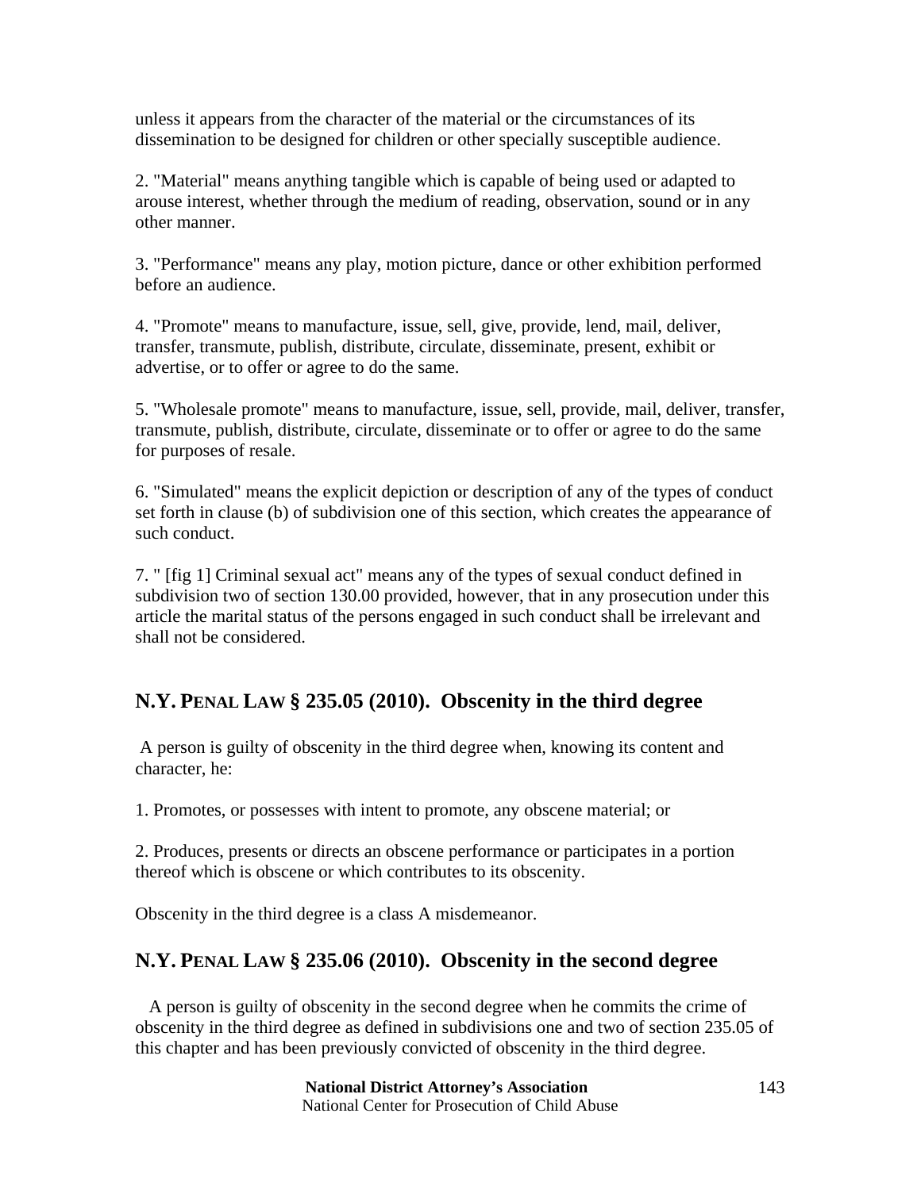unless it appears from the character of the material or the circumstances of its dissemination to be designed for children or other specially susceptible audience.

2. "Material" means anything tangible which is capable of being used or adapted to arouse interest, whether through the medium of reading, observation, sound or in any other manner.

3. "Performance" means any play, motion picture, dance or other exhibition performed before an audience.

4. "Promote" means to manufacture, issue, sell, give, provide, lend, mail, deliver, transfer, transmute, publish, distribute, circulate, disseminate, present, exhibit or advertise, or to offer or agree to do the same.

5. "Wholesale promote" means to manufacture, issue, sell, provide, mail, deliver, transfer, transmute, publish, distribute, circulate, disseminate or to offer or agree to do the same for purposes of resale.

6. "Simulated" means the explicit depiction or description of any of the types of conduct set forth in clause (b) of subdivision one of this section, which creates the appearance of such conduct.

7. " [fig 1] Criminal sexual act" means any of the types of sexual conduct defined in subdivision two of section 130.00 provided, however, that in any prosecution under this article the marital status of the persons engaged in such conduct shall be irrelevant and shall not be considered.

## **N.Y. PENAL LAW § 235.05 (2010). Obscenity in the third degree**

 A person is guilty of obscenity in the third degree when, knowing its content and character, he:

1. Promotes, or possesses with intent to promote, any obscene material; or

2. Produces, presents or directs an obscene performance or participates in a portion thereof which is obscene or which contributes to its obscenity.

Obscenity in the third degree is a class A misdemeanor.

## **N.Y. PENAL LAW § 235.06 (2010). Obscenity in the second degree**

 A person is guilty of obscenity in the second degree when he commits the crime of obscenity in the third degree as defined in subdivisions one and two of section 235.05 of this chapter and has been previously convicted of obscenity in the third degree.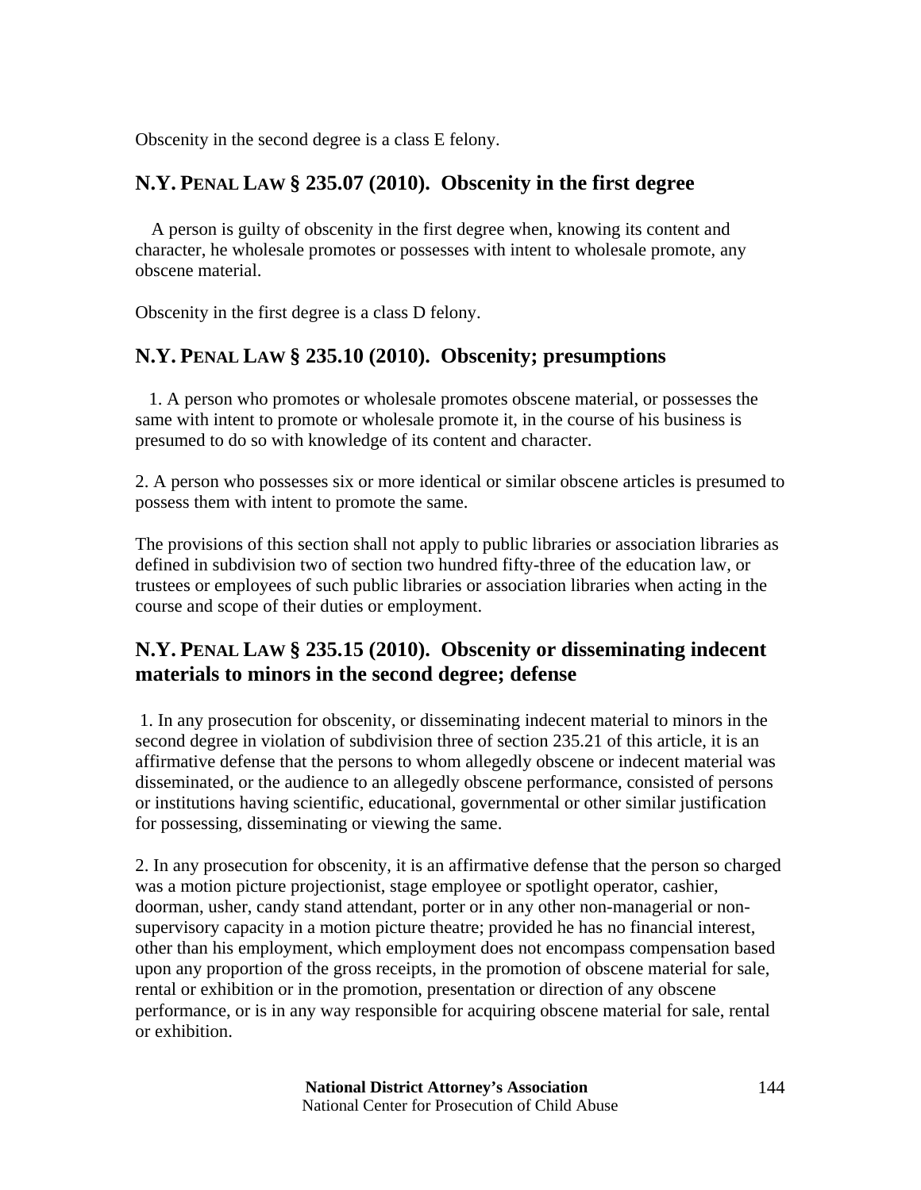Obscenity in the second degree is a class E felony.

#### **N.Y. PENAL LAW § 235.07 (2010). Obscenity in the first degree**

 A person is guilty of obscenity in the first degree when, knowing its content and character, he wholesale promotes or possesses with intent to wholesale promote, any obscene material.

Obscenity in the first degree is a class D felony.

#### **N.Y. PENAL LAW § 235.10 (2010). Obscenity; presumptions**

 1. A person who promotes or wholesale promotes obscene material, or possesses the same with intent to promote or wholesale promote it, in the course of his business is presumed to do so with knowledge of its content and character.

2. A person who possesses six or more identical or similar obscene articles is presumed to possess them with intent to promote the same.

The provisions of this section shall not apply to public libraries or association libraries as defined in subdivision two of section two hundred fifty-three of the education law, or trustees or employees of such public libraries or association libraries when acting in the course and scope of their duties or employment.

#### **N.Y. PENAL LAW § 235.15 (2010). Obscenity or disseminating indecent materials to minors in the second degree; defense**

 1. In any prosecution for obscenity, or disseminating indecent material to minors in the second degree in violation of subdivision three of section 235.21 of this article, it is an affirmative defense that the persons to whom allegedly obscene or indecent material was disseminated, or the audience to an allegedly obscene performance, consisted of persons or institutions having scientific, educational, governmental or other similar justification for possessing, disseminating or viewing the same.

2. In any prosecution for obscenity, it is an affirmative defense that the person so charged was a motion picture projectionist, stage employee or spotlight operator, cashier, doorman, usher, candy stand attendant, porter or in any other non-managerial or nonsupervisory capacity in a motion picture theatre; provided he has no financial interest, other than his employment, which employment does not encompass compensation based upon any proportion of the gross receipts, in the promotion of obscene material for sale, rental or exhibition or in the promotion, presentation or direction of any obscene performance, or is in any way responsible for acquiring obscene material for sale, rental or exhibition.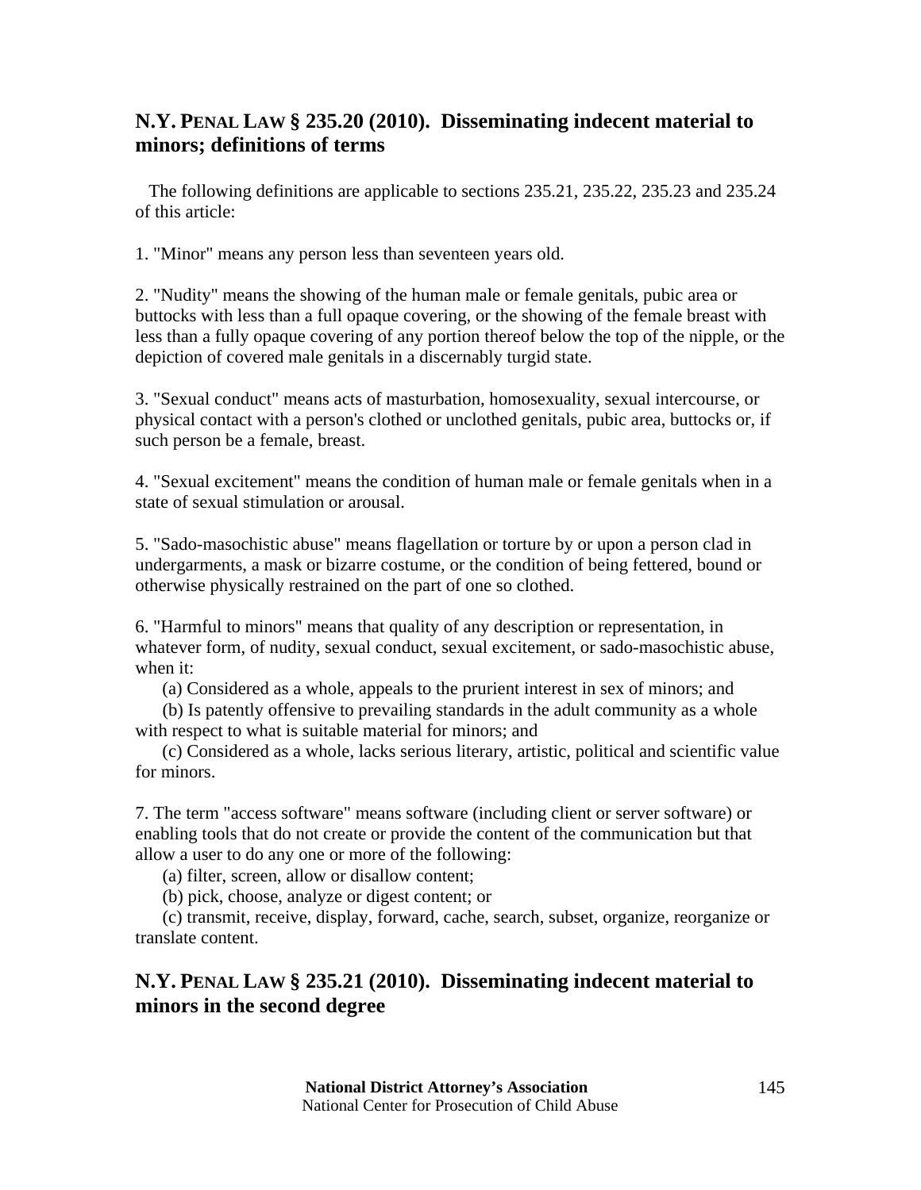### **N.Y. PENAL LAW § 235.20 (2010). Disseminating indecent material to minors; definitions of terms**

 The following definitions are applicable to sections 235.21, 235.22, 235.23 and 235.24 of this article:

1. "Minor" means any person less than seventeen years old.

2. "Nudity" means the showing of the human male or female genitals, pubic area or buttocks with less than a full opaque covering, or the showing of the female breast with less than a fully opaque covering of any portion thereof below the top of the nipple, or the depiction of covered male genitals in a discernably turgid state.

3. "Sexual conduct" means acts of masturbation, homosexuality, sexual intercourse, or physical contact with a person's clothed or unclothed genitals, pubic area, buttocks or, if such person be a female, breast.

4. "Sexual excitement" means the condition of human male or female genitals when in a state of sexual stimulation or arousal.

5. "Sado-masochistic abuse" means flagellation or torture by or upon a person clad in undergarments, a mask or bizarre costume, or the condition of being fettered, bound or otherwise physically restrained on the part of one so clothed.

6. "Harmful to minors" means that quality of any description or representation, in whatever form, of nudity, sexual conduct, sexual excitement, or sado-masochistic abuse, when it:

(a) Considered as a whole, appeals to the prurient interest in sex of minors; and

 (b) Is patently offensive to prevailing standards in the adult community as a whole with respect to what is suitable material for minors; and

 (c) Considered as a whole, lacks serious literary, artistic, political and scientific value for minors.

7. The term "access software" means software (including client or server software) or enabling tools that do not create or provide the content of the communication but that allow a user to do any one or more of the following:

(a) filter, screen, allow or disallow content;

(b) pick, choose, analyze or digest content; or

 (c) transmit, receive, display, forward, cache, search, subset, organize, reorganize or translate content.

### **N.Y. PENAL LAW § 235.21 (2010). Disseminating indecent material to minors in the second degree**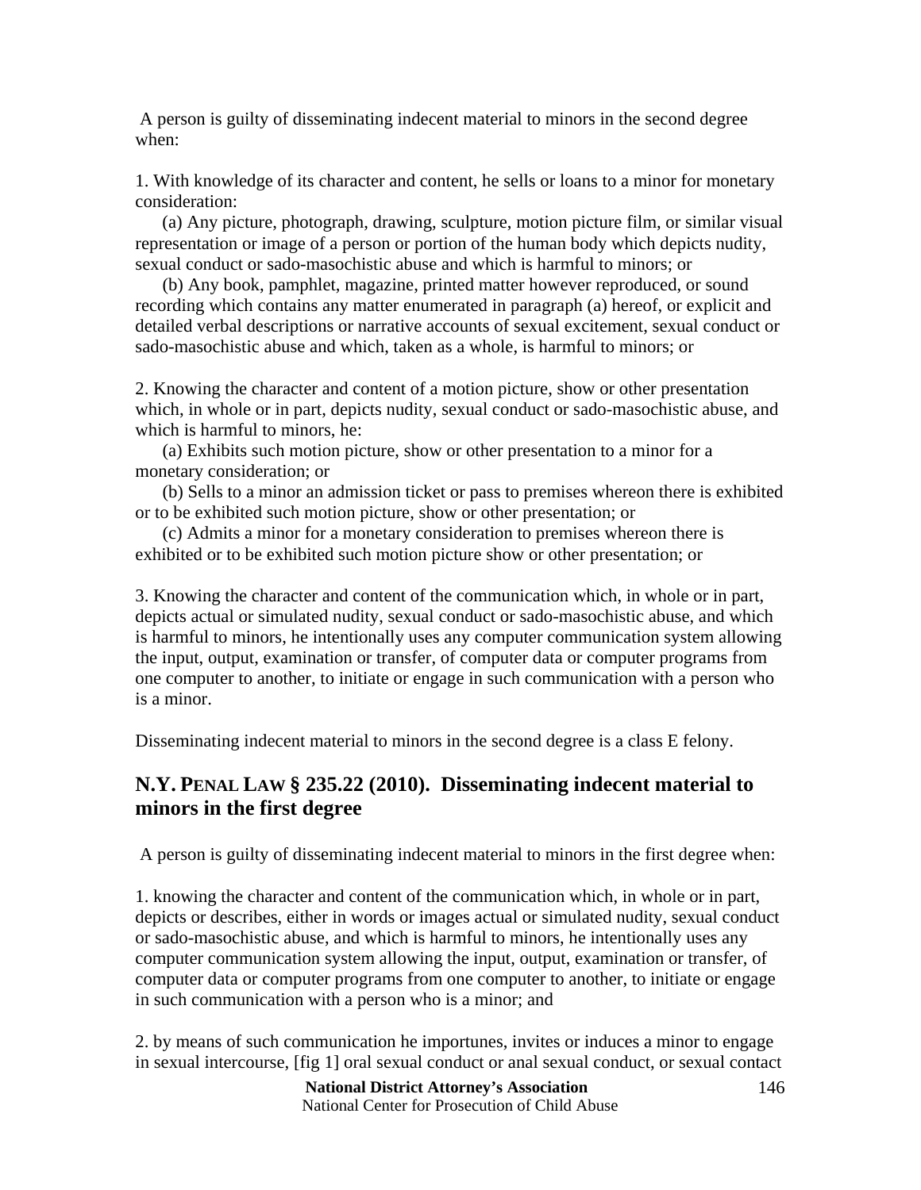A person is guilty of disseminating indecent material to minors in the second degree when:

1. With knowledge of its character and content, he sells or loans to a minor for monetary consideration:

 (a) Any picture, photograph, drawing, sculpture, motion picture film, or similar visual representation or image of a person or portion of the human body which depicts nudity, sexual conduct or sado-masochistic abuse and which is harmful to minors; or

 (b) Any book, pamphlet, magazine, printed matter however reproduced, or sound recording which contains any matter enumerated in paragraph (a) hereof, or explicit and detailed verbal descriptions or narrative accounts of sexual excitement, sexual conduct or sado-masochistic abuse and which, taken as a whole, is harmful to minors; or

2. Knowing the character and content of a motion picture, show or other presentation which, in whole or in part, depicts nudity, sexual conduct or sado-masochistic abuse, and which is harmful to minors, he:

 (a) Exhibits such motion picture, show or other presentation to a minor for a monetary consideration; or

 (b) Sells to a minor an admission ticket or pass to premises whereon there is exhibited or to be exhibited such motion picture, show or other presentation; or

 (c) Admits a minor for a monetary consideration to premises whereon there is exhibited or to be exhibited such motion picture show or other presentation; or

3. Knowing the character and content of the communication which, in whole or in part, depicts actual or simulated nudity, sexual conduct or sado-masochistic abuse, and which is harmful to minors, he intentionally uses any computer communication system allowing the input, output, examination or transfer, of computer data or computer programs from one computer to another, to initiate or engage in such communication with a person who is a minor.

Disseminating indecent material to minors in the second degree is a class E felony.

### **N.Y. PENAL LAW § 235.22 (2010). Disseminating indecent material to minors in the first degree**

A person is guilty of disseminating indecent material to minors in the first degree when:

1. knowing the character and content of the communication which, in whole or in part, depicts or describes, either in words or images actual or simulated nudity, sexual conduct or sado-masochistic abuse, and which is harmful to minors, he intentionally uses any computer communication system allowing the input, output, examination or transfer, of computer data or computer programs from one computer to another, to initiate or engage in such communication with a person who is a minor; and

2. by means of such communication he importunes, invites or induces a minor to engage in sexual intercourse, [fig 1] oral sexual conduct or anal sexual conduct, or sexual contact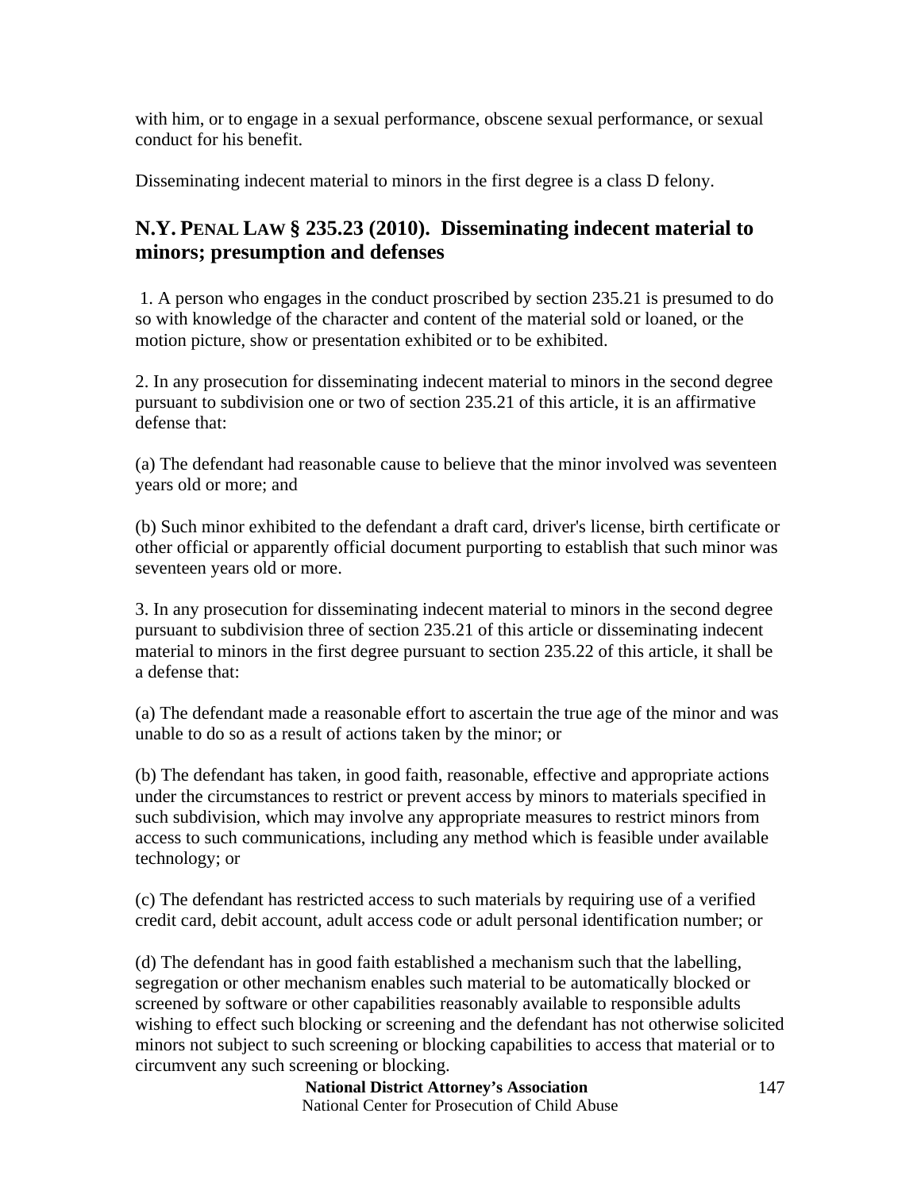with him, or to engage in a sexual performance, obscene sexual performance, or sexual conduct for his benefit.

Disseminating indecent material to minors in the first degree is a class D felony.

### **N.Y. PENAL LAW § 235.23 (2010). Disseminating indecent material to minors; presumption and defenses**

 1. A person who engages in the conduct proscribed by section 235.21 is presumed to do so with knowledge of the character and content of the material sold or loaned, or the motion picture, show or presentation exhibited or to be exhibited.

2. In any prosecution for disseminating indecent material to minors in the second degree pursuant to subdivision one or two of section 235.21 of this article, it is an affirmative defense that:

(a) The defendant had reasonable cause to believe that the minor involved was seventeen years old or more; and

(b) Such minor exhibited to the defendant a draft card, driver's license, birth certificate or other official or apparently official document purporting to establish that such minor was seventeen years old or more.

3. In any prosecution for disseminating indecent material to minors in the second degree pursuant to subdivision three of section 235.21 of this article or disseminating indecent material to minors in the first degree pursuant to section 235.22 of this article, it shall be a defense that:

(a) The defendant made a reasonable effort to ascertain the true age of the minor and was unable to do so as a result of actions taken by the minor; or

(b) The defendant has taken, in good faith, reasonable, effective and appropriate actions under the circumstances to restrict or prevent access by minors to materials specified in such subdivision, which may involve any appropriate measures to restrict minors from access to such communications, including any method which is feasible under available technology; or

(c) The defendant has restricted access to such materials by requiring use of a verified credit card, debit account, adult access code or adult personal identification number; or

(d) The defendant has in good faith established a mechanism such that the labelling, segregation or other mechanism enables such material to be automatically blocked or screened by software or other capabilities reasonably available to responsible adults wishing to effect such blocking or screening and the defendant has not otherwise solicited minors not subject to such screening or blocking capabilities to access that material or to circumvent any such screening or blocking.

**National District Attorney's Association**  National Center for Prosecution of Child Abuse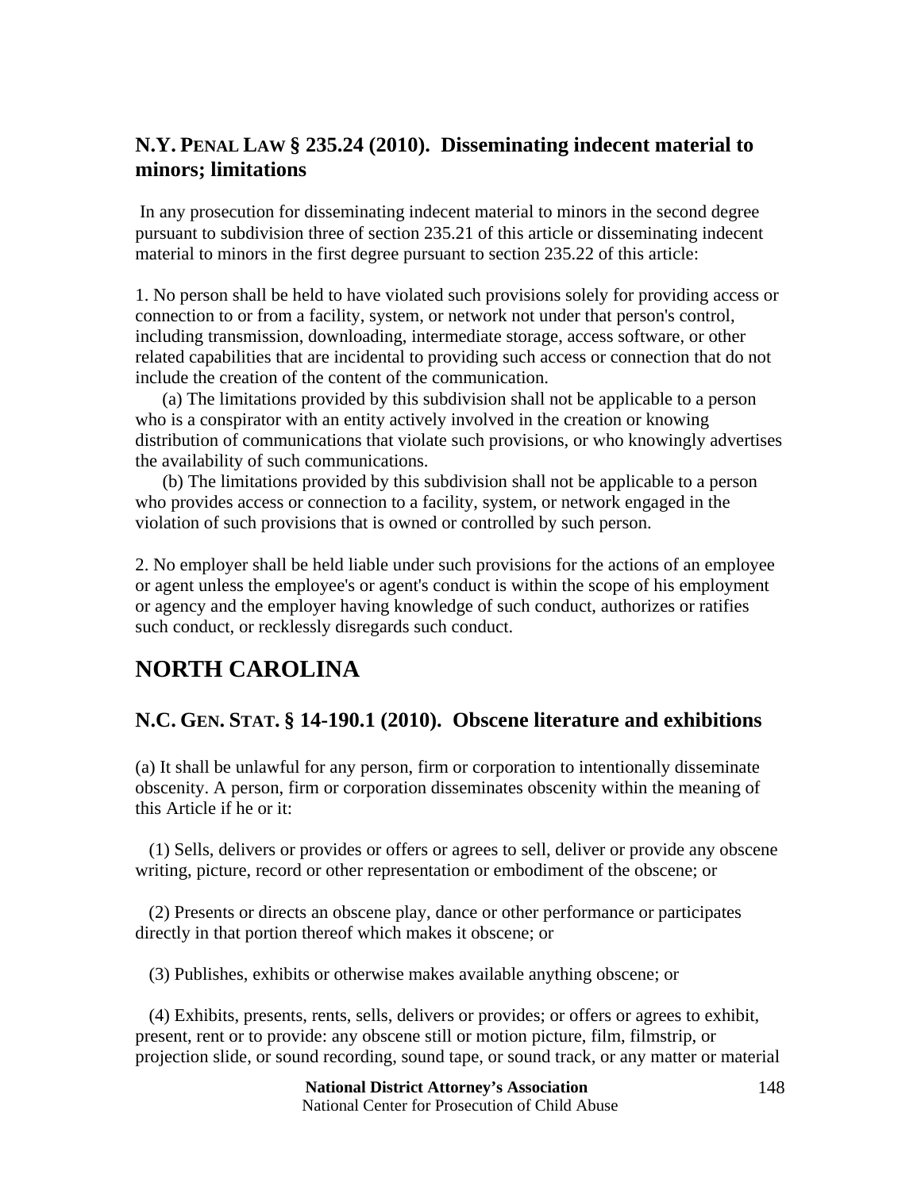### **N.Y. PENAL LAW § 235.24 (2010). Disseminating indecent material to minors; limitations**

 In any prosecution for disseminating indecent material to minors in the second degree pursuant to subdivision three of section 235.21 of this article or disseminating indecent material to minors in the first degree pursuant to section 235.22 of this article:

1. No person shall be held to have violated such provisions solely for providing access or connection to or from a facility, system, or network not under that person's control, including transmission, downloading, intermediate storage, access software, or other related capabilities that are incidental to providing such access or connection that do not include the creation of the content of the communication.

 (a) The limitations provided by this subdivision shall not be applicable to a person who is a conspirator with an entity actively involved in the creation or knowing distribution of communications that violate such provisions, or who knowingly advertises the availability of such communications.

 (b) The limitations provided by this subdivision shall not be applicable to a person who provides access or connection to a facility, system, or network engaged in the violation of such provisions that is owned or controlled by such person.

2. No employer shall be held liable under such provisions for the actions of an employee or agent unless the employee's or agent's conduct is within the scope of his employment or agency and the employer having knowledge of such conduct, authorizes or ratifies such conduct, or recklessly disregards such conduct.

## **NORTH CAROLINA**

#### **N.C. GEN. STAT. § 14-190.1 (2010). Obscene literature and exhibitions**

(a) It shall be unlawful for any person, firm or corporation to intentionally disseminate obscenity. A person, firm or corporation disseminates obscenity within the meaning of this Article if he or it:

 (1) Sells, delivers or provides or offers or agrees to sell, deliver or provide any obscene writing, picture, record or other representation or embodiment of the obscene; or

 (2) Presents or directs an obscene play, dance or other performance or participates directly in that portion thereof which makes it obscene; or

(3) Publishes, exhibits or otherwise makes available anything obscene; or

 (4) Exhibits, presents, rents, sells, delivers or provides; or offers or agrees to exhibit, present, rent or to provide: any obscene still or motion picture, film, filmstrip, or projection slide, or sound recording, sound tape, or sound track, or any matter or material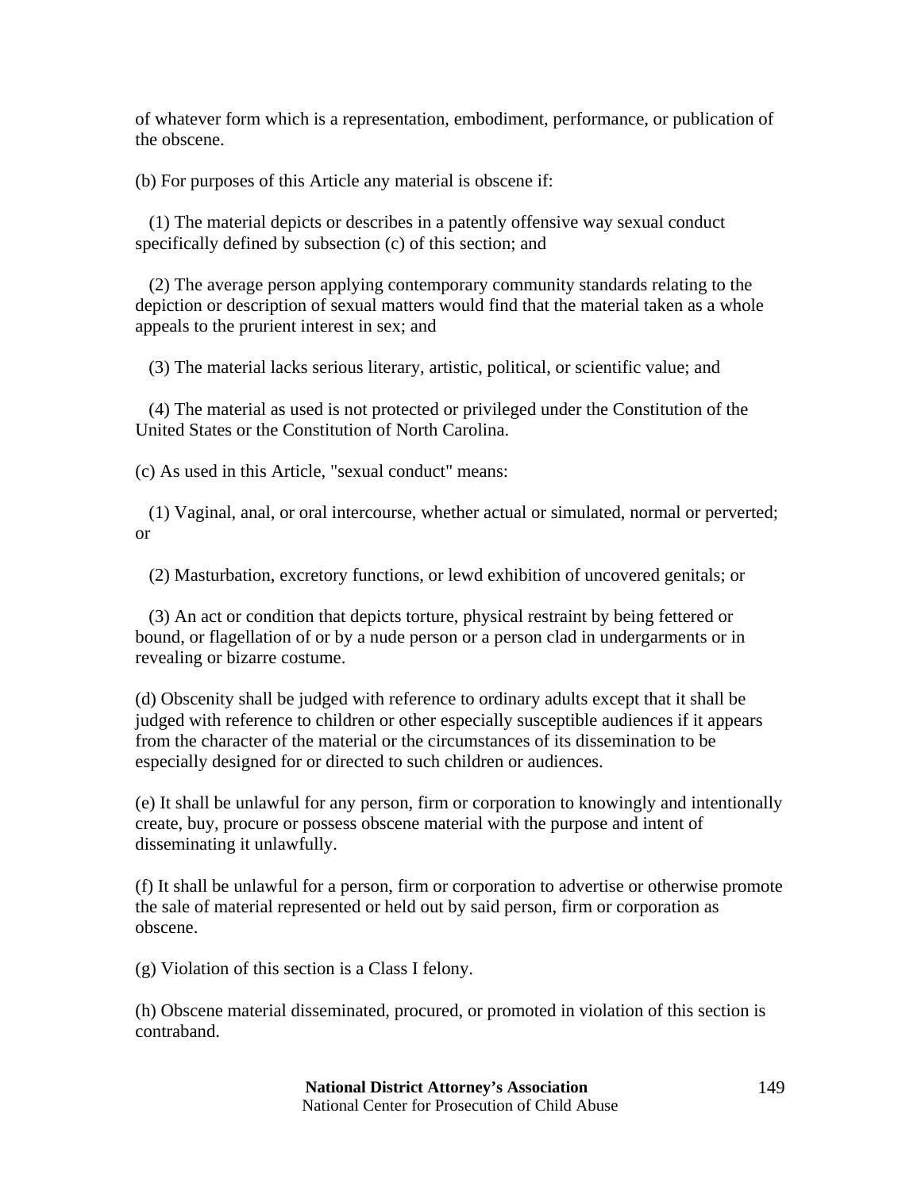of whatever form which is a representation, embodiment, performance, or publication of the obscene.

(b) For purposes of this Article any material is obscene if:

 (1) The material depicts or describes in a patently offensive way sexual conduct specifically defined by subsection (c) of this section; and

 (2) The average person applying contemporary community standards relating to the depiction or description of sexual matters would find that the material taken as a whole appeals to the prurient interest in sex; and

(3) The material lacks serious literary, artistic, political, or scientific value; and

 (4) The material as used is not protected or privileged under the Constitution of the United States or the Constitution of North Carolina.

(c) As used in this Article, "sexual conduct" means:

 (1) Vaginal, anal, or oral intercourse, whether actual or simulated, normal or perverted; or

(2) Masturbation, excretory functions, or lewd exhibition of uncovered genitals; or

 (3) An act or condition that depicts torture, physical restraint by being fettered or bound, or flagellation of or by a nude person or a person clad in undergarments or in revealing or bizarre costume.

(d) Obscenity shall be judged with reference to ordinary adults except that it shall be judged with reference to children or other especially susceptible audiences if it appears from the character of the material or the circumstances of its dissemination to be especially designed for or directed to such children or audiences.

(e) It shall be unlawful for any person, firm or corporation to knowingly and intentionally create, buy, procure or possess obscene material with the purpose and intent of disseminating it unlawfully.

(f) It shall be unlawful for a person, firm or corporation to advertise or otherwise promote the sale of material represented or held out by said person, firm or corporation as obscene.

(g) Violation of this section is a Class I felony.

(h) Obscene material disseminated, procured, or promoted in violation of this section is contraband.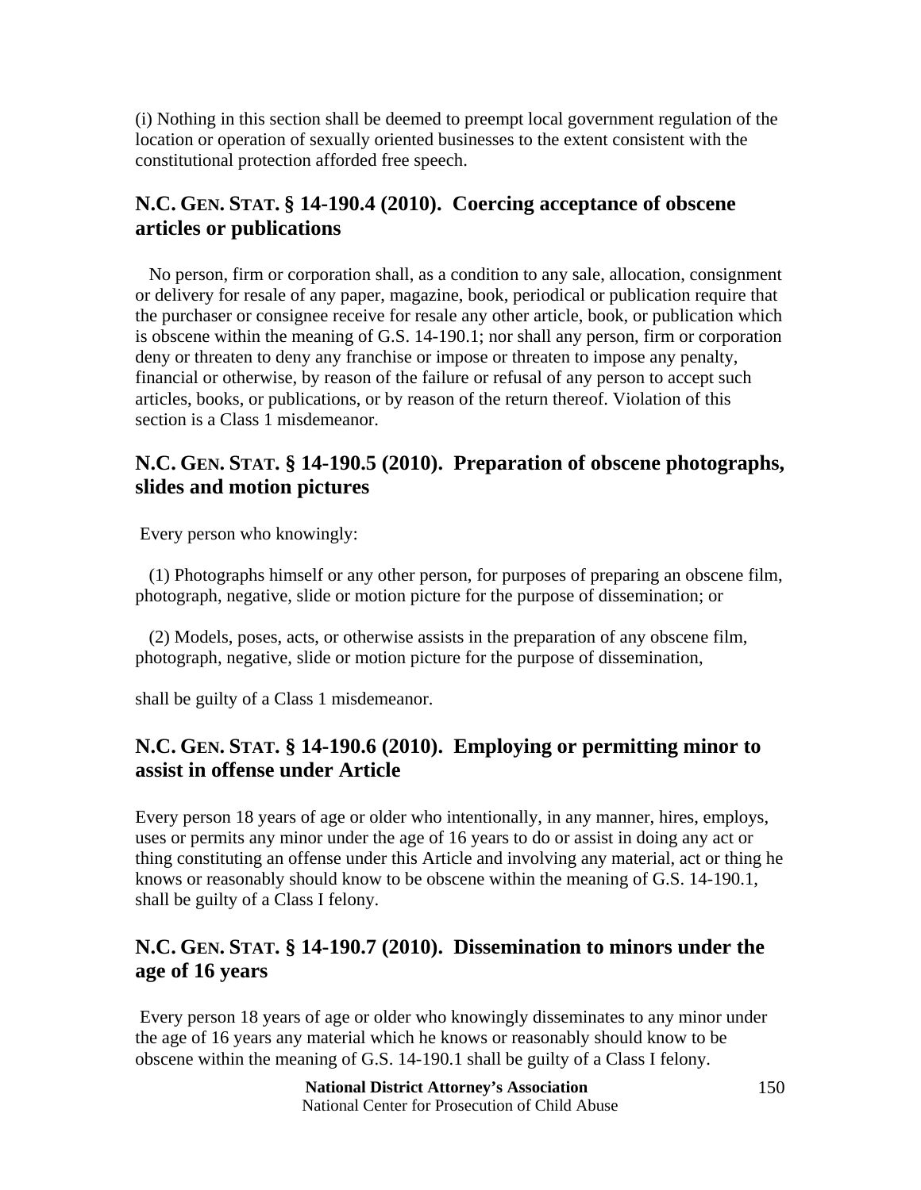(i) Nothing in this section shall be deemed to preempt local government regulation of the location or operation of sexually oriented businesses to the extent consistent with the constitutional protection afforded free speech.

### **N.C. GEN. STAT. § 14-190.4 (2010). Coercing acceptance of obscene articles or publications**

 No person, firm or corporation shall, as a condition to any sale, allocation, consignment or delivery for resale of any paper, magazine, book, periodical or publication require that the purchaser or consignee receive for resale any other article, book, or publication which is obscene within the meaning of G.S. 14-190.1; nor shall any person, firm or corporation deny or threaten to deny any franchise or impose or threaten to impose any penalty, financial or otherwise, by reason of the failure or refusal of any person to accept such articles, books, or publications, or by reason of the return thereof. Violation of this section is a Class 1 misdemeanor.

### **N.C. GEN. STAT. § 14-190.5 (2010). Preparation of obscene photographs, slides and motion pictures**

Every person who knowingly:

 (1) Photographs himself or any other person, for purposes of preparing an obscene film, photograph, negative, slide or motion picture for the purpose of dissemination; or

 (2) Models, poses, acts, or otherwise assists in the preparation of any obscene film, photograph, negative, slide or motion picture for the purpose of dissemination,

shall be guilty of a Class 1 misdemeanor.

### **N.C. GEN. STAT. § 14-190.6 (2010). Employing or permitting minor to assist in offense under Article**

Every person 18 years of age or older who intentionally, in any manner, hires, employs, uses or permits any minor under the age of 16 years to do or assist in doing any act or thing constituting an offense under this Article and involving any material, act or thing he knows or reasonably should know to be obscene within the meaning of G.S. 14-190.1, shall be guilty of a Class I felony.

### **N.C. GEN. STAT. § 14-190.7 (2010). Dissemination to minors under the age of 16 years**

 Every person 18 years of age or older who knowingly disseminates to any minor under the age of 16 years any material which he knows or reasonably should know to be obscene within the meaning of G.S. 14-190.1 shall be guilty of a Class I felony.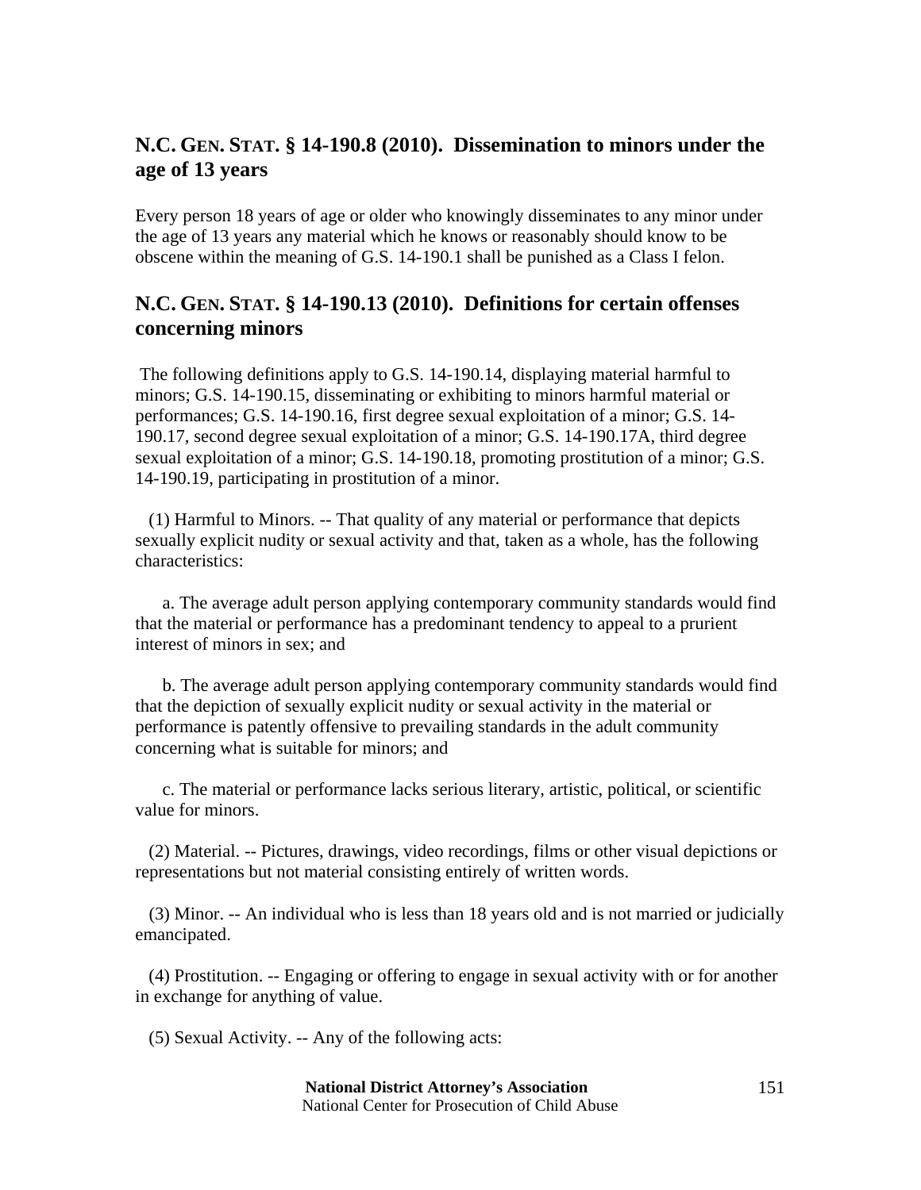### **N.C. GEN. STAT. § 14-190.8 (2010). Dissemination to minors under the age of 13 years**

Every person 18 years of age or older who knowingly disseminates to any minor under the age of 13 years any material which he knows or reasonably should know to be obscene within the meaning of G.S. 14-190.1 shall be punished as a Class I felon.

### **N.C. GEN. STAT. § 14-190.13 (2010). Definitions for certain offenses concerning minors**

 The following definitions apply to G.S. 14-190.14, displaying material harmful to minors; G.S. 14-190.15, disseminating or exhibiting to minors harmful material or performances; G.S. 14-190.16, first degree sexual exploitation of a minor; G.S. 14- 190.17, second degree sexual exploitation of a minor; G.S. 14-190.17A, third degree sexual exploitation of a minor; G.S. 14-190.18, promoting prostitution of a minor; G.S. 14-190.19, participating in prostitution of a minor.

 (1) Harmful to Minors. -- That quality of any material or performance that depicts sexually explicit nudity or sexual activity and that, taken as a whole, has the following characteristics:

 a. The average adult person applying contemporary community standards would find that the material or performance has a predominant tendency to appeal to a prurient interest of minors in sex; and

 b. The average adult person applying contemporary community standards would find that the depiction of sexually explicit nudity or sexual activity in the material or performance is patently offensive to prevailing standards in the adult community concerning what is suitable for minors; and

 c. The material or performance lacks serious literary, artistic, political, or scientific value for minors.

 (2) Material. -- Pictures, drawings, video recordings, films or other visual depictions or representations but not material consisting entirely of written words.

 (3) Minor. -- An individual who is less than 18 years old and is not married or judicially emancipated.

 (4) Prostitution. -- Engaging or offering to engage in sexual activity with or for another in exchange for anything of value.

(5) Sexual Activity. -- Any of the following acts: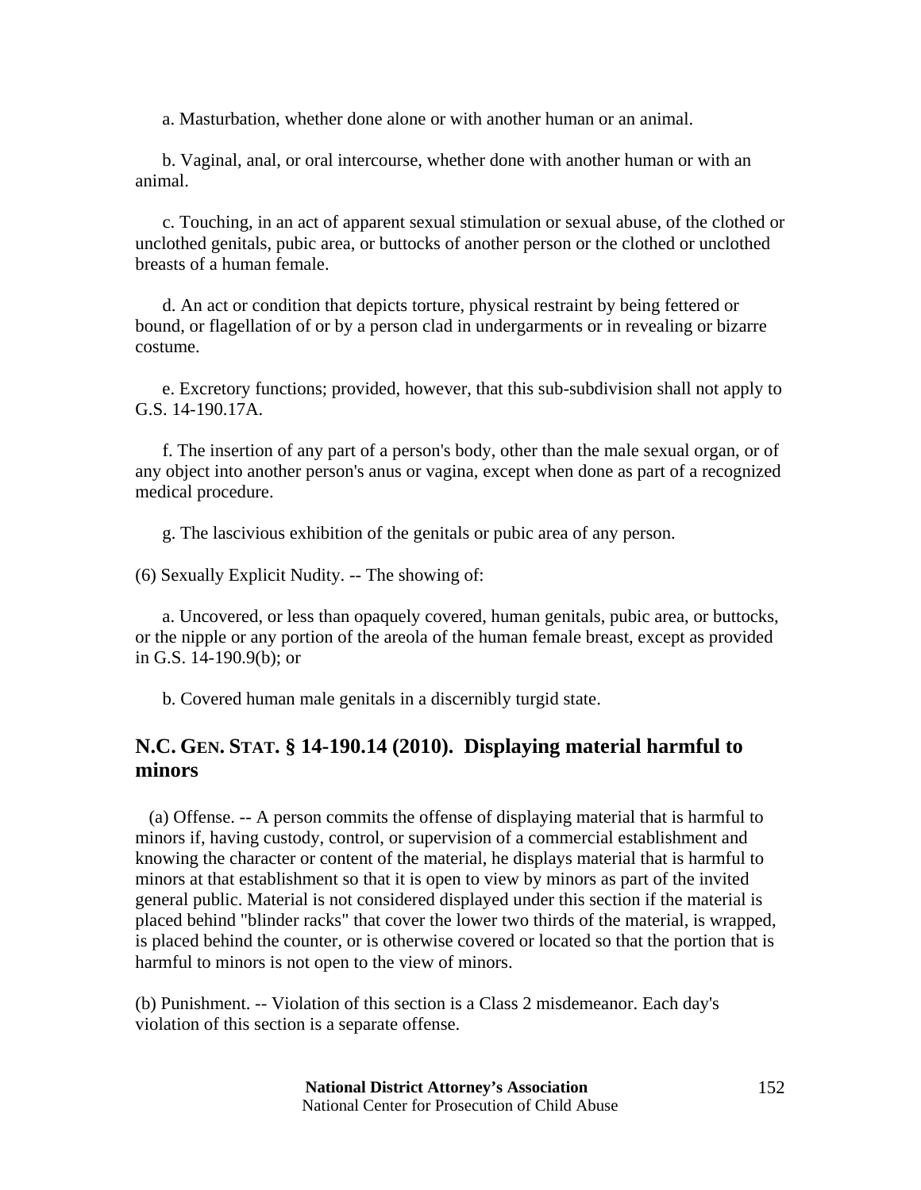a. Masturbation, whether done alone or with another human or an animal.

 b. Vaginal, anal, or oral intercourse, whether done with another human or with an animal.

 c. Touching, in an act of apparent sexual stimulation or sexual abuse, of the clothed or unclothed genitals, pubic area, or buttocks of another person or the clothed or unclothed breasts of a human female.

 d. An act or condition that depicts torture, physical restraint by being fettered or bound, or flagellation of or by a person clad in undergarments or in revealing or bizarre costume.

 e. Excretory functions; provided, however, that this sub-subdivision shall not apply to G.S. 14-190.17A.

 f. The insertion of any part of a person's body, other than the male sexual organ, or of any object into another person's anus or vagina, except when done as part of a recognized medical procedure.

g. The lascivious exhibition of the genitals or pubic area of any person.

(6) Sexually Explicit Nudity. -- The showing of:

 a. Uncovered, or less than opaquely covered, human genitals, pubic area, or buttocks, or the nipple or any portion of the areola of the human female breast, except as provided in G.S. 14-190.9(b); or

b. Covered human male genitals in a discernibly turgid state.

#### **N.C. GEN. STAT. § 14-190.14 (2010). Displaying material harmful to minors**

 (a) Offense. -- A person commits the offense of displaying material that is harmful to minors if, having custody, control, or supervision of a commercial establishment and knowing the character or content of the material, he displays material that is harmful to minors at that establishment so that it is open to view by minors as part of the invited general public. Material is not considered displayed under this section if the material is placed behind "blinder racks" that cover the lower two thirds of the material, is wrapped, is placed behind the counter, or is otherwise covered or located so that the portion that is harmful to minors is not open to the view of minors.

(b) Punishment. -- Violation of this section is a Class 2 misdemeanor. Each day's violation of this section is a separate offense.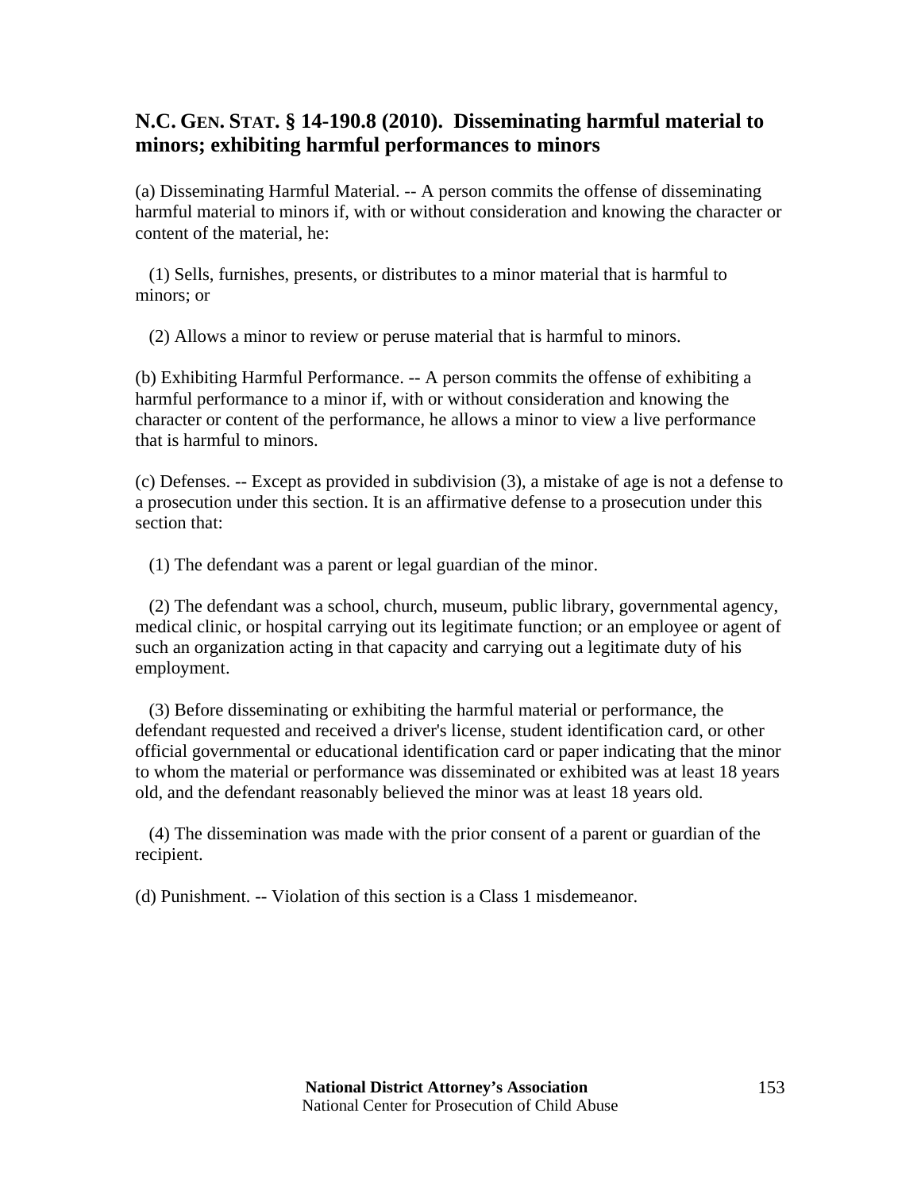### **N.C. GEN. STAT. § 14-190.8 (2010). Disseminating harmful material to minors; exhibiting harmful performances to minors**

(a) Disseminating Harmful Material. -- A person commits the offense of disseminating harmful material to minors if, with or without consideration and knowing the character or content of the material, he:

 (1) Sells, furnishes, presents, or distributes to a minor material that is harmful to minors; or

(2) Allows a minor to review or peruse material that is harmful to minors.

(b) Exhibiting Harmful Performance. -- A person commits the offense of exhibiting a harmful performance to a minor if, with or without consideration and knowing the character or content of the performance, he allows a minor to view a live performance that is harmful to minors.

(c) Defenses. -- Except as provided in subdivision (3), a mistake of age is not a defense to a prosecution under this section. It is an affirmative defense to a prosecution under this section that:

(1) The defendant was a parent or legal guardian of the minor.

 (2) The defendant was a school, church, museum, public library, governmental agency, medical clinic, or hospital carrying out its legitimate function; or an employee or agent of such an organization acting in that capacity and carrying out a legitimate duty of his employment.

 (3) Before disseminating or exhibiting the harmful material or performance, the defendant requested and received a driver's license, student identification card, or other official governmental or educational identification card or paper indicating that the minor to whom the material or performance was disseminated or exhibited was at least 18 years old, and the defendant reasonably believed the minor was at least 18 years old.

 (4) The dissemination was made with the prior consent of a parent or guardian of the recipient.

(d) Punishment. -- Violation of this section is a Class 1 misdemeanor.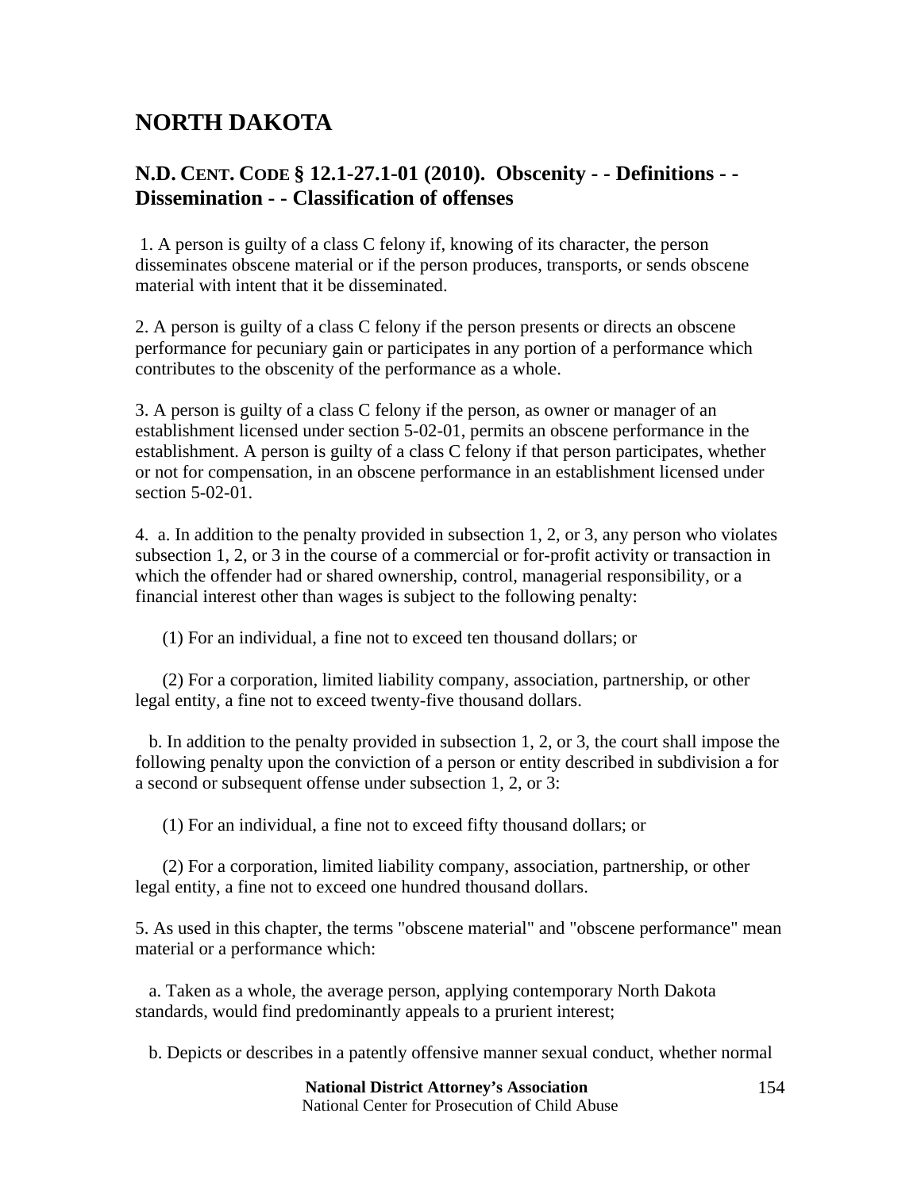# **NORTH DAKOTA**

### **N.D. CENT. CODE § 12.1-27.1-01 (2010). Obscenity - - Definitions - - Dissemination - - Classification of offenses**

 1. A person is guilty of a class C felony if, knowing of its character, the person disseminates obscene material or if the person produces, transports, or sends obscene material with intent that it be disseminated.

2. A person is guilty of a class C felony if the person presents or directs an obscene performance for pecuniary gain or participates in any portion of a performance which contributes to the obscenity of the performance as a whole.

3. A person is guilty of a class C felony if the person, as owner or manager of an establishment licensed under section 5-02-01, permits an obscene performance in the establishment. A person is guilty of a class C felony if that person participates, whether or not for compensation, in an obscene performance in an establishment licensed under section 5-02-01.

4. a. In addition to the penalty provided in subsection 1, 2, or 3, any person who violates subsection 1, 2, or 3 in the course of a commercial or for-profit activity or transaction in which the offender had or shared ownership, control, managerial responsibility, or a financial interest other than wages is subject to the following penalty:

(1) For an individual, a fine not to exceed ten thousand dollars; or

 (2) For a corporation, limited liability company, association, partnership, or other legal entity, a fine not to exceed twenty-five thousand dollars.

 b. In addition to the penalty provided in subsection 1, 2, or 3, the court shall impose the following penalty upon the conviction of a person or entity described in subdivision a for a second or subsequent offense under subsection 1, 2, or 3:

(1) For an individual, a fine not to exceed fifty thousand dollars; or

 (2) For a corporation, limited liability company, association, partnership, or other legal entity, a fine not to exceed one hundred thousand dollars.

5. As used in this chapter, the terms "obscene material" and "obscene performance" mean material or a performance which:

 a. Taken as a whole, the average person, applying contemporary North Dakota standards, would find predominantly appeals to a prurient interest;

b. Depicts or describes in a patently offensive manner sexual conduct, whether normal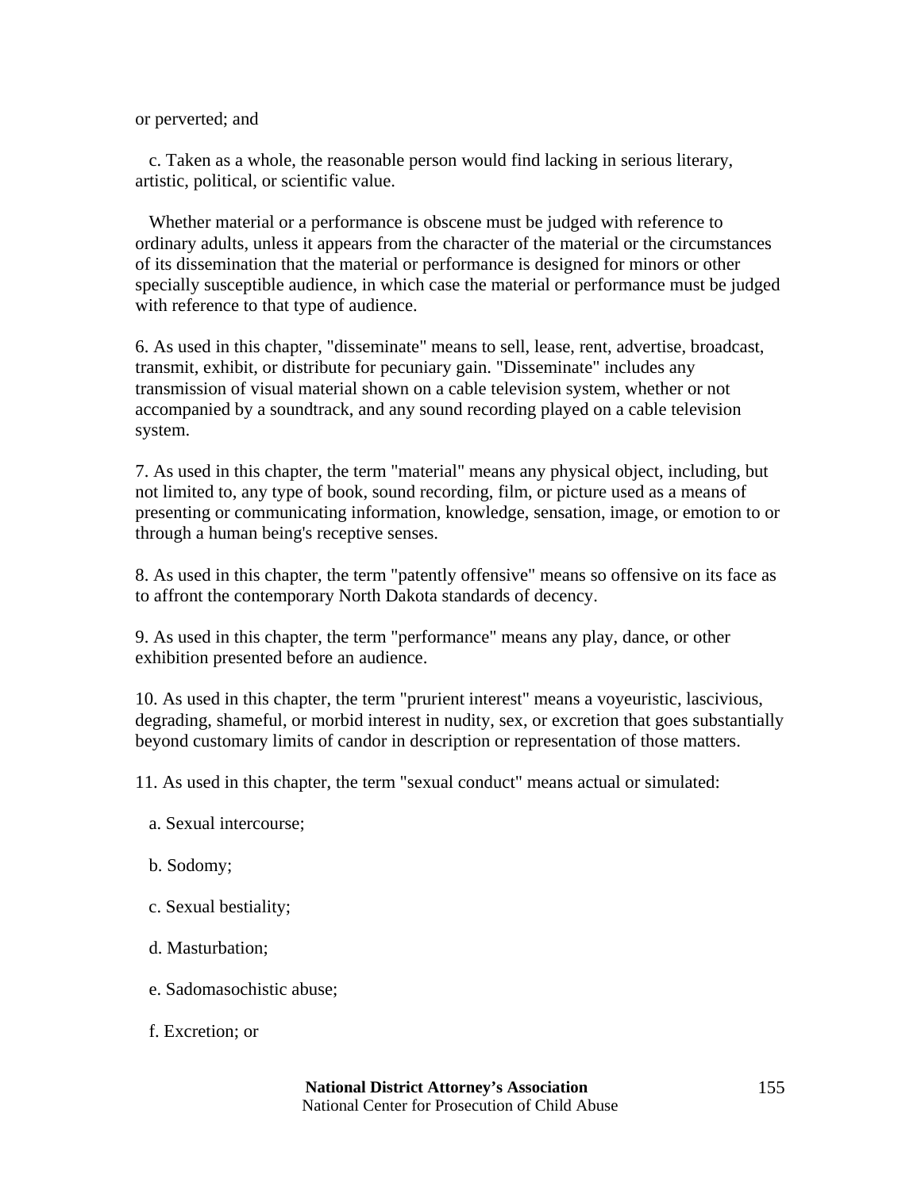or perverted; and

 c. Taken as a whole, the reasonable person would find lacking in serious literary, artistic, political, or scientific value.

 Whether material or a performance is obscene must be judged with reference to ordinary adults, unless it appears from the character of the material or the circumstances of its dissemination that the material or performance is designed for minors or other specially susceptible audience, in which case the material or performance must be judged with reference to that type of audience.

6. As used in this chapter, "disseminate" means to sell, lease, rent, advertise, broadcast, transmit, exhibit, or distribute for pecuniary gain. "Disseminate" includes any transmission of visual material shown on a cable television system, whether or not accompanied by a soundtrack, and any sound recording played on a cable television system.

7. As used in this chapter, the term "material" means any physical object, including, but not limited to, any type of book, sound recording, film, or picture used as a means of presenting or communicating information, knowledge, sensation, image, or emotion to or through a human being's receptive senses.

8. As used in this chapter, the term "patently offensive" means so offensive on its face as to affront the contemporary North Dakota standards of decency.

9. As used in this chapter, the term "performance" means any play, dance, or other exhibition presented before an audience.

10. As used in this chapter, the term "prurient interest" means a voyeuristic, lascivious, degrading, shameful, or morbid interest in nudity, sex, or excretion that goes substantially beyond customary limits of candor in description or representation of those matters.

11. As used in this chapter, the term "sexual conduct" means actual or simulated:

- a. Sexual intercourse;
- b. Sodomy;
- c. Sexual bestiality;
- d. Masturbation;
- e. Sadomasochistic abuse;
- f. Excretion; or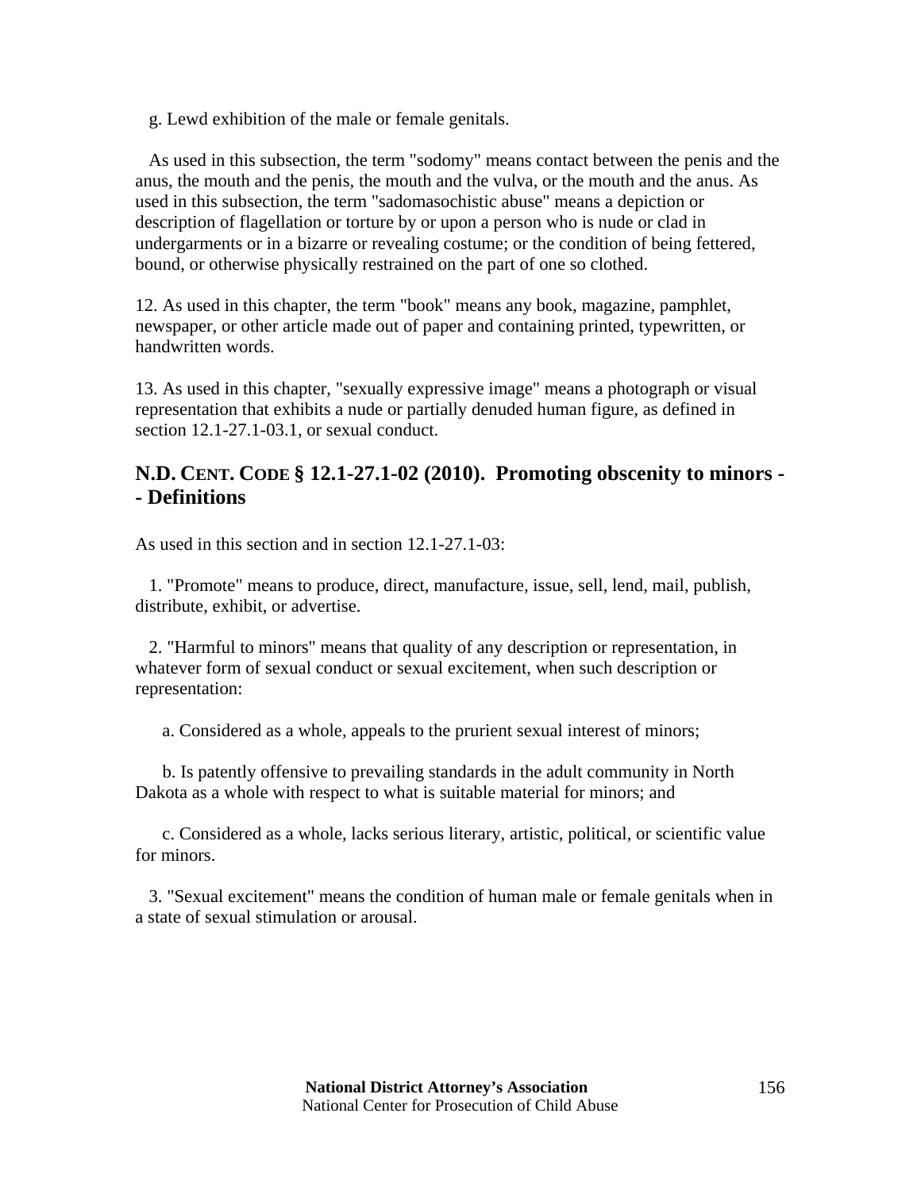g. Lewd exhibition of the male or female genitals.

 As used in this subsection, the term "sodomy" means contact between the penis and the anus, the mouth and the penis, the mouth and the vulva, or the mouth and the anus. As used in this subsection, the term "sadomasochistic abuse" means a depiction or description of flagellation or torture by or upon a person who is nude or clad in undergarments or in a bizarre or revealing costume; or the condition of being fettered, bound, or otherwise physically restrained on the part of one so clothed.

12. As used in this chapter, the term "book" means any book, magazine, pamphlet, newspaper, or other article made out of paper and containing printed, typewritten, or handwritten words.

13. As used in this chapter, "sexually expressive image" means a photograph or visual representation that exhibits a nude or partially denuded human figure, as defined in section 12.1-27.1-03.1, or sexual conduct.

### **N.D. CENT. CODE § 12.1-27.1-02 (2010). Promoting obscenity to minors - - Definitions**

As used in this section and in section 12.1-27.1-03:

 1. "Promote" means to produce, direct, manufacture, issue, sell, lend, mail, publish, distribute, exhibit, or advertise.

 2. "Harmful to minors" means that quality of any description or representation, in whatever form of sexual conduct or sexual excitement, when such description or representation:

a. Considered as a whole, appeals to the prurient sexual interest of minors;

 b. Is patently offensive to prevailing standards in the adult community in North Dakota as a whole with respect to what is suitable material for minors; and

 c. Considered as a whole, lacks serious literary, artistic, political, or scientific value for minors.

 3. "Sexual excitement" means the condition of human male or female genitals when in a state of sexual stimulation or arousal.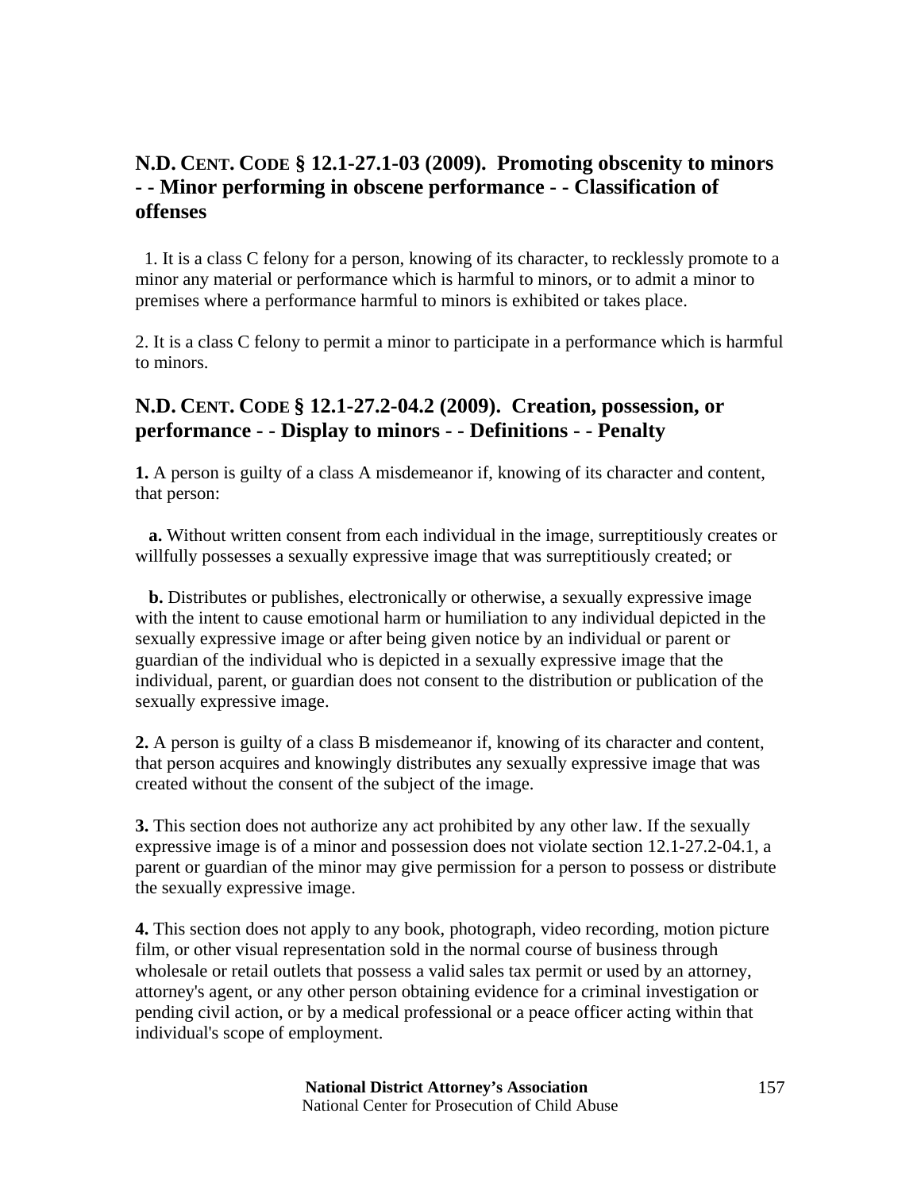### **N.D. CENT. CODE § 12.1-27.1-03 (2009). Promoting obscenity to minors - - Minor performing in obscene performance - - Classification of offenses**

 1. It is a class C felony for a person, knowing of its character, to recklessly promote to a minor any material or performance which is harmful to minors, or to admit a minor to premises where a performance harmful to minors is exhibited or takes place.

2. It is a class C felony to permit a minor to participate in a performance which is harmful to minors.

### **N.D. CENT. CODE § 12.1-27.2-04.2 (2009). Creation, possession, or performance - - Display to minors - - Definitions - - Penalty**

**1.** A person is guilty of a class A misdemeanor if, knowing of its character and content, that person:

 **a.** Without written consent from each individual in the image, surreptitiously creates or willfully possesses a sexually expressive image that was surreptitiously created; or

 **b.** Distributes or publishes, electronically or otherwise, a sexually expressive image with the intent to cause emotional harm or humiliation to any individual depicted in the sexually expressive image or after being given notice by an individual or parent or guardian of the individual who is depicted in a sexually expressive image that the individual, parent, or guardian does not consent to the distribution or publication of the sexually expressive image.

**2.** A person is guilty of a class B misdemeanor if, knowing of its character and content, that person acquires and knowingly distributes any sexually expressive image that was created without the consent of the subject of the image.

**3.** This section does not authorize any act prohibited by any other law. If the sexually expressive image is of a minor and possession does not violate section 12.1-27.2-04.1, a parent or guardian of the minor may give permission for a person to possess or distribute the sexually expressive image.

**4.** This section does not apply to any book, photograph, video recording, motion picture film, or other visual representation sold in the normal course of business through wholesale or retail outlets that possess a valid sales tax permit or used by an attorney, attorney's agent, or any other person obtaining evidence for a criminal investigation or pending civil action, or by a medical professional or a peace officer acting within that individual's scope of employment.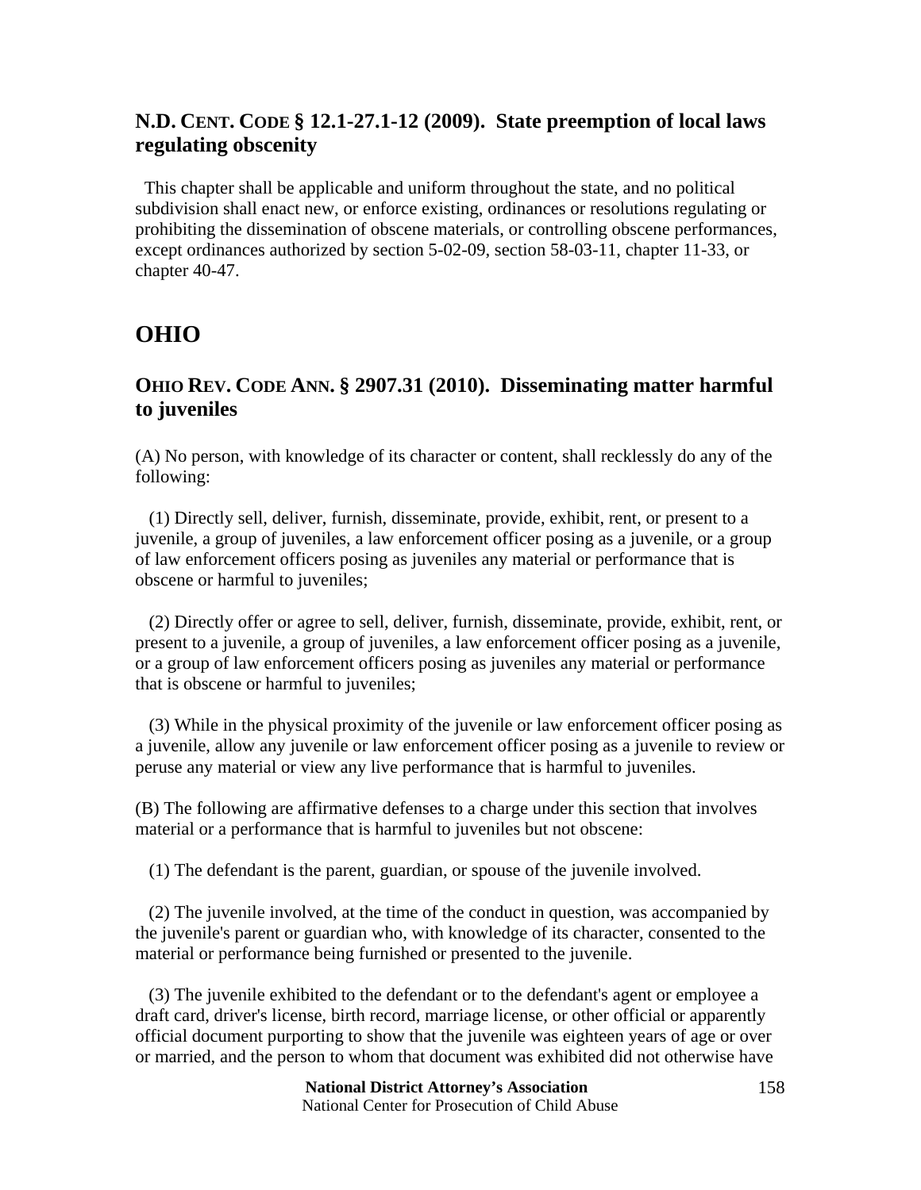### **N.D. CENT. CODE § 12.1-27.1-12 (2009). State preemption of local laws regulating obscenity**

 This chapter shall be applicable and uniform throughout the state, and no political subdivision shall enact new, or enforce existing, ordinances or resolutions regulating or prohibiting the dissemination of obscene materials, or controlling obscene performances, except ordinances authorized by section 5-02-09, section 58-03-11, chapter 11-33, or chapter 40-47.

# **OHIO**

### **OHIO REV. CODE ANN. § 2907.31 (2010). Disseminating matter harmful to juveniles**

(A) No person, with knowledge of its character or content, shall recklessly do any of the following:

 (1) Directly sell, deliver, furnish, disseminate, provide, exhibit, rent, or present to a juvenile, a group of juveniles, a law enforcement officer posing as a juvenile, or a group of law enforcement officers posing as juveniles any material or performance that is obscene or harmful to juveniles;

 (2) Directly offer or agree to sell, deliver, furnish, disseminate, provide, exhibit, rent, or present to a juvenile, a group of juveniles, a law enforcement officer posing as a juvenile, or a group of law enforcement officers posing as juveniles any material or performance that is obscene or harmful to juveniles;

 (3) While in the physical proximity of the juvenile or law enforcement officer posing as a juvenile, allow any juvenile or law enforcement officer posing as a juvenile to review or peruse any material or view any live performance that is harmful to juveniles.

(B) The following are affirmative defenses to a charge under this section that involves material or a performance that is harmful to juveniles but not obscene:

(1) The defendant is the parent, guardian, or spouse of the juvenile involved.

 (2) The juvenile involved, at the time of the conduct in question, was accompanied by the juvenile's parent or guardian who, with knowledge of its character, consented to the material or performance being furnished or presented to the juvenile.

 (3) The juvenile exhibited to the defendant or to the defendant's agent or employee a draft card, driver's license, birth record, marriage license, or other official or apparently official document purporting to show that the juvenile was eighteen years of age or over or married, and the person to whom that document was exhibited did not otherwise have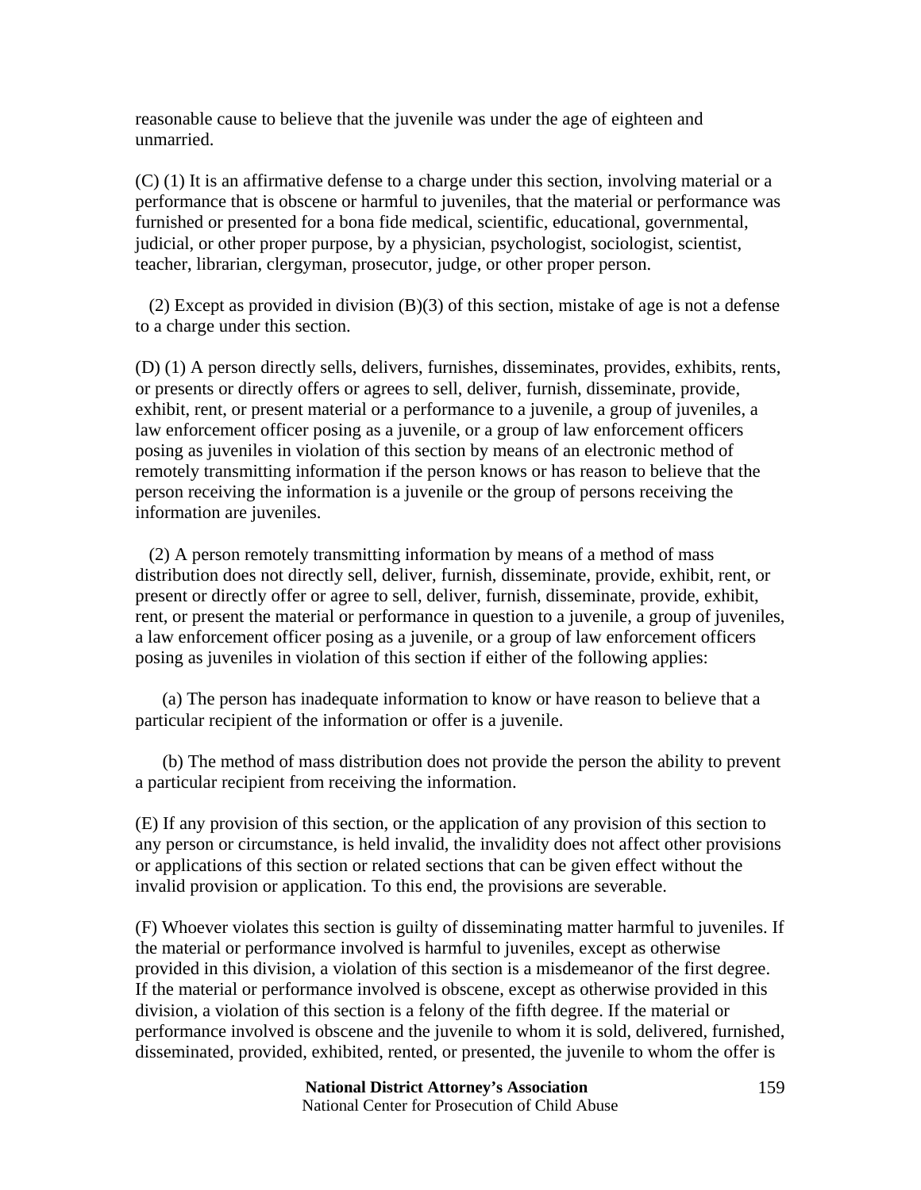reasonable cause to believe that the juvenile was under the age of eighteen and unmarried.

(C) (1) It is an affirmative defense to a charge under this section, involving material or a performance that is obscene or harmful to juveniles, that the material or performance was furnished or presented for a bona fide medical, scientific, educational, governmental, judicial, or other proper purpose, by a physician, psychologist, sociologist, scientist, teacher, librarian, clergyman, prosecutor, judge, or other proper person.

 (2) Except as provided in division (B)(3) of this section, mistake of age is not a defense to a charge under this section.

(D) (1) A person directly sells, delivers, furnishes, disseminates, provides, exhibits, rents, or presents or directly offers or agrees to sell, deliver, furnish, disseminate, provide, exhibit, rent, or present material or a performance to a juvenile, a group of juveniles, a law enforcement officer posing as a juvenile, or a group of law enforcement officers posing as juveniles in violation of this section by means of an electronic method of remotely transmitting information if the person knows or has reason to believe that the person receiving the information is a juvenile or the group of persons receiving the information are juveniles.

 (2) A person remotely transmitting information by means of a method of mass distribution does not directly sell, deliver, furnish, disseminate, provide, exhibit, rent, or present or directly offer or agree to sell, deliver, furnish, disseminate, provide, exhibit, rent, or present the material or performance in question to a juvenile, a group of juveniles, a law enforcement officer posing as a juvenile, or a group of law enforcement officers posing as juveniles in violation of this section if either of the following applies:

 (a) The person has inadequate information to know or have reason to believe that a particular recipient of the information or offer is a juvenile.

 (b) The method of mass distribution does not provide the person the ability to prevent a particular recipient from receiving the information.

(E) If any provision of this section, or the application of any provision of this section to any person or circumstance, is held invalid, the invalidity does not affect other provisions or applications of this section or related sections that can be given effect without the invalid provision or application. To this end, the provisions are severable.

(F) Whoever violates this section is guilty of disseminating matter harmful to juveniles. If the material or performance involved is harmful to juveniles, except as otherwise provided in this division, a violation of this section is a misdemeanor of the first degree. If the material or performance involved is obscene, except as otherwise provided in this division, a violation of this section is a felony of the fifth degree. If the material or performance involved is obscene and the juvenile to whom it is sold, delivered, furnished, disseminated, provided, exhibited, rented, or presented, the juvenile to whom the offer is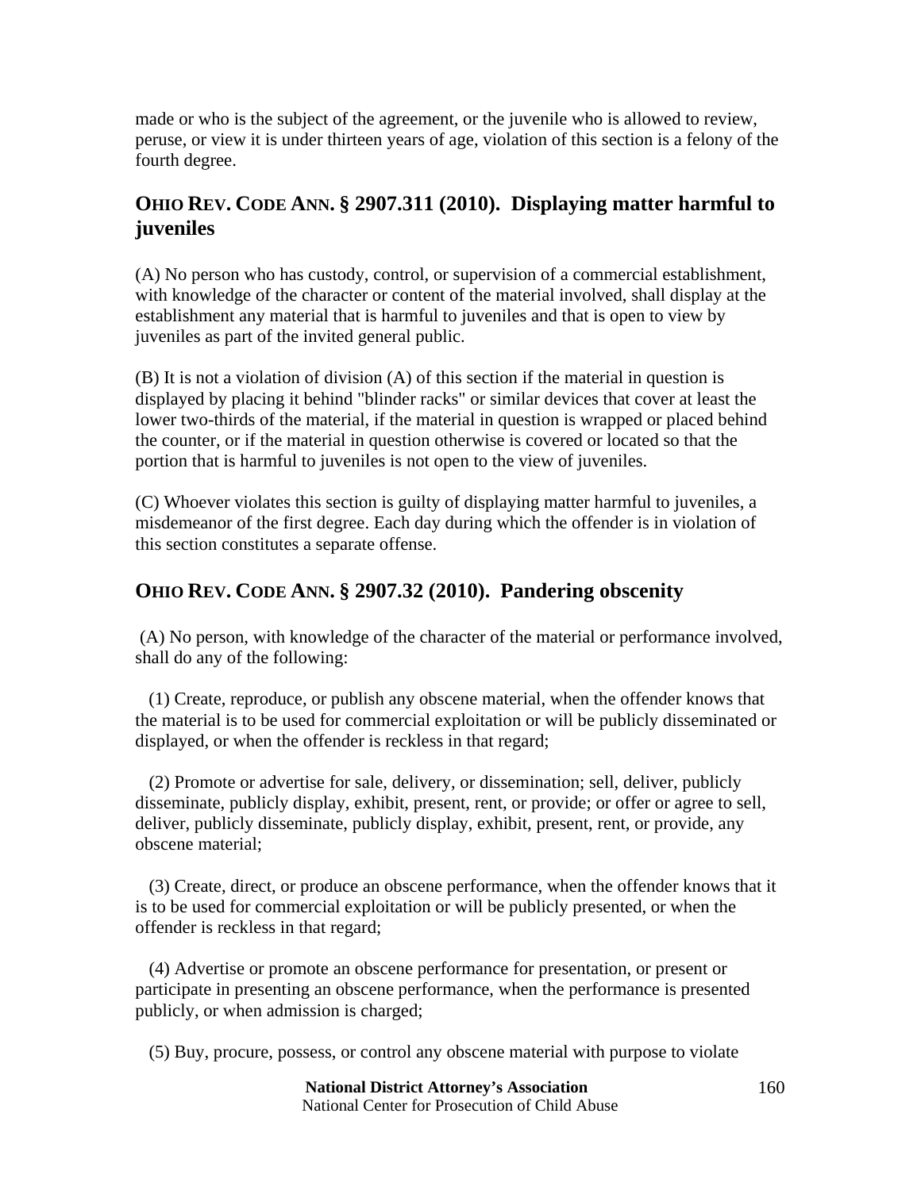made or who is the subject of the agreement, or the juvenile who is allowed to review, peruse, or view it is under thirteen years of age, violation of this section is a felony of the fourth degree.

### **OHIO REV. CODE ANN. § 2907.311 (2010). Displaying matter harmful to juveniles**

(A) No person who has custody, control, or supervision of a commercial establishment, with knowledge of the character or content of the material involved, shall display at the establishment any material that is harmful to juveniles and that is open to view by juveniles as part of the invited general public.

(B) It is not a violation of division (A) of this section if the material in question is displayed by placing it behind "blinder racks" or similar devices that cover at least the lower two-thirds of the material, if the material in question is wrapped or placed behind the counter, or if the material in question otherwise is covered or located so that the portion that is harmful to juveniles is not open to the view of juveniles.

(C) Whoever violates this section is guilty of displaying matter harmful to juveniles, a misdemeanor of the first degree. Each day during which the offender is in violation of this section constitutes a separate offense.

### **OHIO REV. CODE ANN. § 2907.32 (2010). Pandering obscenity**

 (A) No person, with knowledge of the character of the material or performance involved, shall do any of the following:

 (1) Create, reproduce, or publish any obscene material, when the offender knows that the material is to be used for commercial exploitation or will be publicly disseminated or displayed, or when the offender is reckless in that regard;

 (2) Promote or advertise for sale, delivery, or dissemination; sell, deliver, publicly disseminate, publicly display, exhibit, present, rent, or provide; or offer or agree to sell, deliver, publicly disseminate, publicly display, exhibit, present, rent, or provide, any obscene material;

 (3) Create, direct, or produce an obscene performance, when the offender knows that it is to be used for commercial exploitation or will be publicly presented, or when the offender is reckless in that regard;

 (4) Advertise or promote an obscene performance for presentation, or present or participate in presenting an obscene performance, when the performance is presented publicly, or when admission is charged;

(5) Buy, procure, possess, or control any obscene material with purpose to violate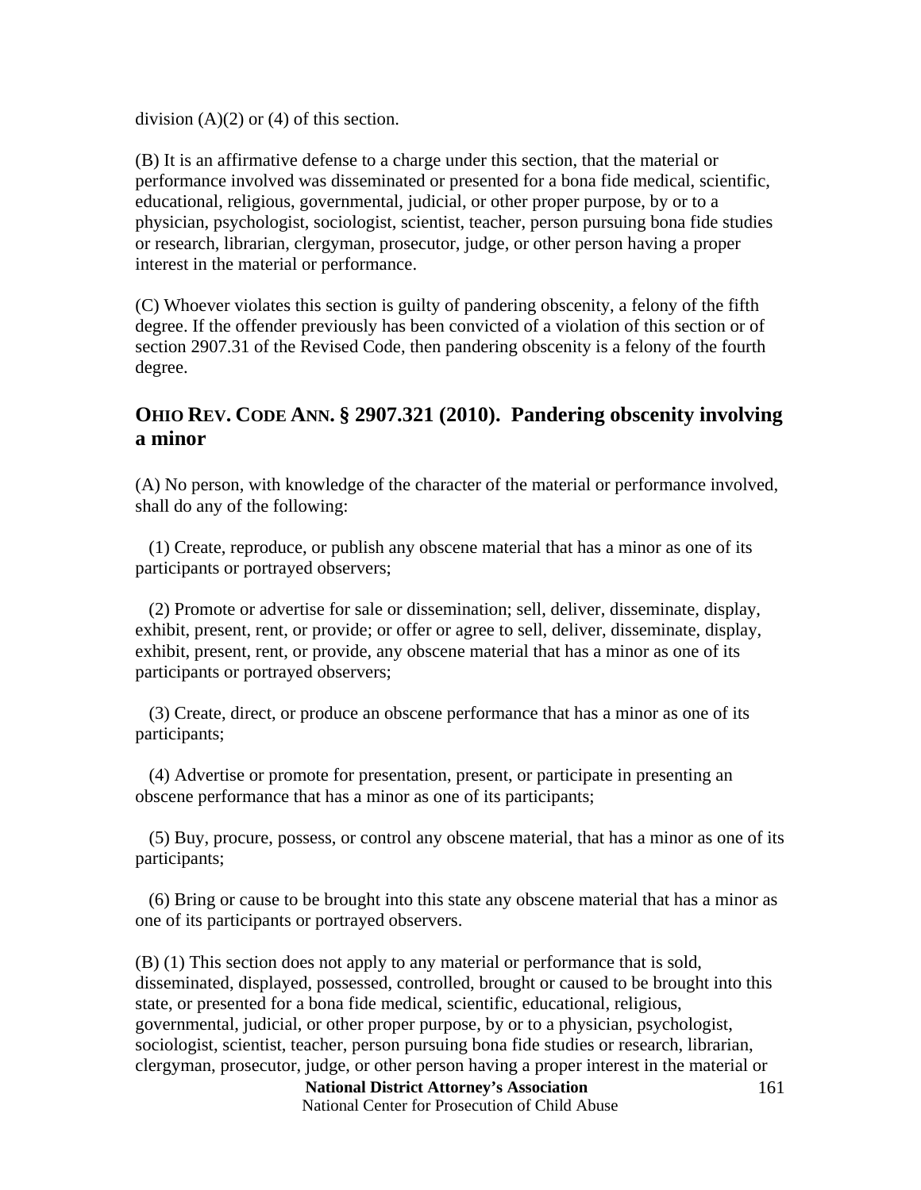division  $(A)(2)$  or  $(4)$  of this section.

(B) It is an affirmative defense to a charge under this section, that the material or performance involved was disseminated or presented for a bona fide medical, scientific, educational, religious, governmental, judicial, or other proper purpose, by or to a physician, psychologist, sociologist, scientist, teacher, person pursuing bona fide studies or research, librarian, clergyman, prosecutor, judge, or other person having a proper interest in the material or performance.

(C) Whoever violates this section is guilty of pandering obscenity, a felony of the fifth degree. If the offender previously has been convicted of a violation of this section or of section 2907.31 of the Revised Code, then pandering obscenity is a felony of the fourth degree.

### **OHIO REV. CODE ANN. § 2907.321 (2010). Pandering obscenity involving a minor**

(A) No person, with knowledge of the character of the material or performance involved, shall do any of the following:

 (1) Create, reproduce, or publish any obscene material that has a minor as one of its participants or portrayed observers;

 (2) Promote or advertise for sale or dissemination; sell, deliver, disseminate, display, exhibit, present, rent, or provide; or offer or agree to sell, deliver, disseminate, display, exhibit, present, rent, or provide, any obscene material that has a minor as one of its participants or portrayed observers;

 (3) Create, direct, or produce an obscene performance that has a minor as one of its participants;

 (4) Advertise or promote for presentation, present, or participate in presenting an obscene performance that has a minor as one of its participants;

 (5) Buy, procure, possess, or control any obscene material, that has a minor as one of its participants;

 (6) Bring or cause to be brought into this state any obscene material that has a minor as one of its participants or portrayed observers.

**National District Attorney's Association**  (B) (1) This section does not apply to any material or performance that is sold, disseminated, displayed, possessed, controlled, brought or caused to be brought into this state, or presented for a bona fide medical, scientific, educational, religious, governmental, judicial, or other proper purpose, by or to a physician, psychologist, sociologist, scientist, teacher, person pursuing bona fide studies or research, librarian, clergyman, prosecutor, judge, or other person having a proper interest in the material or

National Center for Prosecution of Child Abuse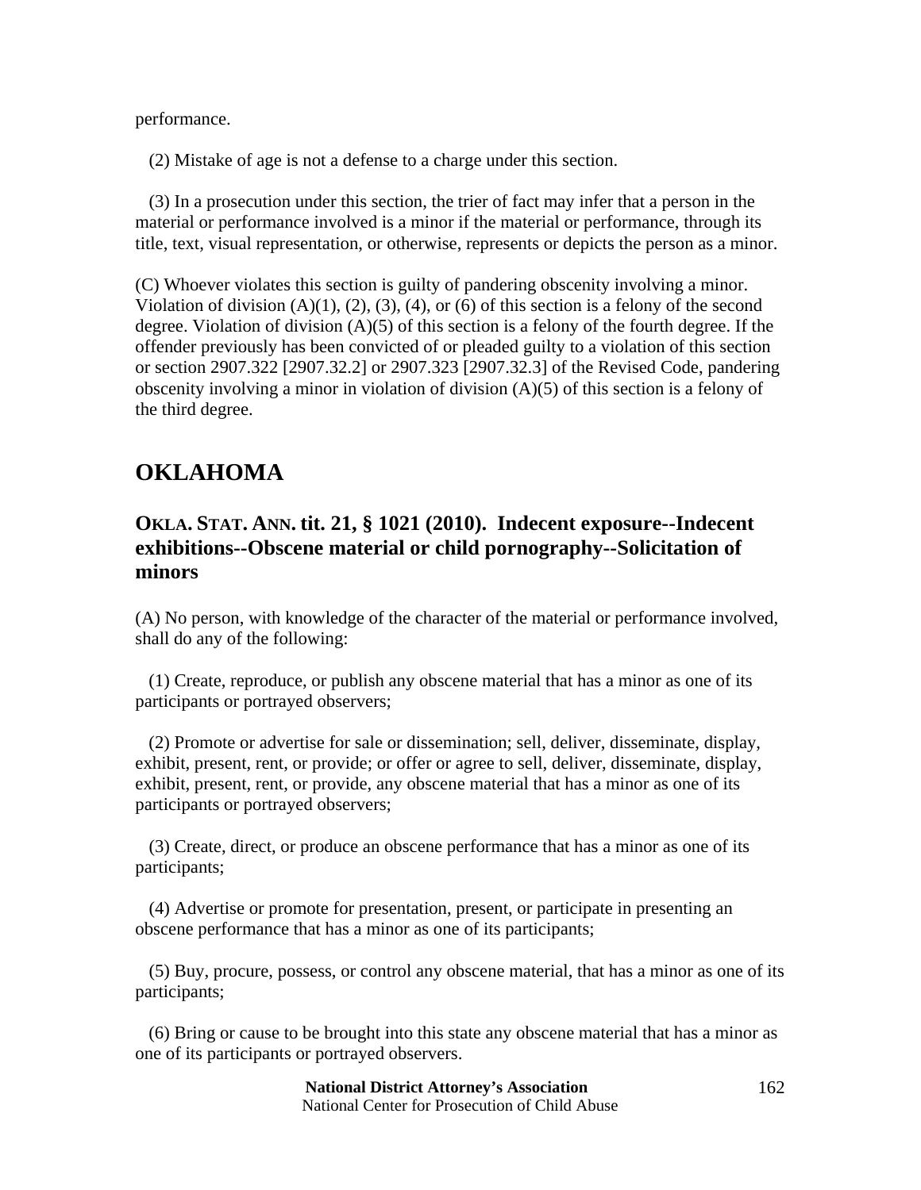performance.

(2) Mistake of age is not a defense to a charge under this section.

 (3) In a prosecution under this section, the trier of fact may infer that a person in the material or performance involved is a minor if the material or performance, through its title, text, visual representation, or otherwise, represents or depicts the person as a minor.

(C) Whoever violates this section is guilty of pandering obscenity involving a minor. Violation of division  $(A)(1)$ ,  $(2)$ ,  $(3)$ ,  $(4)$ , or  $(6)$  of this section is a felony of the second degree. Violation of division  $(A)(5)$  of this section is a felony of the fourth degree. If the offender previously has been convicted of or pleaded guilty to a violation of this section or section 2907.322 [2907.32.2] or 2907.323 [2907.32.3] of the Revised Code, pandering obscenity involving a minor in violation of division (A)(5) of this section is a felony of the third degree.

# **OKLAHOMA**

### **OKLA. STAT. ANN. tit. 21, § 1021 (2010). Indecent exposure--Indecent exhibitions--Obscene material or child pornography--Solicitation of minors**

(A) No person, with knowledge of the character of the material or performance involved, shall do any of the following:

 (1) Create, reproduce, or publish any obscene material that has a minor as one of its participants or portrayed observers;

 (2) Promote or advertise for sale or dissemination; sell, deliver, disseminate, display, exhibit, present, rent, or provide; or offer or agree to sell, deliver, disseminate, display, exhibit, present, rent, or provide, any obscene material that has a minor as one of its participants or portrayed observers;

 (3) Create, direct, or produce an obscene performance that has a minor as one of its participants;

 (4) Advertise or promote for presentation, present, or participate in presenting an obscene performance that has a minor as one of its participants;

 (5) Buy, procure, possess, or control any obscene material, that has a minor as one of its participants;

 (6) Bring or cause to be brought into this state any obscene material that has a minor as one of its participants or portrayed observers.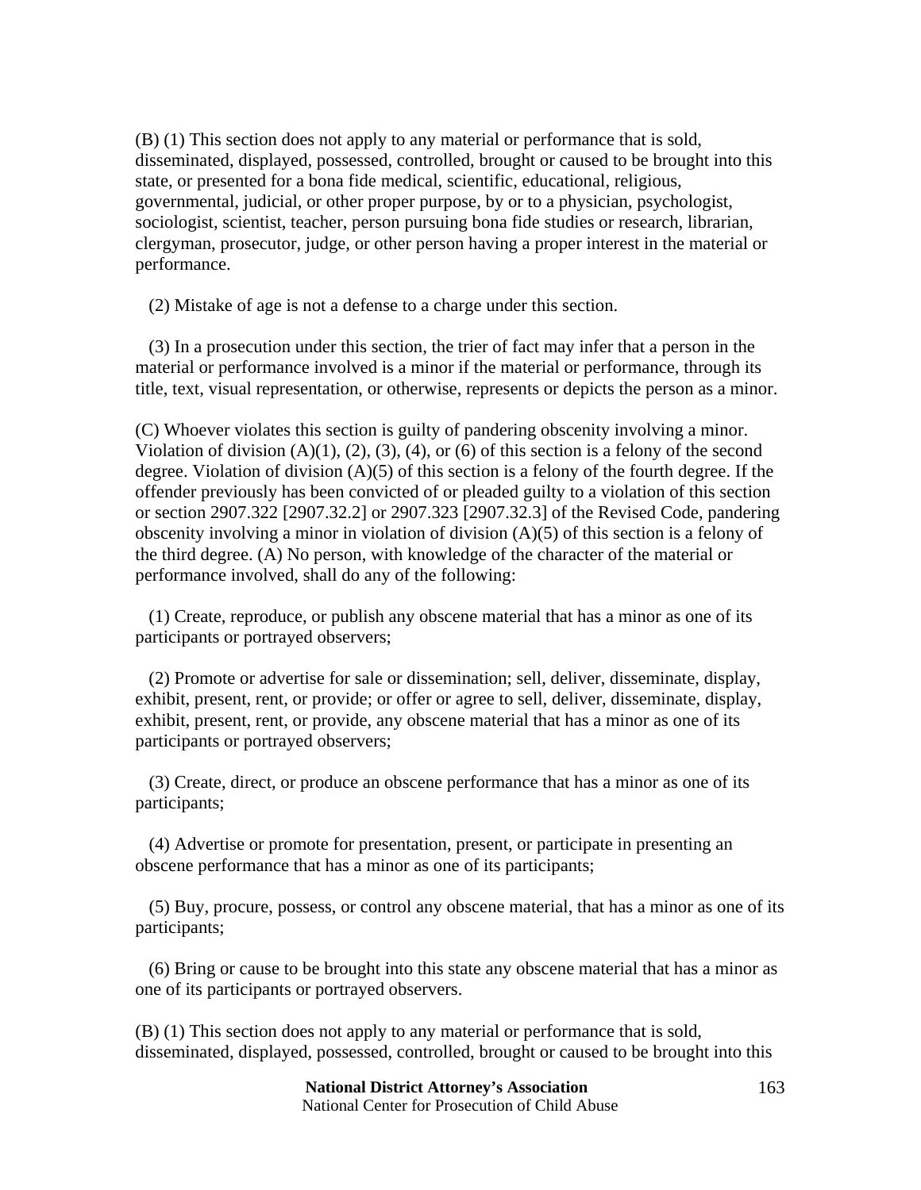(B) (1) This section does not apply to any material or performance that is sold, disseminated, displayed, possessed, controlled, brought or caused to be brought into this state, or presented for a bona fide medical, scientific, educational, religious, governmental, judicial, or other proper purpose, by or to a physician, psychologist, sociologist, scientist, teacher, person pursuing bona fide studies or research, librarian, clergyman, prosecutor, judge, or other person having a proper interest in the material or performance.

(2) Mistake of age is not a defense to a charge under this section.

 (3) In a prosecution under this section, the trier of fact may infer that a person in the material or performance involved is a minor if the material or performance, through its title, text, visual representation, or otherwise, represents or depicts the person as a minor.

(C) Whoever violates this section is guilty of pandering obscenity involving a minor. Violation of division  $(A)(1)$ ,  $(2)$ ,  $(3)$ ,  $(4)$ , or  $(6)$  of this section is a felony of the second degree. Violation of division  $(A)(5)$  of this section is a felony of the fourth degree. If the offender previously has been convicted of or pleaded guilty to a violation of this section or section 2907.322 [2907.32.2] or 2907.323 [2907.32.3] of the Revised Code, pandering obscenity involving a minor in violation of division (A)(5) of this section is a felony of the third degree. (A) No person, with knowledge of the character of the material or performance involved, shall do any of the following:

 (1) Create, reproduce, or publish any obscene material that has a minor as one of its participants or portrayed observers;

 (2) Promote or advertise for sale or dissemination; sell, deliver, disseminate, display, exhibit, present, rent, or provide; or offer or agree to sell, deliver, disseminate, display, exhibit, present, rent, or provide, any obscene material that has a minor as one of its participants or portrayed observers;

 (3) Create, direct, or produce an obscene performance that has a minor as one of its participants;

 (4) Advertise or promote for presentation, present, or participate in presenting an obscene performance that has a minor as one of its participants;

 (5) Buy, procure, possess, or control any obscene material, that has a minor as one of its participants;

 (6) Bring or cause to be brought into this state any obscene material that has a minor as one of its participants or portrayed observers.

(B) (1) This section does not apply to any material or performance that is sold, disseminated, displayed, possessed, controlled, brought or caused to be brought into this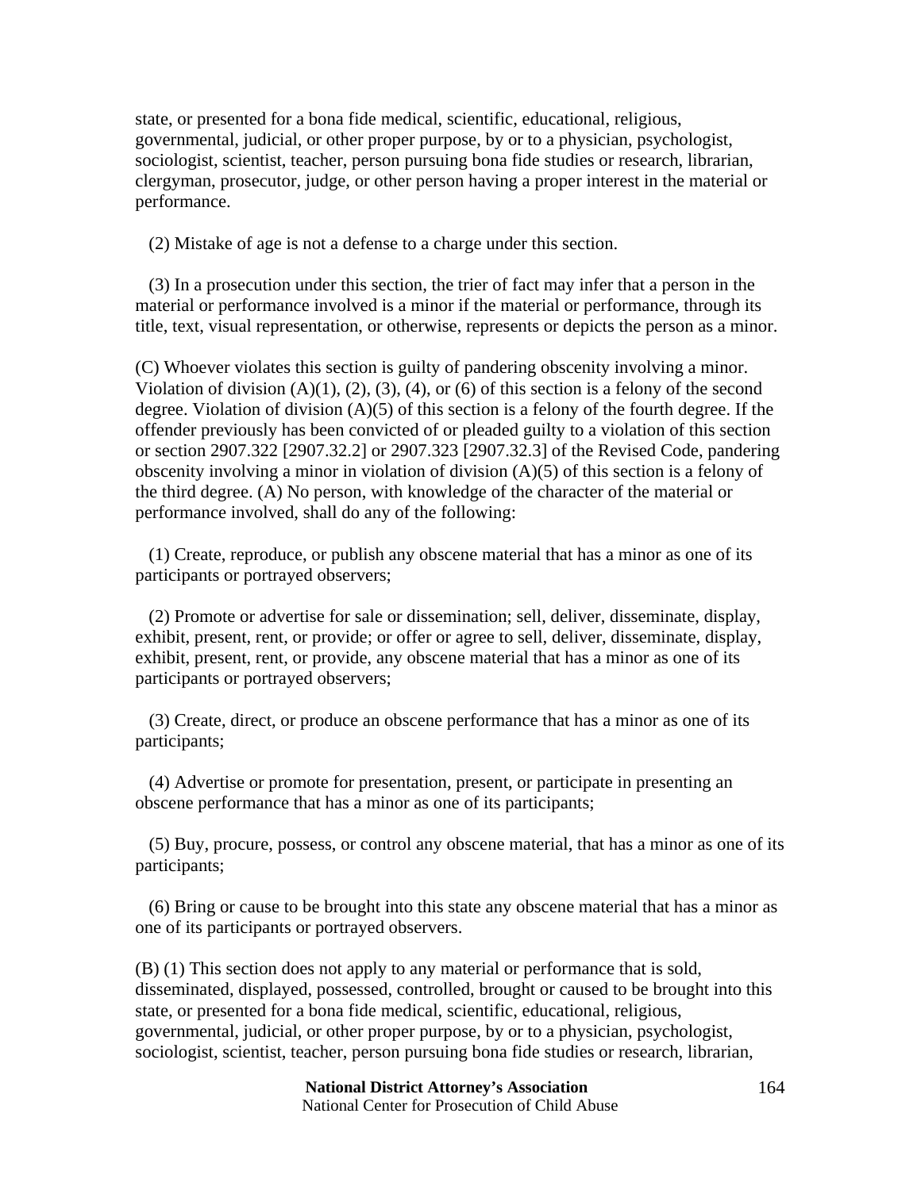state, or presented for a bona fide medical, scientific, educational, religious, governmental, judicial, or other proper purpose, by or to a physician, psychologist, sociologist, scientist, teacher, person pursuing bona fide studies or research, librarian, clergyman, prosecutor, judge, or other person having a proper interest in the material or performance.

(2) Mistake of age is not a defense to a charge under this section.

 (3) In a prosecution under this section, the trier of fact may infer that a person in the material or performance involved is a minor if the material or performance, through its title, text, visual representation, or otherwise, represents or depicts the person as a minor.

(C) Whoever violates this section is guilty of pandering obscenity involving a minor. Violation of division  $(A)(1)$ ,  $(2)$ ,  $(3)$ ,  $(4)$ , or  $(6)$  of this section is a felony of the second degree. Violation of division  $(A)(5)$  of this section is a felony of the fourth degree. If the offender previously has been convicted of or pleaded guilty to a violation of this section or section 2907.322 [2907.32.2] or 2907.323 [2907.32.3] of the Revised Code, pandering obscenity involving a minor in violation of division (A)(5) of this section is a felony of the third degree. (A) No person, with knowledge of the character of the material or performance involved, shall do any of the following:

 (1) Create, reproduce, or publish any obscene material that has a minor as one of its participants or portrayed observers;

 (2) Promote or advertise for sale or dissemination; sell, deliver, disseminate, display, exhibit, present, rent, or provide; or offer or agree to sell, deliver, disseminate, display, exhibit, present, rent, or provide, any obscene material that has a minor as one of its participants or portrayed observers;

 (3) Create, direct, or produce an obscene performance that has a minor as one of its participants;

 (4) Advertise or promote for presentation, present, or participate in presenting an obscene performance that has a minor as one of its participants;

 (5) Buy, procure, possess, or control any obscene material, that has a minor as one of its participants;

 (6) Bring or cause to be brought into this state any obscene material that has a minor as one of its participants or portrayed observers.

(B) (1) This section does not apply to any material or performance that is sold, disseminated, displayed, possessed, controlled, brought or caused to be brought into this state, or presented for a bona fide medical, scientific, educational, religious, governmental, judicial, or other proper purpose, by or to a physician, psychologist, sociologist, scientist, teacher, person pursuing bona fide studies or research, librarian,

#### **National District Attorney's Association**  National Center for Prosecution of Child Abuse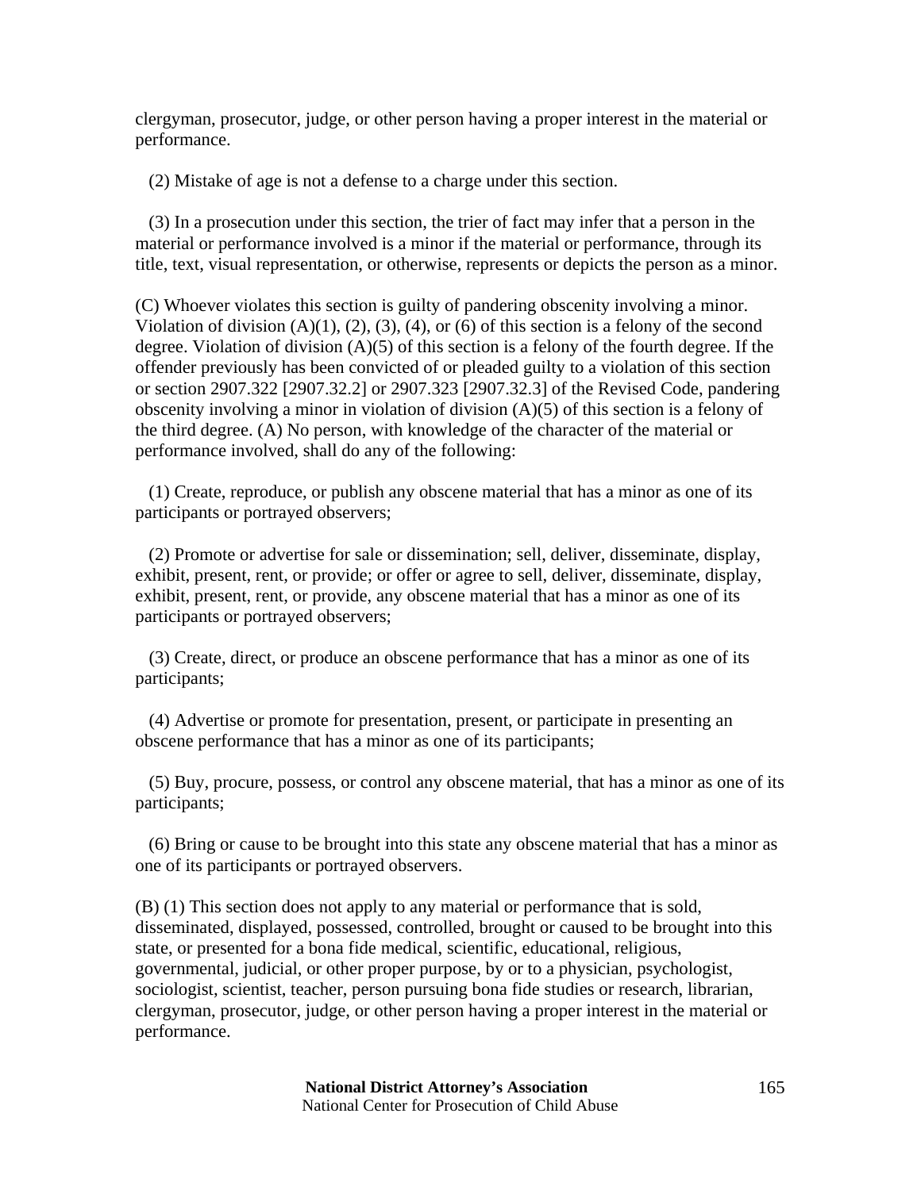clergyman, prosecutor, judge, or other person having a proper interest in the material or performance.

(2) Mistake of age is not a defense to a charge under this section.

 (3) In a prosecution under this section, the trier of fact may infer that a person in the material or performance involved is a minor if the material or performance, through its title, text, visual representation, or otherwise, represents or depicts the person as a minor.

(C) Whoever violates this section is guilty of pandering obscenity involving a minor. Violation of division  $(A)(1)$ ,  $(2)$ ,  $(3)$ ,  $(4)$ , or  $(6)$  of this section is a felony of the second degree. Violation of division (A)(5) of this section is a felony of the fourth degree. If the offender previously has been convicted of or pleaded guilty to a violation of this section or section 2907.322 [2907.32.2] or 2907.323 [2907.32.3] of the Revised Code, pandering obscenity involving a minor in violation of division (A)(5) of this section is a felony of the third degree. (A) No person, with knowledge of the character of the material or performance involved, shall do any of the following:

 (1) Create, reproduce, or publish any obscene material that has a minor as one of its participants or portrayed observers;

 (2) Promote or advertise for sale or dissemination; sell, deliver, disseminate, display, exhibit, present, rent, or provide; or offer or agree to sell, deliver, disseminate, display, exhibit, present, rent, or provide, any obscene material that has a minor as one of its participants or portrayed observers;

 (3) Create, direct, or produce an obscene performance that has a minor as one of its participants;

 (4) Advertise or promote for presentation, present, or participate in presenting an obscene performance that has a minor as one of its participants;

 (5) Buy, procure, possess, or control any obscene material, that has a minor as one of its participants;

 (6) Bring or cause to be brought into this state any obscene material that has a minor as one of its participants or portrayed observers.

(B) (1) This section does not apply to any material or performance that is sold, disseminated, displayed, possessed, controlled, brought or caused to be brought into this state, or presented for a bona fide medical, scientific, educational, religious, governmental, judicial, or other proper purpose, by or to a physician, psychologist, sociologist, scientist, teacher, person pursuing bona fide studies or research, librarian, clergyman, prosecutor, judge, or other person having a proper interest in the material or performance.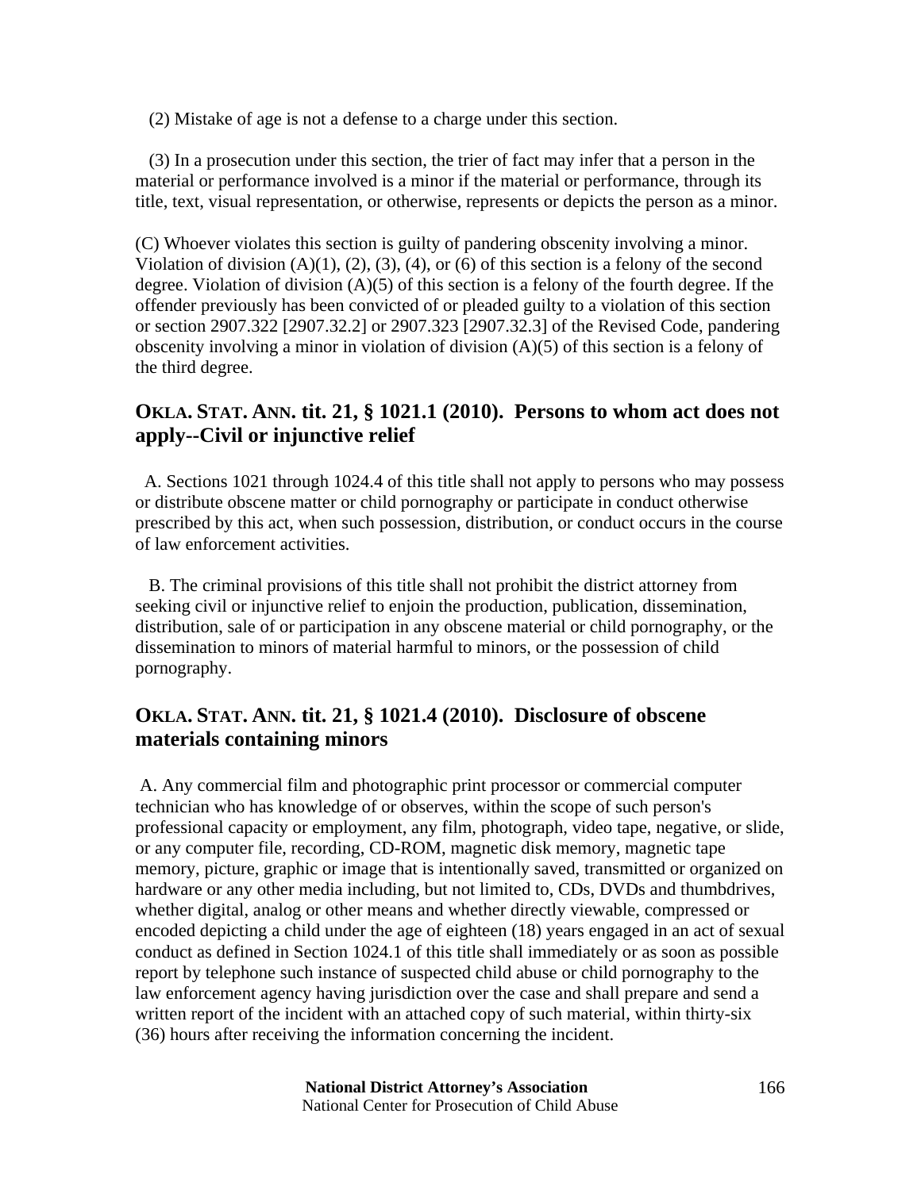(2) Mistake of age is not a defense to a charge under this section.

 (3) In a prosecution under this section, the trier of fact may infer that a person in the material or performance involved is a minor if the material or performance, through its title, text, visual representation, or otherwise, represents or depicts the person as a minor.

(C) Whoever violates this section is guilty of pandering obscenity involving a minor. Violation of division  $(A)(1)$ ,  $(2)$ ,  $(3)$ ,  $(4)$ , or  $(6)$  of this section is a felony of the second degree. Violation of division  $(A)(5)$  of this section is a felony of the fourth degree. If the offender previously has been convicted of or pleaded guilty to a violation of this section or section 2907.322 [2907.32.2] or 2907.323 [2907.32.3] of the Revised Code, pandering obscenity involving a minor in violation of division (A)(5) of this section is a felony of the third degree.

### **OKLA. STAT. ANN. tit. 21, § 1021.1 (2010). Persons to whom act does not apply--Civil or injunctive relief**

 A. Sections 1021 through 1024.4 of this title shall not apply to persons who may possess or distribute obscene matter or child pornography or participate in conduct otherwise prescribed by this act, when such possession, distribution, or conduct occurs in the course of law enforcement activities.

 B. The criminal provisions of this title shall not prohibit the district attorney from seeking civil or injunctive relief to enjoin the production, publication, dissemination, distribution, sale of or participation in any obscene material or child pornography, or the dissemination to minors of material harmful to minors, or the possession of child pornography.

### **OKLA. STAT. ANN. tit. 21, § 1021.4 (2010). Disclosure of obscene materials containing minors**

 A. Any commercial film and photographic print processor or commercial computer technician who has knowledge of or observes, within the scope of such person's professional capacity or employment, any film, photograph, video tape, negative, or slide, or any computer file, recording, CD-ROM, magnetic disk memory, magnetic tape memory, picture, graphic or image that is intentionally saved, transmitted or organized on hardware or any other media including, but not limited to, CDs, DVDs and thumbdrives, whether digital, analog or other means and whether directly viewable, compressed or encoded depicting a child under the age of eighteen (18) years engaged in an act of sexual conduct as defined in Section 1024.1 of this title shall immediately or as soon as possible report by telephone such instance of suspected child abuse or child pornography to the law enforcement agency having jurisdiction over the case and shall prepare and send a written report of the incident with an attached copy of such material, within thirty-six (36) hours after receiving the information concerning the incident.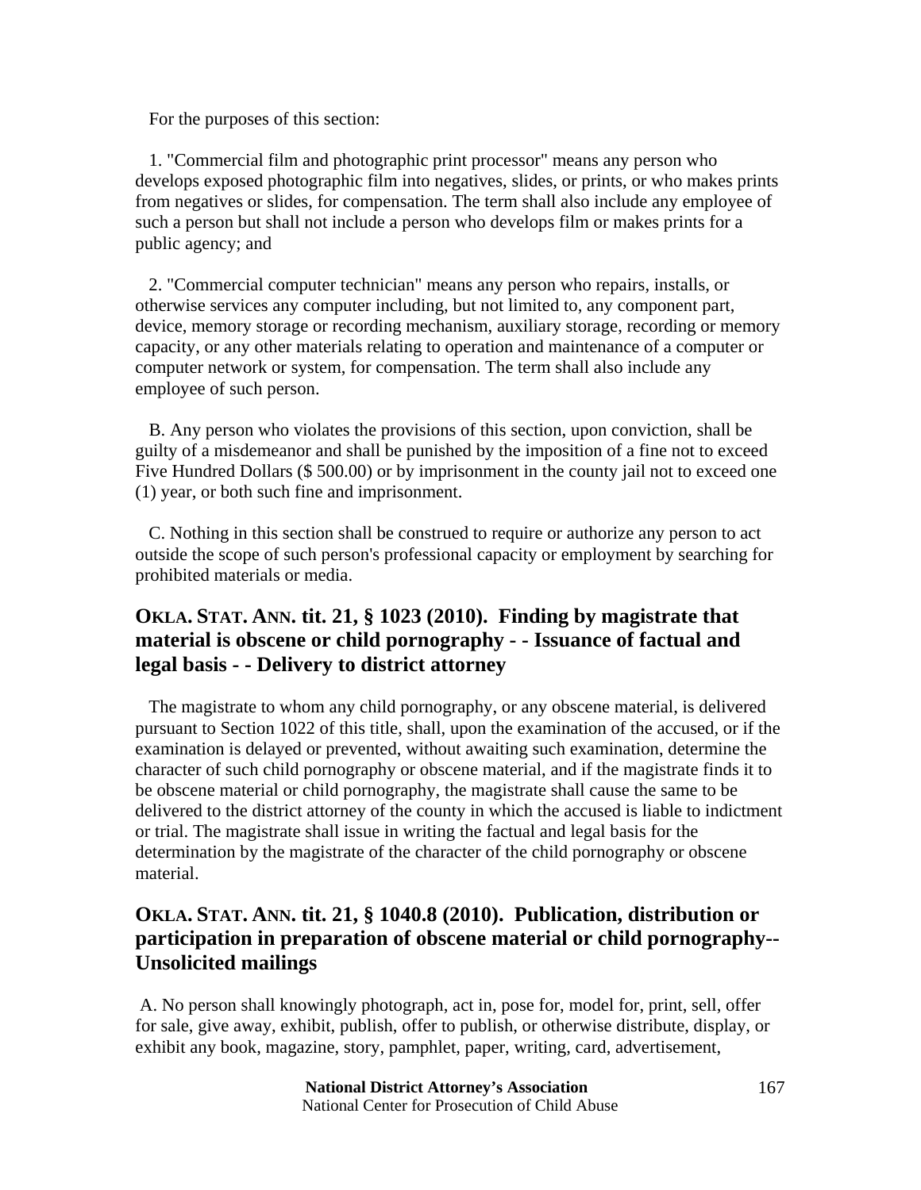For the purposes of this section:

 1. "Commercial film and photographic print processor" means any person who develops exposed photographic film into negatives, slides, or prints, or who makes prints from negatives or slides, for compensation. The term shall also include any employee of such a person but shall not include a person who develops film or makes prints for a public agency; and

 2. "Commercial computer technician" means any person who repairs, installs, or otherwise services any computer including, but not limited to, any component part, device, memory storage or recording mechanism, auxiliary storage, recording or memory capacity, or any other materials relating to operation and maintenance of a computer or computer network or system, for compensation. The term shall also include any employee of such person.

 B. Any person who violates the provisions of this section, upon conviction, shall be guilty of a misdemeanor and shall be punished by the imposition of a fine not to exceed Five Hundred Dollars (\$ 500.00) or by imprisonment in the county jail not to exceed one (1) year, or both such fine and imprisonment.

 C. Nothing in this section shall be construed to require or authorize any person to act outside the scope of such person's professional capacity or employment by searching for prohibited materials or media.

### **OKLA. STAT. ANN. tit. 21, § 1023 (2010). Finding by magistrate that material is obscene or child pornography - - Issuance of factual and legal basis - - Delivery to district attorney**

 The magistrate to whom any child pornography, or any obscene material, is delivered pursuant to Section 1022 of this title, shall, upon the examination of the accused, or if the examination is delayed or prevented, without awaiting such examination, determine the character of such child pornography or obscene material, and if the magistrate finds it to be obscene material or child pornography, the magistrate shall cause the same to be delivered to the district attorney of the county in which the accused is liable to indictment or trial. The magistrate shall issue in writing the factual and legal basis for the determination by the magistrate of the character of the child pornography or obscene material.

### **OKLA. STAT. ANN. tit. 21, § 1040.8 (2010). Publication, distribution or participation in preparation of obscene material or child pornography-- Unsolicited mailings**

 A. No person shall knowingly photograph, act in, pose for, model for, print, sell, offer for sale, give away, exhibit, publish, offer to publish, or otherwise distribute, display, or exhibit any book, magazine, story, pamphlet, paper, writing, card, advertisement,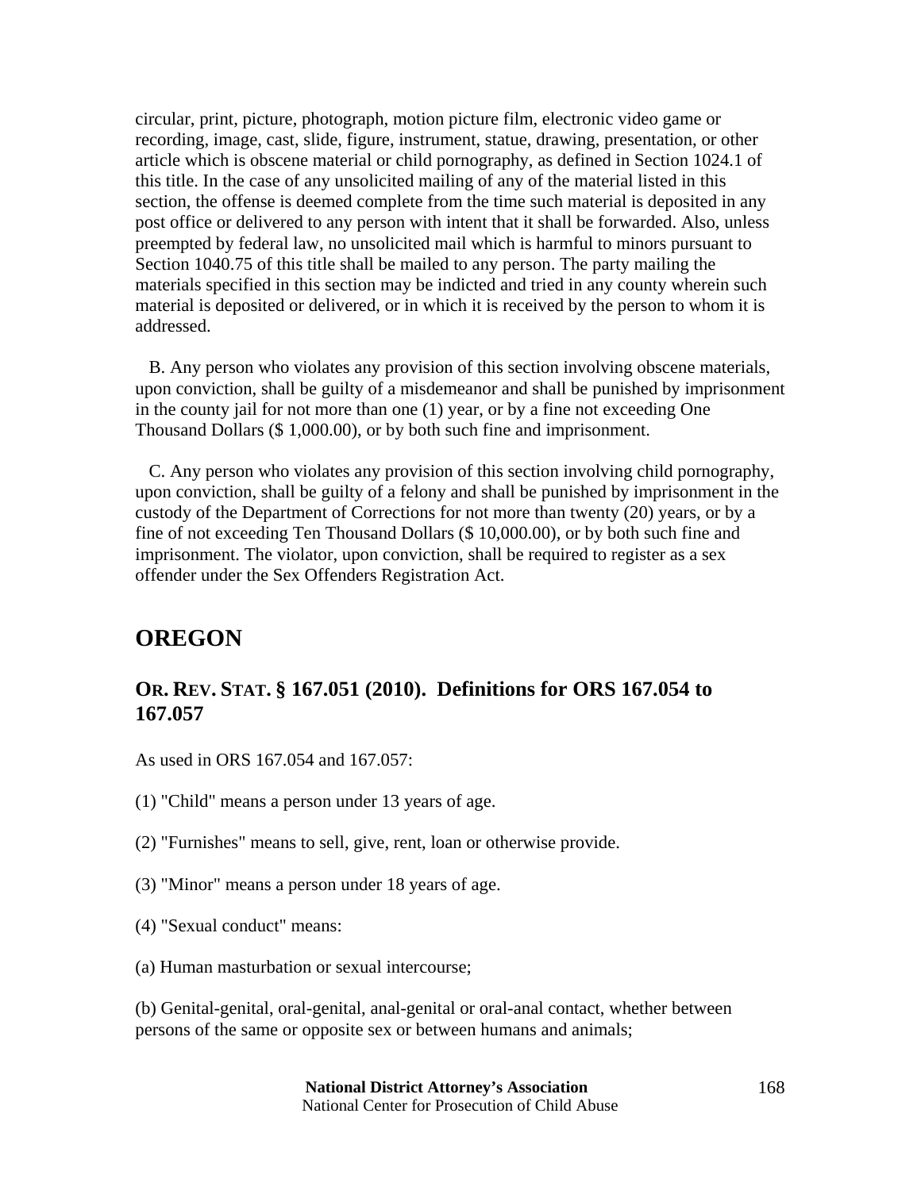circular, print, picture, photograph, motion picture film, electronic video game or recording, image, cast, slide, figure, instrument, statue, drawing, presentation, or other article which is obscene material or child pornography, as defined in Section 1024.1 of this title. In the case of any unsolicited mailing of any of the material listed in this section, the offense is deemed complete from the time such material is deposited in any post office or delivered to any person with intent that it shall be forwarded. Also, unless preempted by federal law, no unsolicited mail which is harmful to minors pursuant to Section 1040.75 of this title shall be mailed to any person. The party mailing the materials specified in this section may be indicted and tried in any county wherein such material is deposited or delivered, or in which it is received by the person to whom it is addressed.

 B. Any person who violates any provision of this section involving obscene materials, upon conviction, shall be guilty of a misdemeanor and shall be punished by imprisonment in the county jail for not more than one (1) year, or by a fine not exceeding One Thousand Dollars (\$ 1,000.00), or by both such fine and imprisonment.

 C. Any person who violates any provision of this section involving child pornography, upon conviction, shall be guilty of a felony and shall be punished by imprisonment in the custody of the Department of Corrections for not more than twenty (20) years, or by a fine of not exceeding Ten Thousand Dollars (\$ 10,000.00), or by both such fine and imprisonment. The violator, upon conviction, shall be required to register as a sex offender under the Sex Offenders Registration Act.

### **OREGON**

### **OR. REV. STAT. § 167.051 (2010). Definitions for ORS 167.054 to 167.057**

As used in ORS 167.054 and 167.057:

- (1) "Child" means a person under 13 years of age.
- (2) "Furnishes" means to sell, give, rent, loan or otherwise provide.
- (3) "Minor" means a person under 18 years of age.
- (4) "Sexual conduct" means:
- (a) Human masturbation or sexual intercourse;

(b) Genital-genital, oral-genital, anal-genital or oral-anal contact, whether between persons of the same or opposite sex or between humans and animals;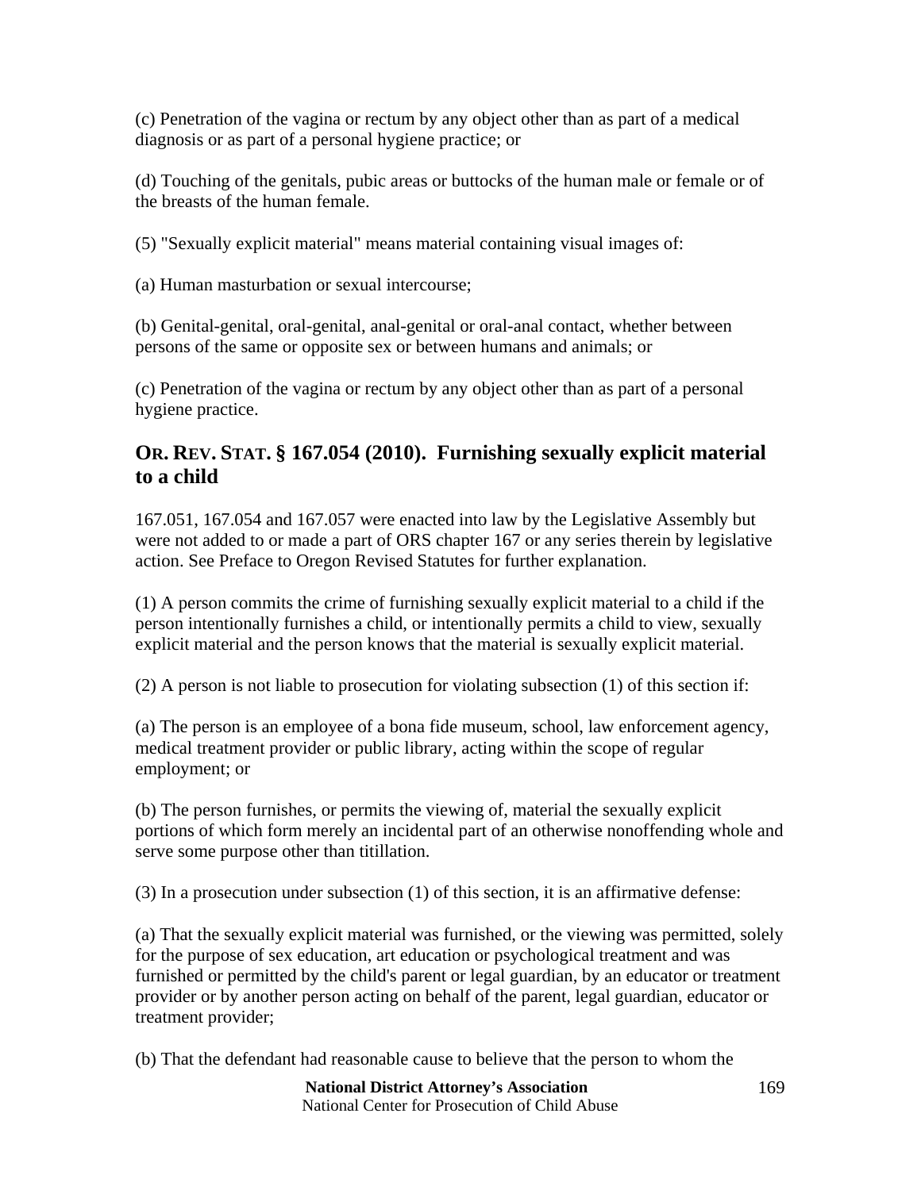(c) Penetration of the vagina or rectum by any object other than as part of a medical diagnosis or as part of a personal hygiene practice; or

(d) Touching of the genitals, pubic areas or buttocks of the human male or female or of the breasts of the human female.

(5) "Sexually explicit material" means material containing visual images of:

(a) Human masturbation or sexual intercourse;

(b) Genital-genital, oral-genital, anal-genital or oral-anal contact, whether between persons of the same or opposite sex or between humans and animals; or

(c) Penetration of the vagina or rectum by any object other than as part of a personal hygiene practice.

### **OR. REV. STAT. § 167.054 (2010). Furnishing sexually explicit material to a child**

167.051, 167.054 and 167.057 were enacted into law by the Legislative Assembly but were not added to or made a part of ORS chapter 167 or any series therein by legislative action. See Preface to Oregon Revised Statutes for further explanation.

(1) A person commits the crime of furnishing sexually explicit material to a child if the person intentionally furnishes a child, or intentionally permits a child to view, sexually explicit material and the person knows that the material is sexually explicit material.

(2) A person is not liable to prosecution for violating subsection (1) of this section if:

(a) The person is an employee of a bona fide museum, school, law enforcement agency, medical treatment provider or public library, acting within the scope of regular employment; or

(b) The person furnishes, or permits the viewing of, material the sexually explicit portions of which form merely an incidental part of an otherwise nonoffending whole and serve some purpose other than titillation.

(3) In a prosecution under subsection (1) of this section, it is an affirmative defense:

(a) That the sexually explicit material was furnished, or the viewing was permitted, solely for the purpose of sex education, art education or psychological treatment and was furnished or permitted by the child's parent or legal guardian, by an educator or treatment provider or by another person acting on behalf of the parent, legal guardian, educator or treatment provider;

(b) That the defendant had reasonable cause to believe that the person to whom the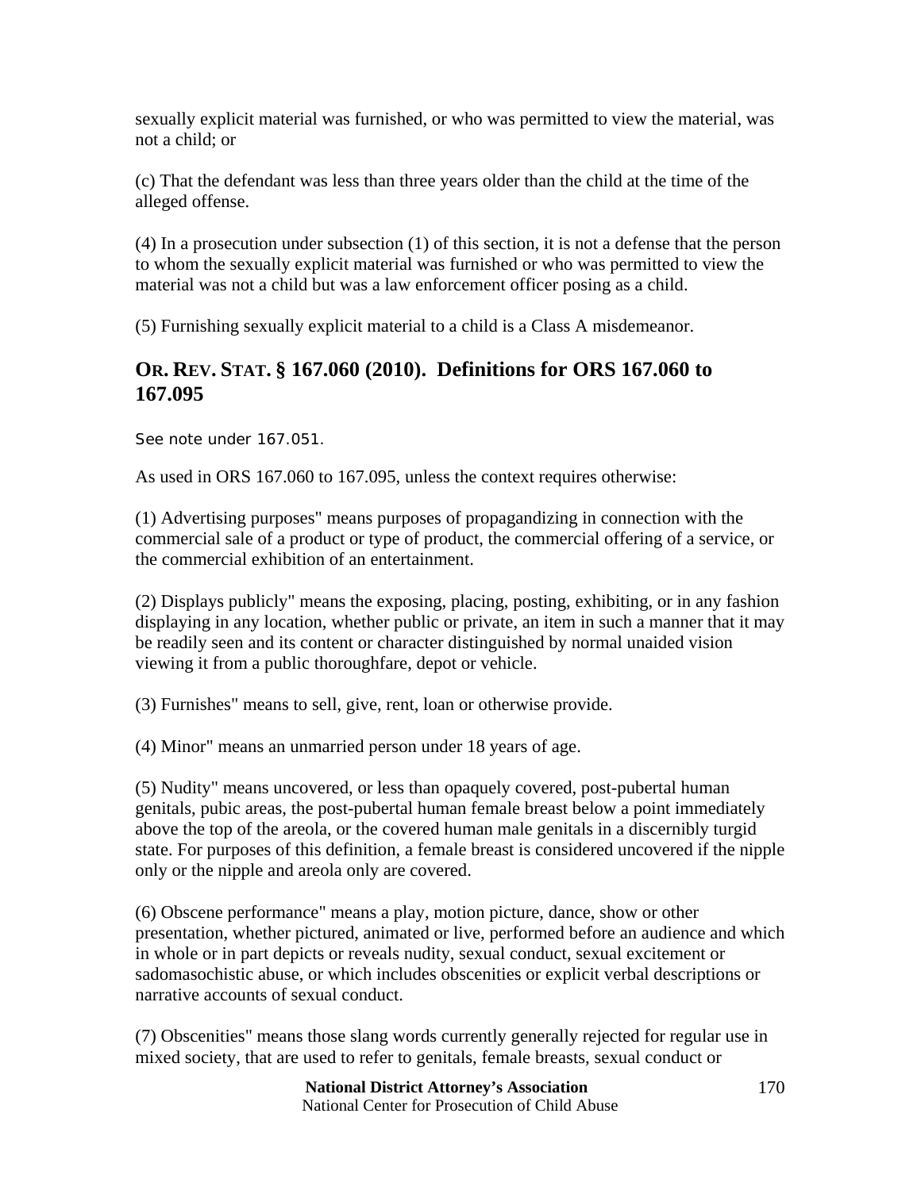sexually explicit material was furnished, or who was permitted to view the material, was not a child; or

(c) That the defendant was less than three years older than the child at the time of the alleged offense.

(4) In a prosecution under subsection (1) of this section, it is not a defense that the person to whom the sexually explicit material was furnished or who was permitted to view the material was not a child but was a law enforcement officer posing as a child.

(5) Furnishing sexually explicit material to a child is a Class A misdemeanor.

### **OR. REV. STAT. § 167.060 (2010). Definitions for ORS 167.060 to 167.095**

See note under 167.051.

As used in ORS 167.060 to 167.095, unless the context requires otherwise:

(1) Advertising purposes" means purposes of propagandizing in connection with the commercial sale of a product or type of product, the commercial offering of a service, or the commercial exhibition of an entertainment.

(2) Displays publicly" means the exposing, placing, posting, exhibiting, or in any fashion displaying in any location, whether public or private, an item in such a manner that it may be readily seen and its content or character distinguished by normal unaided vision viewing it from a public thoroughfare, depot or vehicle.

(3) Furnishes" means to sell, give, rent, loan or otherwise provide.

(4) Minor" means an unmarried person under 18 years of age.

(5) Nudity" means uncovered, or less than opaquely covered, post-pubertal human genitals, pubic areas, the post-pubertal human female breast below a point immediately above the top of the areola, or the covered human male genitals in a discernibly turgid state. For purposes of this definition, a female breast is considered uncovered if the nipple only or the nipple and areola only are covered.

(6) Obscene performance" means a play, motion picture, dance, show or other presentation, whether pictured, animated or live, performed before an audience and which in whole or in part depicts or reveals nudity, sexual conduct, sexual excitement or sadomasochistic abuse, or which includes obscenities or explicit verbal descriptions or narrative accounts of sexual conduct.

(7) Obscenities" means those slang words currently generally rejected for regular use in mixed society, that are used to refer to genitals, female breasts, sexual conduct or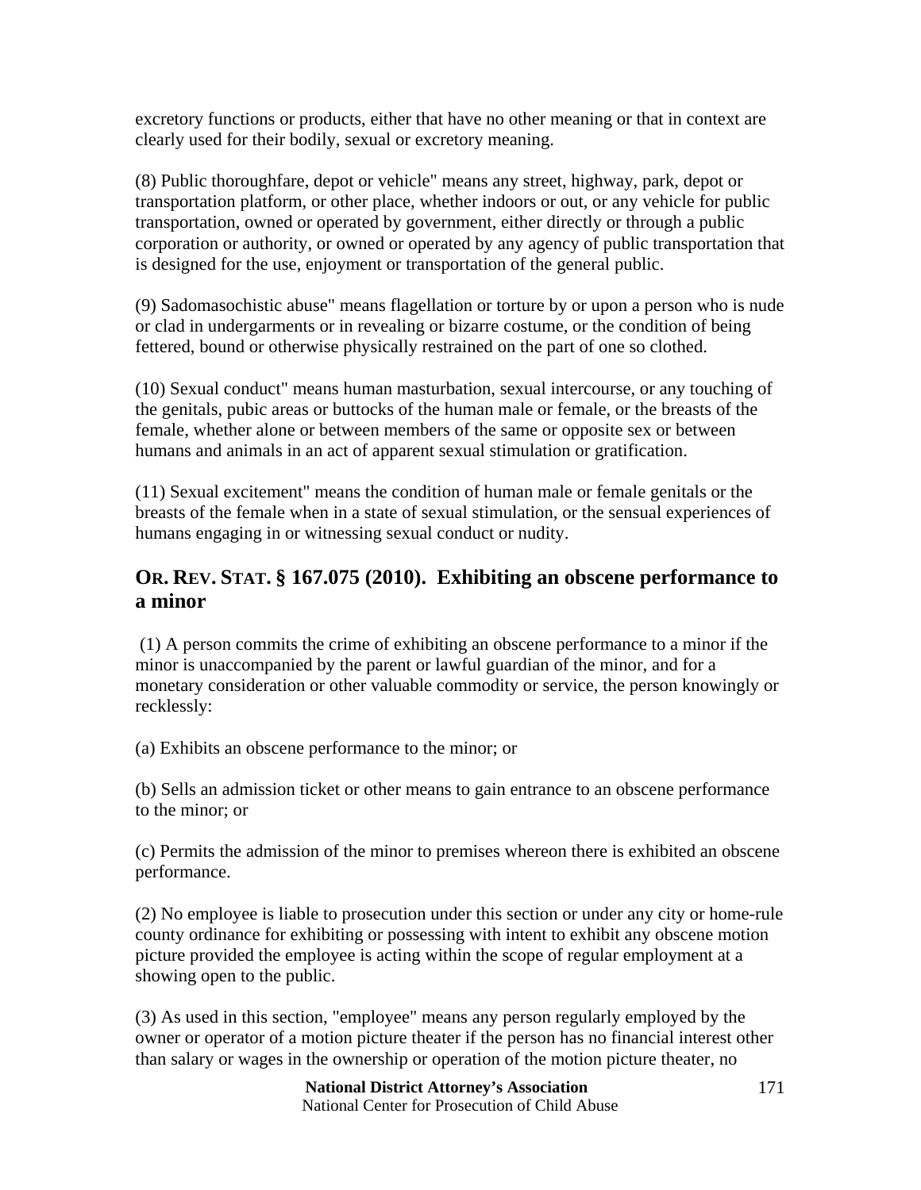excretory functions or products, either that have no other meaning or that in context are clearly used for their bodily, sexual or excretory meaning.

(8) Public thoroughfare, depot or vehicle" means any street, highway, park, depot or transportation platform, or other place, whether indoors or out, or any vehicle for public transportation, owned or operated by government, either directly or through a public corporation or authority, or owned or operated by any agency of public transportation that is designed for the use, enjoyment or transportation of the general public.

(9) Sadomasochistic abuse" means flagellation or torture by or upon a person who is nude or clad in undergarments or in revealing or bizarre costume, or the condition of being fettered, bound or otherwise physically restrained on the part of one so clothed.

(10) Sexual conduct" means human masturbation, sexual intercourse, or any touching of the genitals, pubic areas or buttocks of the human male or female, or the breasts of the female, whether alone or between members of the same or opposite sex or between humans and animals in an act of apparent sexual stimulation or gratification.

(11) Sexual excitement" means the condition of human male or female genitals or the breasts of the female when in a state of sexual stimulation, or the sensual experiences of humans engaging in or witnessing sexual conduct or nudity.

### **OR. REV. STAT. § 167.075 (2010). Exhibiting an obscene performance to a minor**

 (1) A person commits the crime of exhibiting an obscene performance to a minor if the minor is unaccompanied by the parent or lawful guardian of the minor, and for a monetary consideration or other valuable commodity or service, the person knowingly or recklessly:

(a) Exhibits an obscene performance to the minor; or

(b) Sells an admission ticket or other means to gain entrance to an obscene performance to the minor; or

(c) Permits the admission of the minor to premises whereon there is exhibited an obscene performance.

(2) No employee is liable to prosecution under this section or under any city or home-rule county ordinance for exhibiting or possessing with intent to exhibit any obscene motion picture provided the employee is acting within the scope of regular employment at a showing open to the public.

(3) As used in this section, "employee" means any person regularly employed by the owner or operator of a motion picture theater if the person has no financial interest other than salary or wages in the ownership or operation of the motion picture theater, no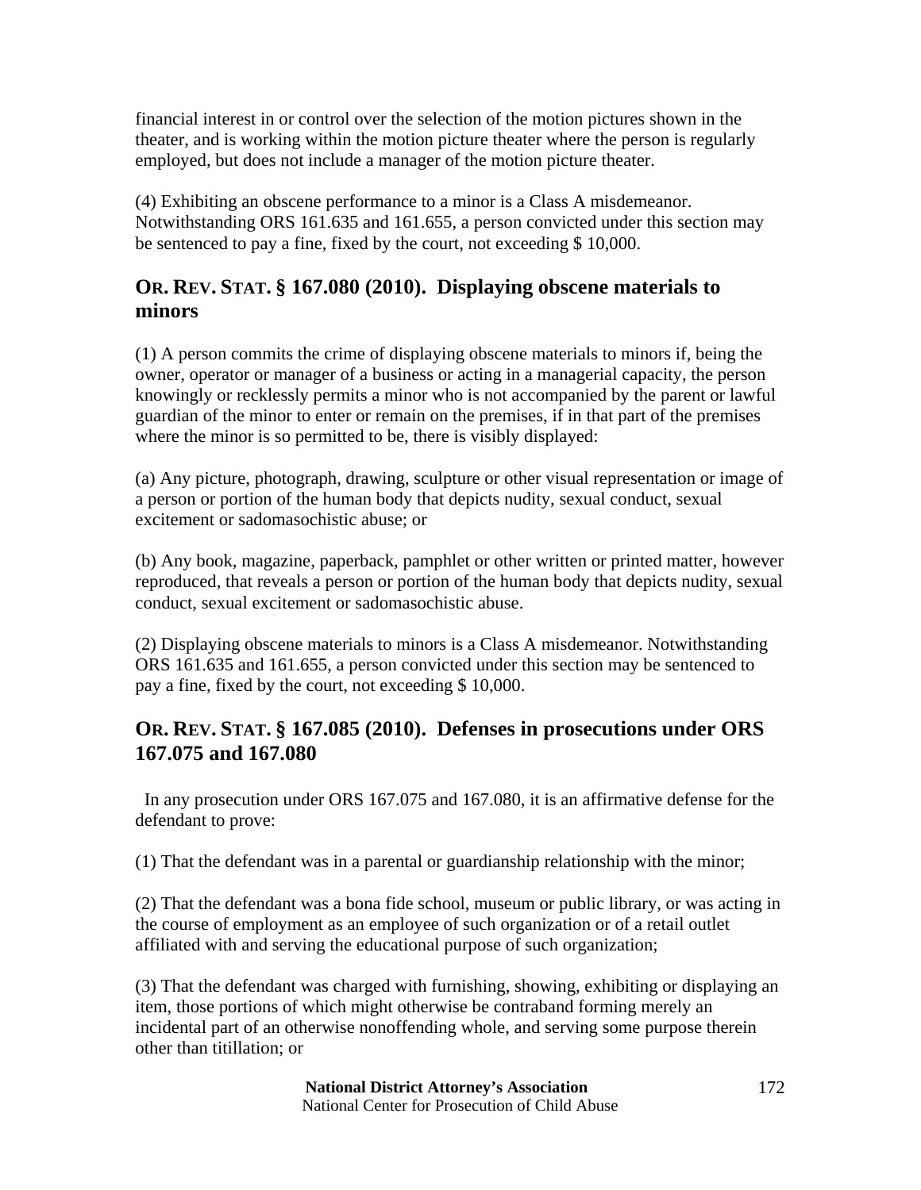financial interest in or control over the selection of the motion pictures shown in the theater, and is working within the motion picture theater where the person is regularly employed, but does not include a manager of the motion picture theater.

(4) Exhibiting an obscene performance to a minor is a Class A misdemeanor. Notwithstanding ORS 161.635 and 161.655, a person convicted under this section may be sentenced to pay a fine, fixed by the court, not exceeding \$ 10,000.

### **OR. REV. STAT. § 167.080 (2010). Displaying obscene materials to minors**

(1) A person commits the crime of displaying obscene materials to minors if, being the owner, operator or manager of a business or acting in a managerial capacity, the person knowingly or recklessly permits a minor who is not accompanied by the parent or lawful guardian of the minor to enter or remain on the premises, if in that part of the premises where the minor is so permitted to be, there is visibly displayed:

(a) Any picture, photograph, drawing, sculpture or other visual representation or image of a person or portion of the human body that depicts nudity, sexual conduct, sexual excitement or sadomasochistic abuse; or

(b) Any book, magazine, paperback, pamphlet or other written or printed matter, however reproduced, that reveals a person or portion of the human body that depicts nudity, sexual conduct, sexual excitement or sadomasochistic abuse.

(2) Displaying obscene materials to minors is a Class A misdemeanor. Notwithstanding ORS 161.635 and 161.655, a person convicted under this section may be sentenced to pay a fine, fixed by the court, not exceeding \$ 10,000.

### **OR. REV. STAT. § 167.085 (2010). Defenses in prosecutions under ORS 167.075 and 167.080**

 In any prosecution under ORS 167.075 and 167.080, it is an affirmative defense for the defendant to prove:

(1) That the defendant was in a parental or guardianship relationship with the minor;

(2) That the defendant was a bona fide school, museum or public library, or was acting in the course of employment as an employee of such organization or of a retail outlet affiliated with and serving the educational purpose of such organization;

(3) That the defendant was charged with furnishing, showing, exhibiting or displaying an item, those portions of which might otherwise be contraband forming merely an incidental part of an otherwise nonoffending whole, and serving some purpose therein other than titillation; or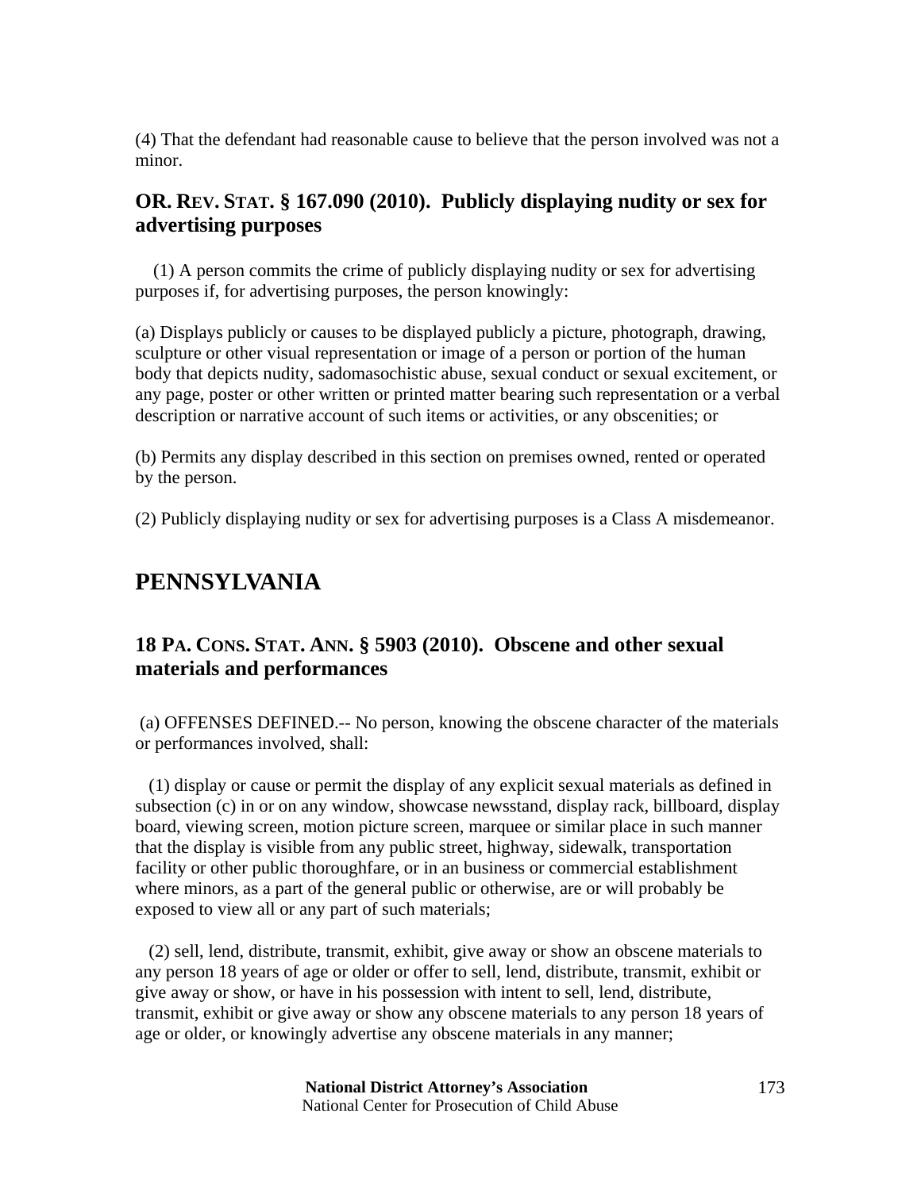(4) That the defendant had reasonable cause to believe that the person involved was not a minor.

### **OR. REV. STAT. § 167.090 (2010). Publicly displaying nudity or sex for advertising purposes**

 (1) A person commits the crime of publicly displaying nudity or sex for advertising purposes if, for advertising purposes, the person knowingly:

(a) Displays publicly or causes to be displayed publicly a picture, photograph, drawing, sculpture or other visual representation or image of a person or portion of the human body that depicts nudity, sadomasochistic abuse, sexual conduct or sexual excitement, or any page, poster or other written or printed matter bearing such representation or a verbal description or narrative account of such items or activities, or any obscenities; or

(b) Permits any display described in this section on premises owned, rented or operated by the person.

(2) Publicly displaying nudity or sex for advertising purposes is a Class A misdemeanor.

## **PENNSYLVANIA**

### **18 PA. CONS. STAT. ANN. § 5903 (2010). Obscene and other sexual materials and performances**

 (a) OFFENSES DEFINED.-- No person, knowing the obscene character of the materials or performances involved, shall:

 (1) display or cause or permit the display of any explicit sexual materials as defined in subsection (c) in or on any window, showcase newsstand, display rack, billboard, display board, viewing screen, motion picture screen, marquee or similar place in such manner that the display is visible from any public street, highway, sidewalk, transportation facility or other public thoroughfare, or in an business or commercial establishment where minors, as a part of the general public or otherwise, are or will probably be exposed to view all or any part of such materials;

 (2) sell, lend, distribute, transmit, exhibit, give away or show an obscene materials to any person 18 years of age or older or offer to sell, lend, distribute, transmit, exhibit or give away or show, or have in his possession with intent to sell, lend, distribute, transmit, exhibit or give away or show any obscene materials to any person 18 years of age or older, or knowingly advertise any obscene materials in any manner;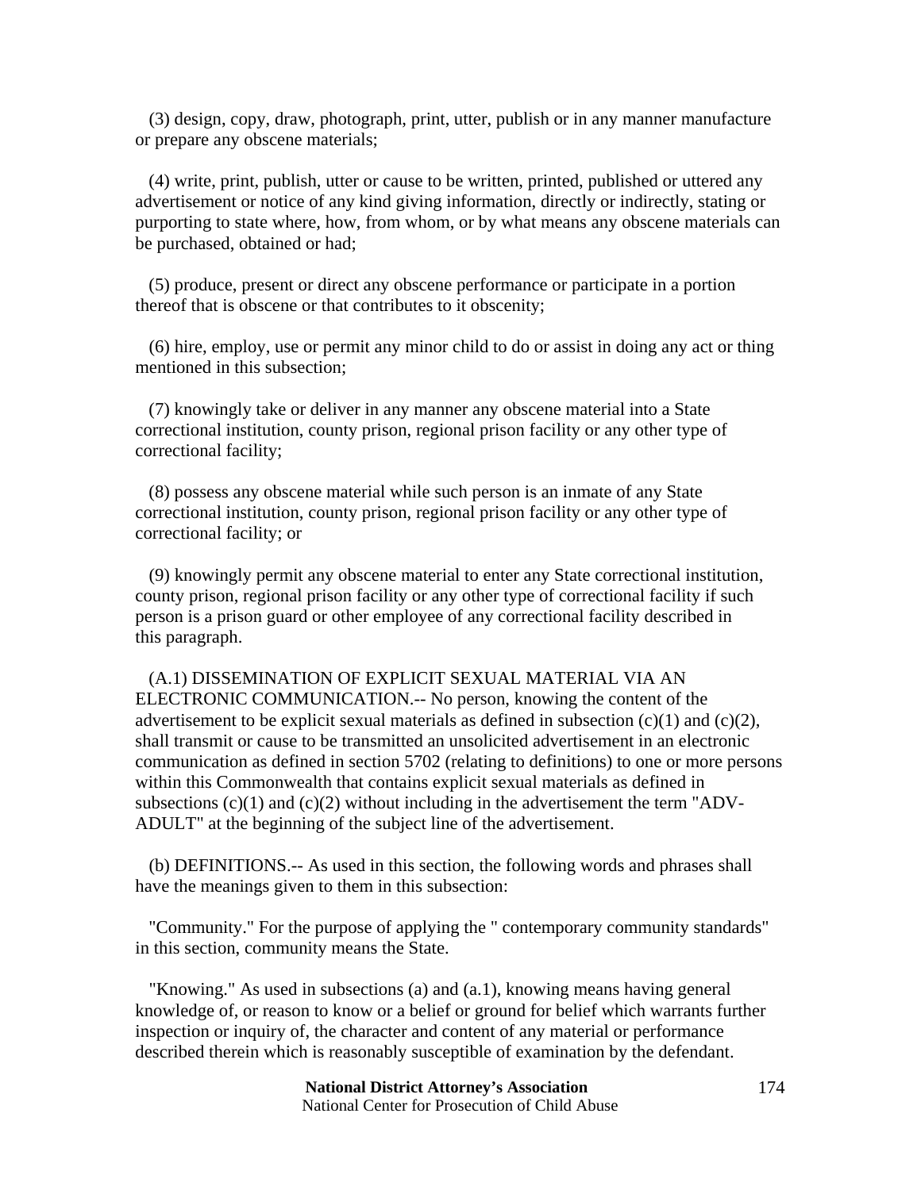(3) design, copy, draw, photograph, print, utter, publish or in any manner manufacture or prepare any obscene materials;

 (4) write, print, publish, utter or cause to be written, printed, published or uttered any advertisement or notice of any kind giving information, directly or indirectly, stating or purporting to state where, how, from whom, or by what means any obscene materials can be purchased, obtained or had;

 (5) produce, present or direct any obscene performance or participate in a portion thereof that is obscene or that contributes to it obscenity;

 (6) hire, employ, use or permit any minor child to do or assist in doing any act or thing mentioned in this subsection;

 (7) knowingly take or deliver in any manner any obscene material into a State correctional institution, county prison, regional prison facility or any other type of correctional facility;

 (8) possess any obscene material while such person is an inmate of any State correctional institution, county prison, regional prison facility or any other type of correctional facility; or

 (9) knowingly permit any obscene material to enter any State correctional institution, county prison, regional prison facility or any other type of correctional facility if such person is a prison guard or other employee of any correctional facility described in this paragraph.

 (A.1) DISSEMINATION OF EXPLICIT SEXUAL MATERIAL VIA AN ELECTRONIC COMMUNICATION.-- No person, knowing the content of the advertisement to be explicit sexual materials as defined in subsection  $(c)(1)$  and  $(c)(2)$ , shall transmit or cause to be transmitted an unsolicited advertisement in an electronic communication as defined in section 5702 (relating to definitions) to one or more persons within this Commonwealth that contains explicit sexual materials as defined in subsections  $(c)(1)$  and  $(c)(2)$  without including in the advertisement the term "ADV-ADULT" at the beginning of the subject line of the advertisement.

 (b) DEFINITIONS.-- As used in this section, the following words and phrases shall have the meanings given to them in this subsection:

 "Community." For the purpose of applying the " contemporary community standards" in this section, community means the State.

 "Knowing." As used in subsections (a) and (a.1), knowing means having general knowledge of, or reason to know or a belief or ground for belief which warrants further inspection or inquiry of, the character and content of any material or performance described therein which is reasonably susceptible of examination by the defendant.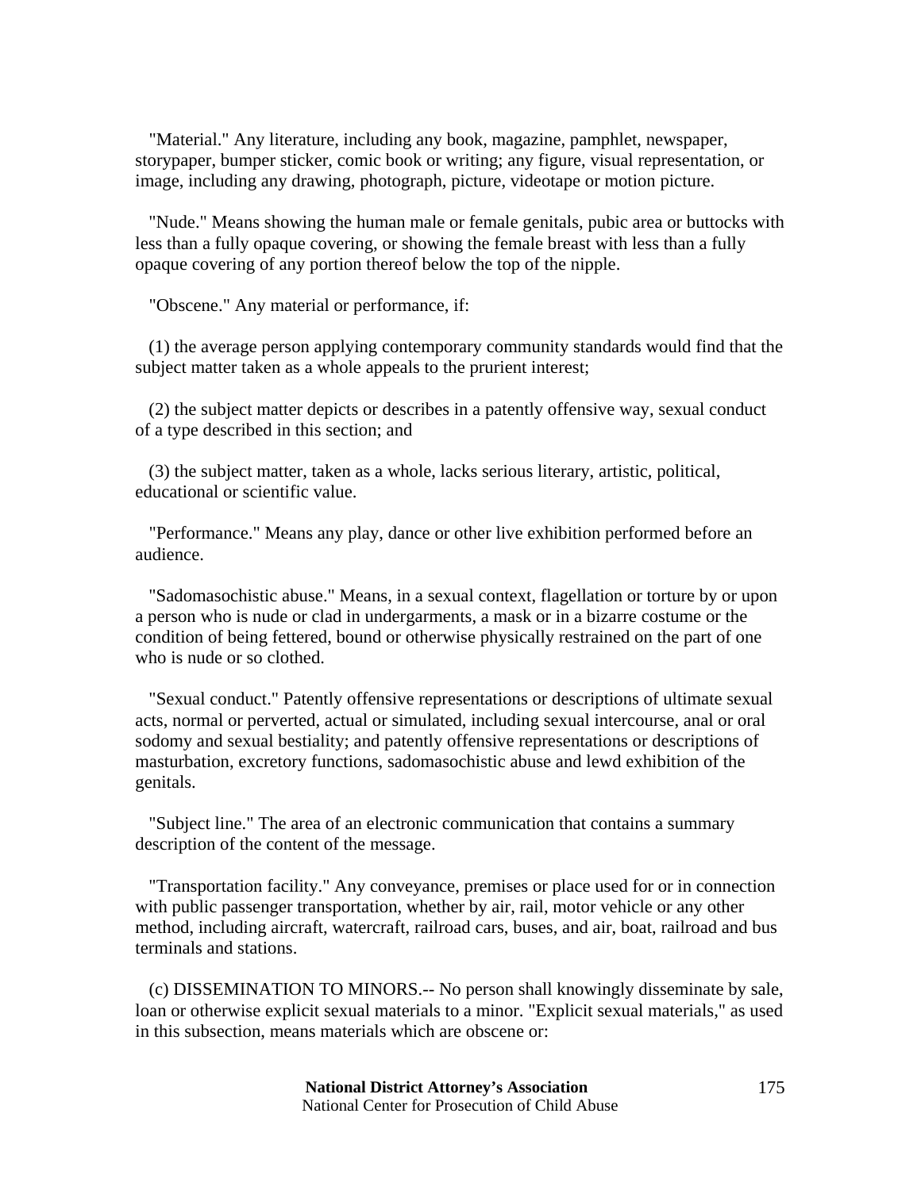"Material." Any literature, including any book, magazine, pamphlet, newspaper, storypaper, bumper sticker, comic book or writing; any figure, visual representation, or image, including any drawing, photograph, picture, videotape or motion picture.

 "Nude." Means showing the human male or female genitals, pubic area or buttocks with less than a fully opaque covering, or showing the female breast with less than a fully opaque covering of any portion thereof below the top of the nipple.

"Obscene." Any material or performance, if:

 (1) the average person applying contemporary community standards would find that the subject matter taken as a whole appeals to the prurient interest;

 (2) the subject matter depicts or describes in a patently offensive way, sexual conduct of a type described in this section; and

 (3) the subject matter, taken as a whole, lacks serious literary, artistic, political, educational or scientific value.

 "Performance." Means any play, dance or other live exhibition performed before an audience.

 "Sadomasochistic abuse." Means, in a sexual context, flagellation or torture by or upon a person who is nude or clad in undergarments, a mask or in a bizarre costume or the condition of being fettered, bound or otherwise physically restrained on the part of one who is nude or so clothed.

 "Sexual conduct." Patently offensive representations or descriptions of ultimate sexual acts, normal or perverted, actual or simulated, including sexual intercourse, anal or oral sodomy and sexual bestiality; and patently offensive representations or descriptions of masturbation, excretory functions, sadomasochistic abuse and lewd exhibition of the genitals.

 "Subject line." The area of an electronic communication that contains a summary description of the content of the message.

 "Transportation facility." Any conveyance, premises or place used for or in connection with public passenger transportation, whether by air, rail, motor vehicle or any other method, including aircraft, watercraft, railroad cars, buses, and air, boat, railroad and bus terminals and stations.

 (c) DISSEMINATION TO MINORS.-- No person shall knowingly disseminate by sale, loan or otherwise explicit sexual materials to a minor. "Explicit sexual materials," as used in this subsection, means materials which are obscene or: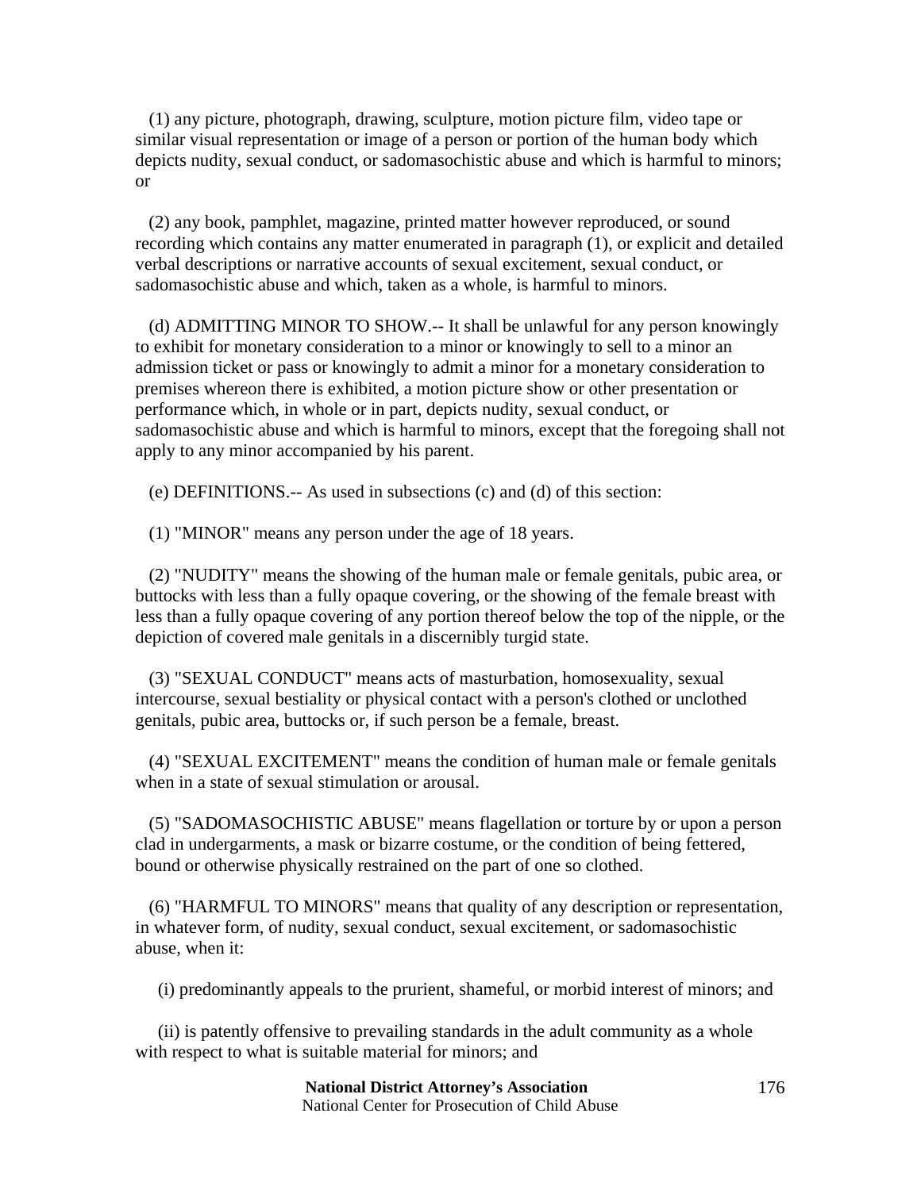(1) any picture, photograph, drawing, sculpture, motion picture film, video tape or similar visual representation or image of a person or portion of the human body which depicts nudity, sexual conduct, or sadomasochistic abuse and which is harmful to minors; or

 (2) any book, pamphlet, magazine, printed matter however reproduced, or sound recording which contains any matter enumerated in paragraph (1), or explicit and detailed verbal descriptions or narrative accounts of sexual excitement, sexual conduct, or sadomasochistic abuse and which, taken as a whole, is harmful to minors.

 (d) ADMITTING MINOR TO SHOW.-- It shall be unlawful for any person knowingly to exhibit for monetary consideration to a minor or knowingly to sell to a minor an admission ticket or pass or knowingly to admit a minor for a monetary consideration to premises whereon there is exhibited, a motion picture show or other presentation or performance which, in whole or in part, depicts nudity, sexual conduct, or sadomasochistic abuse and which is harmful to minors, except that the foregoing shall not apply to any minor accompanied by his parent.

(e) DEFINITIONS.-- As used in subsections (c) and (d) of this section:

(1) "MINOR" means any person under the age of 18 years.

 (2) "NUDITY" means the showing of the human male or female genitals, pubic area, or buttocks with less than a fully opaque covering, or the showing of the female breast with less than a fully opaque covering of any portion thereof below the top of the nipple, or the depiction of covered male genitals in a discernibly turgid state.

 (3) "SEXUAL CONDUCT" means acts of masturbation, homosexuality, sexual intercourse, sexual bestiality or physical contact with a person's clothed or unclothed genitals, pubic area, buttocks or, if such person be a female, breast.

 (4) "SEXUAL EXCITEMENT" means the condition of human male or female genitals when in a state of sexual stimulation or arousal.

 (5) "SADOMASOCHISTIC ABUSE" means flagellation or torture by or upon a person clad in undergarments, a mask or bizarre costume, or the condition of being fettered, bound or otherwise physically restrained on the part of one so clothed.

 (6) "HARMFUL TO MINORS" means that quality of any description or representation, in whatever form, of nudity, sexual conduct, sexual excitement, or sadomasochistic abuse, when it:

(i) predominantly appeals to the prurient, shameful, or morbid interest of minors; and

 (ii) is patently offensive to prevailing standards in the adult community as a whole with respect to what is suitable material for minors; and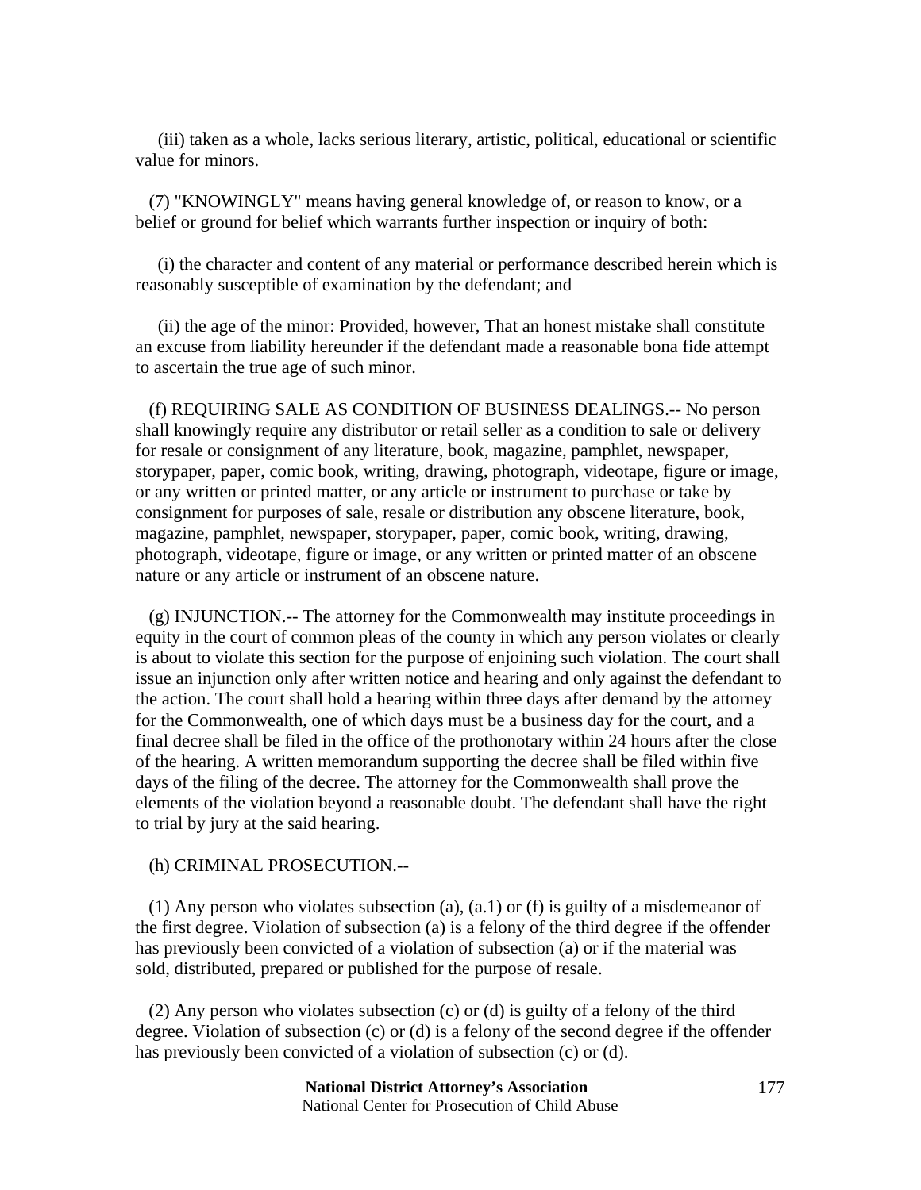(iii) taken as a whole, lacks serious literary, artistic, political, educational or scientific value for minors.

 (7) "KNOWINGLY" means having general knowledge of, or reason to know, or a belief or ground for belief which warrants further inspection or inquiry of both:

 (i) the character and content of any material or performance described herein which is reasonably susceptible of examination by the defendant; and

 (ii) the age of the minor: Provided, however, That an honest mistake shall constitute an excuse from liability hereunder if the defendant made a reasonable bona fide attempt to ascertain the true age of such minor.

 (f) REQUIRING SALE AS CONDITION OF BUSINESS DEALINGS.-- No person shall knowingly require any distributor or retail seller as a condition to sale or delivery for resale or consignment of any literature, book, magazine, pamphlet, newspaper, storypaper, paper, comic book, writing, drawing, photograph, videotape, figure or image, or any written or printed matter, or any article or instrument to purchase or take by consignment for purposes of sale, resale or distribution any obscene literature, book, magazine, pamphlet, newspaper, storypaper, paper, comic book, writing, drawing, photograph, videotape, figure or image, or any written or printed matter of an obscene nature or any article or instrument of an obscene nature.

 (g) INJUNCTION.-- The attorney for the Commonwealth may institute proceedings in equity in the court of common pleas of the county in which any person violates or clearly is about to violate this section for the purpose of enjoining such violation. The court shall issue an injunction only after written notice and hearing and only against the defendant to the action. The court shall hold a hearing within three days after demand by the attorney for the Commonwealth, one of which days must be a business day for the court, and a final decree shall be filed in the office of the prothonotary within 24 hours after the close of the hearing. A written memorandum supporting the decree shall be filed within five days of the filing of the decree. The attorney for the Commonwealth shall prove the elements of the violation beyond a reasonable doubt. The defendant shall have the right to trial by jury at the said hearing.

#### (h) CRIMINAL PROSECUTION.--

 (1) Any person who violates subsection (a), (a.1) or (f) is guilty of a misdemeanor of the first degree. Violation of subsection (a) is a felony of the third degree if the offender has previously been convicted of a violation of subsection (a) or if the material was sold, distributed, prepared or published for the purpose of resale.

 (2) Any person who violates subsection (c) or (d) is guilty of a felony of the third degree. Violation of subsection (c) or (d) is a felony of the second degree if the offender has previously been convicted of a violation of subsection (c) or (d).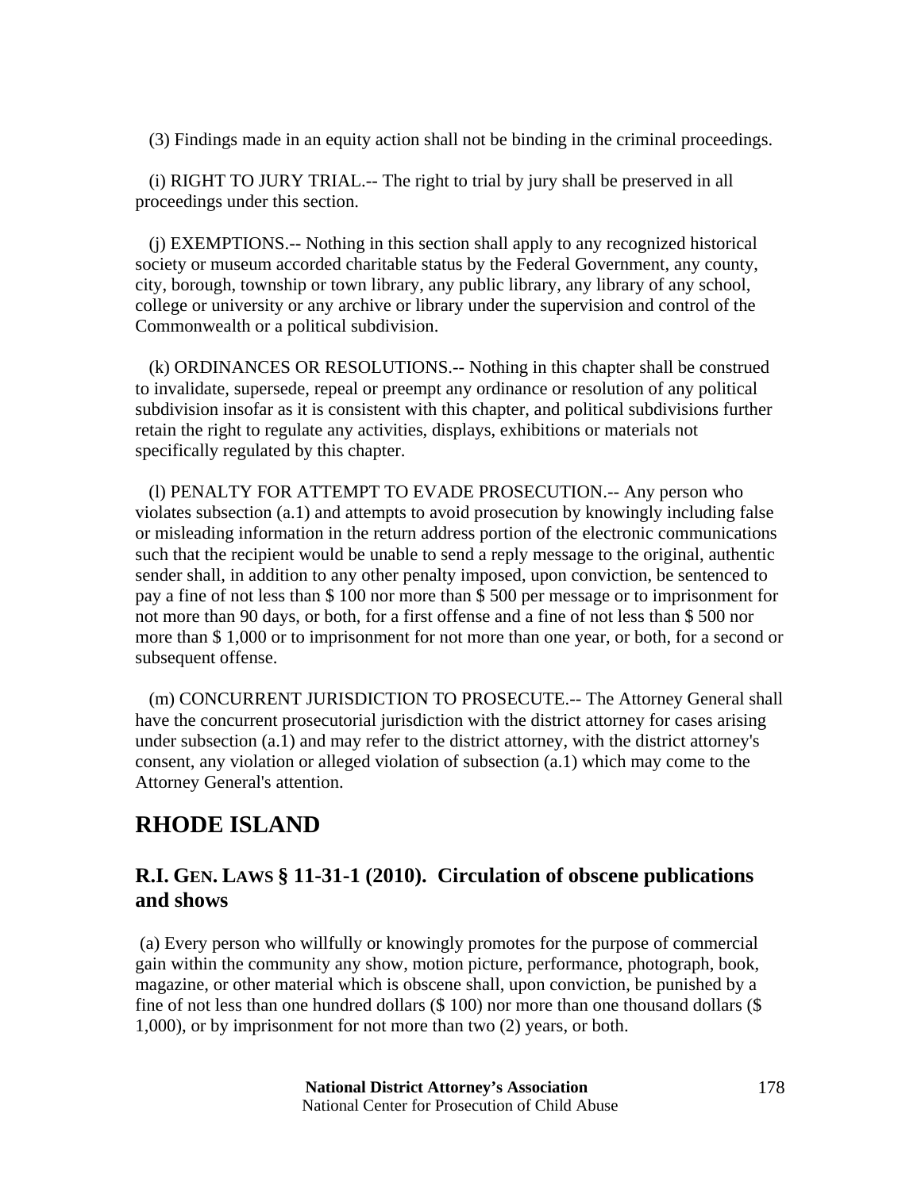(3) Findings made in an equity action shall not be binding in the criminal proceedings.

 (i) RIGHT TO JURY TRIAL.-- The right to trial by jury shall be preserved in all proceedings under this section.

 (j) EXEMPTIONS.-- Nothing in this section shall apply to any recognized historical society or museum accorded charitable status by the Federal Government, any county, city, borough, township or town library, any public library, any library of any school, college or university or any archive or library under the supervision and control of the Commonwealth or a political subdivision.

 (k) ORDINANCES OR RESOLUTIONS.-- Nothing in this chapter shall be construed to invalidate, supersede, repeal or preempt any ordinance or resolution of any political subdivision insofar as it is consistent with this chapter, and political subdivisions further retain the right to regulate any activities, displays, exhibitions or materials not specifically regulated by this chapter.

 (l) PENALTY FOR ATTEMPT TO EVADE PROSECUTION.-- Any person who violates subsection (a.1) and attempts to avoid prosecution by knowingly including false or misleading information in the return address portion of the electronic communications such that the recipient would be unable to send a reply message to the original, authentic sender shall, in addition to any other penalty imposed, upon conviction, be sentenced to pay a fine of not less than \$ 100 nor more than \$ 500 per message or to imprisonment for not more than 90 days, or both, for a first offense and a fine of not less than \$ 500 nor more than \$ 1,000 or to imprisonment for not more than one year, or both, for a second or subsequent offense.

 (m) CONCURRENT JURISDICTION TO PROSECUTE.-- The Attorney General shall have the concurrent prosecutorial jurisdiction with the district attorney for cases arising under subsection (a.1) and may refer to the district attorney, with the district attorney's consent, any violation or alleged violation of subsection (a.1) which may come to the Attorney General's attention.

# **RHODE ISLAND**

### **R.I. GEN. LAWS § 11-31-1 (2010). Circulation of obscene publications and shows**

 (a) Every person who willfully or knowingly promotes for the purpose of commercial gain within the community any show, motion picture, performance, photograph, book, magazine, or other material which is obscene shall, upon conviction, be punished by a fine of not less than one hundred dollars (\$ 100) nor more than one thousand dollars (\$ 1,000), or by imprisonment for not more than two (2) years, or both.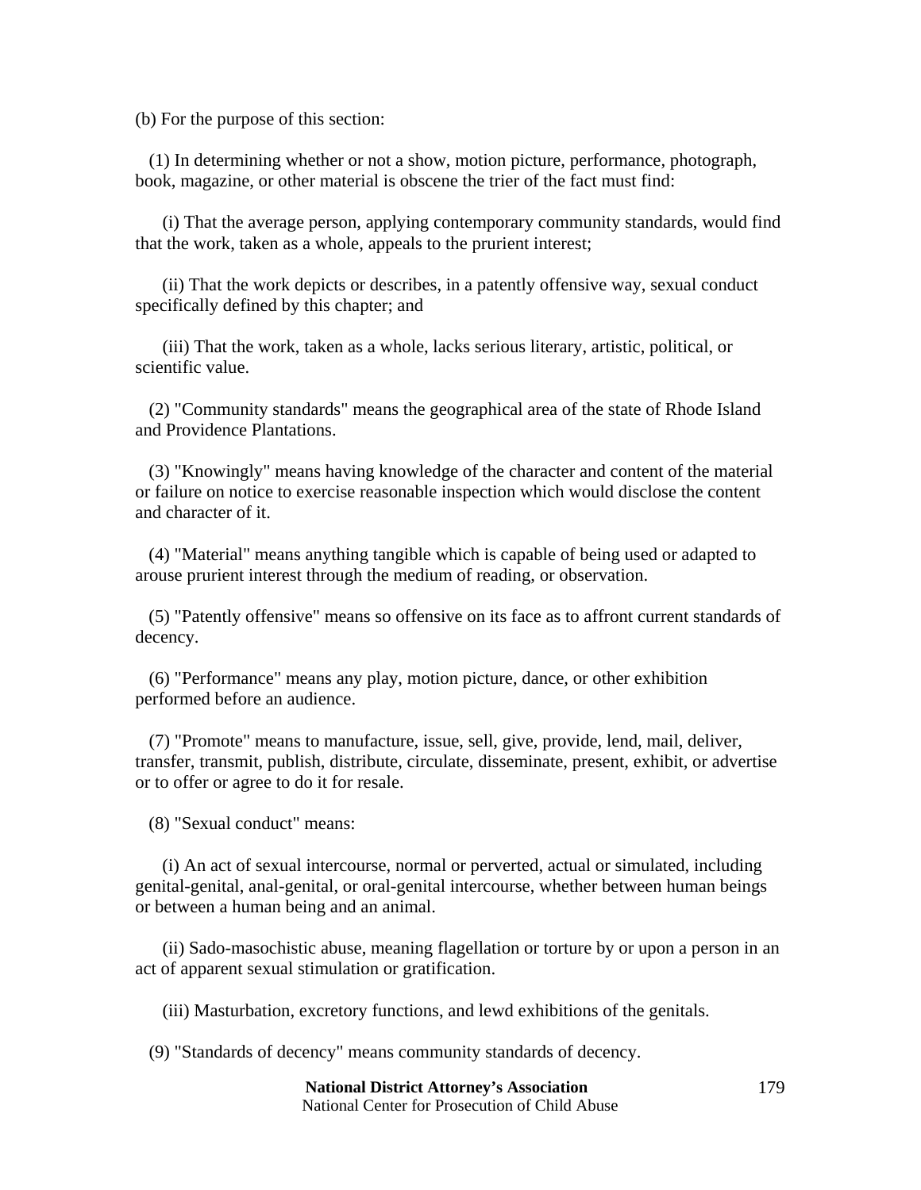(b) For the purpose of this section:

 (1) In determining whether or not a show, motion picture, performance, photograph, book, magazine, or other material is obscene the trier of the fact must find:

 (i) That the average person, applying contemporary community standards, would find that the work, taken as a whole, appeals to the prurient interest;

 (ii) That the work depicts or describes, in a patently offensive way, sexual conduct specifically defined by this chapter; and

 (iii) That the work, taken as a whole, lacks serious literary, artistic, political, or scientific value.

 (2) "Community standards" means the geographical area of the state of Rhode Island and Providence Plantations.

 (3) "Knowingly" means having knowledge of the character and content of the material or failure on notice to exercise reasonable inspection which would disclose the content and character of it.

 (4) "Material" means anything tangible which is capable of being used or adapted to arouse prurient interest through the medium of reading, or observation.

 (5) "Patently offensive" means so offensive on its face as to affront current standards of decency.

 (6) "Performance" means any play, motion picture, dance, or other exhibition performed before an audience.

 (7) "Promote" means to manufacture, issue, sell, give, provide, lend, mail, deliver, transfer, transmit, publish, distribute, circulate, disseminate, present, exhibit, or advertise or to offer or agree to do it for resale.

(8) "Sexual conduct" means:

 (i) An act of sexual intercourse, normal or perverted, actual or simulated, including genital-genital, anal-genital, or oral-genital intercourse, whether between human beings or between a human being and an animal.

 (ii) Sado-masochistic abuse, meaning flagellation or torture by or upon a person in an act of apparent sexual stimulation or gratification.

(iii) Masturbation, excretory functions, and lewd exhibitions of the genitals.

(9) "Standards of decency" means community standards of decency.

**National District Attorney's Association**  National Center for Prosecution of Child Abuse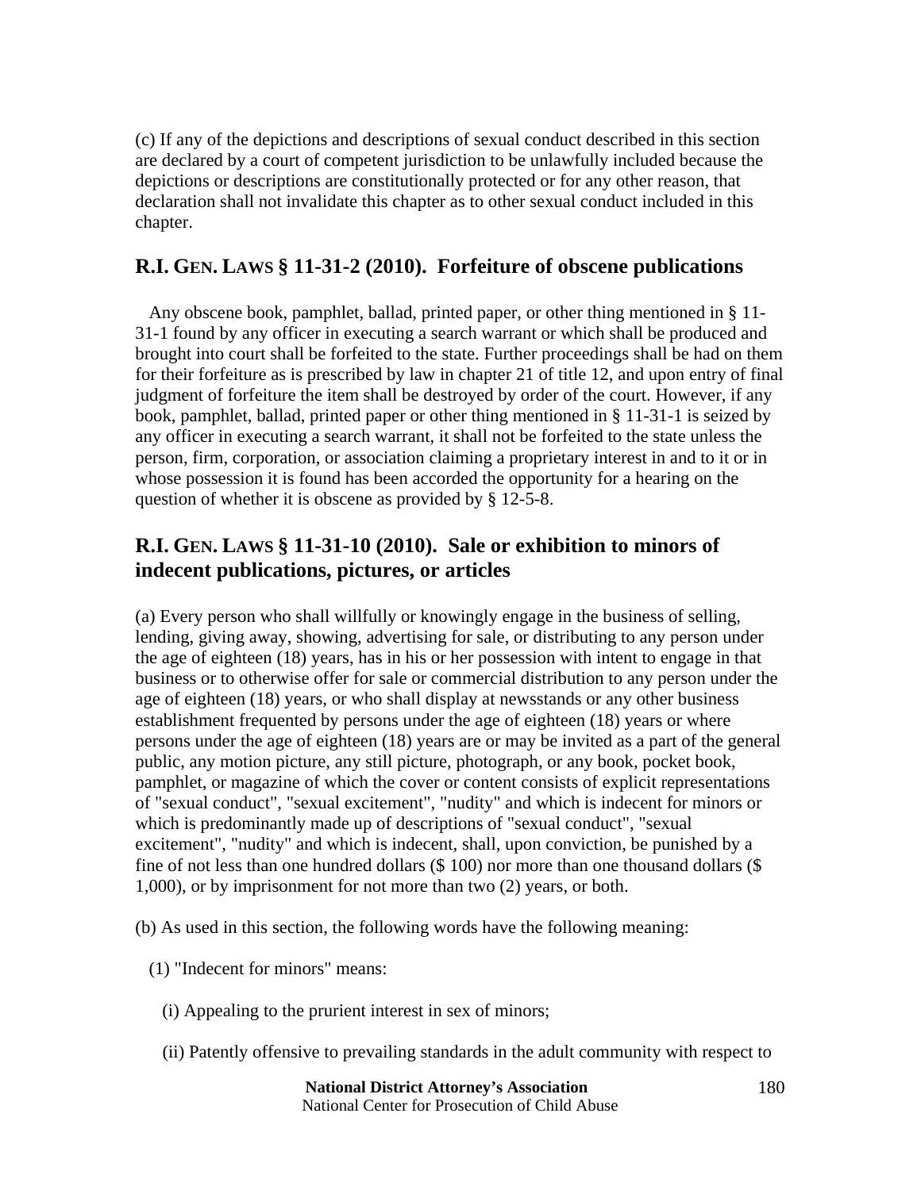(c) If any of the depictions and descriptions of sexual conduct described in this section are declared by a court of competent jurisdiction to be unlawfully included because the depictions or descriptions are constitutionally protected or for any other reason, that declaration shall not invalidate this chapter as to other sexual conduct included in this chapter.

### **R.I. GEN. LAWS § 11-31-2 (2010). Forfeiture of obscene publications**

 Any obscene book, pamphlet, ballad, printed paper, or other thing mentioned in § 11- 31-1 found by any officer in executing a search warrant or which shall be produced and brought into court shall be forfeited to the state. Further proceedings shall be had on them for their forfeiture as is prescribed by law in chapter 21 of title 12, and upon entry of final judgment of forfeiture the item shall be destroyed by order of the court. However, if any book, pamphlet, ballad, printed paper or other thing mentioned in § 11-31-1 is seized by any officer in executing a search warrant, it shall not be forfeited to the state unless the person, firm, corporation, or association claiming a proprietary interest in and to it or in whose possession it is found has been accorded the opportunity for a hearing on the question of whether it is obscene as provided by § 12-5-8.

### **R.I. GEN. LAWS § 11-31-10 (2010). Sale or exhibition to minors of indecent publications, pictures, or articles**

(a) Every person who shall willfully or knowingly engage in the business of selling, lending, giving away, showing, advertising for sale, or distributing to any person under the age of eighteen (18) years, has in his or her possession with intent to engage in that business or to otherwise offer for sale or commercial distribution to any person under the age of eighteen (18) years, or who shall display at newsstands or any other business establishment frequented by persons under the age of eighteen (18) years or where persons under the age of eighteen (18) years are or may be invited as a part of the general public, any motion picture, any still picture, photograph, or any book, pocket book, pamphlet, or magazine of which the cover or content consists of explicit representations of "sexual conduct", "sexual excitement", "nudity" and which is indecent for minors or which is predominantly made up of descriptions of "sexual conduct", "sexual excitement", "nudity" and which is indecent, shall, upon conviction, be punished by a fine of not less than one hundred dollars (\$ 100) nor more than one thousand dollars (\$ 1,000), or by imprisonment for not more than two (2) years, or both.

(b) As used in this section, the following words have the following meaning:

- (1) "Indecent for minors" means:
	- (i) Appealing to the prurient interest in sex of minors;
	- (ii) Patently offensive to prevailing standards in the adult community with respect to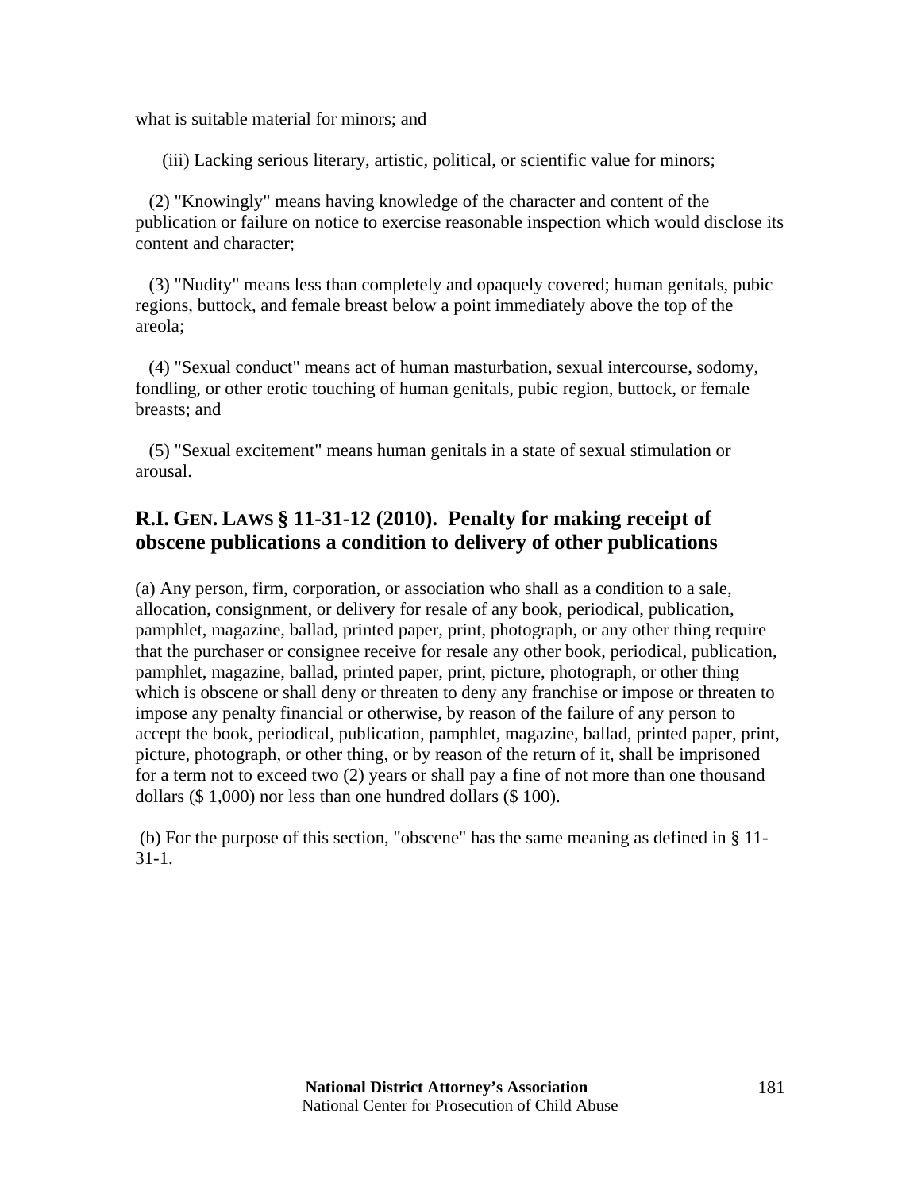what is suitable material for minors; and

(iii) Lacking serious literary, artistic, political, or scientific value for minors;

 (2) "Knowingly" means having knowledge of the character and content of the publication or failure on notice to exercise reasonable inspection which would disclose its content and character;

 (3) "Nudity" means less than completely and opaquely covered; human genitals, pubic regions, buttock, and female breast below a point immediately above the top of the areola;

 (4) "Sexual conduct" means act of human masturbation, sexual intercourse, sodomy, fondling, or other erotic touching of human genitals, pubic region, buttock, or female breasts; and

 (5) "Sexual excitement" means human genitals in a state of sexual stimulation or arousal.

# **R.I. GEN. LAWS § 11-31-12 (2010). Penalty for making receipt of obscene publications a condition to delivery of other publications**

(a) Any person, firm, corporation, or association who shall as a condition to a sale, allocation, consignment, or delivery for resale of any book, periodical, publication, pamphlet, magazine, ballad, printed paper, print, photograph, or any other thing require that the purchaser or consignee receive for resale any other book, periodical, publication, pamphlet, magazine, ballad, printed paper, print, picture, photograph, or other thing which is obscene or shall deny or threaten to deny any franchise or impose or threaten to impose any penalty financial or otherwise, by reason of the failure of any person to accept the book, periodical, publication, pamphlet, magazine, ballad, printed paper, print, picture, photograph, or other thing, or by reason of the return of it, shall be imprisoned for a term not to exceed two (2) years or shall pay a fine of not more than one thousand dollars (\$ 1,000) nor less than one hundred dollars (\$ 100).

 (b) For the purpose of this section, "obscene" has the same meaning as defined in § 11- 31-1.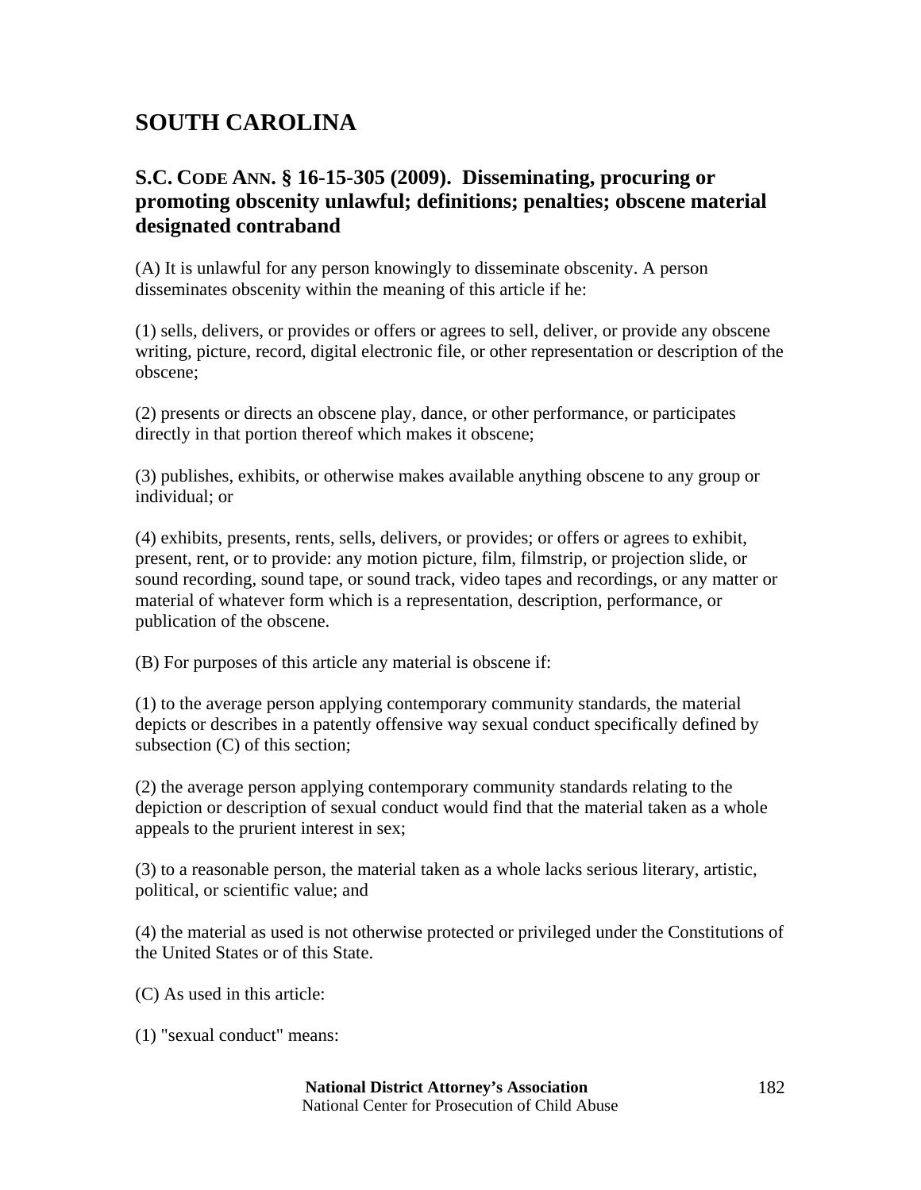# **SOUTH CAROLINA**

# **S.C. CODE ANN. § 16-15-305 (2009). Disseminating, procuring or promoting obscenity unlawful; definitions; penalties; obscene material designated contraband**

(A) It is unlawful for any person knowingly to disseminate obscenity. A person disseminates obscenity within the meaning of this article if he:

(1) sells, delivers, or provides or offers or agrees to sell, deliver, or provide any obscene writing, picture, record, digital electronic file, or other representation or description of the obscene;

(2) presents or directs an obscene play, dance, or other performance, or participates directly in that portion thereof which makes it obscene;

(3) publishes, exhibits, or otherwise makes available anything obscene to any group or individual; or

(4) exhibits, presents, rents, sells, delivers, or provides; or offers or agrees to exhibit, present, rent, or to provide: any motion picture, film, filmstrip, or projection slide, or sound recording, sound tape, or sound track, video tapes and recordings, or any matter or material of whatever form which is a representation, description, performance, or publication of the obscene.

(B) For purposes of this article any material is obscene if:

(1) to the average person applying contemporary community standards, the material depicts or describes in a patently offensive way sexual conduct specifically defined by subsection (C) of this section;

(2) the average person applying contemporary community standards relating to the depiction or description of sexual conduct would find that the material taken as a whole appeals to the prurient interest in sex;

(3) to a reasonable person, the material taken as a whole lacks serious literary, artistic, political, or scientific value; and

(4) the material as used is not otherwise protected or privileged under the Constitutions of the United States or of this State.

(C) As used in this article:

(1) "sexual conduct" means: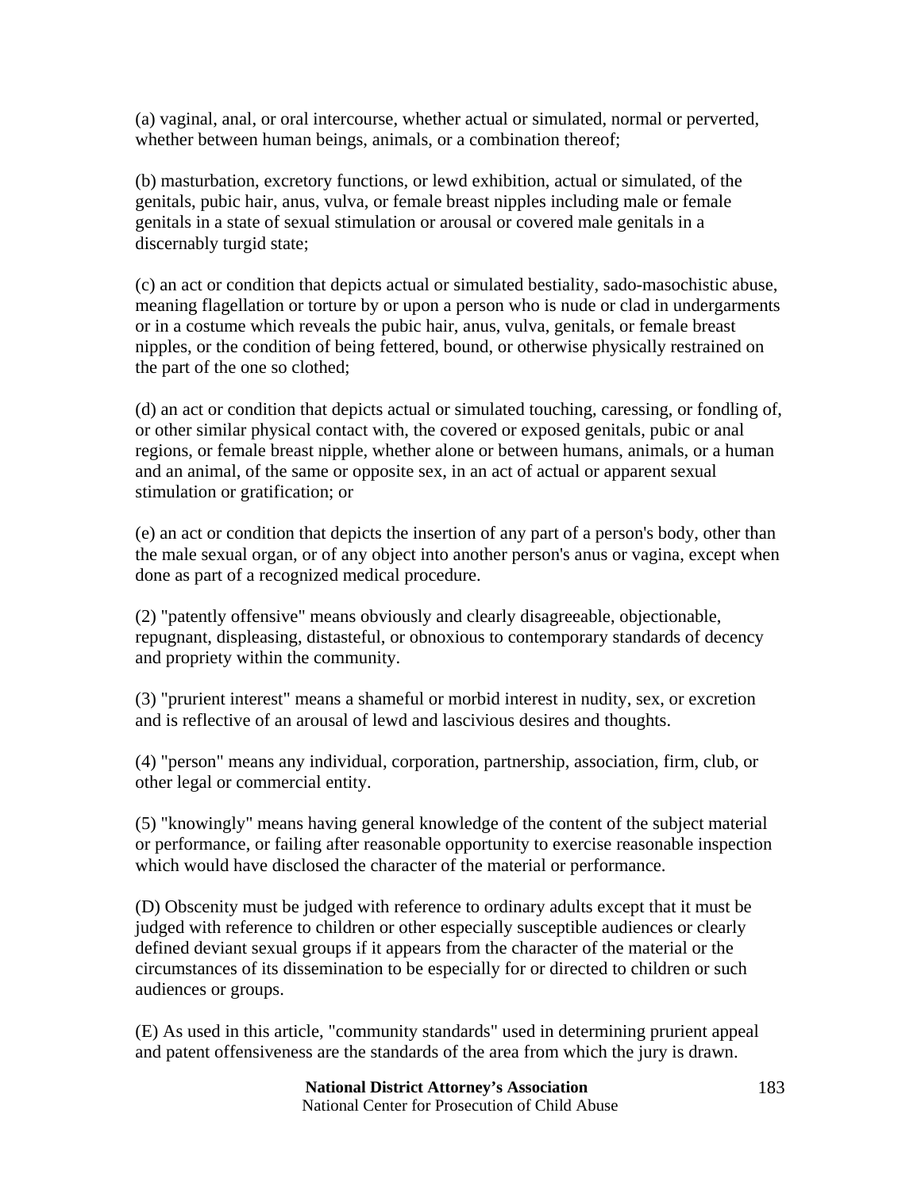(a) vaginal, anal, or oral intercourse, whether actual or simulated, normal or perverted, whether between human beings, animals, or a combination thereof;

(b) masturbation, excretory functions, or lewd exhibition, actual or simulated, of the genitals, pubic hair, anus, vulva, or female breast nipples including male or female genitals in a state of sexual stimulation or arousal or covered male genitals in a discernably turgid state;

(c) an act or condition that depicts actual or simulated bestiality, sado-masochistic abuse, meaning flagellation or torture by or upon a person who is nude or clad in undergarments or in a costume which reveals the pubic hair, anus, vulva, genitals, or female breast nipples, or the condition of being fettered, bound, or otherwise physically restrained on the part of the one so clothed;

(d) an act or condition that depicts actual or simulated touching, caressing, or fondling of, or other similar physical contact with, the covered or exposed genitals, pubic or anal regions, or female breast nipple, whether alone or between humans, animals, or a human and an animal, of the same or opposite sex, in an act of actual or apparent sexual stimulation or gratification; or

(e) an act or condition that depicts the insertion of any part of a person's body, other than the male sexual organ, or of any object into another person's anus or vagina, except when done as part of a recognized medical procedure.

(2) "patently offensive" means obviously and clearly disagreeable, objectionable, repugnant, displeasing, distasteful, or obnoxious to contemporary standards of decency and propriety within the community.

(3) "prurient interest" means a shameful or morbid interest in nudity, sex, or excretion and is reflective of an arousal of lewd and lascivious desires and thoughts.

(4) "person" means any individual, corporation, partnership, association, firm, club, or other legal or commercial entity.

(5) "knowingly" means having general knowledge of the content of the subject material or performance, or failing after reasonable opportunity to exercise reasonable inspection which would have disclosed the character of the material or performance.

(D) Obscenity must be judged with reference to ordinary adults except that it must be judged with reference to children or other especially susceptible audiences or clearly defined deviant sexual groups if it appears from the character of the material or the circumstances of its dissemination to be especially for or directed to children or such audiences or groups.

(E) As used in this article, "community standards" used in determining prurient appeal and patent offensiveness are the standards of the area from which the jury is drawn.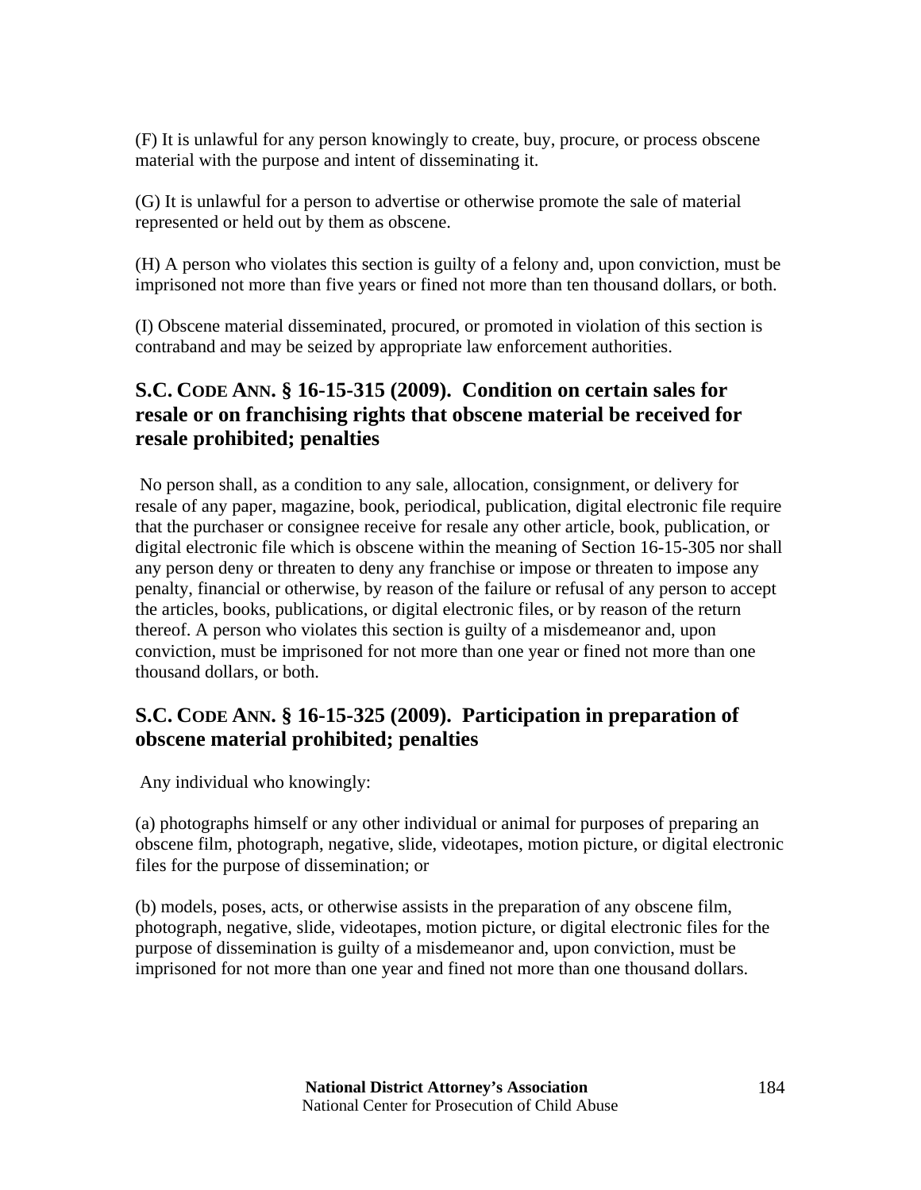(F) It is unlawful for any person knowingly to create, buy, procure, or process obscene material with the purpose and intent of disseminating it.

(G) It is unlawful for a person to advertise or otherwise promote the sale of material represented or held out by them as obscene.

(H) A person who violates this section is guilty of a felony and, upon conviction, must be imprisoned not more than five years or fined not more than ten thousand dollars, or both.

(I) Obscene material disseminated, procured, or promoted in violation of this section is contraband and may be seized by appropriate law enforcement authorities.

# **S.C. CODE ANN. § 16-15-315 (2009). Condition on certain sales for resale or on franchising rights that obscene material be received for resale prohibited; penalties**

 No person shall, as a condition to any sale, allocation, consignment, or delivery for resale of any paper, magazine, book, periodical, publication, digital electronic file require that the purchaser or consignee receive for resale any other article, book, publication, or digital electronic file which is obscene within the meaning of Section 16-15-305 nor shall any person deny or threaten to deny any franchise or impose or threaten to impose any penalty, financial or otherwise, by reason of the failure or refusal of any person to accept the articles, books, publications, or digital electronic files, or by reason of the return thereof. A person who violates this section is guilty of a misdemeanor and, upon conviction, must be imprisoned for not more than one year or fined not more than one thousand dollars, or both.

# **S.C. CODE ANN. § 16-15-325 (2009). Participation in preparation of obscene material prohibited; penalties**

Any individual who knowingly:

(a) photographs himself or any other individual or animal for purposes of preparing an obscene film, photograph, negative, slide, videotapes, motion picture, or digital electronic files for the purpose of dissemination; or

(b) models, poses, acts, or otherwise assists in the preparation of any obscene film, photograph, negative, slide, videotapes, motion picture, or digital electronic files for the purpose of dissemination is guilty of a misdemeanor and, upon conviction, must be imprisoned for not more than one year and fined not more than one thousand dollars.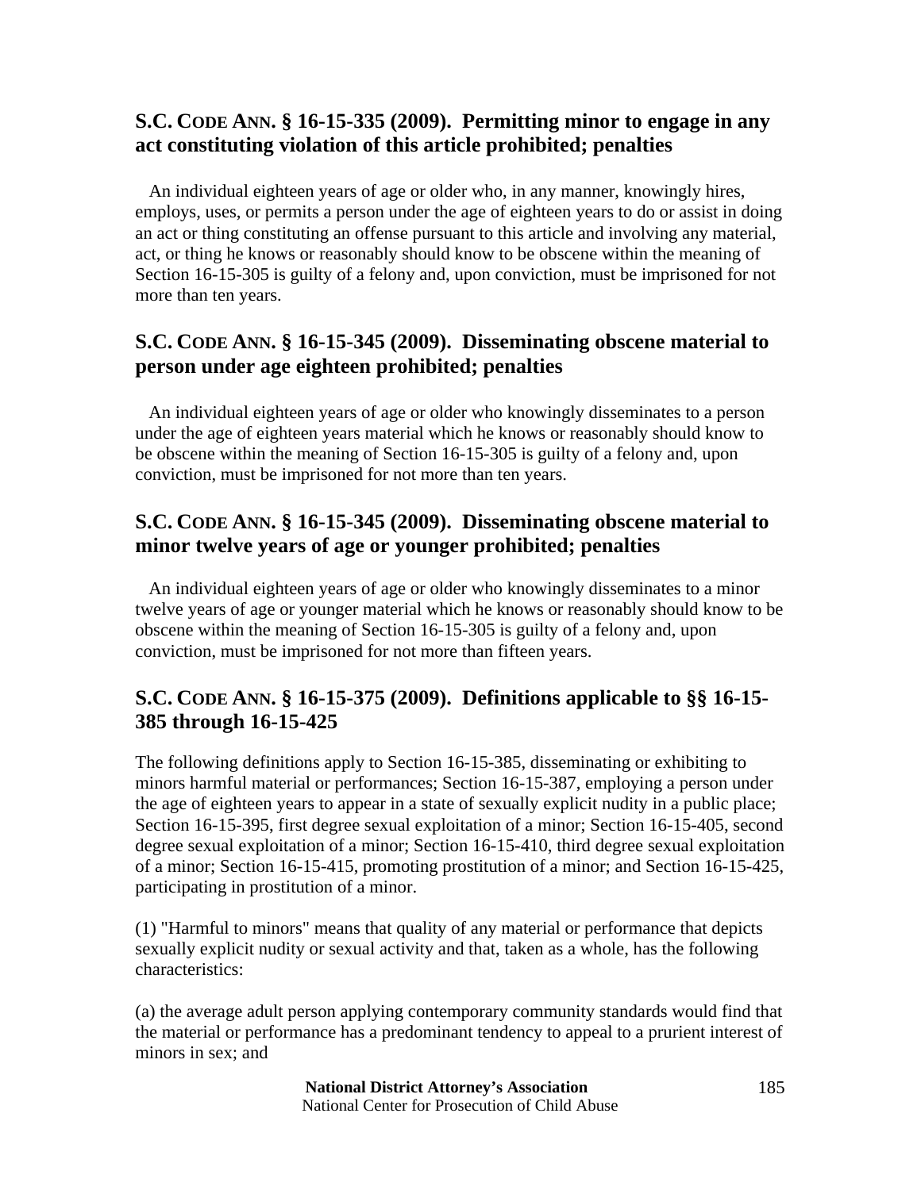# **S.C. CODE ANN. § 16-15-335 (2009). Permitting minor to engage in any act constituting violation of this article prohibited; penalties**

 An individual eighteen years of age or older who, in any manner, knowingly hires, employs, uses, or permits a person under the age of eighteen years to do or assist in doing an act or thing constituting an offense pursuant to this article and involving any material, act, or thing he knows or reasonably should know to be obscene within the meaning of Section 16-15-305 is guilty of a felony and, upon conviction, must be imprisoned for not more than ten years.

## **S.C. CODE ANN. § 16-15-345 (2009). Disseminating obscene material to person under age eighteen prohibited; penalties**

 An individual eighteen years of age or older who knowingly disseminates to a person under the age of eighteen years material which he knows or reasonably should know to be obscene within the meaning of Section 16-15-305 is guilty of a felony and, upon conviction, must be imprisoned for not more than ten years.

## **S.C. CODE ANN. § 16-15-345 (2009). Disseminating obscene material to minor twelve years of age or younger prohibited; penalties**

 An individual eighteen years of age or older who knowingly disseminates to a minor twelve years of age or younger material which he knows or reasonably should know to be obscene within the meaning of Section 16-15-305 is guilty of a felony and, upon conviction, must be imprisoned for not more than fifteen years.

### **S.C. CODE ANN. § 16-15-375 (2009). Definitions applicable to §§ 16-15- 385 through 16-15-425**

The following definitions apply to Section 16-15-385, disseminating or exhibiting to minors harmful material or performances; Section 16-15-387, employing a person under the age of eighteen years to appear in a state of sexually explicit nudity in a public place; Section 16-15-395, first degree sexual exploitation of a minor; Section 16-15-405, second degree sexual exploitation of a minor; Section 16-15-410, third degree sexual exploitation of a minor; Section 16-15-415, promoting prostitution of a minor; and Section 16-15-425, participating in prostitution of a minor.

(1) "Harmful to minors" means that quality of any material or performance that depicts sexually explicit nudity or sexual activity and that, taken as a whole, has the following characteristics:

(a) the average adult person applying contemporary community standards would find that the material or performance has a predominant tendency to appeal to a prurient interest of minors in sex; and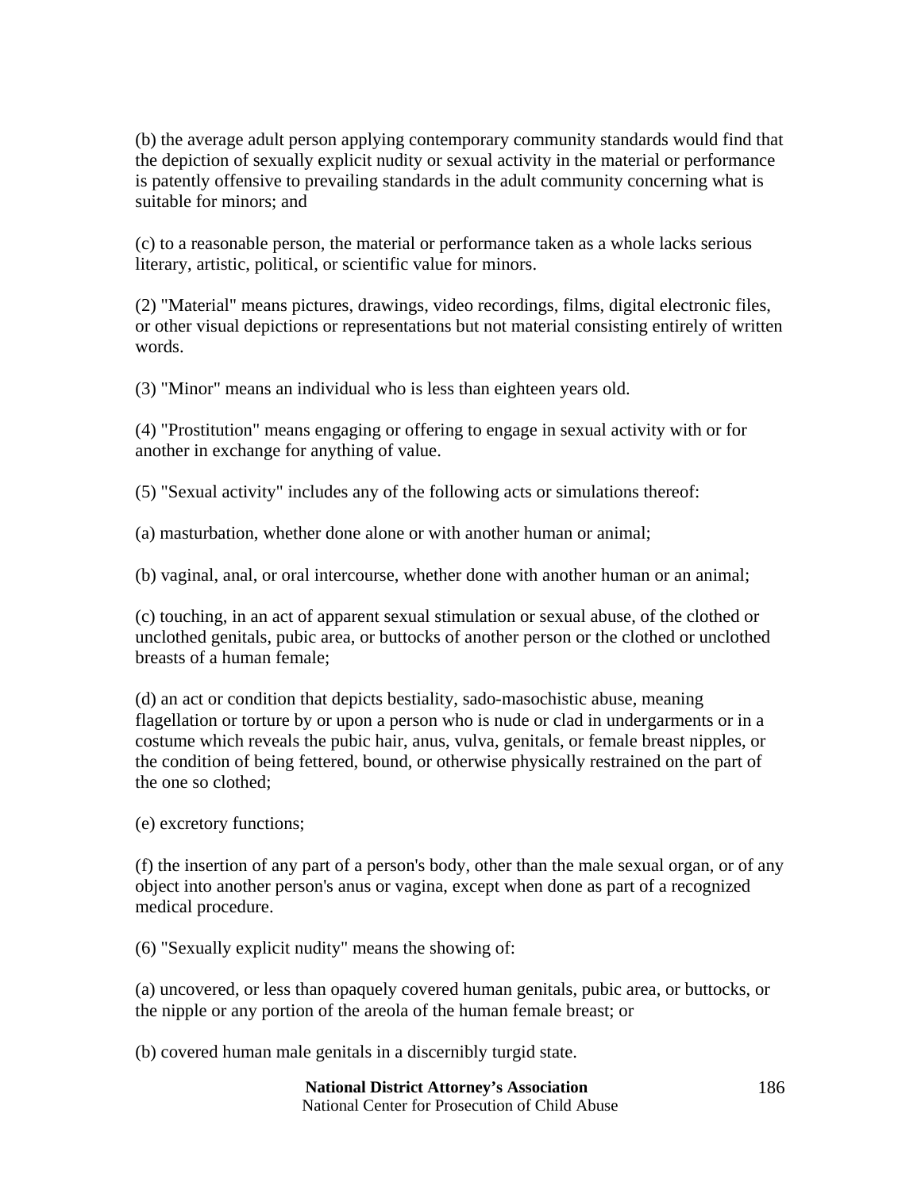(b) the average adult person applying contemporary community standards would find that the depiction of sexually explicit nudity or sexual activity in the material or performance is patently offensive to prevailing standards in the adult community concerning what is suitable for minors; and

(c) to a reasonable person, the material or performance taken as a whole lacks serious literary, artistic, political, or scientific value for minors.

(2) "Material" means pictures, drawings, video recordings, films, digital electronic files, or other visual depictions or representations but not material consisting entirely of written words.

(3) "Minor" means an individual who is less than eighteen years old.

(4) "Prostitution" means engaging or offering to engage in sexual activity with or for another in exchange for anything of value.

(5) "Sexual activity" includes any of the following acts or simulations thereof:

(a) masturbation, whether done alone or with another human or animal;

(b) vaginal, anal, or oral intercourse, whether done with another human or an animal;

(c) touching, in an act of apparent sexual stimulation or sexual abuse, of the clothed or unclothed genitals, pubic area, or buttocks of another person or the clothed or unclothed breasts of a human female;

(d) an act or condition that depicts bestiality, sado-masochistic abuse, meaning flagellation or torture by or upon a person who is nude or clad in undergarments or in a costume which reveals the pubic hair, anus, vulva, genitals, or female breast nipples, or the condition of being fettered, bound, or otherwise physically restrained on the part of the one so clothed;

(e) excretory functions;

(f) the insertion of any part of a person's body, other than the male sexual organ, or of any object into another person's anus or vagina, except when done as part of a recognized medical procedure.

(6) "Sexually explicit nudity" means the showing of:

(a) uncovered, or less than opaquely covered human genitals, pubic area, or buttocks, or the nipple or any portion of the areola of the human female breast; or

(b) covered human male genitals in a discernibly turgid state.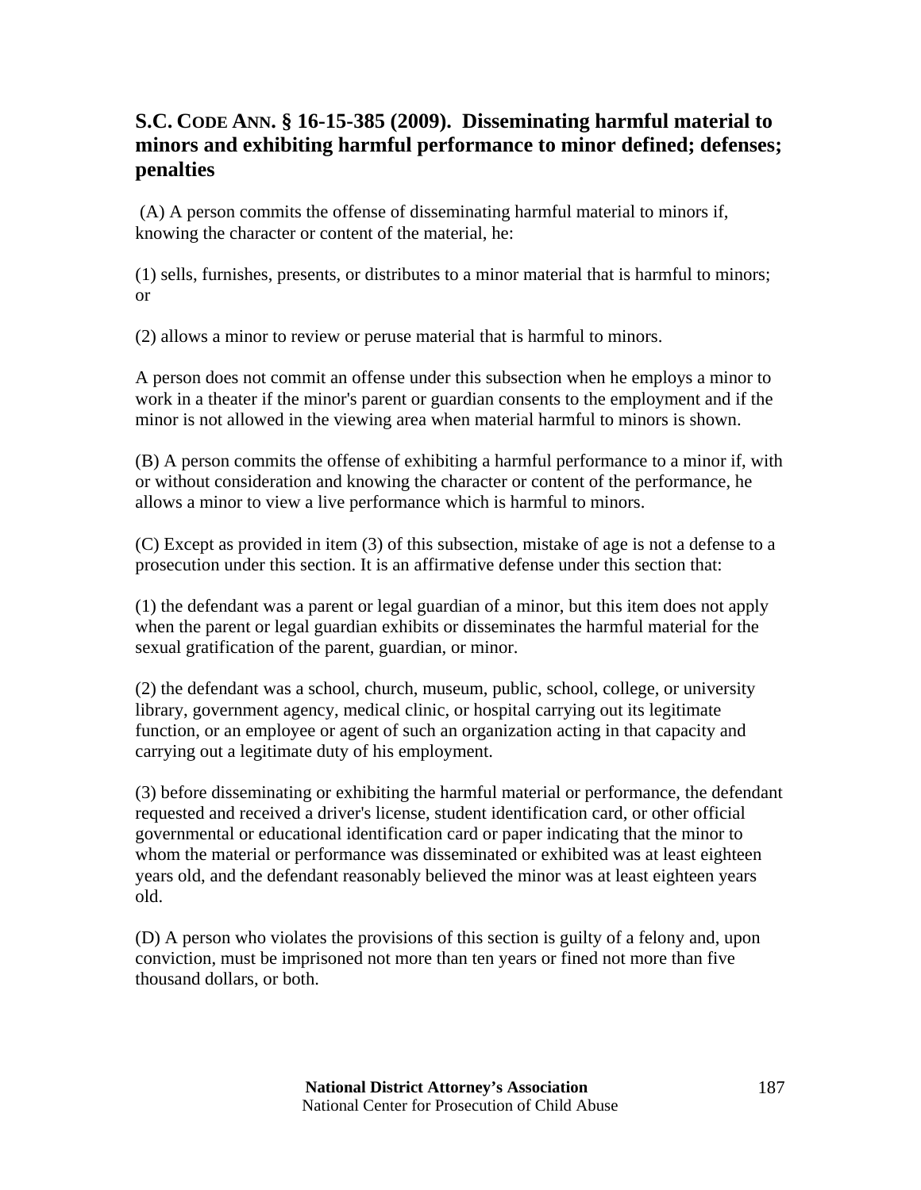# **S.C. CODE ANN. § 16-15-385 (2009). Disseminating harmful material to minors and exhibiting harmful performance to minor defined; defenses; penalties**

 (A) A person commits the offense of disseminating harmful material to minors if, knowing the character or content of the material, he:

(1) sells, furnishes, presents, or distributes to a minor material that is harmful to minors; or

(2) allows a minor to review or peruse material that is harmful to minors.

A person does not commit an offense under this subsection when he employs a minor to work in a theater if the minor's parent or guardian consents to the employment and if the minor is not allowed in the viewing area when material harmful to minors is shown.

(B) A person commits the offense of exhibiting a harmful performance to a minor if, with or without consideration and knowing the character or content of the performance, he allows a minor to view a live performance which is harmful to minors.

(C) Except as provided in item (3) of this subsection, mistake of age is not a defense to a prosecution under this section. It is an affirmative defense under this section that:

(1) the defendant was a parent or legal guardian of a minor, but this item does not apply when the parent or legal guardian exhibits or disseminates the harmful material for the sexual gratification of the parent, guardian, or minor.

(2) the defendant was a school, church, museum, public, school, college, or university library, government agency, medical clinic, or hospital carrying out its legitimate function, or an employee or agent of such an organization acting in that capacity and carrying out a legitimate duty of his employment.

(3) before disseminating or exhibiting the harmful material or performance, the defendant requested and received a driver's license, student identification card, or other official governmental or educational identification card or paper indicating that the minor to whom the material or performance was disseminated or exhibited was at least eighteen years old, and the defendant reasonably believed the minor was at least eighteen years old.

(D) A person who violates the provisions of this section is guilty of a felony and, upon conviction, must be imprisoned not more than ten years or fined not more than five thousand dollars, or both.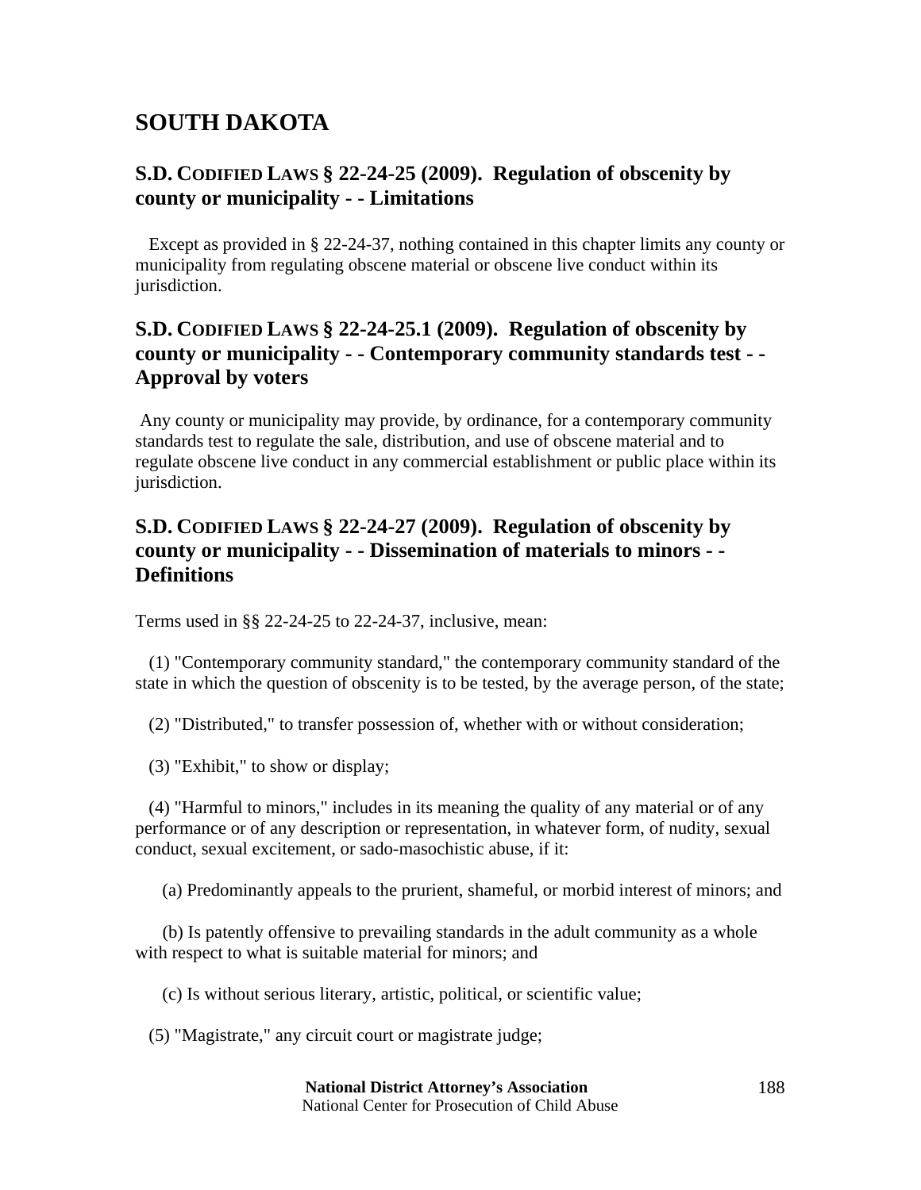# **SOUTH DAKOTA**

# **S.D. CODIFIED LAWS § 22-24-25 (2009). Regulation of obscenity by county or municipality - - Limitations**

 Except as provided in § 22-24-37, nothing contained in this chapter limits any county or municipality from regulating obscene material or obscene live conduct within its jurisdiction.

# **S.D. CODIFIED LAWS § 22-24-25.1 (2009). Regulation of obscenity by county or municipality - - Contemporary community standards test - - Approval by voters**

 Any county or municipality may provide, by ordinance, for a contemporary community standards test to regulate the sale, distribution, and use of obscene material and to regulate obscene live conduct in any commercial establishment or public place within its jurisdiction.

## **S.D. CODIFIED LAWS § 22-24-27 (2009). Regulation of obscenity by county or municipality - - Dissemination of materials to minors - - Definitions**

Terms used in §§ 22-24-25 to 22-24-37, inclusive, mean:

 (1) "Contemporary community standard," the contemporary community standard of the state in which the question of obscenity is to be tested, by the average person, of the state;

(2) "Distributed," to transfer possession of, whether with or without consideration;

(3) "Exhibit," to show or display;

 (4) "Harmful to minors," includes in its meaning the quality of any material or of any performance or of any description or representation, in whatever form, of nudity, sexual conduct, sexual excitement, or sado-masochistic abuse, if it:

(a) Predominantly appeals to the prurient, shameful, or morbid interest of minors; and

 (b) Is patently offensive to prevailing standards in the adult community as a whole with respect to what is suitable material for minors; and

(c) Is without serious literary, artistic, political, or scientific value;

(5) "Magistrate," any circuit court or magistrate judge;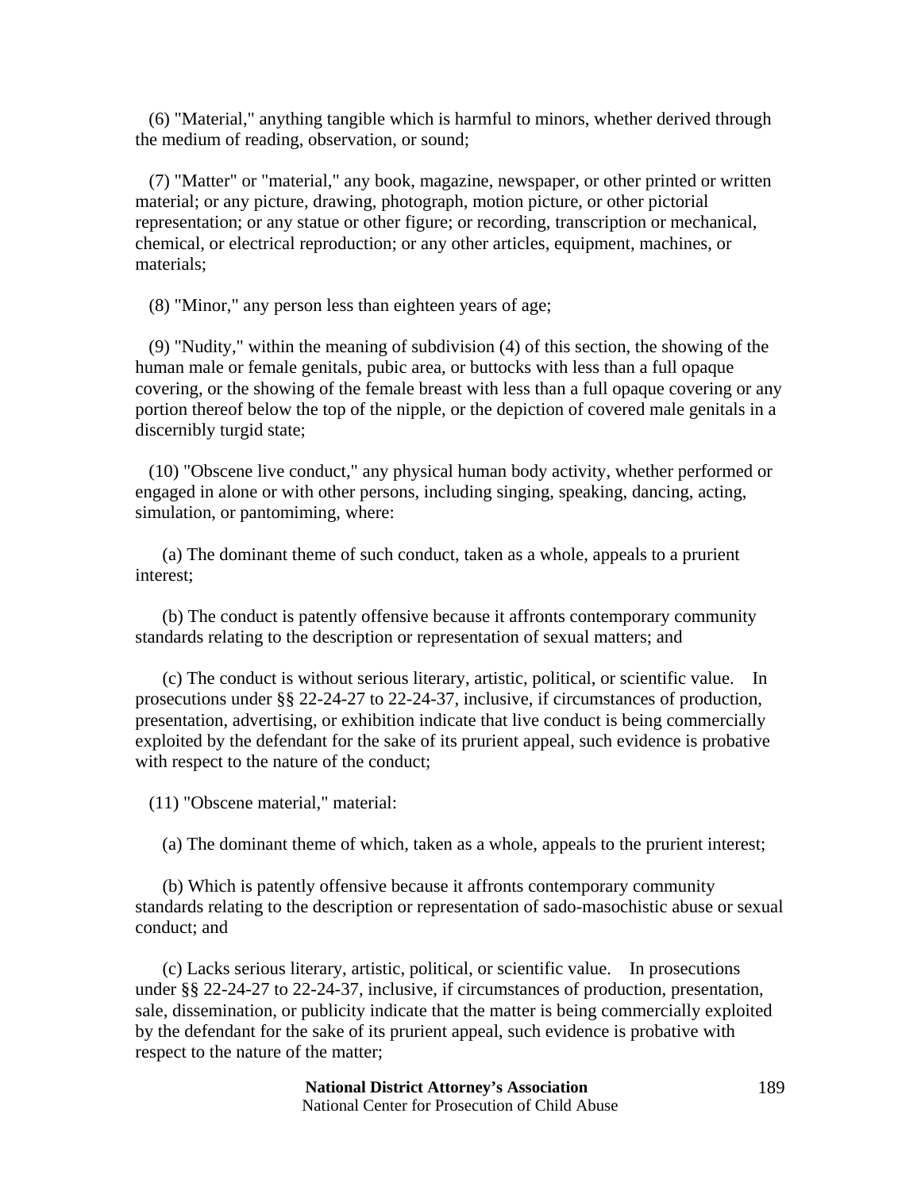(6) "Material," anything tangible which is harmful to minors, whether derived through the medium of reading, observation, or sound;

 (7) "Matter" or "material," any book, magazine, newspaper, or other printed or written material; or any picture, drawing, photograph, motion picture, or other pictorial representation; or any statue or other figure; or recording, transcription or mechanical, chemical, or electrical reproduction; or any other articles, equipment, machines, or materials;

(8) "Minor," any person less than eighteen years of age;

 (9) "Nudity," within the meaning of subdivision (4) of this section, the showing of the human male or female genitals, pubic area, or buttocks with less than a full opaque covering, or the showing of the female breast with less than a full opaque covering or any portion thereof below the top of the nipple, or the depiction of covered male genitals in a discernibly turgid state;

 (10) "Obscene live conduct," any physical human body activity, whether performed or engaged in alone or with other persons, including singing, speaking, dancing, acting, simulation, or pantomiming, where:

 (a) The dominant theme of such conduct, taken as a whole, appeals to a prurient interest;

 (b) The conduct is patently offensive because it affronts contemporary community standards relating to the description or representation of sexual matters; and

 (c) The conduct is without serious literary, artistic, political, or scientific value. In prosecutions under §§ 22-24-27 to 22-24-37, inclusive, if circumstances of production, presentation, advertising, or exhibition indicate that live conduct is being commercially exploited by the defendant for the sake of its prurient appeal, such evidence is probative with respect to the nature of the conduct;

(11) "Obscene material," material:

(a) The dominant theme of which, taken as a whole, appeals to the prurient interest;

 (b) Which is patently offensive because it affronts contemporary community standards relating to the description or representation of sado-masochistic abuse or sexual conduct; and

 (c) Lacks serious literary, artistic, political, or scientific value. In prosecutions under §§ 22-24-27 to 22-24-37, inclusive, if circumstances of production, presentation, sale, dissemination, or publicity indicate that the matter is being commercially exploited by the defendant for the sake of its prurient appeal, such evidence is probative with respect to the nature of the matter;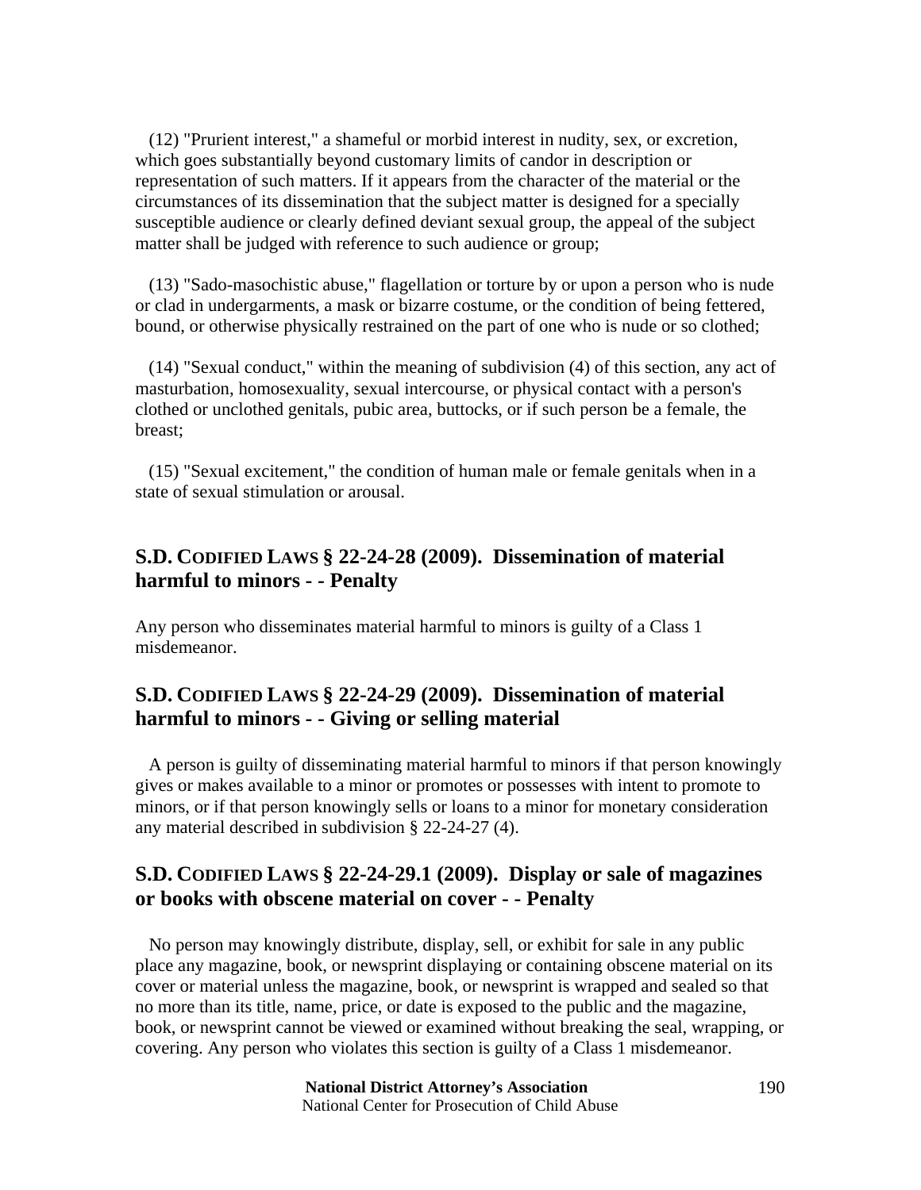(12) "Prurient interest," a shameful or morbid interest in nudity, sex, or excretion, which goes substantially beyond customary limits of candor in description or representation of such matters. If it appears from the character of the material or the circumstances of its dissemination that the subject matter is designed for a specially susceptible audience or clearly defined deviant sexual group, the appeal of the subject matter shall be judged with reference to such audience or group;

 (13) "Sado-masochistic abuse," flagellation or torture by or upon a person who is nude or clad in undergarments, a mask or bizarre costume, or the condition of being fettered, bound, or otherwise physically restrained on the part of one who is nude or so clothed;

 (14) "Sexual conduct," within the meaning of subdivision (4) of this section, any act of masturbation, homosexuality, sexual intercourse, or physical contact with a person's clothed or unclothed genitals, pubic area, buttocks, or if such person be a female, the breast;

 (15) "Sexual excitement," the condition of human male or female genitals when in a state of sexual stimulation or arousal.

# **S.D. CODIFIED LAWS § 22-24-28 (2009). Dissemination of material harmful to minors - - Penalty**

Any person who disseminates material harmful to minors is guilty of a Class 1 misdemeanor.

### **S.D. CODIFIED LAWS § 22-24-29 (2009). Dissemination of material harmful to minors - - Giving or selling material**

 A person is guilty of disseminating material harmful to minors if that person knowingly gives or makes available to a minor or promotes or possesses with intent to promote to minors, or if that person knowingly sells or loans to a minor for monetary consideration any material described in subdivision § 22-24-27 (4).

### **S.D. CODIFIED LAWS § 22-24-29.1 (2009). Display or sale of magazines or books with obscene material on cover - - Penalty**

 No person may knowingly distribute, display, sell, or exhibit for sale in any public place any magazine, book, or newsprint displaying or containing obscene material on its cover or material unless the magazine, book, or newsprint is wrapped and sealed so that no more than its title, name, price, or date is exposed to the public and the magazine, book, or newsprint cannot be viewed or examined without breaking the seal, wrapping, or covering. Any person who violates this section is guilty of a Class 1 misdemeanor.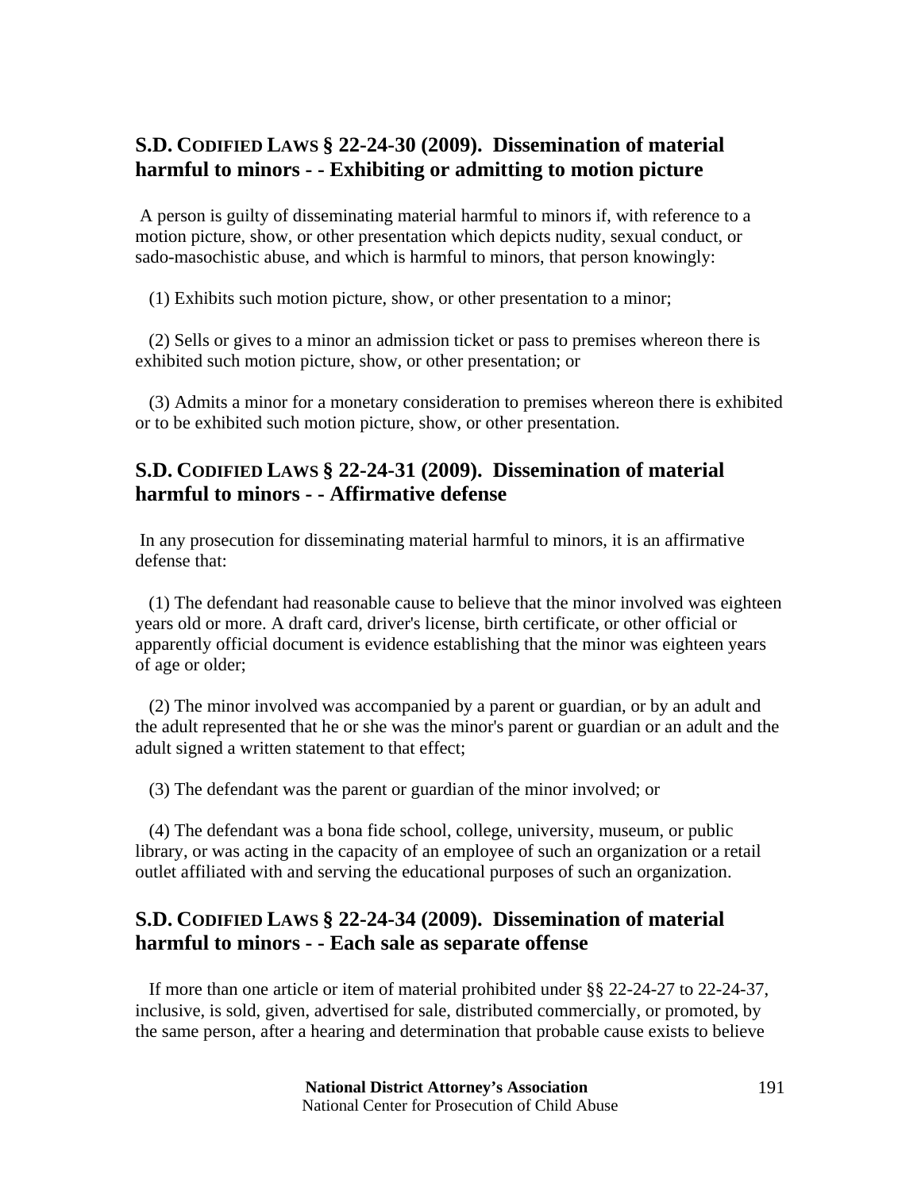# **S.D. CODIFIED LAWS § 22-24-30 (2009). Dissemination of material harmful to minors - - Exhibiting or admitting to motion picture**

 A person is guilty of disseminating material harmful to minors if, with reference to a motion picture, show, or other presentation which depicts nudity, sexual conduct, or sado-masochistic abuse, and which is harmful to minors, that person knowingly:

(1) Exhibits such motion picture, show, or other presentation to a minor;

 (2) Sells or gives to a minor an admission ticket or pass to premises whereon there is exhibited such motion picture, show, or other presentation; or

 (3) Admits a minor for a monetary consideration to premises whereon there is exhibited or to be exhibited such motion picture, show, or other presentation.

# **S.D. CODIFIED LAWS § 22-24-31 (2009). Dissemination of material harmful to minors - - Affirmative defense**

 In any prosecution for disseminating material harmful to minors, it is an affirmative defense that:

 (1) The defendant had reasonable cause to believe that the minor involved was eighteen years old or more. A draft card, driver's license, birth certificate, or other official or apparently official document is evidence establishing that the minor was eighteen years of age or older;

 (2) The minor involved was accompanied by a parent or guardian, or by an adult and the adult represented that he or she was the minor's parent or guardian or an adult and the adult signed a written statement to that effect;

(3) The defendant was the parent or guardian of the minor involved; or

 (4) The defendant was a bona fide school, college, university, museum, or public library, or was acting in the capacity of an employee of such an organization or a retail outlet affiliated with and serving the educational purposes of such an organization.

# **S.D. CODIFIED LAWS § 22-24-34 (2009). Dissemination of material harmful to minors - - Each sale as separate offense**

 If more than one article or item of material prohibited under §§ 22-24-27 to 22-24-37, inclusive, is sold, given, advertised for sale, distributed commercially, or promoted, by the same person, after a hearing and determination that probable cause exists to believe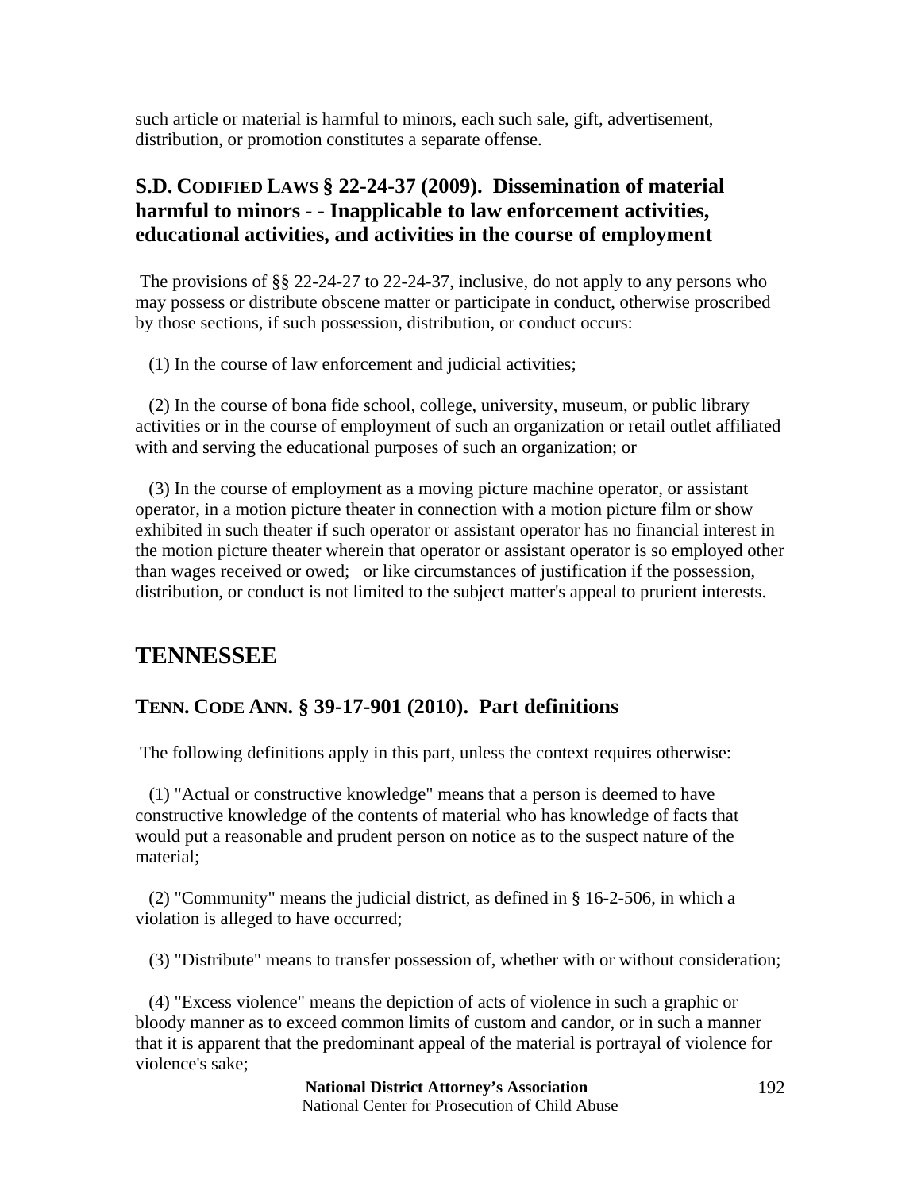such article or material is harmful to minors, each such sale, gift, advertisement, distribution, or promotion constitutes a separate offense.

# **S.D. CODIFIED LAWS § 22-24-37 (2009). Dissemination of material harmful to minors - - Inapplicable to law enforcement activities, educational activities, and activities in the course of employment**

 The provisions of §§ 22-24-27 to 22-24-37, inclusive, do not apply to any persons who may possess or distribute obscene matter or participate in conduct, otherwise proscribed by those sections, if such possession, distribution, or conduct occurs:

(1) In the course of law enforcement and judicial activities;

 (2) In the course of bona fide school, college, university, museum, or public library activities or in the course of employment of such an organization or retail outlet affiliated with and serving the educational purposes of such an organization; or

 (3) In the course of employment as a moving picture machine operator, or assistant operator, in a motion picture theater in connection with a motion picture film or show exhibited in such theater if such operator or assistant operator has no financial interest in the motion picture theater wherein that operator or assistant operator is so employed other than wages received or owed; or like circumstances of justification if the possession, distribution, or conduct is not limited to the subject matter's appeal to prurient interests.

# **TENNESSEE**

## **TENN. CODE ANN. § 39-17-901 (2010). Part definitions**

The following definitions apply in this part, unless the context requires otherwise:

 (1) "Actual or constructive knowledge" means that a person is deemed to have constructive knowledge of the contents of material who has knowledge of facts that would put a reasonable and prudent person on notice as to the suspect nature of the material;

 (2) "Community" means the judicial district, as defined in § 16-2-506, in which a violation is alleged to have occurred;

(3) "Distribute" means to transfer possession of, whether with or without consideration;

 (4) "Excess violence" means the depiction of acts of violence in such a graphic or bloody manner as to exceed common limits of custom and candor, or in such a manner that it is apparent that the predominant appeal of the material is portrayal of violence for violence's sake;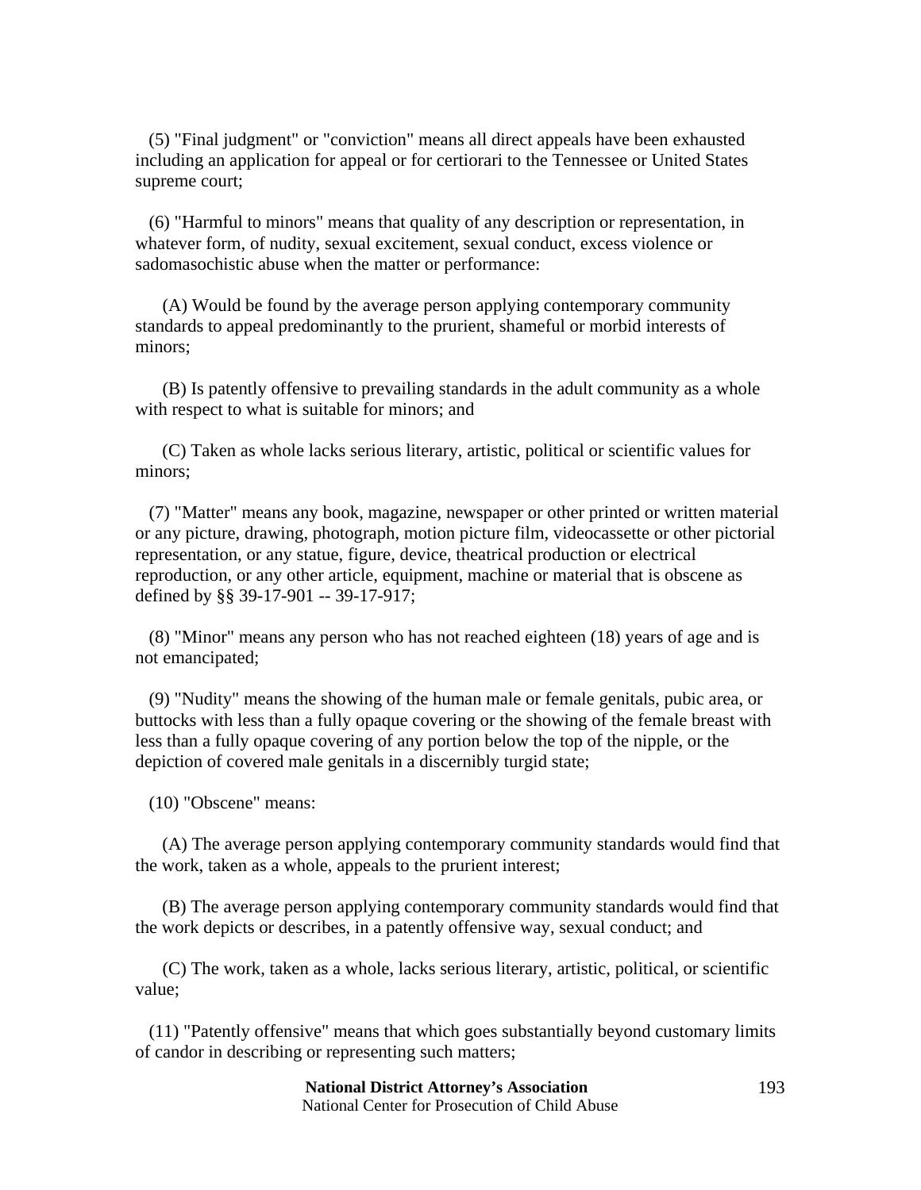(5) "Final judgment" or "conviction" means all direct appeals have been exhausted including an application for appeal or for certiorari to the Tennessee or United States supreme court;

 (6) "Harmful to minors" means that quality of any description or representation, in whatever form, of nudity, sexual excitement, sexual conduct, excess violence or sadomasochistic abuse when the matter or performance:

 (A) Would be found by the average person applying contemporary community standards to appeal predominantly to the prurient, shameful or morbid interests of minors;

 (B) Is patently offensive to prevailing standards in the adult community as a whole with respect to what is suitable for minors; and

 (C) Taken as whole lacks serious literary, artistic, political or scientific values for minors;

 (7) "Matter" means any book, magazine, newspaper or other printed or written material or any picture, drawing, photograph, motion picture film, videocassette or other pictorial representation, or any statue, figure, device, theatrical production or electrical reproduction, or any other article, equipment, machine or material that is obscene as defined by §§ 39-17-901 -- 39-17-917;

 (8) "Minor" means any person who has not reached eighteen (18) years of age and is not emancipated;

 (9) "Nudity" means the showing of the human male or female genitals, pubic area, or buttocks with less than a fully opaque covering or the showing of the female breast with less than a fully opaque covering of any portion below the top of the nipple, or the depiction of covered male genitals in a discernibly turgid state;

(10) "Obscene" means:

 (A) The average person applying contemporary community standards would find that the work, taken as a whole, appeals to the prurient interest;

 (B) The average person applying contemporary community standards would find that the work depicts or describes, in a patently offensive way, sexual conduct; and

 (C) The work, taken as a whole, lacks serious literary, artistic, political, or scientific value;

 (11) "Patently offensive" means that which goes substantially beyond customary limits of candor in describing or representing such matters;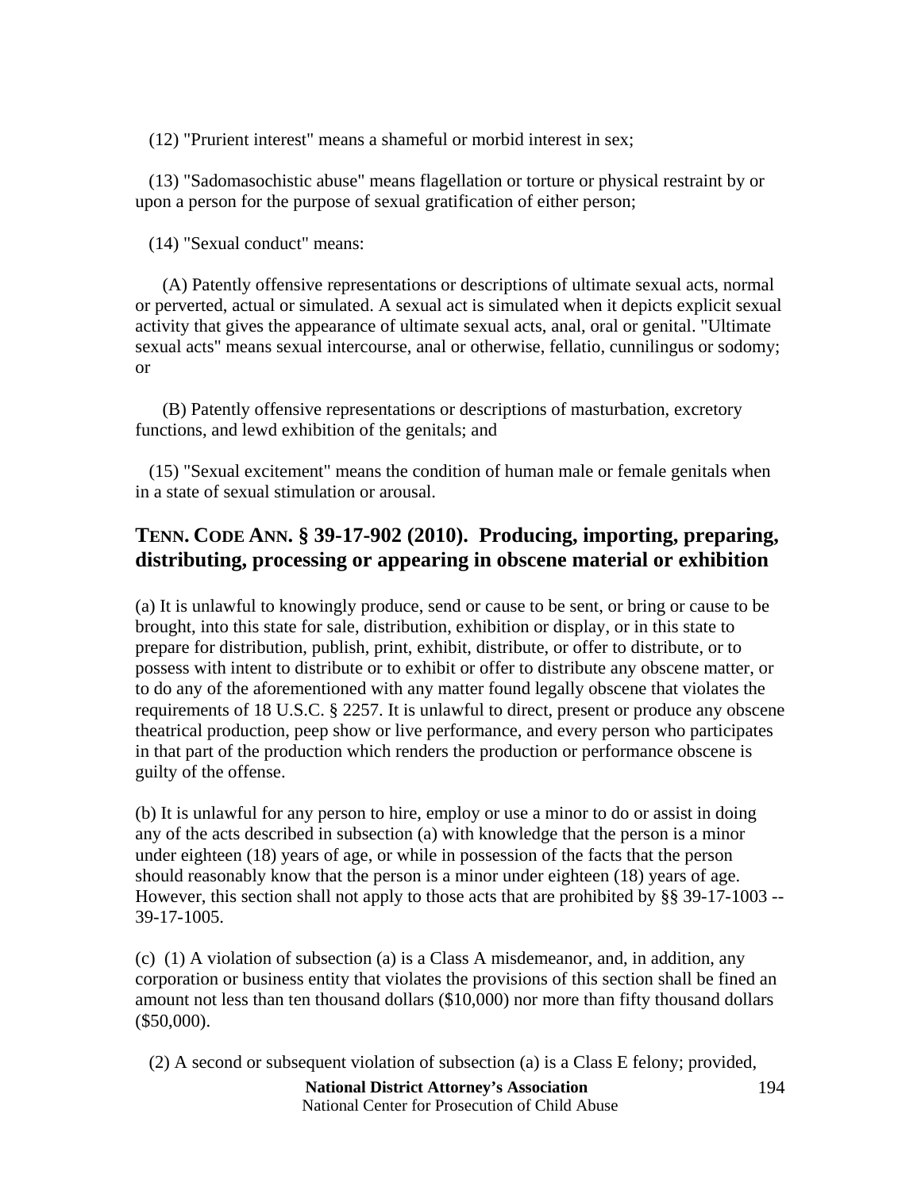(12) "Prurient interest" means a shameful or morbid interest in sex;

 (13) "Sadomasochistic abuse" means flagellation or torture or physical restraint by or upon a person for the purpose of sexual gratification of either person;

(14) "Sexual conduct" means:

 (A) Patently offensive representations or descriptions of ultimate sexual acts, normal or perverted, actual or simulated. A sexual act is simulated when it depicts explicit sexual activity that gives the appearance of ultimate sexual acts, anal, oral or genital. "Ultimate sexual acts" means sexual intercourse, anal or otherwise, fellatio, cunnilingus or sodomy; or

 (B) Patently offensive representations or descriptions of masturbation, excretory functions, and lewd exhibition of the genitals; and

 (15) "Sexual excitement" means the condition of human male or female genitals when in a state of sexual stimulation or arousal.

# **TENN. CODE ANN. § 39-17-902 (2010). Producing, importing, preparing, distributing, processing or appearing in obscene material or exhibition**

(a) It is unlawful to knowingly produce, send or cause to be sent, or bring or cause to be brought, into this state for sale, distribution, exhibition or display, or in this state to prepare for distribution, publish, print, exhibit, distribute, or offer to distribute, or to possess with intent to distribute or to exhibit or offer to distribute any obscene matter, or to do any of the aforementioned with any matter found legally obscene that violates the requirements of 18 U.S.C. § 2257. It is unlawful to direct, present or produce any obscene theatrical production, peep show or live performance, and every person who participates in that part of the production which renders the production or performance obscene is guilty of the offense.

(b) It is unlawful for any person to hire, employ or use a minor to do or assist in doing any of the acts described in subsection (a) with knowledge that the person is a minor under eighteen (18) years of age, or while in possession of the facts that the person should reasonably know that the person is a minor under eighteen (18) years of age. However, this section shall not apply to those acts that are prohibited by §§ 39-17-1003 -- 39-17-1005.

(c) (1) A violation of subsection (a) is a Class A misdemeanor, and, in addition, any corporation or business entity that violates the provisions of this section shall be fined an amount not less than ten thousand dollars (\$10,000) nor more than fifty thousand dollars (\$50,000).

(2) A second or subsequent violation of subsection (a) is a Class E felony; provided,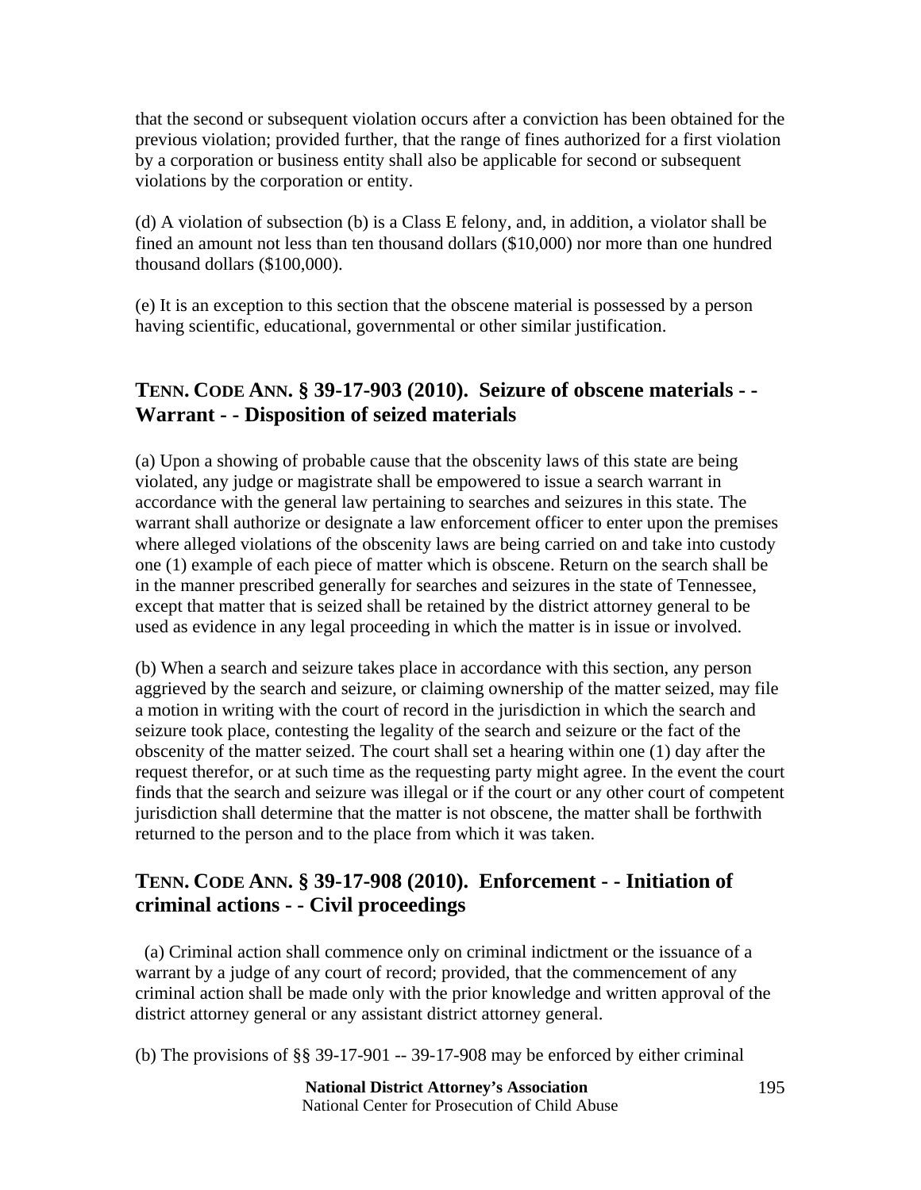that the second or subsequent violation occurs after a conviction has been obtained for the previous violation; provided further, that the range of fines authorized for a first violation by a corporation or business entity shall also be applicable for second or subsequent violations by the corporation or entity.

(d) A violation of subsection (b) is a Class E felony, and, in addition, a violator shall be fined an amount not less than ten thousand dollars (\$10,000) nor more than one hundred thousand dollars (\$100,000).

(e) It is an exception to this section that the obscene material is possessed by a person having scientific, educational, governmental or other similar justification.

## **TENN. CODE ANN. § 39-17-903 (2010). Seizure of obscene materials - - Warrant - - Disposition of seized materials**

(a) Upon a showing of probable cause that the obscenity laws of this state are being violated, any judge or magistrate shall be empowered to issue a search warrant in accordance with the general law pertaining to searches and seizures in this state. The warrant shall authorize or designate a law enforcement officer to enter upon the premises where alleged violations of the obscenity laws are being carried on and take into custody one (1) example of each piece of matter which is obscene. Return on the search shall be in the manner prescribed generally for searches and seizures in the state of Tennessee, except that matter that is seized shall be retained by the district attorney general to be used as evidence in any legal proceeding in which the matter is in issue or involved.

(b) When a search and seizure takes place in accordance with this section, any person aggrieved by the search and seizure, or claiming ownership of the matter seized, may file a motion in writing with the court of record in the jurisdiction in which the search and seizure took place, contesting the legality of the search and seizure or the fact of the obscenity of the matter seized. The court shall set a hearing within one (1) day after the request therefor, or at such time as the requesting party might agree. In the event the court finds that the search and seizure was illegal or if the court or any other court of competent jurisdiction shall determine that the matter is not obscene, the matter shall be forthwith returned to the person and to the place from which it was taken.

# **TENN. CODE ANN. § 39-17-908 (2010). Enforcement - - Initiation of criminal actions - - Civil proceedings**

 (a) Criminal action shall commence only on criminal indictment or the issuance of a warrant by a judge of any court of record; provided, that the commencement of any criminal action shall be made only with the prior knowledge and written approval of the district attorney general or any assistant district attorney general.

(b) The provisions of  $\S$ § 39-17-901 -- 39-17-908 may be enforced by either criminal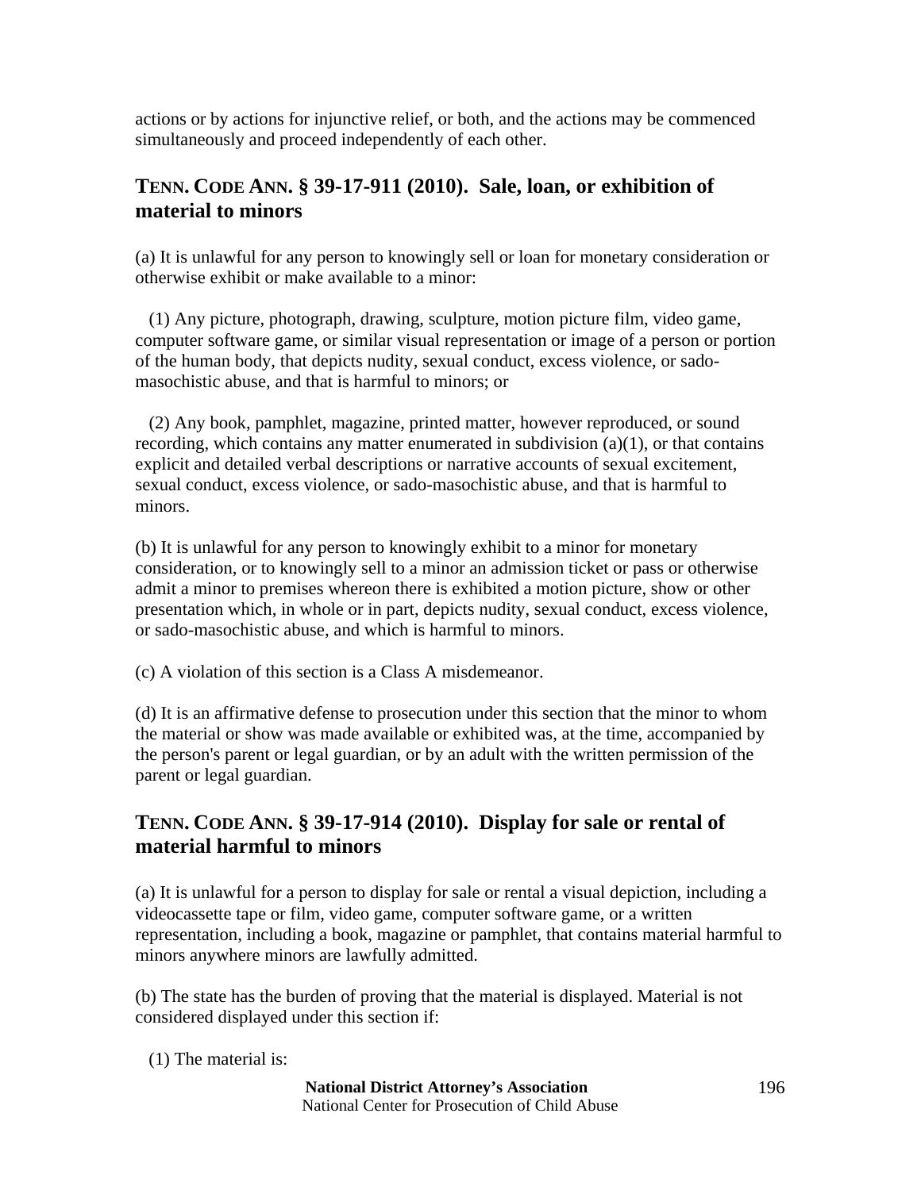actions or by actions for injunctive relief, or both, and the actions may be commenced simultaneously and proceed independently of each other.

### **TENN. CODE ANN. § 39-17-911 (2010). Sale, loan, or exhibition of material to minors**

(a) It is unlawful for any person to knowingly sell or loan for monetary consideration or otherwise exhibit or make available to a minor:

 (1) Any picture, photograph, drawing, sculpture, motion picture film, video game, computer software game, or similar visual representation or image of a person or portion of the human body, that depicts nudity, sexual conduct, excess violence, or sadomasochistic abuse, and that is harmful to minors; or

 (2) Any book, pamphlet, magazine, printed matter, however reproduced, or sound recording, which contains any matter enumerated in subdivision  $(a)(1)$ , or that contains explicit and detailed verbal descriptions or narrative accounts of sexual excitement, sexual conduct, excess violence, or sado-masochistic abuse, and that is harmful to minors.

(b) It is unlawful for any person to knowingly exhibit to a minor for monetary consideration, or to knowingly sell to a minor an admission ticket or pass or otherwise admit a minor to premises whereon there is exhibited a motion picture, show or other presentation which, in whole or in part, depicts nudity, sexual conduct, excess violence, or sado-masochistic abuse, and which is harmful to minors.

(c) A violation of this section is a Class A misdemeanor.

(d) It is an affirmative defense to prosecution under this section that the minor to whom the material or show was made available or exhibited was, at the time, accompanied by the person's parent or legal guardian, or by an adult with the written permission of the parent or legal guardian.

## **TENN. CODE ANN. § 39-17-914 (2010). Display for sale or rental of material harmful to minors**

(a) It is unlawful for a person to display for sale or rental a visual depiction, including a videocassette tape or film, video game, computer software game, or a written representation, including a book, magazine or pamphlet, that contains material harmful to minors anywhere minors are lawfully admitted.

(b) The state has the burden of proving that the material is displayed. Material is not considered displayed under this section if:

(1) The material is: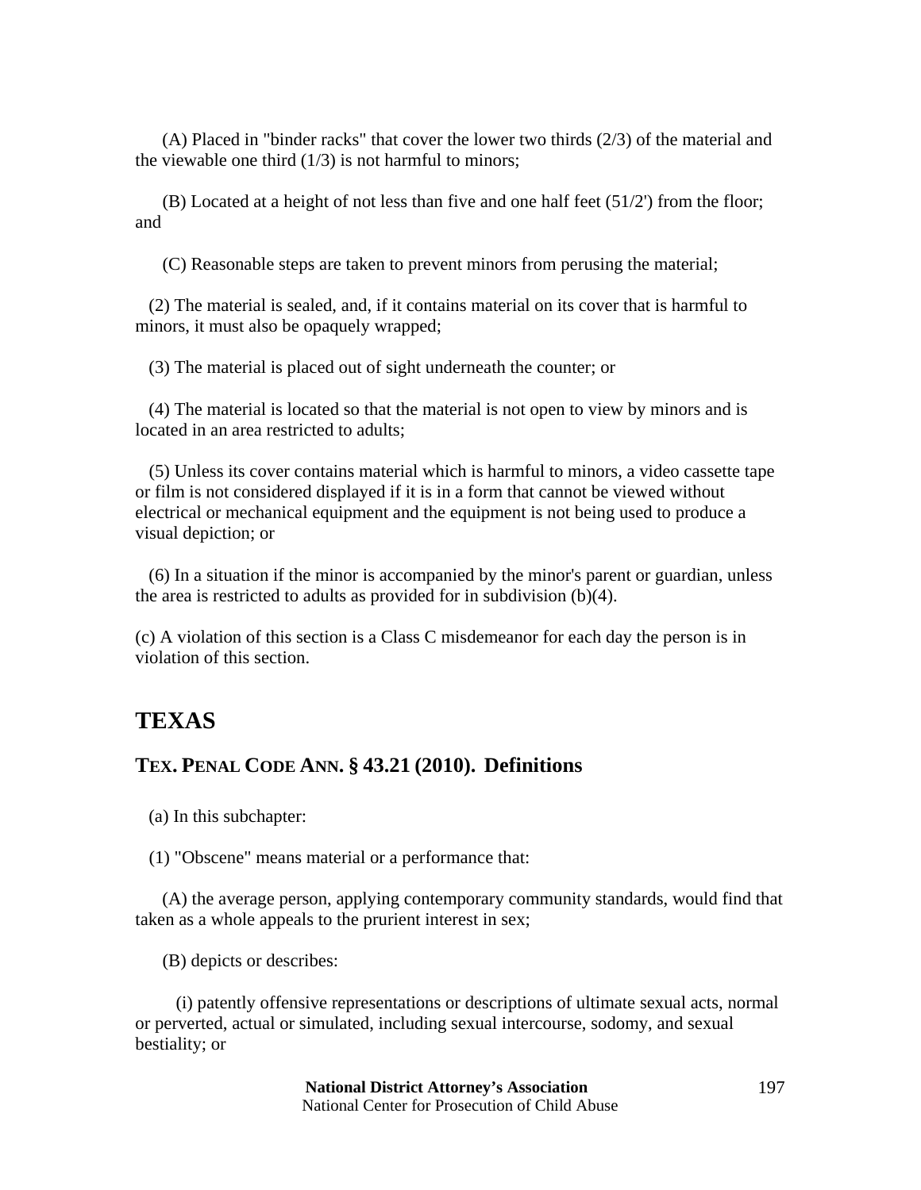(A) Placed in "binder racks" that cover the lower two thirds (2/3) of the material and the viewable one third  $(1/3)$  is not harmful to minors;

 (B) Located at a height of not less than five and one half feet (51/2') from the floor; and

(C) Reasonable steps are taken to prevent minors from perusing the material;

 (2) The material is sealed, and, if it contains material on its cover that is harmful to minors, it must also be opaquely wrapped;

(3) The material is placed out of sight underneath the counter; or

 (4) The material is located so that the material is not open to view by minors and is located in an area restricted to adults;

 (5) Unless its cover contains material which is harmful to minors, a video cassette tape or film is not considered displayed if it is in a form that cannot be viewed without electrical or mechanical equipment and the equipment is not being used to produce a visual depiction; or

 (6) In a situation if the minor is accompanied by the minor's parent or guardian, unless the area is restricted to adults as provided for in subdivision (b)(4).

(c) A violation of this section is a Class C misdemeanor for each day the person is in violation of this section.

# **TEXAS**

### **TEX. PENAL CODE ANN. § 43.21 (2010). Definitions**

(a) In this subchapter:

(1) "Obscene" means material or a performance that:

 (A) the average person, applying contemporary community standards, would find that taken as a whole appeals to the prurient interest in sex;

(B) depicts or describes:

 (i) patently offensive representations or descriptions of ultimate sexual acts, normal or perverted, actual or simulated, including sexual intercourse, sodomy, and sexual bestiality; or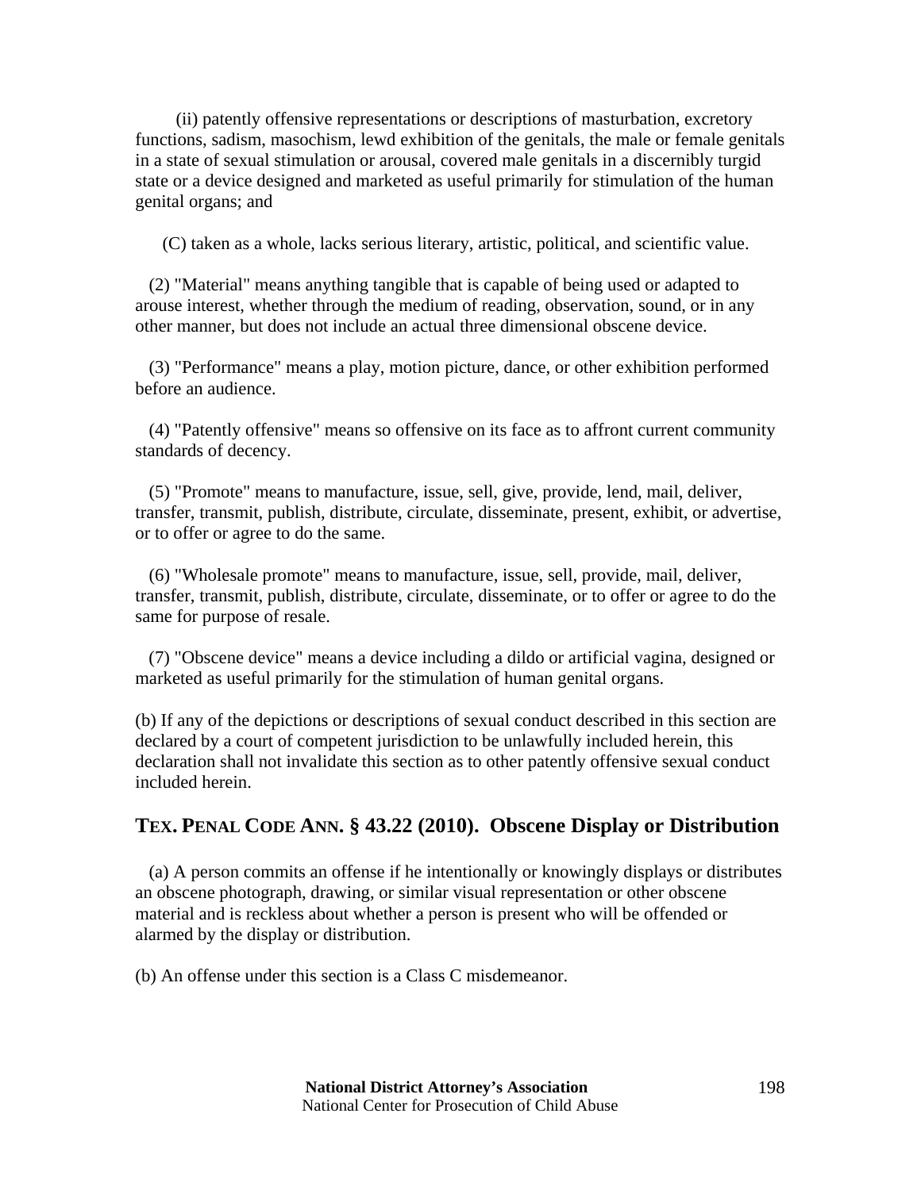(ii) patently offensive representations or descriptions of masturbation, excretory functions, sadism, masochism, lewd exhibition of the genitals, the male or female genitals in a state of sexual stimulation or arousal, covered male genitals in a discernibly turgid state or a device designed and marketed as useful primarily for stimulation of the human genital organs; and

(C) taken as a whole, lacks serious literary, artistic, political, and scientific value.

 (2) "Material" means anything tangible that is capable of being used or adapted to arouse interest, whether through the medium of reading, observation, sound, or in any other manner, but does not include an actual three dimensional obscene device.

 (3) "Performance" means a play, motion picture, dance, or other exhibition performed before an audience.

 (4) "Patently offensive" means so offensive on its face as to affront current community standards of decency.

 (5) "Promote" means to manufacture, issue, sell, give, provide, lend, mail, deliver, transfer, transmit, publish, distribute, circulate, disseminate, present, exhibit, or advertise, or to offer or agree to do the same.

 (6) "Wholesale promote" means to manufacture, issue, sell, provide, mail, deliver, transfer, transmit, publish, distribute, circulate, disseminate, or to offer or agree to do the same for purpose of resale.

 (7) "Obscene device" means a device including a dildo or artificial vagina, designed or marketed as useful primarily for the stimulation of human genital organs.

(b) If any of the depictions or descriptions of sexual conduct described in this section are declared by a court of competent jurisdiction to be unlawfully included herein, this declaration shall not invalidate this section as to other patently offensive sexual conduct included herein.

#### **TEX. PENAL CODE ANN. § 43.22 (2010). Obscene Display or Distribution**

 (a) A person commits an offense if he intentionally or knowingly displays or distributes an obscene photograph, drawing, or similar visual representation or other obscene material and is reckless about whether a person is present who will be offended or alarmed by the display or distribution.

(b) An offense under this section is a Class C misdemeanor.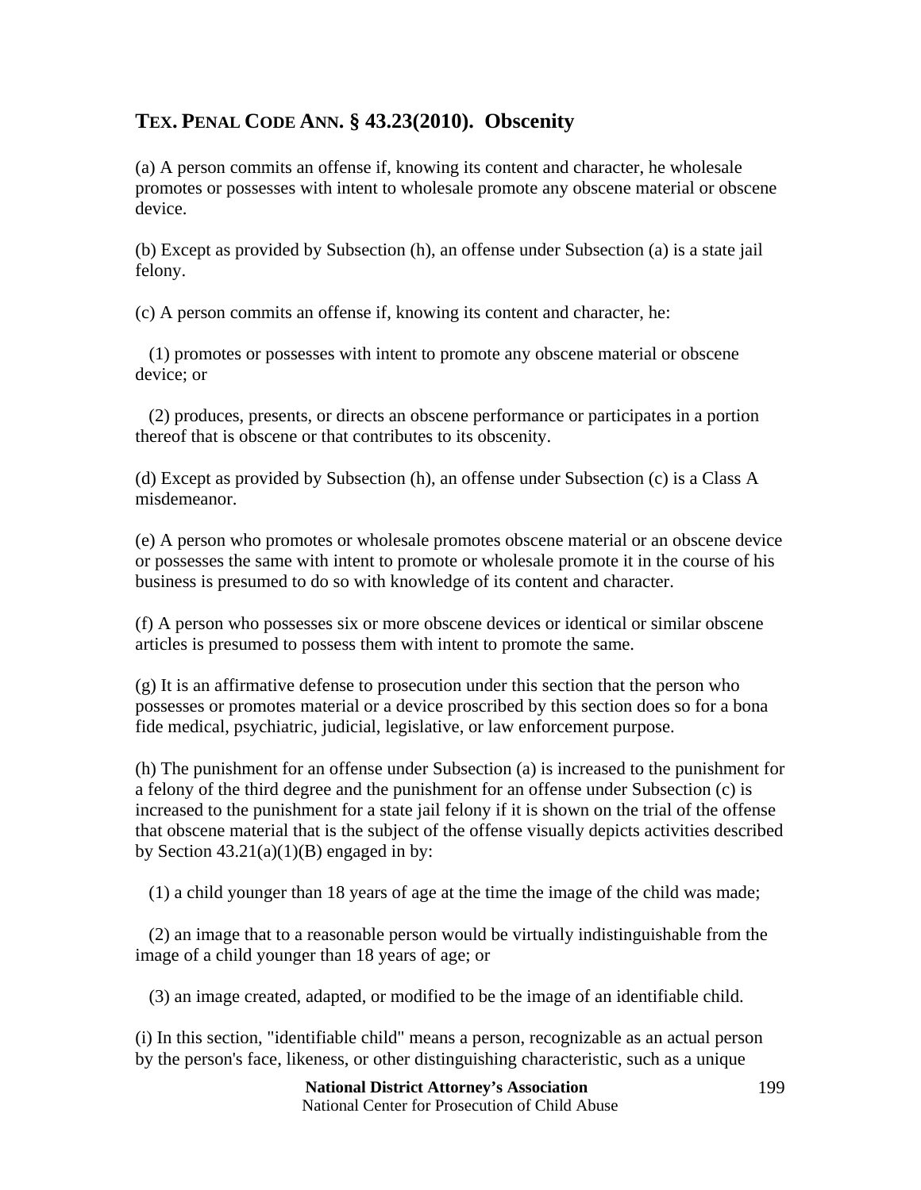# **TEX. PENAL CODE ANN. § 43.23(2010). Obscenity**

(a) A person commits an offense if, knowing its content and character, he wholesale promotes or possesses with intent to wholesale promote any obscene material or obscene device.

(b) Except as provided by Subsection (h), an offense under Subsection (a) is a state jail felony.

(c) A person commits an offense if, knowing its content and character, he:

 (1) promotes or possesses with intent to promote any obscene material or obscene device; or

 (2) produces, presents, or directs an obscene performance or participates in a portion thereof that is obscene or that contributes to its obscenity.

(d) Except as provided by Subsection (h), an offense under Subsection (c) is a Class A misdemeanor.

(e) A person who promotes or wholesale promotes obscene material or an obscene device or possesses the same with intent to promote or wholesale promote it in the course of his business is presumed to do so with knowledge of its content and character.

(f) A person who possesses six or more obscene devices or identical or similar obscene articles is presumed to possess them with intent to promote the same.

(g) It is an affirmative defense to prosecution under this section that the person who possesses or promotes material or a device proscribed by this section does so for a bona fide medical, psychiatric, judicial, legislative, or law enforcement purpose.

(h) The punishment for an offense under Subsection (a) is increased to the punishment for a felony of the third degree and the punishment for an offense under Subsection (c) is increased to the punishment for a state jail felony if it is shown on the trial of the offense that obscene material that is the subject of the offense visually depicts activities described by Section  $43.21(a)(1)(B)$  engaged in by:

(1) a child younger than 18 years of age at the time the image of the child was made;

 (2) an image that to a reasonable person would be virtually indistinguishable from the image of a child younger than 18 years of age; or

(3) an image created, adapted, or modified to be the image of an identifiable child.

(i) In this section, "identifiable child" means a person, recognizable as an actual person by the person's face, likeness, or other distinguishing characteristic, such as a unique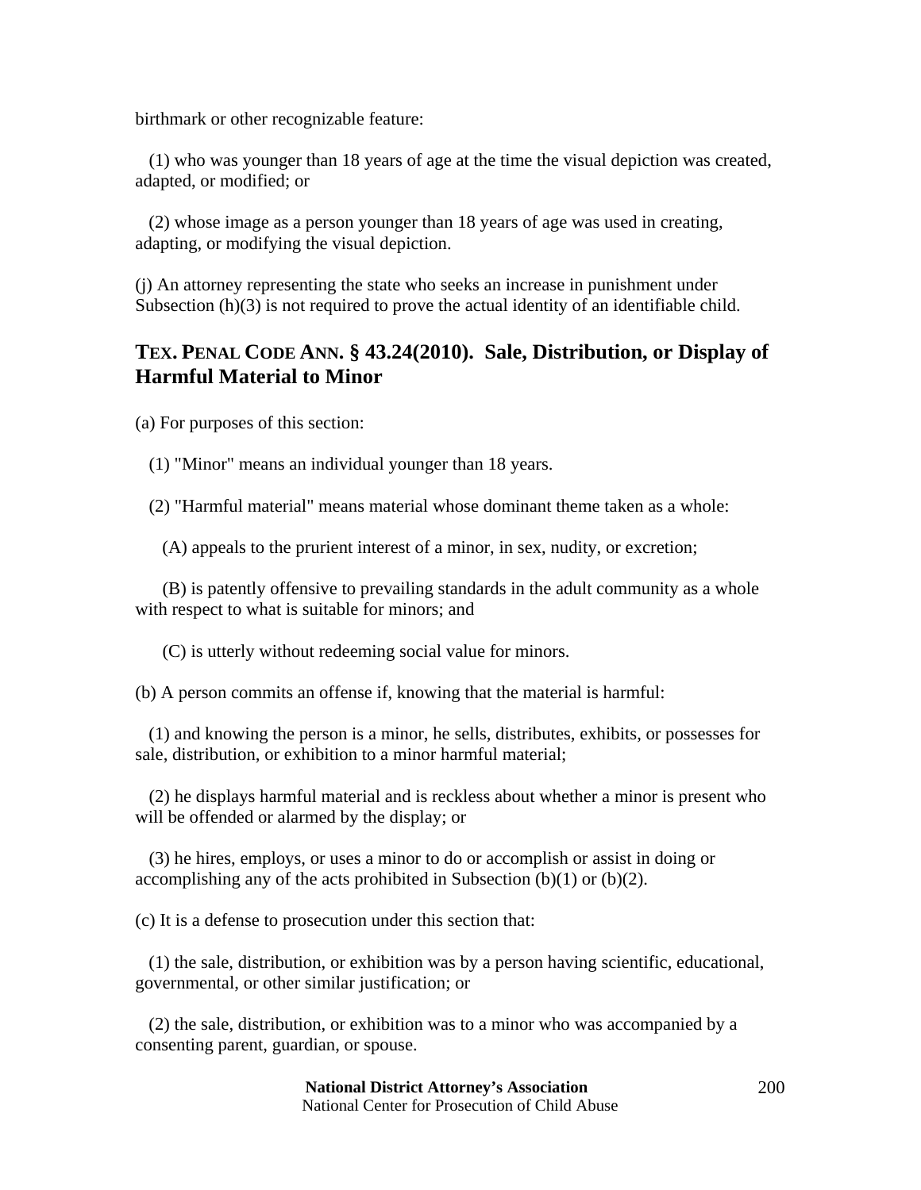birthmark or other recognizable feature:

 (1) who was younger than 18 years of age at the time the visual depiction was created, adapted, or modified; or

 (2) whose image as a person younger than 18 years of age was used in creating, adapting, or modifying the visual depiction.

(j) An attorney representing the state who seeks an increase in punishment under Subsection (h)(3) is not required to prove the actual identity of an identifiable child.

### **TEX. PENAL CODE ANN. § 43.24(2010). Sale, Distribution, or Display of Harmful Material to Minor**

(a) For purposes of this section:

(1) "Minor" means an individual younger than 18 years.

(2) "Harmful material" means material whose dominant theme taken as a whole:

(A) appeals to the prurient interest of a minor, in sex, nudity, or excretion;

 (B) is patently offensive to prevailing standards in the adult community as a whole with respect to what is suitable for minors; and

(C) is utterly without redeeming social value for minors.

(b) A person commits an offense if, knowing that the material is harmful:

 (1) and knowing the person is a minor, he sells, distributes, exhibits, or possesses for sale, distribution, or exhibition to a minor harmful material;

 (2) he displays harmful material and is reckless about whether a minor is present who will be offended or alarmed by the display; or

 (3) he hires, employs, or uses a minor to do or accomplish or assist in doing or accomplishing any of the acts prohibited in Subsection  $(b)(1)$  or  $(b)(2)$ .

(c) It is a defense to prosecution under this section that:

 (1) the sale, distribution, or exhibition was by a person having scientific, educational, governmental, or other similar justification; or

 (2) the sale, distribution, or exhibition was to a minor who was accompanied by a consenting parent, guardian, or spouse.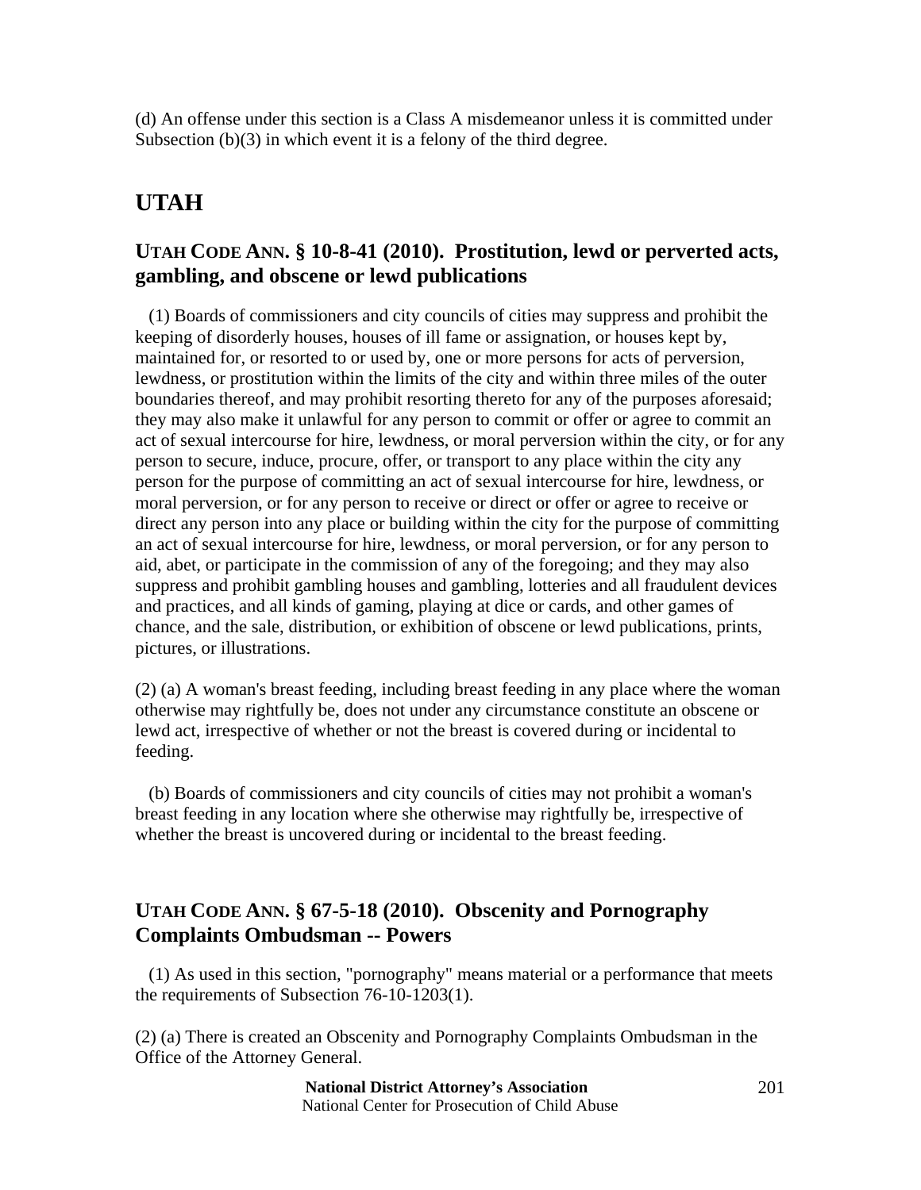(d) An offense under this section is a Class A misdemeanor unless it is committed under Subsection (b)(3) in which event it is a felony of the third degree.

# **UTAH**

# **UTAH CODE ANN. § 10-8-41 (2010). Prostitution, lewd or perverted acts, gambling, and obscene or lewd publications**

 (1) Boards of commissioners and city councils of cities may suppress and prohibit the keeping of disorderly houses, houses of ill fame or assignation, or houses kept by, maintained for, or resorted to or used by, one or more persons for acts of perversion, lewdness, or prostitution within the limits of the city and within three miles of the outer boundaries thereof, and may prohibit resorting thereto for any of the purposes aforesaid; they may also make it unlawful for any person to commit or offer or agree to commit an act of sexual intercourse for hire, lewdness, or moral perversion within the city, or for any person to secure, induce, procure, offer, or transport to any place within the city any person for the purpose of committing an act of sexual intercourse for hire, lewdness, or moral perversion, or for any person to receive or direct or offer or agree to receive or direct any person into any place or building within the city for the purpose of committing an act of sexual intercourse for hire, lewdness, or moral perversion, or for any person to aid, abet, or participate in the commission of any of the foregoing; and they may also suppress and prohibit gambling houses and gambling, lotteries and all fraudulent devices and practices, and all kinds of gaming, playing at dice or cards, and other games of chance, and the sale, distribution, or exhibition of obscene or lewd publications, prints, pictures, or illustrations.

(2) (a) A woman's breast feeding, including breast feeding in any place where the woman otherwise may rightfully be, does not under any circumstance constitute an obscene or lewd act, irrespective of whether or not the breast is covered during or incidental to feeding.

 (b) Boards of commissioners and city councils of cities may not prohibit a woman's breast feeding in any location where she otherwise may rightfully be, irrespective of whether the breast is uncovered during or incidental to the breast feeding.

# **UTAH CODE ANN. § 67-5-18 (2010). Obscenity and Pornography Complaints Ombudsman -- Powers**

 (1) As used in this section, "pornography" means material or a performance that meets the requirements of Subsection 76-10-1203(1).

(2) (a) There is created an Obscenity and Pornography Complaints Ombudsman in the Office of the Attorney General.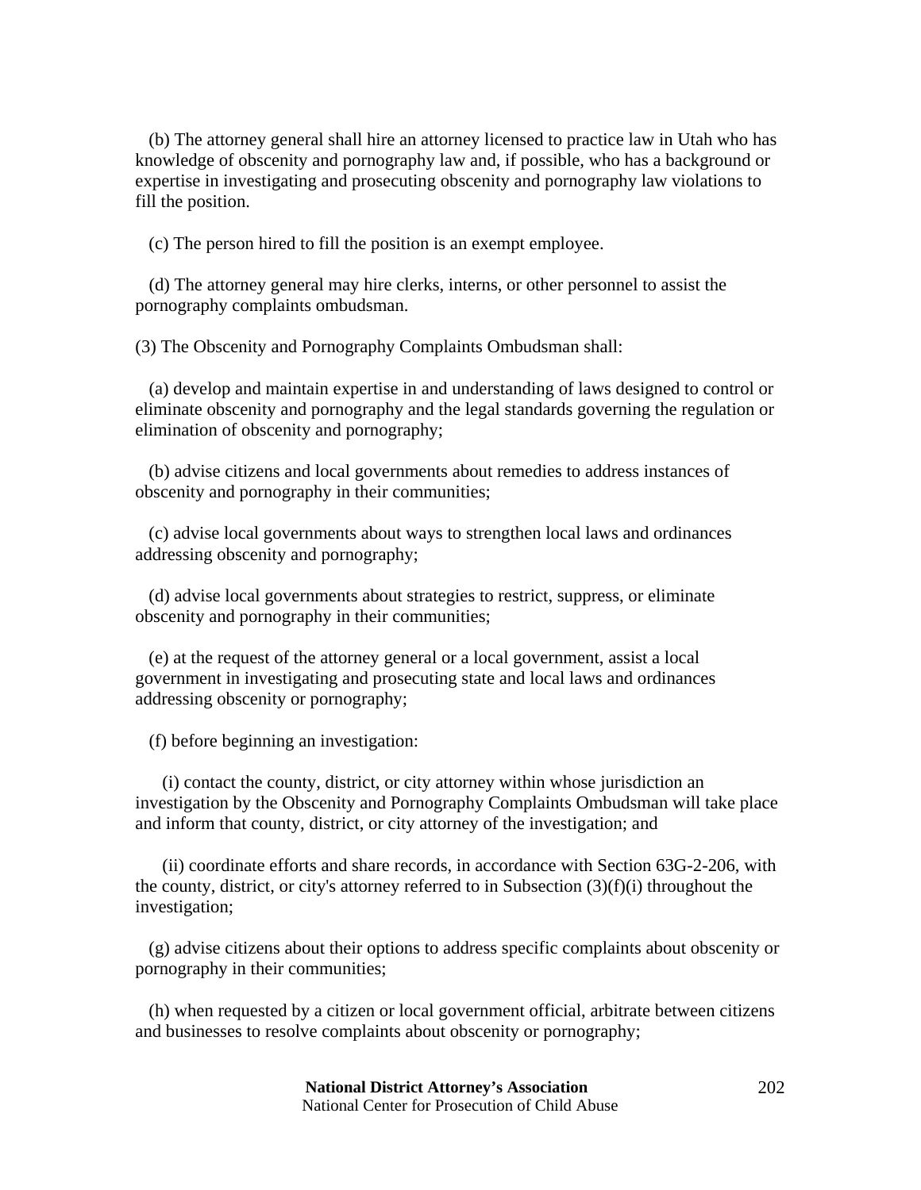(b) The attorney general shall hire an attorney licensed to practice law in Utah who has knowledge of obscenity and pornography law and, if possible, who has a background or expertise in investigating and prosecuting obscenity and pornography law violations to fill the position.

(c) The person hired to fill the position is an exempt employee.

 (d) The attorney general may hire clerks, interns, or other personnel to assist the pornography complaints ombudsman.

(3) The Obscenity and Pornography Complaints Ombudsman shall:

 (a) develop and maintain expertise in and understanding of laws designed to control or eliminate obscenity and pornography and the legal standards governing the regulation or elimination of obscenity and pornography;

 (b) advise citizens and local governments about remedies to address instances of obscenity and pornography in their communities;

 (c) advise local governments about ways to strengthen local laws and ordinances addressing obscenity and pornography;

 (d) advise local governments about strategies to restrict, suppress, or eliminate obscenity and pornography in their communities;

 (e) at the request of the attorney general or a local government, assist a local government in investigating and prosecuting state and local laws and ordinances addressing obscenity or pornography;

(f) before beginning an investigation:

 (i) contact the county, district, or city attorney within whose jurisdiction an investigation by the Obscenity and Pornography Complaints Ombudsman will take place and inform that county, district, or city attorney of the investigation; and

 (ii) coordinate efforts and share records, in accordance with Section 63G-2-206, with the county, district, or city's attorney referred to in Subsection (3)(f)(i) throughout the investigation;

 (g) advise citizens about their options to address specific complaints about obscenity or pornography in their communities;

 (h) when requested by a citizen or local government official, arbitrate between citizens and businesses to resolve complaints about obscenity or pornography;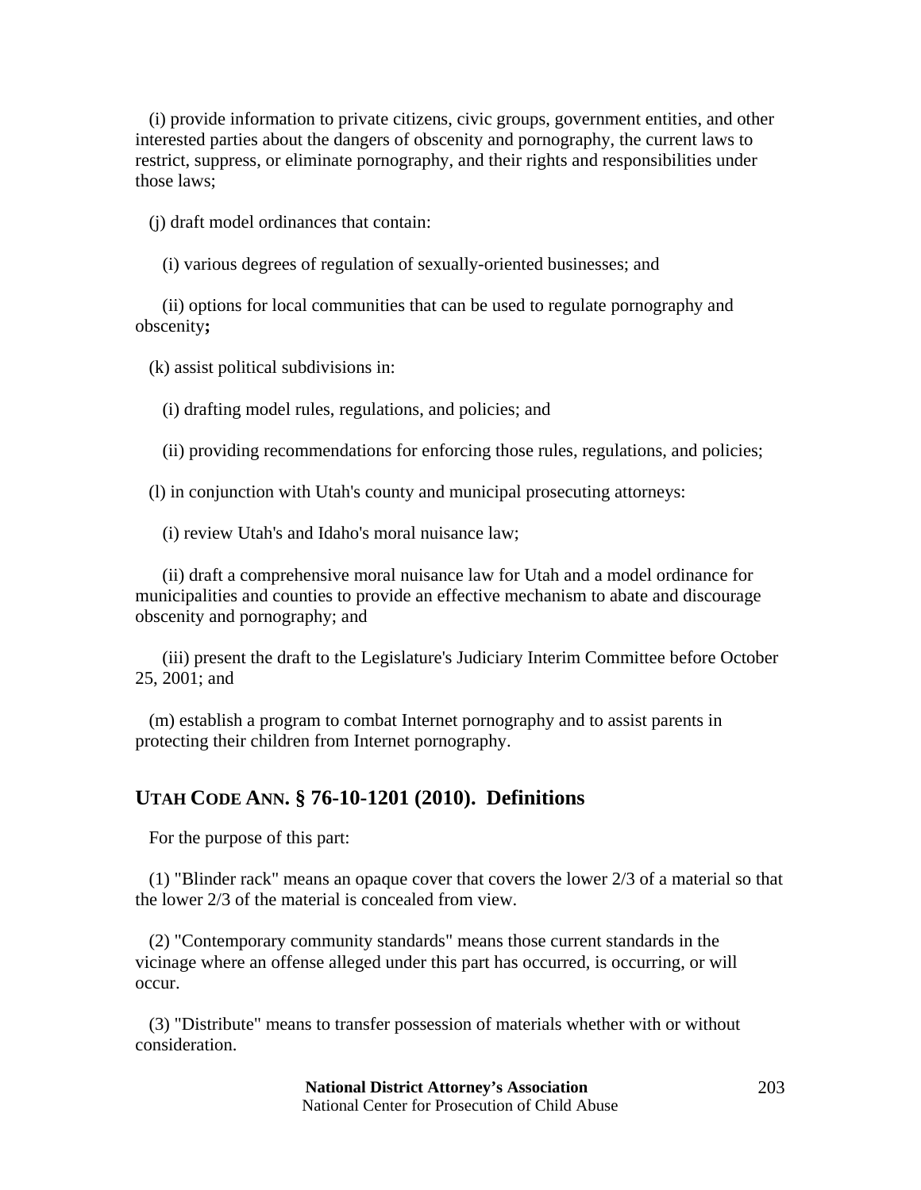(i) provide information to private citizens, civic groups, government entities, and other interested parties about the dangers of obscenity and pornography, the current laws to restrict, suppress, or eliminate pornography, and their rights and responsibilities under those laws;

(j) draft model ordinances that contain:

(i) various degrees of regulation of sexually-oriented businesses; and

 (ii) options for local communities that can be used to regulate pornography and obscenity**;**

(k) assist political subdivisions in:

(i) drafting model rules, regulations, and policies; and

(ii) providing recommendations for enforcing those rules, regulations, and policies;

(l) in conjunction with Utah's county and municipal prosecuting attorneys:

(i) review Utah's and Idaho's moral nuisance law;

 (ii) draft a comprehensive moral nuisance law for Utah and a model ordinance for municipalities and counties to provide an effective mechanism to abate and discourage obscenity and pornography; and

 (iii) present the draft to the Legislature's Judiciary Interim Committee before October 25, 2001; and

 (m) establish a program to combat Internet pornography and to assist parents in protecting their children from Internet pornography.

#### **UTAH CODE ANN. § 76-10-1201 (2010). Definitions**

For the purpose of this part:

 (1) "Blinder rack" means an opaque cover that covers the lower 2/3 of a material so that the lower 2/3 of the material is concealed from view.

 (2) "Contemporary community standards" means those current standards in the vicinage where an offense alleged under this part has occurred, is occurring, or will occur.

 (3) "Distribute" means to transfer possession of materials whether with or without consideration.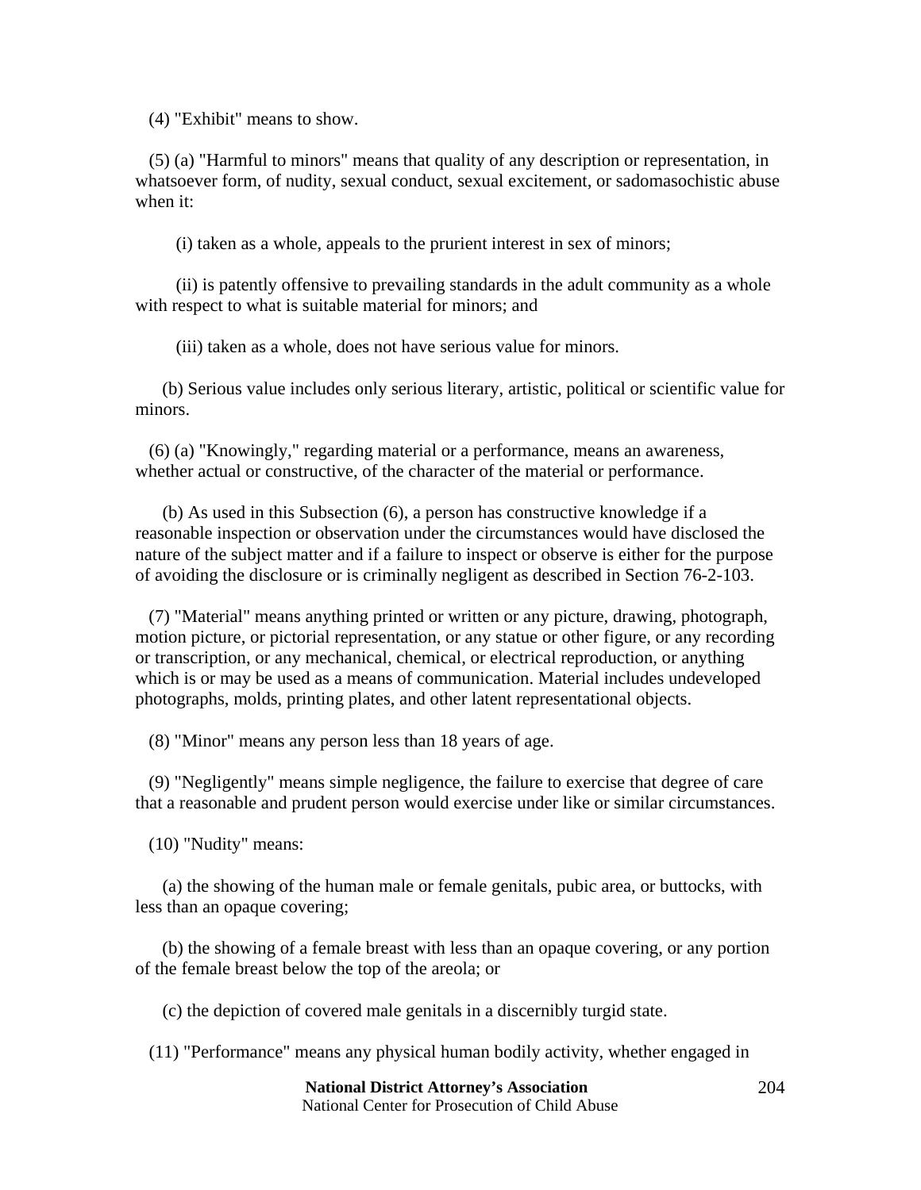(4) "Exhibit" means to show.

 (5) (a) "Harmful to minors" means that quality of any description or representation, in whatsoever form, of nudity, sexual conduct, sexual excitement, or sadomasochistic abuse when it:

(i) taken as a whole, appeals to the prurient interest in sex of minors;

 (ii) is patently offensive to prevailing standards in the adult community as a whole with respect to what is suitable material for minors; and

(iii) taken as a whole, does not have serious value for minors.

 (b) Serious value includes only serious literary, artistic, political or scientific value for minors.

 (6) (a) "Knowingly," regarding material or a performance, means an awareness, whether actual or constructive, of the character of the material or performance.

 (b) As used in this Subsection (6), a person has constructive knowledge if a reasonable inspection or observation under the circumstances would have disclosed the nature of the subject matter and if a failure to inspect or observe is either for the purpose of avoiding the disclosure or is criminally negligent as described in Section 76-2-103.

 (7) "Material" means anything printed or written or any picture, drawing, photograph, motion picture, or pictorial representation, or any statue or other figure, or any recording or transcription, or any mechanical, chemical, or electrical reproduction, or anything which is or may be used as a means of communication. Material includes undeveloped photographs, molds, printing plates, and other latent representational objects.

(8) "Minor" means any person less than 18 years of age.

 (9) "Negligently" means simple negligence, the failure to exercise that degree of care that a reasonable and prudent person would exercise under like or similar circumstances.

(10) "Nudity" means:

 (a) the showing of the human male or female genitals, pubic area, or buttocks, with less than an opaque covering;

 (b) the showing of a female breast with less than an opaque covering, or any portion of the female breast below the top of the areola; or

(c) the depiction of covered male genitals in a discernibly turgid state.

(11) "Performance" means any physical human bodily activity, whether engaged in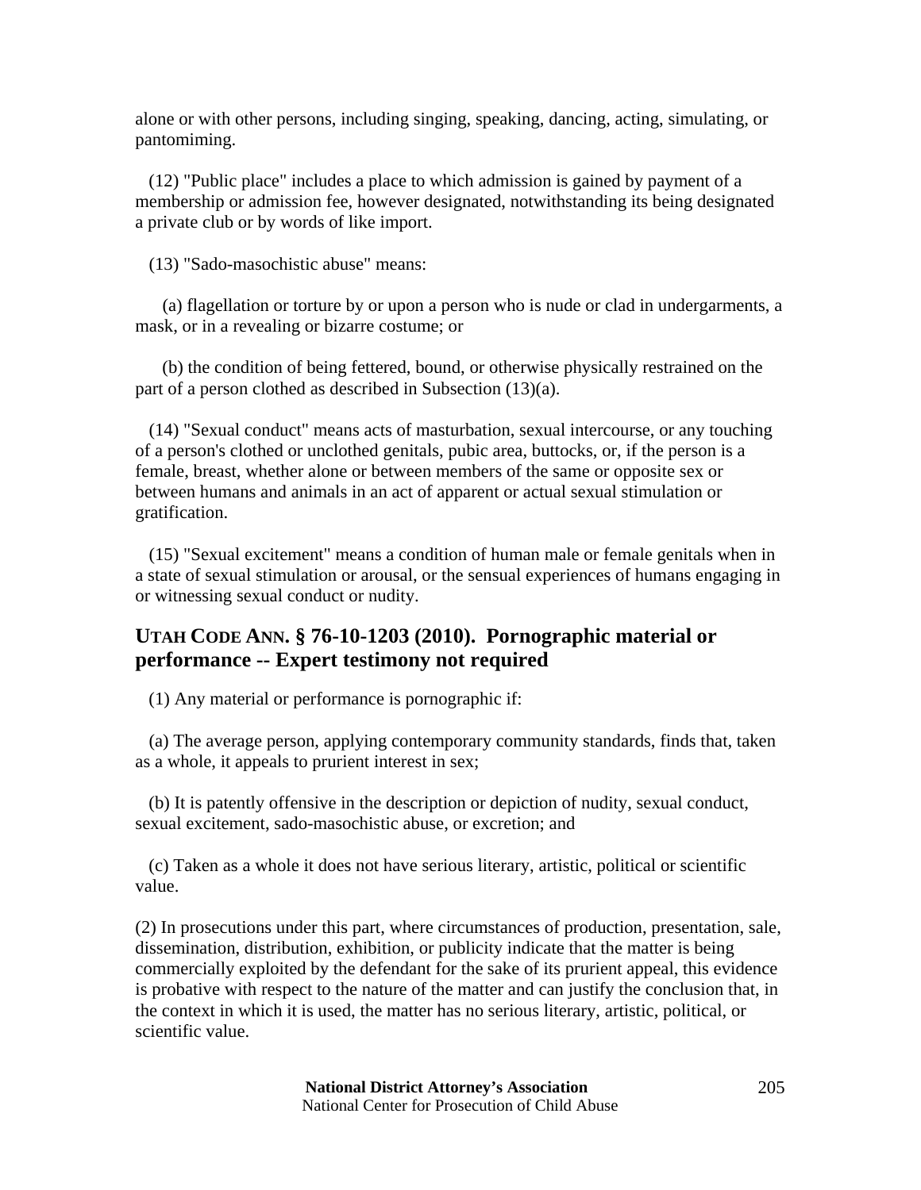alone or with other persons, including singing, speaking, dancing, acting, simulating, or pantomiming.

 (12) "Public place" includes a place to which admission is gained by payment of a membership or admission fee, however designated, notwithstanding its being designated a private club or by words of like import.

(13) "Sado-masochistic abuse" means:

 (a) flagellation or torture by or upon a person who is nude or clad in undergarments, a mask, or in a revealing or bizarre costume; or

 (b) the condition of being fettered, bound, or otherwise physically restrained on the part of a person clothed as described in Subsection (13)(a).

 (14) "Sexual conduct" means acts of masturbation, sexual intercourse, or any touching of a person's clothed or unclothed genitals, pubic area, buttocks, or, if the person is a female, breast, whether alone or between members of the same or opposite sex or between humans and animals in an act of apparent or actual sexual stimulation or gratification.

 (15) "Sexual excitement" means a condition of human male or female genitals when in a state of sexual stimulation or arousal, or the sensual experiences of humans engaging in or witnessing sexual conduct or nudity.

# **UTAH CODE ANN. § 76-10-1203 (2010). Pornographic material or performance -- Expert testimony not required**

(1) Any material or performance is pornographic if:

 (a) The average person, applying contemporary community standards, finds that, taken as a whole, it appeals to prurient interest in sex;

 (b) It is patently offensive in the description or depiction of nudity, sexual conduct, sexual excitement, sado-masochistic abuse, or excretion; and

 (c) Taken as a whole it does not have serious literary, artistic, political or scientific value.

(2) In prosecutions under this part, where circumstances of production, presentation, sale, dissemination, distribution, exhibition, or publicity indicate that the matter is being commercially exploited by the defendant for the sake of its prurient appeal, this evidence is probative with respect to the nature of the matter and can justify the conclusion that, in the context in which it is used, the matter has no serious literary, artistic, political, or scientific value.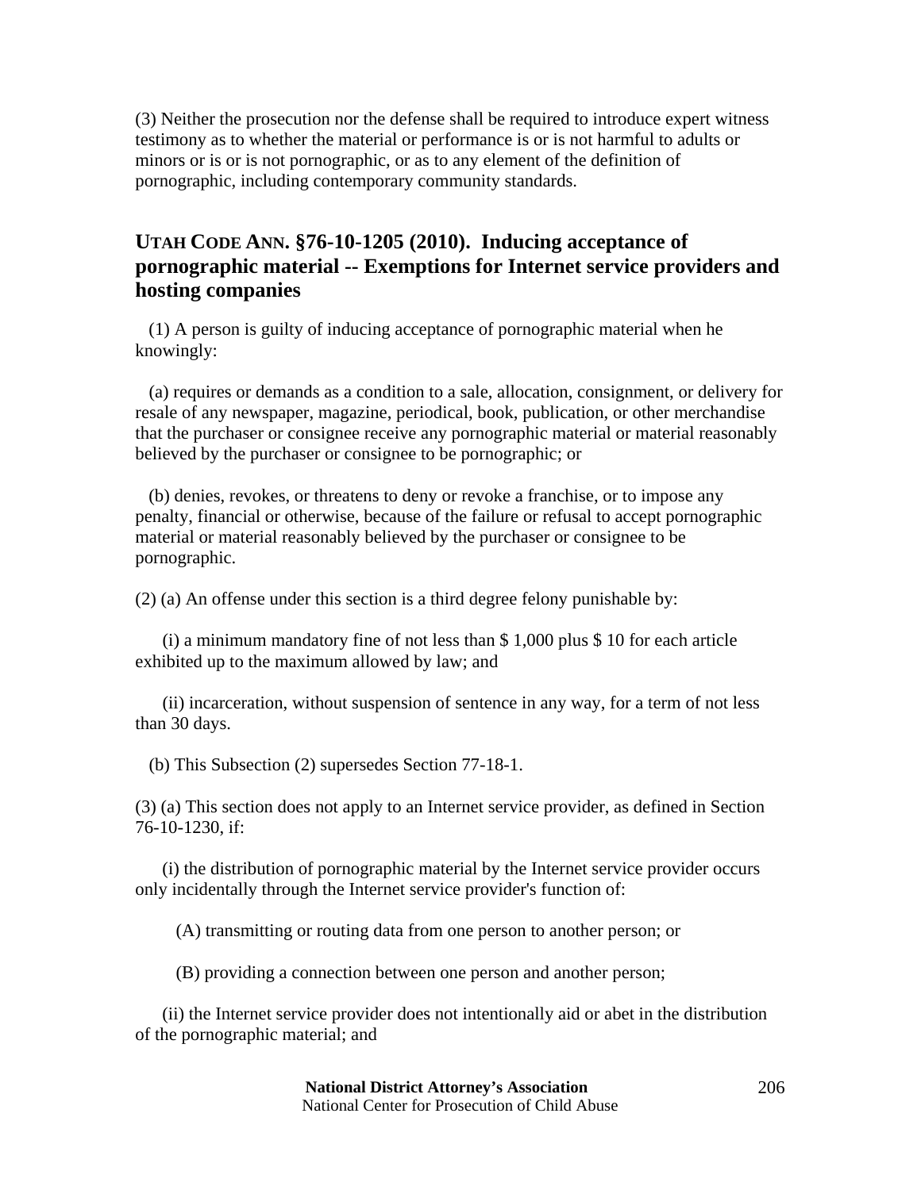(3) Neither the prosecution nor the defense shall be required to introduce expert witness testimony as to whether the material or performance is or is not harmful to adults or minors or is or is not pornographic, or as to any element of the definition of pornographic, including contemporary community standards.

### **UTAH CODE ANN. §76-10-1205 (2010). Inducing acceptance of pornographic material -- Exemptions for Internet service providers and hosting companies**

 (1) A person is guilty of inducing acceptance of pornographic material when he knowingly:

 (a) requires or demands as a condition to a sale, allocation, consignment, or delivery for resale of any newspaper, magazine, periodical, book, publication, or other merchandise that the purchaser or consignee receive any pornographic material or material reasonably believed by the purchaser or consignee to be pornographic; or

 (b) denies, revokes, or threatens to deny or revoke a franchise, or to impose any penalty, financial or otherwise, because of the failure or refusal to accept pornographic material or material reasonably believed by the purchaser or consignee to be pornographic.

(2) (a) An offense under this section is a third degree felony punishable by:

(i) a minimum mandatory fine of not less than  $$ 1,000$  plus  $$ 10$  for each article exhibited up to the maximum allowed by law; and

 (ii) incarceration, without suspension of sentence in any way, for a term of not less than 30 days.

(b) This Subsection (2) supersedes Section 77-18-1.

(3) (a) This section does not apply to an Internet service provider, as defined in Section 76-10-1230, if:

 (i) the distribution of pornographic material by the Internet service provider occurs only incidentally through the Internet service provider's function of:

(A) transmitting or routing data from one person to another person; or

(B) providing a connection between one person and another person;

 (ii) the Internet service provider does not intentionally aid or abet in the distribution of the pornographic material; and

**National District Attorney's Association** 

National Center for Prosecution of Child Abuse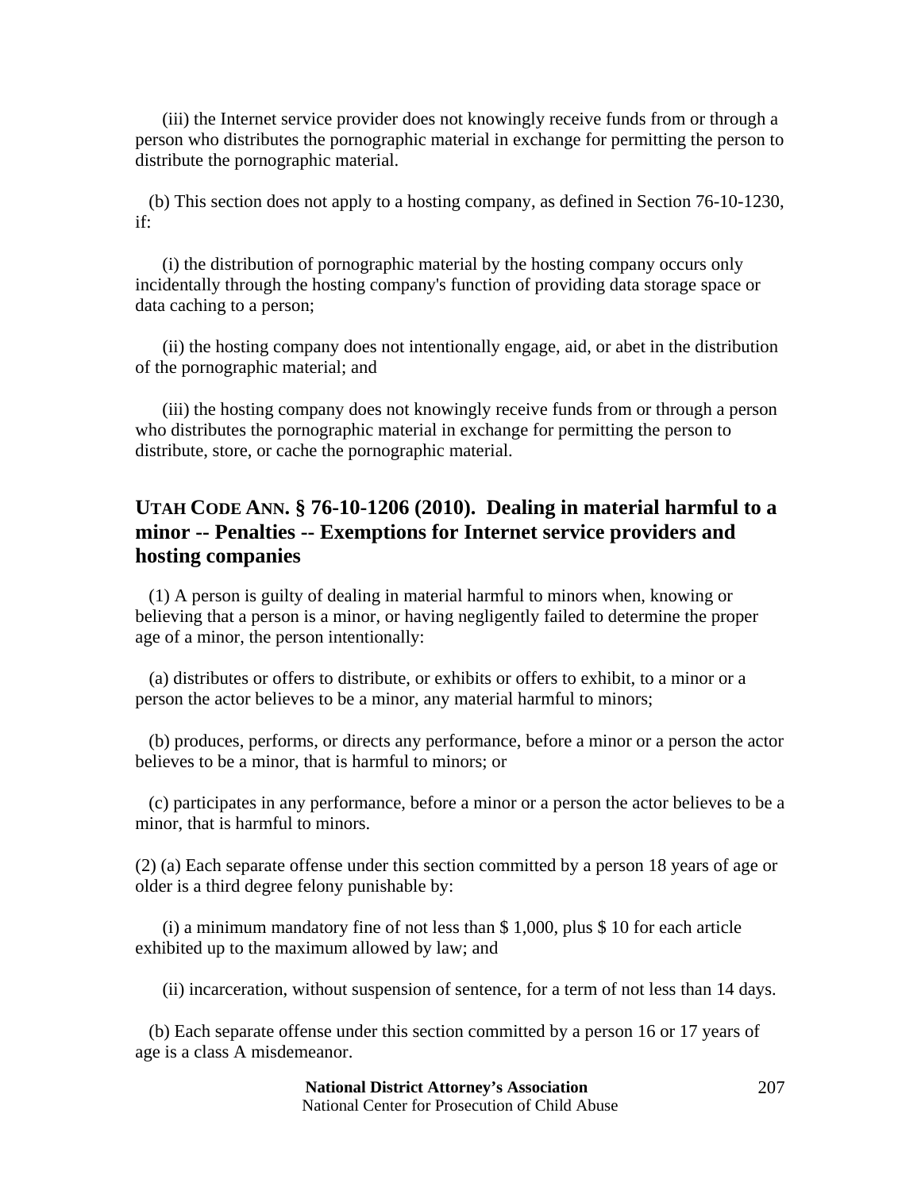(iii) the Internet service provider does not knowingly receive funds from or through a person who distributes the pornographic material in exchange for permitting the person to distribute the pornographic material.

 (b) This section does not apply to a hosting company, as defined in Section 76-10-1230, if:

 (i) the distribution of pornographic material by the hosting company occurs only incidentally through the hosting company's function of providing data storage space or data caching to a person;

 (ii) the hosting company does not intentionally engage, aid, or abet in the distribution of the pornographic material; and

 (iii) the hosting company does not knowingly receive funds from or through a person who distributes the pornographic material in exchange for permitting the person to distribute, store, or cache the pornographic material.

### **UTAH CODE ANN. § 76-10-1206 (2010). Dealing in material harmful to a minor -- Penalties -- Exemptions for Internet service providers and hosting companies**

 (1) A person is guilty of dealing in material harmful to minors when, knowing or believing that a person is a minor, or having negligently failed to determine the proper age of a minor, the person intentionally:

 (a) distributes or offers to distribute, or exhibits or offers to exhibit, to a minor or a person the actor believes to be a minor, any material harmful to minors;

 (b) produces, performs, or directs any performance, before a minor or a person the actor believes to be a minor, that is harmful to minors; or

 (c) participates in any performance, before a minor or a person the actor believes to be a minor, that is harmful to minors.

(2) (a) Each separate offense under this section committed by a person 18 years of age or older is a third degree felony punishable by:

 (i) a minimum mandatory fine of not less than \$ 1,000, plus \$ 10 for each article exhibited up to the maximum allowed by law; and

(ii) incarceration, without suspension of sentence, for a term of not less than 14 days.

 (b) Each separate offense under this section committed by a person 16 or 17 years of age is a class A misdemeanor.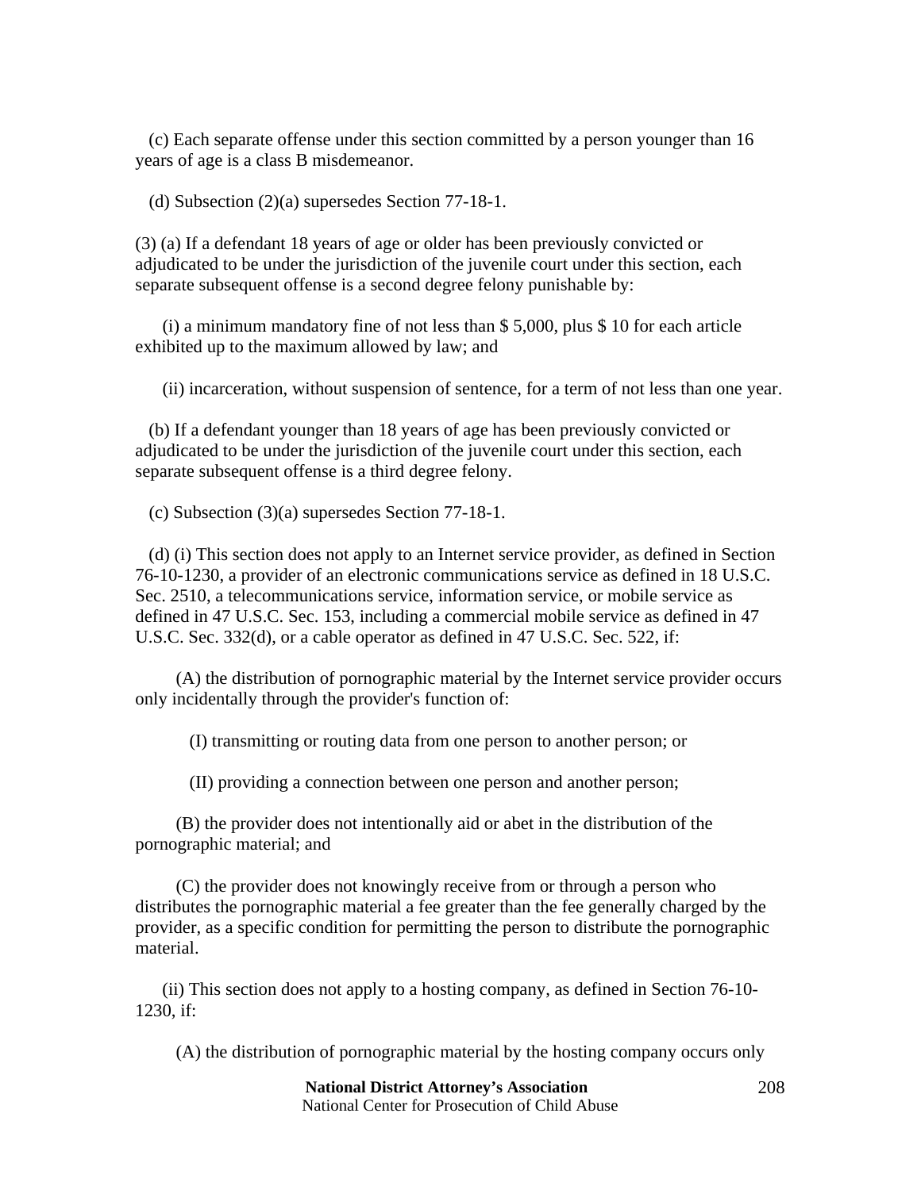(c) Each separate offense under this section committed by a person younger than 16 years of age is a class B misdemeanor.

(d) Subsection (2)(a) supersedes Section 77-18-1.

(3) (a) If a defendant 18 years of age or older has been previously convicted or adjudicated to be under the jurisdiction of the juvenile court under this section, each separate subsequent offense is a second degree felony punishable by:

 (i) a minimum mandatory fine of not less than \$ 5,000, plus \$ 10 for each article exhibited up to the maximum allowed by law; and

(ii) incarceration, without suspension of sentence, for a term of not less than one year.

 (b) If a defendant younger than 18 years of age has been previously convicted or adjudicated to be under the jurisdiction of the juvenile court under this section, each separate subsequent offense is a third degree felony.

(c) Subsection (3)(a) supersedes Section 77-18-1.

 (d) (i) This section does not apply to an Internet service provider, as defined in Section 76-10-1230, a provider of an electronic communications service as defined in 18 U.S.C. Sec. 2510, a telecommunications service, information service, or mobile service as defined in 47 U.S.C. Sec. 153, including a commercial mobile service as defined in 47 U.S.C. Sec. 332(d), or a cable operator as defined in 47 U.S.C. Sec. 522, if:

 (A) the distribution of pornographic material by the Internet service provider occurs only incidentally through the provider's function of:

(I) transmitting or routing data from one person to another person; or

(II) providing a connection between one person and another person;

 (B) the provider does not intentionally aid or abet in the distribution of the pornographic material; and

 (C) the provider does not knowingly receive from or through a person who distributes the pornographic material a fee greater than the fee generally charged by the provider, as a specific condition for permitting the person to distribute the pornographic material.

 (ii) This section does not apply to a hosting company, as defined in Section 76-10- 1230, if:

(A) the distribution of pornographic material by the hosting company occurs only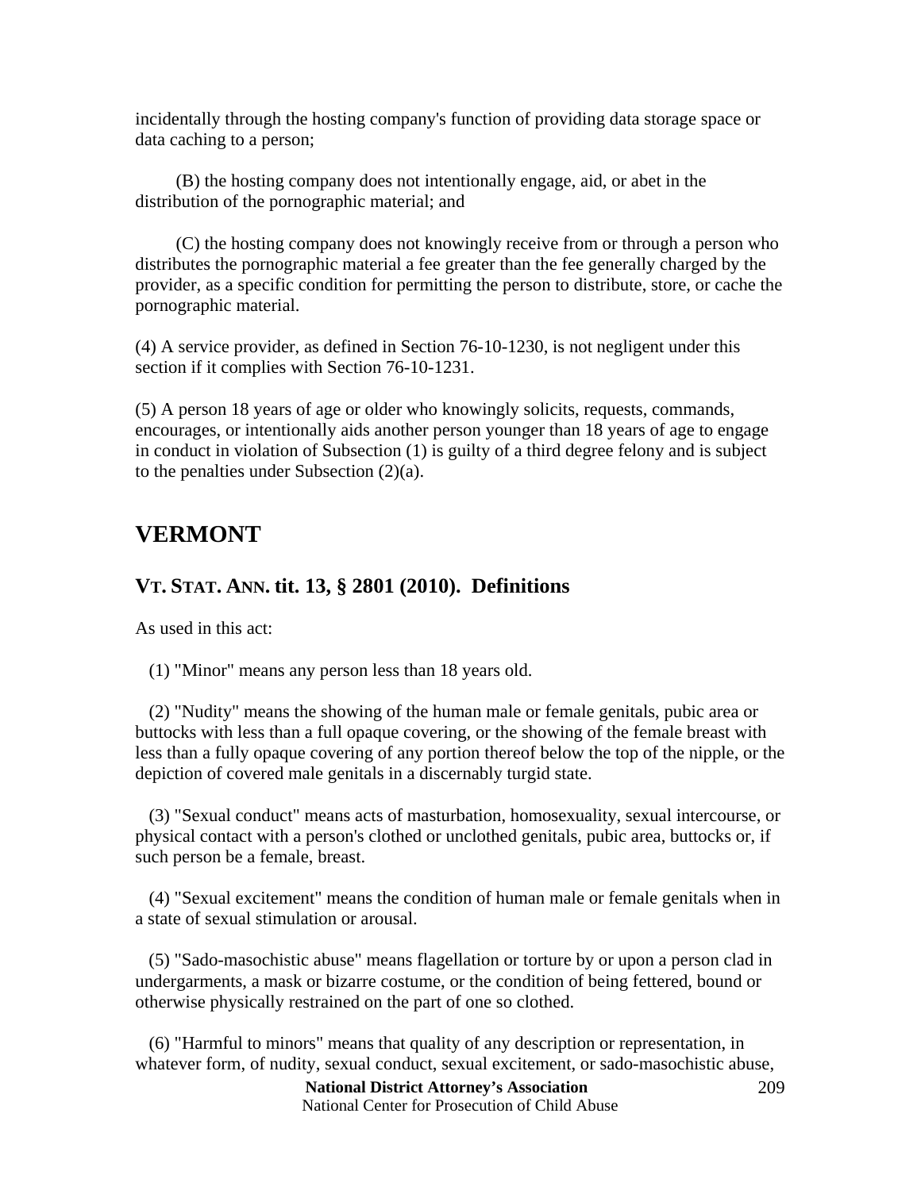incidentally through the hosting company's function of providing data storage space or data caching to a person;

 (B) the hosting company does not intentionally engage, aid, or abet in the distribution of the pornographic material; and

 (C) the hosting company does not knowingly receive from or through a person who distributes the pornographic material a fee greater than the fee generally charged by the provider, as a specific condition for permitting the person to distribute, store, or cache the pornographic material.

(4) A service provider, as defined in Section 76-10-1230, is not negligent under this section if it complies with Section 76-10-1231.

(5) A person 18 years of age or older who knowingly solicits, requests, commands, encourages, or intentionally aids another person younger than 18 years of age to engage in conduct in violation of Subsection (1) is guilty of a third degree felony and is subject to the penalties under Subsection (2)(a).

# **VERMONT**

## **VT. STAT. ANN. tit. 13, § 2801 (2010). Definitions**

As used in this act:

(1) "Minor" means any person less than 18 years old.

 (2) "Nudity" means the showing of the human male or female genitals, pubic area or buttocks with less than a full opaque covering, or the showing of the female breast with less than a fully opaque covering of any portion thereof below the top of the nipple, or the depiction of covered male genitals in a discernably turgid state.

 (3) "Sexual conduct" means acts of masturbation, homosexuality, sexual intercourse, or physical contact with a person's clothed or unclothed genitals, pubic area, buttocks or, if such person be a female, breast.

 (4) "Sexual excitement" means the condition of human male or female genitals when in a state of sexual stimulation or arousal.

 (5) "Sado-masochistic abuse" means flagellation or torture by or upon a person clad in undergarments, a mask or bizarre costume, or the condition of being fettered, bound or otherwise physically restrained on the part of one so clothed.

 (6) "Harmful to minors" means that quality of any description or representation, in whatever form, of nudity, sexual conduct, sexual excitement, or sado-masochistic abuse,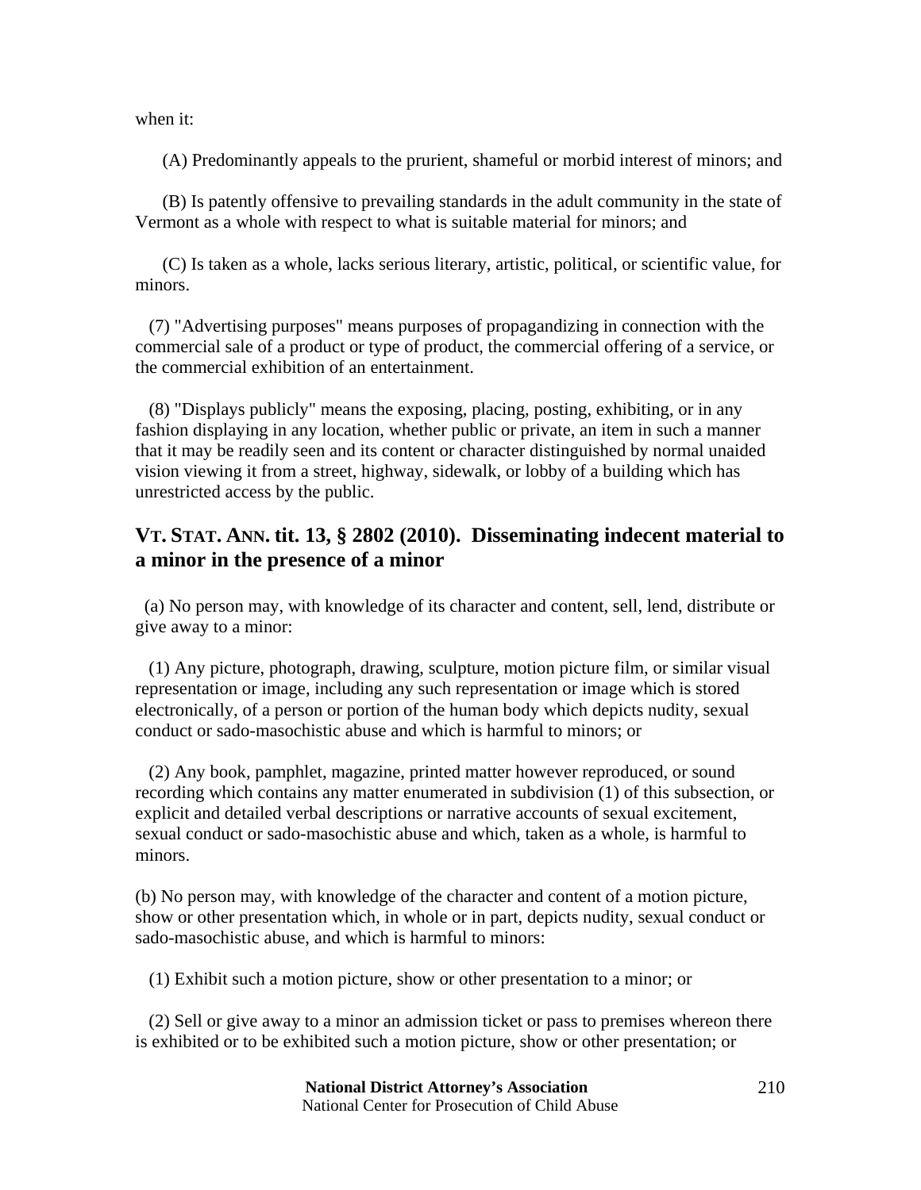when it:

(A) Predominantly appeals to the prurient, shameful or morbid interest of minors; and

 (B) Is patently offensive to prevailing standards in the adult community in the state of Vermont as a whole with respect to what is suitable material for minors; and

 (C) Is taken as a whole, lacks serious literary, artistic, political, or scientific value, for minors.

 (7) "Advertising purposes" means purposes of propagandizing in connection with the commercial sale of a product or type of product, the commercial offering of a service, or the commercial exhibition of an entertainment.

 (8) "Displays publicly" means the exposing, placing, posting, exhibiting, or in any fashion displaying in any location, whether public or private, an item in such a manner that it may be readily seen and its content or character distinguished by normal unaided vision viewing it from a street, highway, sidewalk, or lobby of a building which has unrestricted access by the public.

## **VT. STAT. ANN. tit. 13, § 2802 (2010). Disseminating indecent material to a minor in the presence of a minor**

 (a) No person may, with knowledge of its character and content, sell, lend, distribute or give away to a minor:

 (1) Any picture, photograph, drawing, sculpture, motion picture film, or similar visual representation or image, including any such representation or image which is stored electronically, of a person or portion of the human body which depicts nudity, sexual conduct or sado-masochistic abuse and which is harmful to minors; or

 (2) Any book, pamphlet, magazine, printed matter however reproduced, or sound recording which contains any matter enumerated in subdivision (1) of this subsection, or explicit and detailed verbal descriptions or narrative accounts of sexual excitement, sexual conduct or sado-masochistic abuse and which, taken as a whole, is harmful to minors.

(b) No person may, with knowledge of the character and content of a motion picture, show or other presentation which, in whole or in part, depicts nudity, sexual conduct or sado-masochistic abuse, and which is harmful to minors:

(1) Exhibit such a motion picture, show or other presentation to a minor; or

 (2) Sell or give away to a minor an admission ticket or pass to premises whereon there is exhibited or to be exhibited such a motion picture, show or other presentation; or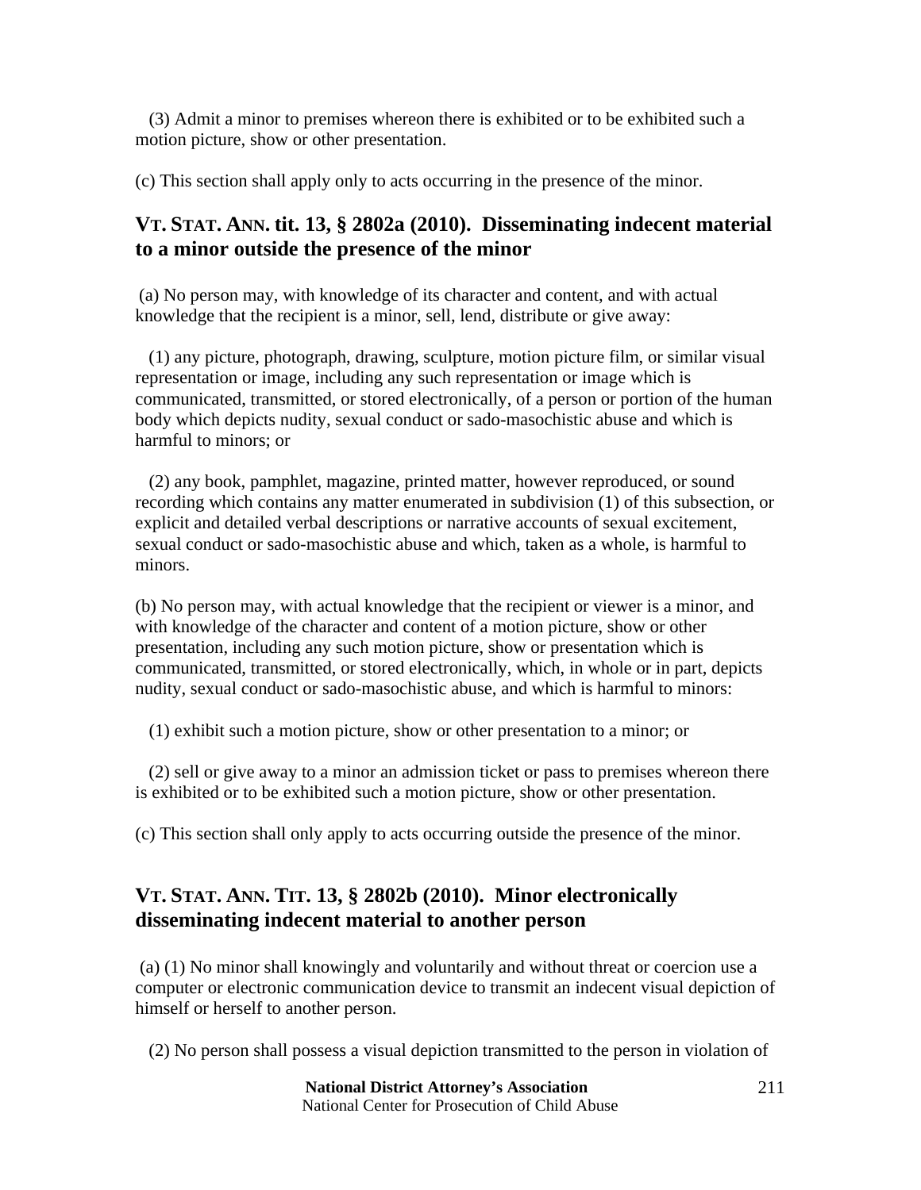(3) Admit a minor to premises whereon there is exhibited or to be exhibited such a motion picture, show or other presentation.

(c) This section shall apply only to acts occurring in the presence of the minor.

# **VT. STAT. ANN. tit. 13, § 2802a (2010). Disseminating indecent material to a minor outside the presence of the minor**

(a) No person may, with knowledge of its character and content, and with actual knowledge that the recipient is a minor, sell, lend, distribute or give away:

 (1) any picture, photograph, drawing, sculpture, motion picture film, or similar visual representation or image, including any such representation or image which is communicated, transmitted, or stored electronically, of a person or portion of the human body which depicts nudity, sexual conduct or sado-masochistic abuse and which is harmful to minors; or

 (2) any book, pamphlet, magazine, printed matter, however reproduced, or sound recording which contains any matter enumerated in subdivision (1) of this subsection, or explicit and detailed verbal descriptions or narrative accounts of sexual excitement, sexual conduct or sado-masochistic abuse and which, taken as a whole, is harmful to minors.

(b) No person may, with actual knowledge that the recipient or viewer is a minor, and with knowledge of the character and content of a motion picture, show or other presentation, including any such motion picture, show or presentation which is communicated, transmitted, or stored electronically, which, in whole or in part, depicts nudity, sexual conduct or sado-masochistic abuse, and which is harmful to minors:

(1) exhibit such a motion picture, show or other presentation to a minor; or

 (2) sell or give away to a minor an admission ticket or pass to premises whereon there is exhibited or to be exhibited such a motion picture, show or other presentation.

(c) This section shall only apply to acts occurring outside the presence of the minor.

# **VT. STAT. ANN. TIT. 13, § 2802b (2010). Minor electronically disseminating indecent material to another person**

 (a) (1) No minor shall knowingly and voluntarily and without threat or coercion use a computer or electronic communication device to transmit an indecent visual depiction of himself or herself to another person.

(2) No person shall possess a visual depiction transmitted to the person in violation of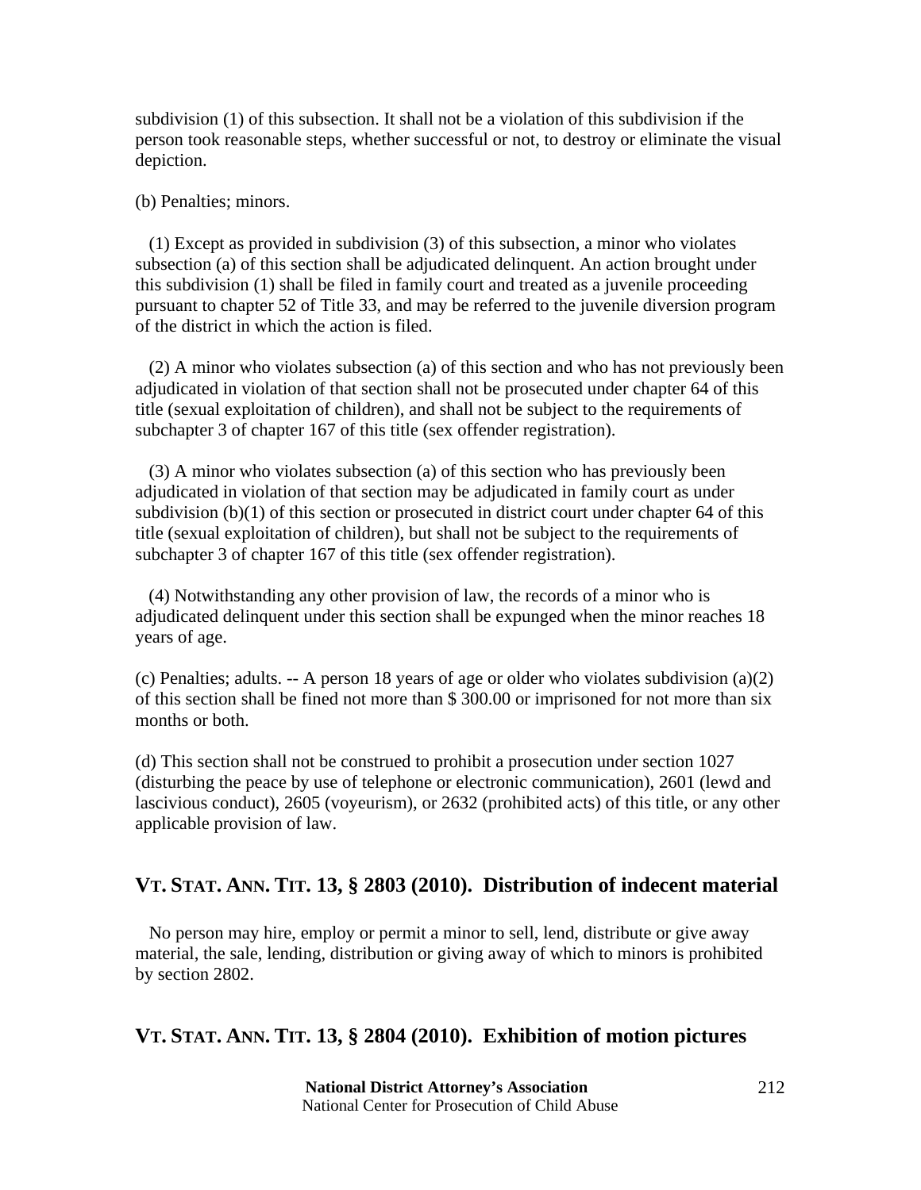subdivision (1) of this subsection. It shall not be a violation of this subdivision if the person took reasonable steps, whether successful or not, to destroy or eliminate the visual depiction.

(b) Penalties; minors.

 (1) Except as provided in subdivision (3) of this subsection, a minor who violates subsection (a) of this section shall be adjudicated delinquent. An action brought under this subdivision (1) shall be filed in family court and treated as a juvenile proceeding pursuant to chapter 52 of Title 33, and may be referred to the juvenile diversion program of the district in which the action is filed.

 (2) A minor who violates subsection (a) of this section and who has not previously been adjudicated in violation of that section shall not be prosecuted under chapter 64 of this title (sexual exploitation of children), and shall not be subject to the requirements of subchapter 3 of chapter 167 of this title (sex offender registration).

 (3) A minor who violates subsection (a) of this section who has previously been adjudicated in violation of that section may be adjudicated in family court as under subdivision (b)(1) of this section or prosecuted in district court under chapter 64 of this title (sexual exploitation of children), but shall not be subject to the requirements of subchapter 3 of chapter 167 of this title (sex offender registration).

 (4) Notwithstanding any other provision of law, the records of a minor who is adjudicated delinquent under this section shall be expunged when the minor reaches 18 years of age.

(c) Penalties; adults. -- A person 18 years of age or older who violates subdivision (a)(2) of this section shall be fined not more than \$ 300.00 or imprisoned for not more than six months or both.

(d) This section shall not be construed to prohibit a prosecution under section 1027 (disturbing the peace by use of telephone or electronic communication), 2601 (lewd and lascivious conduct), 2605 (voyeurism), or 2632 (prohibited acts) of this title, or any other applicable provision of law.

### **VT. STAT. ANN. TIT. 13, § 2803 (2010). Distribution of indecent material**

 No person may hire, employ or permit a minor to sell, lend, distribute or give away material, the sale, lending, distribution or giving away of which to minors is prohibited by section 2802.

## **VT. STAT. ANN. TIT. 13, § 2804 (2010). Exhibition of motion pictures**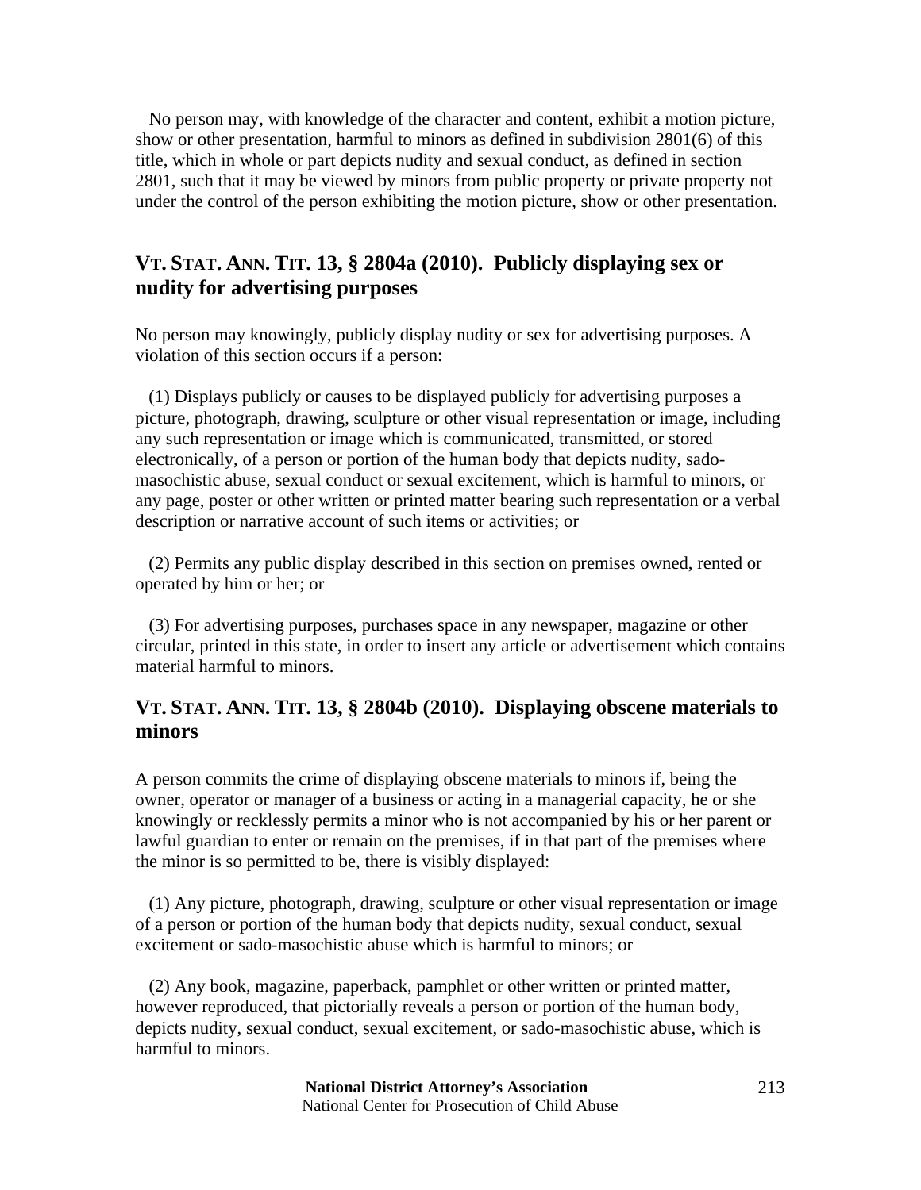No person may, with knowledge of the character and content, exhibit a motion picture, show or other presentation, harmful to minors as defined in subdivision 2801(6) of this title, which in whole or part depicts nudity and sexual conduct, as defined in section 2801, such that it may be viewed by minors from public property or private property not under the control of the person exhibiting the motion picture, show or other presentation.

### **VT. STAT. ANN. TIT. 13, § 2804a (2010). Publicly displaying sex or nudity for advertising purposes**

No person may knowingly, publicly display nudity or sex for advertising purposes. A violation of this section occurs if a person:

 (1) Displays publicly or causes to be displayed publicly for advertising purposes a picture, photograph, drawing, sculpture or other visual representation or image, including any such representation or image which is communicated, transmitted, or stored electronically, of a person or portion of the human body that depicts nudity, sadomasochistic abuse, sexual conduct or sexual excitement, which is harmful to minors, or any page, poster or other written or printed matter bearing such representation or a verbal description or narrative account of such items or activities; or

 (2) Permits any public display described in this section on premises owned, rented or operated by him or her; or

 (3) For advertising purposes, purchases space in any newspaper, magazine or other circular, printed in this state, in order to insert any article or advertisement which contains material harmful to minors.

### **VT. STAT. ANN. TIT. 13, § 2804b (2010). Displaying obscene materials to minors**

A person commits the crime of displaying obscene materials to minors if, being the owner, operator or manager of a business or acting in a managerial capacity, he or she knowingly or recklessly permits a minor who is not accompanied by his or her parent or lawful guardian to enter or remain on the premises, if in that part of the premises where the minor is so permitted to be, there is visibly displayed:

 (1) Any picture, photograph, drawing, sculpture or other visual representation or image of a person or portion of the human body that depicts nudity, sexual conduct, sexual excitement or sado-masochistic abuse which is harmful to minors; or

 (2) Any book, magazine, paperback, pamphlet or other written or printed matter, however reproduced, that pictorially reveals a person or portion of the human body, depicts nudity, sexual conduct, sexual excitement, or sado-masochistic abuse, which is harmful to minors.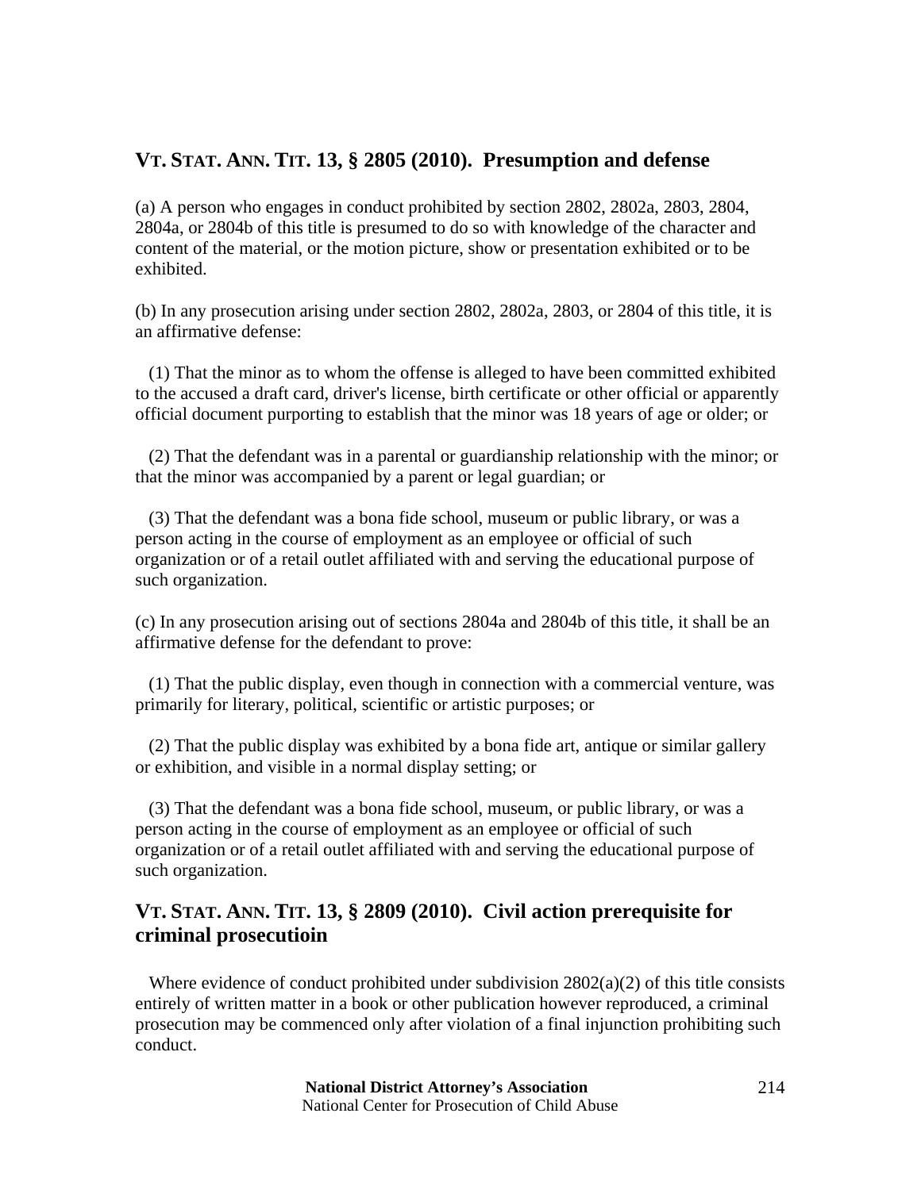### **VT. STAT. ANN. TIT. 13, § 2805 (2010). Presumption and defense**

(a) A person who engages in conduct prohibited by section 2802, 2802a, 2803, 2804, 2804a, or 2804b of this title is presumed to do so with knowledge of the character and content of the material, or the motion picture, show or presentation exhibited or to be exhibited.

(b) In any prosecution arising under section 2802, 2802a, 2803, or 2804 of this title, it is an affirmative defense:

 (1) That the minor as to whom the offense is alleged to have been committed exhibited to the accused a draft card, driver's license, birth certificate or other official or apparently official document purporting to establish that the minor was 18 years of age or older; or

 (2) That the defendant was in a parental or guardianship relationship with the minor; or that the minor was accompanied by a parent or legal guardian; or

 (3) That the defendant was a bona fide school, museum or public library, or was a person acting in the course of employment as an employee or official of such organization or of a retail outlet affiliated with and serving the educational purpose of such organization.

(c) In any prosecution arising out of sections 2804a and 2804b of this title, it shall be an affirmative defense for the defendant to prove:

 (1) That the public display, even though in connection with a commercial venture, was primarily for literary, political, scientific or artistic purposes; or

 (2) That the public display was exhibited by a bona fide art, antique or similar gallery or exhibition, and visible in a normal display setting; or

 (3) That the defendant was a bona fide school, museum, or public library, or was a person acting in the course of employment as an employee or official of such organization or of a retail outlet affiliated with and serving the educational purpose of such organization.

### **VT. STAT. ANN. TIT. 13, § 2809 (2010). Civil action prerequisite for criminal prosecutioin**

 Where evidence of conduct prohibited under subdivision 2802(a)(2) of this title consists entirely of written matter in a book or other publication however reproduced, a criminal prosecution may be commenced only after violation of a final injunction prohibiting such conduct.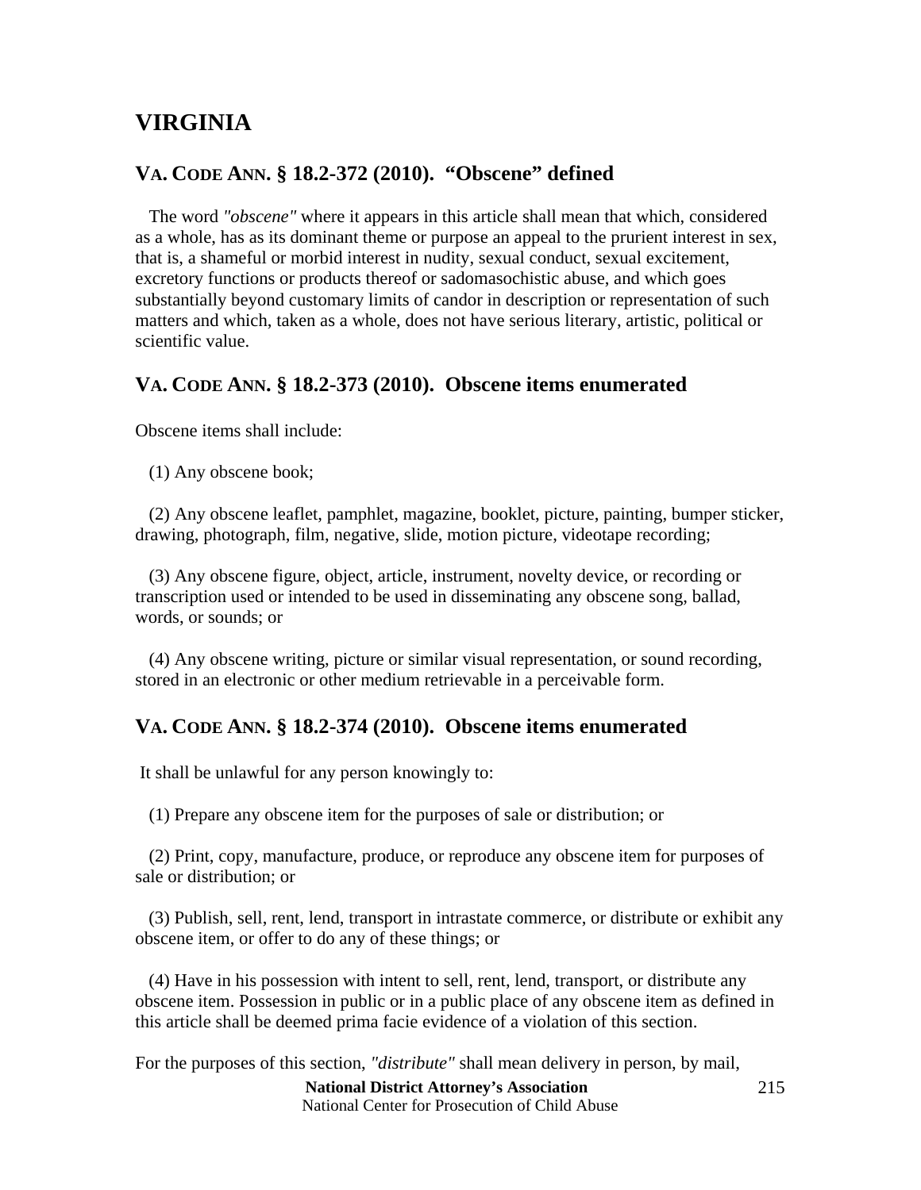# **VIRGINIA**

### **VA. CODE ANN. § 18.2-372 (2010). "Obscene" defined**

 The word *"obscene"* where it appears in this article shall mean that which, considered as a whole, has as its dominant theme or purpose an appeal to the prurient interest in sex, that is, a shameful or morbid interest in nudity, sexual conduct, sexual excitement, excretory functions or products thereof or sadomasochistic abuse, and which goes substantially beyond customary limits of candor in description or representation of such matters and which, taken as a whole, does not have serious literary, artistic, political or scientific value.

### **VA. CODE ANN. § 18.2-373 (2010). Obscene items enumerated**

Obscene items shall include:

(1) Any obscene book;

 (2) Any obscene leaflet, pamphlet, magazine, booklet, picture, painting, bumper sticker, drawing, photograph, film, negative, slide, motion picture, videotape recording;

 (3) Any obscene figure, object, article, instrument, novelty device, or recording or transcription used or intended to be used in disseminating any obscene song, ballad, words, or sounds; or

 (4) Any obscene writing, picture or similar visual representation, or sound recording, stored in an electronic or other medium retrievable in a perceivable form.

#### **VA. CODE ANN. § 18.2-374 (2010). Obscene items enumerated**

It shall be unlawful for any person knowingly to:

(1) Prepare any obscene item for the purposes of sale or distribution; or

 (2) Print, copy, manufacture, produce, or reproduce any obscene item for purposes of sale or distribution; or

 (3) Publish, sell, rent, lend, transport in intrastate commerce, or distribute or exhibit any obscene item, or offer to do any of these things; or

 (4) Have in his possession with intent to sell, rent, lend, transport, or distribute any obscene item. Possession in public or in a public place of any obscene item as defined in this article shall be deemed prima facie evidence of a violation of this section.

For the purposes of this section, *"distribute"* shall mean delivery in person, by mail,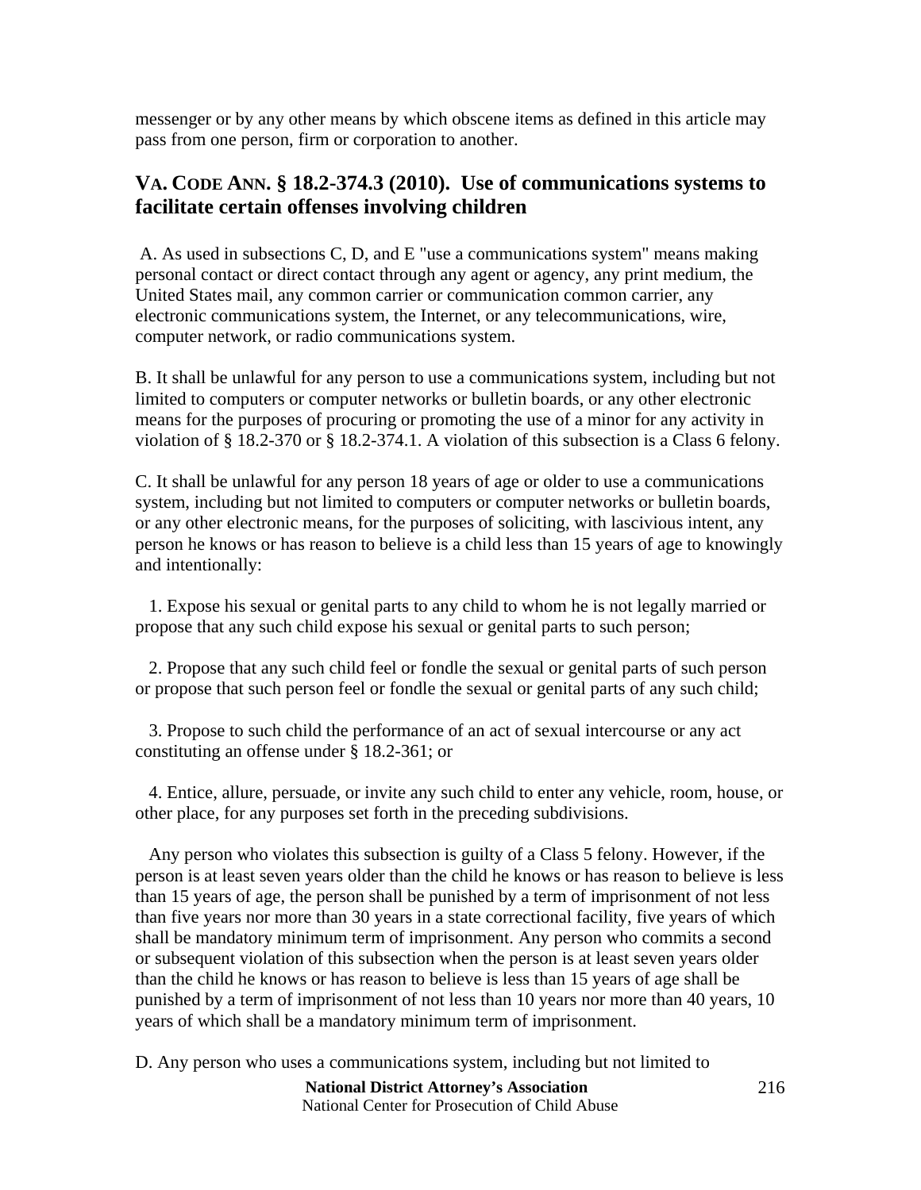messenger or by any other means by which obscene items as defined in this article may pass from one person, firm or corporation to another.

## **VA. CODE ANN. § 18.2-374.3 (2010). Use of communications systems to facilitate certain offenses involving children**

 A. As used in subsections C, D, and E "use a communications system" means making personal contact or direct contact through any agent or agency, any print medium, the United States mail, any common carrier or communication common carrier, any electronic communications system, the Internet, or any telecommunications, wire, computer network, or radio communications system.

B. It shall be unlawful for any person to use a communications system, including but not limited to computers or computer networks or bulletin boards, or any other electronic means for the purposes of procuring or promoting the use of a minor for any activity in violation of § 18.2-370 or § 18.2-374.1. A violation of this subsection is a Class 6 felony.

C. It shall be unlawful for any person 18 years of age or older to use a communications system, including but not limited to computers or computer networks or bulletin boards, or any other electronic means, for the purposes of soliciting, with lascivious intent, any person he knows or has reason to believe is a child less than 15 years of age to knowingly and intentionally:

 1. Expose his sexual or genital parts to any child to whom he is not legally married or propose that any such child expose his sexual or genital parts to such person;

 2. Propose that any such child feel or fondle the sexual or genital parts of such person or propose that such person feel or fondle the sexual or genital parts of any such child;

 3. Propose to such child the performance of an act of sexual intercourse or any act constituting an offense under § 18.2-361; or

 4. Entice, allure, persuade, or invite any such child to enter any vehicle, room, house, or other place, for any purposes set forth in the preceding subdivisions.

 Any person who violates this subsection is guilty of a Class 5 felony. However, if the person is at least seven years older than the child he knows or has reason to believe is less than 15 years of age, the person shall be punished by a term of imprisonment of not less than five years nor more than 30 years in a state correctional facility, five years of which shall be mandatory minimum term of imprisonment. Any person who commits a second or subsequent violation of this subsection when the person is at least seven years older than the child he knows or has reason to believe is less than 15 years of age shall be punished by a term of imprisonment of not less than 10 years nor more than 40 years, 10 years of which shall be a mandatory minimum term of imprisonment.

D. Any person who uses a communications system, including but not limited to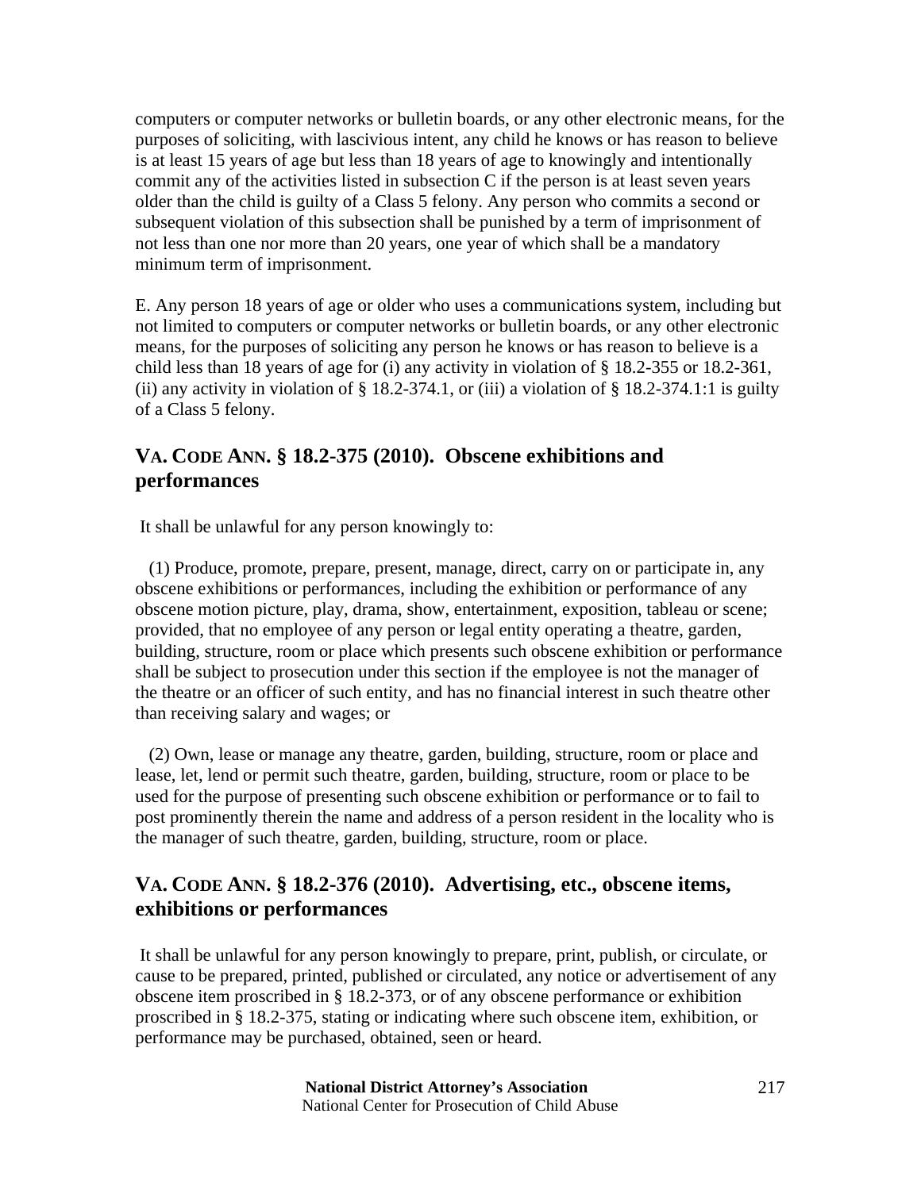computers or computer networks or bulletin boards, or any other electronic means, for the purposes of soliciting, with lascivious intent, any child he knows or has reason to believe is at least 15 years of age but less than 18 years of age to knowingly and intentionally commit any of the activities listed in subsection C if the person is at least seven years older than the child is guilty of a Class 5 felony. Any person who commits a second or subsequent violation of this subsection shall be punished by a term of imprisonment of not less than one nor more than 20 years, one year of which shall be a mandatory minimum term of imprisonment.

E. Any person 18 years of age or older who uses a communications system, including but not limited to computers or computer networks or bulletin boards, or any other electronic means, for the purposes of soliciting any person he knows or has reason to believe is a child less than 18 years of age for (i) any activity in violation of § 18.2-355 or 18.2-361, (ii) any activity in violation of  $\S$  18.2-374.1, or (iii) a violation of  $\S$  18.2-374.1:1 is guilty of a Class 5 felony.

### **VA. CODE ANN. § 18.2-375 (2010). Obscene exhibitions and performances**

It shall be unlawful for any person knowingly to:

 (1) Produce, promote, prepare, present, manage, direct, carry on or participate in, any obscene exhibitions or performances, including the exhibition or performance of any obscene motion picture, play, drama, show, entertainment, exposition, tableau or scene; provided, that no employee of any person or legal entity operating a theatre, garden, building, structure, room or place which presents such obscene exhibition or performance shall be subject to prosecution under this section if the employee is not the manager of the theatre or an officer of such entity, and has no financial interest in such theatre other than receiving salary and wages; or

 (2) Own, lease or manage any theatre, garden, building, structure, room or place and lease, let, lend or permit such theatre, garden, building, structure, room or place to be used for the purpose of presenting such obscene exhibition or performance or to fail to post prominently therein the name and address of a person resident in the locality who is the manager of such theatre, garden, building, structure, room or place.

### **VA. CODE ANN. § 18.2-376 (2010). Advertising, etc., obscene items, exhibitions or performances**

 It shall be unlawful for any person knowingly to prepare, print, publish, or circulate, or cause to be prepared, printed, published or circulated, any notice or advertisement of any obscene item proscribed in § 18.2-373, or of any obscene performance or exhibition proscribed in § 18.2-375, stating or indicating where such obscene item, exhibition, or performance may be purchased, obtained, seen or heard.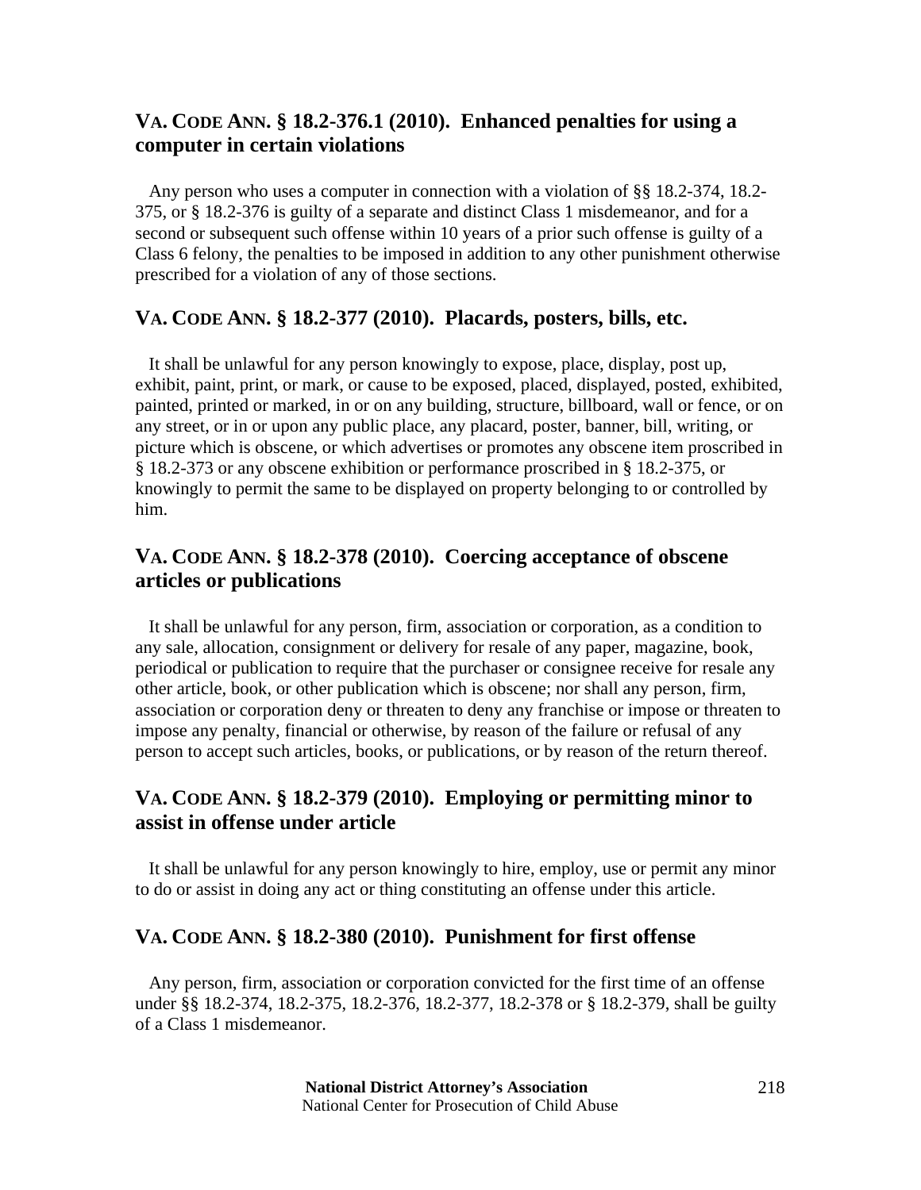# **VA. CODE ANN. § 18.2-376.1 (2010). Enhanced penalties for using a computer in certain violations**

 Any person who uses a computer in connection with a violation of §§ 18.2-374, 18.2- 375, or § 18.2-376 is guilty of a separate and distinct Class 1 misdemeanor, and for a second or subsequent such offense within 10 years of a prior such offense is guilty of a Class 6 felony, the penalties to be imposed in addition to any other punishment otherwise prescribed for a violation of any of those sections.

#### **VA. CODE ANN. § 18.2-377 (2010). Placards, posters, bills, etc.**

 It shall be unlawful for any person knowingly to expose, place, display, post up, exhibit, paint, print, or mark, or cause to be exposed, placed, displayed, posted, exhibited, painted, printed or marked, in or on any building, structure, billboard, wall or fence, or on any street, or in or upon any public place, any placard, poster, banner, bill, writing, or picture which is obscene, or which advertises or promotes any obscene item proscribed in § 18.2-373 or any obscene exhibition or performance proscribed in § 18.2-375, or knowingly to permit the same to be displayed on property belonging to or controlled by him.

### **VA. CODE ANN. § 18.2-378 (2010). Coercing acceptance of obscene articles or publications**

 It shall be unlawful for any person, firm, association or corporation, as a condition to any sale, allocation, consignment or delivery for resale of any paper, magazine, book, periodical or publication to require that the purchaser or consignee receive for resale any other article, book, or other publication which is obscene; nor shall any person, firm, association or corporation deny or threaten to deny any franchise or impose or threaten to impose any penalty, financial or otherwise, by reason of the failure or refusal of any person to accept such articles, books, or publications, or by reason of the return thereof.

### **VA. CODE ANN. § 18.2-379 (2010). Employing or permitting minor to assist in offense under article**

 It shall be unlawful for any person knowingly to hire, employ, use or permit any minor to do or assist in doing any act or thing constituting an offense under this article.

# **VA. CODE ANN. § 18.2-380 (2010). Punishment for first offense**

 Any person, firm, association or corporation convicted for the first time of an offense under §§ 18.2-374, 18.2-375, 18.2-376, 18.2-377, 18.2-378 or § 18.2-379, shall be guilty of a Class 1 misdemeanor.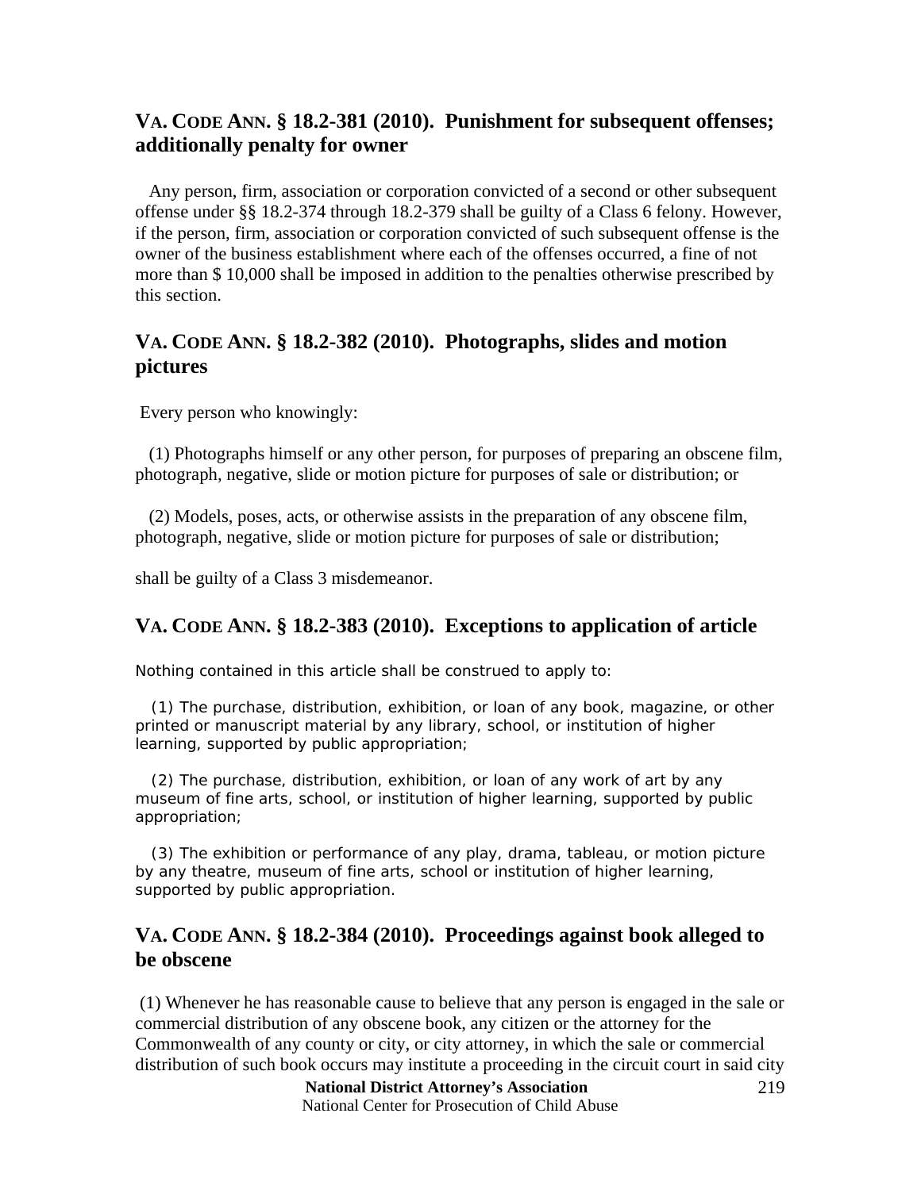# **VA. CODE ANN. § 18.2-381 (2010). Punishment for subsequent offenses; additionally penalty for owner**

 Any person, firm, association or corporation convicted of a second or other subsequent offense under §§ 18.2-374 through 18.2-379 shall be guilty of a Class 6 felony. However, if the person, firm, association or corporation convicted of such subsequent offense is the owner of the business establishment where each of the offenses occurred, a fine of not more than \$ 10,000 shall be imposed in addition to the penalties otherwise prescribed by this section.

### **VA. CODE ANN. § 18.2-382 (2010). Photographs, slides and motion pictures**

Every person who knowingly:

 (1) Photographs himself or any other person, for purposes of preparing an obscene film, photograph, negative, slide or motion picture for purposes of sale or distribution; or

 (2) Models, poses, acts, or otherwise assists in the preparation of any obscene film, photograph, negative, slide or motion picture for purposes of sale or distribution;

shall be guilty of a Class 3 misdemeanor.

#### **VA. CODE ANN. § 18.2-383 (2010). Exceptions to application of article**

Nothing contained in this article shall be construed to apply to:

 (1) The purchase, distribution, exhibition, or loan of any book, magazine, or other printed or manuscript material by any library, school, or institution of higher learning, supported by public appropriation;

 (2) The purchase, distribution, exhibition, or loan of any work of art by any museum of fine arts, school, or institution of higher learning, supported by public appropriation;

 (3) The exhibition or performance of any play, drama, tableau, or motion picture by any theatre, museum of fine arts, school or institution of higher learning, supported by public appropriation.

#### **VA. CODE ANN. § 18.2-384 (2010). Proceedings against book alleged to be obscene**

 (1) Whenever he has reasonable cause to believe that any person is engaged in the sale or commercial distribution of any obscene book, any citizen or the attorney for the Commonwealth of any county or city, or city attorney, in which the sale or commercial distribution of such book occurs may institute a proceeding in the circuit court in said city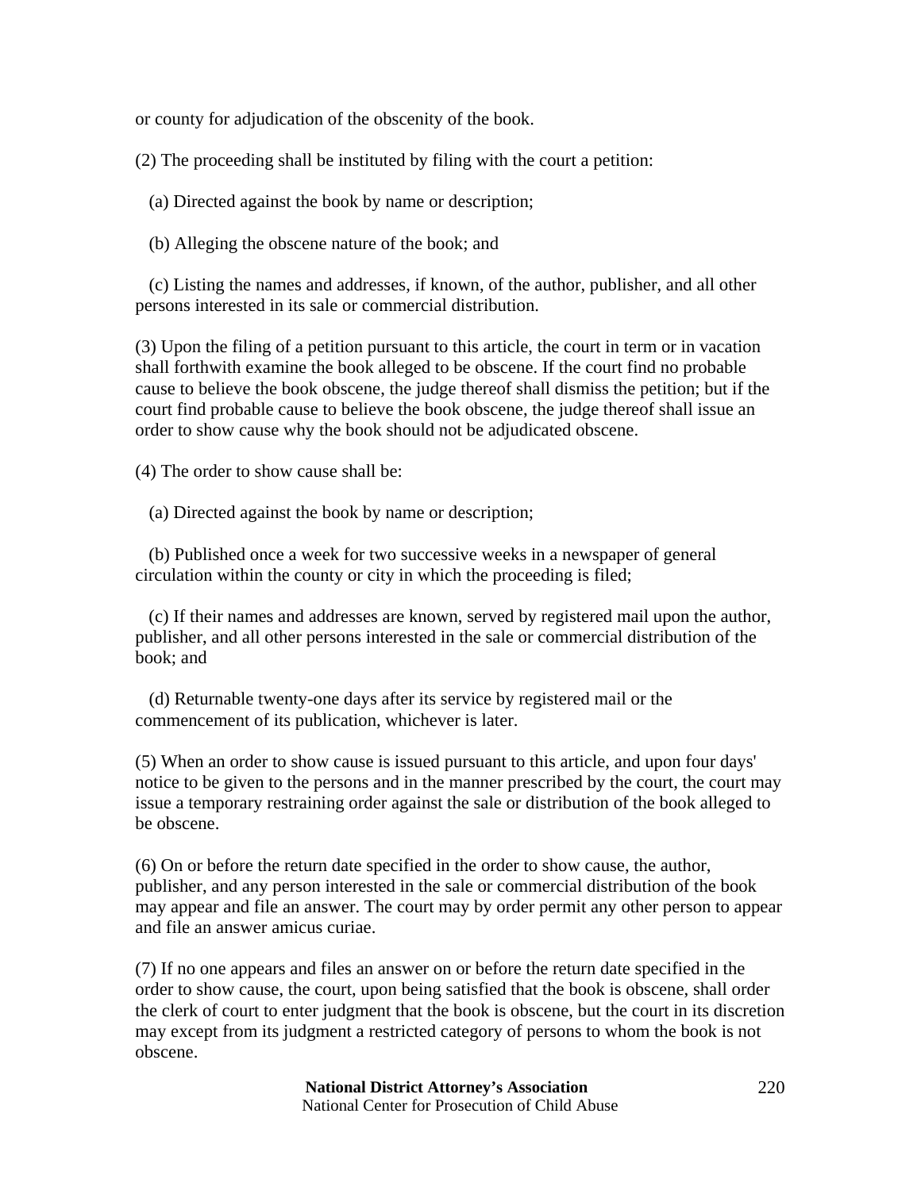or county for adjudication of the obscenity of the book.

(2) The proceeding shall be instituted by filing with the court a petition:

(a) Directed against the book by name or description;

(b) Alleging the obscene nature of the book; and

 (c) Listing the names and addresses, if known, of the author, publisher, and all other persons interested in its sale or commercial distribution.

(3) Upon the filing of a petition pursuant to this article, the court in term or in vacation shall forthwith examine the book alleged to be obscene. If the court find no probable cause to believe the book obscene, the judge thereof shall dismiss the petition; but if the court find probable cause to believe the book obscene, the judge thereof shall issue an order to show cause why the book should not be adjudicated obscene.

(4) The order to show cause shall be:

(a) Directed against the book by name or description;

 (b) Published once a week for two successive weeks in a newspaper of general circulation within the county or city in which the proceeding is filed;

 (c) If their names and addresses are known, served by registered mail upon the author, publisher, and all other persons interested in the sale or commercial distribution of the book; and

 (d) Returnable twenty-one days after its service by registered mail or the commencement of its publication, whichever is later.

(5) When an order to show cause is issued pursuant to this article, and upon four days' notice to be given to the persons and in the manner prescribed by the court, the court may issue a temporary restraining order against the sale or distribution of the book alleged to be obscene.

(6) On or before the return date specified in the order to show cause, the author, publisher, and any person interested in the sale or commercial distribution of the book may appear and file an answer. The court may by order permit any other person to appear and file an answer amicus curiae.

(7) If no one appears and files an answer on or before the return date specified in the order to show cause, the court, upon being satisfied that the book is obscene, shall order the clerk of court to enter judgment that the book is obscene, but the court in its discretion may except from its judgment a restricted category of persons to whom the book is not obscene.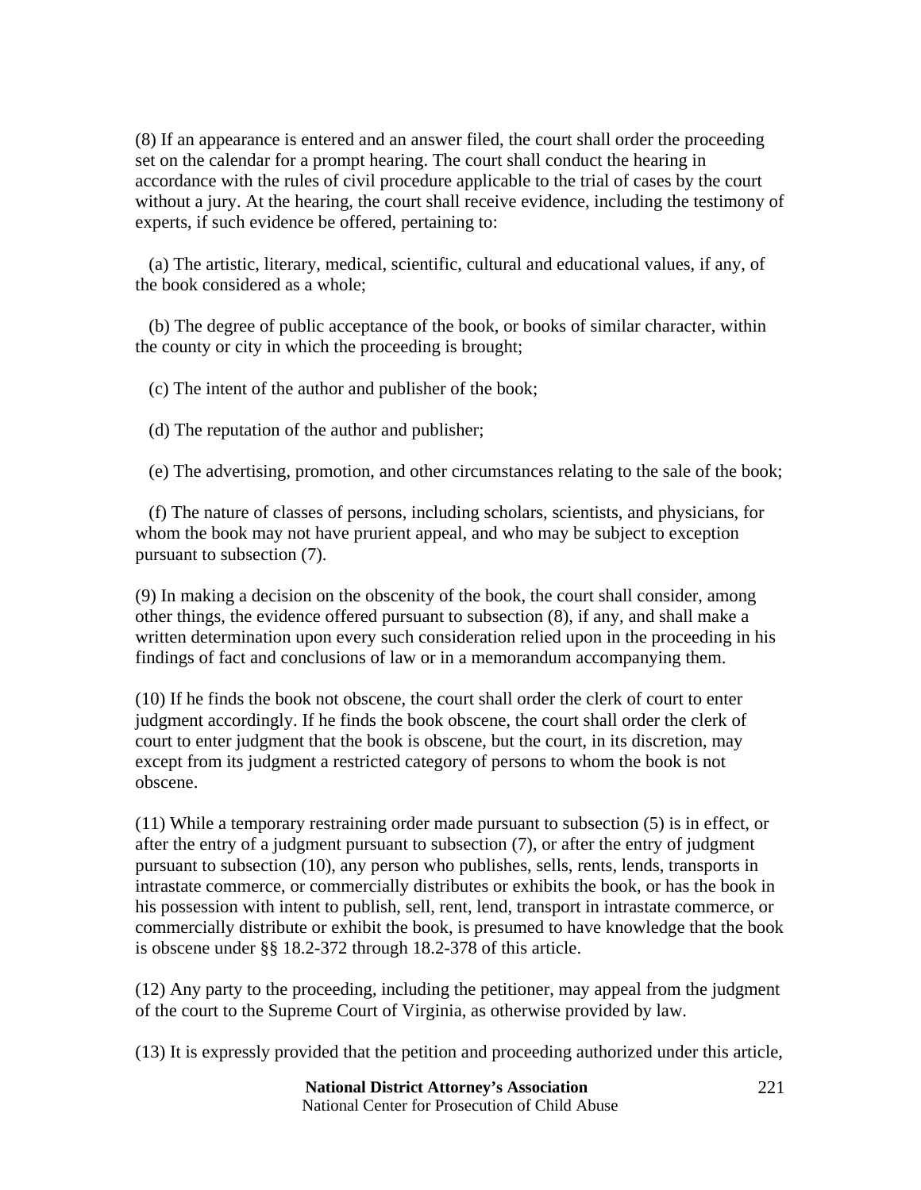(8) If an appearance is entered and an answer filed, the court shall order the proceeding set on the calendar for a prompt hearing. The court shall conduct the hearing in accordance with the rules of civil procedure applicable to the trial of cases by the court without a jury. At the hearing, the court shall receive evidence, including the testimony of experts, if such evidence be offered, pertaining to:

 (a) The artistic, literary, medical, scientific, cultural and educational values, if any, of the book considered as a whole;

 (b) The degree of public acceptance of the book, or books of similar character, within the county or city in which the proceeding is brought;

(c) The intent of the author and publisher of the book;

(d) The reputation of the author and publisher;

(e) The advertising, promotion, and other circumstances relating to the sale of the book;

 (f) The nature of classes of persons, including scholars, scientists, and physicians, for whom the book may not have prurient appeal, and who may be subject to exception pursuant to subsection (7).

(9) In making a decision on the obscenity of the book, the court shall consider, among other things, the evidence offered pursuant to subsection (8), if any, and shall make a written determination upon every such consideration relied upon in the proceeding in his findings of fact and conclusions of law or in a memorandum accompanying them.

(10) If he finds the book not obscene, the court shall order the clerk of court to enter judgment accordingly. If he finds the book obscene, the court shall order the clerk of court to enter judgment that the book is obscene, but the court, in its discretion, may except from its judgment a restricted category of persons to whom the book is not obscene.

(11) While a temporary restraining order made pursuant to subsection (5) is in effect, or after the entry of a judgment pursuant to subsection (7), or after the entry of judgment pursuant to subsection (10), any person who publishes, sells, rents, lends, transports in intrastate commerce, or commercially distributes or exhibits the book, or has the book in his possession with intent to publish, sell, rent, lend, transport in intrastate commerce, or commercially distribute or exhibit the book, is presumed to have knowledge that the book is obscene under §§ 18.2-372 through 18.2-378 of this article.

(12) Any party to the proceeding, including the petitioner, may appeal from the judgment of the court to the Supreme Court of Virginia, as otherwise provided by law.

(13) It is expressly provided that the petition and proceeding authorized under this article,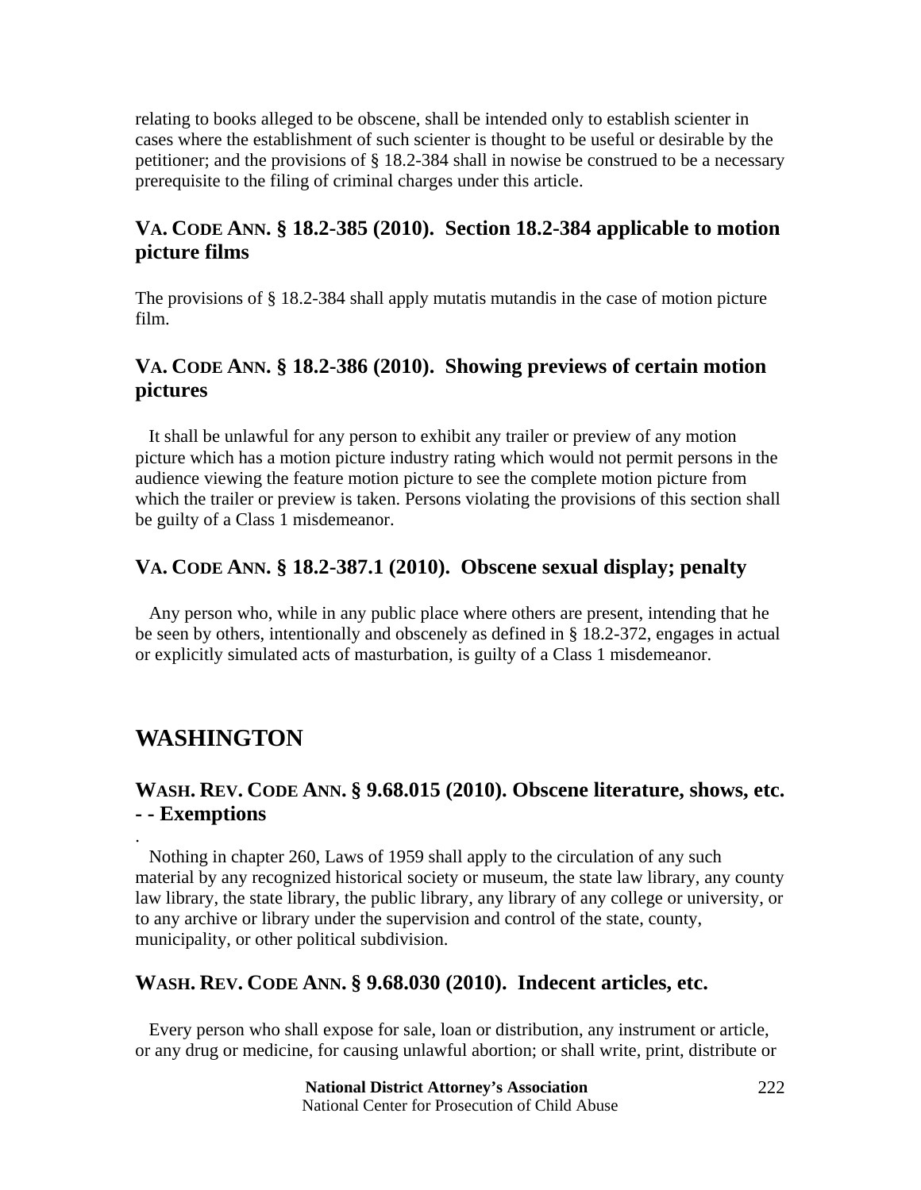relating to books alleged to be obscene, shall be intended only to establish scienter in cases where the establishment of such scienter is thought to be useful or desirable by the petitioner; and the provisions of § 18.2-384 shall in nowise be construed to be a necessary prerequisite to the filing of criminal charges under this article.

# **VA. CODE ANN. § 18.2-385 (2010). Section 18.2-384 applicable to motion picture films**

The provisions of § 18.2-384 shall apply mutatis mutandis in the case of motion picture film.

# **VA. CODE ANN. § 18.2-386 (2010). Showing previews of certain motion pictures**

 It shall be unlawful for any person to exhibit any trailer or preview of any motion picture which has a motion picture industry rating which would not permit persons in the audience viewing the feature motion picture to see the complete motion picture from which the trailer or preview is taken. Persons violating the provisions of this section shall be guilty of a Class 1 misdemeanor.

# **VA. CODE ANN. § 18.2-387.1 (2010). Obscene sexual display; penalty**

 Any person who, while in any public place where others are present, intending that he be seen by others, intentionally and obscenely as defined in § 18.2-372, engages in actual or explicitly simulated acts of masturbation, is guilty of a Class 1 misdemeanor.

# **WASHINGTON**

.

### **WASH. REV. CODE ANN. § 9.68.015 (2010). Obscene literature, shows, etc. - - Exemptions**

 Nothing in chapter 260, Laws of 1959 shall apply to the circulation of any such material by any recognized historical society or museum, the state law library, any county law library, the state library, the public library, any library of any college or university, or to any archive or library under the supervision and control of the state, county, municipality, or other political subdivision.

#### **WASH. REV. CODE ANN. § 9.68.030 (2010). Indecent articles, etc.**

 Every person who shall expose for sale, loan or distribution, any instrument or article, or any drug or medicine, for causing unlawful abortion; or shall write, print, distribute or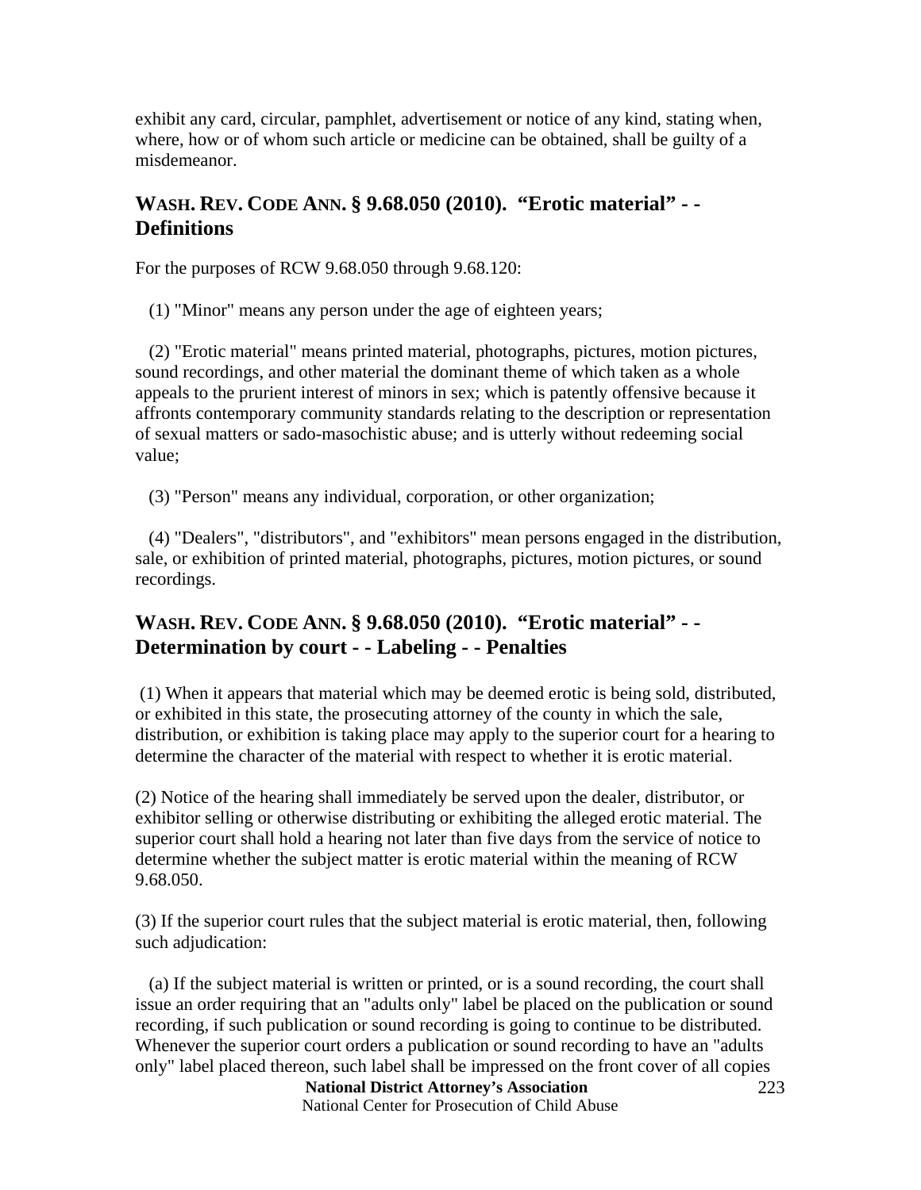exhibit any card, circular, pamphlet, advertisement or notice of any kind, stating when, where, how or of whom such article or medicine can be obtained, shall be guilty of a misdemeanor.

### **WASH. REV. CODE ANN. § 9.68.050 (2010). "Erotic material" - - Definitions**

For the purposes of RCW 9.68.050 through 9.68.120:

(1) "Minor" means any person under the age of eighteen years;

 (2) "Erotic material" means printed material, photographs, pictures, motion pictures, sound recordings, and other material the dominant theme of which taken as a whole appeals to the prurient interest of minors in sex; which is patently offensive because it affronts contemporary community standards relating to the description or representation of sexual matters or sado-masochistic abuse; and is utterly without redeeming social value;

(3) "Person" means any individual, corporation, or other organization;

 (4) "Dealers", "distributors", and "exhibitors" mean persons engaged in the distribution, sale, or exhibition of printed material, photographs, pictures, motion pictures, or sound recordings.

# **WASH. REV. CODE ANN. § 9.68.050 (2010). "Erotic material" - - Determination by court - - Labeling - - Penalties**

 (1) When it appears that material which may be deemed erotic is being sold, distributed, or exhibited in this state, the prosecuting attorney of the county in which the sale, distribution, or exhibition is taking place may apply to the superior court for a hearing to determine the character of the material with respect to whether it is erotic material.

(2) Notice of the hearing shall immediately be served upon the dealer, distributor, or exhibitor selling or otherwise distributing or exhibiting the alleged erotic material. The superior court shall hold a hearing not later than five days from the service of notice to determine whether the subject matter is erotic material within the meaning of RCW 9.68.050.

(3) If the superior court rules that the subject material is erotic material, then, following such adjudication:

**National District Attorney's Association**  (a) If the subject material is written or printed, or is a sound recording, the court shall issue an order requiring that an "adults only" label be placed on the publication or sound recording, if such publication or sound recording is going to continue to be distributed. Whenever the superior court orders a publication or sound recording to have an "adults only" label placed thereon, such label shall be impressed on the front cover of all copies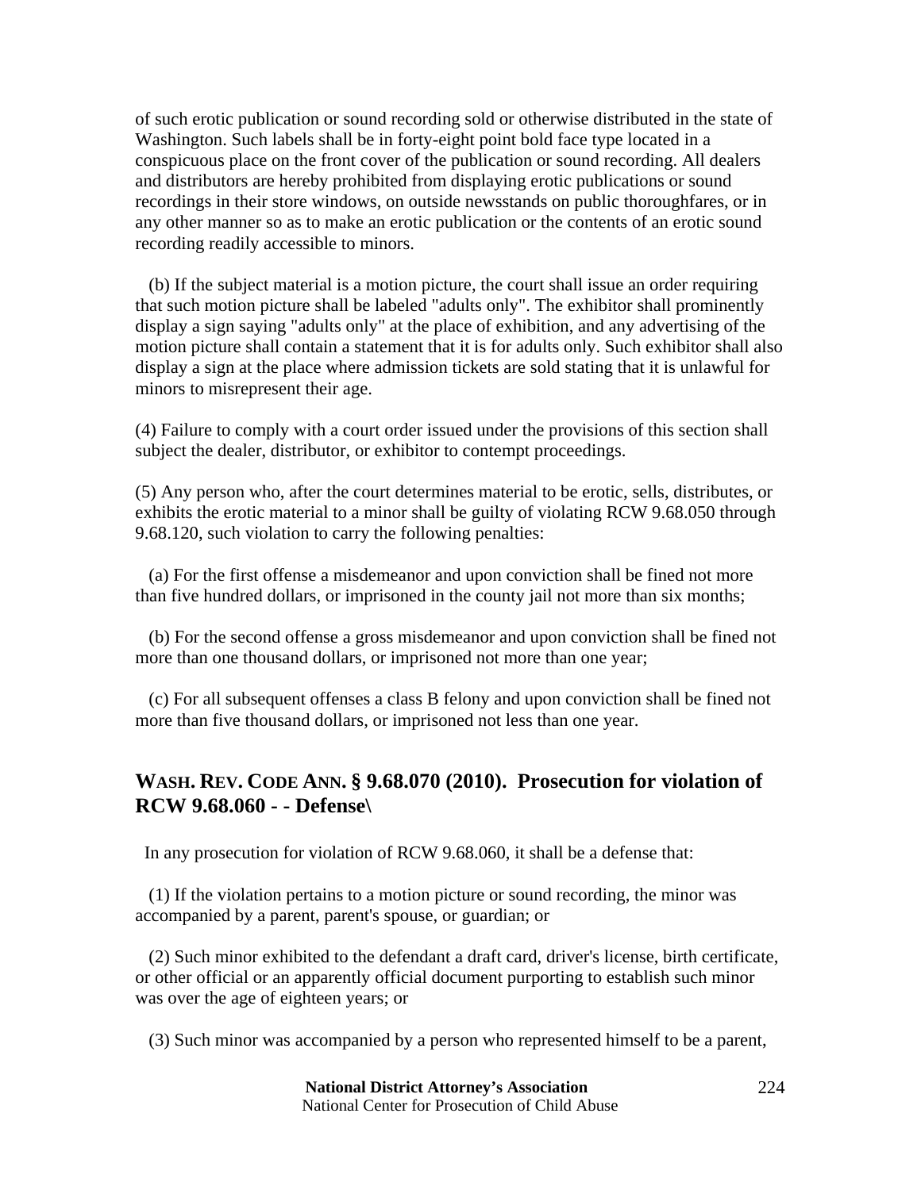of such erotic publication or sound recording sold or otherwise distributed in the state of Washington. Such labels shall be in forty-eight point bold face type located in a conspicuous place on the front cover of the publication or sound recording. All dealers and distributors are hereby prohibited from displaying erotic publications or sound recordings in their store windows, on outside newsstands on public thoroughfares, or in any other manner so as to make an erotic publication or the contents of an erotic sound recording readily accessible to minors.

 (b) If the subject material is a motion picture, the court shall issue an order requiring that such motion picture shall be labeled "adults only". The exhibitor shall prominently display a sign saying "adults only" at the place of exhibition, and any advertising of the motion picture shall contain a statement that it is for adults only. Such exhibitor shall also display a sign at the place where admission tickets are sold stating that it is unlawful for minors to misrepresent their age.

(4) Failure to comply with a court order issued under the provisions of this section shall subject the dealer, distributor, or exhibitor to contempt proceedings.

(5) Any person who, after the court determines material to be erotic, sells, distributes, or exhibits the erotic material to a minor shall be guilty of violating RCW 9.68.050 through 9.68.120, such violation to carry the following penalties:

 (a) For the first offense a misdemeanor and upon conviction shall be fined not more than five hundred dollars, or imprisoned in the county jail not more than six months;

 (b) For the second offense a gross misdemeanor and upon conviction shall be fined not more than one thousand dollars, or imprisoned not more than one year;

 (c) For all subsequent offenses a class B felony and upon conviction shall be fined not more than five thousand dollars, or imprisoned not less than one year.

#### **WASH. REV. CODE ANN. § 9.68.070 (2010). Prosecution for violation of RCW 9.68.060 - - Defense\**

In any prosecution for violation of RCW 9.68.060, it shall be a defense that:

 (1) If the violation pertains to a motion picture or sound recording, the minor was accompanied by a parent, parent's spouse, or guardian; or

 (2) Such minor exhibited to the defendant a draft card, driver's license, birth certificate, or other official or an apparently official document purporting to establish such minor was over the age of eighteen years; or

(3) Such minor was accompanied by a person who represented himself to be a parent,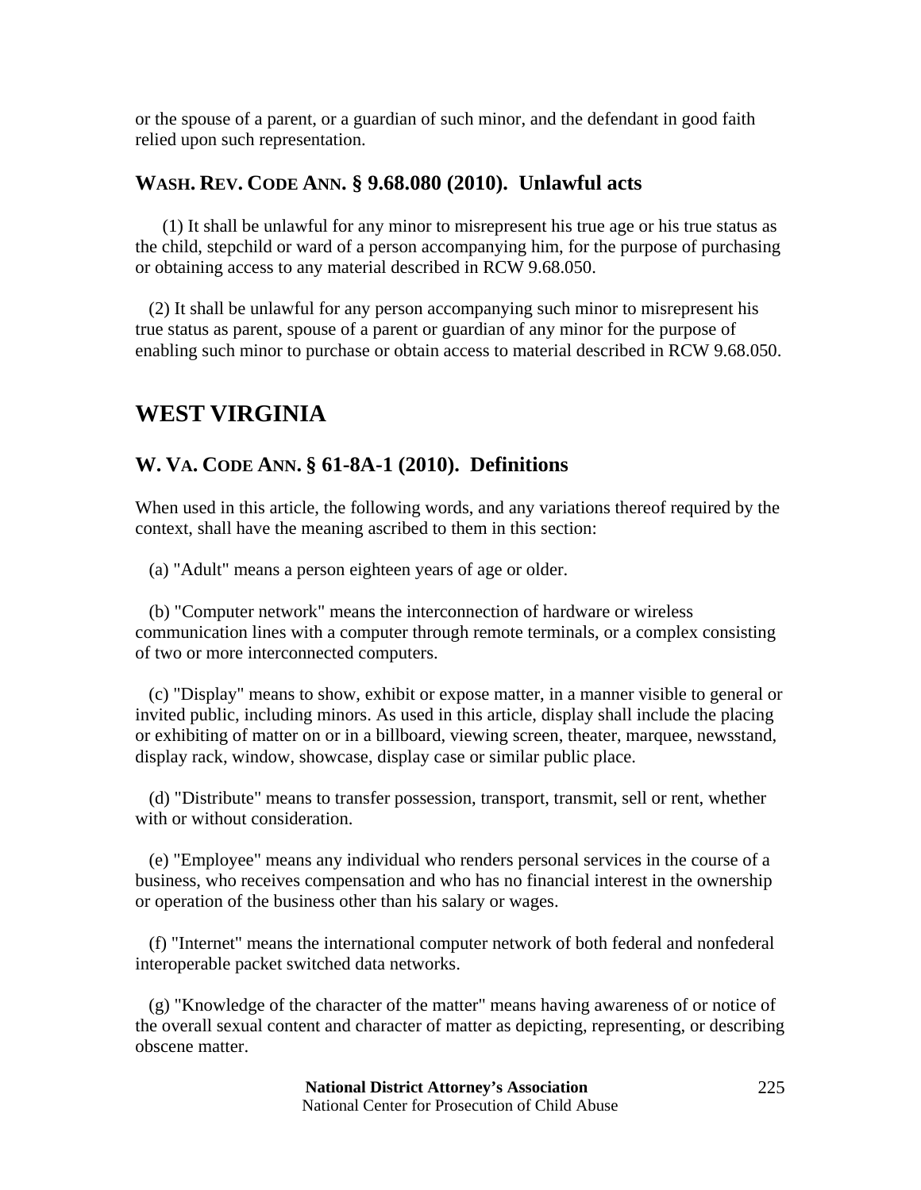or the spouse of a parent, or a guardian of such minor, and the defendant in good faith relied upon such representation.

#### **WASH. REV. CODE ANN. § 9.68.080 (2010). Unlawful acts**

 (1) It shall be unlawful for any minor to misrepresent his true age or his true status as the child, stepchild or ward of a person accompanying him, for the purpose of purchasing or obtaining access to any material described in RCW 9.68.050.

 (2) It shall be unlawful for any person accompanying such minor to misrepresent his true status as parent, spouse of a parent or guardian of any minor for the purpose of enabling such minor to purchase or obtain access to material described in RCW 9.68.050.

# **WEST VIRGINIA**

# **W. VA. CODE ANN. § 61-8A-1 (2010). Definitions**

When used in this article, the following words, and any variations thereof required by the context, shall have the meaning ascribed to them in this section:

(a) "Adult" means a person eighteen years of age or older.

 (b) "Computer network" means the interconnection of hardware or wireless communication lines with a computer through remote terminals, or a complex consisting of two or more interconnected computers.

 (c) "Display" means to show, exhibit or expose matter, in a manner visible to general or invited public, including minors. As used in this article, display shall include the placing or exhibiting of matter on or in a billboard, viewing screen, theater, marquee, newsstand, display rack, window, showcase, display case or similar public place.

 (d) "Distribute" means to transfer possession, transport, transmit, sell or rent, whether with or without consideration.

 (e) "Employee" means any individual who renders personal services in the course of a business, who receives compensation and who has no financial interest in the ownership or operation of the business other than his salary or wages.

 (f) "Internet" means the international computer network of both federal and nonfederal interoperable packet switched data networks.

 (g) "Knowledge of the character of the matter" means having awareness of or notice of the overall sexual content and character of matter as depicting, representing, or describing obscene matter.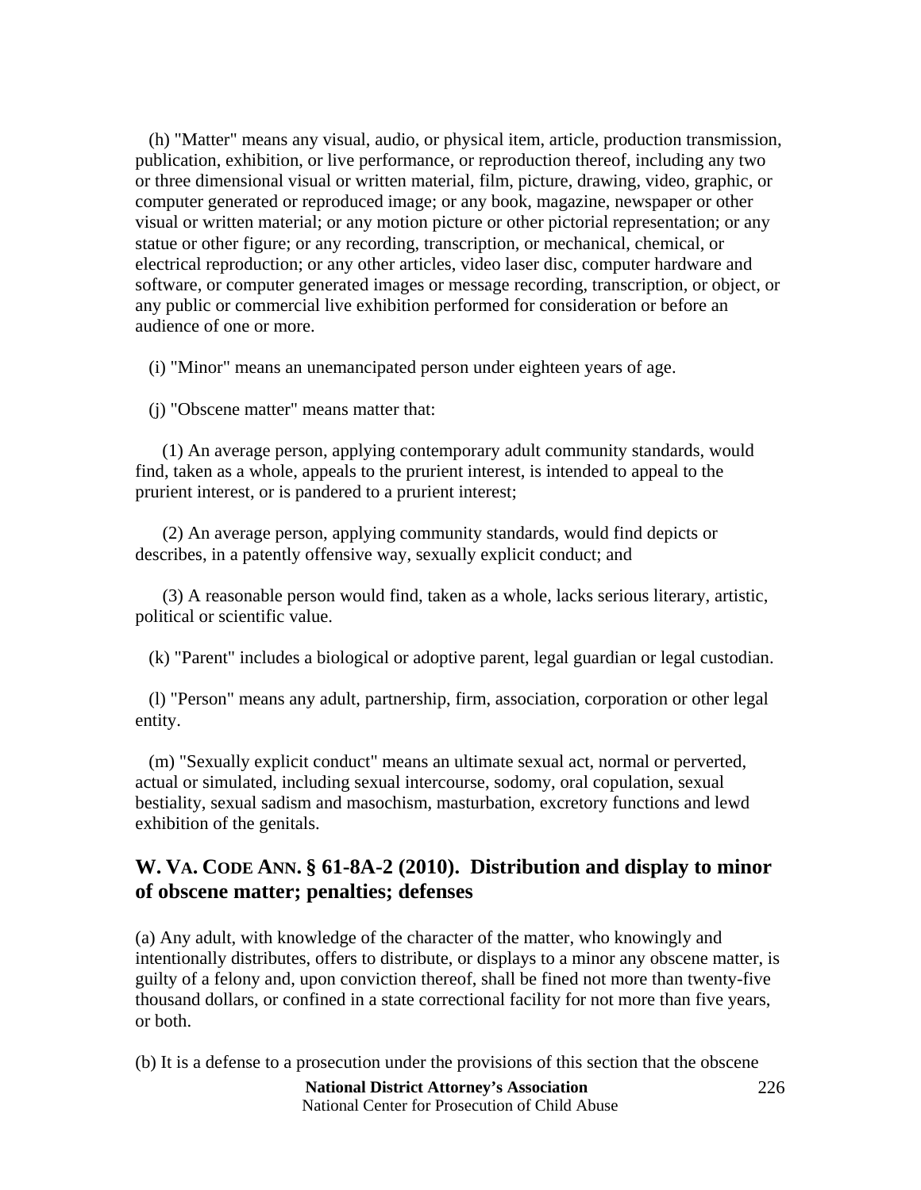(h) "Matter" means any visual, audio, or physical item, article, production transmission, publication, exhibition, or live performance, or reproduction thereof, including any two or three dimensional visual or written material, film, picture, drawing, video, graphic, or computer generated or reproduced image; or any book, magazine, newspaper or other visual or written material; or any motion picture or other pictorial representation; or any statue or other figure; or any recording, transcription, or mechanical, chemical, or electrical reproduction; or any other articles, video laser disc, computer hardware and software, or computer generated images or message recording, transcription, or object, or any public or commercial live exhibition performed for consideration or before an audience of one or more.

(i) "Minor" means an unemancipated person under eighteen years of age.

(j) "Obscene matter" means matter that:

 (1) An average person, applying contemporary adult community standards, would find, taken as a whole, appeals to the prurient interest, is intended to appeal to the prurient interest, or is pandered to a prurient interest;

 (2) An average person, applying community standards, would find depicts or describes, in a patently offensive way, sexually explicit conduct; and

 (3) A reasonable person would find, taken as a whole, lacks serious literary, artistic, political or scientific value.

(k) "Parent" includes a biological or adoptive parent, legal guardian or legal custodian.

 (l) "Person" means any adult, partnership, firm, association, corporation or other legal entity.

 (m) "Sexually explicit conduct" means an ultimate sexual act, normal or perverted, actual or simulated, including sexual intercourse, sodomy, oral copulation, sexual bestiality, sexual sadism and masochism, masturbation, excretory functions and lewd exhibition of the genitals.

#### **W. VA. CODE ANN. § 61-8A-2 (2010). Distribution and display to minor of obscene matter; penalties; defenses**

(a) Any adult, with knowledge of the character of the matter, who knowingly and intentionally distributes, offers to distribute, or displays to a minor any obscene matter, is guilty of a felony and, upon conviction thereof, shall be fined not more than twenty-five thousand dollars, or confined in a state correctional facility for not more than five years, or both.

(b) It is a defense to a prosecution under the provisions of this section that the obscene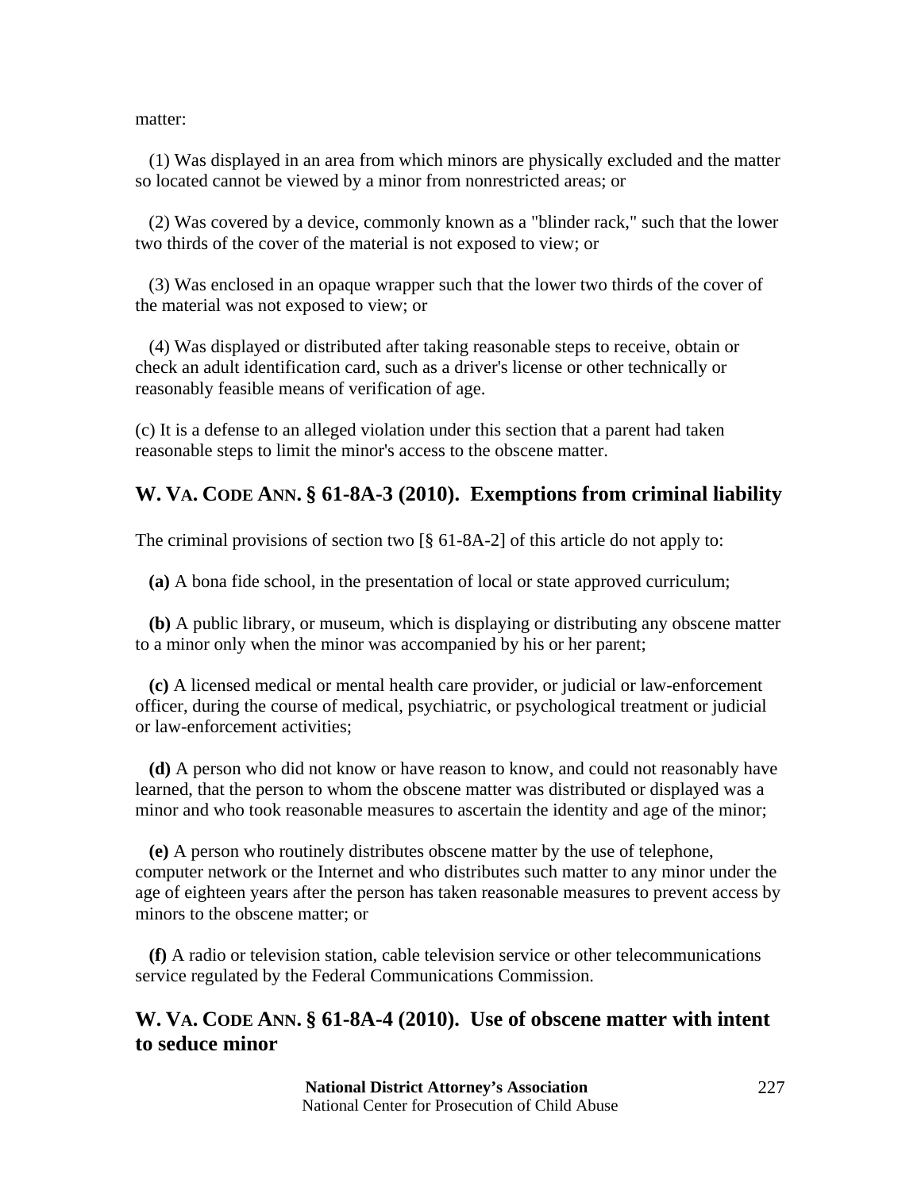matter:

 (1) Was displayed in an area from which minors are physically excluded and the matter so located cannot be viewed by a minor from nonrestricted areas; or

 (2) Was covered by a device, commonly known as a "blinder rack," such that the lower two thirds of the cover of the material is not exposed to view; or

 (3) Was enclosed in an opaque wrapper such that the lower two thirds of the cover of the material was not exposed to view; or

 (4) Was displayed or distributed after taking reasonable steps to receive, obtain or check an adult identification card, such as a driver's license or other technically or reasonably feasible means of verification of age.

(c) It is a defense to an alleged violation under this section that a parent had taken reasonable steps to limit the minor's access to the obscene matter.

# **W. VA. CODE ANN. § 61-8A-3 (2010). Exemptions from criminal liability**

The criminal provisions of section two [§ 61-8A-2] of this article do not apply to:

**(a)** A bona fide school, in the presentation of local or state approved curriculum;

 **(b)** A public library, or museum, which is displaying or distributing any obscene matter to a minor only when the minor was accompanied by his or her parent;

 **(c)** A licensed medical or mental health care provider, or judicial or law-enforcement officer, during the course of medical, psychiatric, or psychological treatment or judicial or law-enforcement activities;

 **(d)** A person who did not know or have reason to know, and could not reasonably have learned, that the person to whom the obscene matter was distributed or displayed was a minor and who took reasonable measures to ascertain the identity and age of the minor;

 **(e)** A person who routinely distributes obscene matter by the use of telephone, computer network or the Internet and who distributes such matter to any minor under the age of eighteen years after the person has taken reasonable measures to prevent access by minors to the obscene matter; or

 **(f)** A radio or television station, cable television service or other telecommunications service regulated by the Federal Communications Commission.

# **W. VA. CODE ANN. § 61-8A-4 (2010). Use of obscene matter with intent to seduce minor**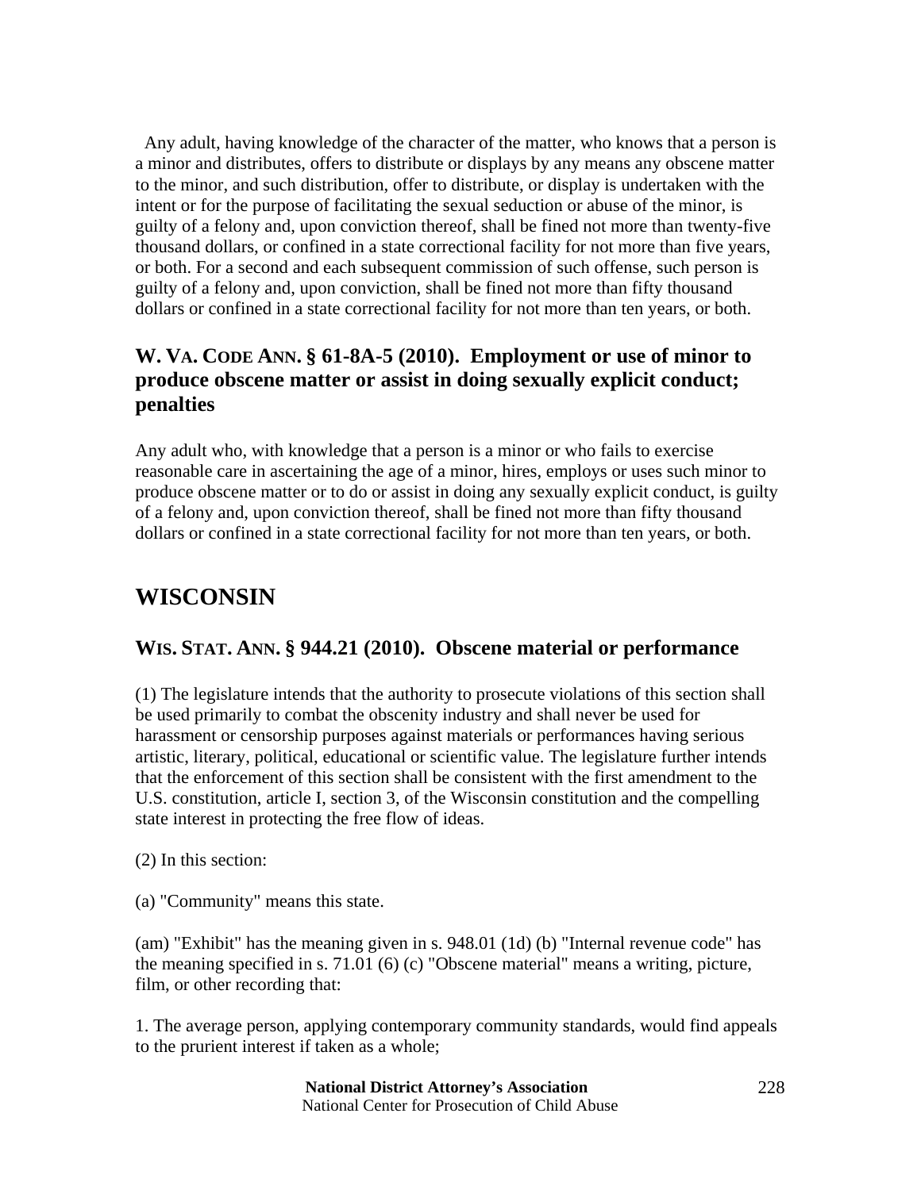Any adult, having knowledge of the character of the matter, who knows that a person is a minor and distributes, offers to distribute or displays by any means any obscene matter to the minor, and such distribution, offer to distribute, or display is undertaken with the intent or for the purpose of facilitating the sexual seduction or abuse of the minor, is guilty of a felony and, upon conviction thereof, shall be fined not more than twenty-five thousand dollars, or confined in a state correctional facility for not more than five years, or both. For a second and each subsequent commission of such offense, such person is guilty of a felony and, upon conviction, shall be fined not more than fifty thousand dollars or confined in a state correctional facility for not more than ten years, or both.

# **W. VA. CODE ANN. § 61-8A-5 (2010). Employment or use of minor to produce obscene matter or assist in doing sexually explicit conduct; penalties**

Any adult who, with knowledge that a person is a minor or who fails to exercise reasonable care in ascertaining the age of a minor, hires, employs or uses such minor to produce obscene matter or to do or assist in doing any sexually explicit conduct, is guilty of a felony and, upon conviction thereof, shall be fined not more than fifty thousand dollars or confined in a state correctional facility for not more than ten years, or both.

# **WISCONSIN**

# **WIS. STAT. ANN. § 944.21 (2010). Obscene material or performance**

(1) The legislature intends that the authority to prosecute violations of this section shall be used primarily to combat the obscenity industry and shall never be used for harassment or censorship purposes against materials or performances having serious artistic, literary, political, educational or scientific value. The legislature further intends that the enforcement of this section shall be consistent with the first amendment to the U.S. constitution, article I, section 3, of the Wisconsin constitution and the compelling state interest in protecting the free flow of ideas.

(2) In this section:

(a) "Community" means this state.

(am) "Exhibit" has the meaning given in s. 948.01 (1d) (b) "Internal revenue code" has the meaning specified in s. 71.01 (6) (c) "Obscene material" means a writing, picture, film, or other recording that:

1. The average person, applying contemporary community standards, would find appeals to the prurient interest if taken as a whole;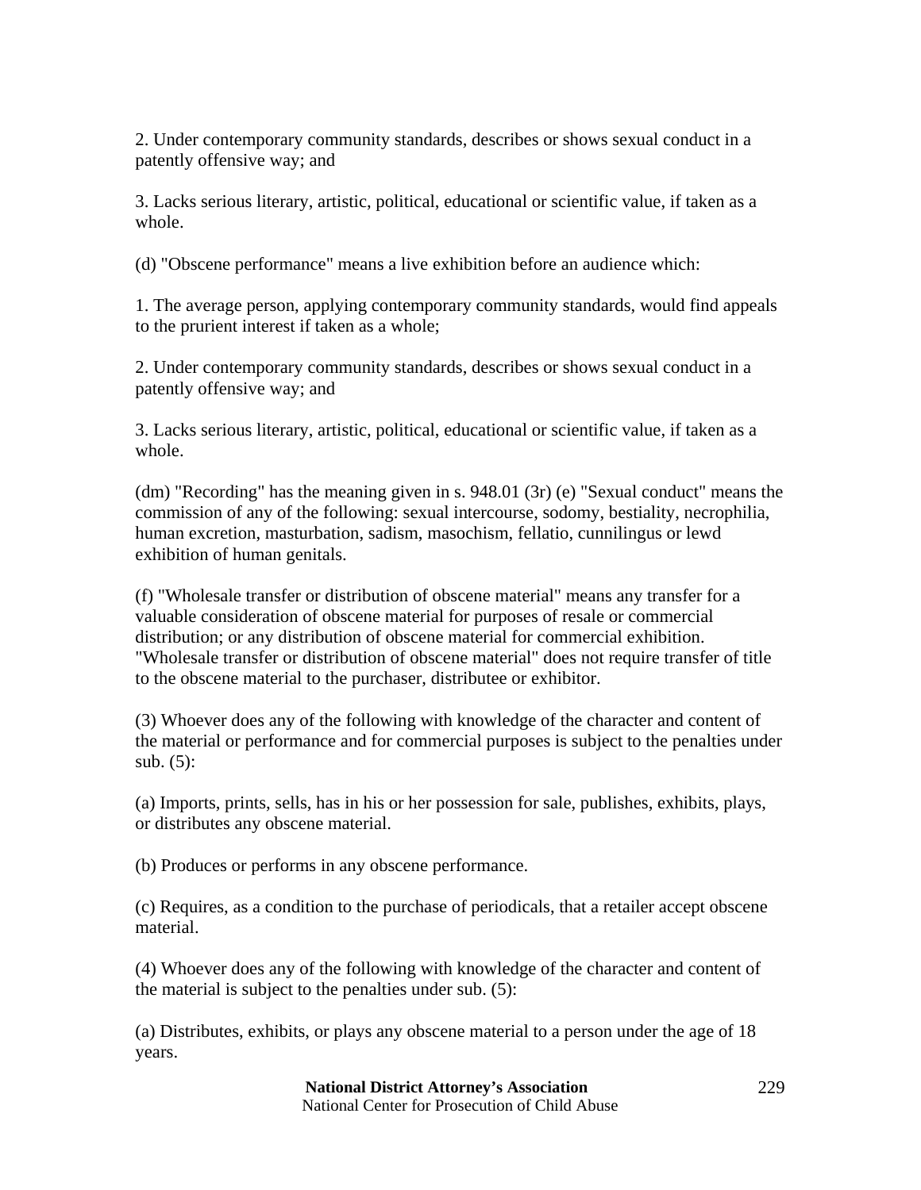2. Under contemporary community standards, describes or shows sexual conduct in a patently offensive way; and

3. Lacks serious literary, artistic, political, educational or scientific value, if taken as a whole.

(d) "Obscene performance" means a live exhibition before an audience which:

1. The average person, applying contemporary community standards, would find appeals to the prurient interest if taken as a whole;

2. Under contemporary community standards, describes or shows sexual conduct in a patently offensive way; and

3. Lacks serious literary, artistic, political, educational or scientific value, if taken as a whole.

(dm) "Recording" has the meaning given in s. 948.01 (3r) (e) "Sexual conduct" means the commission of any of the following: sexual intercourse, sodomy, bestiality, necrophilia, human excretion, masturbation, sadism, masochism, fellatio, cunnilingus or lewd exhibition of human genitals.

(f) "Wholesale transfer or distribution of obscene material" means any transfer for a valuable consideration of obscene material for purposes of resale or commercial distribution; or any distribution of obscene material for commercial exhibition. "Wholesale transfer or distribution of obscene material" does not require transfer of title to the obscene material to the purchaser, distributee or exhibitor.

(3) Whoever does any of the following with knowledge of the character and content of the material or performance and for commercial purposes is subject to the penalties under sub. (5):

(a) Imports, prints, sells, has in his or her possession for sale, publishes, exhibits, plays, or distributes any obscene material.

(b) Produces or performs in any obscene performance.

(c) Requires, as a condition to the purchase of periodicals, that a retailer accept obscene material.

(4) Whoever does any of the following with knowledge of the character and content of the material is subject to the penalties under sub. (5):

(a) Distributes, exhibits, or plays any obscene material to a person under the age of 18 years.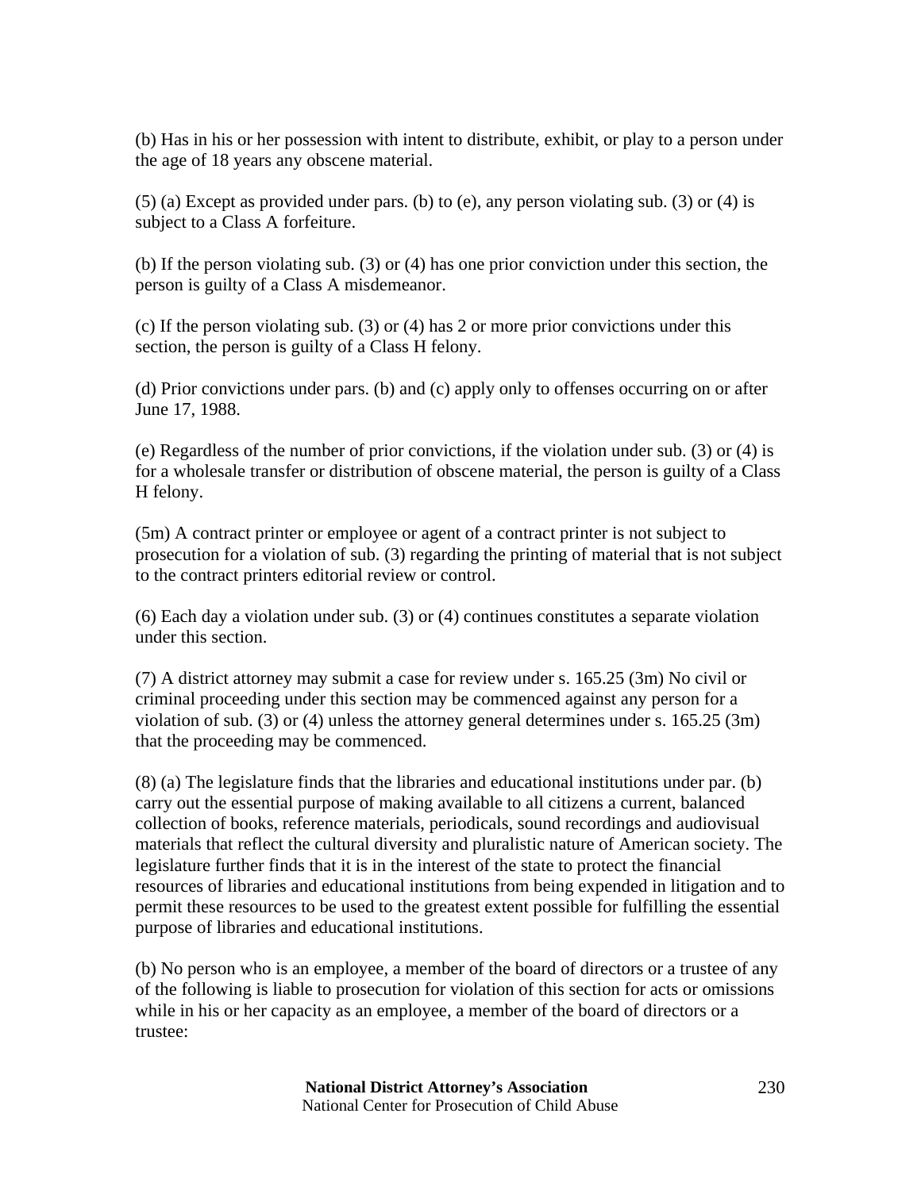(b) Has in his or her possession with intent to distribute, exhibit, or play to a person under the age of 18 years any obscene material.

(5) (a) Except as provided under pars. (b) to (e), any person violating sub. (3) or (4) is subject to a Class A forfeiture.

(b) If the person violating sub. (3) or (4) has one prior conviction under this section, the person is guilty of a Class A misdemeanor.

(c) If the person violating sub. (3) or (4) has 2 or more prior convictions under this section, the person is guilty of a Class H felony.

(d) Prior convictions under pars. (b) and (c) apply only to offenses occurring on or after June 17, 1988.

(e) Regardless of the number of prior convictions, if the violation under sub. (3) or (4) is for a wholesale transfer or distribution of obscene material, the person is guilty of a Class H felony.

(5m) A contract printer or employee or agent of a contract printer is not subject to prosecution for a violation of sub. (3) regarding the printing of material that is not subject to the contract printers editorial review or control.

(6) Each day a violation under sub. (3) or (4) continues constitutes a separate violation under this section.

(7) A district attorney may submit a case for review under s. 165.25 (3m) No civil or criminal proceeding under this section may be commenced against any person for a violation of sub. (3) or (4) unless the attorney general determines under s. 165.25 (3m) that the proceeding may be commenced.

(8) (a) The legislature finds that the libraries and educational institutions under par. (b) carry out the essential purpose of making available to all citizens a current, balanced collection of books, reference materials, periodicals, sound recordings and audiovisual materials that reflect the cultural diversity and pluralistic nature of American society. The legislature further finds that it is in the interest of the state to protect the financial resources of libraries and educational institutions from being expended in litigation and to permit these resources to be used to the greatest extent possible for fulfilling the essential purpose of libraries and educational institutions.

(b) No person who is an employee, a member of the board of directors or a trustee of any of the following is liable to prosecution for violation of this section for acts or omissions while in his or her capacity as an employee, a member of the board of directors or a trustee: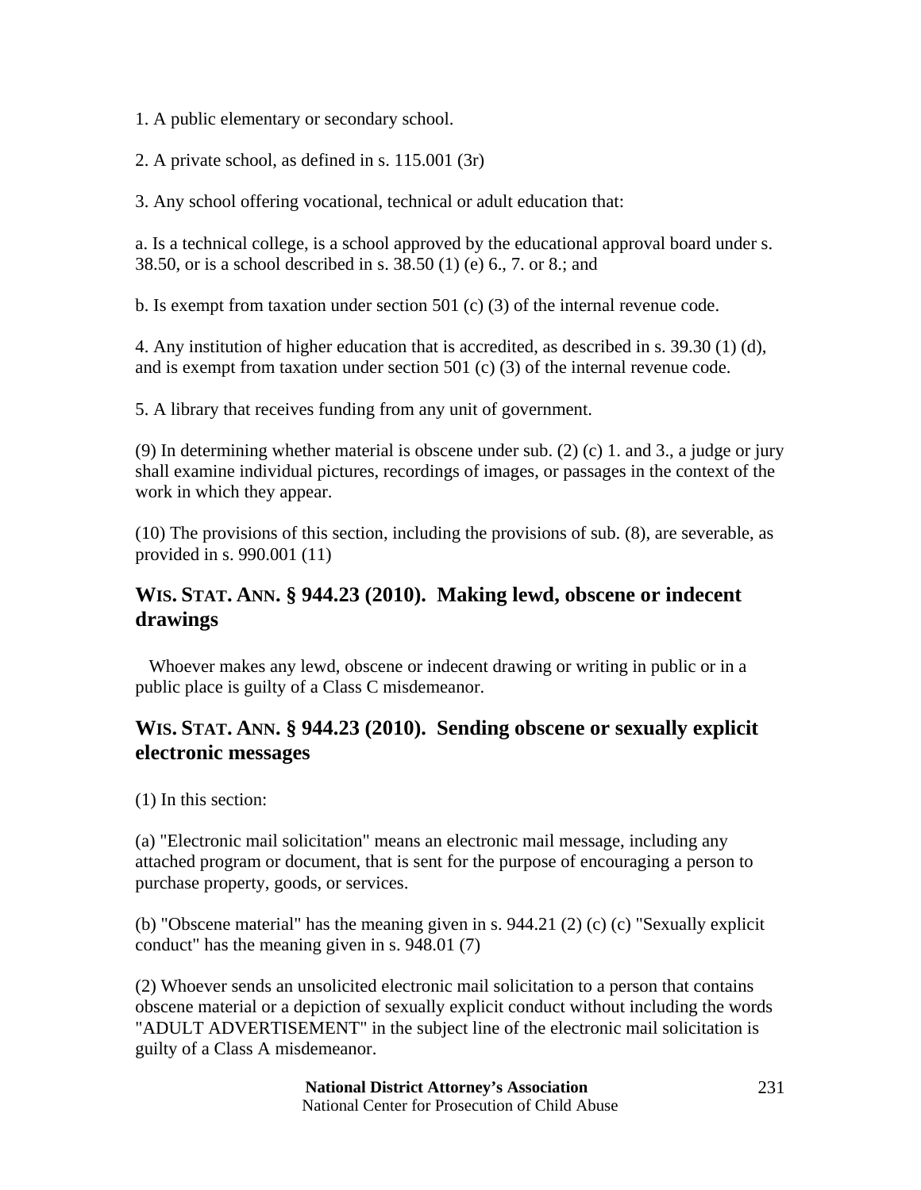1. A public elementary or secondary school.

2. A private school, as defined in s. 115.001 (3r)

3. Any school offering vocational, technical or adult education that:

a. Is a technical college, is a school approved by the educational approval board under s. 38.50, or is a school described in s. 38.50 (1) (e) 6., 7. or 8.; and

b. Is exempt from taxation under section 501 (c) (3) of the internal revenue code.

4. Any institution of higher education that is accredited, as described in s. 39.30 (1) (d), and is exempt from taxation under section 501 (c) (3) of the internal revenue code.

5. A library that receives funding from any unit of government.

(9) In determining whether material is obscene under sub. (2) (c) 1. and 3., a judge or jury shall examine individual pictures, recordings of images, or passages in the context of the work in which they appear.

(10) The provisions of this section, including the provisions of sub. (8), are severable, as provided in s. 990.001 (11)

# **WIS. STAT. ANN. § 944.23 (2010). Making lewd, obscene or indecent drawings**

 Whoever makes any lewd, obscene or indecent drawing or writing in public or in a public place is guilty of a Class C misdemeanor.

# **WIS. STAT. ANN. § 944.23 (2010). Sending obscene or sexually explicit electronic messages**

(1) In this section:

(a) "Electronic mail solicitation" means an electronic mail message, including any attached program or document, that is sent for the purpose of encouraging a person to purchase property, goods, or services.

(b) "Obscene material" has the meaning given in s. 944.21 (2) (c) (c) "Sexually explicit conduct" has the meaning given in s. 948.01 (7)

(2) Whoever sends an unsolicited electronic mail solicitation to a person that contains obscene material or a depiction of sexually explicit conduct without including the words "ADULT ADVERTISEMENT" in the subject line of the electronic mail solicitation is guilty of a Class A misdemeanor.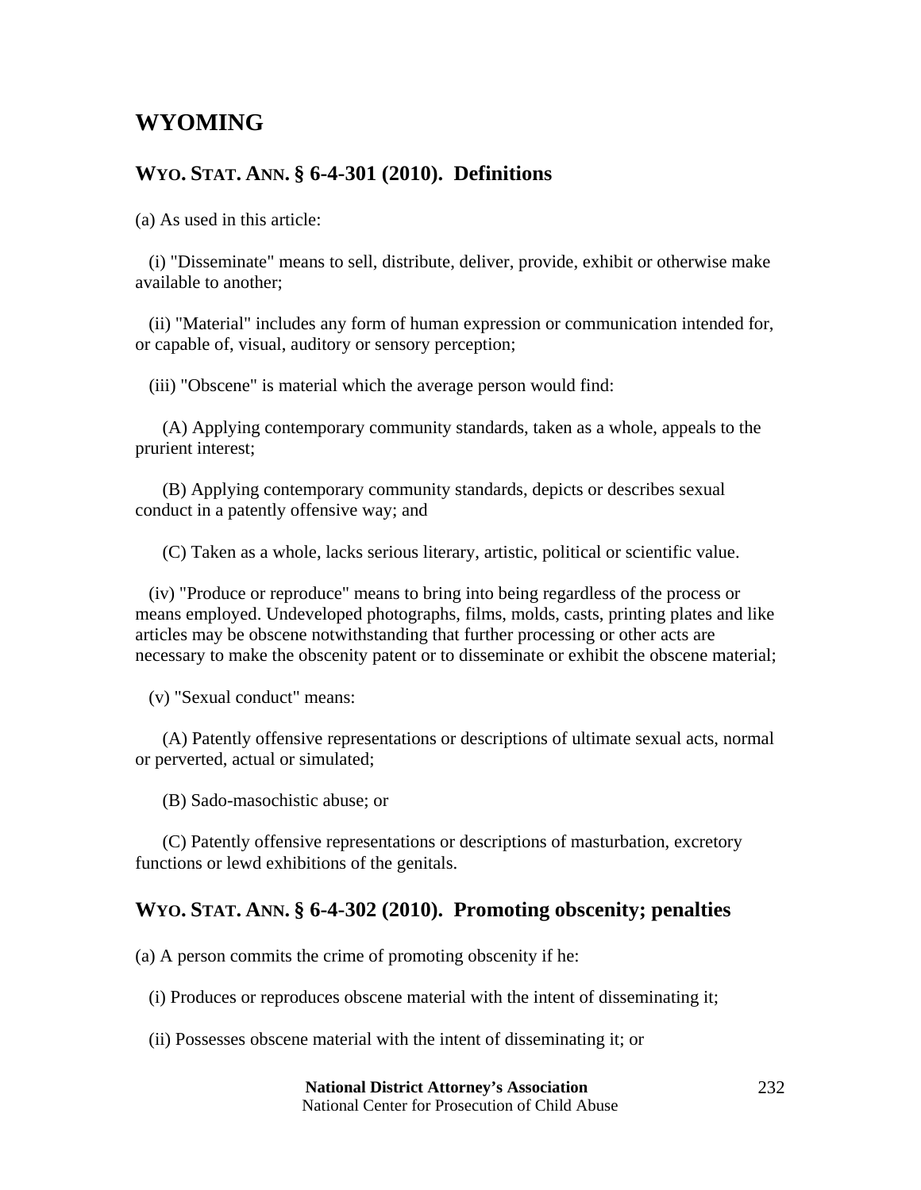# **WYOMING**

#### **WYO. STAT. ANN. § 6-4-301 (2010). Definitions**

(a) As used in this article:

 (i) "Disseminate" means to sell, distribute, deliver, provide, exhibit or otherwise make available to another;

 (ii) "Material" includes any form of human expression or communication intended for, or capable of, visual, auditory or sensory perception;

(iii) "Obscene" is material which the average person would find:

 (A) Applying contemporary community standards, taken as a whole, appeals to the prurient interest;

 (B) Applying contemporary community standards, depicts or describes sexual conduct in a patently offensive way; and

(C) Taken as a whole, lacks serious literary, artistic, political or scientific value.

 (iv) "Produce or reproduce" means to bring into being regardless of the process or means employed. Undeveloped photographs, films, molds, casts, printing plates and like articles may be obscene notwithstanding that further processing or other acts are necessary to make the obscenity patent or to disseminate or exhibit the obscene material;

(v) "Sexual conduct" means:

 (A) Patently offensive representations or descriptions of ultimate sexual acts, normal or perverted, actual or simulated;

(B) Sado-masochistic abuse; or

 (C) Patently offensive representations or descriptions of masturbation, excretory functions or lewd exhibitions of the genitals.

#### **WYO. STAT. ANN. § 6-4-302 (2010). Promoting obscenity; penalties**

(a) A person commits the crime of promoting obscenity if he:

(i) Produces or reproduces obscene material with the intent of disseminating it;

(ii) Possesses obscene material with the intent of disseminating it; or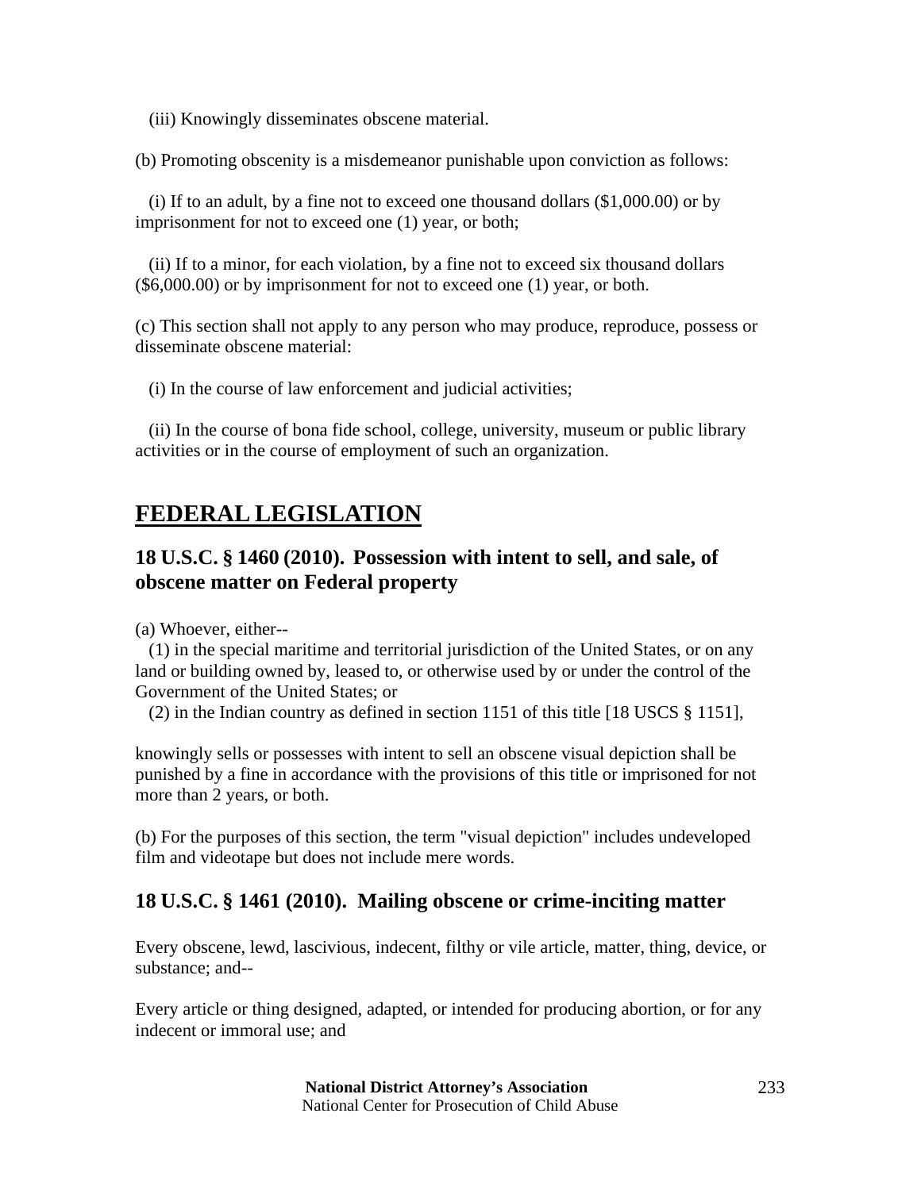(iii) Knowingly disseminates obscene material.

(b) Promoting obscenity is a misdemeanor punishable upon conviction as follows:

 (i) If to an adult, by a fine not to exceed one thousand dollars (\$1,000.00) or by imprisonment for not to exceed one (1) year, or both;

 (ii) If to a minor, for each violation, by a fine not to exceed six thousand dollars  $(\$6,000.00)$  or by imprisonment for not to exceed one  $(1)$  year, or both.

(c) This section shall not apply to any person who may produce, reproduce, possess or disseminate obscene material:

(i) In the course of law enforcement and judicial activities;

 (ii) In the course of bona fide school, college, university, museum or public library activities or in the course of employment of such an organization.

# **FEDERAL LEGISLATION**

### **18 U.S.C. § 1460 (2010). Possession with intent to sell, and sale, of obscene matter on Federal property**

(a) Whoever, either--

 (1) in the special maritime and territorial jurisdiction of the United States, or on any land or building owned by, leased to, or otherwise used by or under the control of the Government of the United States; or

(2) in the Indian country as defined in section 1151 of this title [18 USCS § 1151],

knowingly sells or possesses with intent to sell an obscene visual depiction shall be punished by a fine in accordance with the provisions of this title or imprisoned for not more than 2 years, or both.

(b) For the purposes of this section, the term "visual depiction" includes undeveloped film and videotape but does not include mere words.

#### **18 U.S.C. § 1461 (2010). Mailing obscene or crime-inciting matter**

Every obscene, lewd, lascivious, indecent, filthy or vile article, matter, thing, device, or substance; and--

Every article or thing designed, adapted, or intended for producing abortion, or for any indecent or immoral use; and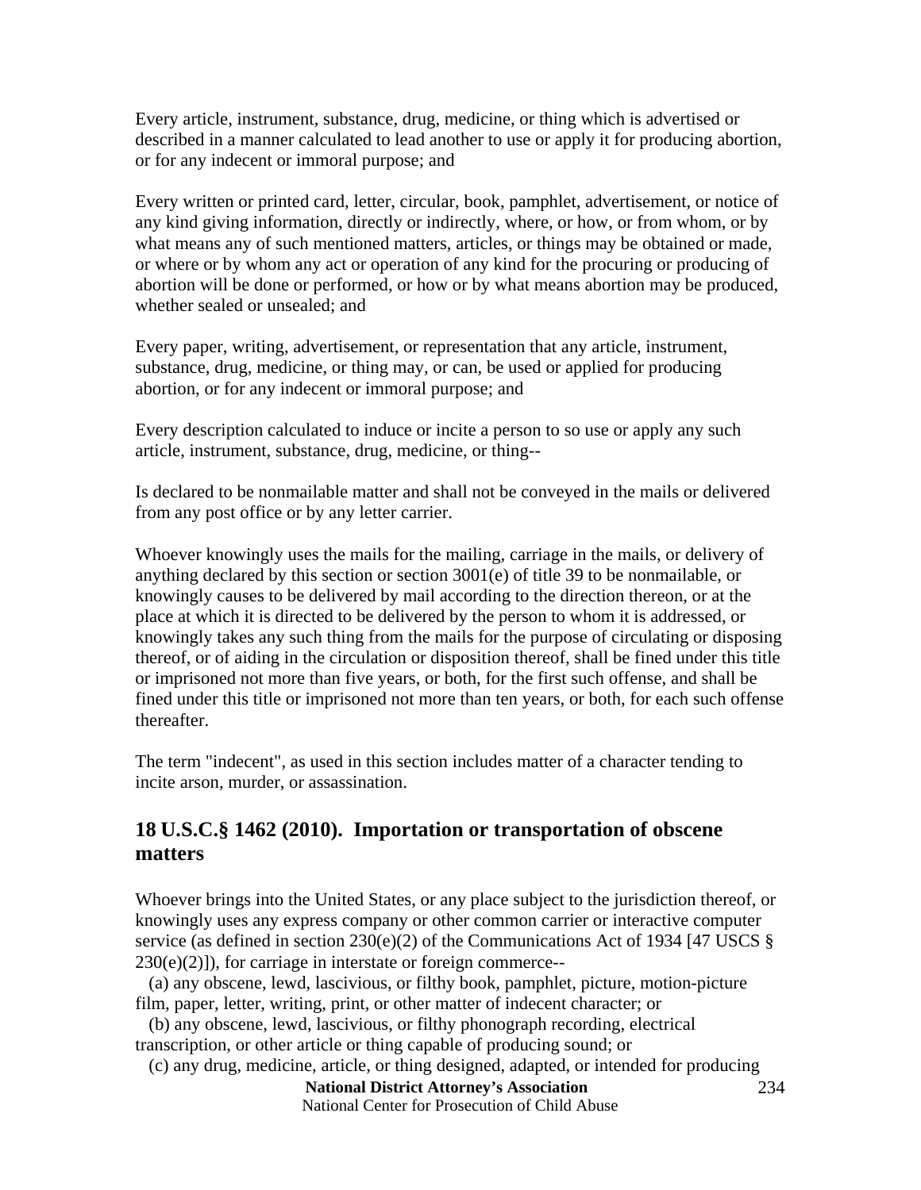Every article, instrument, substance, drug, medicine, or thing which is advertised or described in a manner calculated to lead another to use or apply it for producing abortion, or for any indecent or immoral purpose; and

Every written or printed card, letter, circular, book, pamphlet, advertisement, or notice of any kind giving information, directly or indirectly, where, or how, or from whom, or by what means any of such mentioned matters, articles, or things may be obtained or made, or where or by whom any act or operation of any kind for the procuring or producing of abortion will be done or performed, or how or by what means abortion may be produced, whether sealed or unsealed; and

Every paper, writing, advertisement, or representation that any article, instrument, substance, drug, medicine, or thing may, or can, be used or applied for producing abortion, or for any indecent or immoral purpose; and

Every description calculated to induce or incite a person to so use or apply any such article, instrument, substance, drug, medicine, or thing--

Is declared to be nonmailable matter and shall not be conveyed in the mails or delivered from any post office or by any letter carrier.

Whoever knowingly uses the mails for the mailing, carriage in the mails, or delivery of anything declared by this section or section 3001(e) of title 39 to be nonmailable, or knowingly causes to be delivered by mail according to the direction thereon, or at the place at which it is directed to be delivered by the person to whom it is addressed, or knowingly takes any such thing from the mails for the purpose of circulating or disposing thereof, or of aiding in the circulation or disposition thereof, shall be fined under this title or imprisoned not more than five years, or both, for the first such offense, and shall be fined under this title or imprisoned not more than ten years, or both, for each such offense thereafter.

The term "indecent", as used in this section includes matter of a character tending to incite arson, murder, or assassination.

# **18 U.S.C.§ 1462 (2010). Importation or transportation of obscene matters**

Whoever brings into the United States, or any place subject to the jurisdiction thereof, or knowingly uses any express company or other common carrier or interactive computer service (as defined in section 230(e)(2) of the Communications Act of 1934 [47 USCS § 230(e)(2)]), for carriage in interstate or foreign commerce--

 (a) any obscene, lewd, lascivious, or filthy book, pamphlet, picture, motion-picture film, paper, letter, writing, print, or other matter of indecent character; or

 (b) any obscene, lewd, lascivious, or filthy phonograph recording, electrical transcription, or other article or thing capable of producing sound; or

(c) any drug, medicine, article, or thing designed, adapted, or intended for producing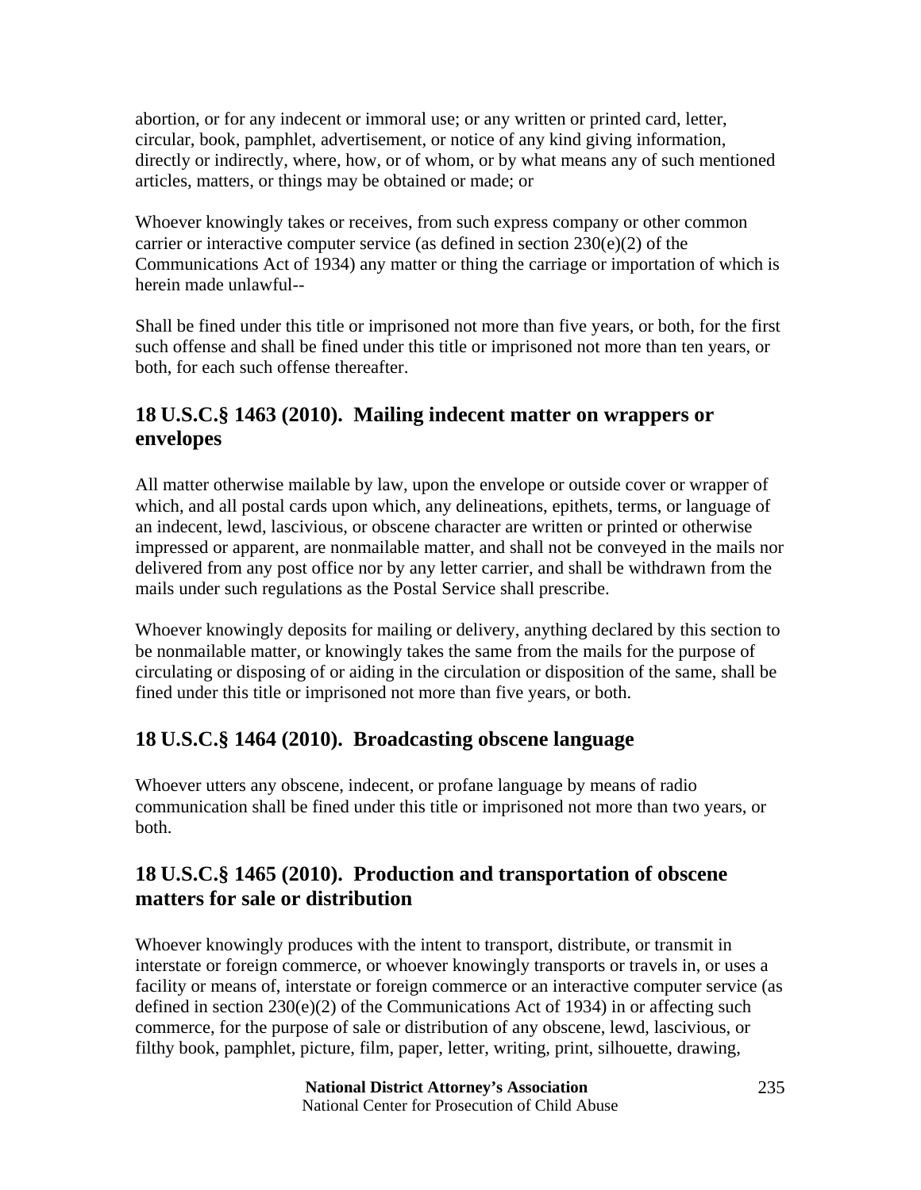abortion, or for any indecent or immoral use; or any written or printed card, letter, circular, book, pamphlet, advertisement, or notice of any kind giving information, directly or indirectly, where, how, or of whom, or by what means any of such mentioned articles, matters, or things may be obtained or made; or

Whoever knowingly takes or receives, from such express company or other common carrier or interactive computer service (as defined in section 230(e)(2) of the Communications Act of 1934) any matter or thing the carriage or importation of which is herein made unlawful--

Shall be fined under this title or imprisoned not more than five years, or both, for the first such offense and shall be fined under this title or imprisoned not more than ten years, or both, for each such offense thereafter.

# **18 U.S.C.§ 1463 (2010). Mailing indecent matter on wrappers or envelopes**

All matter otherwise mailable by law, upon the envelope or outside cover or wrapper of which, and all postal cards upon which, any delineations, epithets, terms, or language of an indecent, lewd, lascivious, or obscene character are written or printed or otherwise impressed or apparent, are nonmailable matter, and shall not be conveyed in the mails nor delivered from any post office nor by any letter carrier, and shall be withdrawn from the mails under such regulations as the Postal Service shall prescribe.

Whoever knowingly deposits for mailing or delivery, anything declared by this section to be nonmailable matter, or knowingly takes the same from the mails for the purpose of circulating or disposing of or aiding in the circulation or disposition of the same, shall be fined under this title or imprisoned not more than five years, or both.

# **18 U.S.C.§ 1464 (2010). Broadcasting obscene language**

Whoever utters any obscene, indecent, or profane language by means of radio communication shall be fined under this title or imprisoned not more than two years, or both.

# **18 U.S.C.§ 1465 (2010). Production and transportation of obscene matters for sale or distribution**

Whoever knowingly produces with the intent to transport, distribute, or transmit in interstate or foreign commerce, or whoever knowingly transports or travels in, or uses a facility or means of, interstate or foreign commerce or an interactive computer service (as defined in section 230(e)(2) of the Communications Act of 1934) in or affecting such commerce, for the purpose of sale or distribution of any obscene, lewd, lascivious, or filthy book, pamphlet, picture, film, paper, letter, writing, print, silhouette, drawing,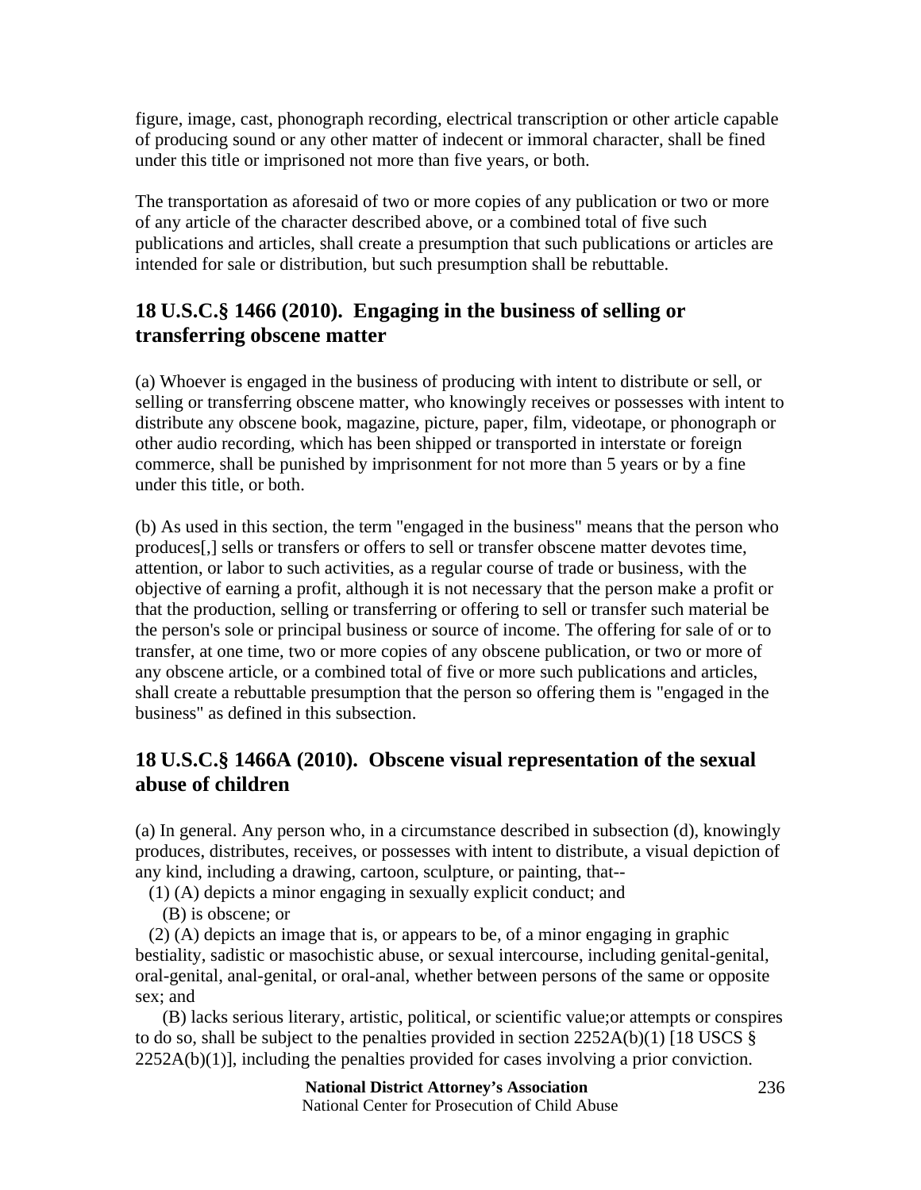figure, image, cast, phonograph recording, electrical transcription or other article capable of producing sound or any other matter of indecent or immoral character, shall be fined under this title or imprisoned not more than five years, or both.

The transportation as aforesaid of two or more copies of any publication or two or more of any article of the character described above, or a combined total of five such publications and articles, shall create a presumption that such publications or articles are intended for sale or distribution, but such presumption shall be rebuttable.

# **18 U.S.C.§ 1466 (2010). Engaging in the business of selling or transferring obscene matter**

(a) Whoever is engaged in the business of producing with intent to distribute or sell, or selling or transferring obscene matter, who knowingly receives or possesses with intent to distribute any obscene book, magazine, picture, paper, film, videotape, or phonograph or other audio recording, which has been shipped or transported in interstate or foreign commerce, shall be punished by imprisonment for not more than 5 years or by a fine under this title, or both.

(b) As used in this section, the term "engaged in the business" means that the person who produces[,] sells or transfers or offers to sell or transfer obscene matter devotes time, attention, or labor to such activities, as a regular course of trade or business, with the objective of earning a profit, although it is not necessary that the person make a profit or that the production, selling or transferring or offering to sell or transfer such material be the person's sole or principal business or source of income. The offering for sale of or to transfer, at one time, two or more copies of any obscene publication, or two or more of any obscene article, or a combined total of five or more such publications and articles, shall create a rebuttable presumption that the person so offering them is "engaged in the business" as defined in this subsection.

# **18 U.S.C.§ 1466A (2010). Obscene visual representation of the sexual abuse of children**

(a) In general. Any person who, in a circumstance described in subsection (d), knowingly produces, distributes, receives, or possesses with intent to distribute, a visual depiction of any kind, including a drawing, cartoon, sculpture, or painting, that--

- (1) (A) depicts a minor engaging in sexually explicit conduct; and
	- (B) is obscene; or

 (2) (A) depicts an image that is, or appears to be, of a minor engaging in graphic bestiality, sadistic or masochistic abuse, or sexual intercourse, including genital-genital, oral-genital, anal-genital, or oral-anal, whether between persons of the same or opposite sex; and

 (B) lacks serious literary, artistic, political, or scientific value;or attempts or conspires to do so, shall be subject to the penalties provided in section  $2252A(b)(1)$  [18 USCS § 2252A(b)(1)], including the penalties provided for cases involving a prior conviction.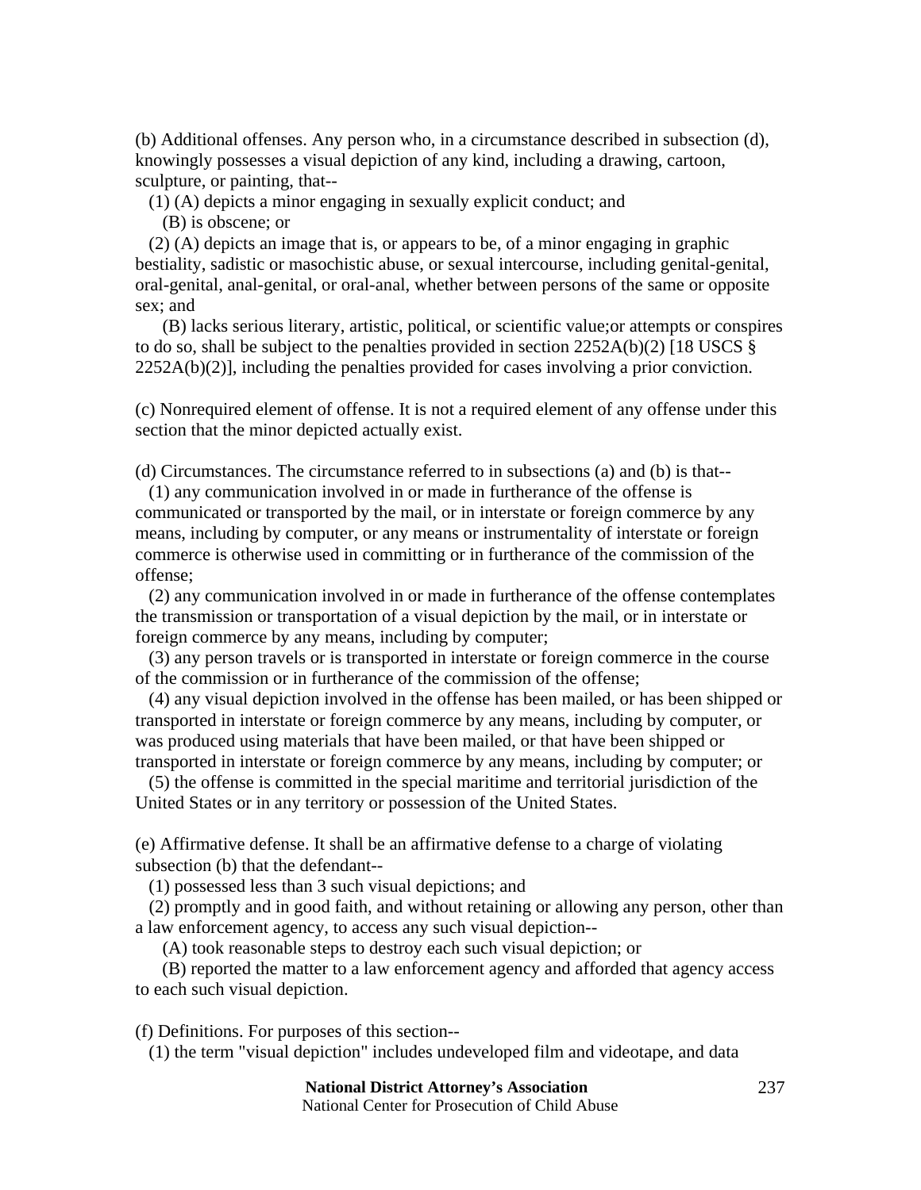(b) Additional offenses. Any person who, in a circumstance described in subsection (d), knowingly possesses a visual depiction of any kind, including a drawing, cartoon, sculpture, or painting, that--

(1) (A) depicts a minor engaging in sexually explicit conduct; and

(B) is obscene; or

 (2) (A) depicts an image that is, or appears to be, of a minor engaging in graphic bestiality, sadistic or masochistic abuse, or sexual intercourse, including genital-genital, oral-genital, anal-genital, or oral-anal, whether between persons of the same or opposite sex; and

 (B) lacks serious literary, artistic, political, or scientific value;or attempts or conspires to do so, shall be subject to the penalties provided in section  $2252A(b)(2)$  [18 USCS § 2252A(b)(2)], including the penalties provided for cases involving a prior conviction.

(c) Nonrequired element of offense. It is not a required element of any offense under this section that the minor depicted actually exist.

(d) Circumstances. The circumstance referred to in subsections (a) and (b) is that--

 (1) any communication involved in or made in furtherance of the offense is communicated or transported by the mail, or in interstate or foreign commerce by any means, including by computer, or any means or instrumentality of interstate or foreign commerce is otherwise used in committing or in furtherance of the commission of the offense;

 (2) any communication involved in or made in furtherance of the offense contemplates the transmission or transportation of a visual depiction by the mail, or in interstate or foreign commerce by any means, including by computer;

 (3) any person travels or is transported in interstate or foreign commerce in the course of the commission or in furtherance of the commission of the offense;

 (4) any visual depiction involved in the offense has been mailed, or has been shipped or transported in interstate or foreign commerce by any means, including by computer, or was produced using materials that have been mailed, or that have been shipped or transported in interstate or foreign commerce by any means, including by computer; or

 (5) the offense is committed in the special maritime and territorial jurisdiction of the United States or in any territory or possession of the United States.

(e) Affirmative defense. It shall be an affirmative defense to a charge of violating subsection (b) that the defendant--

(1) possessed less than 3 such visual depictions; and

 (2) promptly and in good faith, and without retaining or allowing any person, other than a law enforcement agency, to access any such visual depiction--

(A) took reasonable steps to destroy each such visual depiction; or

 (B) reported the matter to a law enforcement agency and afforded that agency access to each such visual depiction.

(f) Definitions. For purposes of this section--

(1) the term "visual depiction" includes undeveloped film and videotape, and data

#### **National District Attorney's Association**

National Center for Prosecution of Child Abuse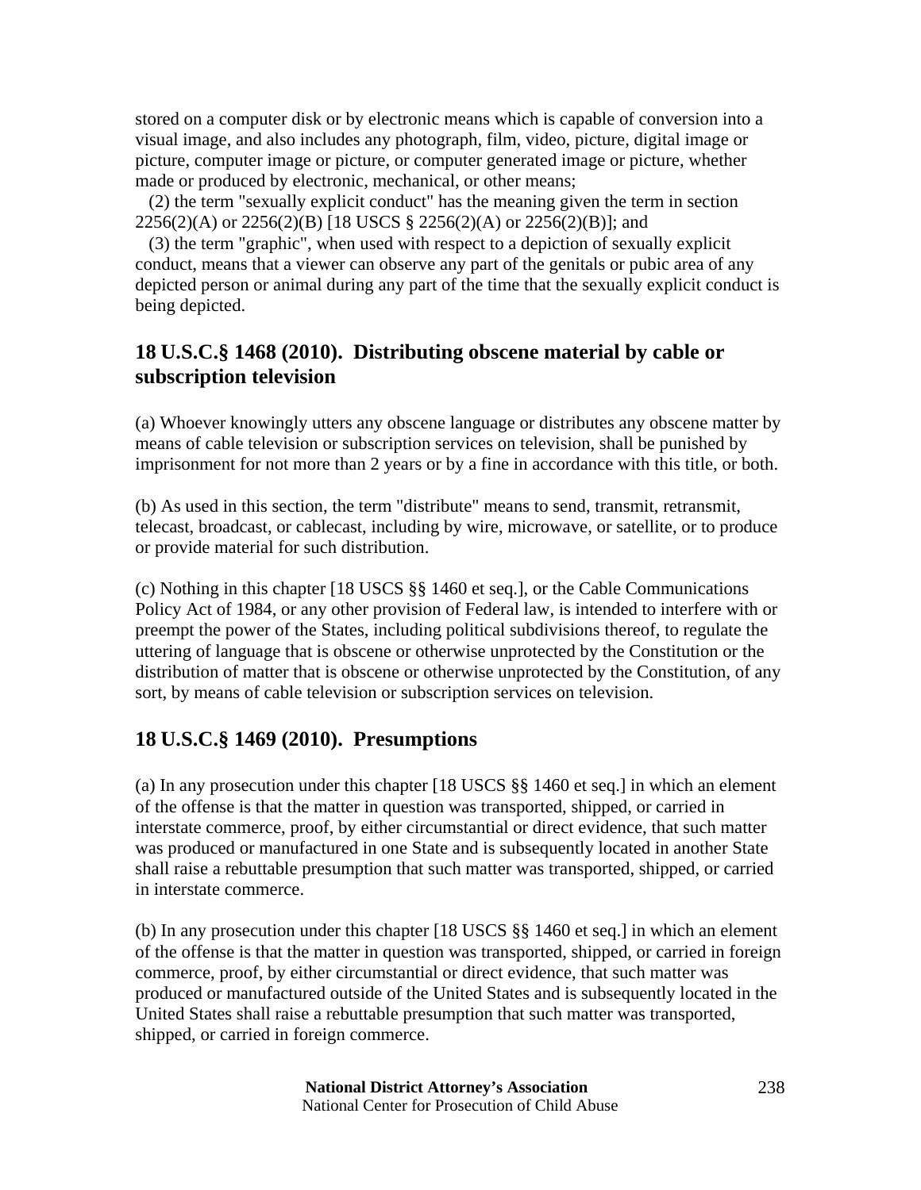stored on a computer disk or by electronic means which is capable of conversion into a visual image, and also includes any photograph, film, video, picture, digital image or picture, computer image or picture, or computer generated image or picture, whether made or produced by electronic, mechanical, or other means;

 (2) the term "sexually explicit conduct" has the meaning given the term in section 2256(2)(A) or 2256(2)(B) [18 USCS § 2256(2)(A) or 2256(2)(B)]; and

 (3) the term "graphic", when used with respect to a depiction of sexually explicit conduct, means that a viewer can observe any part of the genitals or pubic area of any depicted person or animal during any part of the time that the sexually explicit conduct is being depicted.

### **18 U.S.C.§ 1468 (2010). Distributing obscene material by cable or subscription television**

(a) Whoever knowingly utters any obscene language or distributes any obscene matter by means of cable television or subscription services on television, shall be punished by imprisonment for not more than 2 years or by a fine in accordance with this title, or both.

(b) As used in this section, the term "distribute" means to send, transmit, retransmit, telecast, broadcast, or cablecast, including by wire, microwave, or satellite, or to produce or provide material for such distribution.

(c) Nothing in this chapter [18 USCS §§ 1460 et seq.], or the Cable Communications Policy Act of 1984, or any other provision of Federal law, is intended to interfere with or preempt the power of the States, including political subdivisions thereof, to regulate the uttering of language that is obscene or otherwise unprotected by the Constitution or the distribution of matter that is obscene or otherwise unprotected by the Constitution, of any sort, by means of cable television or subscription services on television.

#### **18 U.S.C.§ 1469 (2010). Presumptions**

(a) In any prosecution under this chapter [18 USCS §§ 1460 et seq.] in which an element of the offense is that the matter in question was transported, shipped, or carried in interstate commerce, proof, by either circumstantial or direct evidence, that such matter was produced or manufactured in one State and is subsequently located in another State shall raise a rebuttable presumption that such matter was transported, shipped, or carried in interstate commerce.

(b) In any prosecution under this chapter [18 USCS §§ 1460 et seq.] in which an element of the offense is that the matter in question was transported, shipped, or carried in foreign commerce, proof, by either circumstantial or direct evidence, that such matter was produced or manufactured outside of the United States and is subsequently located in the United States shall raise a rebuttable presumption that such matter was transported, shipped, or carried in foreign commerce.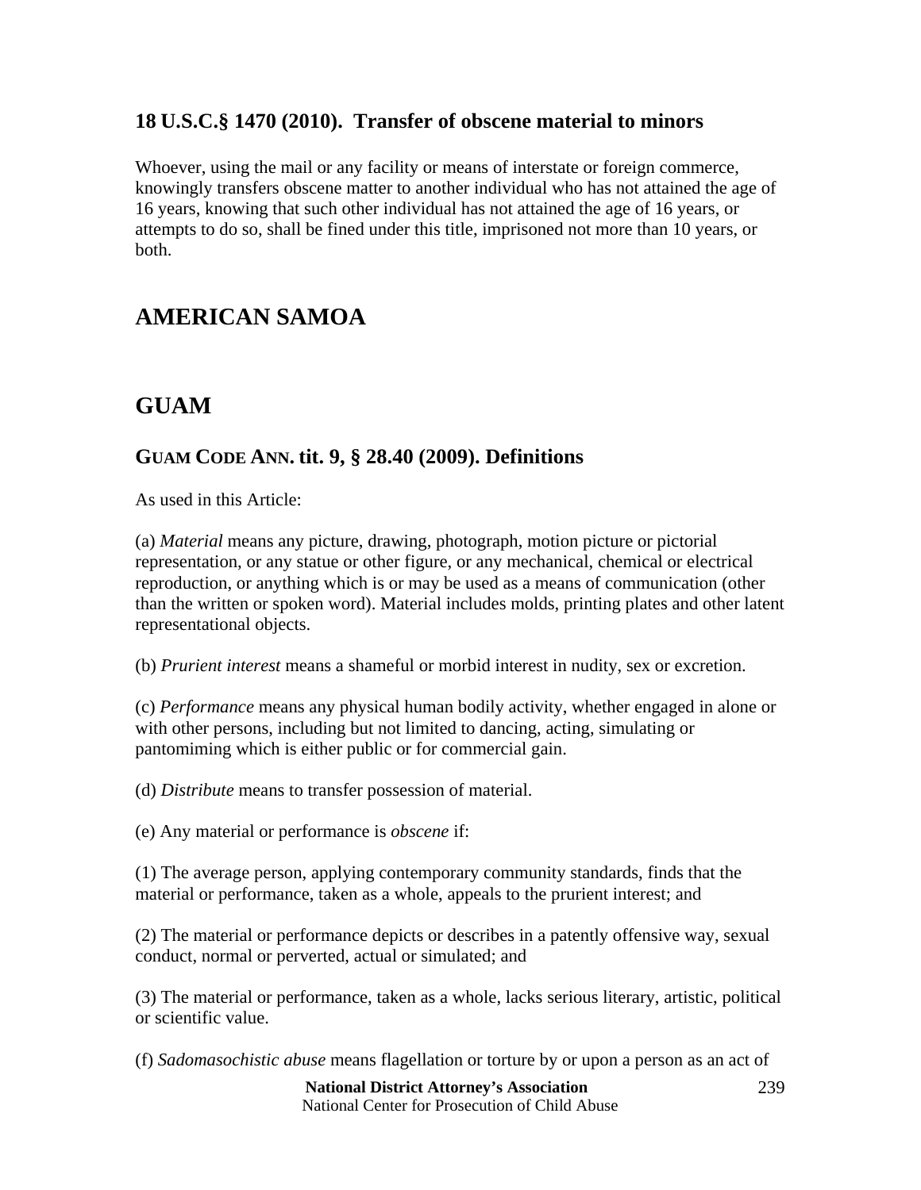# **18 U.S.C.§ 1470 (2010). Transfer of obscene material to minors**

Whoever, using the mail or any facility or means of interstate or foreign commerce, knowingly transfers obscene matter to another individual who has not attained the age of 16 years, knowing that such other individual has not attained the age of 16 years, or attempts to do so, shall be fined under this title, imprisoned not more than 10 years, or both.

# **AMERICAN SAMOA**

# **GUAM**

# **GUAM CODE ANN. tit. 9, § 28.40 (2009). Definitions**

As used in this Article:

(a) *Material* means any picture, drawing, photograph, motion picture or pictorial representation, or any statue or other figure, or any mechanical, chemical or electrical reproduction, or anything which is or may be used as a means of communication (other than the written or spoken word). Material includes molds, printing plates and other latent representational objects.

(b) *Prurient interest* means a shameful or morbid interest in nudity, sex or excretion.

(c) *Performance* means any physical human bodily activity, whether engaged in alone or with other persons, including but not limited to dancing, acting, simulating or pantomiming which is either public or for commercial gain.

(d) *Distribute* means to transfer possession of material.

(e) Any material or performance is *obscene* if:

(1) The average person, applying contemporary community standards, finds that the material or performance, taken as a whole, appeals to the prurient interest; and

(2) The material or performance depicts or describes in a patently offensive way, sexual conduct, normal or perverted, actual or simulated; and

(3) The material or performance, taken as a whole, lacks serious literary, artistic, political or scientific value.

(f) *Sadomasochistic abuse* means flagellation or torture by or upon a person as an act of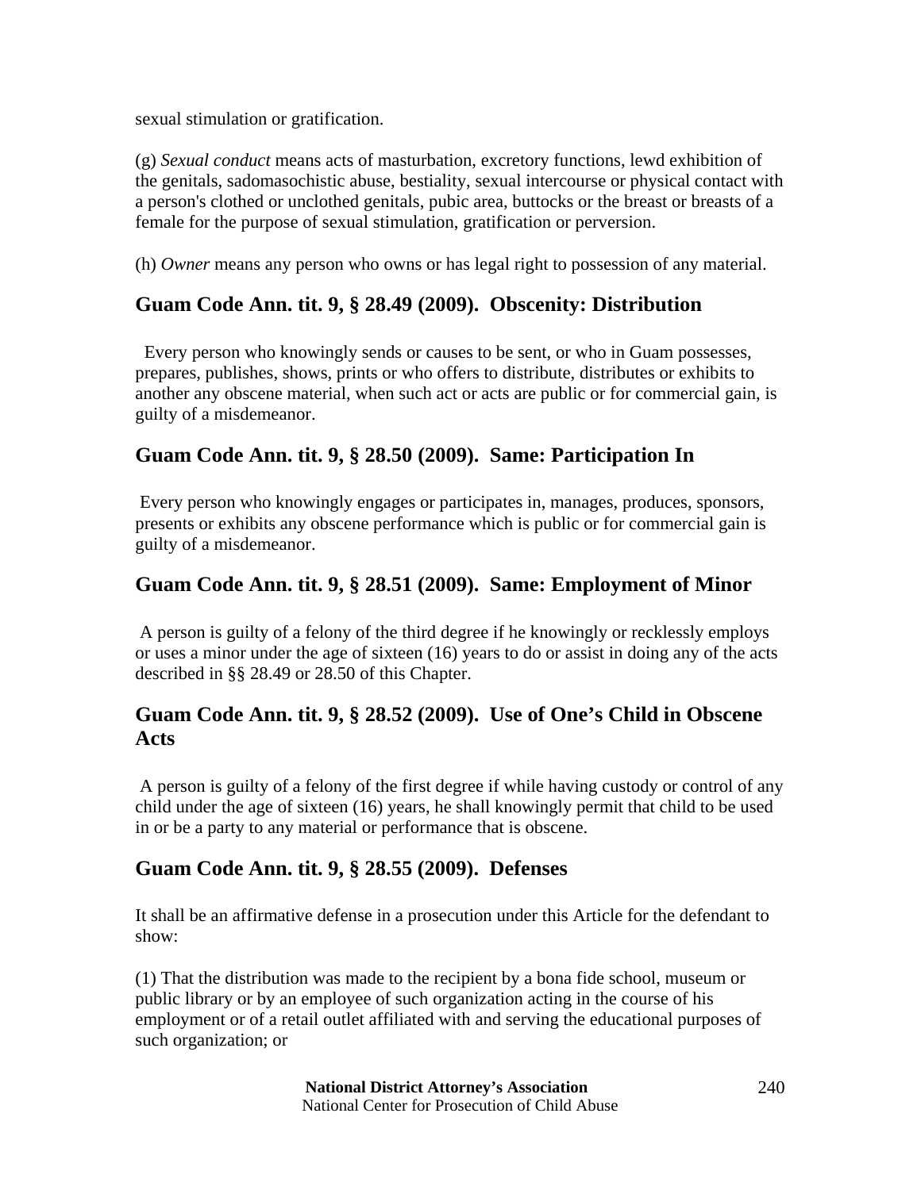sexual stimulation or gratification.

(g) *Sexual conduct* means acts of masturbation, excretory functions, lewd exhibition of the genitals, sadomasochistic abuse, bestiality, sexual intercourse or physical contact with a person's clothed or unclothed genitals, pubic area, buttocks or the breast or breasts of a female for the purpose of sexual stimulation, gratification or perversion.

(h) *Owner* means any person who owns or has legal right to possession of any material.

# **Guam Code Ann. tit. 9, § 28.49 (2009). Obscenity: Distribution**

 Every person who knowingly sends or causes to be sent, or who in Guam possesses, prepares, publishes, shows, prints or who offers to distribute, distributes or exhibits to another any obscene material, when such act or acts are public or for commercial gain, is guilty of a misdemeanor.

# **Guam Code Ann. tit. 9, § 28.50 (2009). Same: Participation In**

 Every person who knowingly engages or participates in, manages, produces, sponsors, presents or exhibits any obscene performance which is public or for commercial gain is guilty of a misdemeanor.

### **Guam Code Ann. tit. 9, § 28.51 (2009). Same: Employment of Minor**

 A person is guilty of a felony of the third degree if he knowingly or recklessly employs or uses a minor under the age of sixteen (16) years to do or assist in doing any of the acts described in §§ 28.49 or 28.50 of this Chapter.

# **Guam Code Ann. tit. 9, § 28.52 (2009). Use of One's Child in Obscene Acts**

 A person is guilty of a felony of the first degree if while having custody or control of any child under the age of sixteen (16) years, he shall knowingly permit that child to be used in or be a party to any material or performance that is obscene.

# **Guam Code Ann. tit. 9, § 28.55 (2009). Defenses**

It shall be an affirmative defense in a prosecution under this Article for the defendant to show:

(1) That the distribution was made to the recipient by a bona fide school, museum or public library or by an employee of such organization acting in the course of his employment or of a retail outlet affiliated with and serving the educational purposes of such organization; or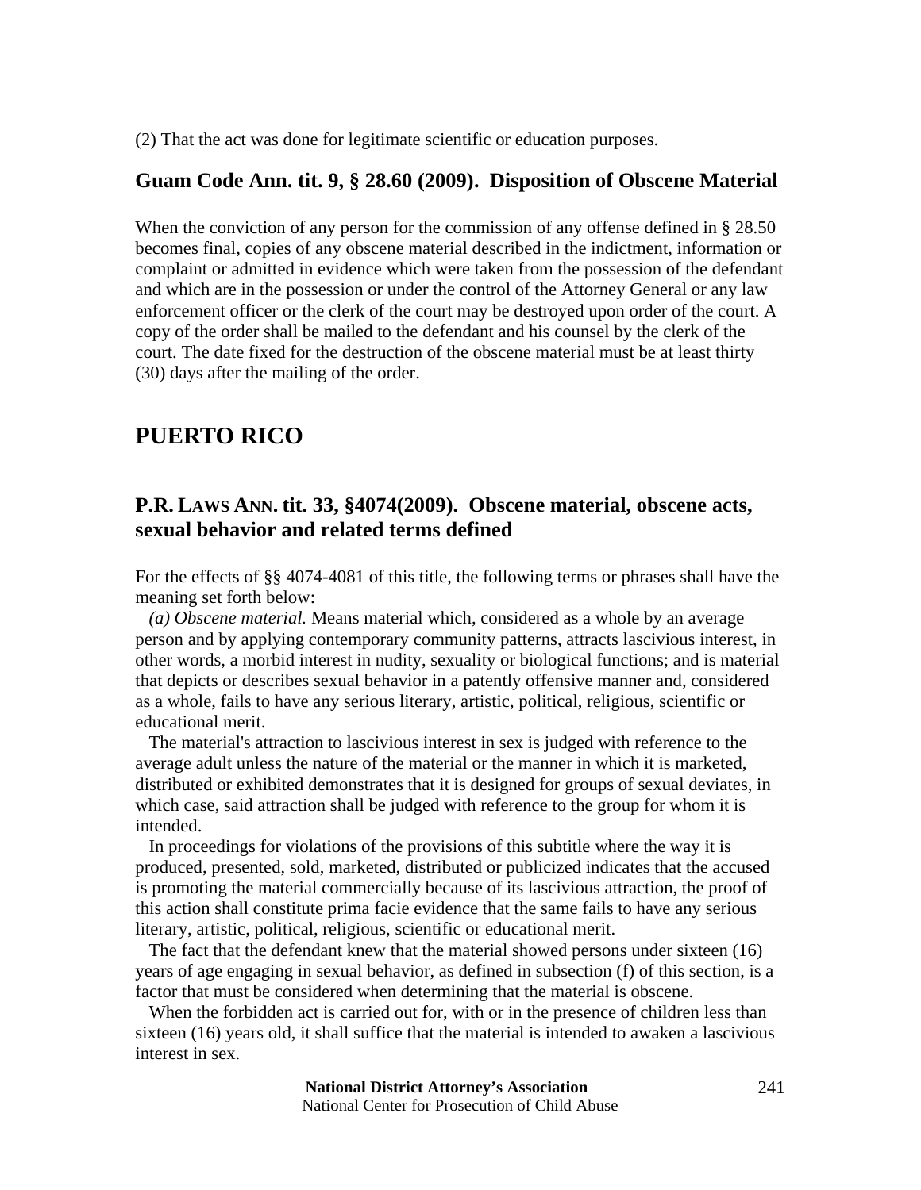(2) That the act was done for legitimate scientific or education purposes.

#### **Guam Code Ann. tit. 9, § 28.60 (2009). Disposition of Obscene Material**

When the conviction of any person for the commission of any offense defined in § 28.50 becomes final, copies of any obscene material described in the indictment, information or complaint or admitted in evidence which were taken from the possession of the defendant and which are in the possession or under the control of the Attorney General or any law enforcement officer or the clerk of the court may be destroyed upon order of the court. A copy of the order shall be mailed to the defendant and his counsel by the clerk of the court. The date fixed for the destruction of the obscene material must be at least thirty (30) days after the mailing of the order.

# **PUERTO RICO**

#### **P.R. LAWS ANN. tit. 33, §4074(2009). Obscene material, obscene acts, sexual behavior and related terms defined**

For the effects of §§ 4074-4081 of this title, the following terms or phrases shall have the meaning set forth below:

 *(a) Obscene material.* Means material which, considered as a whole by an average person and by applying contemporary community patterns, attracts lascivious interest, in other words, a morbid interest in nudity, sexuality or biological functions; and is material that depicts or describes sexual behavior in a patently offensive manner and, considered as a whole, fails to have any serious literary, artistic, political, religious, scientific or educational merit.

 The material's attraction to lascivious interest in sex is judged with reference to the average adult unless the nature of the material or the manner in which it is marketed, distributed or exhibited demonstrates that it is designed for groups of sexual deviates, in which case, said attraction shall be judged with reference to the group for whom it is intended.

 In proceedings for violations of the provisions of this subtitle where the way it is produced, presented, sold, marketed, distributed or publicized indicates that the accused is promoting the material commercially because of its lascivious attraction, the proof of this action shall constitute prima facie evidence that the same fails to have any serious literary, artistic, political, religious, scientific or educational merit.

 The fact that the defendant knew that the material showed persons under sixteen (16) years of age engaging in sexual behavior, as defined in subsection (f) of this section, is a factor that must be considered when determining that the material is obscene.

When the forbidden act is carried out for, with or in the presence of children less than sixteen (16) years old, it shall suffice that the material is intended to awaken a lascivious interest in sex.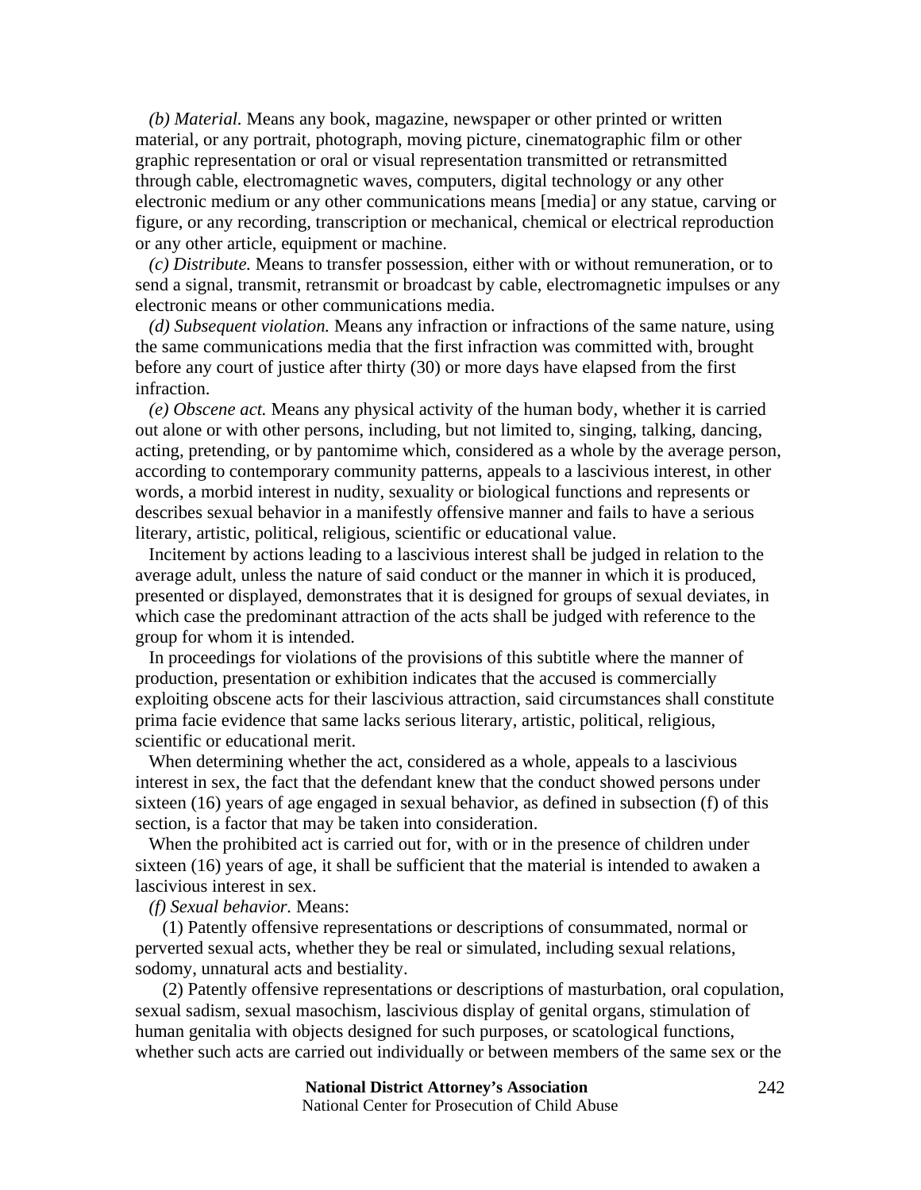*(b) Material.* Means any book, magazine, newspaper or other printed or written material, or any portrait, photograph, moving picture, cinematographic film or other graphic representation or oral or visual representation transmitted or retransmitted through cable, electromagnetic waves, computers, digital technology or any other electronic medium or any other communications means [media] or any statue, carving or figure, or any recording, transcription or mechanical, chemical or electrical reproduction or any other article, equipment or machine.

 *(c) Distribute.* Means to transfer possession, either with or without remuneration, or to send a signal, transmit, retransmit or broadcast by cable, electromagnetic impulses or any electronic means or other communications media.

 *(d) Subsequent violation.* Means any infraction or infractions of the same nature, using the same communications media that the first infraction was committed with, brought before any court of justice after thirty (30) or more days have elapsed from the first infraction.

 *(e) Obscene act.* Means any physical activity of the human body, whether it is carried out alone or with other persons, including, but not limited to, singing, talking, dancing, acting, pretending, or by pantomime which, considered as a whole by the average person, according to contemporary community patterns, appeals to a lascivious interest, in other words, a morbid interest in nudity, sexuality or biological functions and represents or describes sexual behavior in a manifestly offensive manner and fails to have a serious literary, artistic, political, religious, scientific or educational value.

 Incitement by actions leading to a lascivious interest shall be judged in relation to the average adult, unless the nature of said conduct or the manner in which it is produced, presented or displayed, demonstrates that it is designed for groups of sexual deviates, in which case the predominant attraction of the acts shall be judged with reference to the group for whom it is intended.

 In proceedings for violations of the provisions of this subtitle where the manner of production, presentation or exhibition indicates that the accused is commercially exploiting obscene acts for their lascivious attraction, said circumstances shall constitute prima facie evidence that same lacks serious literary, artistic, political, religious, scientific or educational merit.

 When determining whether the act, considered as a whole, appeals to a lascivious interest in sex, the fact that the defendant knew that the conduct showed persons under sixteen (16) years of age engaged in sexual behavior, as defined in subsection (f) of this section, is a factor that may be taken into consideration.

 When the prohibited act is carried out for, with or in the presence of children under sixteen (16) years of age, it shall be sufficient that the material is intended to awaken a lascivious interest in sex.

 *(f) Sexual behavior.* Means:

 (1) Patently offensive representations or descriptions of consummated, normal or perverted sexual acts, whether they be real or simulated, including sexual relations, sodomy, unnatural acts and bestiality.

 (2) Patently offensive representations or descriptions of masturbation, oral copulation, sexual sadism, sexual masochism, lascivious display of genital organs, stimulation of human genitalia with objects designed for such purposes, or scatological functions, whether such acts are carried out individually or between members of the same sex or the

National Center for Prosecution of Child Abuse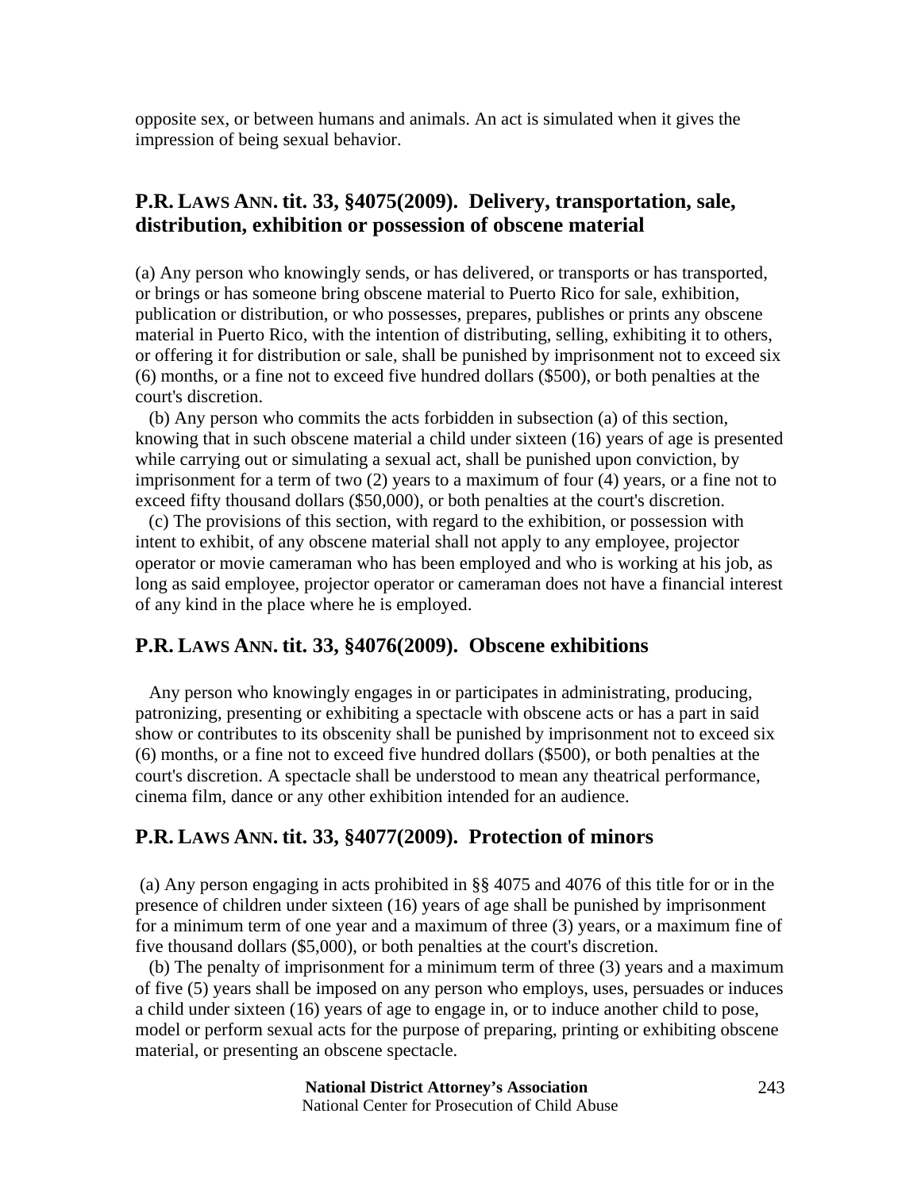opposite sex, or between humans and animals. An act is simulated when it gives the impression of being sexual behavior.

# **P.R. LAWS ANN. tit. 33, §4075(2009). Delivery, transportation, sale, distribution, exhibition or possession of obscene material**

(a) Any person who knowingly sends, or has delivered, or transports or has transported, or brings or has someone bring obscene material to Puerto Rico for sale, exhibition, publication or distribution, or who possesses, prepares, publishes or prints any obscene material in Puerto Rico, with the intention of distributing, selling, exhibiting it to others, or offering it for distribution or sale, shall be punished by imprisonment not to exceed six (6) months, or a fine not to exceed five hundred dollars (\$500), or both penalties at the court's discretion.

 (b) Any person who commits the acts forbidden in subsection (a) of this section, knowing that in such obscene material a child under sixteen (16) years of age is presented while carrying out or simulating a sexual act, shall be punished upon conviction, by imprisonment for a term of two (2) years to a maximum of four (4) years, or a fine not to exceed fifty thousand dollars (\$50,000), or both penalties at the court's discretion.

 (c) The provisions of this section, with regard to the exhibition, or possession with intent to exhibit, of any obscene material shall not apply to any employee, projector operator or movie cameraman who has been employed and who is working at his job, as long as said employee, projector operator or cameraman does not have a financial interest of any kind in the place where he is employed.

#### **P.R. LAWS ANN. tit. 33, §4076(2009). Obscene exhibitions**

 Any person who knowingly engages in or participates in administrating, producing, patronizing, presenting or exhibiting a spectacle with obscene acts or has a part in said show or contributes to its obscenity shall be punished by imprisonment not to exceed six (6) months, or a fine not to exceed five hundred dollars (\$500), or both penalties at the court's discretion. A spectacle shall be understood to mean any theatrical performance, cinema film, dance or any other exhibition intended for an audience.

#### **P.R. LAWS ANN. tit. 33, §4077(2009). Protection of minors**

 (a) Any person engaging in acts prohibited in §§ 4075 and 4076 of this title for or in the presence of children under sixteen (16) years of age shall be punished by imprisonment for a minimum term of one year and a maximum of three (3) years, or a maximum fine of five thousand dollars (\$5,000), or both penalties at the court's discretion.

 (b) The penalty of imprisonment for a minimum term of three (3) years and a maximum of five (5) years shall be imposed on any person who employs, uses, persuades or induces a child under sixteen (16) years of age to engage in, or to induce another child to pose, model or perform sexual acts for the purpose of preparing, printing or exhibiting obscene material, or presenting an obscene spectacle.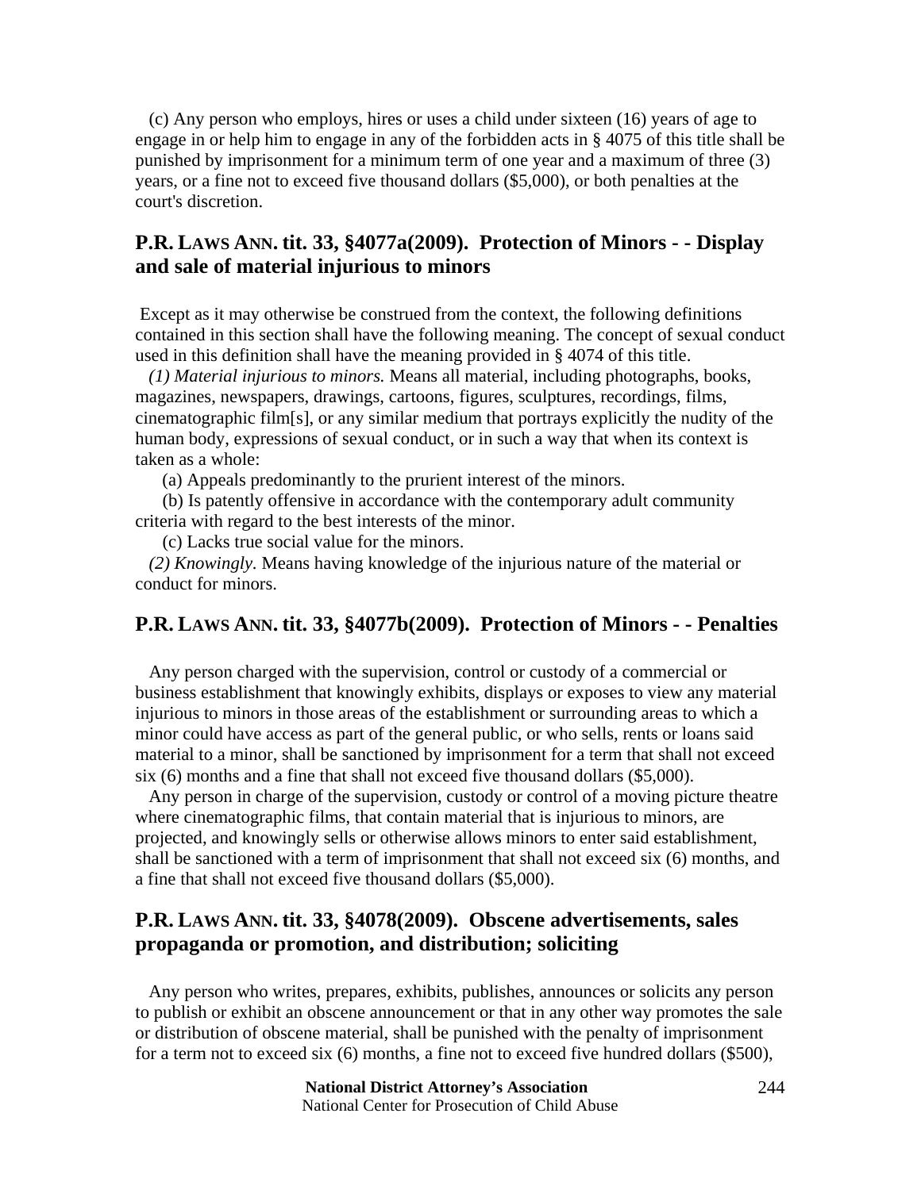(c) Any person who employs, hires or uses a child under sixteen (16) years of age to engage in or help him to engage in any of the forbidden acts in § 4075 of this title shall be punished by imprisonment for a minimum term of one year and a maximum of three (3) years, or a fine not to exceed five thousand dollars (\$5,000), or both penalties at the court's discretion.

### **P.R. LAWS ANN. tit. 33, §4077a(2009). Protection of Minors - - Display and sale of material injurious to minors**

 Except as it may otherwise be construed from the context, the following definitions contained in this section shall have the following meaning. The concept of sexual conduct used in this definition shall have the meaning provided in § 4074 of this title.

 *(1) Material injurious to minors.* Means all material, including photographs, books, magazines, newspapers, drawings, cartoons, figures, sculptures, recordings, films, cinematographic film[s], or any similar medium that portrays explicitly the nudity of the human body, expressions of sexual conduct, or in such a way that when its context is taken as a whole:

(a) Appeals predominantly to the prurient interest of the minors.

 (b) Is patently offensive in accordance with the contemporary adult community criteria with regard to the best interests of the minor.

(c) Lacks true social value for the minors.

 *(2) Knowingly.* Means having knowledge of the injurious nature of the material or conduct for minors.

#### **P.R. LAWS ANN. tit. 33, §4077b(2009). Protection of Minors - - Penalties**

 Any person charged with the supervision, control or custody of a commercial or business establishment that knowingly exhibits, displays or exposes to view any material injurious to minors in those areas of the establishment or surrounding areas to which a minor could have access as part of the general public, or who sells, rents or loans said material to a minor, shall be sanctioned by imprisonment for a term that shall not exceed six (6) months and a fine that shall not exceed five thousand dollars (\$5,000).

 Any person in charge of the supervision, custody or control of a moving picture theatre where cinematographic films, that contain material that is injurious to minors, are projected, and knowingly sells or otherwise allows minors to enter said establishment, shall be sanctioned with a term of imprisonment that shall not exceed six (6) months, and a fine that shall not exceed five thousand dollars (\$5,000).

#### **P.R. LAWS ANN. tit. 33, §4078(2009). Obscene advertisements, sales propaganda or promotion, and distribution; soliciting**

 Any person who writes, prepares, exhibits, publishes, announces or solicits any person to publish or exhibit an obscene announcement or that in any other way promotes the sale or distribution of obscene material, shall be punished with the penalty of imprisonment for a term not to exceed six (6) months, a fine not to exceed five hundred dollars (\$500),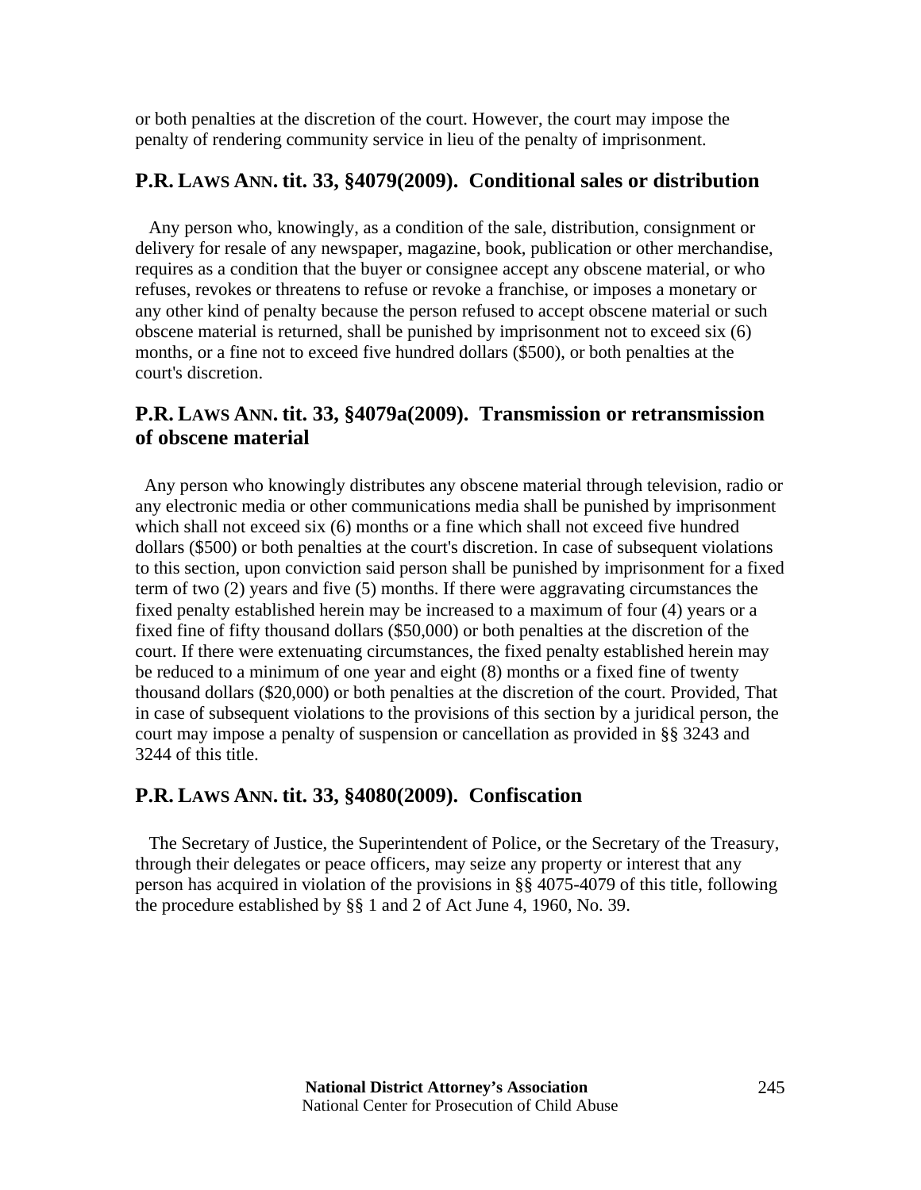or both penalties at the discretion of the court. However, the court may impose the penalty of rendering community service in lieu of the penalty of imprisonment.

#### **P.R. LAWS ANN. tit. 33, §4079(2009). Conditional sales or distribution**

 Any person who, knowingly, as a condition of the sale, distribution, consignment or delivery for resale of any newspaper, magazine, book, publication or other merchandise, requires as a condition that the buyer or consignee accept any obscene material, or who refuses, revokes or threatens to refuse or revoke a franchise, or imposes a monetary or any other kind of penalty because the person refused to accept obscene material or such obscene material is returned, shall be punished by imprisonment not to exceed six (6) months, or a fine not to exceed five hundred dollars (\$500), or both penalties at the court's discretion.

### **P.R. LAWS ANN. tit. 33, §4079a(2009). Transmission or retransmission of obscene material**

 Any person who knowingly distributes any obscene material through television, radio or any electronic media or other communications media shall be punished by imprisonment which shall not exceed six (6) months or a fine which shall not exceed five hundred dollars (\$500) or both penalties at the court's discretion. In case of subsequent violations to this section, upon conviction said person shall be punished by imprisonment for a fixed term of two (2) years and five (5) months. If there were aggravating circumstances the fixed penalty established herein may be increased to a maximum of four (4) years or a fixed fine of fifty thousand dollars (\$50,000) or both penalties at the discretion of the court. If there were extenuating circumstances, the fixed penalty established herein may be reduced to a minimum of one year and eight (8) months or a fixed fine of twenty thousand dollars (\$20,000) or both penalties at the discretion of the court. Provided, That in case of subsequent violations to the provisions of this section by a juridical person, the court may impose a penalty of suspension or cancellation as provided in §§ 3243 and 3244 of this title.

#### **P.R. LAWS ANN. tit. 33, §4080(2009). Confiscation**

 The Secretary of Justice, the Superintendent of Police, or the Secretary of the Treasury, through their delegates or peace officers, may seize any property or interest that any person has acquired in violation of the provisions in §§ 4075-4079 of this title, following the procedure established by §§ 1 and 2 of Act June 4, 1960, No. 39.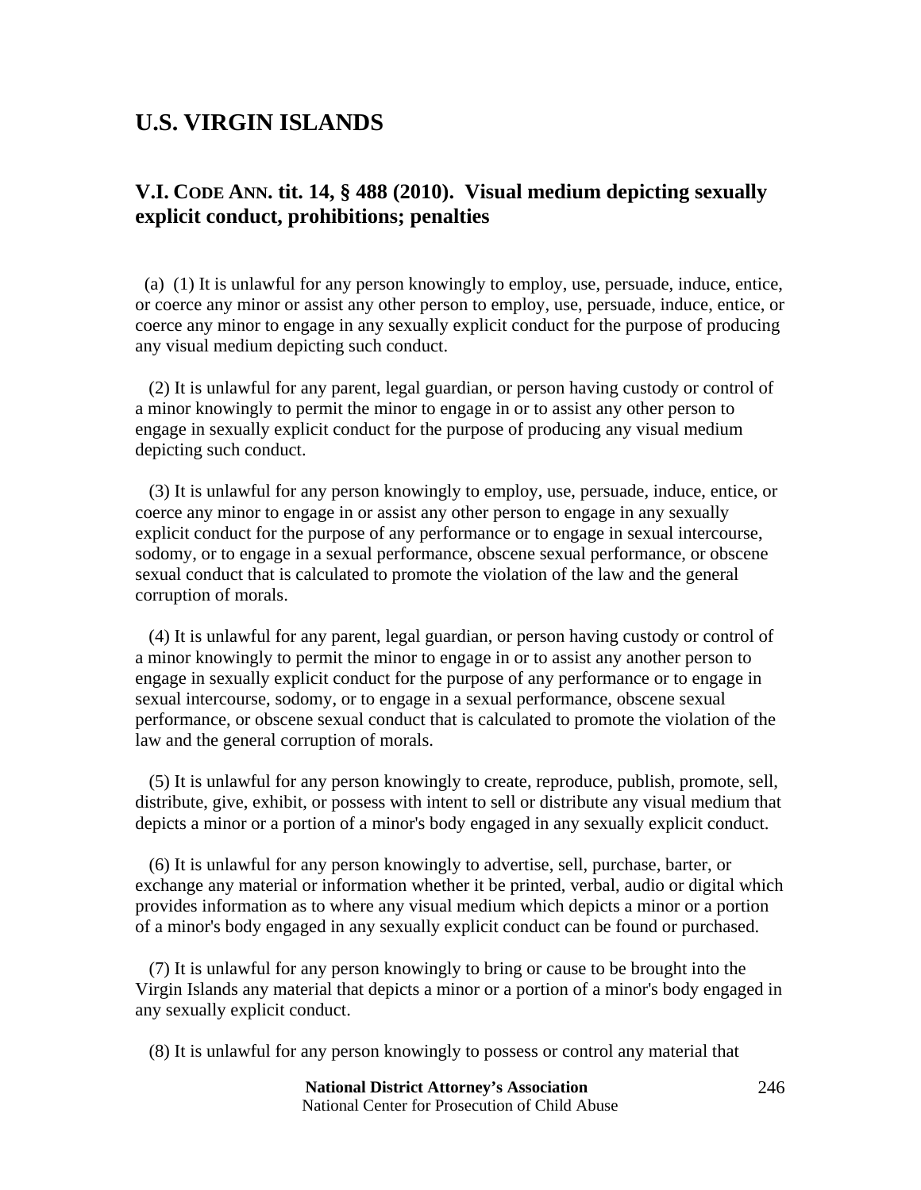# **U.S. VIRGIN ISLANDS**

# **V.I. CODE ANN. tit. 14, § 488 (2010). Visual medium depicting sexually explicit conduct, prohibitions; penalties**

 (a) (1) It is unlawful for any person knowingly to employ, use, persuade, induce, entice, or coerce any minor or assist any other person to employ, use, persuade, induce, entice, or coerce any minor to engage in any sexually explicit conduct for the purpose of producing any visual medium depicting such conduct.

 (2) It is unlawful for any parent, legal guardian, or person having custody or control of a minor knowingly to permit the minor to engage in or to assist any other person to engage in sexually explicit conduct for the purpose of producing any visual medium depicting such conduct.

 (3) It is unlawful for any person knowingly to employ, use, persuade, induce, entice, or coerce any minor to engage in or assist any other person to engage in any sexually explicit conduct for the purpose of any performance or to engage in sexual intercourse, sodomy, or to engage in a sexual performance, obscene sexual performance, or obscene sexual conduct that is calculated to promote the violation of the law and the general corruption of morals.

 (4) It is unlawful for any parent, legal guardian, or person having custody or control of a minor knowingly to permit the minor to engage in or to assist any another person to engage in sexually explicit conduct for the purpose of any performance or to engage in sexual intercourse, sodomy, or to engage in a sexual performance, obscene sexual performance, or obscene sexual conduct that is calculated to promote the violation of the law and the general corruption of morals.

 (5) It is unlawful for any person knowingly to create, reproduce, publish, promote, sell, distribute, give, exhibit, or possess with intent to sell or distribute any visual medium that depicts a minor or a portion of a minor's body engaged in any sexually explicit conduct.

 (6) It is unlawful for any person knowingly to advertise, sell, purchase, barter, or exchange any material or information whether it be printed, verbal, audio or digital which provides information as to where any visual medium which depicts a minor or a portion of a minor's body engaged in any sexually explicit conduct can be found or purchased.

 (7) It is unlawful for any person knowingly to bring or cause to be brought into the Virgin Islands any material that depicts a minor or a portion of a minor's body engaged in any sexually explicit conduct.

(8) It is unlawful for any person knowingly to possess or control any material that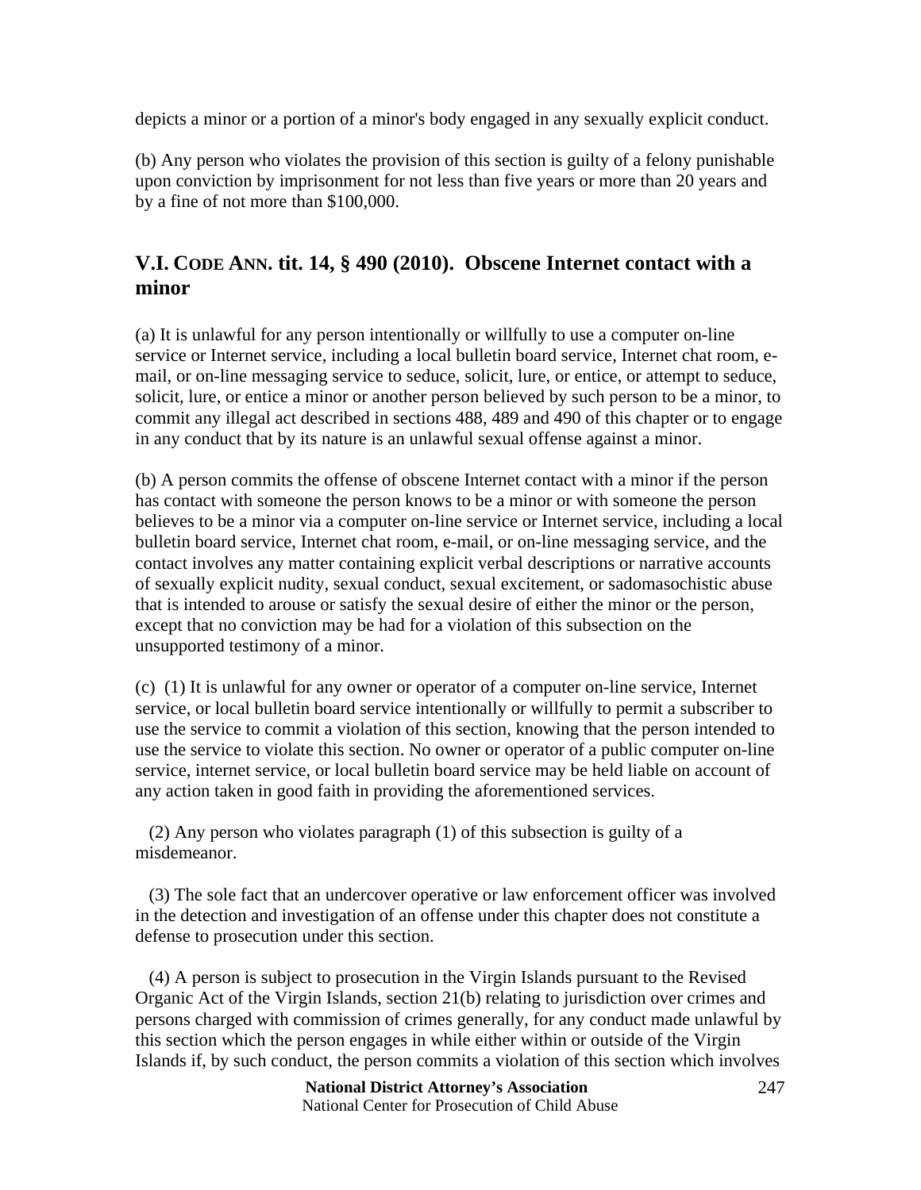depicts a minor or a portion of a minor's body engaged in any sexually explicit conduct.

(b) Any person who violates the provision of this section is guilty of a felony punishable upon conviction by imprisonment for not less than five years or more than 20 years and by a fine of not more than \$100,000.

# **V.I. CODE ANN. tit. 14, § 490 (2010). Obscene Internet contact with a minor**

(a) It is unlawful for any person intentionally or willfully to use a computer on-line service or Internet service, including a local bulletin board service, Internet chat room, email, or on-line messaging service to seduce, solicit, lure, or entice, or attempt to seduce, solicit, lure, or entice a minor or another person believed by such person to be a minor, to commit any illegal act described in sections 488, 489 and 490 of this chapter or to engage in any conduct that by its nature is an unlawful sexual offense against a minor.

(b) A person commits the offense of obscene Internet contact with a minor if the person has contact with someone the person knows to be a minor or with someone the person believes to be a minor via a computer on-line service or Internet service, including a local bulletin board service, Internet chat room, e-mail, or on-line messaging service, and the contact involves any matter containing explicit verbal descriptions or narrative accounts of sexually explicit nudity, sexual conduct, sexual excitement, or sadomasochistic abuse that is intended to arouse or satisfy the sexual desire of either the minor or the person, except that no conviction may be had for a violation of this subsection on the unsupported testimony of a minor.

(c) (1) It is unlawful for any owner or operator of a computer on-line service, Internet service, or local bulletin board service intentionally or willfully to permit a subscriber to use the service to commit a violation of this section, knowing that the person intended to use the service to violate this section. No owner or operator of a public computer on-line service, internet service, or local bulletin board service may be held liable on account of any action taken in good faith in providing the aforementioned services.

 (2) Any person who violates paragraph (1) of this subsection is guilty of a misdemeanor.

 (3) The sole fact that an undercover operative or law enforcement officer was involved in the detection and investigation of an offense under this chapter does not constitute a defense to prosecution under this section.

 (4) A person is subject to prosecution in the Virgin Islands pursuant to the Revised Organic Act of the Virgin Islands, section 21(b) relating to jurisdiction over crimes and persons charged with commission of crimes generally, for any conduct made unlawful by this section which the person engages in while either within or outside of the Virgin Islands if, by such conduct, the person commits a violation of this section which involves